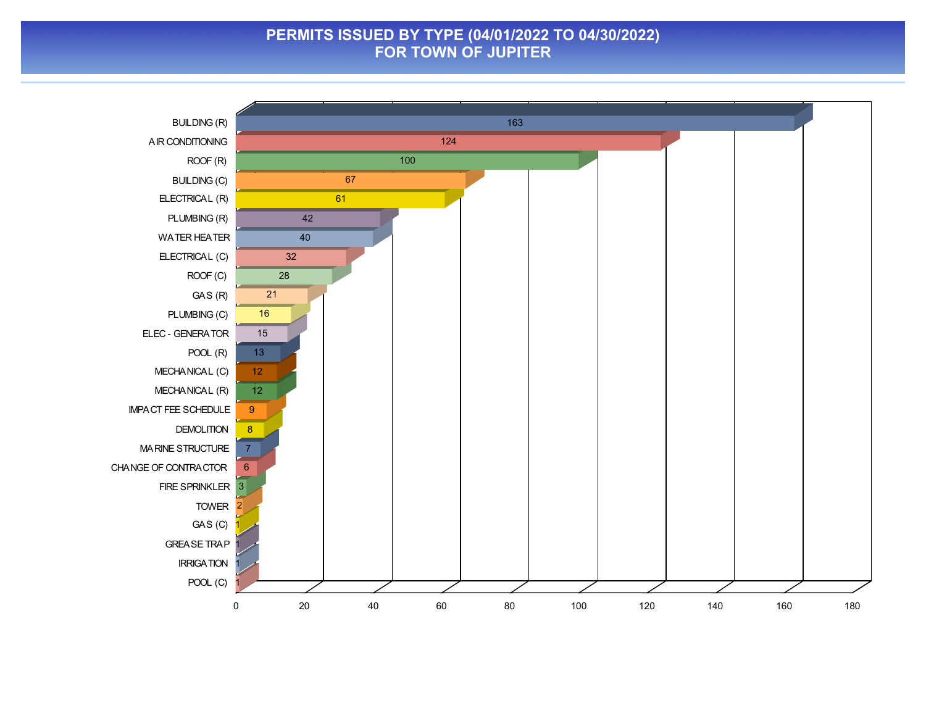#### **PERMITS ISSUED BY TYPE (04/01/2022 TO 04/30/2022) FOR TOWN OF JUPITER**

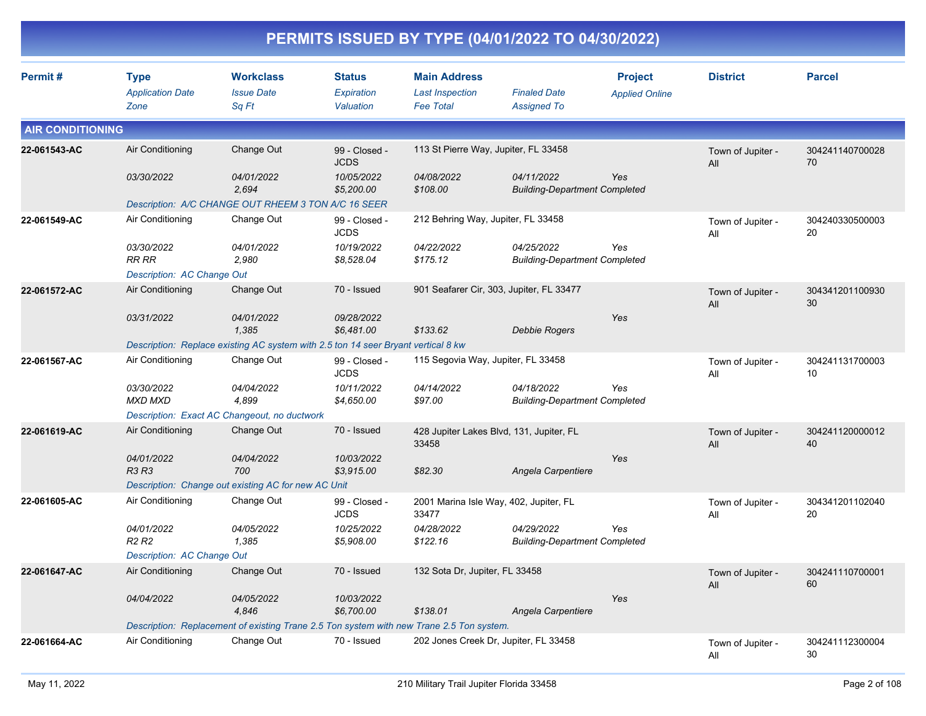|                         |                                                |                                                                                   |                                          |                                                                                          | PERMITS ISSUED BY TYPE (04/01/2022 TO 04/30/2022)  |                                         |                          |                       |
|-------------------------|------------------------------------------------|-----------------------------------------------------------------------------------|------------------------------------------|------------------------------------------------------------------------------------------|----------------------------------------------------|-----------------------------------------|--------------------------|-----------------------|
| Permit#                 | <b>Type</b><br><b>Application Date</b><br>Zone | <b>Workclass</b><br><b>Issue Date</b><br>Sq Ft                                    | <b>Status</b><br>Expiration<br>Valuation | <b>Main Address</b><br><b>Last Inspection</b><br><b>Fee Total</b>                        | <b>Finaled Date</b><br><b>Assigned To</b>          | <b>Project</b><br><b>Applied Online</b> | <b>District</b>          | <b>Parcel</b>         |
| <b>AIR CONDITIONING</b> |                                                |                                                                                   |                                          |                                                                                          |                                                    |                                         |                          |                       |
| 22-061543-AC            | Air Conditioning                               | Change Out                                                                        | 99 - Closed -<br><b>JCDS</b>             | 113 St Pierre Way, Jupiter, FL 33458                                                     |                                                    |                                         | Town of Jupiter -<br>All | 304241140700028<br>70 |
|                         | 03/30/2022                                     | 04/01/2022<br>2,694                                                               | 10/05/2022<br>\$5,200.00                 | 04/08/2022<br>\$108.00                                                                   | 04/11/2022<br><b>Building-Department Completed</b> | Yes                                     |                          |                       |
|                         |                                                | Description: A/C CHANGE OUT RHEEM 3 TON A/C 16 SEER                               |                                          |                                                                                          |                                                    |                                         |                          |                       |
| 22-061549-AC            | Air Conditioning                               | Change Out                                                                        | 99 - Closed -<br><b>JCDS</b>             | 212 Behring Way, Jupiter, FL 33458                                                       |                                                    |                                         | Town of Jupiter -<br>ΑIΙ | 304240330500003<br>20 |
|                         | 03/30/2022<br><b>RR RR</b>                     | 04/01/2022<br>2,980                                                               | 10/19/2022<br>\$8,528.04                 | 04/22/2022<br>\$175.12                                                                   | 04/25/2022<br><b>Building-Department Completed</b> | Yes                                     |                          |                       |
|                         | Description: AC Change Out                     |                                                                                   |                                          |                                                                                          |                                                    |                                         |                          |                       |
| 22-061572-AC            | Air Conditioning                               | Change Out                                                                        | 70 - Issued                              | 901 Seafarer Cir, 303, Jupiter, FL 33477                                                 |                                                    |                                         | Town of Jupiter -<br>All | 304341201100930<br>30 |
|                         | 03/31/2022                                     | 04/01/2022<br>1,385                                                               | 09/28/2022<br>\$6,481.00                 | \$133.62                                                                                 | Debbie Rogers                                      | Yes                                     |                          |                       |
|                         |                                                | Description: Replace existing AC system with 2.5 ton 14 seer Bryant vertical 8 kw |                                          |                                                                                          |                                                    |                                         |                          |                       |
| 22-061567-AC            | Air Conditioning                               | Change Out                                                                        | 99 - Closed -<br><b>JCDS</b>             | 115 Segovia Way, Jupiter, FL 33458                                                       |                                                    |                                         | Town of Jupiter -<br>ΑIΙ | 304241131700003<br>10 |
|                         | 03/30/2022<br><b>MXD MXD</b>                   | 04/04/2022<br>4,899                                                               | 10/11/2022<br>\$4,650.00                 | 04/14/2022<br>\$97.00                                                                    | 04/18/2022<br><b>Building-Department Completed</b> | Yes                                     |                          |                       |
|                         |                                                | Description: Exact AC Changeout, no ductwork                                      |                                          |                                                                                          |                                                    |                                         |                          |                       |
| 22-061619-AC            | Air Conditioning                               | Change Out                                                                        | 70 - Issued                              | 428 Jupiter Lakes Blvd, 131, Jupiter, FL<br>33458                                        |                                                    |                                         | Town of Jupiter -<br>All | 304241120000012<br>40 |
|                         | 04/01/2022<br>R3 R3                            | 04/04/2022<br>700                                                                 | 10/03/2022<br>\$3,915.00                 | \$82.30                                                                                  | Angela Carpentiere                                 | Yes                                     |                          |                       |
|                         |                                                | Description: Change out existing AC for new AC Unit                               |                                          |                                                                                          |                                                    |                                         |                          |                       |
| 22-061605-AC            | Air Conditioning                               | Change Out                                                                        | 99 - Closed -<br><b>JCDS</b>             | 2001 Marina Isle Way, 402, Jupiter, FL<br>33477                                          |                                                    |                                         | Town of Jupiter -<br>All | 304341201102040<br>20 |
|                         | 04/01/2022<br>R <sub>2</sub> R <sub>2</sub>    | 04/05/2022<br>1,385                                                               | 10/25/2022<br>\$5,908.00                 | 04/28/2022<br>\$122.16                                                                   | 04/29/2022<br><b>Building-Department Completed</b> | Yes                                     |                          |                       |
|                         | Description: AC Change Out                     |                                                                                   |                                          |                                                                                          |                                                    |                                         |                          |                       |
| 22-061647-AC            | Air Conditioning                               | Change Out                                                                        | 70 - Issued                              | 132 Sota Dr, Jupiter, FL 33458                                                           |                                                    |                                         | Town of Jupiter -<br>All | 304241110700001<br>60 |
|                         | 04/04/2022                                     | 04/05/2022<br>4,846                                                               | 10/03/2022<br>\$6,700.00                 | \$138.01                                                                                 | Angela Carpentiere                                 | Yes                                     |                          |                       |
|                         |                                                |                                                                                   |                                          | Description: Replacement of existing Trane 2.5 Ton system with new Trane 2.5 Ton system. |                                                    |                                         |                          |                       |
| 22-061664-AC            | Air Conditioning                               | Change Out                                                                        | 70 - Issued                              | 202 Jones Creek Dr, Jupiter, FL 33458                                                    |                                                    |                                         | Town of Jupiter -<br>All | 304241112300004<br>30 |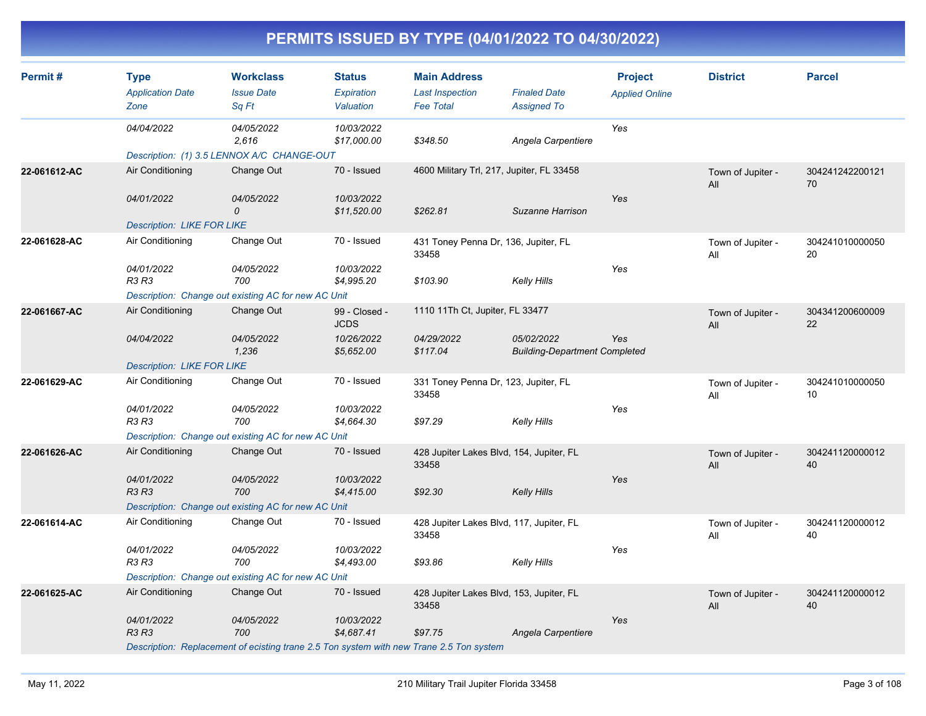| Permit#      | <b>Type</b><br><b>Application Date</b><br>Zone | <b>Workclass</b><br><b>Issue Date</b><br>Sq Ft                                          | <b>Status</b><br>Expiration<br>Valuation | <b>Main Address</b><br><b>Last Inspection</b><br><b>Fee Total</b> | <b>Finaled Date</b><br><b>Assigned To</b>          | <b>Project</b><br><b>Applied Online</b> | <b>District</b>          | <b>Parcel</b>         |
|--------------|------------------------------------------------|-----------------------------------------------------------------------------------------|------------------------------------------|-------------------------------------------------------------------|----------------------------------------------------|-----------------------------------------|--------------------------|-----------------------|
|              | 04/04/2022                                     | 04/05/2022<br>2,616                                                                     | 10/03/2022<br>\$17,000.00                | \$348.50                                                          | Angela Carpentiere                                 | Yes                                     |                          |                       |
|              |                                                | Description: (1) 3.5 LENNOX A/C CHANGE-OUT                                              |                                          |                                                                   |                                                    |                                         |                          |                       |
| 22-061612-AC | Air Conditioning                               | Change Out                                                                              | 70 - Issued                              | 4600 Military Trl, 217, Jupiter, FL 33458                         |                                                    |                                         | Town of Jupiter -<br>All | 304241242200121<br>70 |
|              | 04/01/2022                                     | 04/05/2022<br>0                                                                         | 10/03/2022<br>\$11,520.00                | \$262.81                                                          | Suzanne Harrison                                   | Yes                                     |                          |                       |
|              | <b>Description: LIKE FOR LIKE</b>              |                                                                                         |                                          |                                                                   |                                                    |                                         |                          |                       |
| 22-061628-AC | Air Conditioning                               | Change Out                                                                              | 70 - Issued                              | 431 Toney Penna Dr, 136, Jupiter, FL<br>33458                     |                                                    |                                         | Town of Jupiter -<br>All | 304241010000050<br>20 |
|              | 04/01/2022<br><b>R3 R3</b>                     | 04/05/2022<br>700                                                                       | 10/03/2022<br>\$4,995.20                 | \$103.90                                                          | Kelly Hills                                        | Yes                                     |                          |                       |
|              |                                                | Description: Change out existing AC for new AC Unit                                     |                                          |                                                                   |                                                    |                                         |                          |                       |
| 22-061667-AC | Air Conditioning                               | Change Out                                                                              | 99 - Closed -<br><b>JCDS</b>             | 1110 11Th Ct, Jupiter, FL 33477                                   |                                                    |                                         | Town of Jupiter -<br>All | 304341200600009<br>22 |
|              | 04/04/2022                                     | 04/05/2022<br>1,236                                                                     | 10/26/2022<br>\$5,652.00                 | 04/29/2022<br>\$117.04                                            | 05/02/2022<br><b>Building-Department Completed</b> | Yes                                     |                          |                       |
|              | <b>Description: LIKE FOR LIKE</b>              |                                                                                         |                                          |                                                                   |                                                    |                                         |                          |                       |
| 22-061629-AC | Air Conditioning                               | Change Out                                                                              | 70 - Issued                              | 331 Toney Penna Dr, 123, Jupiter, FL<br>33458                     |                                                    |                                         | Town of Jupiter -<br>All | 304241010000050<br>10 |
|              | 04/01/2022<br><b>R3 R3</b>                     | 04/05/2022<br>700                                                                       | 10/03/2022<br>\$4,664.30                 | \$97.29                                                           | Kelly Hills                                        | Yes                                     |                          |                       |
|              |                                                | Description: Change out existing AC for new AC Unit                                     |                                          |                                                                   |                                                    |                                         |                          |                       |
| 22-061626-AC | Air Conditioning                               | Change Out                                                                              | 70 - Issued                              | 428 Jupiter Lakes Blvd, 154, Jupiter, FL<br>33458                 |                                                    |                                         | Town of Jupiter -<br>All | 304241120000012<br>40 |
|              | 04/01/2022<br><b>R3 R3</b>                     | 04/05/2022<br>700                                                                       | 10/03/2022<br>\$4,415.00                 | \$92.30                                                           | <b>Kelly Hills</b>                                 | Yes                                     |                          |                       |
|              |                                                | Description: Change out existing AC for new AC Unit                                     |                                          |                                                                   |                                                    |                                         |                          |                       |
| 22-061614-AC | Air Conditioning                               | Change Out                                                                              | 70 - Issued                              | 428 Jupiter Lakes Blvd, 117, Jupiter, FL<br>33458                 |                                                    |                                         | Town of Jupiter -<br>All | 304241120000012<br>40 |
|              | 04/01/2022<br><b>R3 R3</b>                     | 04/05/2022<br>700                                                                       | 10/03/2022<br>\$4,493.00                 | \$93.86                                                           | <b>Kelly Hills</b>                                 | Yes                                     |                          |                       |
|              |                                                | Description: Change out existing AC for new AC Unit                                     |                                          |                                                                   |                                                    |                                         |                          |                       |
| 22-061625-AC | Air Conditioning                               | Change Out                                                                              | 70 - Issued                              | 428 Jupiter Lakes Blvd, 153, Jupiter, FL<br>33458                 |                                                    |                                         | Town of Jupiter -<br>All | 304241120000012<br>40 |
|              | 04/01/2022<br><b>R3 R3</b>                     | 04/05/2022<br>700                                                                       | 10/03/2022<br>\$4,687.41                 | \$97.75                                                           | Angela Carpentiere                                 | Yes                                     |                          |                       |
|              |                                                | Description: Replacement of ecisting trane 2.5 Ton system with new Trane 2.5 Ton system |                                          |                                                                   |                                                    |                                         |                          |                       |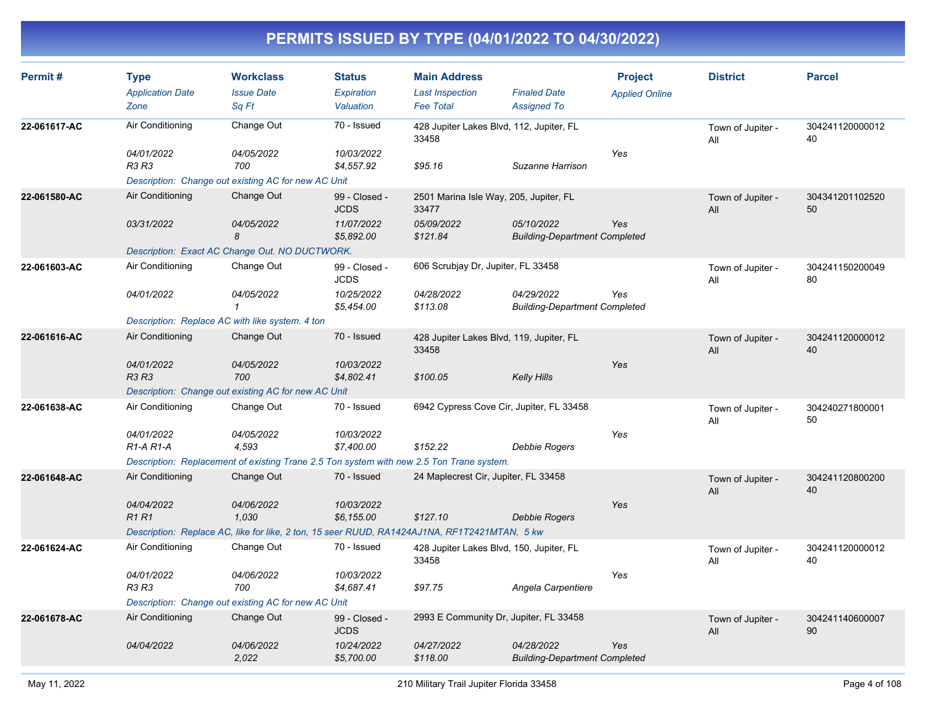| Permit#      | <b>Type</b><br><b>Application Date</b><br>Zone | <b>Workclass</b><br><b>Issue Date</b><br>Sq Ft                                               | <b>Status</b><br><b>Expiration</b><br>Valuation | <b>Main Address</b><br><b>Last Inspection</b><br><b>Fee Total</b> | <b>Finaled Date</b><br><b>Assigned To</b>          | <b>Project</b><br><b>Applied Online</b> | <b>District</b>          | <b>Parcel</b>         |
|--------------|------------------------------------------------|----------------------------------------------------------------------------------------------|-------------------------------------------------|-------------------------------------------------------------------|----------------------------------------------------|-----------------------------------------|--------------------------|-----------------------|
| 22-061617-AC | Air Conditioning                               | Change Out                                                                                   | 70 - Issued                                     | 428 Jupiter Lakes Blvd, 112, Jupiter, FL<br>33458                 |                                                    |                                         | Town of Jupiter -<br>All | 304241120000012<br>40 |
|              | 04/01/2022<br>R3 R3                            | 04/05/2022<br>700<br>Description: Change out existing AC for new AC Unit                     | 10/03/2022<br>\$4,557.92                        | \$95.16                                                           | Suzanne Harrison                                   | Yes                                     |                          |                       |
| 22-061580-AC | Air Conditioning                               | Change Out                                                                                   | 99 - Closed -<br><b>JCDS</b>                    | 2501 Marina Isle Way, 205, Jupiter, FL<br>33477                   |                                                    |                                         | Town of Jupiter -<br>All | 304341201102520<br>50 |
|              | 03/31/2022                                     | 04/05/2022<br>8                                                                              | 11/07/2022<br>\$5,892.00                        | 05/09/2022<br>\$121.84                                            | 05/10/2022<br><b>Building-Department Completed</b> | Yes                                     |                          |                       |
|              |                                                | Description: Exact AC Change Out. NO DUCTWORK.                                               |                                                 |                                                                   |                                                    |                                         |                          |                       |
| 22-061603-AC | Air Conditioning                               | Change Out                                                                                   | 99 - Closed -<br><b>JCDS</b>                    | 606 Scrubjay Dr, Jupiter, FL 33458                                |                                                    |                                         | Town of Jupiter -<br>All | 304241150200049<br>80 |
|              | 04/01/2022                                     | 04/05/2022<br>$\mathbf{1}$                                                                   | 10/25/2022<br>\$5,454.00                        | 04/28/2022<br>\$113.08                                            | 04/29/2022<br><b>Building-Department Completed</b> | Yes                                     |                          |                       |
|              |                                                | Description: Replace AC with like system. 4 ton                                              |                                                 |                                                                   |                                                    |                                         |                          |                       |
| 22-061616-AC | Air Conditioning                               | Change Out                                                                                   | 70 - Issued                                     | 428 Jupiter Lakes Blvd, 119, Jupiter, FL<br>33458                 |                                                    |                                         | Town of Jupiter -<br>All | 304241120000012<br>40 |
|              | 04/01/2022<br>R3 R3                            | 04/05/2022<br>700                                                                            | 10/03/2022<br>\$4,802.41                        | \$100.05                                                          | <b>Kelly Hills</b>                                 | Yes                                     |                          |                       |
|              |                                                | Description: Change out existing AC for new AC Unit                                          |                                                 |                                                                   |                                                    |                                         |                          |                       |
| 22-061638-AC | Air Conditioning                               | Change Out                                                                                   | 70 - Issued                                     | 6942 Cypress Cove Cir, Jupiter, FL 33458                          |                                                    |                                         | Town of Jupiter -<br>All | 304240271800001<br>50 |
|              | 04/01/2022<br>$R1-A R1-A$                      | 04/05/2022<br>4.593                                                                          | 10/03/2022<br>\$7,400.00                        | \$152.22                                                          | Debbie Rogers                                      | Yes                                     |                          |                       |
|              |                                                | Description: Replacement of existing Trane 2.5 Ton system with new 2.5 Ton Trane system.     |                                                 |                                                                   |                                                    |                                         |                          |                       |
| 22-061648-AC | Air Conditioning                               | Change Out                                                                                   | 70 - Issued                                     | 24 Maplecrest Cir, Jupiter, FL 33458                              |                                                    |                                         | Town of Jupiter -<br>All | 304241120800200<br>40 |
|              | 04/04/2022<br><b>R1R1</b>                      | 04/06/2022<br>1.030                                                                          | 10/03/2022<br>\$6,155.00                        | \$127.10                                                          | Debbie Rogers                                      | Yes                                     |                          |                       |
|              |                                                | Description: Replace AC, like for like, 2 ton, 15 seer RUUD, RA1424AJ1NA, RF1T2421MTAN, 5 kw |                                                 |                                                                   |                                                    |                                         |                          |                       |
| 22-061624-AC | Air Conditioning                               | Change Out                                                                                   | 70 - Issued                                     | 428 Jupiter Lakes Blvd, 150, Jupiter, FL<br>33458                 |                                                    |                                         | Town of Jupiter -<br>All | 304241120000012<br>40 |
|              | 04/01/2022<br><b>R3 R3</b>                     | 04/06/2022<br>700                                                                            | 10/03/2022<br>\$4,687.41                        | \$97.75                                                           | Angela Carpentiere                                 | Yes                                     |                          |                       |
|              |                                                | Description: Change out existing AC for new AC Unit                                          |                                                 |                                                                   |                                                    |                                         |                          |                       |
| 22-061678-AC | Air Conditioning                               | Change Out                                                                                   | 99 - Closed -<br><b>JCDS</b>                    | 2993 E Community Dr, Jupiter, FL 33458                            |                                                    |                                         | Town of Jupiter -<br>All | 304241140600007<br>90 |
|              | 04/04/2022                                     | 04/06/2022<br>2,022                                                                          | 10/24/2022<br>\$5,700.00                        | 04/27/2022<br>\$118.00                                            | 04/28/2022<br><b>Building-Department Completed</b> | Yes                                     |                          |                       |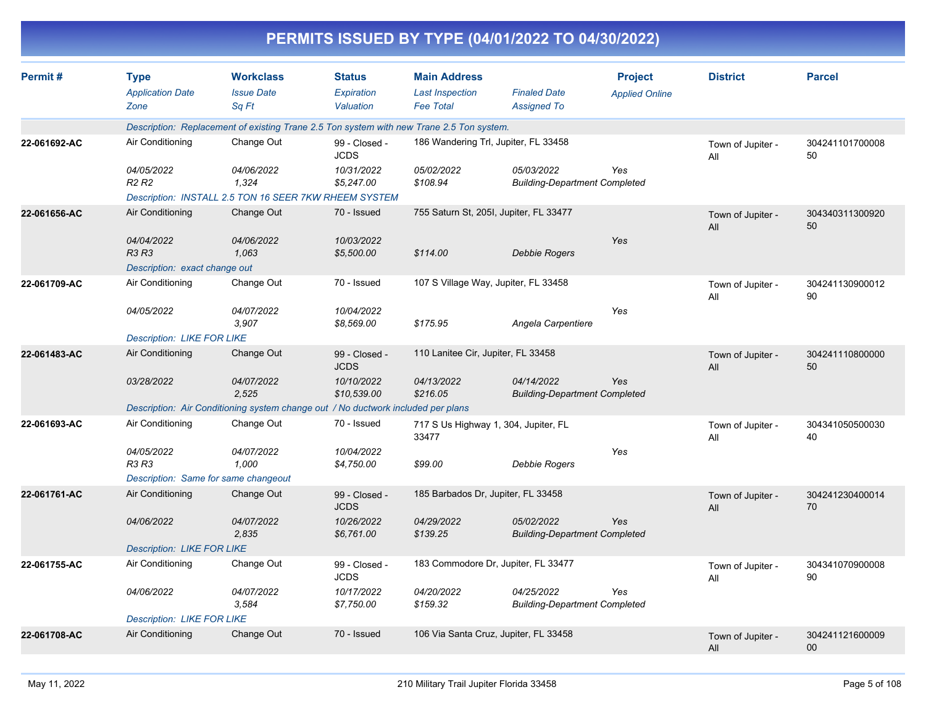|              |                                                      |                                                                                          |                                          |                                                                   | PERMITS ISSUED BY TYPE (04/01/2022 TO 04/30/2022)  |                                         |                          |                       |
|--------------|------------------------------------------------------|------------------------------------------------------------------------------------------|------------------------------------------|-------------------------------------------------------------------|----------------------------------------------------|-----------------------------------------|--------------------------|-----------------------|
| Permit#      | <b>Type</b><br><b>Application Date</b><br>Zone       | <b>Workclass</b><br><b>Issue Date</b><br>Sq Ft                                           | <b>Status</b><br>Expiration<br>Valuation | <b>Main Address</b><br><b>Last Inspection</b><br><b>Fee Total</b> | <b>Finaled Date</b><br><b>Assigned To</b>          | <b>Project</b><br><b>Applied Online</b> | <b>District</b>          | <b>Parcel</b>         |
|              |                                                      | Description: Replacement of existing Trane 2.5 Ton system with new Trane 2.5 Ton system. |                                          |                                                                   |                                                    |                                         |                          |                       |
| 22-061692-AC | Air Conditioning                                     | Change Out                                                                               | 99 - Closed -<br><b>JCDS</b>             |                                                                   | 186 Wandering Trl, Jupiter, FL 33458               |                                         | Town of Jupiter -<br>All | 304241101700008<br>50 |
|              | 04/05/2022<br>R <sub>2</sub> R <sub>2</sub>          | 04/06/2022<br>1,324                                                                      | 10/31/2022<br>\$5,247.00                 | <i>05/02/2022</i><br>\$108.94                                     | 05/03/2022<br><b>Building-Department Completed</b> | Yes                                     |                          |                       |
|              |                                                      | Description: INSTALL 2.5 TON 16 SEER 7KW RHEEM SYSTEM                                    |                                          |                                                                   |                                                    |                                         |                          |                       |
| 22-061656-AC | Air Conditioning                                     | Change Out                                                                               | 70 - Issued                              |                                                                   | 755 Saturn St, 205I, Jupiter, FL 33477             |                                         | Town of Jupiter -<br>All | 304340311300920<br>50 |
|              | 04/04/2022<br>R3 R3<br>Description: exact change out | 04/06/2022<br>1,063                                                                      | 10/03/2022<br>\$5,500.00                 | \$114.00                                                          | <b>Debbie Rogers</b>                               | Yes                                     |                          |                       |
| 22-061709-AC | Air Conditioning                                     | Change Out                                                                               | 70 - Issued                              |                                                                   | 107 S Village Way, Jupiter, FL 33458               |                                         | Town of Jupiter -<br>All | 304241130900012<br>90 |
|              | 04/05/2022                                           | <i><b>04/07/2022</b></i><br>3,907                                                        | 10/04/2022<br>\$8,569.00                 | \$175.95                                                          | Angela Carpentiere                                 | Yes                                     |                          |                       |
|              | <b>Description: LIKE FOR LIKE</b>                    |                                                                                          |                                          |                                                                   |                                                    |                                         |                          |                       |
| 22-061483-AC | Air Conditioning                                     | Change Out                                                                               | 99 - Closed -<br><b>JCDS</b>             | 110 Lanitee Cir, Jupiter, FL 33458                                |                                                    |                                         | Town of Jupiter -<br>All | 304241110800000<br>50 |
|              | 03/28/2022                                           | 04/07/2022<br>2,525                                                                      | 10/10/2022<br>\$10,539.00                | 04/13/2022<br>\$216.05                                            | 04/14/2022<br><b>Building-Department Completed</b> | Yes                                     |                          |                       |
|              |                                                      | Description: Air Conditioning system change out / No ductwork included per plans         |                                          |                                                                   |                                                    |                                         |                          |                       |
| 22-061693-AC | Air Conditioning                                     | Change Out                                                                               | 70 - Issued                              | 33477                                                             | 717 S Us Highway 1, 304, Jupiter, FL               |                                         | Town of Jupiter -<br>All | 304341050500030<br>40 |
|              | 04/05/2022<br><b>R3 R3</b>                           | 04/07/2022<br>1,000                                                                      | 10/04/2022<br>\$4,750.00                 | \$99.00                                                           | <b>Debbie Rogers</b>                               | Yes                                     |                          |                       |
|              | Description: Same for same changeout                 |                                                                                          |                                          |                                                                   |                                                    |                                         |                          |                       |
| 22-061761-AC | Air Conditioning                                     | Change Out                                                                               | 99 - Closed -<br><b>JCDS</b>             | 185 Barbados Dr, Jupiter, FL 33458                                |                                                    |                                         | Town of Jupiter -<br>All | 304241230400014<br>70 |
|              | 04/06/2022                                           | <i>04/07/2022</i><br>2,835                                                               | 10/26/2022<br>\$6,761.00                 | 04/29/2022<br>\$139.25                                            | 05/02/2022<br><b>Building-Department Completed</b> | Yes                                     |                          |                       |
|              | <b>Description: LIKE FOR LIKE</b>                    |                                                                                          |                                          |                                                                   |                                                    |                                         |                          |                       |
| 22-061755-AC | Air Conditioning                                     | Change Out                                                                               | 99 - Closed -<br><b>JCDS</b>             |                                                                   | 183 Commodore Dr, Jupiter, FL 33477                |                                         | Town of Jupiter -<br>All | 304341070900008<br>90 |
|              | 04/06/2022                                           | 04/07/2022<br>3,584                                                                      | 10/17/2022<br>\$7,750.00                 | 04/20/2022<br>\$159.32                                            | 04/25/2022<br><b>Building-Department Completed</b> | Yes                                     |                          |                       |
|              | <b>Description: LIKE FOR LIKE</b>                    |                                                                                          |                                          |                                                                   |                                                    |                                         |                          |                       |
| 22-061708-AC | Air Conditioning                                     | Change Out                                                                               | 70 - Issued                              |                                                                   | 106 Via Santa Cruz, Jupiter, FL 33458              |                                         | Town of Jupiter -<br>All | 304241121600009<br>00 |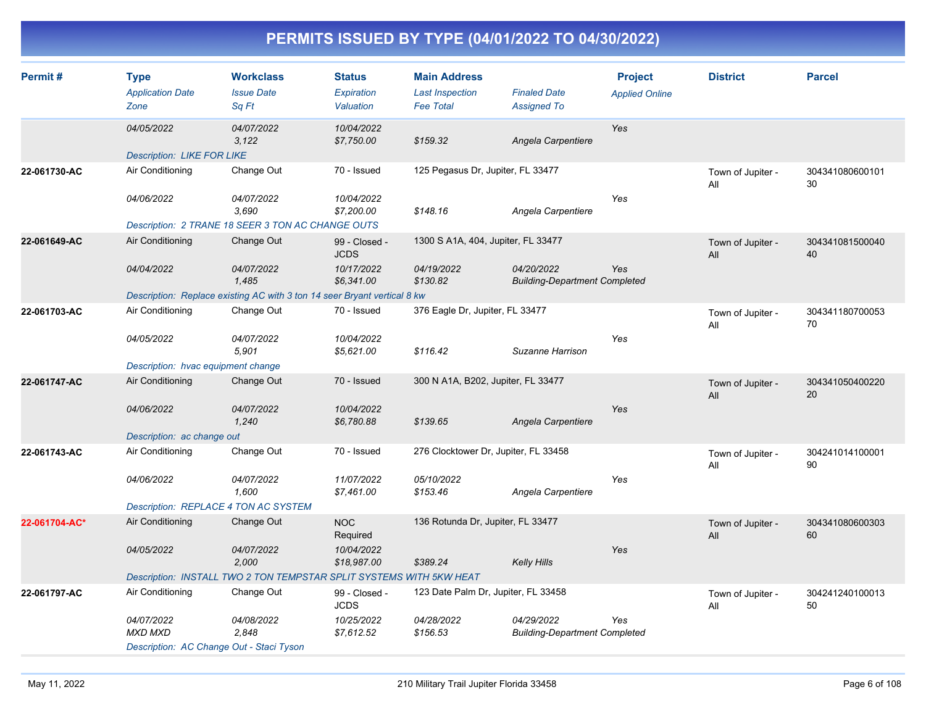| Permit#       | <b>Type</b><br><b>Application Date</b><br>Zone        | <b>Workclass</b><br><b>Issue Date</b><br>Sq Ft                           | <b>Status</b><br>Expiration<br>Valuation | <b>Main Address</b><br><b>Last Inspection</b><br><b>Fee Total</b> | <b>Finaled Date</b><br><b>Assigned To</b>          | <b>Project</b><br><b>Applied Online</b> | <b>District</b>          | <b>Parcel</b>         |
|---------------|-------------------------------------------------------|--------------------------------------------------------------------------|------------------------------------------|-------------------------------------------------------------------|----------------------------------------------------|-----------------------------------------|--------------------------|-----------------------|
|               | 04/05/2022                                            | 04/07/2022<br>3,122                                                      | 10/04/2022<br>\$7,750.00                 | \$159.32                                                          | Angela Carpentiere                                 | Yes                                     |                          |                       |
| 22-061730-AC  | <b>Description: LIKE FOR LIKE</b><br>Air Conditioning | Change Out                                                               | 70 - Issued                              | 125 Pegasus Dr, Jupiter, FL 33477                                 |                                                    |                                         | Town of Jupiter -<br>All | 304341080600101<br>30 |
|               | 04/06/2022                                            | 04/07/2022<br>3,690<br>Description: 2 TRANE 18 SEER 3 TON AC CHANGE OUTS | 10/04/2022<br>\$7,200.00                 | \$148.16                                                          | Angela Carpentiere                                 | Yes                                     |                          |                       |
| 22-061649-AC  | Air Conditioning                                      | Change Out                                                               | 99 - Closed -                            | 1300 S A1A, 404, Jupiter, FL 33477                                |                                                    |                                         | Town of Jupiter -        | 304341081500040       |
|               |                                                       |                                                                          | <b>JCDS</b>                              |                                                                   |                                                    |                                         | All                      | 40                    |
|               | 04/04/2022                                            | 04/07/2022<br>1.485                                                      | 10/17/2022<br>\$6,341.00                 | 04/19/2022<br>\$130.82                                            | 04/20/2022<br><b>Building-Department Completed</b> | Yes                                     |                          |                       |
|               |                                                       | Description: Replace existing AC with 3 ton 14 seer Bryant vertical 8 kw |                                          |                                                                   |                                                    |                                         |                          |                       |
| 22-061703-AC  | Air Conditioning                                      | Change Out                                                               | 70 - Issued                              | 376 Eagle Dr, Jupiter, FL 33477                                   |                                                    |                                         | Town of Jupiter -<br>All | 304341180700053<br>70 |
|               | 04/05/2022                                            | 04/07/2022<br>5,901                                                      | 10/04/2022<br>\$5,621.00                 | \$116.42                                                          | Suzanne Harrison                                   | Yes                                     |                          |                       |
|               | Description: hvac equipment change                    |                                                                          |                                          |                                                                   |                                                    |                                         |                          |                       |
| 22-061747-AC  | Air Conditioning                                      | Change Out                                                               | 70 - Issued                              | 300 N A1A, B202, Jupiter, FL 33477                                |                                                    |                                         | Town of Jupiter -<br>All | 304341050400220<br>20 |
|               | 04/06/2022                                            | 04/07/2022<br>1,240                                                      | 10/04/2022<br>\$6,780.88                 | \$139.65                                                          | Angela Carpentiere                                 | Yes                                     |                          |                       |
| 22-061743-AC  | Description: ac change out<br>Air Conditioning        | Change Out                                                               | 70 - Issued                              | 276 Clocktower Dr, Jupiter, FL 33458                              |                                                    |                                         |                          |                       |
|               |                                                       |                                                                          |                                          |                                                                   |                                                    |                                         | Town of Jupiter -<br>All | 304241014100001<br>90 |
|               | 04/06/2022                                            | 04/07/2022<br>1,600                                                      | 11/07/2022<br>\$7,461.00                 | 05/10/2022<br>\$153.46                                            | Angela Carpentiere                                 | Yes                                     |                          |                       |
|               |                                                       | Description: REPLACE 4 TON AC SYSTEM                                     |                                          |                                                                   |                                                    |                                         |                          |                       |
| 22-061704-AC* | Air Conditioning                                      | Change Out                                                               | <b>NOC</b><br>Required                   | 136 Rotunda Dr, Jupiter, FL 33477                                 |                                                    |                                         | Town of Jupiter -<br>All | 304341080600303<br>60 |
|               | 04/05/2022                                            | 04/07/2022<br>2,000                                                      | 10/04/2022<br>\$18,987.00                | \$389.24                                                          | <b>Kelly Hills</b>                                 | Yes                                     |                          |                       |
|               |                                                       | Description: INSTALL TWO 2 TON TEMPSTAR SPLIT SYSTEMS WITH 5KW HEAT      |                                          |                                                                   |                                                    |                                         |                          |                       |
| 22-061797-AC  | Air Conditioning                                      | Change Out                                                               | 99 - Closed -<br><b>JCDS</b>             | 123 Date Palm Dr, Jupiter, FL 33458                               |                                                    |                                         | Town of Jupiter -<br>All | 304241240100013<br>50 |
|               | 04/07/2022<br><b>MXD MXD</b>                          | 04/08/2022<br>2,848                                                      | 10/25/2022<br>\$7,612.52                 | 04/28/2022<br>\$156.53                                            | 04/29/2022<br><b>Building-Department Completed</b> | Yes                                     |                          |                       |
|               |                                                       | Description: AC Change Out - Staci Tyson                                 |                                          |                                                                   |                                                    |                                         |                          |                       |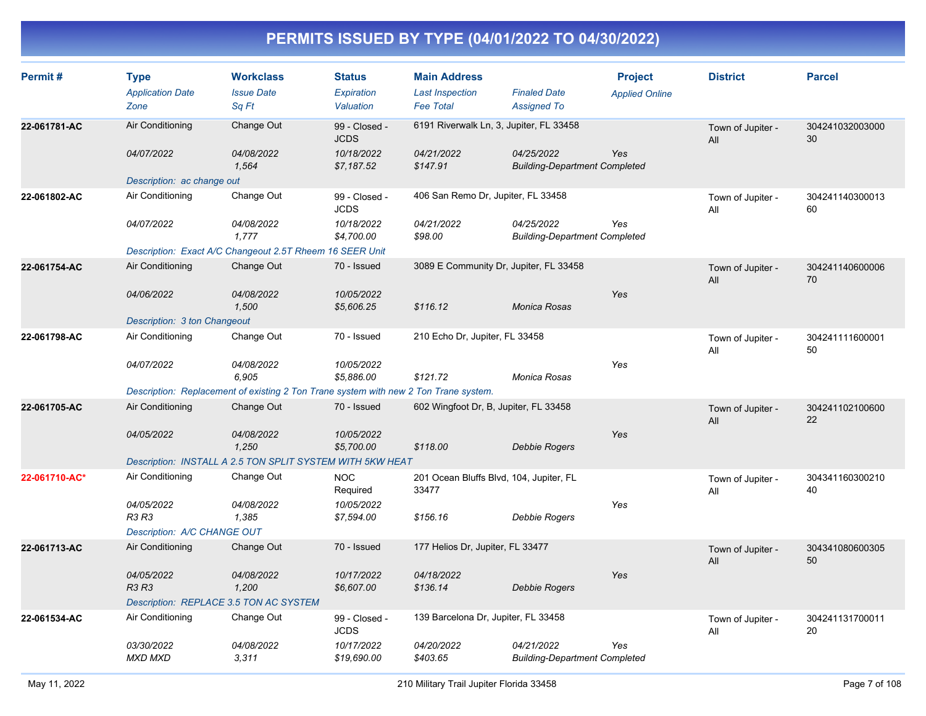| Permit#       | <b>Type</b><br><b>Application Date</b> | <b>Workclass</b><br><b>Issue Date</b>                                                | <b>Status</b><br><b>Expiration</b> | <b>Main Address</b><br><b>Last Inspection</b>    | <b>Finaled Date</b>                                | <b>Project</b><br><b>Applied Online</b> | <b>District</b>          | <b>Parcel</b>         |
|---------------|----------------------------------------|--------------------------------------------------------------------------------------|------------------------------------|--------------------------------------------------|----------------------------------------------------|-----------------------------------------|--------------------------|-----------------------|
|               | Zone                                   | Sq Ft                                                                                | Valuation                          | <b>Fee Total</b>                                 | <b>Assigned To</b>                                 |                                         |                          |                       |
| 22-061781-AC  | Air Conditioning                       | Change Out                                                                           | 99 - Closed -<br><b>JCDS</b>       | 6191 Riverwalk Ln, 3, Jupiter, FL 33458          |                                                    |                                         | Town of Jupiter -<br>All | 304241032003000<br>30 |
|               | 04/07/2022                             | 04/08/2022<br>1,564                                                                  | 10/18/2022<br>\$7,187.52           | 04/21/2022<br>\$147.91                           | 04/25/2022<br><b>Building-Department Completed</b> | Yes                                     |                          |                       |
|               | Description: ac change out             |                                                                                      |                                    |                                                  |                                                    |                                         |                          |                       |
| 22-061802-AC  | Air Conditioning                       | Change Out                                                                           | 99 - Closed -<br><b>JCDS</b>       | 406 San Remo Dr, Jupiter, FL 33458               |                                                    |                                         | Town of Jupiter -<br>All | 304241140300013<br>60 |
|               | 04/07/2022                             | 04/08/2022<br>1,777                                                                  | 10/18/2022<br>\$4,700.00           | 04/21/2022<br>\$98.00                            | 04/25/2022<br><b>Building-Department Completed</b> | Yes                                     |                          |                       |
|               |                                        | Description: Exact A/C Changeout 2.5T Rheem 16 SEER Unit                             |                                    |                                                  |                                                    |                                         |                          |                       |
| 22-061754-AC  | Air Conditioning                       | Change Out                                                                           | 70 - Issued                        | 3089 E Community Dr, Jupiter, FL 33458           |                                                    |                                         | Town of Jupiter -<br>All | 304241140600006<br>70 |
|               | 04/06/2022                             | 04/08/2022<br>1,500                                                                  | 10/05/2022<br>\$5,606.25           | \$116.12                                         | <b>Monica Rosas</b>                                | Yes                                     |                          |                       |
|               | Description: 3 ton Changeout           |                                                                                      |                                    |                                                  |                                                    |                                         |                          |                       |
| 22-061798-AC  | Air Conditioning                       | Change Out                                                                           | 70 - Issued                        | 210 Echo Dr, Jupiter, FL 33458                   |                                                    |                                         | Town of Jupiter -<br>All | 304241111600001<br>50 |
|               | 04/07/2022                             | 04/08/2022<br>6,905                                                                  | 10/05/2022<br>\$5,886.00           | \$121.72                                         | Monica Rosas                                       | Yes                                     |                          |                       |
|               |                                        | Description: Replacement of existing 2 Ton Trane system with new 2 Ton Trane system. |                                    |                                                  |                                                    |                                         |                          |                       |
| 22-061705-AC  | Air Conditioning                       | Change Out                                                                           | 70 - Issued                        | 602 Wingfoot Dr, B, Jupiter, FL 33458            |                                                    |                                         | Town of Jupiter -<br>All | 304241102100600<br>22 |
|               | 04/05/2022                             | 04/08/2022<br>1,250                                                                  | 10/05/2022<br>\$5,700.00           | \$118.00                                         | <b>Debbie Rogers</b>                               | Yes                                     |                          |                       |
|               |                                        | Description: INSTALL A 2.5 TON SPLIT SYSTEM WITH 5KW HEAT                            |                                    |                                                  |                                                    |                                         |                          |                       |
| 22-061710-AC* | Air Conditioning                       | Change Out                                                                           | <b>NOC</b><br>Required             | 201 Ocean Bluffs Blvd, 104, Jupiter, FL<br>33477 |                                                    |                                         | Town of Jupiter -<br>All | 304341160300210<br>40 |
|               | 04/05/2022<br><b>R3 R3</b>             | 04/08/2022<br>1,385                                                                  | 10/05/2022<br>\$7,594.00           | \$156.16                                         | <b>Debbie Rogers</b>                               | Yes                                     |                          |                       |
|               | Description: A/C CHANGE OUT            |                                                                                      |                                    |                                                  |                                                    |                                         |                          |                       |
| 22-061713-AC  | Air Conditioning                       | Change Out                                                                           | 70 - Issued                        | 177 Helios Dr, Jupiter, FL 33477                 |                                                    |                                         | Town of Jupiter -<br>All | 304341080600305<br>50 |
|               | 04/05/2022<br>R3 R3                    | 04/08/2022<br>1,200                                                                  | 10/17/2022<br>\$6,607.00           | 04/18/2022<br>\$136.14                           | Debbie Rogers                                      | Yes                                     |                          |                       |
|               |                                        | Description: REPLACE 3.5 TON AC SYSTEM                                               |                                    |                                                  |                                                    |                                         |                          |                       |
| 22-061534-AC  | Air Conditioning                       | Change Out                                                                           | 99 - Closed -<br><b>JCDS</b>       | 139 Barcelona Dr, Jupiter, FL 33458              |                                                    |                                         | Town of Jupiter -<br>All | 304241131700011<br>20 |
|               | 03/30/2022<br><b>MXD MXD</b>           | <i>04/08/2022</i><br>3.311                                                           | 10/17/2022<br>\$19,690.00          | 04/20/2022<br>\$403.65                           | 04/21/2022<br><b>Building-Department Completed</b> | Yes                                     |                          |                       |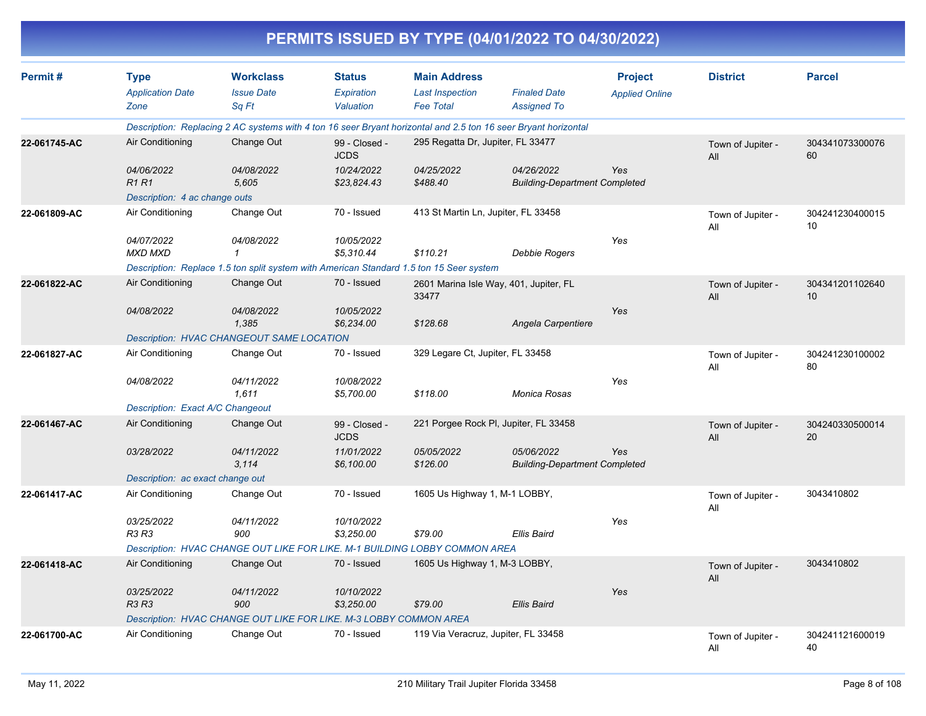|              |                                                |                                                                                         |                                          |                                                                   | PERMITS ISSUED BY TYPE (04/01/2022 TO 04/30/2022)                                                              |                                         |                          |                       |
|--------------|------------------------------------------------|-----------------------------------------------------------------------------------------|------------------------------------------|-------------------------------------------------------------------|----------------------------------------------------------------------------------------------------------------|-----------------------------------------|--------------------------|-----------------------|
| Permit#      | <b>Type</b><br><b>Application Date</b><br>Zone | <b>Workclass</b><br><b>Issue Date</b><br>Sq Ft                                          | <b>Status</b><br>Expiration<br>Valuation | <b>Main Address</b><br><b>Last Inspection</b><br><b>Fee Total</b> | <b>Finaled Date</b><br><b>Assigned To</b>                                                                      | <b>Project</b><br><b>Applied Online</b> | <b>District</b>          | <b>Parcel</b>         |
|              |                                                |                                                                                         |                                          |                                                                   | Description: Replacing 2 AC systems with 4 ton 16 seer Bryant horizontal and 2.5 ton 16 seer Bryant horizontal |                                         |                          |                       |
| 22-061745-AC | Air Conditioning                               | Change Out                                                                              | 99 - Closed -<br><b>JCDS</b>             | 295 Regatta Dr, Jupiter, FL 33477                                 |                                                                                                                |                                         | Town of Jupiter -<br>All | 304341073300076<br>60 |
|              | 04/06/2022<br><b>R1R1</b>                      | 04/08/2022<br>5,605                                                                     | 10/24/2022<br>\$23,824.43                | 04/25/2022<br>\$488.40                                            | 04/26/2022<br><b>Building-Department Completed</b>                                                             |                                         |                          |                       |
|              | Description: 4 ac change outs                  |                                                                                         |                                          |                                                                   |                                                                                                                |                                         |                          |                       |
| 22-061809-AC | Air Conditioning                               | Change Out                                                                              | 70 - Issued                              | 413 St Martin Ln, Jupiter, FL 33458                               |                                                                                                                |                                         | Town of Jupiter -<br>All | 304241230400015<br>10 |
|              | 04/07/2022<br><b>MXD MXD</b>                   | 04/08/2022                                                                              | 10/05/2022<br>\$5,310.44                 | \$110.21                                                          | Debbie Rogers                                                                                                  | Yes                                     |                          |                       |
|              |                                                | Description: Replace 1.5 ton split system with American Standard 1.5 ton 15 Seer system |                                          |                                                                   |                                                                                                                |                                         |                          |                       |
| 22-061822-AC | Air Conditioning                               | Change Out                                                                              | 70 - Issued                              | 33477                                                             | 2601 Marina Isle Way, 401, Jupiter, FL                                                                         |                                         | Town of Jupiter -<br>All | 304341201102640<br>10 |
|              | 04/08/2022                                     | 04/08/2022<br>1,385                                                                     | 10/05/2022<br>\$6,234.00                 | \$128.68                                                          | Angela Carpentiere                                                                                             | Yes                                     |                          |                       |
|              |                                                | Description: HVAC CHANGEOUT SAME LOCATION                                               |                                          |                                                                   |                                                                                                                |                                         |                          |                       |
| 22-061827-AC | Air Conditioning                               | Change Out                                                                              | 70 - Issued                              | 329 Legare Ct, Jupiter, FL 33458                                  |                                                                                                                |                                         | Town of Jupiter -<br>All | 304241230100002<br>80 |
|              | 04/08/2022                                     | 04/11/2022<br>1,611                                                                     | 10/08/2022<br>\$5,700.00                 | \$118.00                                                          | Monica Rosas                                                                                                   | Yes                                     |                          |                       |
|              | Description: Exact A/C Changeout               |                                                                                         |                                          |                                                                   |                                                                                                                |                                         |                          |                       |
| 22-061467-AC | Air Conditioning                               | Change Out                                                                              | 99 - Closed -<br><b>JCDS</b>             |                                                                   | 221 Porgee Rock PI, Jupiter, FL 33458                                                                          |                                         | Town of Jupiter -<br>All | 304240330500014<br>20 |
|              | 03/28/2022                                     | 04/11/2022<br>3.114                                                                     | 11/01/2022<br>\$6,100.00                 | 05/05/2022<br>\$126.00                                            | 05/06/2022<br><b>Building-Department Completed</b>                                                             | Yes                                     |                          |                       |
|              | Description: ac exact change out               |                                                                                         |                                          |                                                                   |                                                                                                                |                                         |                          |                       |
| 22-061417-AC | Air Conditioning                               | Change Out                                                                              | 70 - Issued                              | 1605 Us Highway 1, M-1 LOBBY,                                     |                                                                                                                |                                         | Town of Jupiter -<br>All | 3043410802            |
|              | 03/25/2022<br>R3 R3                            | 04/11/2022<br>900                                                                       | 10/10/2022<br>\$3,250.00                 | \$79.00                                                           | <b>Ellis Baird</b>                                                                                             | Yes                                     |                          |                       |
|              |                                                | Description: HVAC CHANGE OUT LIKE FOR LIKE. M-1 BUILDING LOBBY COMMON AREA              |                                          |                                                                   |                                                                                                                |                                         |                          |                       |
| 22-061418-AC | Air Conditioning                               | Change Out                                                                              | 70 - Issued                              | 1605 Us Highway 1, M-3 LOBBY,                                     |                                                                                                                |                                         | Town of Jupiter -<br>All | 3043410802            |
|              | 03/25/2022<br>R3 R3                            | 04/11/2022<br>900                                                                       | 10/10/2022<br>\$3,250.00                 | \$79.00                                                           | Ellis Baird                                                                                                    | Yes                                     |                          |                       |
|              |                                                | Description: HVAC CHANGE OUT LIKE FOR LIKE. M-3 LOBBY COMMON AREA                       |                                          |                                                                   |                                                                                                                |                                         |                          |                       |
| 22-061700-AC | Air Conditioning                               | Change Out                                                                              | 70 - Issued                              | 119 Via Veracruz, Jupiter, FL 33458                               |                                                                                                                |                                         | Town of Jupiter -<br>All | 304241121600019<br>40 |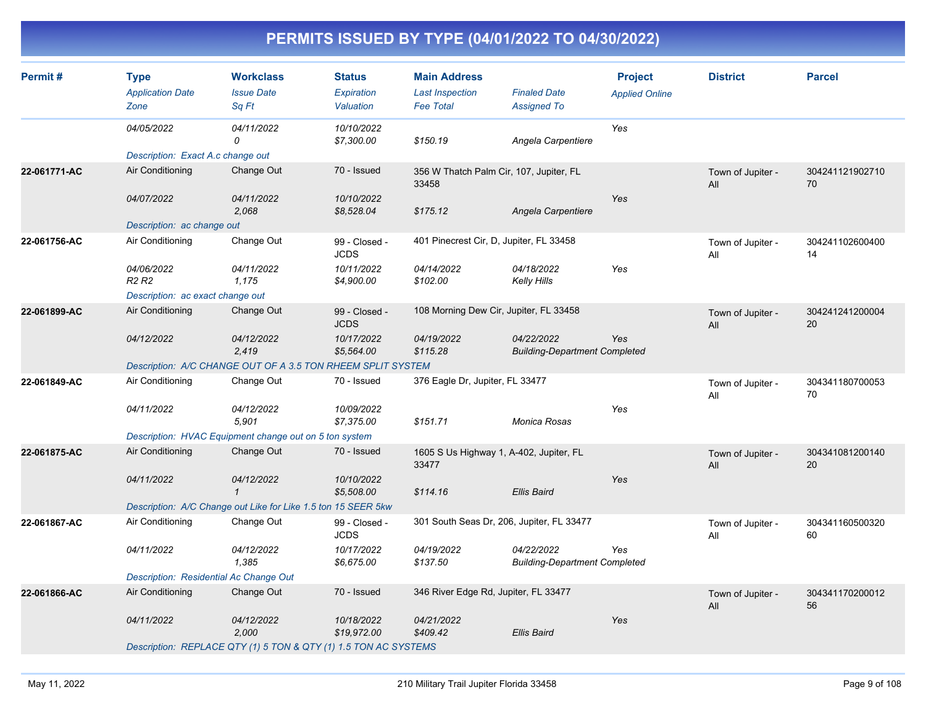| Permit#      | <b>Type</b><br><b>Application Date</b><br>Zone | <b>Workclass</b><br><b>Issue Date</b><br>Sq Ft                  | <b>Status</b><br>Expiration<br>Valuation | <b>Main Address</b><br><b>Last Inspection</b><br><b>Fee Total</b> | <b>Finaled Date</b><br><b>Assigned To</b>          | <b>Project</b><br><b>Applied Online</b> | <b>District</b>          | <b>Parcel</b>         |
|--------------|------------------------------------------------|-----------------------------------------------------------------|------------------------------------------|-------------------------------------------------------------------|----------------------------------------------------|-----------------------------------------|--------------------------|-----------------------|
|              | 04/05/2022                                     | 04/11/2022<br>0                                                 | 10/10/2022<br>\$7,300.00                 | \$150.19                                                          | Angela Carpentiere                                 | Yes                                     |                          |                       |
|              | Description: Exact A.c change out              |                                                                 |                                          |                                                                   |                                                    |                                         |                          |                       |
| 22-061771-AC | Air Conditioning                               | Change Out                                                      | 70 - Issued                              | 356 W Thatch Palm Cir, 107, Jupiter, FL<br>33458                  |                                                    |                                         | Town of Jupiter -<br>All | 304241121902710<br>70 |
|              | 04/07/2022                                     | 04/11/2022<br>2,068                                             | 10/10/2022<br>\$8,528.04                 | \$175.12                                                          | Angela Carpentiere                                 | Yes                                     |                          |                       |
|              | Description: ac change out                     |                                                                 |                                          |                                                                   |                                                    |                                         |                          |                       |
| 22-061756-AC | Air Conditioning                               | Change Out                                                      | 99 - Closed -<br><b>JCDS</b>             | 401 Pinecrest Cir, D, Jupiter, FL 33458                           |                                                    |                                         | Town of Jupiter -<br>All | 304241102600400<br>14 |
|              | 04/06/2022<br>R <sub>2</sub> R <sub>2</sub>    | 04/11/2022<br>1,175                                             | 10/11/2022<br>\$4,900.00                 | 04/14/2022<br>\$102.00                                            | 04/18/2022<br>Kelly Hills                          | Yes                                     |                          |                       |
|              | Description: ac exact change out               |                                                                 |                                          |                                                                   |                                                    |                                         |                          |                       |
| 22-061899-AC | Air Conditioning                               | Change Out                                                      | 99 - Closed -<br><b>JCDS</b>             | 108 Morning Dew Cir, Jupiter, FL 33458                            |                                                    |                                         | Town of Jupiter -<br>All | 304241241200004<br>20 |
|              | 04/12/2022                                     | 04/12/2022<br>2,419                                             | 10/17/2022<br>\$5,564.00                 | 04/19/2022<br>\$115.28                                            | 04/22/2022<br><b>Building-Department Completed</b> | Yes                                     |                          |                       |
|              |                                                | Description: A/C CHANGE OUT OF A 3.5 TON RHEEM SPLIT SYSTEM     |                                          |                                                                   |                                                    |                                         |                          |                       |
| 22-061849-AC | Air Conditioning                               | Change Out                                                      | 70 - Issued                              | 376 Eagle Dr, Jupiter, FL 33477                                   |                                                    |                                         | Town of Jupiter -<br>All | 304341180700053<br>70 |
|              | 04/11/2022                                     | 04/12/2022<br>5.901                                             | 10/09/2022<br>\$7,375.00                 | \$151.71                                                          | Monica Rosas                                       | Yes                                     |                          |                       |
|              |                                                | Description: HVAC Equipment change out on 5 ton system          |                                          |                                                                   |                                                    |                                         |                          |                       |
| 22-061875-AC | Air Conditioning                               | Change Out                                                      | 70 - Issued                              | 33477                                                             | 1605 S Us Highway 1, A-402, Jupiter, FL            |                                         | Town of Jupiter -<br>All | 304341081200140<br>20 |
|              | 04/11/2022                                     | 04/12/2022<br>$\mathbf{1}$                                      | 10/10/2022<br>\$5,508.00                 | \$114.16                                                          | <b>Ellis Baird</b>                                 | Yes                                     |                          |                       |
|              |                                                | Description: A/C Change out Like for Like 1.5 ton 15 SEER 5kw   |                                          |                                                                   |                                                    |                                         |                          |                       |
| 22-061867-AC | Air Conditioning                               | Change Out                                                      | 99 - Closed -<br><b>JCDS</b>             |                                                                   | 301 South Seas Dr, 206, Jupiter, FL 33477          |                                         | Town of Jupiter -<br>All | 304341160500320<br>60 |
|              | 04/11/2022                                     | 04/12/2022<br>1,385                                             | 10/17/2022<br>\$6,675.00                 | 04/19/2022<br>\$137.50                                            | 04/22/2022<br><b>Building-Department Completed</b> | Yes                                     |                          |                       |
|              | Description: Residential Ac Change Out         |                                                                 |                                          |                                                                   |                                                    |                                         |                          |                       |
| 22-061866-AC | Air Conditioning                               | Change Out                                                      | 70 - Issued                              | 346 River Edge Rd, Jupiter, FL 33477                              |                                                    |                                         | Town of Jupiter -<br>All | 304341170200012<br>56 |
|              | 04/11/2022                                     | 04/12/2022<br>2,000                                             | 10/18/2022<br>\$19,972.00                | 04/21/2022<br>\$409.42                                            | <b>Ellis Baird</b>                                 | Yes                                     |                          |                       |
|              |                                                | Description: REPLACE QTY (1) 5 TON & QTY (1) 1.5 TON AC SYSTEMS |                                          |                                                                   |                                                    |                                         |                          |                       |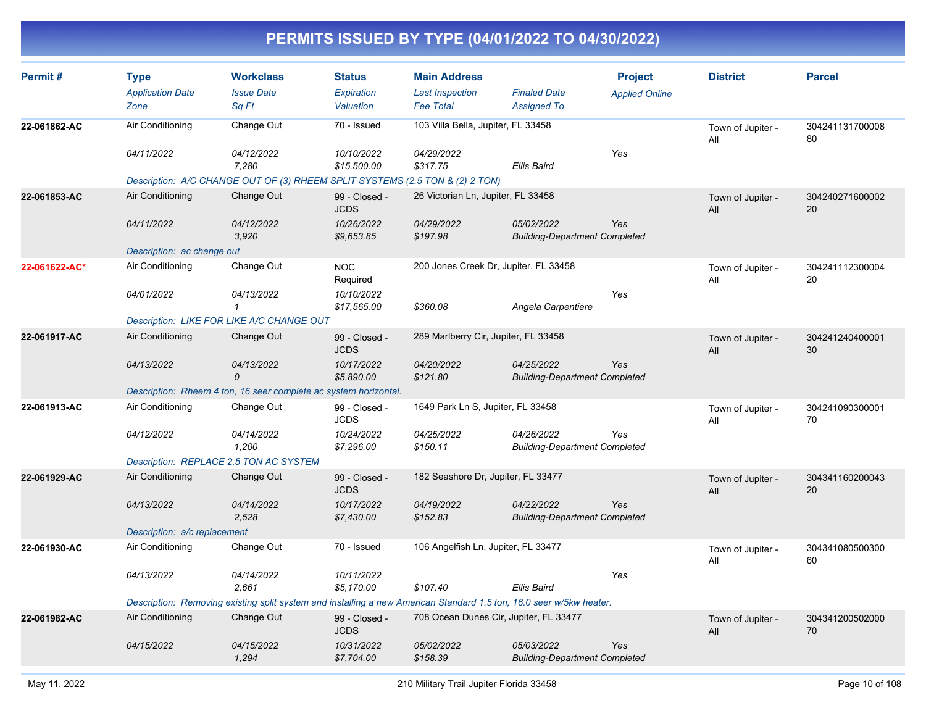| Permit#       | <b>Type</b><br><b>Application Date</b><br>Zone | <b>Workclass</b><br><b>Issue Date</b><br>Sq Ft                                                                      | <b>Status</b><br>Expiration<br>Valuation | <b>Main Address</b><br><b>Last Inspection</b><br><b>Fee Total</b> | <b>Finaled Date</b><br><b>Assigned To</b>          | <b>Project</b><br><b>Applied Online</b> | <b>District</b>          | <b>Parcel</b>         |
|---------------|------------------------------------------------|---------------------------------------------------------------------------------------------------------------------|------------------------------------------|-------------------------------------------------------------------|----------------------------------------------------|-----------------------------------------|--------------------------|-----------------------|
| 22-061862-AC  | Air Conditioning                               | Change Out                                                                                                          | 70 - Issued                              | 103 Villa Bella, Jupiter, FL 33458                                |                                                    |                                         | Town of Jupiter -<br>All | 304241131700008<br>80 |
|               | 04/11/2022                                     | 04/12/2022<br>7,280<br>Description: A/C CHANGE OUT OF (3) RHEEM SPLIT SYSTEMS (2.5 TON & (2) 2 TON)                 | 10/10/2022<br>\$15,500.00                | 04/29/2022<br>\$317.75                                            | <b>Ellis Baird</b>                                 | Yes                                     |                          |                       |
| 22-061853-AC  | Air Conditioning                               | Change Out                                                                                                          | 99 - Closed -<br><b>JCDS</b>             | 26 Victorian Ln, Jupiter, FL 33458                                |                                                    |                                         | Town of Jupiter -<br>All | 304240271600002<br>20 |
|               | 04/11/2022                                     | 04/12/2022<br>3,920                                                                                                 | 10/26/2022<br>\$9,653.85                 | 04/29/2022<br>\$197.98                                            | 05/02/2022<br><b>Building-Department Completed</b> | Yes                                     |                          |                       |
|               | Description: ac change out                     |                                                                                                                     |                                          |                                                                   |                                                    |                                         |                          |                       |
| 22-061622-AC* | Air Conditioning                               | Change Out                                                                                                          | <b>NOC</b><br>Required                   | 200 Jones Creek Dr, Jupiter, FL 33458                             |                                                    |                                         | Town of Jupiter -<br>All | 304241112300004<br>20 |
|               | 04/01/2022                                     | 04/13/2022<br>$\mathbf{1}$                                                                                          | 10/10/2022<br>\$17,565.00                | \$360.08                                                          | Angela Carpentiere                                 | Yes                                     |                          |                       |
|               |                                                | Description: LIKE FOR LIKE A/C CHANGE OUT                                                                           |                                          |                                                                   |                                                    |                                         |                          |                       |
| 22-061917-AC  | Air Conditioning                               | Change Out                                                                                                          | 99 - Closed -<br><b>JCDS</b>             | 289 Marlberry Cir, Jupiter, FL 33458                              |                                                    |                                         | Town of Jupiter -<br>All | 304241240400001<br>30 |
|               | 04/13/2022                                     | 04/13/2022<br>$\Omega$                                                                                              | 10/17/2022<br>\$5,890.00                 | 04/20/2022<br>\$121.80                                            | 04/25/2022<br><b>Building-Department Completed</b> | Yes                                     |                          |                       |
|               |                                                | Description: Rheem 4 ton, 16 seer complete ac system horizontal.                                                    |                                          |                                                                   |                                                    |                                         |                          |                       |
| 22-061913-AC  | Air Conditioning                               | Change Out                                                                                                          | 99 - Closed -<br><b>JCDS</b>             | 1649 Park Ln S, Jupiter, FL 33458                                 |                                                    |                                         | Town of Jupiter -<br>All | 304241090300001<br>70 |
|               | 04/12/2022                                     | 04/14/2022<br>1.200                                                                                                 | 10/24/2022<br>\$7,296.00                 | 04/25/2022<br>\$150.11                                            | 04/26/2022<br><b>Building-Department Completed</b> | Yes                                     |                          |                       |
|               | Description: REPLACE 2.5 TON AC SYSTEM         |                                                                                                                     |                                          |                                                                   |                                                    |                                         |                          |                       |
| 22-061929-AC  | Air Conditioning                               | Change Out                                                                                                          | 99 - Closed -<br><b>JCDS</b>             | 182 Seashore Dr, Jupiter, FL 33477                                |                                                    |                                         | Town of Jupiter -<br>All | 304341160200043<br>20 |
|               | 04/13/2022                                     | 04/14/2022<br>2,528                                                                                                 | 10/17/2022<br>\$7,430.00                 | 04/19/2022<br>\$152.83                                            | 04/22/2022<br><b>Building-Department Completed</b> | Yes                                     |                          |                       |
|               | Description: a/c replacement                   |                                                                                                                     |                                          |                                                                   |                                                    |                                         |                          |                       |
| 22-061930-AC  | Air Conditioning                               | Change Out                                                                                                          | 70 - Issued                              | 106 Angelfish Ln, Jupiter, FL 33477                               |                                                    |                                         | Town of Jupiter -<br>All | 304341080500300<br>60 |
|               | 04/13/2022                                     | 04/14/2022<br>2.661                                                                                                 | 10/11/2022<br>\$5,170.00                 | \$107.40                                                          | <b>Ellis Baird</b>                                 | Yes                                     |                          |                       |
|               |                                                | Description: Removing existing split system and installing a new American Standard 1.5 ton, 16.0 seer w/5kw heater. |                                          |                                                                   |                                                    |                                         |                          |                       |
| 22-061982-AC  | Air Conditioning                               | Change Out                                                                                                          | 99 - Closed -<br><b>JCDS</b>             | 708 Ocean Dunes Cir, Jupiter, FL 33477                            |                                                    |                                         | Town of Jupiter -<br>All | 304341200502000<br>70 |
|               | 04/15/2022                                     | 04/15/2022<br>1,294                                                                                                 | 10/31/2022<br>\$7,704.00                 | 05/02/2022<br>\$158.39                                            | 05/03/2022<br><b>Building-Department Completed</b> | Yes                                     |                          |                       |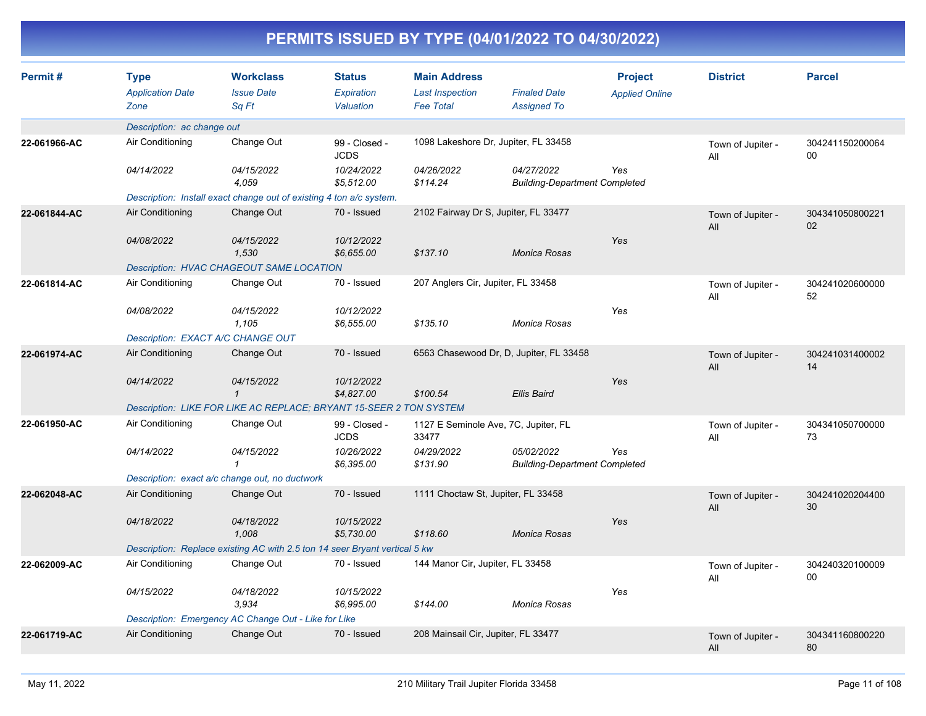| Permit#      | <b>Type</b>                | <b>Workclass</b>                                                           | <b>Status</b>                | <b>Main Address</b>                  |                                                    | <b>Project</b>        | <b>District</b>          | <b>Parcel</b>             |
|--------------|----------------------------|----------------------------------------------------------------------------|------------------------------|--------------------------------------|----------------------------------------------------|-----------------------|--------------------------|---------------------------|
|              | <b>Application Date</b>    | <b>Issue Date</b>                                                          | Expiration                   | <b>Last Inspection</b>               | <b>Finaled Date</b>                                | <b>Applied Online</b> |                          |                           |
|              | Zone                       | Sq Ft                                                                      | Valuation                    | <b>Fee Total</b>                     | <b>Assigned To</b>                                 |                       |                          |                           |
|              | Description: ac change out |                                                                            |                              |                                      |                                                    |                       |                          |                           |
| 22-061966-AC | Air Conditioning           | Change Out                                                                 | 99 - Closed -<br><b>JCDS</b> |                                      | 1098 Lakeshore Dr, Jupiter, FL 33458               |                       | Town of Jupiter -<br>All | 304241150200064<br>$00\,$ |
|              | 04/14/2022                 | 04/15/2022<br>4.059                                                        | 10/24/2022<br>\$5.512.00     | 04/26/2022<br>\$114.24               | 04/27/2022<br><b>Building-Department Completed</b> | Yes                   |                          |                           |
|              |                            | Description: Install exact change out of existing 4 ton a/c system.        |                              |                                      |                                                    |                       |                          |                           |
| 22-061844-AC | Air Conditioning           | Change Out                                                                 | 70 - Issued                  | 2102 Fairway Dr S, Jupiter, FL 33477 |                                                    |                       | Town of Jupiter -<br>All | 304341050800221<br>02     |
|              | 04/08/2022                 | 04/15/2022<br>1,530                                                        | 10/12/2022<br>\$6,655.00     | \$137.10                             | Monica Rosas                                       | Yes                   |                          |                           |
|              |                            | Description: HVAC CHAGEOUT SAME LOCATION                                   |                              |                                      |                                                    |                       |                          |                           |
| 22-061814-AC | Air Conditioning           | Change Out                                                                 | 70 - Issued                  | 207 Anglers Cir, Jupiter, FL 33458   |                                                    |                       | Town of Jupiter -<br>All | 304241020600000<br>52     |
|              | 04/08/2022                 | 04/15/2022<br>1,105                                                        | 10/12/2022<br>\$6,555.00     | \$135.10                             | Monica Rosas                                       | Yes                   |                          |                           |
|              |                            | Description: EXACT A/C CHANGE OUT                                          |                              |                                      |                                                    |                       |                          |                           |
| 22-061974-AC | Air Conditioning           | Change Out                                                                 | 70 - Issued                  |                                      | 6563 Chasewood Dr, D, Jupiter, FL 33458            |                       | Town of Jupiter -<br>All | 304241031400002<br>14     |
|              | 04/14/2022                 | 04/15/2022<br>$\mathcal I$                                                 | 10/12/2022<br>\$4,827.00     | \$100.54                             | Ellis Baird                                        | Yes                   |                          |                           |
|              |                            | Description: LIKE FOR LIKE AC REPLACE; BRYANT 15-SEER 2 TON SYSTEM         |                              |                                      |                                                    |                       |                          |                           |
| 22-061950-AC | Air Conditioning           | Change Out                                                                 | 99 - Closed -<br><b>JCDS</b> | 33477                                | 1127 E Seminole Ave, 7C, Jupiter, FL               |                       | Town of Jupiter -<br>All | 304341050700000<br>73     |
|              | 04/14/2022                 | 04/15/2022<br>1                                                            | 10/26/2022<br>\$6,395.00     | 04/29/2022<br>\$131.90               | 05/02/2022<br><b>Building-Department Completed</b> | Yes                   |                          |                           |
|              |                            | Description: exact a/c change out, no ductwork                             |                              |                                      |                                                    |                       |                          |                           |
| 22-062048-AC | Air Conditioning           | Change Out                                                                 | 70 - Issued                  | 1111 Choctaw St, Jupiter, FL 33458   |                                                    |                       | Town of Jupiter -<br>All | 304241020204400<br>30     |
|              | 04/18/2022                 | 04/18/2022<br>1.008                                                        | 10/15/2022<br>\$5,730.00     | \$118.60                             | Monica Rosas                                       | Yes                   |                          |                           |
|              |                            | Description: Replace existing AC with 2.5 ton 14 seer Bryant vertical 5 kw |                              |                                      |                                                    |                       |                          |                           |
| 22-062009-AC | Air Conditioning           | Change Out                                                                 | 70 - Issued                  | 144 Manor Cir, Jupiter, FL 33458     |                                                    |                       | Town of Jupiter -<br>All | 304240320100009<br>$00\,$ |
|              | 04/15/2022                 | 04/18/2022<br>3.934                                                        | 10/15/2022<br>\$6,995.00     | \$144.00                             | Monica Rosas                                       | Yes                   |                          |                           |
|              |                            | Description: Emergency AC Change Out - Like for Like                       |                              |                                      |                                                    |                       |                          |                           |
| 22-061719-AC | Air Conditioning           | Change Out                                                                 | 70 - Issued                  | 208 Mainsail Cir, Jupiter, FL 33477  |                                                    |                       | Town of Jupiter -<br>All | 304341160800220<br>80     |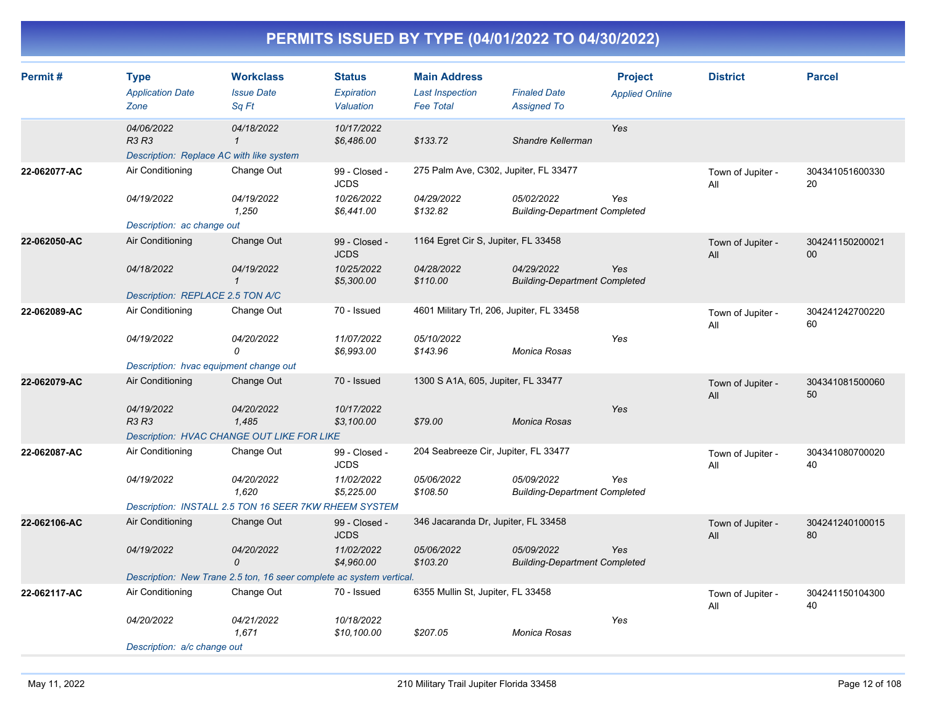| Permit#      | <b>Type</b><br><b>Application Date</b><br>Zone                         | <b>Workclass</b><br><b>Issue Date</b><br>Sa Ft                       | <b>Status</b><br>Expiration<br>Valuation | <b>Main Address</b><br><b>Last Inspection</b><br><b>Fee Total</b> | <b>Finaled Date</b><br><b>Assigned To</b>          | <b>Project</b><br><b>Applied Online</b> | <b>District</b>          | <b>Parcel</b>         |
|--------------|------------------------------------------------------------------------|----------------------------------------------------------------------|------------------------------------------|-------------------------------------------------------------------|----------------------------------------------------|-----------------------------------------|--------------------------|-----------------------|
|              | 04/06/2022<br><b>R3 R3</b><br>Description: Replace AC with like system | 04/18/2022<br>$\mathcal I$                                           | 10/17/2022<br>\$6,486.00                 | \$133.72                                                          | Shandre Kellerman                                  | Yes                                     |                          |                       |
| 22-062077-AC | Air Conditioning                                                       | Change Out                                                           | 99 - Closed -<br><b>JCDS</b>             | 275 Palm Ave, C302, Jupiter, FL 33477                             |                                                    |                                         | Town of Jupiter -<br>All | 304341051600330<br>20 |
|              | 04/19/2022                                                             | 04/19/2022<br>1,250                                                  | 10/26/2022<br>\$6,441.00                 | 04/29/2022<br>\$132.82                                            | 05/02/2022<br><b>Building-Department Completed</b> | Yes                                     |                          |                       |
|              | Description: ac change out                                             |                                                                      |                                          |                                                                   |                                                    |                                         |                          |                       |
| 22-062050-AC | Air Conditioning                                                       | Change Out                                                           | 99 - Closed -<br><b>JCDS</b>             | 1164 Egret Cir S, Jupiter, FL 33458                               |                                                    |                                         | Town of Jupiter -<br>All | 304241150200021<br>00 |
|              | 04/18/2022                                                             | 04/19/2022<br>$\mathbf{1}$                                           | 10/25/2022<br>\$5,300.00                 | 04/28/2022<br>\$110.00                                            | 04/29/2022<br><b>Building-Department Completed</b> | Yes                                     |                          |                       |
|              | Description: REPLACE 2.5 TON A/C                                       |                                                                      |                                          |                                                                   |                                                    |                                         |                          |                       |
| 22-062089-AC | Air Conditioning                                                       | Change Out                                                           | 70 - Issued                              | 4601 Military Trl, 206, Jupiter, FL 33458                         |                                                    |                                         | Town of Jupiter -<br>All | 304241242700220<br>60 |
|              | 04/19/2022                                                             | 04/20/2022<br>0                                                      | 11/07/2022<br>\$6,993.00                 | 05/10/2022<br>\$143.96                                            | Monica Rosas                                       | Yes                                     |                          |                       |
|              | Description: hvac equipment change out                                 |                                                                      |                                          |                                                                   |                                                    |                                         |                          |                       |
| 22-062079-AC | Air Conditioning                                                       | Change Out                                                           | 70 - Issued                              | 1300 S A1A, 605, Jupiter, FL 33477                                |                                                    |                                         | Town of Jupiter -<br>All | 304341081500060<br>50 |
|              | 04/19/2022<br><b>R3 R3</b>                                             | 04/20/2022<br>1.485                                                  | 10/17/2022<br>\$3,100.00                 | \$79.00                                                           | Monica Rosas                                       | Yes                                     |                          |                       |
|              |                                                                        | <b>Description: HVAC CHANGE OUT LIKE FOR LIKE</b>                    |                                          |                                                                   |                                                    |                                         |                          |                       |
| 22-062087-AC | Air Conditioning                                                       | Change Out                                                           | 99 - Closed -<br><b>JCDS</b>             | 204 Seabreeze Cir, Jupiter, FL 33477                              |                                                    |                                         | Town of Jupiter -<br>All | 304341080700020<br>40 |
|              | 04/19/2022                                                             | 04/20/2022<br>1.620                                                  | 11/02/2022<br>\$5,225.00                 | 05/06/2022<br>\$108.50                                            | 05/09/2022<br><b>Building-Department Completed</b> | Yes                                     |                          |                       |
|              |                                                                        | Description: INSTALL 2.5 TON 16 SEER 7KW RHEEM SYSTEM                |                                          |                                                                   |                                                    |                                         |                          |                       |
| 22-062106-AC | Air Conditioning                                                       | Change Out                                                           | 99 - Closed -<br><b>JCDS</b>             | 346 Jacaranda Dr, Jupiter, FL 33458                               |                                                    |                                         | Town of Jupiter -<br>All | 304241240100015<br>80 |
|              | 04/19/2022                                                             | 04/20/2022<br>$\Omega$                                               | 11/02/2022<br>\$4,960.00                 | 05/06/2022<br>\$103.20                                            | 05/09/2022<br><b>Building-Department Completed</b> | Yes                                     |                          |                       |
|              |                                                                        | Description: New Trane 2.5 ton, 16 seer complete ac system vertical. |                                          |                                                                   |                                                    |                                         |                          |                       |
| 22-062117-AC | Air Conditioning                                                       | Change Out                                                           | 70 - Issued                              | 6355 Mullin St, Jupiter, FL 33458                                 |                                                    |                                         | Town of Jupiter -<br>All | 304241150104300<br>40 |
|              | 04/20/2022                                                             | 04/21/2022<br>1,671                                                  | 10/18/2022<br>\$10,100.00                | \$207.05                                                          | Monica Rosas                                       | Yes                                     |                          |                       |
|              | Description: a/c change out                                            |                                                                      |                                          |                                                                   |                                                    |                                         |                          |                       |
|              |                                                                        |                                                                      |                                          |                                                                   |                                                    |                                         |                          |                       |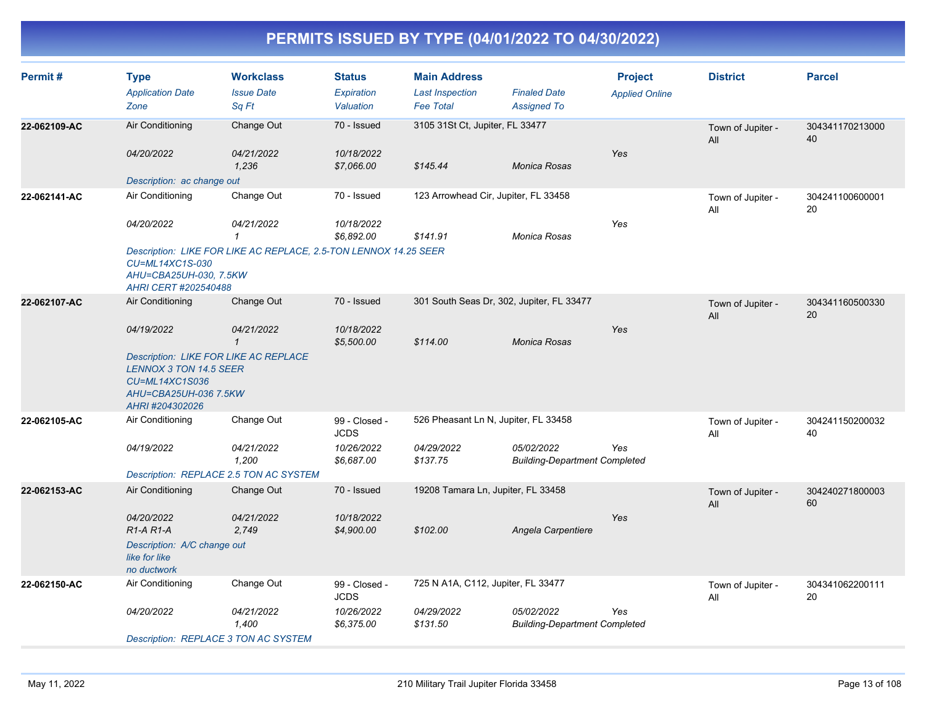| Permit#      | <b>Type</b><br><b>Application Date</b><br>Zone                                                                                              | <b>Workclass</b><br><b>Issue Date</b><br>Sq Ft                   | <b>Status</b><br>Expiration<br>Valuation | <b>Main Address</b><br><b>Last Inspection</b><br><b>Fee Total</b> | <b>Finaled Date</b><br><b>Assigned To</b>          | <b>Project</b><br><b>Applied Online</b> | <b>District</b>          | <b>Parcel</b>         |
|--------------|---------------------------------------------------------------------------------------------------------------------------------------------|------------------------------------------------------------------|------------------------------------------|-------------------------------------------------------------------|----------------------------------------------------|-----------------------------------------|--------------------------|-----------------------|
| 22-062109-AC | Air Conditioning                                                                                                                            | Change Out                                                       | 70 - Issued                              | 3105 31St Ct, Jupiter, FL 33477                                   |                                                    |                                         | Town of Jupiter -<br>All | 304341170213000<br>40 |
|              | 04/20/2022                                                                                                                                  | 04/21/2022<br>1,236                                              | 10/18/2022<br>\$7,066.00                 | \$145.44                                                          | Monica Rosas                                       | Yes                                     |                          |                       |
|              | Description: ac change out                                                                                                                  |                                                                  |                                          |                                                                   |                                                    |                                         |                          |                       |
| 22-062141-AC | Air Conditioning                                                                                                                            | Change Out                                                       | 70 - Issued                              | 123 Arrowhead Cir, Jupiter, FL 33458                              |                                                    |                                         | Town of Jupiter -<br>All | 304241100600001<br>20 |
|              | 04/20/2022                                                                                                                                  | 04/21/2022<br>$\mathbf{1}$                                       | 10/18/2022<br>\$6,892.00                 | \$141.91                                                          | Monica Rosas                                       | Yes                                     |                          |                       |
|              | CU=ML14XC1S-030<br>AHU=CBA25UH-030, 7.5KW<br>AHRI CERT #202540488                                                                           | Description: LIKE FOR LIKE AC REPLACE, 2.5-TON LENNOX 14.25 SEER |                                          |                                                                   |                                                    |                                         |                          |                       |
| 22-062107-AC | Air Conditioning                                                                                                                            | Change Out                                                       | 70 - Issued                              |                                                                   | 301 South Seas Dr, 302, Jupiter, FL 33477          |                                         | Town of Jupiter -<br>All | 304341160500330<br>20 |
|              | 04/19/2022                                                                                                                                  | 04/21/2022<br>$\mathbf{1}$                                       | 10/18/2022<br>\$5,500.00                 | \$114.00                                                          | Monica Rosas                                       | Yes                                     |                          |                       |
|              | <b>Description: LIKE FOR LIKE AC REPLACE</b><br><b>LENNOX 3 TON 14.5 SEER</b><br>CU=ML14XC1S036<br>AHU=CBA25UH-036 7.5KW<br>AHRI #204302026 |                                                                  |                                          |                                                                   |                                                    |                                         |                          |                       |
| 22-062105-AC | Air Conditioning                                                                                                                            | Change Out                                                       | 99 - Closed -<br><b>JCDS</b>             | 526 Pheasant Ln N, Jupiter, FL 33458                              |                                                    |                                         | Town of Jupiter -<br>All | 304241150200032<br>40 |
|              | 04/19/2022                                                                                                                                  | 04/21/2022<br>1,200                                              | 10/26/2022<br>\$6,687.00                 | 04/29/2022<br>\$137.75                                            | 05/02/2022<br><b>Building-Department Completed</b> | Yes                                     |                          |                       |
|              |                                                                                                                                             | Description: REPLACE 2.5 TON AC SYSTEM                           |                                          |                                                                   |                                                    |                                         |                          |                       |
| 22-062153-AC | Air Conditioning                                                                                                                            | Change Out                                                       | 70 - Issued                              | 19208 Tamara Ln, Jupiter, FL 33458                                |                                                    |                                         | Town of Jupiter -<br>All | 304240271800003<br>60 |
|              | 04/20/2022<br>$R1-A R1-A$                                                                                                                   | 04/21/2022<br>2.749                                              | 10/18/2022<br>\$4,900.00                 | \$102.00                                                          | Angela Carpentiere                                 | Yes                                     |                          |                       |
|              | Description: A/C change out<br>like for like<br>no ductwork                                                                                 |                                                                  |                                          |                                                                   |                                                    |                                         |                          |                       |
| 22-062150-AC | Air Conditioning                                                                                                                            | Change Out                                                       | 99 - Closed -<br><b>JCDS</b>             | 725 N A1A, C112, Jupiter, FL 33477                                |                                                    |                                         | Town of Jupiter -<br>All | 304341062200111<br>20 |
|              | 04/20/2022                                                                                                                                  | 04/21/2022<br>1,400                                              | 10/26/2022<br>\$6,375.00                 | 04/29/2022<br>\$131.50                                            | 05/02/2022<br><b>Building-Department Completed</b> | Yes                                     |                          |                       |
|              |                                                                                                                                             | <b>Description: REPLACE 3 TON AC SYSTEM</b>                      |                                          |                                                                   |                                                    |                                         |                          |                       |
|              |                                                                                                                                             |                                                                  |                                          |                                                                   |                                                    |                                         |                          |                       |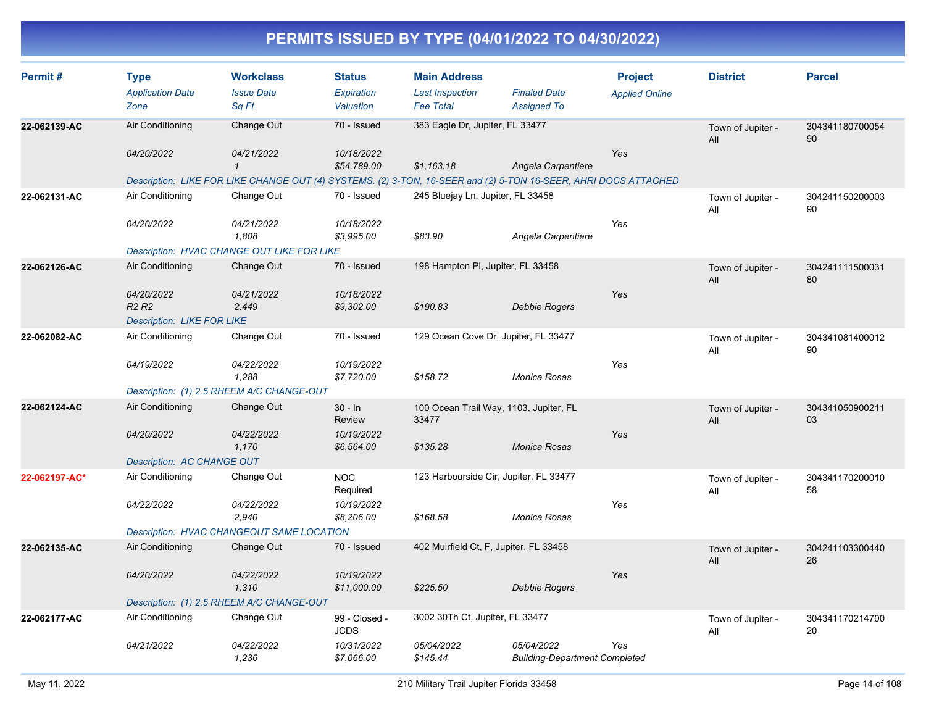| Permit#       | <b>Type</b>                                 | <b>Workclass</b>                                 | <b>Status</b>                | <b>Main Address</b>                    |                                                                                                                 | <b>Project</b>        | <b>District</b>          | <b>Parcel</b>         |
|---------------|---------------------------------------------|--------------------------------------------------|------------------------------|----------------------------------------|-----------------------------------------------------------------------------------------------------------------|-----------------------|--------------------------|-----------------------|
|               | <b>Application Date</b>                     | <b>Issue Date</b>                                | Expiration                   | <b>Last Inspection</b>                 | <b>Finaled Date</b>                                                                                             | <b>Applied Online</b> |                          |                       |
|               | Zone                                        | Sq Ft                                            | Valuation                    | <b>Fee Total</b>                       | <b>Assigned To</b>                                                                                              |                       |                          |                       |
| 22-062139-AC  | Air Conditioning                            | Change Out                                       | 70 - Issued                  | 383 Eagle Dr, Jupiter, FL 33477        |                                                                                                                 |                       | Town of Jupiter -<br>All | 304341180700054<br>90 |
|               | 04/20/2022                                  | 04/21/2022<br>$\mathbf{1}$                       | 10/18/2022<br>\$54,789.00    | \$1,163.18                             | Angela Carpentiere                                                                                              | Yes                   |                          |                       |
|               |                                             |                                                  |                              |                                        | Description: LIKE FOR LIKE CHANGE OUT (4) SYSTEMS. (2) 3-TON, 16-SEER and (2) 5-TON 16-SEER, AHRI DOCS ATTACHED |                       |                          |                       |
| 22-062131-AC  | Air Conditioning                            | Change Out                                       | 70 - Issued                  | 245 Bluejay Ln, Jupiter, FL 33458      |                                                                                                                 |                       | Town of Jupiter -<br>All | 304241150200003<br>90 |
|               | 04/20/2022                                  | 04/21/2022<br>1,808                              | 10/18/2022<br>\$3,995.00     | \$83.90                                | Angela Carpentiere                                                                                              | Yes                   |                          |                       |
|               |                                             | Description: HVAC CHANGE OUT LIKE FOR LIKE       |                              |                                        |                                                                                                                 |                       |                          |                       |
| 22-062126-AC  | Air Conditioning                            | Change Out                                       | 70 - Issued                  | 198 Hampton PI, Jupiter, FL 33458      |                                                                                                                 |                       | Town of Jupiter -<br>All | 304241111500031<br>80 |
|               | 04/20/2022<br>R <sub>2</sub> R <sub>2</sub> | 04/21/2022<br>2,449                              | 10/18/2022<br>\$9,302.00     | \$190.83                               | <b>Debbie Rogers</b>                                                                                            | Yes                   |                          |                       |
|               | <b>Description: LIKE FOR LIKE</b>           |                                                  |                              |                                        |                                                                                                                 |                       |                          |                       |
| 22-062082-AC  | Air Conditioning                            | Change Out                                       | 70 - Issued                  |                                        | 129 Ocean Cove Dr, Jupiter, FL 33477                                                                            |                       | Town of Jupiter -<br>All | 304341081400012<br>90 |
|               | 04/19/2022                                  | 04/22/2022<br>1,288                              | 10/19/2022<br>\$7,720.00     | \$158.72                               | Monica Rosas                                                                                                    | Yes                   |                          |                       |
|               |                                             | Description: (1) 2.5 RHEEM A/C CHANGE-OUT        |                              |                                        |                                                                                                                 |                       |                          |                       |
| 22-062124-AC  | Air Conditioning                            | Change Out                                       | $30 - ln$<br>Review          | 33477                                  | 100 Ocean Trail Way, 1103, Jupiter, FL                                                                          |                       | Town of Jupiter -<br>All | 304341050900211<br>03 |
|               | 04/20/2022                                  | 04/22/2022<br>1,170                              | 10/19/2022<br>\$6,564.00     | \$135.28                               | Monica Rosas                                                                                                    | Yes                   |                          |                       |
|               | Description: AC CHANGE OUT                  |                                                  |                              |                                        |                                                                                                                 |                       |                          |                       |
| 22-062197-AC* | Air Conditioning                            | Change Out                                       | <b>NOC</b><br>Required       |                                        | 123 Harbourside Cir, Jupiter, FL 33477                                                                          |                       | Town of Jupiter -<br>All | 304341170200010<br>58 |
|               | 04/22/2022                                  | 04/22/2022<br>2,940                              | 10/19/2022<br>\$8,206.00     | \$168.58                               | Monica Rosas                                                                                                    | Yes                   |                          |                       |
|               |                                             | <b>Description: HVAC CHANGEOUT SAME LOCATION</b> |                              |                                        |                                                                                                                 |                       |                          |                       |
| 22-062135-AC  | Air Conditioning                            | Change Out                                       | 70 - Issued                  | 402 Muirfield Ct, F, Jupiter, FL 33458 |                                                                                                                 |                       | Town of Jupiter -<br>All | 304241103300440<br>26 |
|               | 04/20/2022                                  | 04/22/2022<br>1,310                              | 10/19/2022<br>\$11,000.00    | \$225.50                               | Debbie Rogers                                                                                                   | Yes                   |                          |                       |
|               |                                             | Description: (1) 2.5 RHEEM A/C CHANGE-OUT        |                              |                                        |                                                                                                                 |                       |                          |                       |
| 22-062177-AC  | Air Conditioning                            | Change Out                                       | 99 - Closed -<br><b>JCDS</b> | 3002 30Th Ct, Jupiter, FL 33477        |                                                                                                                 |                       | Town of Jupiter -<br>All | 304341170214700<br>20 |
|               | 04/21/2022                                  | 04/22/2022<br>1,236                              | 10/31/2022<br>\$7,066.00     | 05/04/2022<br>\$145.44                 | 05/04/2022<br><b>Building-Department Completed</b>                                                              | Yes                   |                          |                       |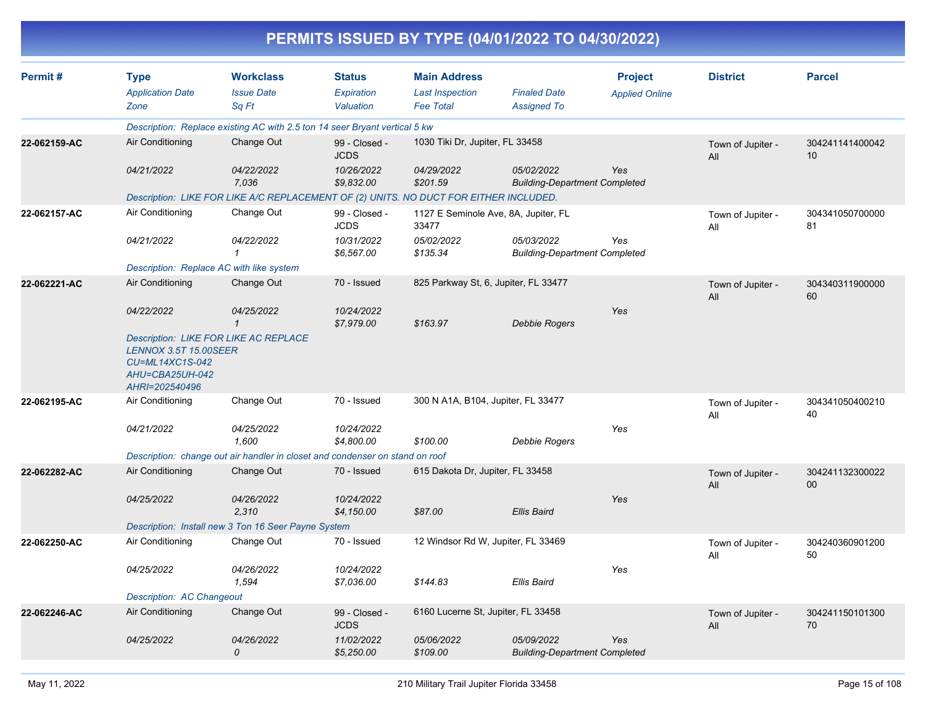|              |                                                                                      |                                                                                       |                                          |                                                                   | PERMITS ISSUED BY TYPE (04/01/2022 TO 04/30/2022)  |                                         |                          |                           |
|--------------|--------------------------------------------------------------------------------------|---------------------------------------------------------------------------------------|------------------------------------------|-------------------------------------------------------------------|----------------------------------------------------|-----------------------------------------|--------------------------|---------------------------|
| Permit#      | <b>Type</b><br><b>Application Date</b><br>Zone                                       | <b>Workclass</b><br><b>Issue Date</b><br>Sq Ft                                        | <b>Status</b><br>Expiration<br>Valuation | <b>Main Address</b><br><b>Last Inspection</b><br><b>Fee Total</b> | <b>Finaled Date</b><br><b>Assigned To</b>          | <b>Project</b><br><b>Applied Online</b> | <b>District</b>          | <b>Parcel</b>             |
|              |                                                                                      | Description: Replace existing AC with 2.5 ton 14 seer Bryant vertical 5 kw            |                                          |                                                                   |                                                    |                                         |                          |                           |
| 22-062159-AC | Air Conditioning                                                                     | Change Out                                                                            | 99 - Closed -<br><b>JCDS</b>             | 1030 Tiki Dr, Jupiter, FL 33458                                   |                                                    |                                         | Town of Jupiter -<br>All | 304241141400042<br>10     |
|              | 04/21/2022                                                                           | 04/22/2022<br>7,036                                                                   | 10/26/2022<br>\$9,832.00                 | 04/29/2022<br>\$201.59                                            | 05/02/2022<br><b>Building-Department Completed</b> | Yes                                     |                          |                           |
|              |                                                                                      | Description: LIKE FOR LIKE A/C REPLACEMENT OF (2) UNITS. NO DUCT FOR EITHER INCLUDED. |                                          |                                                                   |                                                    |                                         |                          |                           |
| 22-062157-AC | Air Conditioning                                                                     | Change Out                                                                            | 99 - Closed -<br><b>JCDS</b>             | 33477                                                             | 1127 E Seminole Ave, 8A, Jupiter, FL               |                                         | Town of Jupiter -<br>All | 304341050700000<br>81     |
|              | 04/21/2022                                                                           | 04/22/2022                                                                            | 10/31/2022<br>\$6,567.00                 | 05/02/2022<br>\$135.34                                            | 05/03/2022<br><b>Building-Department Completed</b> | Yes                                     |                          |                           |
|              |                                                                                      | Description: Replace AC with like system                                              |                                          |                                                                   |                                                    |                                         |                          |                           |
| 22-062221-AC | Air Conditioning                                                                     | Change Out                                                                            | 70 - Issued                              | 825 Parkway St, 6, Jupiter, FL 33477                              |                                                    |                                         | Town of Jupiter -<br>All | 304340311900000<br>60     |
|              | 04/22/2022                                                                           | 04/25/2022<br>$\mathbf 1$                                                             | 10/24/2022<br>\$7,979.00                 | \$163.97                                                          | <b>Debbie Rogers</b>                               | Yes                                     |                          |                           |
|              | <b>LENNOX 3.5T 15.00SEER</b><br>CU=ML14XC1S-042<br>AHU=CBA25UH-042<br>AHRI=202540496 | <b>Description: LIKE FOR LIKE AC REPLACE</b>                                          |                                          |                                                                   |                                                    |                                         |                          |                           |
| 22-062195-AC | Air Conditioning                                                                     | Change Out                                                                            | 70 - Issued                              | 300 N A1A, B104, Jupiter, FL 33477                                |                                                    |                                         | Town of Jupiter -<br>All | 304341050400210<br>40     |
|              | 04/21/2022                                                                           | 04/25/2022<br>1,600                                                                   | 10/24/2022<br>\$4,800.00                 | \$100.00                                                          | <b>Debbie Rogers</b>                               | Yes                                     |                          |                           |
|              |                                                                                      | Description: change out air handler in closet and condenser on stand on roof          |                                          |                                                                   |                                                    |                                         |                          |                           |
| 22-062282-AC | Air Conditioning                                                                     | Change Out                                                                            | 70 - Issued                              | 615 Dakota Dr, Jupiter, FL 33458                                  |                                                    |                                         | Town of Jupiter -<br>All | 304241132300022<br>$00\,$ |
|              | 04/25/2022                                                                           | 04/26/2022<br>2,310                                                                   | 10/24/2022<br>\$4,150.00                 | \$87.00                                                           | <b>Ellis Baird</b>                                 | Yes                                     |                          |                           |
|              |                                                                                      | Description: Install new 3 Ton 16 Seer Payne System                                   |                                          |                                                                   |                                                    |                                         |                          |                           |
| 22-062250-AC | Air Conditioning                                                                     | Change Out                                                                            | 70 - Issued                              | 12 Windsor Rd W, Jupiter, FL 33469                                |                                                    |                                         | Town of Jupiter -<br>All | 304240360901200<br>50     |
|              | 04/25/2022                                                                           | 04/26/2022<br>1,594                                                                   | 10/24/2022<br>\$7,036.00                 | \$144.83                                                          | <b>Ellis Baird</b>                                 | Yes                                     |                          |                           |
|              | <b>Description: AC Changeout</b>                                                     |                                                                                       |                                          |                                                                   |                                                    |                                         |                          |                           |
| 22-062246-AC | Air Conditioning                                                                     | Change Out                                                                            | 99 - Closed -<br><b>JCDS</b>             | 6160 Lucerne St, Jupiter, FL 33458                                |                                                    |                                         | Town of Jupiter -<br>All | 304241150101300<br>70     |
|              | 04/25/2022                                                                           | 04/26/2022<br>0                                                                       | 11/02/2022<br>\$5,250.00                 | 05/06/2022<br>\$109.00                                            | 05/09/2022<br><b>Building-Department Completed</b> | Yes                                     |                          |                           |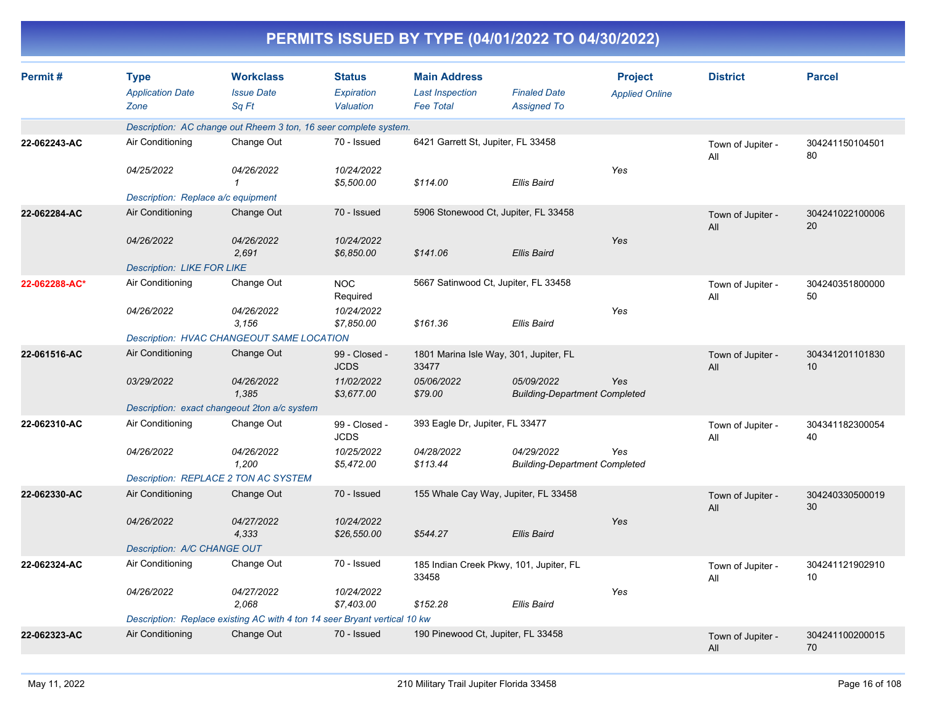| Permit#       | <b>Type</b><br><b>Application Date</b><br>Zone                            | <b>Workclass</b><br><b>Issue Date</b>                            | <b>Status</b><br><b>Expiration</b><br>Valuation | <b>Main Address</b><br><b>Last Inspection</b><br><b>Fee Total</b> | <b>Finaled Date</b>                                | <b>Project</b><br><b>Applied Online</b> | <b>District</b>          | <b>Parcel</b>         |
|---------------|---------------------------------------------------------------------------|------------------------------------------------------------------|-------------------------------------------------|-------------------------------------------------------------------|----------------------------------------------------|-----------------------------------------|--------------------------|-----------------------|
|               |                                                                           | Sq Ft                                                            |                                                 |                                                                   | <b>Assigned To</b>                                 |                                         |                          |                       |
|               |                                                                           | Description: AC change out Rheem 3 ton, 16 seer complete system. |                                                 |                                                                   |                                                    |                                         |                          |                       |
| 22-062243-AC  | Air Conditioning                                                          | Change Out                                                       | 70 - Issued                                     | 6421 Garrett St, Jupiter, FL 33458                                |                                                    |                                         | Town of Jupiter -<br>All | 304241150104501<br>80 |
|               | 04/25/2022                                                                | 04/26/2022<br>$\mathbf 1$                                        | 10/24/2022<br>\$5,500.00                        | \$114.00                                                          | <b>Ellis Baird</b>                                 | Yes                                     |                          |                       |
|               | Description: Replace a/c equipment                                        |                                                                  |                                                 |                                                                   |                                                    |                                         |                          |                       |
| 22-062284-AC  | Air Conditioning                                                          | Change Out                                                       | 70 - Issued                                     |                                                                   | 5906 Stonewood Ct, Jupiter, FL 33458               |                                         | Town of Jupiter -<br>All | 304241022100006<br>20 |
|               | 04/26/2022                                                                | 04/26/2022<br>2,691                                              | 10/24/2022<br>\$6,850.00                        | \$141.06                                                          | <b>Ellis Baird</b>                                 | Yes                                     |                          |                       |
|               | <b>Description: LIKE FOR LIKE</b>                                         |                                                                  |                                                 |                                                                   |                                                    |                                         |                          |                       |
| 22-062288-AC* | Air Conditioning                                                          | Change Out                                                       | <b>NOC</b><br>Required                          |                                                                   | 5667 Satinwood Ct, Jupiter, FL 33458               |                                         | Town of Jupiter -<br>All | 304240351800000<br>50 |
|               | 04/26/2022                                                                | 04/26/2022<br>3,156                                              | 10/24/2022<br>\$7,850.00                        | \$161.36                                                          | <b>Ellis Baird</b>                                 | Yes                                     |                          |                       |
|               |                                                                           | Description: HVAC CHANGEOUT SAME LOCATION                        |                                                 |                                                                   |                                                    |                                         |                          |                       |
| 22-061516-AC  | Air Conditioning                                                          | Change Out                                                       | 99 - Closed -<br><b>JCDS</b>                    | 33477                                                             | 1801 Marina Isle Way, 301, Jupiter, FL             |                                         | Town of Jupiter -<br>All | 304341201101830<br>10 |
|               | 03/29/2022                                                                | 04/26/2022<br>1,385                                              | 11/02/2022<br>\$3,677.00                        | 05/06/2022<br>\$79.00                                             | 05/09/2022<br><b>Building-Department Completed</b> | Yes                                     |                          |                       |
|               |                                                                           | Description: exact changeout 2ton a/c system                     |                                                 |                                                                   |                                                    |                                         |                          |                       |
| 22-062310-AC  | Air Conditioning                                                          | Change Out                                                       | 99 - Closed -<br><b>JCDS</b>                    |                                                                   | 393 Eagle Dr, Jupiter, FL 33477                    |                                         | Town of Jupiter -<br>All | 304341182300054<br>40 |
|               | 04/26/2022                                                                | 04/26/2022<br>1,200                                              | 10/25/2022<br>\$5,472.00                        | 04/28/2022<br>\$113.44                                            | 04/29/2022<br><b>Building-Department Completed</b> | Yes                                     |                          |                       |
|               |                                                                           | Description: REPLACE 2 TON AC SYSTEM                             |                                                 |                                                                   |                                                    |                                         |                          |                       |
| 22-062330-AC  | Air Conditioning                                                          | Change Out                                                       | 70 - Issued                                     |                                                                   | 155 Whale Cay Way, Jupiter, FL 33458               |                                         | Town of Jupiter -<br>All | 304240330500019<br>30 |
|               | 04/26/2022                                                                | <i>04/27/2022</i><br>4,333                                       | 10/24/2022<br>\$26,550.00                       | \$544.27                                                          | <b>Ellis Baird</b>                                 | Yes                                     |                          |                       |
|               | Description: A/C CHANGE OUT                                               |                                                                  |                                                 |                                                                   |                                                    |                                         |                          |                       |
| 22-062324-AC  | Air Conditioning                                                          | Change Out                                                       | 70 - Issued                                     | 33458                                                             | 185 Indian Creek Pkwy, 101, Jupiter, FL            |                                         | Town of Jupiter -<br>All | 304241121902910<br>10 |
|               | 04/26/2022                                                                | 04/27/2022<br>2.068                                              | 10/24/2022<br>\$7,403.00                        | \$152.28                                                          | <b>Ellis Baird</b>                                 | Yes                                     |                          |                       |
|               | Description: Replace existing AC with 4 ton 14 seer Bryant vertical 10 kw |                                                                  |                                                 |                                                                   |                                                    |                                         |                          |                       |
| 22-062323-AC  | Air Conditioning                                                          | Change Out                                                       | 70 - Issued                                     | 190 Pinewood Ct, Jupiter, FL 33458                                |                                                    |                                         | Town of Jupiter -<br>All | 304241100200015<br>70 |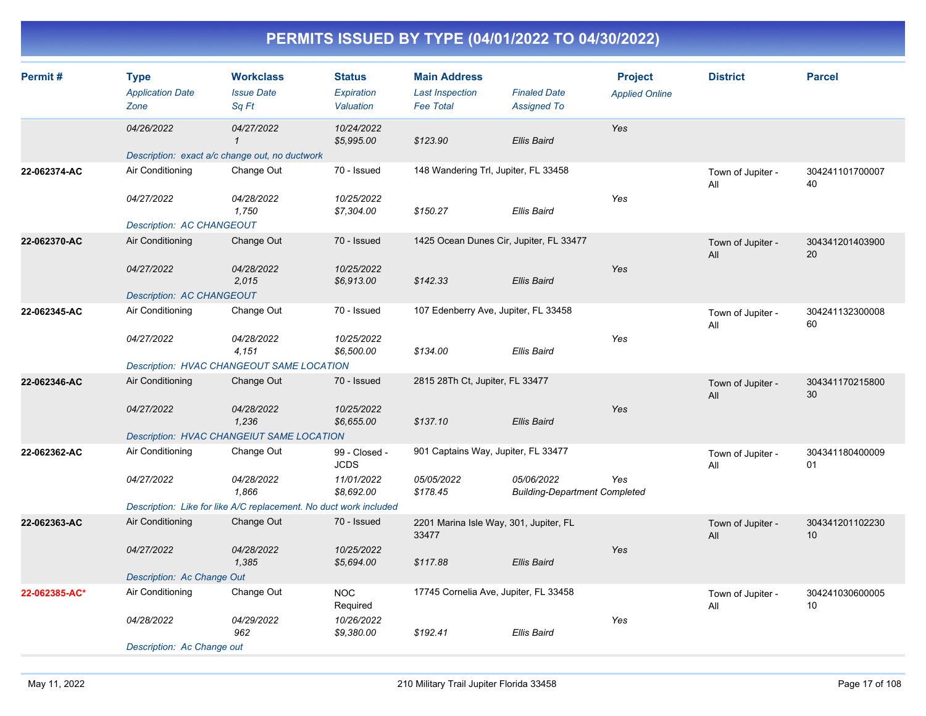| Permit#       | <b>Type</b><br><b>Application Date</b><br>Zone | <b>Workclass</b><br><b>Issue Date</b><br>Sq Ft                    | <b>Status</b><br><b>Expiration</b><br>Valuation | <b>Main Address</b><br><b>Last Inspection</b><br><b>Fee Total</b> | <b>Finaled Date</b><br><b>Assigned To</b>          | <b>Project</b><br><b>Applied Online</b> | <b>District</b>          | <b>Parcel</b>         |
|---------------|------------------------------------------------|-------------------------------------------------------------------|-------------------------------------------------|-------------------------------------------------------------------|----------------------------------------------------|-----------------------------------------|--------------------------|-----------------------|
|               | 04/26/2022                                     | 04/27/2022<br>$\mathcal I$                                        | 10/24/2022<br>\$5,995.00                        | \$123.90                                                          | <b>Ellis Baird</b>                                 | Yes                                     |                          |                       |
|               |                                                | Description: exact a/c change out, no ductwork                    |                                                 |                                                                   |                                                    |                                         |                          |                       |
| 22-062374-AC  | Air Conditioning                               | Change Out                                                        | 70 - Issued                                     | 148 Wandering Trl, Jupiter, FL 33458                              |                                                    |                                         | Town of Jupiter -<br>All | 304241101700007<br>40 |
|               | 04/27/2022                                     | 04/28/2022<br>1,750                                               | 10/25/2022<br>\$7,304.00                        | \$150.27                                                          | <b>Ellis Baird</b>                                 | Yes                                     |                          |                       |
|               | <b>Description: AC CHANGEOUT</b>               |                                                                   |                                                 |                                                                   |                                                    |                                         |                          |                       |
| 22-062370-AC  | Air Conditioning                               | Change Out                                                        | 70 - Issued                                     | 1425 Ocean Dunes Cir, Jupiter, FL 33477                           |                                                    |                                         | Town of Jupiter -<br>All | 304341201403900<br>20 |
|               | 04/27/2022                                     | 04/28/2022<br>2,015                                               | 10/25/2022<br>\$6,913.00                        | \$142.33                                                          | <b>Ellis Baird</b>                                 | Yes                                     |                          |                       |
|               | Description: AC CHANGEOUT                      |                                                                   |                                                 |                                                                   |                                                    |                                         |                          |                       |
| 22-062345-AC  | Air Conditioning                               | Change Out                                                        | 70 - Issued                                     | 107 Edenberry Ave, Jupiter, FL 33458                              |                                                    |                                         | Town of Jupiter -<br>All | 304241132300008<br>60 |
|               | 04/27/2022                                     | 04/28/2022<br>4,151                                               | 10/25/2022<br>\$6,500.00                        | \$134.00                                                          | <b>Ellis Baird</b>                                 | Yes                                     |                          |                       |
|               |                                                | <b>Description: HVAC CHANGEOUT SAME LOCATION</b>                  |                                                 |                                                                   |                                                    |                                         |                          |                       |
| 22-062346-AC  | Air Conditioning                               | Change Out                                                        | 70 - Issued                                     | 2815 28Th Ct, Jupiter, FL 33477                                   |                                                    |                                         | Town of Jupiter -<br>All | 304341170215800<br>30 |
|               | 04/27/2022                                     | 04/28/2022<br>1,236                                               | 10/25/2022<br>\$6,655.00                        | \$137.10                                                          | <b>Ellis Baird</b>                                 | Yes                                     |                          |                       |
|               |                                                | <b>Description: HVAC CHANGEIUT SAME LOCATION</b>                  |                                                 |                                                                   |                                                    |                                         |                          |                       |
| 22-062362-AC  | Air Conditioning                               | Change Out                                                        | 99 - Closed -<br><b>JCDS</b>                    | 901 Captains Way, Jupiter, FL 33477                               |                                                    |                                         | Town of Jupiter -<br>All | 304341180400009<br>01 |
|               | 04/27/2022                                     | 04/28/2022<br>1,866                                               | 11/01/2022<br>\$8,692.00                        | 05/05/2022<br>\$178.45                                            | 05/06/2022<br><b>Building-Department Completed</b> | Yes                                     |                          |                       |
|               |                                                | Description: Like for like A/C replacement. No duct work included |                                                 |                                                                   |                                                    |                                         |                          |                       |
| 22-062363-AC  | Air Conditioning                               | Change Out                                                        | 70 - Issued                                     | 2201 Marina Isle Way, 301, Jupiter, FL<br>33477                   |                                                    |                                         | Town of Jupiter -<br>All | 304341201102230<br>10 |
|               | 04/27/2022                                     | 04/28/2022<br>1,385                                               | 10/25/2022<br>\$5,694.00                        | \$117.88                                                          | <b>Ellis Baird</b>                                 | Yes                                     |                          |                       |
|               | Description: Ac Change Out                     |                                                                   |                                                 |                                                                   |                                                    |                                         |                          |                       |
| 22-062385-AC* | Air Conditioning                               | Change Out                                                        | <b>NOC</b><br>Required                          | 17745 Cornelia Ave, Jupiter, FL 33458                             |                                                    |                                         | Town of Jupiter -<br>All | 304241030600005<br>10 |
|               | 04/28/2022                                     | 04/29/2022<br>962                                                 | 10/26/2022<br>\$9,380.00                        | \$192.41                                                          | <b>Ellis Baird</b>                                 | Yes                                     |                          |                       |
|               | Description: Ac Change out                     |                                                                   |                                                 |                                                                   |                                                    |                                         |                          |                       |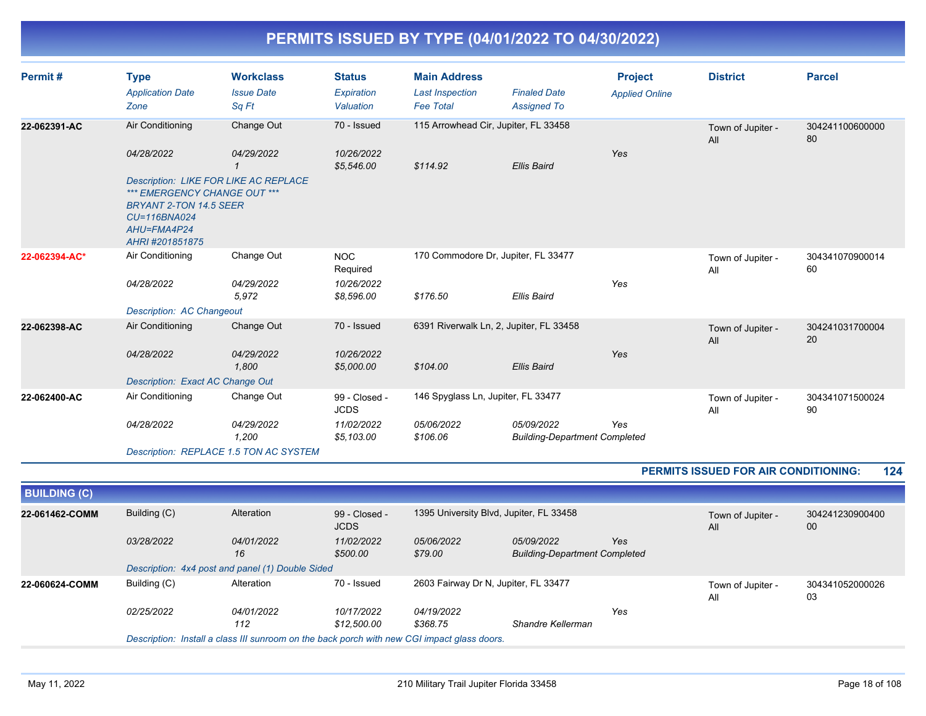| Permit#       | <b>Type</b><br><b>Application Date</b><br>Zone                                                          | <b>Workclass</b><br><b>Issue Date</b><br>Sq Ft | <b>Status</b><br>Expiration<br>Valuation | <b>Main Address</b><br><b>Last Inspection</b><br><b>Fee Total</b> | <b>Finaled Date</b><br><b>Assigned To</b>          | <b>Project</b><br><b>Applied Online</b> | <b>District</b>          | <b>Parcel</b>         |
|---------------|---------------------------------------------------------------------------------------------------------|------------------------------------------------|------------------------------------------|-------------------------------------------------------------------|----------------------------------------------------|-----------------------------------------|--------------------------|-----------------------|
| 22-062391-AC  | Air Conditioning                                                                                        | Change Out                                     | 70 - Issued                              | 115 Arrowhead Cir, Jupiter, FL 33458                              |                                                    |                                         | Town of Jupiter -<br>All | 304241100600000<br>80 |
|               | 04/28/2022                                                                                              | 04/29/2022                                     | 10/26/2022<br>\$5,546.00                 | \$114.92                                                          | <b>Ellis Baird</b>                                 | Yes                                     |                          |                       |
|               | *** EMERGENCY CHANGE OUT ***<br>BRYANT 2-TON 14.5 SEER<br>CU=116BNA024<br>AHU=FMA4P24<br>AHRI#201851875 | <b>Description: LIKE FOR LIKE AC REPLACE</b>   |                                          |                                                                   |                                                    |                                         |                          |                       |
| 22-062394-AC* | Air Conditioning                                                                                        | Change Out                                     | <b>NOC</b><br>Required                   | 170 Commodore Dr, Jupiter, FL 33477                               |                                                    |                                         | Town of Jupiter -<br>All | 304341070900014<br>60 |
|               | 04/28/2022                                                                                              | 04/29/2022<br>5,972                            | 10/26/2022<br>\$8,596.00                 | \$176.50                                                          | <b>Ellis Baird</b>                                 | Yes                                     |                          |                       |
|               | <b>Description: AC Changeout</b>                                                                        |                                                |                                          |                                                                   |                                                    |                                         |                          |                       |
| 22-062398-AC  | Air Conditioning                                                                                        | Change Out                                     | 70 - Issued                              |                                                                   | 6391 Riverwalk Ln, 2, Jupiter, FL 33458            |                                         | Town of Jupiter -<br>All | 304241031700004<br>20 |
|               | 04/28/2022                                                                                              | 04/29/2022<br>1,800                            | 10/26/2022<br>\$5,000.00                 | \$104.00                                                          | <b>Ellis Baird</b>                                 | Yes                                     |                          |                       |
|               | Description: Exact AC Change Out                                                                        |                                                |                                          |                                                                   |                                                    |                                         |                          |                       |
| 22-062400-AC  | Air Conditioning                                                                                        | Change Out                                     | 99 - Closed -<br><b>JCDS</b>             | 146 Spyglass Ln, Jupiter, FL 33477                                |                                                    |                                         | Town of Jupiter -<br>All | 304341071500024<br>90 |
|               | 04/28/2022                                                                                              | 04/29/2022<br>1,200                            | 11/02/2022<br>\$5,103.00                 | 05/06/2022<br>\$106.06                                            | 05/09/2022<br><b>Building-Department Completed</b> | Yes                                     |                          |                       |
|               |                                                                                                         | Description: REPLACE 1.5 TON AC SYSTEM         |                                          |                                                                   |                                                    |                                         |                          |                       |

#### **PERMITS ISSUED FOR AIR CONDITIONING: 124**

| Building (C)<br>1395 University Blvd, Jupiter, FL 33458<br>Alteration<br>99 - Closed -<br>22-061462-COMM<br>304241230900400<br>Town of Jupiter -         |  |
|----------------------------------------------------------------------------------------------------------------------------------------------------------|--|
| <b>JCDS</b><br>00<br>All                                                                                                                                 |  |
| 11/02/2022<br>03/28/2022<br>04/01/2022<br>Yes<br><i>05/06/2022</i><br>05/09/2022<br>16<br>\$500.00<br>\$79.00<br><b>Building-Department Completed</b>    |  |
| Description: 4x4 post and panel (1) Double Sided                                                                                                         |  |
| 2603 Fairway Dr N, Jupiter, FL 33477<br>Building (C)<br>70 - Issued<br>Alteration<br>22-060624-COMM<br>304341052000026<br>Town of Jupiter -<br>03<br>All |  |
| Yes<br>04/01/2022<br><i>02/25/2022</i><br>10/17/2022<br>04/19/2022<br>\$12,500.00<br>\$368.75<br>Shandre Kellerman<br>112                                |  |
| Description: Install a class III sunroom on the back porch with new CGI impact glass doors.                                                              |  |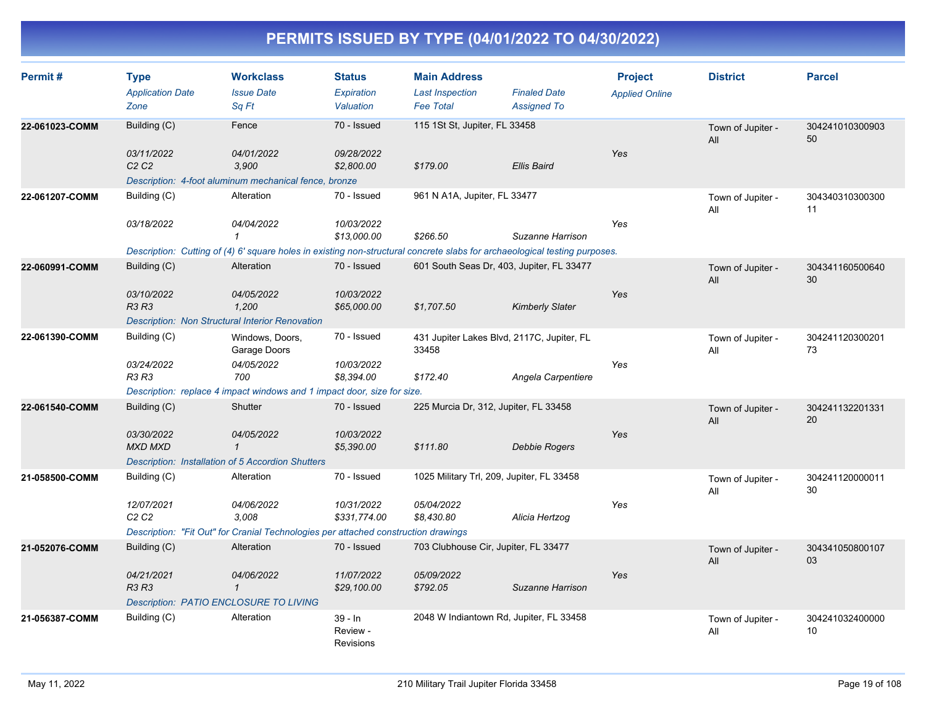| Permit#        | <b>Type</b><br><b>Application Date</b><br>Zone | <b>Workclass</b><br><b>Issue Date</b><br>Sq Ft                                                                             | <b>Status</b><br>Expiration<br>Valuation  | <b>Main Address</b><br><b>Last Inspection</b><br><b>Fee Total</b> | <b>Finaled Date</b><br><b>Assigned To</b> | <b>Project</b><br><b>Applied Online</b> | <b>District</b>          | <b>Parcel</b>         |
|----------------|------------------------------------------------|----------------------------------------------------------------------------------------------------------------------------|-------------------------------------------|-------------------------------------------------------------------|-------------------------------------------|-----------------------------------------|--------------------------|-----------------------|
| 22-061023-COMM | Building (C)                                   | Fence                                                                                                                      | 70 - Issued                               | 115 1St St, Jupiter, FL 33458                                     |                                           |                                         | Town of Jupiter -<br>All | 304241010300903<br>50 |
|                | 03/11/2022<br>C2C2                             | 04/01/2022<br>3.900<br>Description: 4-foot aluminum mechanical fence, bronze                                               | 09/28/2022<br>\$2,800.00                  | \$179.00                                                          | <b>Ellis Baird</b>                        | Yes                                     |                          |                       |
| 22-061207-COMM | Building (C)                                   | Alteration                                                                                                                 | 70 - Issued                               | 961 N A1A, Jupiter, FL 33477                                      |                                           |                                         | Town of Jupiter -<br>All | 304340310300300<br>11 |
|                | 03/18/2022                                     | 04/04/2022<br>$\mathcal I$                                                                                                 | 10/03/2022<br>\$13,000.00                 | \$266.50                                                          | Suzanne Harrison                          | Yes                                     |                          |                       |
|                |                                                | Description: Cutting of (4) 6' square holes in existing non-structural concrete slabs for archaeological testing purposes. |                                           |                                                                   |                                           |                                         |                          |                       |
| 22-060991-COMM | Building (C)                                   | Alteration                                                                                                                 | 70 - Issued                               | 601 South Seas Dr, 403, Jupiter, FL 33477                         |                                           |                                         | Town of Jupiter -<br>All | 304341160500640<br>30 |
|                | 03/10/2022<br>R3 R3                            | 04/05/2022<br>1,200                                                                                                        | 10/03/2022<br>\$65,000.00                 | \$1,707.50                                                        | <b>Kimberly Slater</b>                    | Yes                                     |                          |                       |
|                |                                                | Description: Non Structural Interior Renovation                                                                            |                                           |                                                                   |                                           |                                         |                          |                       |
| 22-061390-COMM | Building (C)                                   | Windows, Doors,<br>Garage Doors                                                                                            | 70 - Issued                               | 431 Jupiter Lakes Blvd, 2117C, Jupiter, FL<br>33458               |                                           |                                         | Town of Jupiter -<br>All | 304241120300201<br>73 |
|                | 03/24/2022<br><b>R3 R3</b>                     | 04/05/2022<br>700                                                                                                          | 10/03/2022<br>\$8,394.00                  | \$172.40                                                          | Angela Carpentiere                        | Yes                                     |                          |                       |
|                |                                                | Description: replace 4 impact windows and 1 impact door, size for size.                                                    |                                           |                                                                   |                                           |                                         |                          |                       |
| 22-061540-COMM | Building (C)                                   | Shutter                                                                                                                    | 70 - Issued                               | 225 Murcia Dr, 312, Jupiter, FL 33458                             |                                           |                                         | Town of Jupiter -<br>All | 304241132201331<br>20 |
|                | 03/30/2022<br><b>MXD MXD</b>                   | 04/05/2022<br>$\mathbf{1}$                                                                                                 | 10/03/2022<br>\$5,390.00                  | \$111.80                                                          | <b>Debbie Rogers</b>                      | Yes                                     |                          |                       |
|                |                                                | <b>Description: Installation of 5 Accordion Shutters</b>                                                                   |                                           |                                                                   |                                           |                                         |                          |                       |
| 21-058500-COMM | Building (C)                                   | Alteration                                                                                                                 | 70 - Issued                               | 1025 Military Trl, 209, Jupiter, FL 33458                         |                                           |                                         | Town of Jupiter -<br>All | 304241120000011<br>30 |
|                | 12/07/2021<br>C2C2                             | 04/06/2022<br>3,008                                                                                                        | 10/31/2022<br>\$331,774.00                | 05/04/2022<br>\$8,430.80                                          | Alicia Hertzog                            | Yes                                     |                          |                       |
|                |                                                | Description: "Fit Out" for Cranial Technologies per attached construction drawings                                         |                                           |                                                                   |                                           |                                         |                          |                       |
| 21-052076-COMM | Building (C)                                   | Alteration                                                                                                                 | 70 - Issued                               | 703 Clubhouse Cir, Jupiter, FL 33477                              |                                           |                                         | Town of Jupiter -<br>All | 304341050800107<br>03 |
|                | 04/21/2021<br><b>R3 R3</b>                     | 04/06/2022<br>$\mathcal{I}$                                                                                                | 11/07/2022<br>\$29,100.00                 | 05/09/2022<br>\$792.05                                            | Suzanne Harrison                          | Yes                                     |                          |                       |
|                | <b>Description: PATIO ENCLOSURE TO LIVING</b>  |                                                                                                                            |                                           |                                                                   |                                           |                                         |                          |                       |
| 21-056387-COMM | Building (C)                                   | Alteration                                                                                                                 | $39 - In$<br>Review -<br><b>Revisions</b> | 2048 W Indiantown Rd, Jupiter, FL 33458                           |                                           |                                         | Town of Jupiter -<br>All | 304241032400000<br>10 |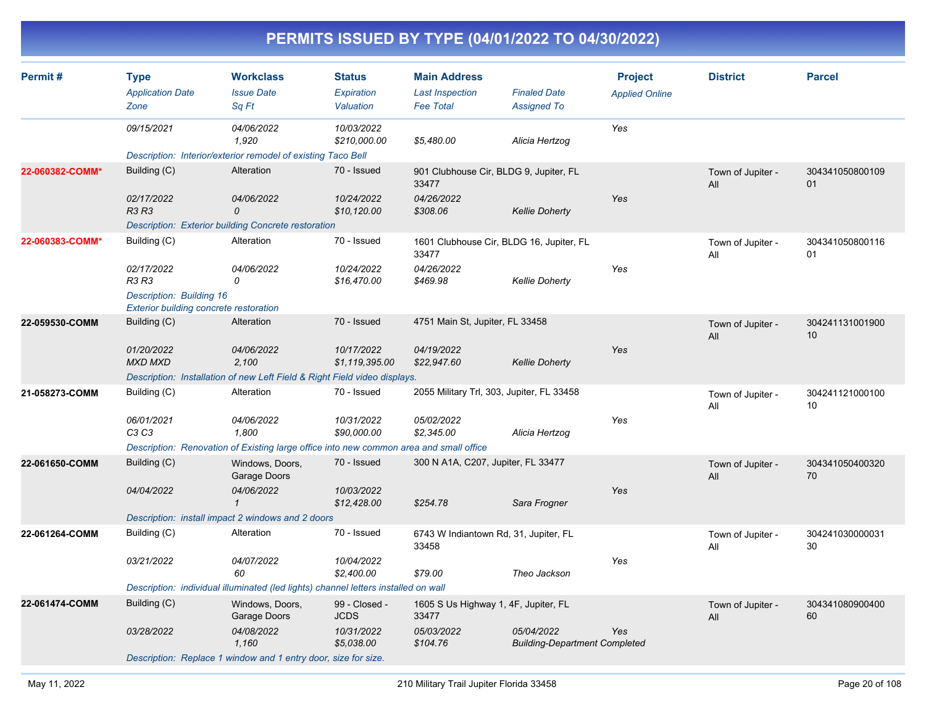| Permit#         | <b>Type</b><br><b>Application Date</b><br>Zone                            | <b>Workclass</b><br><b>Issue Date</b><br>Sq Ft                                         | <b>Status</b><br>Expiration<br>Valuation | <b>Main Address</b><br><b>Last Inspection</b><br><b>Fee Total</b> | <b>Finaled Date</b><br><b>Assigned To</b>          | <b>Project</b><br><b>Applied Online</b> | <b>District</b>          | <b>Parcel</b>         |
|-----------------|---------------------------------------------------------------------------|----------------------------------------------------------------------------------------|------------------------------------------|-------------------------------------------------------------------|----------------------------------------------------|-----------------------------------------|--------------------------|-----------------------|
|                 | 09/15/2021                                                                | 04/06/2022<br>1,920                                                                    | 10/03/2022<br>\$210,000.00               | \$5,480.00                                                        | Alicia Hertzog                                     | Yes                                     |                          |                       |
|                 |                                                                           | Description: Interior/exterior remodel of existing Taco Bell                           |                                          |                                                                   |                                                    |                                         |                          |                       |
| 22-060382-COMM* | Building (C)                                                              | Alteration                                                                             | 70 - Issued                              | 901 Clubhouse Cir, BLDG 9, Jupiter, FL<br>33477                   |                                                    |                                         | Town of Jupiter -<br>All | 304341050800109<br>01 |
|                 | 02/17/2022<br><b>R3 R3</b>                                                | 04/06/2022<br>0                                                                        | 10/24/2022<br>\$10,120.00                | 04/26/2022<br>\$308.06                                            | <b>Kellie Doherty</b>                              | Yes                                     |                          |                       |
|                 |                                                                           | Description: Exterior building Concrete restoration                                    |                                          |                                                                   |                                                    |                                         |                          |                       |
| 22-060383-COMM* | Building (C)                                                              | Alteration                                                                             | 70 - Issued                              | 1601 Clubhouse Cir, BLDG 16, Jupiter, FL<br>33477                 |                                                    |                                         | Town of Jupiter -<br>All | 304341050800116<br>01 |
|                 | 02/17/2022<br>R3 R3                                                       | 04/06/2022<br>0                                                                        | 10/24/2022<br>\$16,470.00                | 04/26/2022<br>\$469.98                                            | <b>Kellie Doherty</b>                              | Yes                                     |                          |                       |
|                 | <b>Description: Building 16</b><br>Exterior building concrete restoration |                                                                                        |                                          |                                                                   |                                                    |                                         |                          |                       |
| 22-059530-COMM  | Building (C)                                                              | Alteration                                                                             | 70 - Issued                              | 4751 Main St, Jupiter, FL 33458                                   |                                                    |                                         | Town of Jupiter -<br>All | 304241131001900<br>10 |
|                 | 01/20/2022<br><b>MXD MXD</b>                                              | 04/06/2022<br>2,100                                                                    | 10/17/2022<br>\$1,119,395.00             | 04/19/2022<br>\$22,947.60                                         | <b>Kellie Doherty</b>                              | Yes                                     |                          |                       |
|                 |                                                                           | Description: Installation of new Left Field & Right Field video displays.              |                                          |                                                                   |                                                    |                                         |                          |                       |
| 21-058273-COMM  | Building (C)                                                              | Alteration                                                                             | 70 - Issued                              | 2055 Military Trl, 303, Jupiter, FL 33458                         |                                                    |                                         | Town of Jupiter -<br>All | 304241121000100<br>10 |
|                 | 06/01/2021<br>C <sub>3</sub> C <sub>3</sub>                               | 04/06/2022<br>1,800                                                                    | 10/31/2022<br>\$90,000.00                | 05/02/2022<br>\$2,345.00                                          | Alicia Hertzog                                     | Yes                                     |                          |                       |
|                 |                                                                           | Description: Renovation of Existing large office into new common area and small office |                                          |                                                                   |                                                    |                                         |                          |                       |
| 22-061650-COMM  | Building (C)                                                              | Windows, Doors,<br>Garage Doors                                                        | 70 - Issued                              | 300 N A1A, C207, Jupiter, FL 33477                                |                                                    |                                         | Town of Jupiter -<br>All | 304341050400320<br>70 |
|                 | 04/04/2022                                                                | 04/06/2022<br>$\mathbf{1}$                                                             | 10/03/2022<br>\$12,428.00                | \$254.78                                                          | Sara Frogner                                       | Yes                                     |                          |                       |
|                 |                                                                           | Description: install impact 2 windows and 2 doors                                      |                                          |                                                                   |                                                    |                                         |                          |                       |
| 22-061264-COMM  | Building (C)                                                              | Alteration                                                                             | 70 - Issued                              | 6743 W Indiantown Rd, 31, Jupiter, FL<br>33458                    |                                                    |                                         | Town of Jupiter -<br>All | 304241030000031<br>30 |
|                 | 03/21/2022                                                                | 04/07/2022<br>60                                                                       | 10/04/2022<br>\$2,400.00                 | \$79.00                                                           | Theo Jackson                                       | Yes                                     |                          |                       |
|                 |                                                                           | Description: individual illuminated (led lights) channel letters installed on wall     |                                          |                                                                   |                                                    |                                         |                          |                       |
| 22-061474-COMM  | Building (C)                                                              | Windows, Doors,<br>Garage Doors                                                        | 99 - Closed -<br><b>JCDS</b>             | 1605 S Us Highway 1, 4F, Jupiter, FL<br>33477                     |                                                    |                                         | Town of Jupiter -<br>All | 304341080900400<br>60 |
|                 | 03/28/2022                                                                | 04/08/2022<br>1,160                                                                    | 10/31/2022<br>\$5,038.00                 | 05/03/2022<br>\$104.76                                            | 05/04/2022<br><b>Building-Department Completed</b> | Yes                                     |                          |                       |
|                 |                                                                           | Description: Replace 1 window and 1 entry door, size for size.                         |                                          |                                                                   |                                                    |                                         |                          |                       |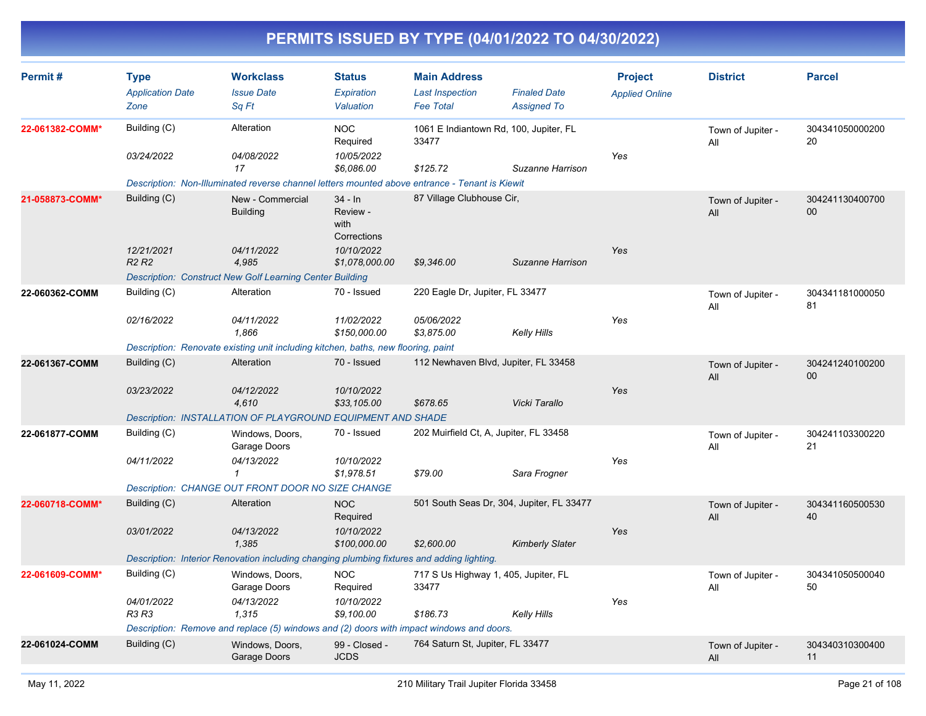| Permit#         | <b>Type</b><br><b>Application Date</b><br>Zone | <b>Workclass</b><br><b>Issue Date</b><br>Sq Ft                                                                                        | <b>Status</b><br>Expiration<br>Valuation     | <b>Main Address</b><br><b>Last Inspection</b><br><b>Fee Total</b> | <b>Finaled Date</b><br><b>Assigned To</b> | <b>Project</b><br><b>Applied Online</b> | <b>District</b>          | <b>Parcel</b>         |
|-----------------|------------------------------------------------|---------------------------------------------------------------------------------------------------------------------------------------|----------------------------------------------|-------------------------------------------------------------------|-------------------------------------------|-----------------------------------------|--------------------------|-----------------------|
| 22-061382-COMM* | Building (C)                                   | Alteration                                                                                                                            | <b>NOC</b><br>Required                       | 33477                                                             | 1061 E Indiantown Rd, 100, Jupiter, FL    |                                         | Town of Jupiter -<br>All | 304341050000200<br>20 |
|                 | 03/24/2022                                     | 04/08/2022<br>17                                                                                                                      | 10/05/2022<br>\$6,086.00                     | \$125.72                                                          | Suzanne Harrison                          | Yes                                     |                          |                       |
| 21-058873-COMM* | Building (C)                                   | Description: Non-Illuminated reverse channel letters mounted above entrance - Tenant is Kiewit<br>New - Commercial<br><b>Building</b> | $34 - In$<br>Review -<br>with<br>Corrections | 87 Village Clubhouse Cir,                                         |                                           |                                         | Town of Jupiter -<br>All | 304241130400700<br>00 |
|                 | 12/21/2021<br>R <sub>2</sub> R <sub>2</sub>    | 04/11/2022<br>4,985                                                                                                                   | 10/10/2022<br>\$1,078,000.00                 | \$9,346.00                                                        | Suzanne Harrison                          | Yes                                     |                          |                       |
| 22-060362-COMM  | Building (C)                                   | <b>Description: Construct New Golf Learning Center Building</b><br>Alteration                                                         | 70 - Issued                                  | 220 Eagle Dr, Jupiter, FL 33477                                   |                                           |                                         | Town of Jupiter -        | 304341181000050       |
|                 |                                                |                                                                                                                                       |                                              |                                                                   |                                           |                                         | All                      | 81                    |
|                 | 02/16/2022                                     | 04/11/2022<br>1.866                                                                                                                   | 11/02/2022<br>\$150,000.00                   | 05/06/2022<br>\$3,875.00                                          | <b>Kelly Hills</b>                        | Yes                                     |                          |                       |
|                 |                                                | Description: Renovate existing unit including kitchen, baths, new flooring, paint                                                     |                                              |                                                                   |                                           |                                         |                          |                       |
| 22-061367-COMM  | Building (C)                                   | Alteration                                                                                                                            | 70 - Issued                                  |                                                                   | 112 Newhaven Blvd, Jupiter, FL 33458      |                                         | Town of Jupiter -<br>All | 304241240100200<br>00 |
|                 | 03/23/2022                                     | 04/12/2022<br>4,610                                                                                                                   | 10/10/2022<br>\$33,105.00                    | \$678.65                                                          | Vicki Tarallo                             | Yes                                     |                          |                       |
|                 |                                                | Description: INSTALLATION OF PLAYGROUND EQUIPMENT AND SHADE                                                                           |                                              |                                                                   |                                           |                                         |                          |                       |
| 22-061877-COMM  | Building (C)                                   | Windows, Doors,<br>Garage Doors                                                                                                       | 70 - Issued                                  | 202 Muirfield Ct, A, Jupiter, FL 33458                            |                                           |                                         | Town of Jupiter -<br>All | 304241103300220<br>21 |
|                 | 04/11/2022                                     | 04/13/2022<br>1                                                                                                                       | 10/10/2022<br>\$1,978.51                     | \$79.00                                                           | Sara Frogner                              | Yes                                     |                          |                       |
|                 |                                                | <b>Description: CHANGE OUT FRONT DOOR NO SIZE CHANGE</b>                                                                              |                                              |                                                                   |                                           |                                         |                          |                       |
| 22-060718-COMM* | Building (C)                                   | Alteration                                                                                                                            | <b>NOC</b><br>Required                       |                                                                   | 501 South Seas Dr, 304, Jupiter, FL 33477 |                                         | Town of Jupiter -<br>All | 304341160500530<br>40 |
|                 | 03/01/2022                                     | 04/13/2022<br>1.385                                                                                                                   | 10/10/2022<br>\$100,000.00                   | \$2,600.00                                                        | <b>Kimberly Slater</b>                    | Yes                                     |                          |                       |
|                 |                                                | Description: Interior Renovation including changing plumbing fixtures and adding lighting.                                            |                                              |                                                                   |                                           |                                         |                          |                       |
| 22-061609-COMM* | Building (C)                                   | Windows, Doors,<br>Garage Doors                                                                                                       | <b>NOC</b><br>Required                       | 717 S Us Highway 1, 405, Jupiter, FL<br>33477                     |                                           |                                         | Town of Jupiter -<br>All | 304341050500040<br>50 |
|                 | 04/01/2022<br><b>R3 R3</b>                     | 04/13/2022<br>1.315                                                                                                                   | 10/10/2022<br>\$9,100.00                     | \$186.73                                                          | <b>Kelly Hills</b>                        | Yes                                     |                          |                       |
|                 |                                                | Description: Remove and replace (5) windows and (2) doors with impact windows and doors.                                              |                                              |                                                                   |                                           |                                         |                          |                       |
| 22-061024-COMM  | Building (C)                                   | Windows, Doors,<br>Garage Doors                                                                                                       | 99 - Closed -<br><b>JCDS</b>                 | 764 Saturn St, Jupiter, FL 33477                                  |                                           |                                         | Town of Jupiter -<br>All | 304340310300400<br>11 |
|                 |                                                |                                                                                                                                       |                                              |                                                                   |                                           |                                         |                          |                       |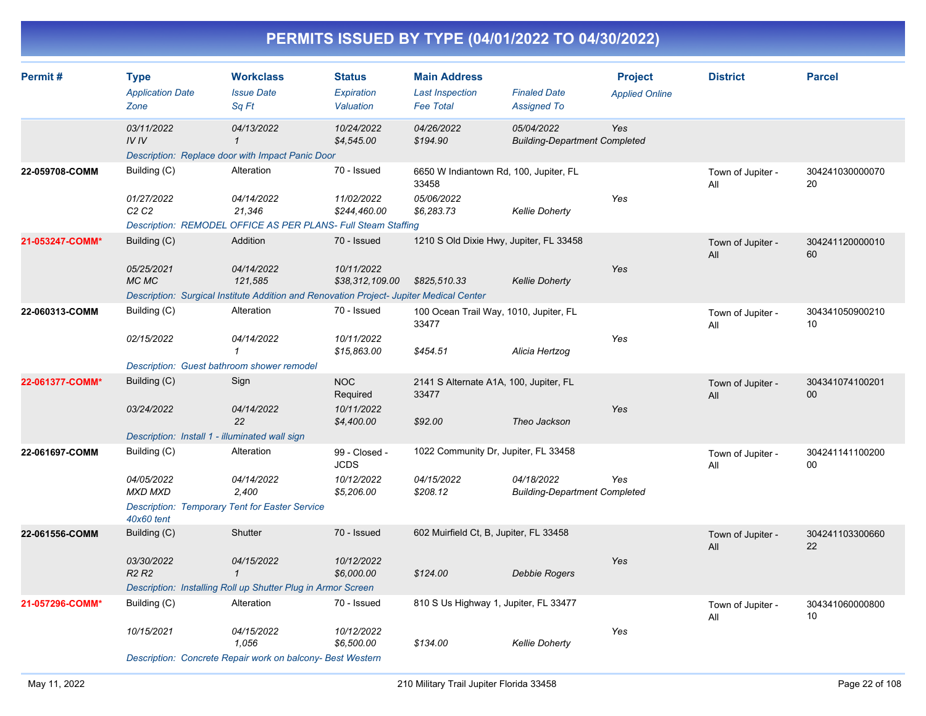| Permit#         | <b>Type</b><br><b>Application Date</b><br>Zone | <b>Workclass</b><br><b>Issue Date</b><br>Sa Ft                                          | <b>Status</b><br>Expiration<br>Valuation | <b>Main Address</b><br><b>Last Inspection</b><br><b>Fee Total</b> | <b>Finaled Date</b><br><b>Assigned To</b>          | <b>Project</b><br><b>Applied Online</b> | <b>District</b>          | <b>Parcel</b>         |
|-----------------|------------------------------------------------|-----------------------------------------------------------------------------------------|------------------------------------------|-------------------------------------------------------------------|----------------------------------------------------|-----------------------------------------|--------------------------|-----------------------|
|                 | 03/11/2022<br>IVIV                             | 04/13/2022<br>$\mathbf{1}$                                                              | 10/24/2022<br>\$4,545.00                 | 04/26/2022<br>\$194.90                                            | 05/04/2022<br><b>Building-Department Completed</b> | Yes                                     |                          |                       |
| 22-059708-COMM  | Building (C)                                   | Description: Replace door with Impact Panic Door<br>Alteration                          | 70 - Issued                              | 6650 W Indiantown Rd, 100, Jupiter, FL<br>33458                   |                                                    |                                         | Town of Jupiter -        | 304241030000070<br>20 |
|                 | 01/27/2022<br>C2C2                             | 04/14/2022<br>21,346                                                                    | 11/02/2022<br>\$244,460.00               | 05/06/2022<br>\$6,283.73                                          | <b>Kellie Doherty</b>                              | Yes                                     | All                      |                       |
|                 |                                                | Description: REMODEL OFFICE AS PER PLANS- Full Steam Staffing                           |                                          |                                                                   |                                                    |                                         |                          |                       |
| 21-053247-COMM* | Building (C)                                   | Addition                                                                                | 70 - Issued                              | 1210 S Old Dixie Hwy, Jupiter, FL 33458                           |                                                    |                                         | Town of Jupiter -<br>All | 304241120000010<br>60 |
|                 | 05/25/2021<br>MC MC                            | 04/14/2022<br>121,585                                                                   | 10/11/2022<br>\$38,312,109.00            | \$825,510.33                                                      | <b>Kellie Doherty</b>                              | Yes                                     |                          |                       |
|                 |                                                | Description: Surgical Institute Addition and Renovation Project- Jupiter Medical Center |                                          |                                                                   |                                                    |                                         |                          |                       |
| 22-060313-COMM  | Building (C)                                   | Alteration                                                                              | 70 - Issued                              | 100 Ocean Trail Way, 1010, Jupiter, FL<br>33477                   |                                                    |                                         | Town of Jupiter -<br>All | 304341050900210<br>10 |
|                 | 02/15/2022                                     | 04/14/2022<br>$\mathbf{1}$                                                              | 10/11/2022<br>\$15,863.00                | \$454.51                                                          | Alicia Hertzog                                     | Yes                                     |                          |                       |
|                 | Description: Guest bathroom shower remodel     |                                                                                         |                                          |                                                                   |                                                    |                                         |                          |                       |
| 22-061377-COMM* | Building (C)                                   | Sign                                                                                    | <b>NOC</b><br>Required                   | 2141 S Alternate A1A, 100, Jupiter, FL<br>33477                   |                                                    |                                         | Town of Jupiter -<br>All | 304341074100201<br>00 |
|                 | 03/24/2022                                     | 04/14/2022<br>22                                                                        | 10/11/2022<br>\$4,400.00                 | \$92.00                                                           | Theo Jackson                                       | Yes                                     |                          |                       |
|                 | Description: Install 1 - illuminated wall sign |                                                                                         |                                          |                                                                   |                                                    |                                         |                          |                       |
| 22-061697-COMM  | Building (C)                                   | Alteration                                                                              | 99 - Closed -<br><b>JCDS</b>             | 1022 Community Dr, Jupiter, FL 33458                              |                                                    |                                         | Town of Jupiter -<br>All | 304241141100200<br>00 |
|                 | 04/05/2022<br><b>MXD MXD</b>                   | 04/14/2022<br>2.400                                                                     | 10/12/2022<br>\$5,206.00                 | 04/15/2022<br>\$208.12                                            | 04/18/2022<br><b>Building-Department Completed</b> | Yes                                     |                          |                       |
|                 | 40x60 tent                                     | <b>Description: Temporary Tent for Easter Service</b>                                   |                                          |                                                                   |                                                    |                                         |                          |                       |
| 22-061556-COMM  | Building (C)                                   | Shutter                                                                                 | 70 - Issued                              | 602 Muirfield Ct, B, Jupiter, FL 33458                            |                                                    |                                         | Town of Jupiter -<br>All | 304241103300660<br>22 |
|                 | 03/30/2022<br><b>R2 R2</b>                     | 04/15/2022<br>$\mathbf{1}$                                                              | 10/12/2022<br>\$6,000.00                 | \$124.00                                                          | <b>Debbie Rogers</b>                               | Yes                                     |                          |                       |
|                 |                                                | Description: Installing Roll up Shutter Plug in Armor Screen                            |                                          |                                                                   |                                                    |                                         |                          |                       |
| 21-057296-COMM* | Building (C)                                   | Alteration                                                                              | 70 - Issued                              | 810 S Us Highway 1, Jupiter, FL 33477                             |                                                    |                                         | Town of Jupiter -<br>All | 304341060000800<br>10 |
|                 | 10/15/2021                                     | 04/15/2022<br>1,056                                                                     | 10/12/2022<br>\$6,500.00                 | \$134.00                                                          | Kellie Doherty                                     | Yes                                     |                          |                       |
|                 |                                                | Description: Concrete Repair work on balcony- Best Western                              |                                          |                                                                   |                                                    |                                         |                          |                       |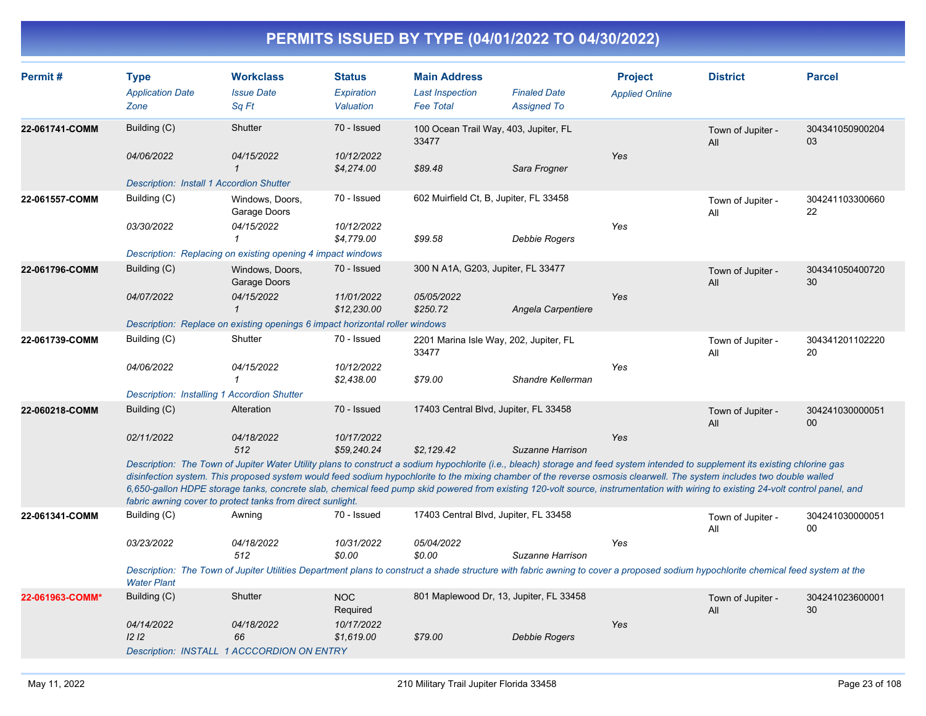| Permit#         | <b>Type</b><br><b>Application Date</b><br>Zone     | <b>Workclass</b><br><b>Issue Date</b><br>Sq Ft                                                                                                                                                                                                                                                                                                                                                                                                                                                                                                                                                               | <b>Status</b><br>Expiration<br>Valuation | <b>Main Address</b><br><b>Last Inspection</b><br><b>Fee Total</b> | <b>Finaled Date</b><br><b>Assigned To</b> | <b>Project</b><br><b>Applied Online</b> | <b>District</b>          | <b>Parcel</b>                      |
|-----------------|----------------------------------------------------|--------------------------------------------------------------------------------------------------------------------------------------------------------------------------------------------------------------------------------------------------------------------------------------------------------------------------------------------------------------------------------------------------------------------------------------------------------------------------------------------------------------------------------------------------------------------------------------------------------------|------------------------------------------|-------------------------------------------------------------------|-------------------------------------------|-----------------------------------------|--------------------------|------------------------------------|
| 22-061741-COMM  | Building (C)<br>04/06/2022                         | Shutter<br>04/15/2022                                                                                                                                                                                                                                                                                                                                                                                                                                                                                                                                                                                        | 70 - Issued<br>10/12/2022                | 100 Ocean Trail Way, 403, Jupiter, FL<br>33477                    |                                           | Yes                                     | Town of Jupiter -<br>All | 304341050900204<br>03              |
|                 | <b>Description: Install 1 Accordion Shutter</b>    | $\mathbf{1}$                                                                                                                                                                                                                                                                                                                                                                                                                                                                                                                                                                                                 | \$4,274.00                               | \$89.48                                                           | Sara Frogner                              |                                         |                          |                                    |
| 22-061557-COMM  | Building (C)                                       | Windows, Doors,<br>Garage Doors                                                                                                                                                                                                                                                                                                                                                                                                                                                                                                                                                                              | 70 - Issued                              | 602 Muirfield Ct, B, Jupiter, FL 33458                            |                                           |                                         | Town of Jupiter -<br>All | 304241103300660<br>22              |
|                 | 03/30/2022                                         | 04/15/2022<br>1                                                                                                                                                                                                                                                                                                                                                                                                                                                                                                                                                                                              | 10/12/2022<br>\$4,779.00                 | \$99.58                                                           | Debbie Rogers                             | Yes                                     |                          |                                    |
|                 |                                                    | Description: Replacing on existing opening 4 impact windows                                                                                                                                                                                                                                                                                                                                                                                                                                                                                                                                                  |                                          |                                                                   |                                           |                                         |                          |                                    |
| 22-061796-COMM  | Building (C)                                       | Windows, Doors,<br>Garage Doors                                                                                                                                                                                                                                                                                                                                                                                                                                                                                                                                                                              | 70 - Issued                              | 300 N A1A, G203, Jupiter, FL 33477                                |                                           |                                         | Town of Jupiter -<br>All | 304341050400720<br>30              |
|                 | 04/07/2022                                         | 04/15/2022<br>$\mathbf{1}$                                                                                                                                                                                                                                                                                                                                                                                                                                                                                                                                                                                   | 11/01/2022<br>\$12,230.00                | 05/05/2022<br>\$250.72                                            | Angela Carpentiere                        | Yes                                     |                          |                                    |
|                 |                                                    | Description: Replace on existing openings 6 impact horizontal roller windows                                                                                                                                                                                                                                                                                                                                                                                                                                                                                                                                 |                                          |                                                                   |                                           |                                         |                          |                                    |
| 22-061739-COMM  | Building (C)                                       | Shutter                                                                                                                                                                                                                                                                                                                                                                                                                                                                                                                                                                                                      | 70 - Issued                              | 2201 Marina Isle Way, 202, Jupiter, FL<br>33477                   |                                           |                                         | Town of Jupiter -<br>All | 304341201102220<br>20              |
|                 | 04/06/2022                                         | 04/15/2022<br>$\mathbf{1}$                                                                                                                                                                                                                                                                                                                                                                                                                                                                                                                                                                                   | 10/12/2022<br>\$2,438.00                 | \$79.00                                                           | Shandre Kellerman                         | Yes                                     |                          |                                    |
|                 | <b>Description: Installing 1 Accordion Shutter</b> |                                                                                                                                                                                                                                                                                                                                                                                                                                                                                                                                                                                                              |                                          |                                                                   |                                           |                                         |                          |                                    |
| 22-060218-COMM  | Building (C)                                       | Alteration                                                                                                                                                                                                                                                                                                                                                                                                                                                                                                                                                                                                   | 70 - Issued                              | 17403 Central Blvd, Jupiter, FL 33458                             |                                           |                                         | Town of Jupiter -<br>All | 304241030000051<br>00 <sub>0</sub> |
|                 | 02/11/2022                                         | 04/18/2022<br>512                                                                                                                                                                                                                                                                                                                                                                                                                                                                                                                                                                                            | 10/17/2022<br>\$59,240.24                | \$2,129.42                                                        | Suzanne Harrison                          | Yes                                     |                          |                                    |
|                 |                                                    | Description: The Town of Jupiter Water Utility plans to construct a sodium hypochlorite (i.e., bleach) storage and feed system intended to supplement its existing chlorine gas<br>disinfection system. This proposed system would feed sodium hypochlorite to the mixing chamber of the reverse osmosis clearwell. The system includes two double walled<br>6,650-gallon HDPE storage tanks, concrete slab, chemical feed pump skid powered from existing 120-volt source, instrumentation with wiring to existing 24-volt control panel, and<br>fabric awning cover to protect tanks from direct sunlight. |                                          |                                                                   |                                           |                                         |                          |                                    |
| 22-061341-COMM  | Building (C)                                       | Awning                                                                                                                                                                                                                                                                                                                                                                                                                                                                                                                                                                                                       | 70 - Issued                              | 17403 Central Blvd, Jupiter, FL 33458                             |                                           |                                         | Town of Jupiter -<br>All | 304241030000051<br>00              |
|                 | 03/23/2022                                         | 04/18/2022<br>512                                                                                                                                                                                                                                                                                                                                                                                                                                                                                                                                                                                            | 10/31/2022<br>\$0.00                     | 05/04/2022<br>\$0.00                                              | Suzanne Harrison                          | Yes                                     |                          |                                    |
|                 | <b>Water Plant</b>                                 | Description: The Town of Jupiter Utilities Department plans to construct a shade structure with fabric awning to cover a proposed sodium hypochlorite chemical feed system at the                                                                                                                                                                                                                                                                                                                                                                                                                            |                                          |                                                                   |                                           |                                         |                          |                                    |
| 22-061963-COMM* | Building (C)                                       | Shutter                                                                                                                                                                                                                                                                                                                                                                                                                                                                                                                                                                                                      | <b>NOC</b><br>Required                   | 801 Maplewood Dr, 13, Jupiter, FL 33458                           |                                           |                                         | Town of Jupiter -<br>All | 304241023600001<br>30              |
|                 | 04/14/2022<br>12 <sub>12</sub>                     | 04/18/2022<br>66                                                                                                                                                                                                                                                                                                                                                                                                                                                                                                                                                                                             | 10/17/2022<br>\$1,619.00                 | \$79.00                                                           | Debbie Rogers                             | Yes                                     |                          |                                    |
|                 |                                                    | Description: INSTALL 1 ACCCORDION ON ENTRY                                                                                                                                                                                                                                                                                                                                                                                                                                                                                                                                                                   |                                          |                                                                   |                                           |                                         |                          |                                    |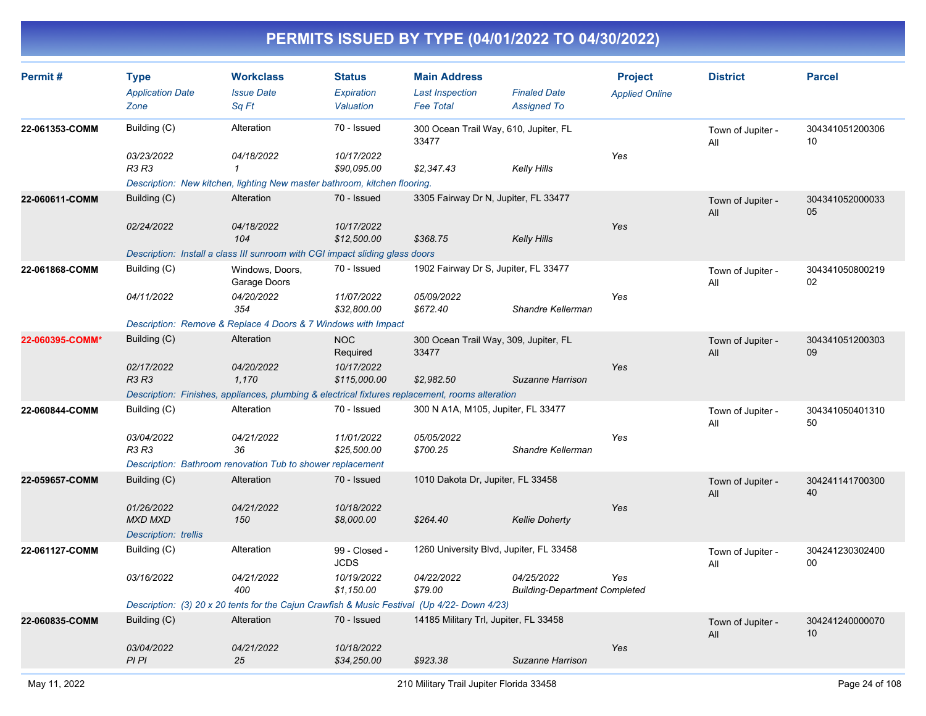| Permit#         | <b>Type</b><br><b>Application Date</b><br>Zone              | <b>Workclass</b><br><b>Issue Date</b><br>Sq Ft                                                  | <b>Status</b><br><b>Expiration</b><br>Valuation | <b>Main Address</b><br><b>Last Inspection</b><br><b>Fee Total</b> | <b>Finaled Date</b><br><b>Assigned To</b>          | <b>Project</b><br><b>Applied Online</b> | <b>District</b>          | <b>Parcel</b>         |
|-----------------|-------------------------------------------------------------|-------------------------------------------------------------------------------------------------|-------------------------------------------------|-------------------------------------------------------------------|----------------------------------------------------|-----------------------------------------|--------------------------|-----------------------|
| 22-061353-COMM  | Building (C)                                                | Alteration                                                                                      | 70 - Issued                                     | 300 Ocean Trail Way, 610, Jupiter, FL<br>33477                    |                                                    |                                         | Town of Jupiter -<br>All | 304341051200306<br>10 |
|                 | 03/23/2022<br><b>R3 R3</b>                                  | 04/18/2022<br>$\mathbf{1}$                                                                      | 10/17/2022<br>\$90,095.00                       | \$2,347.43                                                        | <b>Kelly Hills</b>                                 | Yes                                     |                          |                       |
|                 |                                                             | Description: New kitchen, lighting New master bathroom, kitchen flooring.                       |                                                 |                                                                   |                                                    |                                         |                          |                       |
| 22-060611-COMM  | Building (C)                                                | Alteration                                                                                      | 70 - Issued                                     | 3305 Fairway Dr N, Jupiter, FL 33477                              |                                                    |                                         | Town of Jupiter -<br>All | 304341052000033<br>05 |
|                 | 02/24/2022                                                  | 04/18/2022<br>104                                                                               | 10/17/2022<br>\$12,500.00                       | \$368.75                                                          | <b>Kelly Hills</b>                                 | Yes                                     |                          |                       |
|                 |                                                             | Description: Install a class III sunroom with CGI impact sliding glass doors                    |                                                 |                                                                   |                                                    |                                         |                          |                       |
| 22-061868-COMM  | Building (C)                                                | Windows, Doors,<br>Garage Doors                                                                 | 70 - Issued                                     | 1902 Fairway Dr S, Jupiter, FL 33477                              |                                                    |                                         | Town of Jupiter -<br>All | 304341050800219<br>02 |
|                 | 04/11/2022                                                  | 04/20/2022<br>354                                                                               | 11/07/2022<br>\$32,800.00                       | 05/09/2022<br>\$672.40                                            | Shandre Kellerman                                  | Yes                                     |                          |                       |
|                 |                                                             | Description: Remove & Replace 4 Doors & 7 Windows with Impact                                   |                                                 |                                                                   |                                                    |                                         |                          |                       |
| 22-060395-COMM* | Building (C)                                                | Alteration                                                                                      | <b>NOC</b><br>Required                          | 300 Ocean Trail Way, 309, Jupiter, FL<br>33477                    |                                                    |                                         | Town of Jupiter -<br>All | 304341051200303<br>09 |
|                 | 02/17/2022<br><b>R3 R3</b>                                  | 04/20/2022<br>1,170                                                                             | 10/17/2022<br>\$115,000.00                      | \$2,982.50                                                        | Suzanne Harrison                                   | Yes                                     |                          |                       |
|                 |                                                             | Description: Finishes, appliances, plumbing & electrical fixtures replacement, rooms alteration |                                                 |                                                                   |                                                    |                                         |                          |                       |
| 22-060844-COMM  | Building (C)                                                | Alteration                                                                                      | 70 - Issued                                     | 300 N A1A, M105, Jupiter, FL 33477                                |                                                    |                                         | Town of Jupiter -<br>All | 304341050401310<br>50 |
|                 | 03/04/2022<br><b>R3 R3</b>                                  | 04/21/2022<br>36                                                                                | 11/01/2022<br>\$25,500.00                       | 05/05/2022<br>\$700.25                                            | Shandre Kellerman                                  | Yes                                     |                          |                       |
|                 |                                                             | Description: Bathroom renovation Tub to shower replacement                                      |                                                 |                                                                   |                                                    |                                         |                          |                       |
| 22-059657-COMM  | Building (C)                                                | Alteration                                                                                      | 70 - Issued                                     | 1010 Dakota Dr, Jupiter, FL 33458                                 |                                                    |                                         | Town of Jupiter -<br>All | 304241141700300<br>40 |
|                 | 01/26/2022<br><b>MXD MXD</b><br><b>Description:</b> trellis | 04/21/2022<br>150                                                                               | 10/18/2022<br>\$8,000.00                        | \$264.40                                                          | <b>Kellie Doherty</b>                              | Yes                                     |                          |                       |
| 22-061127-COMM  | Building (C)                                                | Alteration                                                                                      | 99 - Closed -<br><b>JCDS</b>                    | 1260 University Blvd, Jupiter, FL 33458                           |                                                    |                                         | Town of Jupiter -<br>All | 304241230302400<br>00 |
|                 | 03/16/2022                                                  | 04/21/2022<br>400                                                                               | 10/19/2022<br>\$1,150.00                        | 04/22/2022<br>\$79.00                                             | 04/25/2022<br><b>Building-Department Completed</b> | Yes                                     |                          |                       |
|                 |                                                             | Description: (3) 20 x 20 tents for the Cajun Crawfish & Music Festival (Up 4/22- Down 4/23)     |                                                 |                                                                   |                                                    |                                         |                          |                       |
| 22-060835-COMM  | Building (C)                                                | Alteration                                                                                      | 70 - Issued                                     | 14185 Military Trl, Jupiter, FL 33458                             |                                                    |                                         | Town of Jupiter -<br>All | 304241240000070<br>10 |
|                 | 03/04/2022<br>PI PI                                         | 04/21/2022<br>25                                                                                | 10/18/2022<br>\$34,250.00                       | \$923.38                                                          | Suzanne Harrison                                   | Yes                                     |                          |                       |
|                 |                                                             |                                                                                                 |                                                 |                                                                   |                                                    |                                         |                          |                       |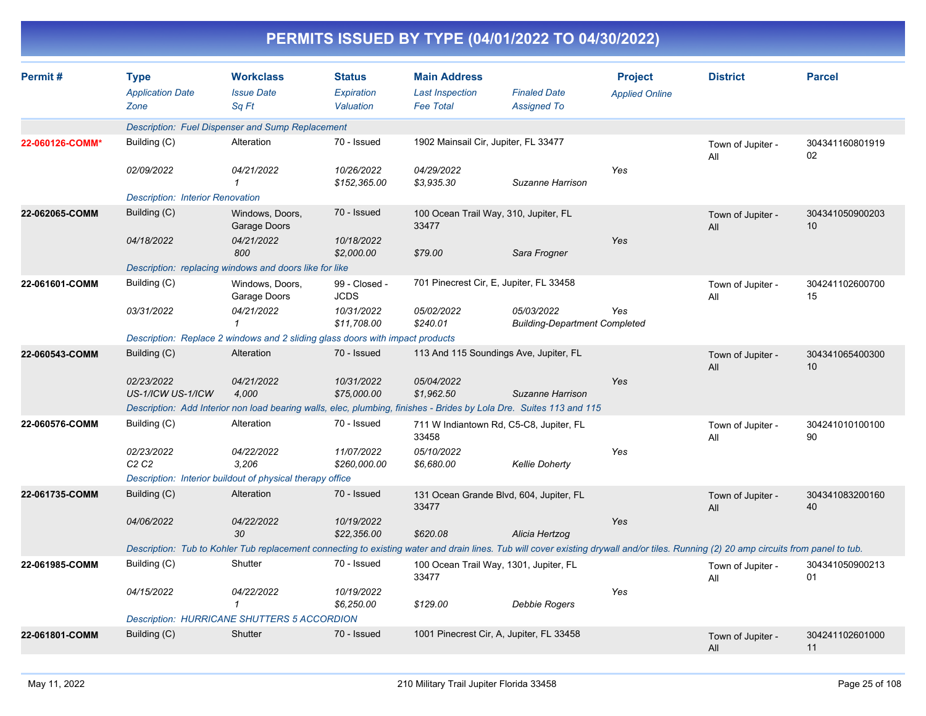| PERMITS ISSUED BY TYPE (04/01/2022 TO 04/30/2022) |                                                |                                                                                                                                                                                       |                                          |                                                                   |                                                    |                                         |                          |                       |  |  |
|---------------------------------------------------|------------------------------------------------|---------------------------------------------------------------------------------------------------------------------------------------------------------------------------------------|------------------------------------------|-------------------------------------------------------------------|----------------------------------------------------|-----------------------------------------|--------------------------|-----------------------|--|--|
| Permit#                                           | <b>Type</b><br><b>Application Date</b><br>Zone | <b>Workclass</b><br><b>Issue Date</b><br>Sq Ft                                                                                                                                        | <b>Status</b><br>Expiration<br>Valuation | <b>Main Address</b><br><b>Last Inspection</b><br><b>Fee Total</b> | <b>Finaled Date</b><br><b>Assigned To</b>          | <b>Project</b><br><b>Applied Online</b> | <b>District</b>          | <b>Parcel</b>         |  |  |
|                                                   |                                                | Description: Fuel Dispenser and Sump Replacement                                                                                                                                      |                                          |                                                                   |                                                    |                                         |                          |                       |  |  |
| 22-060126-COMM*                                   | Building (C)                                   | Alteration                                                                                                                                                                            | 70 - Issued                              | 1902 Mainsail Cir, Jupiter, FL 33477                              |                                                    |                                         | Town of Jupiter -<br>All | 304341160801919<br>02 |  |  |
|                                                   | 02/09/2022                                     | 04/21/2022<br>$\mathbf 1$                                                                                                                                                             | 10/26/2022<br>\$152,365.00               | 04/29/2022<br>\$3,935.30                                          | Suzanne Harrison                                   | Yes                                     |                          |                       |  |  |
|                                                   | <b>Description: Interior Renovation</b>        |                                                                                                                                                                                       |                                          |                                                                   |                                                    |                                         |                          |                       |  |  |
| 22-062065-COMM                                    | Building (C)                                   | Windows, Doors,<br>Garage Doors                                                                                                                                                       | 70 - Issued                              | 100 Ocean Trail Way, 310, Jupiter, FL<br>33477                    |                                                    |                                         | Town of Jupiter -<br>All | 304341050900203<br>10 |  |  |
|                                                   | 04/18/2022                                     | 04/21/2022<br>800                                                                                                                                                                     | 10/18/2022<br>\$2,000.00                 | \$79.00                                                           | Sara Frogner                                       | Yes                                     |                          |                       |  |  |
|                                                   |                                                | Description: replacing windows and doors like for like                                                                                                                                |                                          |                                                                   |                                                    |                                         |                          |                       |  |  |
| 22-061601-COMM                                    | Building (C)                                   | Windows, Doors,<br>Garage Doors                                                                                                                                                       | 99 - Closed -<br><b>JCDS</b>             | 701 Pinecrest Cir, E, Jupiter, FL 33458                           |                                                    |                                         | Town of Jupiter -<br>All | 304241102600700<br>15 |  |  |
|                                                   | 03/31/2022                                     | 04/21/2022<br>1                                                                                                                                                                       | 10/31/2022<br>\$11.708.00                | 05/02/2022<br>\$240.01                                            | 05/03/2022<br><b>Building-Department Completed</b> | Yes                                     |                          |                       |  |  |
|                                                   |                                                | Description: Replace 2 windows and 2 sliding glass doors with impact products                                                                                                         |                                          |                                                                   |                                                    |                                         |                          |                       |  |  |
| 22-060543-COMM                                    | Building (C)                                   | Alteration                                                                                                                                                                            | 70 - Issued                              | 113 And 115 Soundings Ave, Jupiter, FL                            |                                                    |                                         | Town of Jupiter -<br>All | 304341065400300<br>10 |  |  |
|                                                   | 02/23/2022<br>US-1/ICW US-1/ICW                | 04/21/2022<br>4,000                                                                                                                                                                   | 10/31/2022<br>\$75,000.00                | 05/04/2022<br>\$1,962.50                                          | Suzanne Harrison                                   | Yes                                     |                          |                       |  |  |
|                                                   |                                                | Description: Add Interior non load bearing walls, elec, plumbing, finishes - Brides by Lola Dre. Suites 113 and 115                                                                   |                                          |                                                                   |                                                    |                                         |                          |                       |  |  |
| 22-060576-COMM                                    | Building (C)                                   | Alteration                                                                                                                                                                            | 70 - Issued                              | 711 W Indiantown Rd, C5-C8, Jupiter, FL<br>33458                  |                                                    |                                         | Town of Jupiter -<br>All | 304241010100100<br>90 |  |  |
|                                                   | 02/23/2022<br>C <sub>2</sub> C <sub>2</sub>    | 04/22/2022<br>3,206                                                                                                                                                                   | 11/07/2022<br>\$260,000.00               | 05/10/2022<br>\$6,680.00                                          | <b>Kellie Doherty</b>                              | Yes                                     |                          |                       |  |  |
|                                                   |                                                | Description: Interior buildout of physical therapy office                                                                                                                             |                                          |                                                                   |                                                    |                                         |                          |                       |  |  |
| 22-061735-COMM                                    | Building (C)                                   | Alteration                                                                                                                                                                            | 70 - Issued                              | 131 Ocean Grande Blvd, 604, Jupiter, FL<br>33477                  |                                                    |                                         | Town of Jupiter -<br>All | 304341083200160<br>40 |  |  |
|                                                   | 04/06/2022                                     | 04/22/2022<br>30                                                                                                                                                                      | 10/19/2022<br>\$22,356.00                | \$620.08                                                          | Alicia Hertzog                                     | Yes                                     |                          |                       |  |  |
|                                                   |                                                | Description: Tub to Kohler Tub replacement connecting to existing water and drain lines. Tub will cover existing drywall and/or tiles. Running (2) 20 amp circuits from panel to tub. |                                          |                                                                   |                                                    |                                         |                          |                       |  |  |
| 22-061985-COMM                                    | Building (C)                                   | Shutter                                                                                                                                                                               | 70 - Issued                              | 100 Ocean Trail Way, 1301, Jupiter, FL<br>33477                   |                                                    |                                         | Town of Jupiter -<br>ΑIΙ | 304341050900213<br>01 |  |  |
|                                                   | 04/15/2022                                     | 04/22/2022<br>$\mathcal I$                                                                                                                                                            | 10/19/2022<br>\$6,250.00                 | \$129.00                                                          | Debbie Rogers                                      | Yes                                     |                          |                       |  |  |
|                                                   |                                                | <b>Description: HURRICANE SHUTTERS 5 ACCORDION</b>                                                                                                                                    |                                          |                                                                   |                                                    |                                         |                          |                       |  |  |
| 22-061801-COMM                                    | Building (C)                                   | Shutter                                                                                                                                                                               | 70 - Issued                              | 1001 Pinecrest Cir, A, Jupiter, FL 33458                          |                                                    |                                         | Town of Jupiter -<br>All | 304241102601000<br>11 |  |  |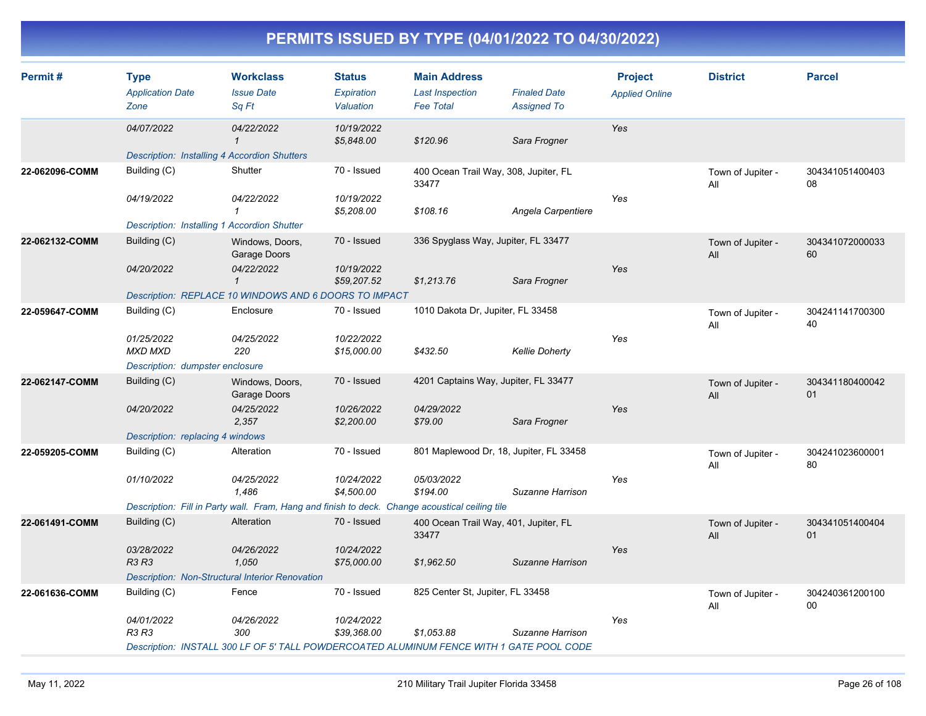| Permit#        | <b>Type</b><br><b>Application Date</b><br>Zone      | <b>Workclass</b><br><b>Issue Date</b><br>Sq Ft                                                 | <b>Status</b><br>Expiration<br>Valuation | <b>Main Address</b><br><b>Last Inspection</b><br><b>Fee Total</b> | <b>Finaled Date</b><br><b>Assigned To</b> | <b>Project</b><br><b>Applied Online</b> | <b>District</b>          | <b>Parcel</b>             |
|----------------|-----------------------------------------------------|------------------------------------------------------------------------------------------------|------------------------------------------|-------------------------------------------------------------------|-------------------------------------------|-----------------------------------------|--------------------------|---------------------------|
|                | 04/07/2022                                          | 04/22/2022<br>$\mathbf{1}$                                                                     | 10/19/2022<br>\$5,848.00                 | \$120.96                                                          | Sara Frogner                              | Yes                                     |                          |                           |
|                | <b>Description: Installing 4 Accordion Shutters</b> |                                                                                                |                                          |                                                                   |                                           |                                         |                          |                           |
| 22-062096-COMM | Building (C)                                        | Shutter                                                                                        | 70 - Issued                              | 400 Ocean Trail Way, 308, Jupiter, FL<br>33477                    |                                           |                                         | Town of Jupiter -<br>All | 304341051400403<br>08     |
|                | 04/19/2022                                          | 04/22/2022<br>$\mathcal I$                                                                     | 10/19/2022<br>\$5,208.00                 | \$108.16                                                          | Angela Carpentiere                        | Yes                                     |                          |                           |
|                | <b>Description: Installing 1 Accordion Shutter</b>  |                                                                                                |                                          |                                                                   |                                           |                                         |                          |                           |
| 22-062132-COMM | Building (C)                                        | Windows, Doors,<br>Garage Doors                                                                | 70 - Issued                              | 336 Spyglass Way, Jupiter, FL 33477                               |                                           |                                         | Town of Jupiter -<br>All | 304341072000033<br>60     |
|                | 04/20/2022                                          | 04/22/2022<br>$\mathbf{1}$                                                                     | 10/19/2022<br>\$59,207.52                | \$1,213.76                                                        | Sara Frogner                              | Yes                                     |                          |                           |
|                |                                                     | Description: REPLACE 10 WINDOWS AND 6 DOORS TO IMPACT                                          |                                          |                                                                   |                                           |                                         |                          |                           |
| 22-059647-COMM | Building (C)                                        | Enclosure                                                                                      | 70 - Issued                              | 1010 Dakota Dr, Jupiter, FL 33458                                 |                                           |                                         | Town of Jupiter -<br>All | 304241141700300<br>40     |
|                | 01/25/2022<br><b>MXD MXD</b>                        | 04/25/2022<br>220                                                                              | 10/22/2022<br>\$15,000.00                | \$432.50                                                          | <b>Kellie Doherty</b>                     | Yes                                     |                          |                           |
|                | Description: dumpster enclosure                     |                                                                                                |                                          |                                                                   |                                           |                                         |                          |                           |
| 22-062147-COMM | Building (C)                                        | Windows, Doors,<br>Garage Doors                                                                | 70 - Issued                              | 4201 Captains Way, Jupiter, FL 33477                              |                                           |                                         | Town of Jupiter -<br>All | 304341180400042<br>01     |
|                | 04/20/2022                                          | 04/25/2022<br>2,357                                                                            | 10/26/2022<br>\$2,200.00                 | 04/29/2022<br>\$79.00                                             | Sara Frogner                              | Yes                                     |                          |                           |
|                | Description: replacing 4 windows                    |                                                                                                |                                          |                                                                   |                                           |                                         |                          |                           |
| 22-059205-COMM | Building (C)                                        | Alteration                                                                                     | 70 - Issued                              | 801 Maplewood Dr, 18, Jupiter, FL 33458                           |                                           |                                         | Town of Jupiter -<br>All | 304241023600001<br>80     |
|                | 01/10/2022                                          | 04/25/2022<br>1,486                                                                            | 10/24/2022<br>\$4,500.00                 | 05/03/2022<br>\$194.00                                            | Suzanne Harrison                          | Yes                                     |                          |                           |
|                |                                                     | Description: Fill in Party wall. Fram, Hang and finish to deck. Change acoustical ceiling tile |                                          |                                                                   |                                           |                                         |                          |                           |
| 22-061491-COMM | Building (C)                                        | Alteration                                                                                     | 70 - Issued                              | 400 Ocean Trail Way, 401, Jupiter, FL<br>33477                    |                                           |                                         | Town of Jupiter -<br>All | 304341051400404<br>01     |
|                | 03/28/2022<br><b>R3 R3</b>                          | 04/26/2022<br>1,050                                                                            | 10/24/2022<br>\$75,000.00                | \$1,962.50                                                        | Suzanne Harrison                          | Yes                                     |                          |                           |
|                |                                                     | Description: Non-Structural Interior Renovation                                                |                                          |                                                                   |                                           |                                         |                          |                           |
| 22-061636-COMM | Building (C)                                        | Fence                                                                                          | 70 - Issued                              | 825 Center St, Jupiter, FL 33458                                  |                                           |                                         | Town of Jupiter -<br>All | 304240361200100<br>$00\,$ |
|                | 04/01/2022<br>R3 R3                                 | 04/26/2022<br>300                                                                              | 10/24/2022<br>\$39,368.00                | \$1,053.88                                                        | Suzanne Harrison                          | Yes                                     |                          |                           |
|                |                                                     | Description: INSTALL 300 LF OF 5' TALL POWDERCOATED ALUMINUM FENCE WITH 1 GATE POOL CODE       |                                          |                                                                   |                                           |                                         |                          |                           |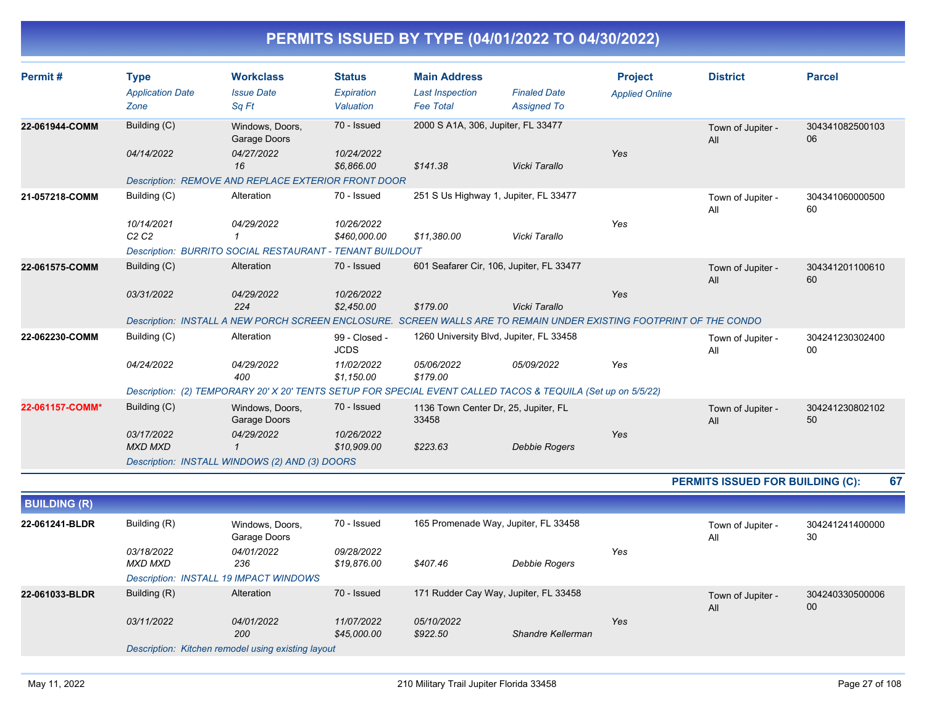| Permit#             | <b>Type</b><br><b>Application Date</b><br>Zone | <b>Workclass</b><br><b>Issue Date</b><br>Sq Ft                                                                      | <b>Status</b><br>Expiration<br>Valuation | <b>Main Address</b><br><b>Last Inspection</b><br><b>Fee Total</b> | <b>Finaled Date</b><br><b>Assigned To</b> | <b>Project</b><br><b>Applied Online</b> | <b>District</b>                  | <b>Parcel</b>         |
|---------------------|------------------------------------------------|---------------------------------------------------------------------------------------------------------------------|------------------------------------------|-------------------------------------------------------------------|-------------------------------------------|-----------------------------------------|----------------------------------|-----------------------|
| 22-061944-COMM      | Building (C)                                   | Windows, Doors,<br>Garage Doors                                                                                     | 70 - Issued                              | 2000 S A1A, 306, Jupiter, FL 33477                                |                                           |                                         | Town of Jupiter -<br>All         | 304341082500103<br>06 |
|                     | 04/14/2022                                     | 04/27/2022<br>16                                                                                                    | 10/24/2022<br>\$6,866.00                 | \$141.38                                                          | Vicki Tarallo                             | Yes                                     |                                  |                       |
|                     |                                                | Description: REMOVE AND REPLACE EXTERIOR FRONT DOOR                                                                 |                                          |                                                                   |                                           |                                         |                                  |                       |
| 21-057218-COMM      | Building (C)                                   | Alteration                                                                                                          | 70 - Issued                              | 251 S Us Highway 1, Jupiter, FL 33477                             |                                           |                                         | Town of Jupiter -<br>All         | 304341060000500<br>60 |
|                     | 10/14/2021<br>C2C2                             | 04/29/2022<br>$\mathcal I$                                                                                          | 10/26/2022<br>\$460,000.00               | \$11,380.00                                                       | Vicki Tarallo                             | Yes                                     |                                  |                       |
|                     |                                                | Description: BURRITO SOCIAL RESTAURANT - TENANT BUILDOUT                                                            |                                          |                                                                   |                                           |                                         |                                  |                       |
| 22-061575-COMM      | Building (C)                                   | Alteration                                                                                                          | 70 - Issued                              | 601 Seafarer Cir, 106, Jupiter, FL 33477                          |                                           |                                         | Town of Jupiter -<br>All         | 304341201100610<br>60 |
|                     | 03/31/2022                                     | 04/29/2022<br>224                                                                                                   | 10/26/2022<br>\$2,450.00                 | \$179.00                                                          | Vicki Tarallo                             | Yes                                     |                                  |                       |
|                     |                                                | Description: INSTALL A NEW PORCH SCREEN ENCLOSURE. SCREEN WALLS ARE TO REMAIN UNDER EXISTING FOOTPRINT OF THE CONDO |                                          |                                                                   |                                           |                                         |                                  |                       |
| 22-062230-COMM      | Building (C)                                   | Alteration                                                                                                          | 99 - Closed -<br><b>JCDS</b>             | 1260 University Blvd, Jupiter, FL 33458                           |                                           |                                         | Town of Jupiter -<br>All         | 304241230302400<br>00 |
|                     | 04/24/2022                                     | 04/29/2022<br>400                                                                                                   | 11/02/2022<br>\$1,150.00                 | 05/06/2022<br>\$179.00                                            | 05/09/2022                                | Yes                                     |                                  |                       |
|                     |                                                | Description: (2) TEMPORARY 20' X 20' TENTS SETUP FOR SPECIAL EVENT CALLED TACOS & TEQUILA (Set up on 5/5/22)        |                                          |                                                                   |                                           |                                         |                                  |                       |
| 22-061157-COMM*     | Building (C)                                   | Windows, Doors,<br>Garage Doors                                                                                     | 70 - Issued                              | 1136 Town Center Dr, 25, Jupiter, FL<br>33458                     |                                           |                                         | Town of Jupiter -<br>All         | 304241230802102<br>50 |
|                     | 03/17/2022<br><b>MXD MXD</b>                   | 04/29/2022<br>$\mathbf{1}$                                                                                          | 10/26/2022<br>\$10,909.00                | \$223.63                                                          | Debbie Rogers                             | Yes                                     |                                  |                       |
|                     |                                                | Description: INSTALL WINDOWS (2) AND (3) DOORS                                                                      |                                          |                                                                   |                                           |                                         |                                  |                       |
|                     |                                                |                                                                                                                     |                                          |                                                                   |                                           |                                         | PERMITS ISSUED FOR BUILDING (C): | 67                    |
| <b>BUILDING (R)</b> |                                                |                                                                                                                     |                                          |                                                                   |                                           |                                         |                                  |                       |
| 22-061241-BLDR      | Building (R)                                   | Windows, Doors,<br>Garage Doors                                                                                     | 70 - Issued                              | 165 Promenade Way, Jupiter, FL 33458                              |                                           |                                         | Town of Jupiter -<br>All         | 304241241400000<br>30 |
|                     | 03/18/2022<br><b>MXD MXD</b>                   | 04/01/2022<br>236                                                                                                   | 09/28/2022<br>\$19,876.00                | \$407.46                                                          | <b>Debbie Rogers</b>                      | Yes                                     |                                  |                       |
|                     |                                                | Description: INSTALL 19 IMPACT WINDOWS                                                                              |                                          |                                                                   |                                           |                                         |                                  |                       |
| 22-061033-BLDR      | Building (R)                                   | Alteration                                                                                                          | 70 - Issued                              | 171 Rudder Cay Way, Jupiter, FL 33458                             |                                           |                                         | Town of Jupiter -<br>All         | 304240330500006<br>00 |
|                     | 03/11/2022                                     | 04/01/2022<br>200                                                                                                   | 11/07/2022<br>\$45,000.00                | 05/10/2022<br>\$922.50                                            | Shandre Kellerman                         | Yes                                     |                                  |                       |
|                     |                                                | Description: Kitchen remodel using existing layout                                                                  |                                          |                                                                   |                                           |                                         |                                  |                       |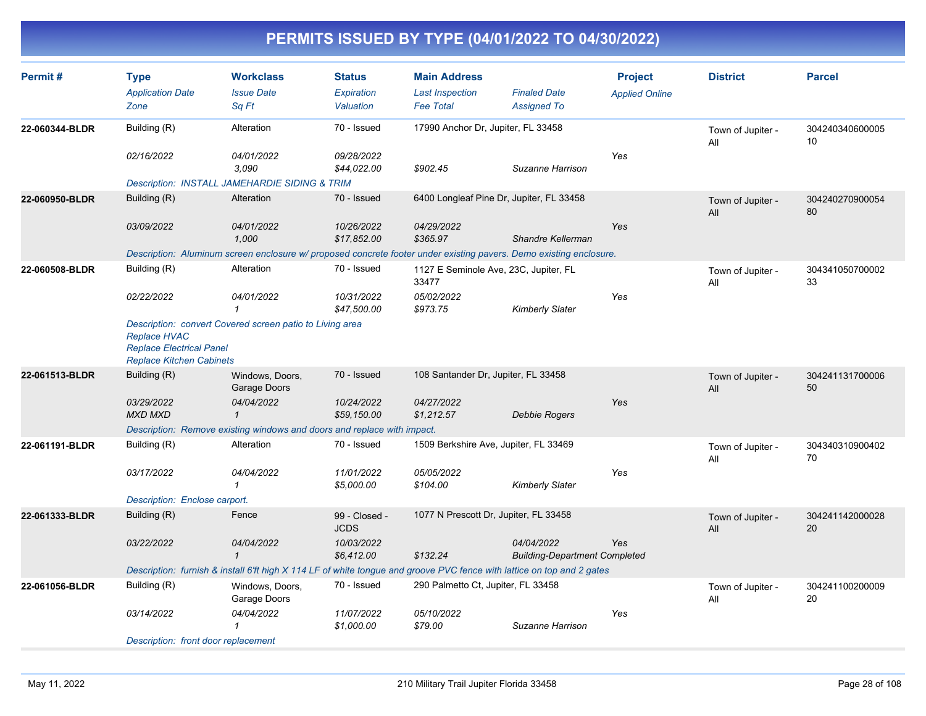| Permit#        | <b>Type</b><br><b>Application Date</b><br>Zone                                            | <b>Workclass</b><br><b>Issue Date</b><br>Sq Ft                                                                         | <b>Status</b><br>Expiration<br>Valuation | <b>Main Address</b><br><b>Last Inspection</b><br><b>Fee Total</b> | <b>Finaled Date</b><br><b>Assigned To</b>          | <b>Project</b><br><b>Applied Online</b> | <b>District</b>          | <b>Parcel</b>         |
|----------------|-------------------------------------------------------------------------------------------|------------------------------------------------------------------------------------------------------------------------|------------------------------------------|-------------------------------------------------------------------|----------------------------------------------------|-----------------------------------------|--------------------------|-----------------------|
| 22-060344-BLDR | Building (R)                                                                              | Alteration                                                                                                             | 70 - Issued                              | 17990 Anchor Dr, Jupiter, FL 33458                                |                                                    |                                         | Town of Jupiter -<br>All | 304240340600005<br>10 |
|                | 02/16/2022                                                                                | 04/01/2022<br>3.090                                                                                                    | 09/28/2022<br>\$44,022.00                | \$902.45                                                          | Suzanne Harrison                                   | Yes                                     |                          |                       |
|                |                                                                                           | Description: INSTALL JAMEHARDIE SIDING & TRIM                                                                          |                                          |                                                                   |                                                    |                                         |                          |                       |
| 22-060950-BLDR | Building (R)                                                                              | Alteration                                                                                                             | 70 - Issued                              |                                                                   | 6400 Longleaf Pine Dr, Jupiter, FL 33458           |                                         | Town of Jupiter -<br>All | 304240270900054<br>80 |
|                | 03/09/2022                                                                                | 04/01/2022<br>1.000                                                                                                    | 10/26/2022<br>\$17.852.00                | 04/29/2022<br>\$365.97                                            | Shandre Kellerman                                  | Yes                                     |                          |                       |
|                |                                                                                           | Description: Aluminum screen enclosure w/ proposed concrete footer under existing pavers. Demo existing enclosure.     |                                          |                                                                   |                                                    |                                         |                          |                       |
| 22-060508-BLDR | Building (R)                                                                              | Alteration                                                                                                             | 70 - Issued                              | 1127 E Seminole Ave, 23C, Jupiter, FL<br>33477                    |                                                    |                                         | Town of Jupiter -<br>All | 304341050700002<br>33 |
|                | 02/22/2022                                                                                | 04/01/2022                                                                                                             | 10/31/2022<br>\$47.500.00                | 05/02/2022<br>\$973.75                                            | <b>Kimberly Slater</b>                             | Yes                                     |                          |                       |
|                | <b>Replace HVAC</b><br><b>Replace Electrical Panel</b><br><b>Replace Kitchen Cabinets</b> | Description: convert Covered screen patio to Living area                                                               |                                          |                                                                   |                                                    |                                         |                          |                       |
| 22-061513-BLDR | Building (R)                                                                              | Windows, Doors,<br>Garage Doors                                                                                        | 70 - Issued                              | 108 Santander Dr, Jupiter, FL 33458                               |                                                    |                                         | Town of Jupiter -<br>All | 304241131700006<br>50 |
|                | 03/29/2022<br><b>MXD MXD</b>                                                              | 04/04/2022<br>$\mathbf{\overline{1}}$                                                                                  | 10/24/2022<br>\$59,150.00                | 04/27/2022<br>\$1,212.57                                          | <b>Debbie Rogers</b>                               | Yes                                     |                          |                       |
|                |                                                                                           | Description: Remove existing windows and doors and replace with impact.                                                |                                          |                                                                   |                                                    |                                         |                          |                       |
| 22-061191-BLDR | Building (R)                                                                              | Alteration                                                                                                             | 70 - Issued                              | 1509 Berkshire Ave, Jupiter, FL 33469                             |                                                    |                                         | Town of Jupiter -<br>All | 304340310900402<br>70 |
|                | 03/17/2022                                                                                | 04/04/2022<br>$\mathbf{1}$                                                                                             | 11/01/2022<br>\$5,000.00                 | 05/05/2022<br>\$104.00                                            | <b>Kimberly Slater</b>                             | Yes                                     |                          |                       |
|                | Description: Enclose carport.                                                             |                                                                                                                        |                                          |                                                                   |                                                    |                                         |                          |                       |
| 22-061333-BLDR | Building (R)                                                                              | Fence                                                                                                                  | 99 - Closed -<br><b>JCDS</b>             | 1077 N Prescott Dr, Jupiter, FL 33458                             |                                                    |                                         | Town of Jupiter -<br>All | 304241142000028<br>20 |
|                | 03/22/2022                                                                                | 04/04/2022<br>$\mathbf{1}$                                                                                             | 10/03/2022<br>\$6,412.00                 | \$132.24                                                          | 04/04/2022<br><b>Building-Department Completed</b> | Yes                                     |                          |                       |
|                |                                                                                           | Description: furnish & install 6'ft high X 114 LF of white tongue and groove PVC fence with lattice on top and 2 gates |                                          |                                                                   |                                                    |                                         |                          |                       |
| 22-061056-BLDR | Building (R)                                                                              | Windows, Doors,<br>Garage Doors                                                                                        | 70 - Issued                              | 290 Palmetto Ct, Jupiter, FL 33458                                |                                                    |                                         | Town of Jupiter -<br>All | 304241100200009<br>20 |
|                | 03/14/2022                                                                                | 04/04/2022                                                                                                             | 11/07/2022<br>\$1,000.00                 | 05/10/2022<br>\$79.00                                             | Suzanne Harrison                                   | Yes                                     |                          |                       |
|                | Description: front door replacement                                                       |                                                                                                                        |                                          |                                                                   |                                                    |                                         |                          |                       |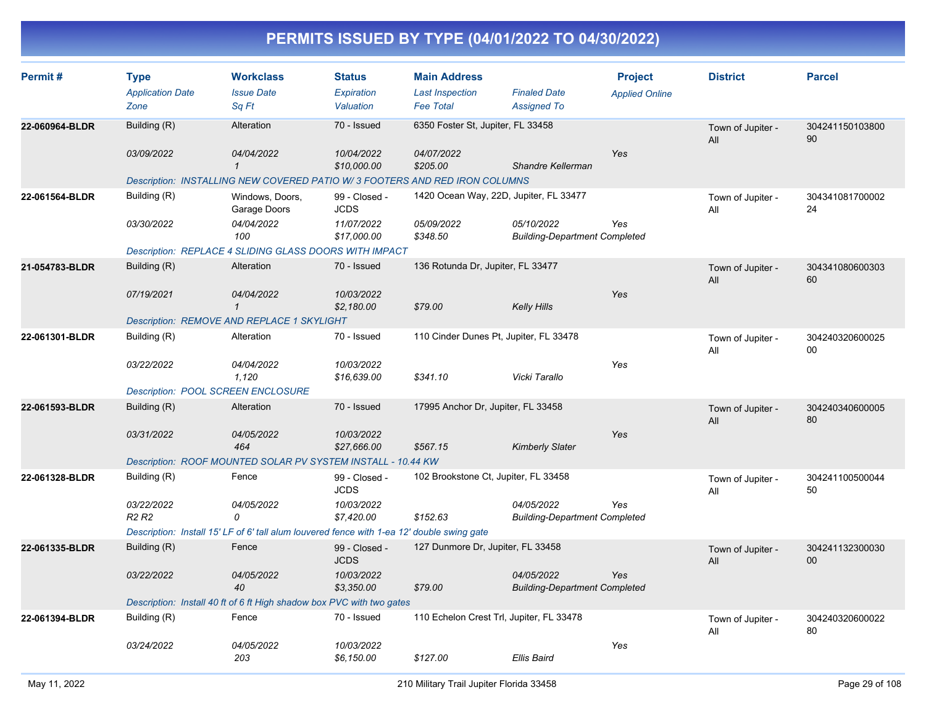| Permit#        | <b>Type</b>                                 | <b>Workclass</b>                                                                           | <b>Status</b>                | <b>Main Address</b>                  |                                                    | <b>Project</b>        | <b>District</b>          | <b>Parcel</b>         |
|----------------|---------------------------------------------|--------------------------------------------------------------------------------------------|------------------------------|--------------------------------------|----------------------------------------------------|-----------------------|--------------------------|-----------------------|
|                | <b>Application Date</b>                     | <b>Issue Date</b>                                                                          | Expiration                   | <b>Last Inspection</b>               | <b>Finaled Date</b>                                | <b>Applied Online</b> |                          |                       |
|                | Zone                                        | Sq Ft                                                                                      | Valuation                    | <b>Fee Total</b>                     | <b>Assigned To</b>                                 |                       |                          |                       |
| 22-060964-BLDR | Building (R)                                | Alteration                                                                                 | 70 - Issued                  | 6350 Foster St, Jupiter, FL 33458    |                                                    |                       | Town of Jupiter -<br>All | 304241150103800<br>90 |
|                | 03/09/2022                                  | 04/04/2022                                                                                 | 10/04/2022                   | 04/07/2022                           |                                                    | Yes                   |                          |                       |
|                |                                             | $\mathbf{1}$                                                                               | \$10,000.00                  | \$205.00                             | Shandre Kellerman                                  |                       |                          |                       |
|                |                                             | Description: INSTALLING NEW COVERED PATIO W/3 FOOTERS AND RED IRON COLUMNS                 |                              |                                      |                                                    |                       |                          |                       |
| 22-061564-BLDR | Building (R)                                | Windows, Doors,<br>Garage Doors                                                            | 99 - Closed -<br><b>JCDS</b> |                                      | 1420 Ocean Way, 22D, Jupiter, FL 33477             |                       | Town of Jupiter -<br>All | 304341081700002<br>24 |
|                | 03/30/2022                                  | 04/04/2022<br>100                                                                          | 11/07/2022<br>\$17,000.00    | 05/09/2022<br>\$348.50               | 05/10/2022<br><b>Building-Department Completed</b> | Yes                   |                          |                       |
|                |                                             | Description: REPLACE 4 SLIDING GLASS DOORS WITH IMPACT                                     |                              |                                      |                                                    |                       |                          |                       |
| 21-054783-BLDR | Building (R)                                | Alteration                                                                                 | 70 - Issued                  | 136 Rotunda Dr, Jupiter, FL 33477    |                                                    |                       | Town of Jupiter -<br>All | 304341080600303<br>60 |
|                | 07/19/2021                                  | 04/04/2022                                                                                 | 10/03/2022                   |                                      |                                                    | Yes                   |                          |                       |
|                |                                             | $\mathbf{1}$                                                                               | \$2,180.00                   | \$79.00                              | <b>Kelly Hills</b>                                 |                       |                          |                       |
|                |                                             | Description: REMOVE AND REPLACE 1 SKYLIGHT                                                 |                              |                                      |                                                    |                       |                          |                       |
| 22-061301-BLDR | Building (R)                                | Alteration                                                                                 | 70 - Issued                  |                                      | 110 Cinder Dunes Pt, Jupiter, FL 33478             |                       | Town of Jupiter -<br>All | 304240320600025<br>00 |
|                | 03/22/2022                                  | 04/04/2022<br>1,120                                                                        | 10/03/2022<br>\$16,639.00    | \$341.10                             | Vicki Tarallo                                      | Yes                   |                          |                       |
|                |                                             | <b>Description: POOL SCREEN ENCLOSURE</b>                                                  |                              |                                      |                                                    |                       |                          |                       |
| 22-061593-BLDR | Building (R)                                | Alteration                                                                                 | 70 - Issued                  | 17995 Anchor Dr, Jupiter, FL 33458   |                                                    |                       | Town of Jupiter -<br>All | 304240340600005<br>80 |
|                | 03/31/2022                                  | 04/05/2022                                                                                 | 10/03/2022                   |                                      |                                                    | Yes                   |                          |                       |
|                |                                             | 464                                                                                        | \$27,666.00                  | \$567.15                             | <b>Kimberly Slater</b>                             |                       |                          |                       |
|                |                                             | Description: ROOF MOUNTED SOLAR PV SYSTEM INSTALL - 10.44 KW                               |                              |                                      |                                                    |                       |                          |                       |
| 22-061328-BLDR | Building (R)                                | Fence                                                                                      | 99 - Closed -<br><b>JCDS</b> | 102 Brookstone Ct, Jupiter, FL 33458 |                                                    |                       | Town of Jupiter -<br>All | 304241100500044<br>50 |
|                | 03/22/2022<br>R <sub>2</sub> R <sub>2</sub> | 04/05/2022<br>0                                                                            | 10/03/2022<br>\$7,420.00     | \$152.63                             | 04/05/2022<br><b>Building-Department Completed</b> | Yes                   |                          |                       |
|                |                                             | Description: Install 15' LF of 6' tall alum louvered fence with 1-ea 12' double swing gate |                              |                                      |                                                    |                       |                          |                       |
| 22-061335-BLDR | Building (R)                                | Fence                                                                                      | 99 - Closed -<br><b>JCDS</b> | 127 Dunmore Dr, Jupiter, FL 33458    |                                                    |                       | Town of Jupiter -<br>All | 304241132300030<br>00 |
|                | 03/22/2022                                  | 04/05/2022<br>40                                                                           | 10/03/2022<br>\$3,350.00     | \$79.00                              | 04/05/2022<br><b>Building-Department Completed</b> | Yes                   |                          |                       |
|                |                                             | Description: Install 40 ft of 6 ft High shadow box PVC with two gates                      |                              |                                      |                                                    |                       |                          |                       |
| 22-061394-BLDR | Building (R)                                | Fence                                                                                      | 70 - Issued                  |                                      | 110 Echelon Crest Trl, Jupiter, FL 33478           |                       | Town of Jupiter -<br>All | 304240320600022<br>80 |
|                | 03/24/2022                                  | 04/05/2022<br>203                                                                          | 10/03/2022<br>\$6,150.00     | \$127.00                             | <b>Ellis Baird</b>                                 | Yes                   |                          |                       |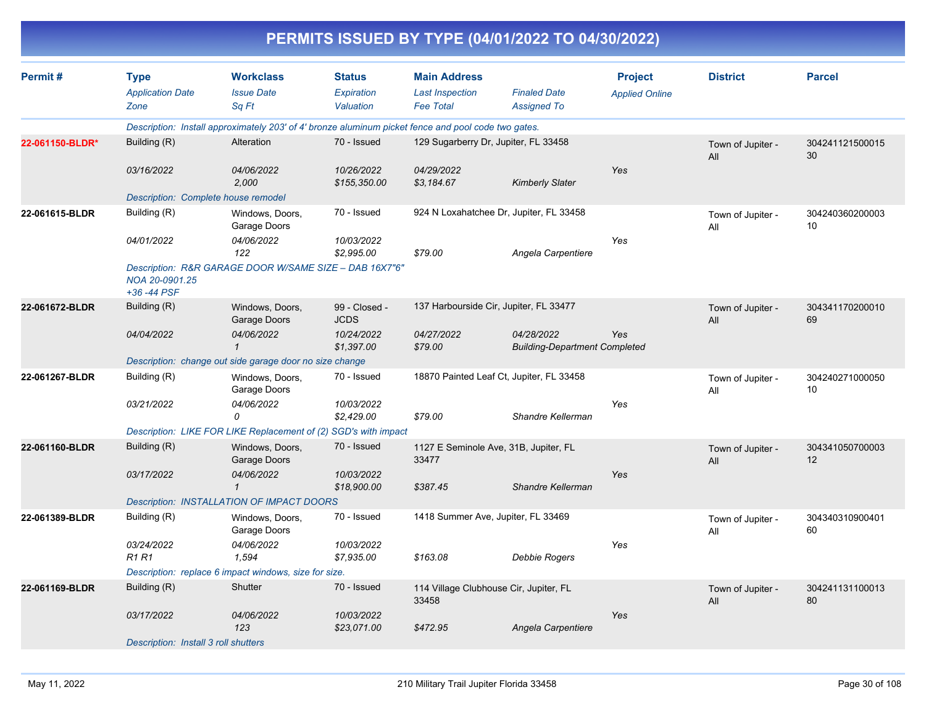|                 |                                                |                                                                                                     |                                          |                                                                   | PERMITS ISSUED BY TYPE (04/01/2022 TO 04/30/2022)  |                                         |                          |                       |
|-----------------|------------------------------------------------|-----------------------------------------------------------------------------------------------------|------------------------------------------|-------------------------------------------------------------------|----------------------------------------------------|-----------------------------------------|--------------------------|-----------------------|
| Permit#         | <b>Type</b><br><b>Application Date</b><br>Zone | <b>Workclass</b><br><b>Issue Date</b><br>Sq Ft                                                      | <b>Status</b><br>Expiration<br>Valuation | <b>Main Address</b><br><b>Last Inspection</b><br><b>Fee Total</b> | <b>Finaled Date</b><br><b>Assigned To</b>          | <b>Project</b><br><b>Applied Online</b> | <b>District</b>          | <b>Parcel</b>         |
|                 |                                                | Description: Install approximately 203' of 4' bronze aluminum picket fence and pool code two gates. |                                          |                                                                   |                                                    |                                         |                          |                       |
| 22-061150-BLDR* | Building (R)                                   | Alteration                                                                                          | 70 - Issued                              | 129 Sugarberry Dr, Jupiter, FL 33458                              |                                                    |                                         | Town of Jupiter -<br>All | 304241121500015<br>30 |
|                 | 03/16/2022                                     | 04/06/2022<br>2,000                                                                                 | 10/26/2022<br>\$155,350.00               | 04/29/2022<br>\$3,184.67                                          | <b>Kimberly Slater</b>                             | Yes                                     |                          |                       |
|                 | Description: Complete house remodel            |                                                                                                     |                                          |                                                                   |                                                    |                                         |                          |                       |
| 22-061615-BLDR  | Building (R)                                   | Windows, Doors,<br>Garage Doors                                                                     | 70 - Issued                              |                                                                   | 924 N Loxahatchee Dr, Jupiter, FL 33458            |                                         | Town of Jupiter -<br>All | 304240360200003<br>10 |
|                 | 04/01/2022                                     | 04/06/2022<br>122                                                                                   | 10/03/2022<br>\$2,995.00                 | \$79.00                                                           | Angela Carpentiere                                 | Yes                                     |                          |                       |
|                 | NOA 20-0901.25<br>+36 -44 PSF                  | Description: R&R GARAGE DOOR W/SAME SIZE - DAB 16X7"6"                                              |                                          |                                                                   |                                                    |                                         |                          |                       |
| 22-061672-BLDR  | Building (R)                                   | Windows, Doors,<br>Garage Doors                                                                     | 99 - Closed -<br><b>JCDS</b>             |                                                                   | 137 Harbourside Cir, Jupiter, FL 33477             |                                         | Town of Jupiter -<br>All | 304341170200010<br>69 |
|                 | 04/04/2022                                     | 04/06/2022                                                                                          | 10/24/2022<br>\$1,397.00                 | 04/27/2022<br>\$79.00                                             | 04/28/2022<br><b>Building-Department Completed</b> | Yes                                     |                          |                       |
|                 |                                                | Description: change out side garage door no size change                                             |                                          |                                                                   |                                                    |                                         |                          |                       |
| 22-061267-BLDR  | Building (R)                                   | Windows, Doors,<br>Garage Doors                                                                     | 70 - Issued                              |                                                                   | 18870 Painted Leaf Ct, Jupiter, FL 33458           |                                         | Town of Jupiter -<br>All | 304240271000050<br>10 |
|                 | 03/21/2022                                     | 04/06/2022<br>0                                                                                     | 10/03/2022<br>\$2,429.00                 | \$79.00                                                           | Shandre Kellerman                                  | Yes                                     |                          |                       |
|                 |                                                | Description: LIKE FOR LIKE Replacement of (2) SGD's with impact                                     |                                          |                                                                   |                                                    |                                         |                          |                       |
| 22-061160-BLDR  | Building (R)                                   | Windows, Doors,<br>Garage Doors                                                                     | 70 - Issued                              | 33477                                                             | 1127 E Seminole Ave, 31B, Jupiter, FL              |                                         | Town of Jupiter -<br>All | 304341050700003<br>12 |
|                 | 03/17/2022                                     | 04/06/2022<br>1                                                                                     | 10/03/2022<br>\$18,900.00                | \$387.45                                                          | Shandre Kellerman                                  | Yes                                     |                          |                       |
|                 |                                                | <b>Description: INSTALLATION OF IMPACT DOORS</b>                                                    |                                          |                                                                   |                                                    |                                         |                          |                       |
| 22-061389-BLDR  | Building (R)                                   | Windows, Doors,<br>Garage Doors                                                                     | 70 - Issued                              | 1418 Summer Ave, Jupiter, FL 33469                                |                                                    |                                         | Town of Jupiter -<br>All | 304340310900401<br>60 |
|                 | 03/24/2022<br>R1 R1                            | 04/06/2022<br>1,594                                                                                 | 10/03/2022<br>\$7,935.00                 | \$163.08                                                          | <b>Debbie Rogers</b>                               | Yes                                     |                          |                       |
|                 |                                                | Description: replace 6 impact windows, size for size.                                               |                                          |                                                                   |                                                    |                                         |                          |                       |
| 22-061169-BLDR  | Building (R)                                   | Shutter                                                                                             | 70 - Issued                              | 114 Village Clubhouse Cir, Jupiter, FL<br>33458                   |                                                    |                                         | Town of Jupiter -<br>All | 304241131100013<br>80 |
|                 | 03/17/2022                                     | 04/06/2022<br>123                                                                                   | 10/03/2022<br>\$23,071.00                | \$472.95                                                          | Angela Carpentiere                                 | Yes                                     |                          |                       |
|                 | Description: Install 3 roll shutters           |                                                                                                     |                                          |                                                                   |                                                    |                                         |                          |                       |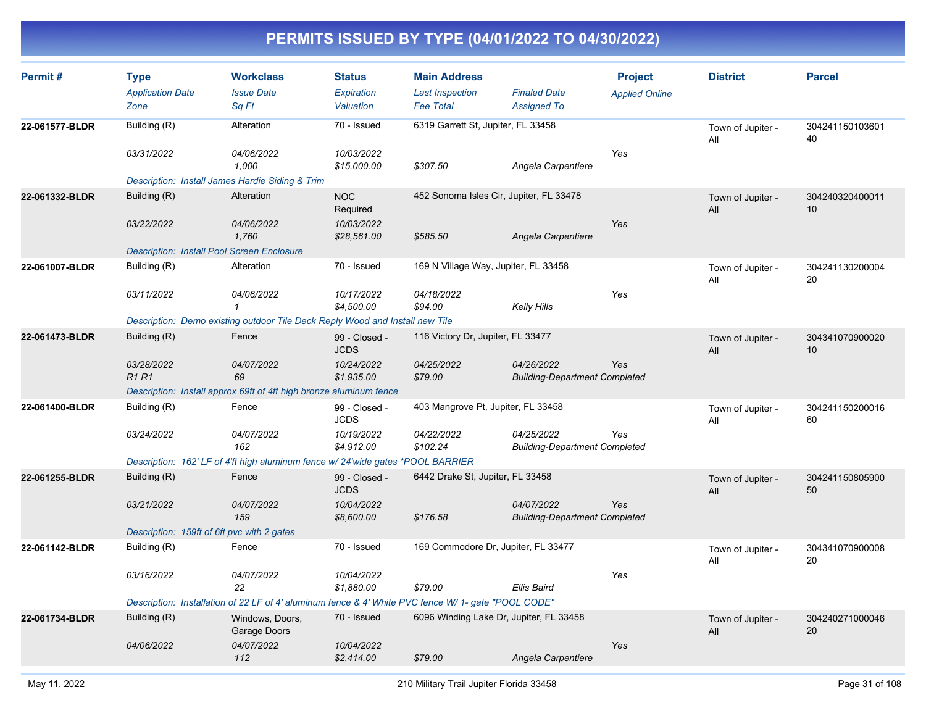| Permit#        | <b>Type</b><br><b>Application Date</b><br>Zone    | <b>Workclass</b><br><b>Issue Date</b><br>Sq Ft                                                      | <b>Status</b><br>Expiration<br>Valuation | <b>Main Address</b><br><b>Last Inspection</b><br><b>Fee Total</b> | <b>Finaled Date</b><br><b>Assigned To</b>          | <b>Project</b><br><b>Applied Online</b> | <b>District</b>          | <b>Parcel</b>         |
|----------------|---------------------------------------------------|-----------------------------------------------------------------------------------------------------|------------------------------------------|-------------------------------------------------------------------|----------------------------------------------------|-----------------------------------------|--------------------------|-----------------------|
| 22-061577-BLDR | Building (R)<br>03/31/2022                        | Alteration<br>04/06/2022                                                                            | 70 - Issued<br>10/03/2022                | 6319 Garrett St, Jupiter, FL 33458                                |                                                    | Yes                                     | Town of Jupiter -<br>All | 304241150103601<br>40 |
|                | Description: Install James Hardie Siding & Trim   | 1,000                                                                                               | \$15,000.00                              | \$307.50                                                          | Angela Carpentiere                                 |                                         |                          |                       |
| 22-061332-BLDR | Building (R)                                      | Alteration                                                                                          | <b>NOC</b><br>Required                   | 452 Sonoma Isles Cir, Jupiter, FL 33478                           |                                                    |                                         | Town of Jupiter -<br>All | 304240320400011<br>10 |
|                | 03/22/2022                                        | 04/06/2022<br>1.760                                                                                 | 10/03/2022<br>\$28,561.00                | \$585.50                                                          | Angela Carpentiere                                 | Yes                                     |                          |                       |
|                | <b>Description: Install Pool Screen Enclosure</b> |                                                                                                     |                                          |                                                                   |                                                    |                                         |                          |                       |
| 22-061007-BLDR | Building (R)                                      | Alteration                                                                                          | 70 - Issued                              | 169 N Village Way, Jupiter, FL 33458                              |                                                    |                                         | Town of Jupiter -<br>All | 304241130200004<br>20 |
|                | 03/11/2022                                        | 04/06/2022<br>$\mathbf{1}$                                                                          | 10/17/2022<br>\$4,500.00                 | 04/18/2022<br>\$94.00                                             | Kelly Hills                                        | Yes                                     |                          |                       |
|                |                                                   | Description: Demo existing outdoor Tile Deck Reply Wood and Install new Tile                        |                                          |                                                                   |                                                    |                                         |                          |                       |
| 22-061473-BLDR | Building (R)                                      | Fence                                                                                               | 99 - Closed -<br><b>JCDS</b>             | 116 Victory Dr, Jupiter, FL 33477                                 |                                                    |                                         | Town of Jupiter -<br>All | 304341070900020<br>10 |
|                | 03/28/2022<br><b>R1R1</b>                         | 04/07/2022<br>69                                                                                    | 10/24/2022<br>\$1,935.00                 | 04/25/2022<br>\$79.00                                             | 04/26/2022<br><b>Building-Department Completed</b> | Yes                                     |                          |                       |
|                |                                                   | Description: Install approx 69ft of 4ft high bronze aluminum fence                                  |                                          |                                                                   |                                                    |                                         |                          |                       |
| 22-061400-BLDR | Building (R)                                      | Fence                                                                                               | 99 - Closed -<br><b>JCDS</b>             | 403 Mangrove Pt, Jupiter, FL 33458                                |                                                    |                                         | Town of Jupiter -<br>All | 304241150200016<br>60 |
|                | 03/24/2022                                        | 04/07/2022<br>162                                                                                   | 10/19/2022<br>\$4,912.00                 | 04/22/2022<br>\$102.24                                            | 04/25/2022<br><b>Building-Department Completed</b> | Yes                                     |                          |                       |
|                |                                                   | Description: 162' LF of 4'ft high aluminum fence w/ 24'wide gates *POOL BARRIER                     |                                          |                                                                   |                                                    |                                         |                          |                       |
| 22-061255-BLDR | Building (R)                                      | Fence                                                                                               | 99 - Closed -<br><b>JCDS</b>             | 6442 Drake St, Jupiter, FL 33458                                  |                                                    |                                         | Town of Jupiter -<br>All | 304241150805900<br>50 |
|                | 03/21/2022                                        | 04/07/2022<br>159                                                                                   | 10/04/2022<br>\$8,600.00                 | \$176.58                                                          | 04/07/2022<br><b>Building-Department Completed</b> | Yes                                     |                          |                       |
|                | Description: 159ft of 6ft pvc with 2 gates        |                                                                                                     |                                          |                                                                   |                                                    |                                         |                          |                       |
| 22-061142-BLDR | Building (R)                                      | Fence                                                                                               | 70 - Issued                              | 169 Commodore Dr, Jupiter, FL 33477                               |                                                    |                                         | Town of Jupiter -<br>All | 304341070900008<br>20 |
|                | 03/16/2022                                        | 04/07/2022<br>22                                                                                    | 10/04/2022<br>\$1,880.00                 | \$79.00                                                           | Ellis Baird                                        | Yes                                     |                          |                       |
|                |                                                   | Description: Installation of 22 LF of 4' aluminum fence & 4' White PVC fence W/ 1- gate "POOL CODE" |                                          |                                                                   |                                                    |                                         |                          |                       |
| 22-061734-BLDR | Building (R)                                      | Windows, Doors,<br>Garage Doors                                                                     | 70 - Issued                              | 6096 Winding Lake Dr, Jupiter, FL 33458                           |                                                    |                                         | Town of Jupiter -<br>All | 304240271000046<br>20 |
|                | 04/06/2022                                        | 04/07/2022<br>112                                                                                   | 10/04/2022<br>\$2,414.00                 | \$79.00                                                           | Angela Carpentiere                                 | Yes                                     |                          |                       |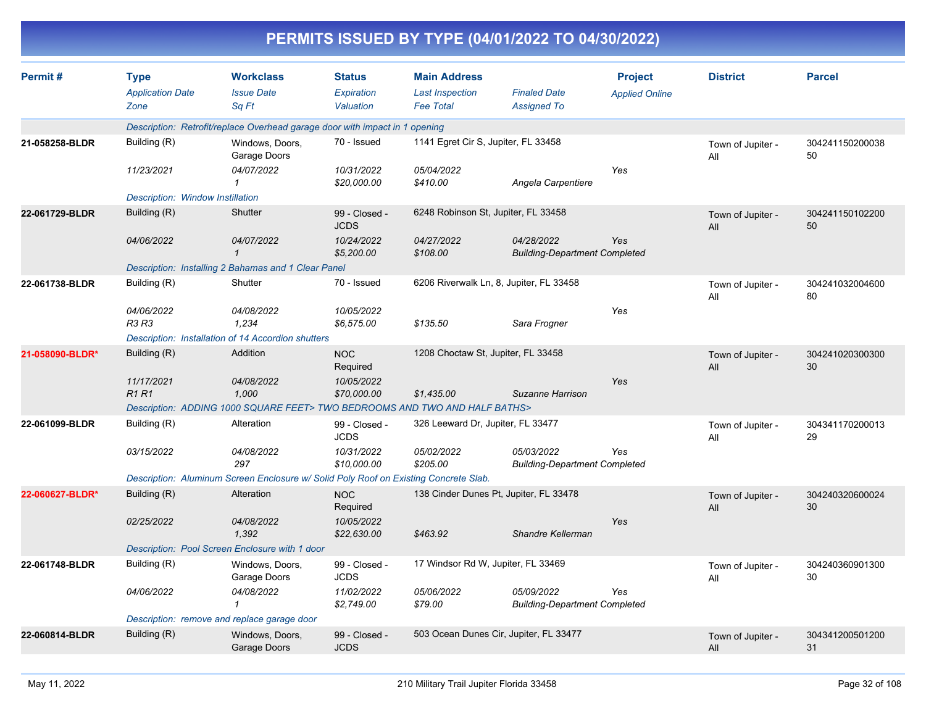|                 |                                                |                                                                                      |                                          |                                                                   | PERMITS ISSUED BY TYPE (04/01/2022 TO 04/30/2022)  |                                         |                          |                       |
|-----------------|------------------------------------------------|--------------------------------------------------------------------------------------|------------------------------------------|-------------------------------------------------------------------|----------------------------------------------------|-----------------------------------------|--------------------------|-----------------------|
| Permit#         | <b>Type</b><br><b>Application Date</b><br>Zone | <b>Workclass</b><br><b>Issue Date</b><br>Sq Ft                                       | <b>Status</b><br>Expiration<br>Valuation | <b>Main Address</b><br><b>Last Inspection</b><br><b>Fee Total</b> | <b>Finaled Date</b><br><b>Assigned To</b>          | <b>Project</b><br><b>Applied Online</b> | <b>District</b>          | <b>Parcel</b>         |
|                 |                                                | Description: Retrofit/replace Overhead garage door with impact in 1 opening          |                                          |                                                                   |                                                    |                                         |                          |                       |
| 21-058258-BLDR  | Building (R)                                   | Windows, Doors,<br>Garage Doors                                                      | 70 - Issued                              | 1141 Egret Cir S, Jupiter, FL 33458                               |                                                    |                                         | Town of Jupiter -<br>All | 304241150200038<br>50 |
|                 | 11/23/2021                                     | 04/07/2022<br>-1                                                                     | 10/31/2022<br>\$20,000.00                | 05/04/2022<br>\$410.00                                            | Angela Carpentiere                                 | Yes                                     |                          |                       |
|                 | <b>Description: Window Instillation</b>        |                                                                                      |                                          |                                                                   |                                                    |                                         |                          |                       |
| 22-061729-BLDR  | Building (R)                                   | Shutter                                                                              | 99 - Closed -<br><b>JCDS</b>             | 6248 Robinson St, Jupiter, FL 33458                               |                                                    |                                         | Town of Jupiter -<br>All | 304241150102200<br>50 |
|                 | 04/06/2022                                     | 04/07/2022<br>$\mathcal I$                                                           | 10/24/2022<br>\$5,200.00                 | 04/27/2022<br>\$108.00                                            | 04/28/2022<br><b>Building-Department Completed</b> | Yes                                     |                          |                       |
|                 |                                                | Description: Installing 2 Bahamas and 1 Clear Panel                                  |                                          |                                                                   |                                                    |                                         |                          |                       |
| 22-061738-BLDR  | Building (R)                                   | Shutter                                                                              | 70 - Issued                              |                                                                   | 6206 Riverwalk Ln, 8, Jupiter, FL 33458            |                                         | Town of Jupiter -<br>All | 304241032004600<br>80 |
|                 | 04/06/2022<br>R3 R3                            | 04/08/2022<br>1,234                                                                  | 10/05/2022<br>\$6,575.00                 | \$135.50                                                          | Sara Frogner                                       | Yes                                     |                          |                       |
|                 |                                                | Description: Installation of 14 Accordion shutters                                   |                                          |                                                                   |                                                    |                                         |                          |                       |
| 21-058090-BLDR* | Building (R)                                   | Addition                                                                             | <b>NOC</b><br>Required                   | 1208 Choctaw St, Jupiter, FL 33458                                |                                                    |                                         | Town of Jupiter -<br>All | 304241020300300<br>30 |
|                 | 11/17/2021<br><b>R1R1</b>                      | 04/08/2022<br>1,000                                                                  | 10/05/2022<br>\$70,000.00                | \$1,435.00                                                        | Suzanne Harrison                                   | Yes                                     |                          |                       |
|                 |                                                | Description: ADDING 1000 SQUARE FEET> TWO BEDROOMS AND TWO AND HALF BATHS>           |                                          |                                                                   |                                                    |                                         |                          |                       |
| 22-061099-BLDR  | Building (R)                                   | Alteration                                                                           | 99 - Closed -<br><b>JCDS</b>             | 326 Leeward Dr, Jupiter, FL 33477                                 |                                                    |                                         | Town of Jupiter -<br>All | 304341170200013<br>29 |
|                 | 03/15/2022                                     | 04/08/2022<br>297                                                                    | 10/31/2022<br>\$10,000.00                | 05/02/2022<br>\$205.00                                            | 05/03/2022<br><b>Building-Department Completed</b> | Yes                                     |                          |                       |
|                 |                                                | Description: Aluminum Screen Enclosure w/ Solid Poly Roof on Existing Concrete Slab. |                                          |                                                                   |                                                    |                                         |                          |                       |
| 22-060627-BLDR* | Building (R)                                   | Alteration                                                                           | <b>NOC</b><br>Required                   |                                                                   | 138 Cinder Dunes Pt, Jupiter, FL 33478             |                                         | Town of Jupiter -<br>All | 304240320600024<br>30 |
|                 | 02/25/2022                                     | 04/08/2022<br>1,392                                                                  | 10/05/2022<br>\$22,630.00                | \$463.92                                                          | Shandre Kellerman                                  | Yes                                     |                          |                       |
|                 |                                                | Description: Pool Screen Enclosure with 1 door                                       |                                          |                                                                   |                                                    |                                         |                          |                       |
| 22-061748-BLDR  | Building (R)                                   | Windows, Doors,<br>Garage Doors                                                      | 99 - Closed -<br><b>JCDS</b>             | 17 Windsor Rd W, Jupiter, FL 33469                                |                                                    |                                         | Town of Jupiter -<br>All | 304240360901300<br>30 |
|                 | 04/06/2022                                     | 04/08/2022<br>$\mathcal I$                                                           | 11/02/2022<br>\$2,749.00                 | 05/06/2022<br>\$79.00                                             | 05/09/2022<br><b>Building-Department Completed</b> | Yes                                     |                          |                       |
|                 |                                                | Description: remove and replace garage door                                          |                                          |                                                                   |                                                    |                                         |                          |                       |
| 22-060814-BLDR  | Building (R)                                   | Windows, Doors,<br>Garage Doors                                                      | 99 - Closed -<br><b>JCDS</b>             |                                                                   | 503 Ocean Dunes Cir, Jupiter, FL 33477             |                                         | Town of Jupiter -<br>All | 304341200501200<br>31 |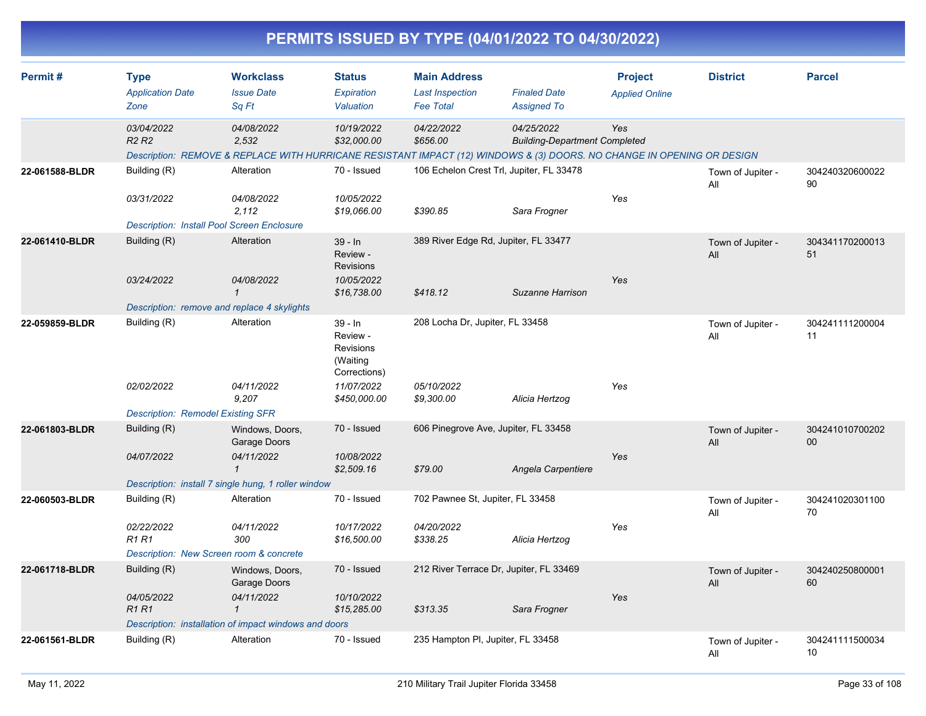|                |                                                          |                                                                                                                                               |                                                              |                                                                   | PERMITS ISSUED BY TYPE (04/01/2022 TO 04/30/2022)  |                                         |                          |                                    |
|----------------|----------------------------------------------------------|-----------------------------------------------------------------------------------------------------------------------------------------------|--------------------------------------------------------------|-------------------------------------------------------------------|----------------------------------------------------|-----------------------------------------|--------------------------|------------------------------------|
| Permit#        | <b>Type</b><br><b>Application Date</b><br>Zone           | <b>Workclass</b><br><b>Issue Date</b><br>Sq Ft                                                                                                | <b>Status</b><br>Expiration<br>Valuation                     | <b>Main Address</b><br><b>Last Inspection</b><br><b>Fee Total</b> | <b>Finaled Date</b><br><b>Assigned To</b>          | <b>Project</b><br><b>Applied Online</b> | <b>District</b>          | <b>Parcel</b>                      |
|                | 03/04/2022<br><b>R2 R2</b>                               | 04/08/2022<br>2,532<br>Description: REMOVE & REPLACE WITH HURRICANE RESISTANT IMPACT (12) WINDOWS & (3) DOORS. NO CHANGE IN OPENING OR DESIGN | 10/19/2022<br>\$32,000.00                                    | 04/22/2022<br>\$656.00                                            | 04/25/2022<br><b>Building-Department Completed</b> | Yes                                     |                          |                                    |
| 22-061588-BLDR | Building (R)<br>03/31/2022                               | Alteration<br>04/08/2022                                                                                                                      | 70 - Issued<br>10/05/2022                                    |                                                                   | 106 Echelon Crest Trl, Jupiter, FL 33478           | Yes                                     | Town of Jupiter -<br>All | 304240320600022<br>90              |
|                |                                                          | 2,112<br><b>Description: Install Pool Screen Enclosure</b>                                                                                    | \$19,066.00                                                  | \$390.85                                                          | Sara Frogner                                       |                                         |                          |                                    |
| 22-061410-BLDR | Building (R)                                             | Alteration                                                                                                                                    | 39 - In<br>Review -<br><b>Revisions</b>                      | 389 River Edge Rd, Jupiter, FL 33477                              |                                                    |                                         | Town of Jupiter -<br>All | 304341170200013<br>51              |
|                | 03/24/2022                                               | 04/08/2022<br>$\mathcal I$<br>Description: remove and replace 4 skylights                                                                     | 10/05/2022<br>\$16,738.00                                    | \$418.12                                                          | Suzanne Harrison                                   | Yes                                     |                          |                                    |
| 22-059859-BLDR | Building (R)                                             | Alteration                                                                                                                                    | 39 - In<br>Review -<br>Revisions<br>(Waiting<br>Corrections) | 208 Locha Dr, Jupiter, FL 33458                                   |                                                    |                                         | Town of Jupiter -<br>All | 304241111200004<br>11              |
|                | 02/02/2022                                               | 04/11/2022<br>9,207                                                                                                                           | 11/07/2022<br>\$450,000.00                                   | 05/10/2022<br>\$9,300.00                                          | Alicia Hertzog                                     | Yes                                     |                          |                                    |
| 22-061803-BLDR | <b>Description: Remodel Existing SFR</b><br>Building (R) | Windows, Doors,                                                                                                                               | 70 - Issued                                                  | 606 Pinegrove Ave, Jupiter, FL 33458                              |                                                    |                                         |                          | 304241010700202                    |
|                | 04/07/2022                                               | Garage Doors<br>04/11/2022<br>$\mathbf{\mathcal{L}}$                                                                                          | 10/08/2022<br>\$2,509.16                                     | \$79.00                                                           | Angela Carpentiere                                 | Yes                                     | Town of Jupiter -<br>All | 00                                 |
|                |                                                          | Description: install 7 single hung, 1 roller window                                                                                           |                                                              |                                                                   |                                                    |                                         |                          |                                    |
| 22-060503-BLDR | Building (R)                                             | Alteration                                                                                                                                    | 70 - Issued                                                  | 702 Pawnee St, Jupiter, FL 33458                                  |                                                    |                                         | Town of Jupiter -<br>All | 304241020301100<br>70              |
|                | 02/22/2022<br><b>R1R1</b>                                | 04/11/2022<br>300                                                                                                                             | 10/17/2022<br>\$16,500.00                                    | 04/20/2022<br>\$338.25                                            | Alicia Hertzog                                     | Yes                                     |                          |                                    |
|                |                                                          | Description: New Screen room & concrete                                                                                                       |                                                              |                                                                   |                                                    |                                         |                          |                                    |
| 22-061718-BLDR | Building (R)                                             | Windows, Doors,<br>Garage Doors                                                                                                               | 70 - Issued                                                  |                                                                   | 212 River Terrace Dr, Jupiter, FL 33469            |                                         | Town of Jupiter -<br>All | 304240250800001<br>60              |
|                | 04/05/2022<br>R1 R1                                      | 04/11/2022<br>$\mathcal I$                                                                                                                    | 10/10/2022<br>\$15,285.00                                    | \$313.35                                                          | Sara Frogner                                       | Yes                                     |                          |                                    |
| 22-061561-BLDR |                                                          | Description: installation of impact windows and doors<br>Alteration                                                                           | 70 - Issued                                                  | 235 Hampton PI, Jupiter, FL 33458                                 |                                                    |                                         |                          |                                    |
|                | Building (R)                                             |                                                                                                                                               |                                                              |                                                                   |                                                    |                                         | Town of Jupiter -<br>All | 304241111500034<br>10 <sup>°</sup> |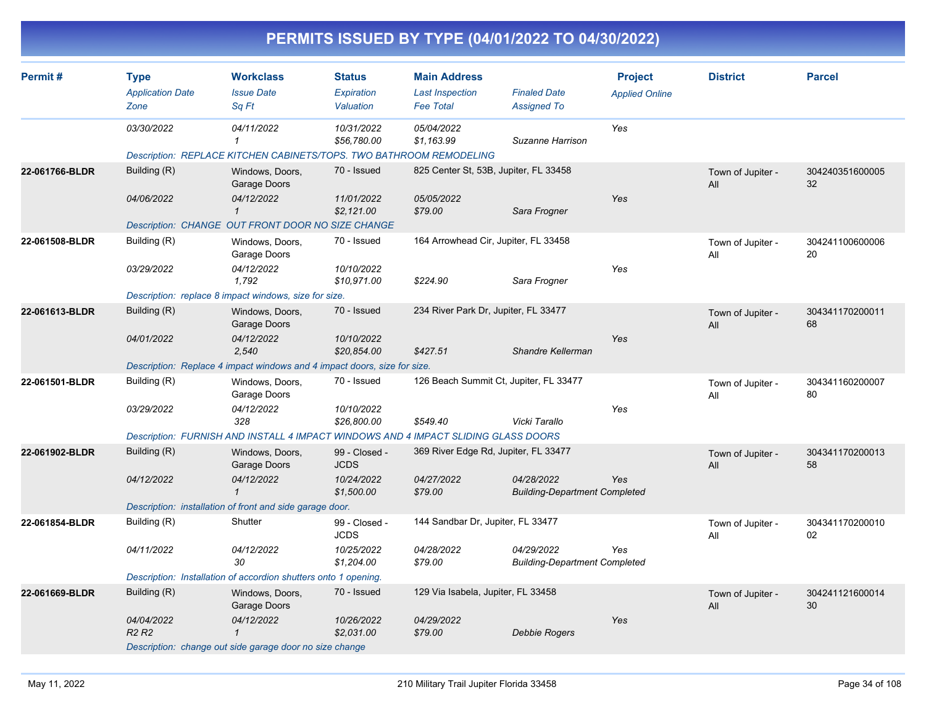|                |                                                             |                                                                                                                                                                      |                                                          |                                                                   | PERMITS ISSUED BY TYPE (04/01/2022 TO 04/30/2022)       |                                         |                          |                       |
|----------------|-------------------------------------------------------------|----------------------------------------------------------------------------------------------------------------------------------------------------------------------|----------------------------------------------------------|-------------------------------------------------------------------|---------------------------------------------------------|-----------------------------------------|--------------------------|-----------------------|
| Permit#        | <b>Type</b><br><b>Application Date</b><br>Zone              | <b>Workclass</b><br><b>Issue Date</b><br>Sq Ft                                                                                                                       | Status<br>Expiration<br>Valuation                        | <b>Main Address</b><br><b>Last Inspection</b><br><b>Fee Total</b> | <b>Finaled Date</b><br><b>Assigned To</b>               | <b>Project</b><br><b>Applied Online</b> | <b>District</b>          | <b>Parcel</b>         |
|                | 03/30/2022                                                  | 04/11/2022<br>$\mathbf{1}$                                                                                                                                           | 10/31/2022<br>\$56,780.00                                | 05/04/2022<br>\$1,163.99                                          | Suzanne Harrison                                        | Yes                                     |                          |                       |
| 22-061766-BLDR | Building (R)<br>04/06/2022                                  | Description: REPLACE KITCHEN CABINETS/TOPS. TWO BATHROOM REMODELING<br>Windows, Doors,<br>Garage Doors<br>04/12/2022<br>$\mathbf{1}$                                 | 70 - Issued<br>11/01/2022<br>\$2,121.00                  | 825 Center St, 53B, Jupiter, FL 33458<br>05/05/2022<br>\$79.00    | Sara Frogner                                            | Yes                                     | Town of Jupiter -<br>All | 304240351600005<br>32 |
| 22-061508-BLDR | Building (R)<br>03/29/2022                                  | Description: CHANGE OUT FRONT DOOR NO SIZE CHANGE<br>Windows, Doors,<br>Garage Doors<br>04/12/2022<br>1,792<br>Description: replace 8 impact windows, size for size. | 70 - Issued<br>10/10/2022<br>\$10,971.00                 | 164 Arrowhead Cir, Jupiter, FL 33458<br>\$224.90                  | Sara Frogner                                            | Yes                                     | Town of Jupiter -<br>All | 304241100600006<br>20 |
| 22-061613-BLDR | Building (R)<br>04/01/2022                                  | Windows, Doors,<br>Garage Doors<br>04/12/2022<br>2,540<br>Description: Replace 4 impact windows and 4 impact doors, size for size.                                   | 70 - Issued<br>10/10/2022<br>\$20,854.00                 | 234 River Park Dr, Jupiter, FL 33477<br>\$427.51                  | Shandre Kellerman                                       | Yes                                     | Town of Jupiter -<br>All | 304341170200011<br>68 |
| 22-061501-BLDR | Building (R)<br>03/29/2022                                  | Windows, Doors,<br>Garage Doors<br>04/12/2022<br>328<br>Description: FURNISH AND INSTALL 4 IMPACT WINDOWS AND 4 IMPACT SLIDING GLASS DOORS                           | 70 - Issued<br>10/10/2022<br>\$26,800.00                 | \$549.40                                                          | 126 Beach Summit Ct, Jupiter, FL 33477<br>Vicki Tarallo | Yes                                     | Town of Jupiter -<br>All | 304341160200007<br>80 |
| 22-061902-BLDR | Building (R)<br>04/12/2022                                  | Windows, Doors,<br>Garage Doors<br>04/12/2022<br>$\mathbf{1}$<br>Description: installation of front and side garage door.                                            | 99 - Closed -<br><b>JCDS</b><br>10/24/2022<br>\$1,500.00 | 369 River Edge Rd, Jupiter, FL 33477<br>04/27/2022<br>\$79.00     | 04/28/2022<br><b>Building-Department Completed</b>      | Yes                                     | Town of Jupiter -<br>All | 304341170200013<br>58 |
| 22-061854-BLDR | Building (R)<br>04/11/2022                                  | Shutter<br>04/12/2022<br>30<br>Description: Installation of accordion shutters onto 1 opening.                                                                       | 99 - Closed -<br><b>JCDS</b><br>10/25/2022<br>\$1,204.00 | 144 Sandbar Dr, Jupiter, FL 33477<br>04/28/2022<br>\$79.00        | 04/29/2022<br><b>Building-Department Completed</b>      | Yes                                     | Town of Jupiter -<br>All | 304341170200010<br>02 |
| 22-061669-BLDR | Building (R)<br>04/04/2022<br>R <sub>2</sub> R <sub>2</sub> | Windows, Doors,<br>Garage Doors<br>04/12/2022<br>$\mathbf{1}$                                                                                                        | 70 - Issued<br>10/26/2022<br>\$2,031.00                  | 129 Via Isabela, Jupiter, FL 33458<br>04/29/2022<br>\$79.00       | Debbie Rogers                                           | Yes                                     | Town of Jupiter -<br>All | 304241121600014<br>30 |

*Description: change out side garage door no size change*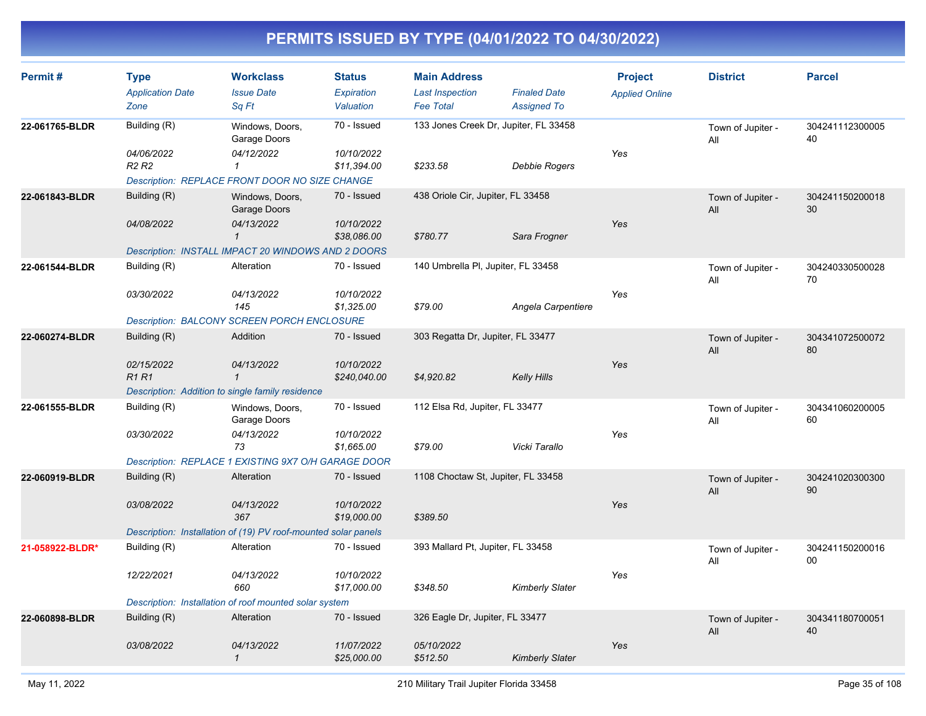| Permit#         | <b>Type</b><br><b>Application Date</b><br>Zone                  | <b>Workclass</b><br><b>Issue Date</b><br>Sq Ft                                  | <b>Status</b><br>Expiration<br>Valuation | <b>Main Address</b><br><b>Last Inspection</b><br><b>Fee Total</b> | <b>Finaled Date</b><br><b>Assigned To</b> | <b>Project</b><br><b>Applied Online</b> | <b>District</b>          | <b>Parcel</b>         |
|-----------------|-----------------------------------------------------------------|---------------------------------------------------------------------------------|------------------------------------------|-------------------------------------------------------------------|-------------------------------------------|-----------------------------------------|--------------------------|-----------------------|
| 22-061765-BLDR  | Building (R)                                                    | Windows, Doors,<br>Garage Doors                                                 | 70 - Issued                              | 133 Jones Creek Dr, Jupiter, FL 33458                             |                                           | Yes                                     | Town of Jupiter -<br>All | 304241112300005<br>40 |
|                 | 04/06/2022<br>R <sub>2</sub> R <sub>2</sub>                     | 04/12/2022<br>$\mathbf{1}$<br>Description: REPLACE FRONT DOOR NO SIZE CHANGE    | 10/10/2022<br>\$11,394.00                | \$233.58                                                          | Debbie Rogers                             |                                         |                          |                       |
| 22-061843-BLDR  | Building (R)                                                    | Windows, Doors,<br>Garage Doors                                                 | 70 - Issued                              | 438 Oriole Cir, Jupiter, FL 33458                                 |                                           |                                         | Town of Jupiter -<br>All | 304241150200018<br>30 |
|                 | 04/08/2022                                                      | 04/13/2022<br>$\mathbf 1$<br>Description: INSTALL IMPACT 20 WINDOWS AND 2 DOORS | 10/10/2022<br>\$38,086.00                | \$780.77                                                          | Sara Frogner                              | Yes                                     |                          |                       |
| 22-061544-BLDR  | Building (R)                                                    | Alteration                                                                      | 70 - Issued                              | 140 Umbrella PI, Jupiter, FL 33458                                |                                           |                                         | Town of Jupiter -<br>All | 304240330500028<br>70 |
|                 | 03/30/2022                                                      | 04/13/2022<br>145                                                               | 10/10/2022<br>\$1,325.00                 | \$79.00                                                           | Angela Carpentiere                        | Yes                                     |                          |                       |
| 22-060274-BLDR  | Building (R)                                                    | <b>Description: BALCONY SCREEN PORCH ENCLOSURE</b><br>Addition                  | 70 - Issued                              | 303 Regatta Dr, Jupiter, FL 33477                                 |                                           |                                         | Town of Jupiter -        | 304341072500072       |
|                 |                                                                 |                                                                                 |                                          |                                                                   |                                           |                                         | All                      | 80                    |
|                 | 02/15/2022<br><b>R1R1</b>                                       | 04/13/2022<br>$\mathbf{1}$                                                      | 10/10/2022<br>\$240,040.00               | \$4,920.82                                                        | <b>Kelly Hills</b>                        | Yes                                     |                          |                       |
|                 | Description: Addition to single family residence<br>70 - Issued |                                                                                 |                                          |                                                                   |                                           |                                         |                          |                       |
| 22-061555-BLDR  | Building (R)                                                    | Windows, Doors,<br>Garage Doors                                                 |                                          | 112 Elsa Rd, Jupiter, FL 33477                                    |                                           |                                         | Town of Jupiter -<br>All | 304341060200005<br>60 |
|                 | 03/30/2022                                                      | 04/13/2022<br>73<br>Description: REPLACE 1 EXISTING 9X7 O/H GARAGE DOOR         | 10/10/2022<br>\$1,665.00                 | \$79.00                                                           | Vicki Tarallo                             | Yes                                     |                          |                       |
| 22-060919-BLDR  | Building (R)                                                    | Alteration                                                                      | 70 - Issued                              | 1108 Choctaw St, Jupiter, FL 33458                                |                                           |                                         | Town of Jupiter -<br>All | 304241020300300<br>90 |
|                 | 03/08/2022                                                      | 04/13/2022<br>367                                                               | 10/10/2022<br>\$19,000.00                | \$389.50                                                          |                                           | Yes                                     |                          |                       |
|                 |                                                                 | Description: Installation of (19) PV roof-mounted solar panels                  |                                          |                                                                   |                                           |                                         |                          |                       |
| 21-058922-BLDR* | Building (R)                                                    | Alteration                                                                      | 70 - Issued                              | 393 Mallard Pt, Jupiter, FL 33458                                 |                                           |                                         | Town of Jupiter -<br>All | 304241150200016<br>00 |
|                 | 12/22/2021                                                      | 04/13/2022<br>660                                                               | 10/10/2022<br>\$17,000.00                | \$348.50                                                          | <b>Kimberly Slater</b>                    | Yes                                     |                          |                       |
|                 | Description: Installation of roof mounted solar system          |                                                                                 |                                          |                                                                   |                                           |                                         |                          |                       |
| 22-060898-BLDR  | Building (R)                                                    | Alteration                                                                      | 70 - Issued                              | 326 Eagle Dr, Jupiter, FL 33477                                   |                                           |                                         | Town of Jupiter -<br>All | 304341180700051<br>40 |
|                 | 03/08/2022                                                      | 04/13/2022<br>$\mathcal I$                                                      | 11/07/2022<br>\$25,000.00                | 05/10/2022<br>\$512.50                                            | <b>Kimberly Slater</b>                    | Yes                                     |                          |                       |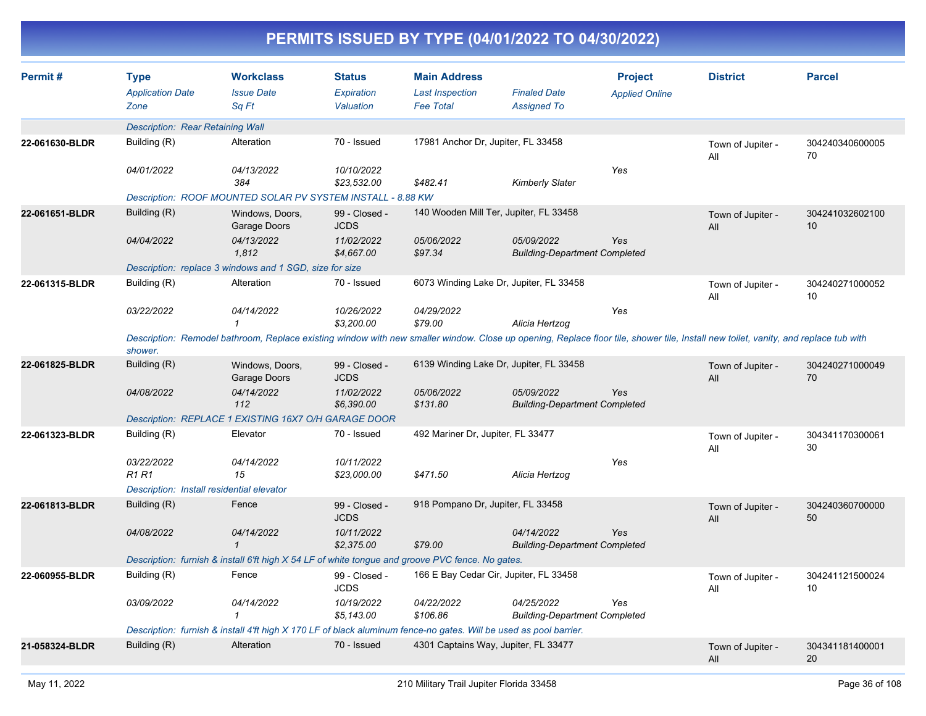| Permit#                                                                                                           | <b>Type</b><br><b>Application Date</b>                      | <b>Workclass</b><br><b>Issue Date</b>                                                                                                                                               | <b>Status</b><br>Expiration  | <b>Main Address</b><br><b>Last Inspection</b> | <b>Finaled Date</b>                                | <b>Project</b><br><b>Applied Online</b> | <b>District</b>          | <b>Parcel</b>         |  |  |  |
|-------------------------------------------------------------------------------------------------------------------|-------------------------------------------------------------|-------------------------------------------------------------------------------------------------------------------------------------------------------------------------------------|------------------------------|-----------------------------------------------|----------------------------------------------------|-----------------------------------------|--------------------------|-----------------------|--|--|--|
|                                                                                                                   | Zone                                                        | Sa Ft                                                                                                                                                                               | Valuation                    | <b>Fee Total</b>                              | <b>Assigned To</b>                                 |                                         |                          |                       |  |  |  |
|                                                                                                                   |                                                             | <b>Description: Rear Retaining Wall</b>                                                                                                                                             |                              |                                               |                                                    |                                         |                          |                       |  |  |  |
| 22-061630-BLDR                                                                                                    | Building (R)                                                | Alteration                                                                                                                                                                          | 70 - Issued                  | 17981 Anchor Dr, Jupiter, FL 33458            |                                                    |                                         | Town of Jupiter -<br>All | 304240340600005<br>70 |  |  |  |
|                                                                                                                   | 04/01/2022                                                  | 04/13/2022<br>384                                                                                                                                                                   | 10/10/2022<br>\$23,532.00    | \$482.41                                      | <b>Kimberly Slater</b>                             | Yes                                     |                          |                       |  |  |  |
|                                                                                                                   | Description: ROOF MOUNTED SOLAR PV SYSTEM INSTALL - 8.88 KW |                                                                                                                                                                                     |                              |                                               |                                                    |                                         |                          |                       |  |  |  |
| 22-061651-BLDR                                                                                                    | Building (R)                                                | Windows, Doors,<br>Garage Doors                                                                                                                                                     | 99 - Closed -<br><b>JCDS</b> |                                               | 140 Wooden Mill Ter, Jupiter, FL 33458             |                                         | Town of Jupiter -<br>All | 304241032602100<br>10 |  |  |  |
|                                                                                                                   | 04/04/2022                                                  | 04/13/2022<br>1.812                                                                                                                                                                 | 11/02/2022<br>\$4,667.00     | 05/06/2022<br>\$97.34                         | 05/09/2022<br><b>Building-Department Completed</b> | <b>Yes</b>                              |                          |                       |  |  |  |
|                                                                                                                   |                                                             | Description: replace 3 windows and 1 SGD, size for size                                                                                                                             |                              |                                               |                                                    |                                         |                          |                       |  |  |  |
| 22-061315-BLDR                                                                                                    | Building (R)                                                | Alteration                                                                                                                                                                          | 70 - Issued                  |                                               | 6073 Winding Lake Dr, Jupiter, FL 33458            |                                         | Town of Jupiter -<br>All | 304240271000052<br>10 |  |  |  |
|                                                                                                                   | 03/22/2022                                                  | 04/14/2022<br>$\mathcal I$                                                                                                                                                          | 10/26/2022<br>\$3,200.00     | 04/29/2022<br>\$79.00                         | Alicia Hertzog                                     | Yes                                     |                          |                       |  |  |  |
|                                                                                                                   | shower.                                                     | Description: Remodel bathroom, Replace existing window with new smaller window. Close up opening, Replace floor tile, shower tile, Install new toilet, vanity, and replace tub with |                              |                                               |                                                    |                                         |                          |                       |  |  |  |
| 22-061825-BLDR                                                                                                    | Building (R)                                                | Windows, Doors,<br>Garage Doors                                                                                                                                                     | 99 - Closed -<br><b>JCDS</b> |                                               | 6139 Winding Lake Dr, Jupiter, FL 33458            |                                         | Town of Jupiter -<br>All | 304240271000049<br>70 |  |  |  |
|                                                                                                                   | 04/08/2022                                                  | 04/14/2022<br>112                                                                                                                                                                   | 11/02/2022<br>\$6,390.00     | 05/06/2022<br>\$131.80                        | 05/09/2022<br><b>Building-Department Completed</b> | Yes                                     |                          |                       |  |  |  |
|                                                                                                                   |                                                             | Description: REPLACE 1 EXISTING 16X7 O/H GARAGE DOOR                                                                                                                                |                              |                                               |                                                    |                                         |                          |                       |  |  |  |
| 22-061323-BLDR                                                                                                    | Building (R)                                                | Elevator                                                                                                                                                                            | 70 - Issued                  | 492 Mariner Dr, Jupiter, FL 33477             |                                                    |                                         | Town of Jupiter -<br>All | 304341170300061<br>30 |  |  |  |
|                                                                                                                   | 03/22/2022<br><b>R1 R1</b>                                  | 04/14/2022<br>15                                                                                                                                                                    | 10/11/2022<br>\$23,000.00    | \$471.50                                      | Alicia Hertzog                                     | Yes                                     |                          |                       |  |  |  |
|                                                                                                                   | Description: Install residential elevator                   |                                                                                                                                                                                     |                              |                                               |                                                    |                                         |                          |                       |  |  |  |
| 22-061813-BLDR                                                                                                    | Building (R)                                                | Fence                                                                                                                                                                               | 99 - Closed -<br><b>JCDS</b> | 918 Pompano Dr, Jupiter, FL 33458             |                                                    |                                         | Town of Jupiter -<br>All | 304240360700000<br>50 |  |  |  |
|                                                                                                                   | 04/08/2022                                                  | 04/14/2022<br>$\mathbf{1}$                                                                                                                                                          | 10/11/2022<br>\$2,375.00     | \$79.00                                       | 04/14/2022<br><b>Building-Department Completed</b> | <b>Yes</b>                              |                          |                       |  |  |  |
|                                                                                                                   |                                                             | Description: furnish & install 6'ft high X 54 LF of white tongue and groove PVC fence. No gates.                                                                                    |                              |                                               |                                                    |                                         |                          |                       |  |  |  |
| 22-060955-BLDR                                                                                                    | Building (R)                                                | Fence                                                                                                                                                                               | 99 - Closed -<br><b>JCDS</b> |                                               | 166 E Bay Cedar Cir, Jupiter, FL 33458             |                                         | Town of Jupiter -<br>All | 304241121500024<br>10 |  |  |  |
|                                                                                                                   | 03/09/2022                                                  | 04/14/2022<br>$\mathcal I$                                                                                                                                                          | 10/19/2022<br>\$5,143.00     | 04/22/2022<br>\$106.86                        | 04/25/2022<br><b>Building-Department Completed</b> | Yes                                     |                          |                       |  |  |  |
| Description: furnish & install 4'ft high X 170 LF of black aluminum fence-no gates. Will be used as pool barrier. |                                                             |                                                                                                                                                                                     |                              |                                               |                                                    |                                         |                          |                       |  |  |  |
| 21-058324-BLDR                                                                                                    | Building (R)                                                | Alteration                                                                                                                                                                          | 70 - Issued                  |                                               | 4301 Captains Way, Jupiter, FL 33477               |                                         | Town of Jupiter -<br>All | 304341181400001<br>20 |  |  |  |
|                                                                                                                   |                                                             |                                                                                                                                                                                     |                              |                                               |                                                    |                                         |                          |                       |  |  |  |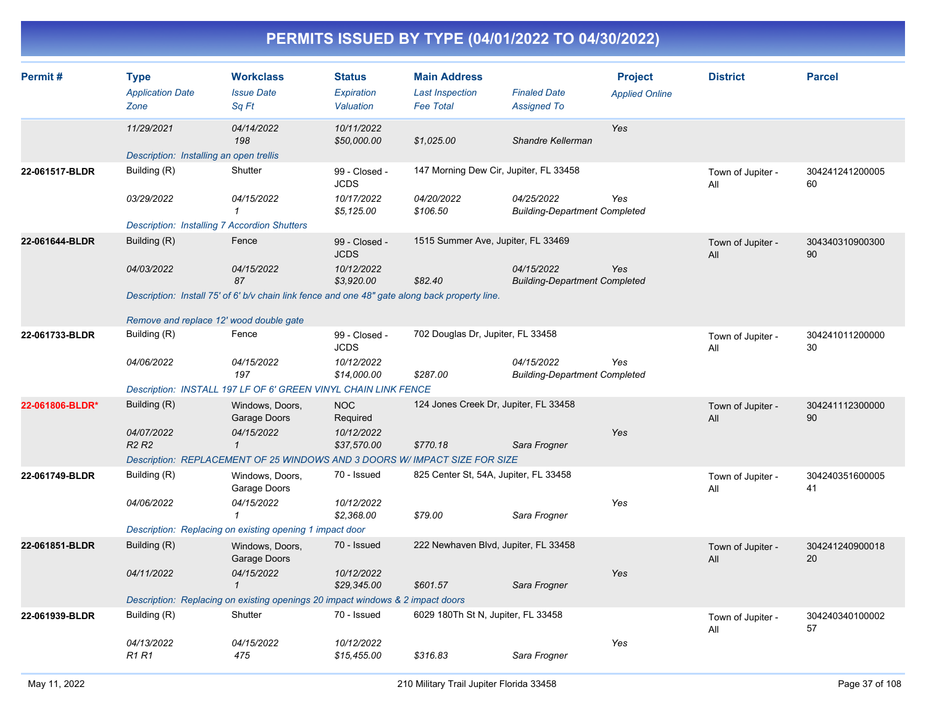| Permit#         | <b>Type</b><br><b>Application Date</b><br>Zone          | <b>Workclass</b><br><b>Issue Date</b><br>Sq Ft                                                 | <b>Status</b><br>Expiration<br>Valuation | <b>Main Address</b><br><b>Last Inspection</b><br><b>Fee Total</b> | <b>Finaled Date</b><br><b>Assigned To</b>          | <b>Project</b><br><b>Applied Online</b> | <b>District</b>          | <b>Parcel</b>         |
|-----------------|---------------------------------------------------------|------------------------------------------------------------------------------------------------|------------------------------------------|-------------------------------------------------------------------|----------------------------------------------------|-----------------------------------------|--------------------------|-----------------------|
|                 | 11/29/2021                                              | 04/14/2022<br>198                                                                              | 10/11/2022<br>\$50,000.00                | \$1,025.00                                                        | Shandre Kellerman                                  | Yes                                     |                          |                       |
|                 | Description: Installing an open trellis                 |                                                                                                |                                          |                                                                   |                                                    |                                         |                          |                       |
| 22-061517-BLDR  | Building (R)                                            | Shutter                                                                                        | 99 - Closed -<br><b>JCDS</b>             | 147 Morning Dew Cir, Jupiter, FL 33458                            |                                                    |                                         | Town of Jupiter -<br>All | 304241241200005<br>60 |
|                 | 03/29/2022                                              | 04/15/2022<br>$\mathcal I$                                                                     | 10/17/2022<br>\$5,125.00                 | 04/20/2022<br>\$106.50                                            | 04/25/2022<br><b>Building-Department Completed</b> | Yes                                     |                          |                       |
|                 | <b>Description: Installing 7 Accordion Shutters</b>     |                                                                                                |                                          |                                                                   |                                                    |                                         |                          |                       |
| 22-061644-BLDR  | Building (R)                                            | Fence                                                                                          | 99 - Closed -<br><b>JCDS</b>             | 1515 Summer Ave, Jupiter, FL 33469                                |                                                    |                                         | Town of Jupiter -<br>All | 304340310900300<br>90 |
|                 | 04/03/2022                                              | 04/15/2022<br>87                                                                               | 10/12/2022<br>\$3,920.00                 | \$82.40                                                           | 04/15/2022<br><b>Building-Department Completed</b> | Yes                                     |                          |                       |
|                 |                                                         | Description: Install 75' of 6' b/v chain link fence and one 48" gate along back property line. |                                          |                                                                   |                                                    |                                         |                          |                       |
|                 |                                                         |                                                                                                |                                          |                                                                   |                                                    |                                         |                          |                       |
| 22-061733-BLDR  | Remove and replace 12' wood double gate<br>Building (R) | Fence                                                                                          | 99 - Closed -                            | 702 Douglas Dr, Jupiter, FL 33458                                 |                                                    |                                         |                          | 304241011200000       |
|                 |                                                         |                                                                                                | <b>JCDS</b>                              |                                                                   |                                                    |                                         | Town of Jupiter -<br>All | 30                    |
|                 | 04/06/2022                                              | 04/15/2022<br>197                                                                              | 10/12/2022<br>\$14,000.00                | \$287.00                                                          | 04/15/2022<br><b>Building-Department Completed</b> | Yes                                     |                          |                       |
|                 |                                                         | Description: INSTALL 197 LF OF 6' GREEN VINYL CHAIN LINK FENCE                                 |                                          |                                                                   |                                                    |                                         |                          |                       |
| 22-061806-BLDR* | Building (R)                                            | Windows, Doors,<br>Garage Doors                                                                | <b>NOC</b><br>Required                   | 124 Jones Creek Dr, Jupiter, FL 33458                             |                                                    |                                         | Town of Jupiter -<br>All | 304241112300000<br>90 |
|                 | 04/07/2022<br><b>R2 R2</b>                              | 04/15/2022<br>$\mathbf{1}$                                                                     | 10/12/2022<br>\$37,570.00                | \$770.18                                                          | Sara Frogner                                       | Yes                                     |                          |                       |
|                 |                                                         | Description: REPLACEMENT OF 25 WINDOWS AND 3 DOORS W/ IMPACT SIZE FOR SIZE                     |                                          |                                                                   |                                                    |                                         |                          |                       |
| 22-061749-BLDR  | Building (R)                                            | Windows, Doors,<br>Garage Doors                                                                | 70 - Issued                              | 825 Center St, 54A, Jupiter, FL 33458                             |                                                    |                                         | Town of Jupiter -<br>All | 304240351600005<br>41 |
|                 | 04/06/2022                                              | 04/15/2022<br>$\mathbf{1}$                                                                     | 10/12/2022<br>\$2,368.00                 | \$79.00                                                           | Sara Frogner                                       | Yes                                     |                          |                       |
|                 |                                                         | Description: Replacing on existing opening 1 impact door                                       |                                          |                                                                   |                                                    |                                         |                          |                       |
| 22-061851-BLDR  | Building (R)                                            | Windows, Doors,<br>Garage Doors                                                                | 70 - Issued                              | 222 Newhaven Blvd, Jupiter, FL 33458                              |                                                    |                                         | Town of Jupiter -<br>All | 304241240900018<br>20 |
|                 | 04/11/2022                                              | 04/15/2022<br>$\mathcal I$                                                                     | 10/12/2022<br>\$29,345.00                | \$601.57                                                          | Sara Frogner                                       | Yes                                     |                          |                       |
|                 |                                                         | Description: Replacing on existing openings 20 impact windows & 2 impact doors                 |                                          |                                                                   |                                                    |                                         |                          |                       |
| 22-061939-BLDR  | Building (R)                                            | Shutter                                                                                        | 70 - Issued                              | 6029 180Th St N, Jupiter, FL 33458                                |                                                    |                                         | Town of Jupiter -<br>All | 304240340100002<br>57 |
|                 | 04/13/2022<br><b>R1 R1</b>                              | 04/15/2022<br>475                                                                              | 10/12/2022<br>\$15,455.00                | \$316.83                                                          | Sara Frogner                                       | Yes                                     |                          |                       |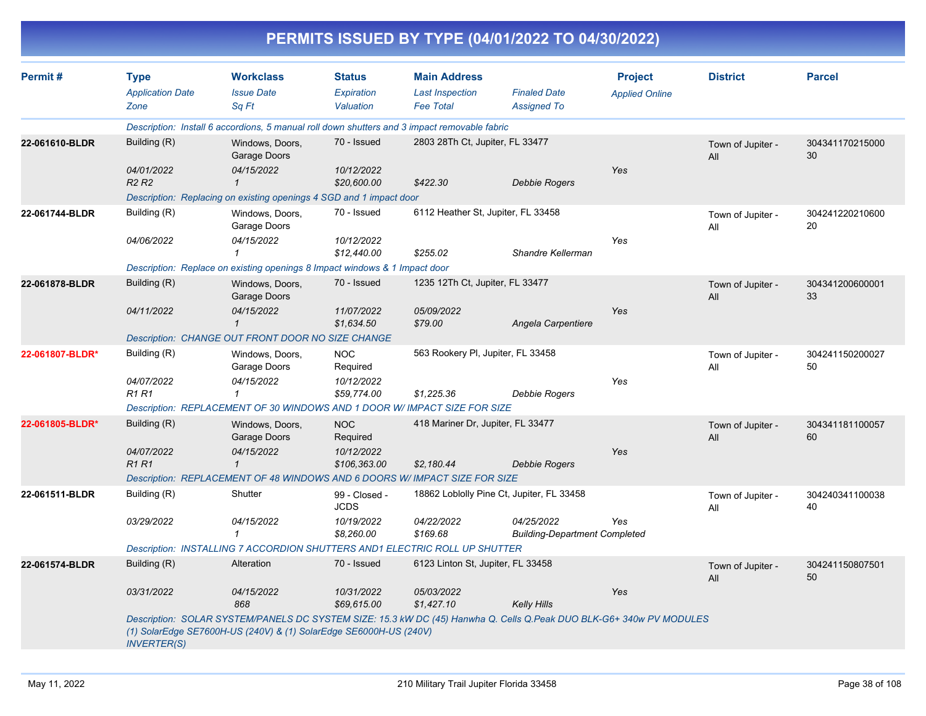|                 |                                                |                                                                                              |                                          |                                                                   | PERMITS ISSUED BY TYPE (04/01/2022 TO 04/30/2022)                                                                   |                                         |                          |                       |
|-----------------|------------------------------------------------|----------------------------------------------------------------------------------------------|------------------------------------------|-------------------------------------------------------------------|---------------------------------------------------------------------------------------------------------------------|-----------------------------------------|--------------------------|-----------------------|
| Permit#         | <b>Type</b><br><b>Application Date</b><br>Zone | <b>Workclass</b><br><b>Issue Date</b><br>Sq Ft                                               | <b>Status</b><br>Expiration<br>Valuation | <b>Main Address</b><br><b>Last Inspection</b><br><b>Fee Total</b> | <b>Finaled Date</b><br><b>Assigned To</b>                                                                           | <b>Project</b><br><b>Applied Online</b> | <b>District</b>          | <b>Parcel</b>         |
|                 |                                                | Description: Install 6 accordions, 5 manual roll down shutters and 3 impact removable fabric |                                          |                                                                   |                                                                                                                     |                                         |                          |                       |
| 22-061610-BLDR  | Building (R)                                   | Windows, Doors,<br>Garage Doors                                                              | 70 - Issued                              | 2803 28Th Ct, Jupiter, FL 33477                                   |                                                                                                                     |                                         | Town of Jupiter -<br>All | 304341170215000<br>30 |
|                 | 04/01/2022<br><b>R2 R2</b>                     | 04/15/2022<br>$\mathcal I$                                                                   | 10/12/2022<br>\$20,600.00                | \$422.30                                                          | <b>Debbie Rogers</b>                                                                                                | Yes                                     |                          |                       |
|                 |                                                | Description: Replacing on existing openings 4 SGD and 1 impact door                          |                                          |                                                                   |                                                                                                                     |                                         |                          |                       |
| 22-061744-BLDR  | Building (R)                                   | Windows, Doors,<br>Garage Doors                                                              | 70 - Issued                              | 6112 Heather St, Jupiter, FL 33458                                |                                                                                                                     |                                         | Town of Jupiter -<br>All | 304241220210600<br>20 |
|                 | 04/06/2022                                     | 04/15/2022<br>$\mathcal I$                                                                   | 10/12/2022<br>\$12,440.00                | \$255.02                                                          | Shandre Kellerman                                                                                                   | Yes                                     |                          |                       |
|                 |                                                | Description: Replace on existing openings 8 Impact windows & 1 Impact door                   |                                          |                                                                   |                                                                                                                     |                                         |                          |                       |
| 22-061878-BLDR  | Building (R)                                   | Windows, Doors,<br>Garage Doors                                                              | 70 - Issued                              | 1235 12Th Ct, Jupiter, FL 33477                                   |                                                                                                                     |                                         | Town of Jupiter -<br>All | 304341200600001<br>33 |
|                 | 04/11/2022                                     | 04/15/2022<br>$\mathbf{1}$                                                                   | 11/07/2022<br>\$1,634.50                 | 05/09/2022<br>\$79.00                                             | Angela Carpentiere                                                                                                  | Yes                                     |                          |                       |
|                 |                                                | Description: CHANGE OUT FRONT DOOR NO SIZE CHANGE                                            |                                          |                                                                   |                                                                                                                     |                                         |                          |                       |
| 22-061807-BLDR* | Building (R)                                   | Windows, Doors,<br>Garage Doors                                                              | <b>NOC</b><br>Required                   | 563 Rookery PI, Jupiter, FL 33458                                 |                                                                                                                     |                                         | Town of Jupiter -<br>All | 304241150200027<br>50 |
|                 | 04/07/2022<br><b>R1 R1</b>                     | 04/15/2022<br>1                                                                              | 10/12/2022<br>\$59,774.00                | \$1,225.36                                                        | Debbie Rogers                                                                                                       | Yes                                     |                          |                       |
|                 |                                                | Description: REPLACEMENT OF 30 WINDOWS AND 1 DOOR W/ IMPACT SIZE FOR SIZE                    |                                          |                                                                   |                                                                                                                     |                                         |                          |                       |
| 22-061805-BLDR* | Building (R)                                   | Windows, Doors,<br>Garage Doors                                                              | <b>NOC</b><br>Required                   | 418 Mariner Dr, Jupiter, FL 33477                                 |                                                                                                                     |                                         | Town of Jupiter -<br>All | 304341181100057<br>60 |
|                 | 04/07/2022<br><b>R1 R1</b>                     | 04/15/2022<br>$\mathcal I$                                                                   | 10/12/2022<br>\$106,363.00               | \$2,180.44                                                        | <b>Debbie Rogers</b>                                                                                                | Yes                                     |                          |                       |
|                 |                                                | Description: REPLACEMENT OF 48 WINDOWS AND 6 DOORS W/ IMPACT SIZE FOR SIZE                   |                                          |                                                                   |                                                                                                                     |                                         |                          |                       |
| 22-061511-BLDR  | Building (R)                                   | Shutter                                                                                      | 99 - Closed -<br>JCDS                    |                                                                   | 18862 Loblolly Pine Ct, Jupiter, FL 33458                                                                           |                                         | Town of Jupiter -<br>All | 304240341100038<br>40 |
|                 | 03/29/2022                                     | 04/15/2022<br>1                                                                              | 10/19/2022<br>\$8,260.00                 | 04/22/2022<br>\$169.68                                            | 04/25/2022<br><b>Building-Department Completed</b>                                                                  | Yes                                     |                          |                       |
|                 |                                                | Description: INSTALLING 7 ACCORDION SHUTTERS AND1 ELECTRIC ROLL UP SHUTTER                   |                                          |                                                                   |                                                                                                                     |                                         |                          |                       |
| 22-061574-BLDR  | Building (R)                                   | Alteration                                                                                   | 70 - Issued                              | 6123 Linton St, Jupiter, FL 33458                                 |                                                                                                                     |                                         | Town of Jupiter -<br>All | 304241150807501<br>50 |
|                 | 03/31/2022                                     | 04/15/2022<br>868                                                                            | 10/31/2022<br>\$69,615.00                | 05/03/2022<br>\$1,427.10                                          | <b>Kelly Hills</b>                                                                                                  | Yes                                     |                          |                       |
|                 | <b>INVERTER(S)</b>                             | (1) SolarEdge SE7600H-US (240V) & (1) SolarEdge SE6000H-US (240V)                            |                                          |                                                                   | Description: SOLAR SYSTEM/PANELS DC SYSTEM SIZE: 15.3 kW DC (45) Hanwha Q. Cells Q.Peak DUO BLK-G6+ 340w PV MODULES |                                         |                          |                       |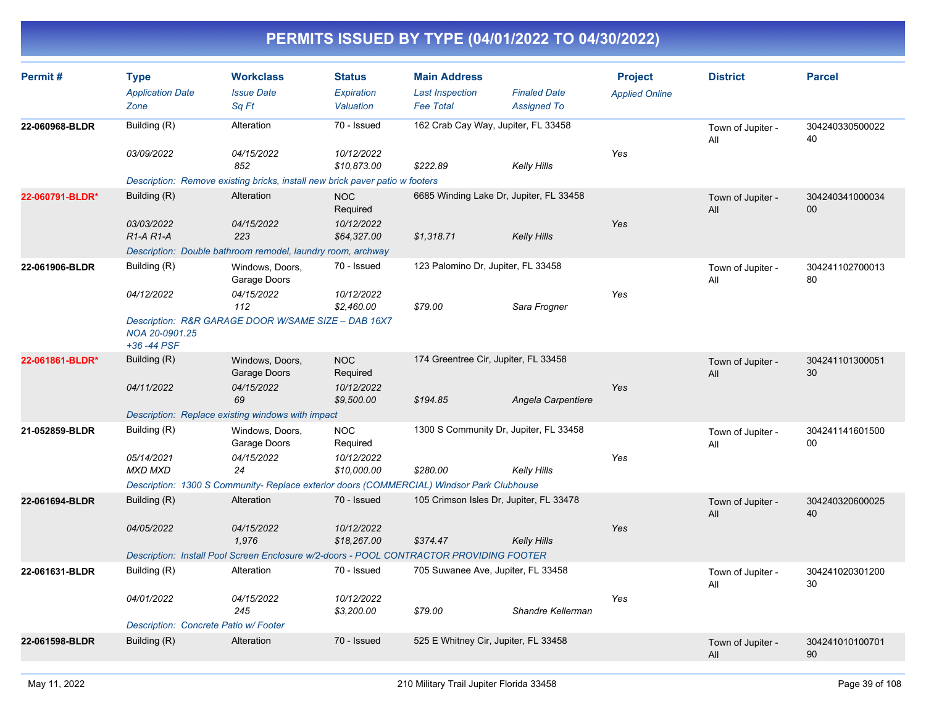| Permit#         | <b>Type</b><br><b>Application Date</b><br>Zone                      | <b>Workclass</b><br><b>Issue Date</b><br>Sq Ft                                                                                                   | <b>Status</b><br><b>Expiration</b><br>Valuation     | <b>Main Address</b><br><b>Last Inspection</b><br><b>Fee Total</b> | <b>Finaled Date</b><br><b>Assigned To</b> | <b>Project</b><br><b>Applied Online</b> | <b>District</b>          | <b>Parcel</b>         |
|-----------------|---------------------------------------------------------------------|--------------------------------------------------------------------------------------------------------------------------------------------------|-----------------------------------------------------|-------------------------------------------------------------------|-------------------------------------------|-----------------------------------------|--------------------------|-----------------------|
| 22-060968-BLDR  | Building (R)<br>03/09/2022                                          | Alteration<br>04/15/2022<br>852<br>Description: Remove existing bricks, install new brick paver patio w footers                                  | 70 - Issued<br>10/12/2022<br>\$10,873.00            | 162 Crab Cay Way, Jupiter, FL 33458<br>\$222.89                   | Kelly Hills                               | Yes                                     | Town of Jupiter -<br>All | 304240330500022<br>40 |
| 22-060791-BLDR* | Building (R)<br>03/03/2022<br>R1-A R1-A                             | Alteration<br>04/15/2022<br>223<br>Description: Double bathroom remodel, laundry room, archway                                                   | <b>NOC</b><br>Required<br>10/12/2022<br>\$64,327.00 | 6685 Winding Lake Dr, Jupiter, FL 33458<br>\$1,318.71             | Kelly Hills                               | Yes                                     | Town of Jupiter -<br>All | 304240341000034<br>00 |
| 22-061906-BLDR  | Building (R)<br>04/12/2022<br>NOA 20-0901.25<br>+36 -44 PSF         | Windows, Doors,<br>Garage Doors<br>04/15/2022<br>112<br>Description: R&R GARAGE DOOR W/SAME SIZE - DAB 16X7                                      | 70 - Issued<br>10/12/2022<br>\$2,460.00             | 123 Palomino Dr, Jupiter, FL 33458<br>\$79.00                     | Sara Frogner                              | Yes                                     | Town of Jupiter -<br>All | 304241102700013<br>80 |
| 22-061861-BLDR* | Building (R)<br>04/11/2022                                          | Windows, Doors,<br>Garage Doors<br>04/15/2022<br>69<br>Description: Replace existing windows with impact                                         | <b>NOC</b><br>Required<br>10/12/2022<br>\$9,500.00  | 174 Greentree Cir, Jupiter, FL 33458<br>\$194.85                  | Angela Carpentiere                        | Yes                                     | Town of Jupiter -<br>All | 304241101300051<br>30 |
| 21-052859-BLDR  | Building (R)<br>05/14/2021<br><b>MXD MXD</b>                        | Windows, Doors,<br>Garage Doors<br>04/15/2022<br>24<br>Description: 1300 S Community- Replace exterior doors (COMMERCIAL) Windsor Park Clubhouse | <b>NOC</b><br>Required<br>10/12/2022<br>\$10,000.00 | 1300 S Community Dr, Jupiter, FL 33458<br>\$280.00                | Kelly Hills                               | Yes                                     | Town of Jupiter -<br>All | 304241141601500<br>00 |
| 22-061694-BLDR  | Building (R)<br>04/05/2022                                          | Alteration<br>04/15/2022<br>1.976<br>Description: Install Pool Screen Enclosure w/2-doors - POOL CONTRACTOR PROVIDING FOOTER                     | 70 - Issued<br>10/12/2022<br>\$18,267.00            | 105 Crimson Isles Dr, Jupiter, FL 33478<br>\$374.47               | Kelly Hills                               | Yes                                     | Town of Jupiter -<br>All | 304240320600025<br>40 |
| 22-061631-BLDR  | Building (R)<br>04/01/2022<br>Description: Concrete Patio w/ Footer | Alteration<br>04/15/2022<br>245                                                                                                                  | 70 - Issued<br>10/12/2022<br>\$3,200.00             | 705 Suwanee Ave, Jupiter, FL 33458<br>\$79.00                     | Shandre Kellerman                         | Yes                                     | Town of Jupiter -<br>All | 304241020301200<br>30 |
| 22-061598-BLDR  | Building (R)                                                        | Alteration                                                                                                                                       | 70 - Issued                                         | 525 E Whitney Cir, Jupiter, FL 33458                              |                                           |                                         | Town of Jupiter -<br>All | 304241010100701<br>90 |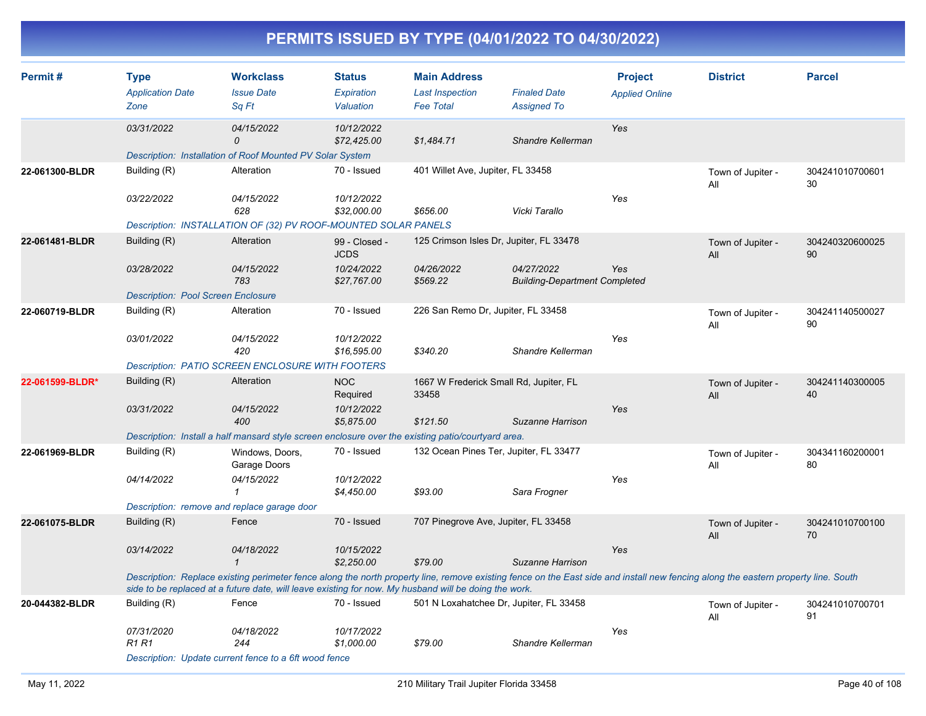| Permit#         | <b>Type</b><br><b>Application Date</b><br>Zone | <b>Workclass</b><br><b>Issue Date</b><br>Sq Ft                                                                                                                                                                                                                                              | <b>Status</b><br>Expiration<br>Valuation | <b>Main Address</b><br><b>Last Inspection</b><br><b>Fee Total</b> | <b>Finaled Date</b><br><b>Assigned To</b>          | <b>Project</b><br><b>Applied Online</b> | <b>District</b>          | <b>Parcel</b>         |
|-----------------|------------------------------------------------|---------------------------------------------------------------------------------------------------------------------------------------------------------------------------------------------------------------------------------------------------------------------------------------------|------------------------------------------|-------------------------------------------------------------------|----------------------------------------------------|-----------------------------------------|--------------------------|-----------------------|
|                 | 03/31/2022                                     | 04/15/2022<br>$\Omega$                                                                                                                                                                                                                                                                      | 10/12/2022<br>\$72,425.00                | \$1,484.71                                                        | Shandre Kellerman                                  | Yes                                     |                          |                       |
|                 |                                                | Description: Installation of Roof Mounted PV Solar System                                                                                                                                                                                                                                   |                                          |                                                                   |                                                    |                                         |                          |                       |
| 22-061300-BLDR  | Building (R)                                   | Alteration                                                                                                                                                                                                                                                                                  | 70 - Issued                              | 401 Willet Ave, Jupiter, FL 33458                                 |                                                    |                                         | Town of Jupiter -<br>ΑIΙ | 304241010700601<br>30 |
|                 | 03/22/2022                                     | 04/15/2022<br>628                                                                                                                                                                                                                                                                           | 10/12/2022<br>\$32,000.00                | \$656.00                                                          | Vicki Tarallo                                      | Yes                                     |                          |                       |
|                 |                                                | Description: INSTALLATION OF (32) PV ROOF-MOUNTED SOLAR PANELS                                                                                                                                                                                                                              |                                          |                                                                   |                                                    |                                         |                          |                       |
| 22-061481-BLDR  | Building (R)                                   | Alteration                                                                                                                                                                                                                                                                                  | 99 - Closed -<br><b>JCDS</b>             | 125 Crimson Isles Dr, Jupiter, FL 33478                           |                                                    |                                         | Town of Jupiter -<br>All | 304240320600025<br>90 |
|                 | 03/28/2022                                     | 04/15/2022<br>783                                                                                                                                                                                                                                                                           | 10/24/2022<br>\$27,767.00                | 04/26/2022<br>\$569.22                                            | 04/27/2022<br><b>Building-Department Completed</b> | Yes                                     |                          |                       |
|                 | <b>Description: Pool Screen Enclosure</b>      |                                                                                                                                                                                                                                                                                             |                                          |                                                                   |                                                    |                                         |                          |                       |
| 22-060719-BLDR  | Building (R)                                   | Alteration                                                                                                                                                                                                                                                                                  | 70 - Issued                              | 226 San Remo Dr, Jupiter, FL 33458                                |                                                    |                                         | Town of Jupiter -<br>All | 304241140500027<br>90 |
|                 | 03/01/2022                                     | 04/15/2022<br>420                                                                                                                                                                                                                                                                           | 10/12/2022<br>\$16,595.00                | \$340.20                                                          | Shandre Kellerman                                  | Yes                                     |                          |                       |
|                 |                                                | <b>Description: PATIO SCREEN ENCLOSURE WITH FOOTERS</b>                                                                                                                                                                                                                                     |                                          |                                                                   |                                                    |                                         |                          |                       |
| 22-061599-BLDR* | Building (R)                                   | Alteration                                                                                                                                                                                                                                                                                  | <b>NOC</b><br>Required                   | 1667 W Frederick Small Rd, Jupiter, FL<br>33458                   |                                                    |                                         | Town of Jupiter -<br>All | 304241140300005<br>40 |
|                 | 03/31/2022                                     | 04/15/2022<br>400                                                                                                                                                                                                                                                                           | 10/12/2022<br>\$5.875.00                 | \$121.50                                                          | Suzanne Harrison                                   | Yes                                     |                          |                       |
|                 |                                                | Description: Install a half mansard style screen enclosure over the existing patio/courtyard area.                                                                                                                                                                                          |                                          |                                                                   |                                                    |                                         |                          |                       |
| 22-061969-BLDR  | Building (R)                                   | Windows, Doors,<br>Garage Doors                                                                                                                                                                                                                                                             | 70 - Issued                              | 132 Ocean Pines Ter, Jupiter, FL 33477                            |                                                    |                                         | Town of Jupiter -<br>All | 304341160200001<br>80 |
|                 | 04/14/2022                                     | 04/15/2022<br>1                                                                                                                                                                                                                                                                             | 10/12/2022<br>\$4,450.00                 | \$93.00                                                           | Sara Frogner                                       | Yes                                     |                          |                       |
|                 | Description: remove and replace garage door    |                                                                                                                                                                                                                                                                                             |                                          |                                                                   |                                                    |                                         |                          |                       |
| 22-061075-BLDR  | Building (R)                                   | Fence                                                                                                                                                                                                                                                                                       | 70 - Issued                              | 707 Pinegrove Ave, Jupiter, FL 33458                              |                                                    |                                         | Town of Jupiter -<br>All | 304241010700100<br>70 |
|                 | 03/14/2022                                     | 04/18/2022<br>$\mathcal{I}$                                                                                                                                                                                                                                                                 | 10/15/2022<br>\$2,250.00                 | \$79.00                                                           | Suzanne Harrison                                   | Yes                                     |                          |                       |
|                 |                                                | Description: Replace existing perimeter fence along the north property line, remove existing fence on the East side and install new fencing along the eastern property line. South<br>side to be replaced at a future date, will leave existing for now. My husband will be doing the work. |                                          |                                                                   |                                                    |                                         |                          |                       |
| 20-044382-BLDR  | Building (R)                                   | Fence                                                                                                                                                                                                                                                                                       | 70 - Issued                              | 501 N Loxahatchee Dr, Jupiter, FL 33458                           |                                                    |                                         | Town of Jupiter -<br>All | 304241010700701<br>91 |
|                 | 07/31/2020<br><b>R1 R1</b>                     | 04/18/2022<br>244                                                                                                                                                                                                                                                                           | 10/17/2022<br>\$1,000.00                 | \$79.00                                                           | Shandre Kellerman                                  | Yes                                     |                          |                       |
|                 |                                                | Description: Update current fence to a 6ft wood fence                                                                                                                                                                                                                                       |                                          |                                                                   |                                                    |                                         |                          |                       |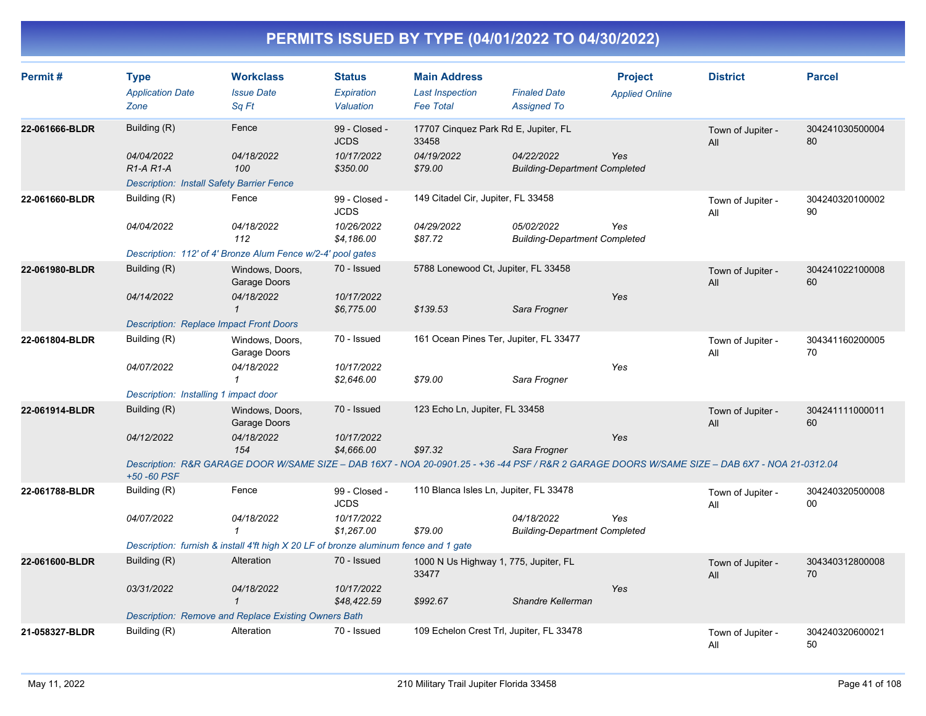| Permit#        | <b>Type</b><br><b>Application Date</b><br>Zone   | <b>Workclass</b><br><b>Issue Date</b><br>Sq Ft                                                                                                 | <b>Status</b><br>Expiration<br>Valuation | <b>Main Address</b><br><b>Last Inspection</b><br><b>Fee Total</b> | <b>Finaled Date</b><br><b>Assigned To</b>          | <b>Project</b><br><b>Applied Online</b> | <b>District</b>          | <b>Parcel</b>         |
|----------------|--------------------------------------------------|------------------------------------------------------------------------------------------------------------------------------------------------|------------------------------------------|-------------------------------------------------------------------|----------------------------------------------------|-----------------------------------------|--------------------------|-----------------------|
| 22-061666-BLDR | Building (R)                                     | Fence                                                                                                                                          | 99 - Closed -<br><b>JCDS</b>             | 17707 Cinquez Park Rd E, Jupiter, FL<br>33458                     |                                                    |                                         | Town of Jupiter -<br>All | 304241030500004<br>80 |
|                | 04/04/2022<br>$R1-A R1-A$                        | 04/18/2022<br>100                                                                                                                              | 10/17/2022<br>\$350.00                   | 04/19/2022<br>\$79.00                                             | 04/22/2022<br><b>Building-Department Completed</b> | Yes                                     |                          |                       |
|                | <b>Description: Install Safety Barrier Fence</b> |                                                                                                                                                |                                          |                                                                   |                                                    |                                         |                          |                       |
| 22-061660-BLDR | Building (R)                                     | Fence                                                                                                                                          | 99 - Closed -<br><b>JCDS</b>             | 149 Citadel Cir, Jupiter, FL 33458                                |                                                    |                                         | Town of Jupiter -<br>All | 304240320100002<br>90 |
|                | 04/04/2022                                       | 04/18/2022<br>112                                                                                                                              | 10/26/2022<br>\$4.186.00                 | 04/29/2022<br>\$87.72                                             | 05/02/2022<br><b>Building-Department Completed</b> | Yes                                     |                          |                       |
|                |                                                  | Description: 112' of 4' Bronze Alum Fence w/2-4' pool gates                                                                                    |                                          |                                                                   |                                                    |                                         |                          |                       |
| 22-061980-BLDR | Building (R)                                     | Windows, Doors,<br>Garage Doors                                                                                                                | 70 - Issued                              | 5788 Lonewood Ct, Jupiter, FL 33458                               |                                                    |                                         | Town of Jupiter -<br>All | 304241022100008<br>60 |
|                | 04/14/2022                                       | 04/18/2022<br>$\mathbf 1$                                                                                                                      | 10/17/2022<br>\$6,775.00                 | \$139.53                                                          | Sara Frogner                                       | Yes                                     |                          |                       |
|                | <b>Description: Replace Impact Front Doors</b>   |                                                                                                                                                |                                          |                                                                   |                                                    |                                         |                          |                       |
| 22-061804-BLDR | Building (R)                                     | Windows, Doors,<br>Garage Doors                                                                                                                | 70 - Issued                              | 161 Ocean Pines Ter, Jupiter, FL 33477                            |                                                    |                                         | Town of Jupiter -<br>All | 304341160200005<br>70 |
|                | 04/07/2022                                       | 04/18/2022<br>1                                                                                                                                | 10/17/2022<br>\$2,646.00                 | \$79.00                                                           | Sara Frogner                                       | Yes                                     |                          |                       |
|                | Description: Installing 1 impact door            |                                                                                                                                                |                                          |                                                                   |                                                    |                                         |                          |                       |
| 22-061914-BLDR | Building (R)                                     | Windows, Doors,<br>Garage Doors                                                                                                                | 70 - Issued                              | 123 Echo Ln, Jupiter, FL 33458                                    |                                                    |                                         | Town of Jupiter -<br>All | 304241111000011<br>60 |
|                | 04/12/2022                                       | 04/18/2022<br>154                                                                                                                              | 10/17/2022<br>\$4,666.00                 | \$97.32                                                           | Sara Frogner                                       | Yes                                     |                          |                       |
|                | +50 -60 PSF                                      | Description: R&R GARAGE DOOR W/SAME SIZE - DAB 16X7 - NOA 20-0901.25 - +36 -44 PSF / R&R 2 GARAGE DOORS W/SAME SIZE - DAB 6X7 - NOA 21-0312.04 |                                          |                                                                   |                                                    |                                         |                          |                       |
| 22-061788-BLDR | Building (R)                                     | Fence                                                                                                                                          | 99 - Closed -<br><b>JCDS</b>             | 110 Blanca Isles Ln, Jupiter, FL 33478                            |                                                    |                                         | Town of Jupiter -<br>All | 304240320500008<br>00 |
|                | 04/07/2022                                       | 04/18/2022<br>1                                                                                                                                | 10/17/2022<br>\$1,267.00                 | \$79.00                                                           | 04/18/2022<br><b>Building-Department Completed</b> | Yes                                     |                          |                       |
|                |                                                  | Description: furnish & install 4'ft high X 20 LF of bronze aluminum fence and 1 gate                                                           |                                          |                                                                   |                                                    |                                         |                          |                       |
| 22-061600-BLDR | Building (R)                                     | Alteration                                                                                                                                     | 70 - Issued                              | 1000 N Us Highway 1, 775, Jupiter, FL<br>33477                    |                                                    |                                         | Town of Jupiter -<br>All | 304340312800008<br>70 |
|                | 03/31/2022                                       | 04/18/2022<br>$\mathbf{1}$                                                                                                                     | 10/17/2022<br>\$48,422.59                | \$992.67                                                          | Shandre Kellerman                                  | Yes                                     |                          |                       |
|                |                                                  | <b>Description: Remove and Replace Existing Owners Bath</b>                                                                                    |                                          |                                                                   |                                                    |                                         |                          |                       |
| 21-058327-BLDR | Building (R)                                     | Alteration                                                                                                                                     | 70 - Issued                              | 109 Echelon Crest Trl, Jupiter, FL 33478                          |                                                    |                                         | Town of Jupiter -<br>All | 304240320600021<br>50 |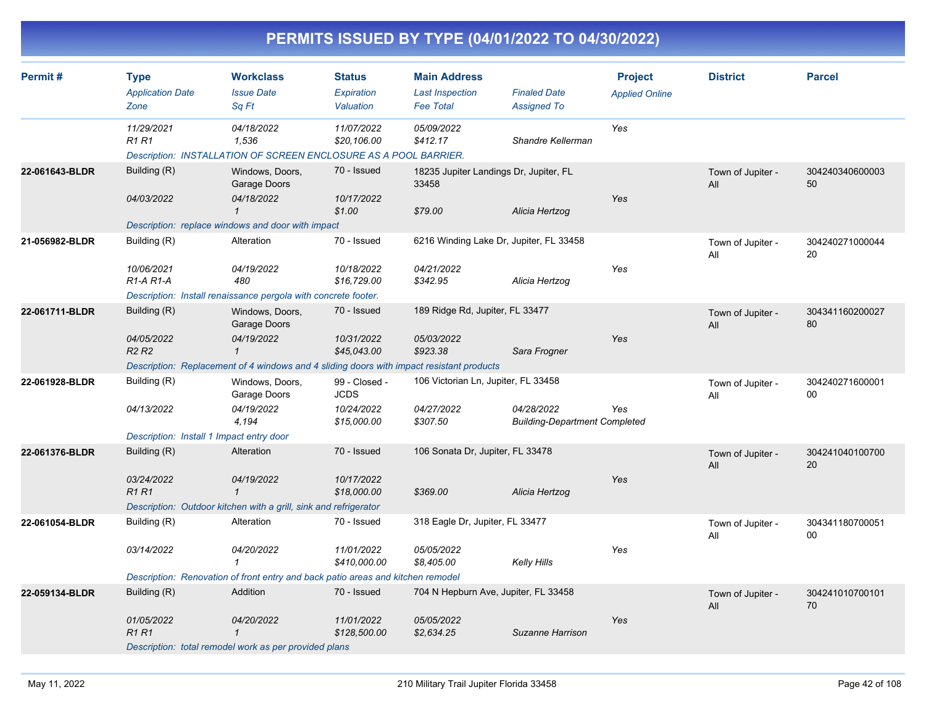| PERMITS ISSUED BY TYPE (04/01/2022 TO 04/30/2022) |
|---------------------------------------------------|
|---------------------------------------------------|

| Permit#        | <b>Type</b>                                 | <b>Workclass</b>                                                                         | <b>Status</b>                | <b>Main Address</b>                             |                                                    | <b>Project</b>        | <b>District</b>          | <b>Parcel</b>         |
|----------------|---------------------------------------------|------------------------------------------------------------------------------------------|------------------------------|-------------------------------------------------|----------------------------------------------------|-----------------------|--------------------------|-----------------------|
|                | <b>Application Date</b><br>Zone             | <b>Issue Date</b><br>Sa Ft                                                               | Expiration<br>Valuation      | <b>Last Inspection</b><br><b>Fee Total</b>      | <b>Finaled Date</b><br><b>Assigned To</b>          | <b>Applied Online</b> |                          |                       |
|                | 11/29/2021<br>R <sub>1</sub> R <sub>1</sub> | 04/18/2022<br>1,536<br>Description: INSTALLATION OF SCREEN ENCLOSURE AS A POOL BARRIER.  | 11/07/2022<br>\$20,106.00    | 05/09/2022<br>\$412.17                          | Shandre Kellerman                                  | Yes                   |                          |                       |
| 22-061643-BLDR | Building (R)                                | Windows, Doors,<br>Garage Doors                                                          | 70 - Issued                  | 18235 Jupiter Landings Dr, Jupiter, FL<br>33458 |                                                    |                       | Town of Jupiter -<br>All | 304240340600003<br>50 |
|                | 04/03/2022                                  | 04/18/2022<br>$\mathbf{1}$                                                               | 10/17/2022<br>\$1.00         | \$79.00                                         | Alicia Hertzog                                     | Yes                   |                          |                       |
|                |                                             | Description: replace windows and door with impact                                        |                              |                                                 |                                                    |                       |                          |                       |
| 21-056982-BLDR | Building (R)                                | Alteration                                                                               | 70 - Issued                  | 6216 Winding Lake Dr, Jupiter, FL 33458         |                                                    |                       | Town of Jupiter -<br>All | 304240271000044<br>20 |
|                | 10/06/2021<br>$R1-A R1-A$                   | 04/19/2022<br>480                                                                        | 10/18/2022<br>\$16,729.00    | 04/21/2022<br>\$342.95                          | Alicia Hertzog                                     | Yes                   |                          |                       |
|                |                                             | Description: Install renaissance pergola with concrete footer.                           |                              |                                                 |                                                    |                       |                          |                       |
| 22-061711-BLDR | Building (R)                                | Windows, Doors,<br>Garage Doors                                                          | 70 - Issued                  | 189 Ridge Rd, Jupiter, FL 33477                 |                                                    |                       | Town of Jupiter -<br>All | 304341160200027<br>80 |
|                | 04/05/2022<br><b>R2 R2</b>                  | 04/19/2022<br>$\mathbf{1}$                                                               | 10/31/2022<br>\$45,043.00    | 05/03/2022<br>\$923.38                          | Sara Frogner                                       | Yes                   |                          |                       |
|                |                                             | Description: Replacement of 4 windows and 4 sliding doors with impact resistant products |                              |                                                 |                                                    |                       |                          |                       |
| 22-061928-BLDR | Building (R)                                | Windows, Doors,<br>Garage Doors                                                          | 99 - Closed -<br><b>JCDS</b> | 106 Victorian Ln, Jupiter, FL 33458             |                                                    |                       | Town of Jupiter -<br>All | 304240271600001<br>00 |
|                | 04/13/2022                                  | 04/19/2022<br>4,194                                                                      | 10/24/2022<br>\$15,000.00    | 04/27/2022<br>\$307.50                          | 04/28/2022<br><b>Building-Department Completed</b> | Yes                   |                          |                       |
|                | Description: Install 1 Impact entry door    |                                                                                          |                              |                                                 |                                                    |                       |                          |                       |
| 22-061376-BLDR | Building (R)                                | Alteration                                                                               | 70 - Issued                  | 106 Sonata Dr, Jupiter, FL 33478                |                                                    |                       | Town of Jupiter -<br>All | 304241040100700<br>20 |
|                | 03/24/2022<br><b>R1R1</b>                   | 04/19/2022<br>$\mathbf{1}$                                                               | 10/17/2022<br>\$18,000.00    | \$369.00                                        | Alicia Hertzog                                     | Yes                   |                          |                       |
|                |                                             | Description: Outdoor kitchen with a grill, sink and refrigerator                         |                              |                                                 |                                                    |                       |                          |                       |
| 22-061054-BLDR | Building (R)                                | Alteration                                                                               | 70 - Issued                  | 318 Eagle Dr, Jupiter, FL 33477                 |                                                    |                       | Town of Jupiter -<br>All | 304341180700051<br>00 |
|                | 03/14/2022                                  | 04/20/2022<br>-1                                                                         | 11/01/2022<br>\$410,000.00   | 05/05/2022<br>\$8,405.00                        | <b>Kelly Hills</b>                                 | Yes                   |                          |                       |
|                |                                             | Description: Renovation of front entry and back patio areas and kitchen remodel          |                              |                                                 |                                                    |                       |                          |                       |
| 22-059134-BLDR | Building (R)                                | Addition                                                                                 | 70 - Issued                  | 704 N Hepburn Ave, Jupiter, FL 33458            |                                                    |                       | Town of Jupiter -<br>All | 304241010700101<br>70 |
|                | 01/05/2022<br>R <sub>1</sub> R <sub>1</sub> | 04/20/2022<br>$\mathcal I$                                                               | 11/01/2022<br>\$128,500.00   | 05/05/2022<br>\$2.634.25                        | Suzanne Harrison                                   | Yes                   |                          |                       |
|                |                                             | Description: total remodel work as per provided plans                                    |                              |                                                 |                                                    |                       |                          |                       |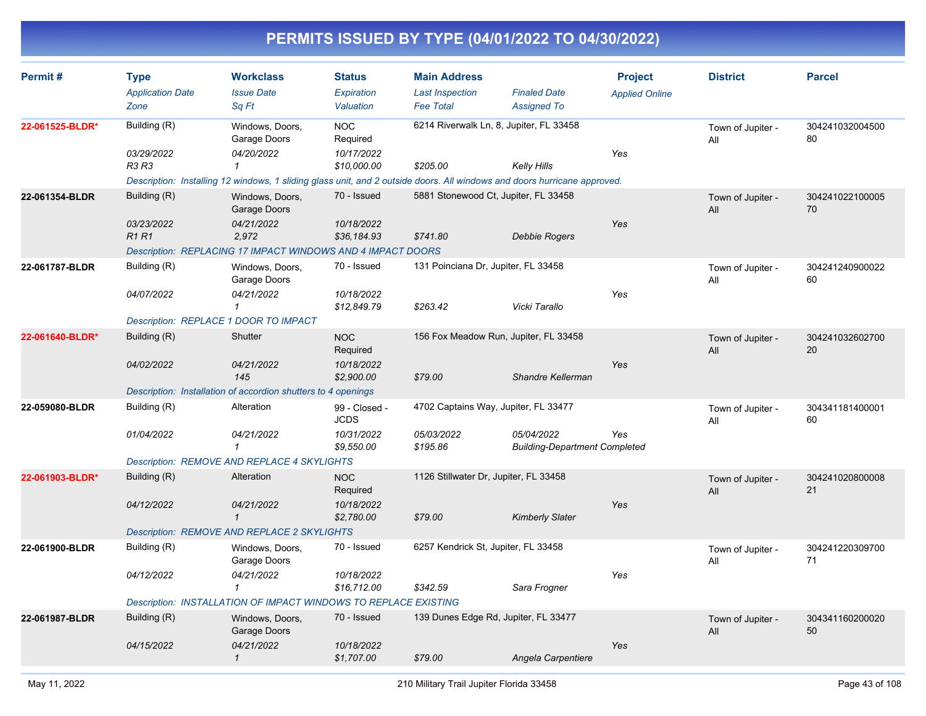| Permit#         | <b>Type</b><br><b>Application Date</b> | <b>Workclass</b><br><b>Issue Date</b>                                                                                    | <b>Status</b><br>Expiration  | <b>Main Address</b><br><b>Last Inspection</b> | <b>Finaled Date</b>                                | <b>Project</b><br><b>Applied Online</b> | <b>District</b>          | <b>Parcel</b>         |
|-----------------|----------------------------------------|--------------------------------------------------------------------------------------------------------------------------|------------------------------|-----------------------------------------------|----------------------------------------------------|-----------------------------------------|--------------------------|-----------------------|
|                 | Zone                                   | Sq Ft                                                                                                                    | Valuation                    | <b>Fee Total</b>                              | <b>Assigned To</b>                                 |                                         |                          |                       |
| 22-061525-BLDR* | Building (R)                           | Windows, Doors,<br>Garage Doors                                                                                          | <b>NOC</b><br>Required       | 6214 Riverwalk Ln, 8, Jupiter, FL 33458       |                                                    |                                         | Town of Jupiter -<br>All | 304241032004500<br>80 |
|                 | 03/29/2022<br>R3 R3                    | 04/20/2022<br>$\mathbf{1}$                                                                                               | 10/17/2022<br>\$10,000.00    | \$205.00                                      | Kelly Hills                                        | Yes                                     |                          |                       |
|                 |                                        | Description: Installing 12 windows, 1 sliding glass unit, and 2 outside doors. All windows and doors hurricane approved. |                              |                                               |                                                    |                                         |                          |                       |
| 22-061354-BLDR  | Building (R)                           | Windows, Doors,<br>Garage Doors                                                                                          | 70 - Issued                  | 5881 Stonewood Ct, Jupiter, FL 33458          |                                                    |                                         | Town of Jupiter -<br>All | 304241022100005<br>70 |
|                 | 03/23/2022<br><b>R1 R1</b>             | 04/21/2022<br>2,972                                                                                                      | 10/18/2022<br>\$36,184.93    | \$741.80                                      | <b>Debbie Rogers</b>                               | Yes                                     |                          |                       |
|                 |                                        | Description: REPLACING 17 IMPACT WINDOWS AND 4 IMPACT DOORS                                                              |                              |                                               |                                                    |                                         |                          |                       |
| 22-061787-BLDR  | Building (R)                           | Windows, Doors,<br>Garage Doors                                                                                          | 70 - Issued                  | 131 Poinciana Dr, Jupiter, FL 33458           |                                                    |                                         | Town of Jupiter -<br>All | 304241240900022<br>60 |
|                 | 04/07/2022                             | 04/21/2022<br>$\mathbf{1}$                                                                                               | 10/18/2022<br>\$12,849.79    | \$263.42                                      | Vicki Tarallo                                      | Yes                                     |                          |                       |
|                 | Description: REPLACE 1 DOOR TO IMPACT  |                                                                                                                          |                              |                                               |                                                    |                                         |                          |                       |
| 22-061640-BLDR* | Building (R)                           | Shutter                                                                                                                  | <b>NOC</b><br>Required       | 156 Fox Meadow Run, Jupiter, FL 33458         |                                                    |                                         | Town of Jupiter -<br>All | 304241032602700<br>20 |
|                 | 04/02/2022                             | 04/21/2022<br>145                                                                                                        | 10/18/2022<br>\$2,900.00     | \$79.00                                       | Shandre Kellerman                                  | Yes                                     |                          |                       |
|                 |                                        | Description: Installation of accordion shutters to 4 openings                                                            |                              |                                               |                                                    |                                         |                          |                       |
| 22-059080-BLDR  | Building (R)                           | Alteration                                                                                                               | 99 - Closed -<br><b>JCDS</b> | 4702 Captains Way, Jupiter, FL 33477          |                                                    |                                         | Town of Jupiter -<br>All | 304341181400001<br>60 |
|                 | 01/04/2022                             | 04/21/2022<br>$\mathbf{1}$                                                                                               | 10/31/2022<br>\$9,550.00     | 05/03/2022<br>\$195.86                        | 05/04/2022<br><b>Building-Department Completed</b> | Yes                                     |                          |                       |
|                 |                                        | Description: REMOVE AND REPLACE 4 SKYLIGHTS                                                                              |                              |                                               |                                                    |                                         |                          |                       |
| 22-061903-BLDR* | Building (R)                           | Alteration                                                                                                               | <b>NOC</b><br>Required       | 1126 Stillwater Dr, Jupiter, FL 33458         |                                                    |                                         | Town of Jupiter -<br>All | 304241020800008<br>21 |
|                 | 04/12/2022                             | 04/21/2022<br>$\mathbf{1}$                                                                                               | 10/18/2022<br>\$2,780.00     | \$79.00                                       | <b>Kimberly Slater</b>                             | Yes                                     |                          |                       |
|                 |                                        | <b>Description: REMOVE AND REPLACE 2 SKYLIGHTS</b>                                                                       |                              |                                               |                                                    |                                         |                          |                       |
| 22-061900-BLDR  | Building (R)                           | Windows, Doors,<br>Garage Doors                                                                                          | 70 - Issued                  | 6257 Kendrick St, Jupiter, FL 33458           |                                                    |                                         | Town of Jupiter -<br>All | 304241220309700<br>71 |
|                 | 04/12/2022                             | 04/21/2022<br>$\mathcal I$                                                                                               | 10/18/2022<br>\$16,712.00    | \$342.59                                      | Sara Frogner                                       | Yes                                     |                          |                       |
|                 |                                        | Description: INSTALLATION OF IMPACT WINDOWS TO REPLACE EXISTING                                                          |                              |                                               |                                                    |                                         |                          |                       |
| 22-061987-BLDR  | Building (R)                           | Windows, Doors,<br>Garage Doors                                                                                          | 70 - Issued                  | 139 Dunes Edge Rd, Jupiter, FL 33477          |                                                    |                                         | Town of Jupiter -<br>All | 304341160200020<br>50 |
|                 | 04/15/2022                             | 04/21/2022<br>$\mathbf{1}$                                                                                               | 10/18/2022<br>\$1,707.00     | \$79.00                                       | Angela Carpentiere                                 | Yes                                     |                          |                       |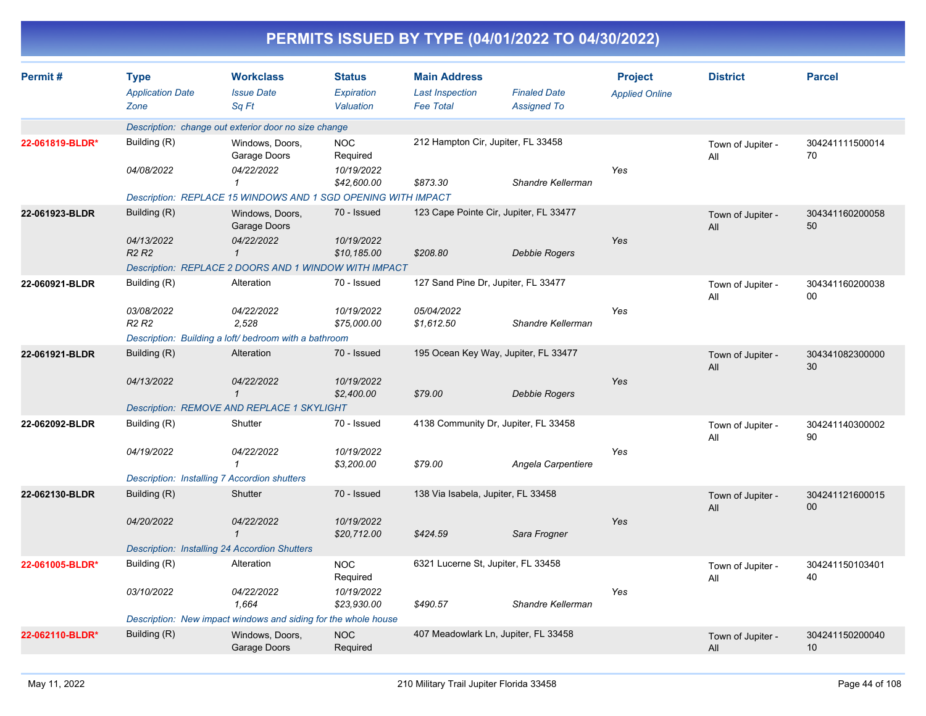|                 |                                                |                                                                |                                          |                                                                   | PERMITS ISSUED BY TYPE (04/01/2022 TO 04/30/2022) |                                         |                          |                                    |
|-----------------|------------------------------------------------|----------------------------------------------------------------|------------------------------------------|-------------------------------------------------------------------|---------------------------------------------------|-----------------------------------------|--------------------------|------------------------------------|
| Permit#         | <b>Type</b><br><b>Application Date</b><br>Zone | <b>Workclass</b><br><b>Issue Date</b><br>Sq Ft                 | <b>Status</b><br>Expiration<br>Valuation | <b>Main Address</b><br><b>Last Inspection</b><br><b>Fee Total</b> | <b>Finaled Date</b><br><b>Assigned To</b>         | <b>Project</b><br><b>Applied Online</b> | <b>District</b>          | <b>Parcel</b>                      |
|                 |                                                | Description: change out exterior door no size change           |                                          |                                                                   |                                                   |                                         |                          |                                    |
| 22-061819-BLDR* | Building (R)<br>04/08/2022                     | Windows, Doors,<br>Garage Doors<br>04/22/2022                  | <b>NOC</b><br>Required<br>10/19/2022     | 212 Hampton Cir, Jupiter, FL 33458                                |                                                   | Yes                                     | Town of Jupiter -<br>All | 304241111500014<br>70              |
|                 |                                                | 1                                                              | \$42,600.00                              | \$873.30                                                          | Shandre Kellerman                                 |                                         |                          |                                    |
|                 |                                                | Description: REPLACE 15 WINDOWS AND 1 SGD OPENING WITH IMPACT  |                                          |                                                                   |                                                   |                                         |                          |                                    |
| 22-061923-BLDR  | Building (R)                                   | Windows, Doors,<br>Garage Doors                                | 70 - Issued                              |                                                                   | 123 Cape Pointe Cir, Jupiter, FL 33477            |                                         | Town of Jupiter -<br>All | 304341160200058<br>50              |
|                 | 04/13/2022<br><b>R2 R2</b>                     | 04/22/2022<br>$\mathbf{1}$                                     | 10/19/2022<br>\$10,185.00                | \$208.80                                                          | <b>Debbie Rogers</b>                              | Yes                                     |                          |                                    |
|                 |                                                | Description: REPLACE 2 DOORS AND 1 WINDOW WITH IMPACT          |                                          |                                                                   |                                                   |                                         |                          |                                    |
| 22-060921-BLDR  | Building (R)                                   | Alteration                                                     | 70 - Issued                              | 127 Sand Pine Dr, Jupiter, FL 33477                               |                                                   |                                         | Town of Jupiter -<br>All | 304341160200038<br>00              |
|                 | 03/08/2022<br><b>R2 R2</b>                     | 04/22/2022<br>2,528                                            | 10/19/2022<br>\$75,000.00                | 05/04/2022<br>\$1,612.50                                          | Shandre Kellerman                                 | Yes                                     |                          |                                    |
|                 |                                                | Description: Building a loft/ bedroom with a bathroom          |                                          |                                                                   |                                                   |                                         |                          |                                    |
| 22-061921-BLDR  | Building (R)                                   | Alteration                                                     | 70 - Issued                              |                                                                   | 195 Ocean Key Way, Jupiter, FL 33477              |                                         | Town of Jupiter -<br>All | 304341082300000<br>30              |
|                 | 04/13/2022                                     | 04/22/2022<br>$\mathcal I$                                     | 10/19/2022<br>\$2,400.00                 | \$79.00                                                           | <b>Debbie Rogers</b>                              | Yes                                     |                          |                                    |
|                 |                                                | Description: REMOVE AND REPLACE 1 SKYLIGHT                     |                                          |                                                                   |                                                   |                                         |                          |                                    |
| 22-062092-BLDR  | Building (R)                                   | Shutter                                                        | 70 - Issued                              |                                                                   | 4138 Community Dr, Jupiter, FL 33458              |                                         | Town of Jupiter -<br>All | 304241140300002<br>90              |
|                 | 04/19/2022                                     | 04/22/2022                                                     | 10/19/2022<br>\$3,200.00                 | \$79.00                                                           | Angela Carpentiere                                | Yes                                     |                          |                                    |
|                 |                                                | <b>Description: Installing 7 Accordion shutters</b>            |                                          |                                                                   |                                                   |                                         |                          |                                    |
| 22-062130-BLDR  | Building (R)                                   | Shutter                                                        | 70 - Issued                              | 138 Via Isabela, Jupiter, FL 33458                                |                                                   |                                         | Town of Jupiter -<br>All | 304241121600015<br>00 <sup>°</sup> |
|                 | 04/20/2022                                     | 04/22/2022                                                     | 10/19/2022<br>\$20,712.00                | \$424.59                                                          | Sara Frogner                                      | Yes                                     |                          |                                    |
|                 |                                                | Description: Installing 24 Accordion Shutters                  |                                          |                                                                   |                                                   |                                         |                          |                                    |
| 22-061005-BLDR* | Building (R)                                   | Alteration                                                     | <b>NOC</b><br>Required                   | 6321 Lucerne St, Jupiter, FL 33458                                |                                                   |                                         | Town of Jupiter -<br>All | 304241150103401<br>40              |
|                 | 03/10/2022                                     | 04/22/2022<br>1,664                                            | 10/19/2022<br>\$23,930.00                | \$490.57                                                          | Shandre Kellerman                                 | Yes                                     |                          |                                    |
|                 |                                                | Description: New impact windows and siding for the whole house |                                          |                                                                   |                                                   |                                         |                          |                                    |
| 22-062110-BLDR* | Building (R)                                   | Windows, Doors,<br>Garage Doors                                | <b>NOC</b><br>Required                   |                                                                   | 407 Meadowlark Ln, Jupiter, FL 33458              |                                         | Town of Jupiter -<br>All | 304241150200040<br>10              |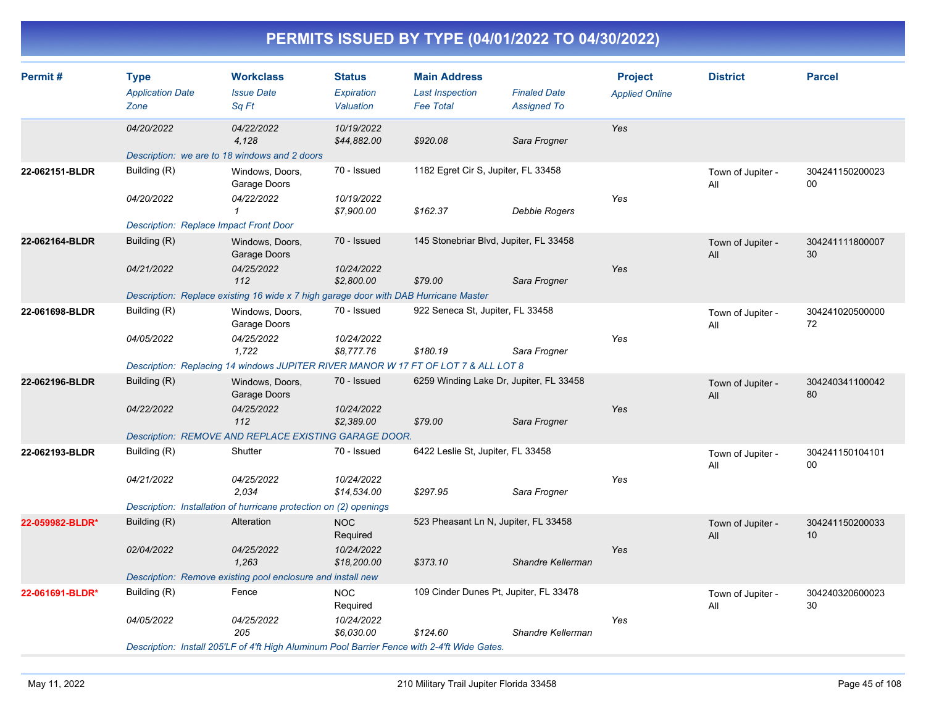| Permit#         | <b>Type</b>                                   | <b>Workclass</b>                                                                             | <b>Status</b>             | <b>Main Address</b>                        |                                           | <b>Project</b>        | <b>District</b>          | <b>Parcel</b>             |
|-----------------|-----------------------------------------------|----------------------------------------------------------------------------------------------|---------------------------|--------------------------------------------|-------------------------------------------|-----------------------|--------------------------|---------------------------|
|                 | <b>Application Date</b><br>Zone               | <b>Issue Date</b><br>Sq Ft                                                                   | Expiration<br>Valuation   | <b>Last Inspection</b><br><b>Fee Total</b> | <b>Finaled Date</b><br><b>Assigned To</b> | <b>Applied Online</b> |                          |                           |
|                 | 04/20/2022                                    | 04/22/2022<br>4,128                                                                          | 10/19/2022<br>\$44,882.00 | \$920.08                                   | Sara Frogner                              | Yes                   |                          |                           |
|                 |                                               | Description: we are to 18 windows and 2 doors                                                |                           |                                            |                                           |                       |                          |                           |
| 22-062151-BLDR  | Building (R)                                  | Windows, Doors,<br>Garage Doors                                                              | 70 - Issued               | 1182 Egret Cir S, Jupiter, FL 33458        |                                           |                       | Town of Jupiter -<br>All | 304241150200023<br>00     |
|                 | 04/20/2022                                    | 04/22/2022<br>1                                                                              | 10/19/2022<br>\$7,900.00  | \$162.37                                   | Debbie Rogers                             | Yes                   |                          |                           |
|                 | <b>Description: Replace Impact Front Door</b> |                                                                                              |                           |                                            |                                           |                       |                          |                           |
| 22-062164-BLDR  | Building (R)                                  | Windows, Doors,<br>Garage Doors                                                              | 70 - Issued               | 145 Stonebriar Blvd, Jupiter, FL 33458     |                                           |                       | Town of Jupiter -<br>All | 304241111800007<br>30     |
|                 | 04/21/2022                                    | 04/25/2022<br>112                                                                            | 10/24/2022<br>\$2,800.00  | \$79.00                                    | Sara Frogner                              | Yes                   |                          |                           |
|                 |                                               | Description: Replace existing 16 wide x 7 high garage door with DAB Hurricane Master         |                           |                                            |                                           |                       |                          |                           |
| 22-061698-BLDR  | Building (R)                                  | Windows, Doors,<br>Garage Doors                                                              | 70 - Issued               | 922 Seneca St, Jupiter, FL 33458           |                                           |                       | Town of Jupiter -<br>All | 304241020500000<br>72     |
|                 | 04/05/2022                                    | 04/25/2022<br>1,722                                                                          | 10/24/2022<br>\$8,777.76  | \$180.19                                   | Sara Frogner                              | Yes                   |                          |                           |
|                 |                                               | Description: Replacing 14 windows JUPITER RIVER MANOR W 17 FT OF LOT 7 & ALL LOT 8           |                           |                                            |                                           |                       |                          |                           |
| 22-062196-BLDR  | Building (R)                                  | Windows, Doors,<br>Garage Doors                                                              | 70 - Issued               | 6259 Winding Lake Dr, Jupiter, FL 33458    |                                           |                       | Town of Jupiter -<br>All | 304240341100042<br>80     |
|                 | 04/22/2022                                    | 04/25/2022<br>112                                                                            | 10/24/2022<br>\$2,389.00  | \$79.00                                    | Sara Frogner                              | Yes                   |                          |                           |
|                 |                                               | Description: REMOVE AND REPLACE EXISTING GARAGE DOOR.                                        |                           |                                            |                                           |                       |                          |                           |
| 22-062193-BLDR  | Building (R)                                  | Shutter                                                                                      | 70 - Issued               | 6422 Leslie St, Jupiter, FL 33458          |                                           |                       | Town of Jupiter -<br>All | 304241150104101<br>$00\,$ |
|                 | 04/21/2022                                    | 04/25/2022<br>2,034                                                                          | 10/24/2022<br>\$14,534.00 | \$297.95                                   | Sara Frogner                              | Yes                   |                          |                           |
|                 |                                               | Description: Installation of hurricane protection on (2) openings                            |                           |                                            |                                           |                       |                          |                           |
| 22-059982-BLDR* | Building (R)                                  | Alteration                                                                                   | <b>NOC</b><br>Required    | 523 Pheasant Ln N, Jupiter, FL 33458       |                                           |                       | Town of Jupiter -<br>All | 304241150200033<br>10     |
|                 | 02/04/2022                                    | 04/25/2022<br>1,263                                                                          | 10/24/2022<br>\$18,200.00 | \$373.10                                   | Shandre Kellerman                         | Yes                   |                          |                           |
|                 |                                               | Description: Remove existing pool enclosure and install new                                  |                           |                                            |                                           |                       |                          |                           |
| 22-061691-BLDR* | Building (R)                                  | Fence                                                                                        | <b>NOC</b><br>Required    | 109 Cinder Dunes Pt, Jupiter, FL 33478     |                                           |                       | Town of Jupiter -<br>All | 304240320600023<br>30     |
|                 | 04/05/2022                                    | 04/25/2022<br>205                                                                            | 10/24/2022<br>\$6,030.00  | \$124.60                                   | Shandre Kellerman                         | Yes                   |                          |                           |
|                 |                                               | Description: Install 205'LF of 4'ft High Aluminum Pool Barrier Fence with 2-4'ft Wide Gates. |                           |                                            |                                           |                       |                          |                           |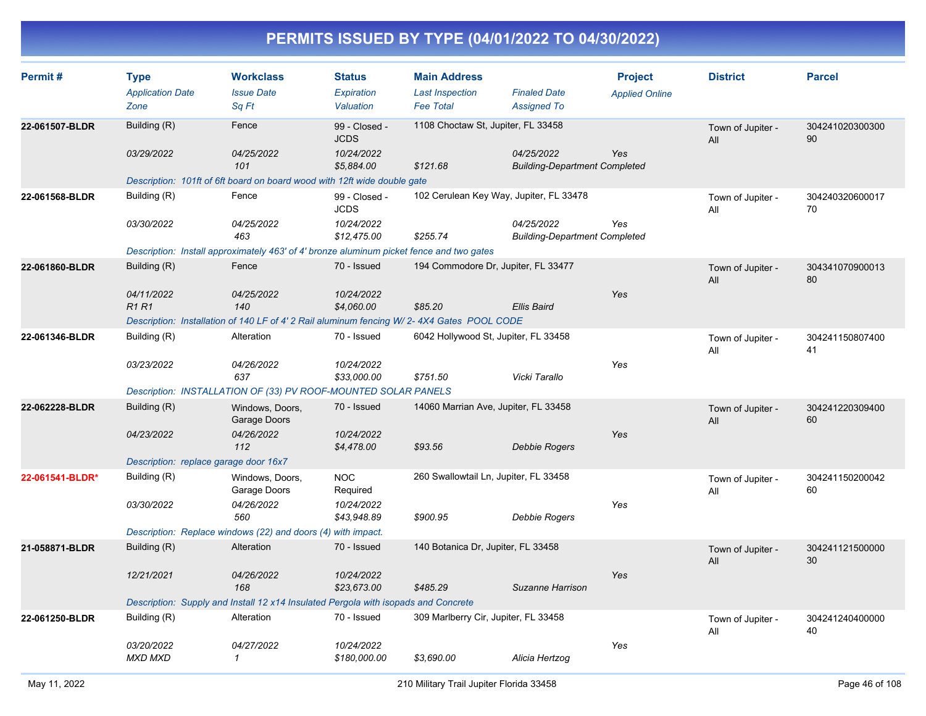| Permit#         | <b>Type</b><br><b>Application Date</b> | <b>Workclass</b><br><b>Issue Date</b>                                                      | <b>Status</b><br>Expiration  | <b>Main Address</b><br><b>Last Inspection</b> | <b>Finaled Date</b>                                | <b>Project</b><br><b>Applied Online</b> | <b>District</b>          | <b>Parcel</b>         |
|-----------------|----------------------------------------|--------------------------------------------------------------------------------------------|------------------------------|-----------------------------------------------|----------------------------------------------------|-----------------------------------------|--------------------------|-----------------------|
|                 | Zone                                   | Sq Ft                                                                                      | Valuation                    | <b>Fee Total</b>                              | <b>Assigned To</b>                                 |                                         |                          |                       |
| 22-061507-BLDR  | Building (R)                           | Fence                                                                                      | 99 - Closed -<br><b>JCDS</b> |                                               | 1108 Choctaw St, Jupiter, FL 33458                 |                                         | Town of Jupiter -<br>All | 304241020300300<br>90 |
|                 | 03/29/2022                             | 04/25/2022<br>101                                                                          | 10/24/2022<br>\$5,884.00     | \$121.68                                      | 04/25/2022<br><b>Building-Department Completed</b> | Yes                                     |                          |                       |
|                 |                                        | Description: 101ft of 6ft board on board wood with 12ft wide double gate                   |                              |                                               |                                                    |                                         |                          |                       |
| 22-061568-BLDR  | Building (R)                           | Fence                                                                                      | 99 - Closed -<br><b>JCDS</b> | 102 Cerulean Key Way, Jupiter, FL 33478       |                                                    |                                         | Town of Jupiter -<br>All | 304240320600017<br>70 |
|                 | 03/30/2022                             | 04/25/2022<br>463                                                                          | 10/24/2022<br>\$12,475.00    | \$255.74                                      | 04/25/2022<br><b>Building-Department Completed</b> | Yes                                     |                          |                       |
|                 |                                        | Description: Install approximately 463' of 4' bronze aluminum picket fence and two gates   |                              |                                               |                                                    |                                         |                          |                       |
| 22-061860-BLDR  | Building (R)                           | Fence                                                                                      | 70 - Issued                  | 194 Commodore Dr, Jupiter, FL 33477           |                                                    |                                         | Town of Jupiter -<br>All | 304341070900013<br>80 |
|                 | 04/11/2022<br><b>R1R1</b>              | 04/25/2022<br>140                                                                          | 10/24/2022<br>\$4,060.00     | \$85.20                                       | <b>Ellis Baird</b>                                 | Yes                                     |                          |                       |
|                 |                                        | Description: Installation of 140 LF of 4' 2 Rail aluminum fencing W/ 2-4X4 Gates POOL CODE |                              |                                               |                                                    |                                         |                          |                       |
| 22-061346-BLDR  | Building (R)                           | Alteration                                                                                 | 70 - Issued                  | 6042 Hollywood St, Jupiter, FL 33458          |                                                    |                                         | Town of Jupiter -<br>All | 304241150807400<br>41 |
|                 | 03/23/2022                             | 04/26/2022<br>637                                                                          | 10/24/2022<br>\$33,000.00    | \$751.50                                      | Vicki Tarallo                                      | Yes                                     |                          |                       |
|                 |                                        | Description: INSTALLATION OF (33) PV ROOF-MOUNTED SOLAR PANELS                             |                              |                                               |                                                    |                                         |                          |                       |
| 22-062228-BLDR  | Building (R)                           | Windows, Doors,<br>Garage Doors                                                            | 70 - Issued                  | 14060 Marrian Ave, Jupiter, FL 33458          |                                                    |                                         | Town of Jupiter -<br>All | 304241220309400<br>60 |
|                 | 04/23/2022                             | 04/26/2022<br>112                                                                          | 10/24/2022<br>\$4,478.00     | \$93.56                                       | Debbie Rogers                                      | Yes                                     |                          |                       |
|                 | Description: replace garage door 16x7  |                                                                                            |                              |                                               |                                                    |                                         |                          |                       |
| 22-061541-BLDR* | Building (R)                           | Windows, Doors,<br>Garage Doors                                                            | <b>NOC</b><br>Required       | 260 Swallowtail Ln, Jupiter, FL 33458         |                                                    |                                         | Town of Jupiter -<br>All | 304241150200042<br>60 |
|                 | 03/30/2022                             | 04/26/2022<br>560                                                                          | 10/24/2022<br>\$43,948.89    | \$900.95                                      | <b>Debbie Rogers</b>                               | Yes                                     |                          |                       |
|                 |                                        | Description: Replace windows (22) and doors (4) with impact.                               |                              |                                               |                                                    |                                         |                          |                       |
| 21-058871-BLDR  | Building (R)                           | Alteration                                                                                 | 70 - Issued                  | 140 Botanica Dr, Jupiter, FL 33458            |                                                    |                                         | Town of Jupiter -<br>All | 304241121500000<br>30 |
|                 | 12/21/2021                             | 04/26/2022<br>168                                                                          | 10/24/2022<br>\$23,673.00    | \$485.29                                      | Suzanne Harrison                                   | Yes                                     |                          |                       |
|                 |                                        | Description: Supply and Install 12 x14 Insulated Pergola with isopads and Concrete         |                              |                                               |                                                    |                                         |                          |                       |
| 22-061250-BLDR  | Building (R)                           | Alteration                                                                                 | 70 - Issued                  | 309 Marlberry Cir, Jupiter, FL 33458          |                                                    |                                         | Town of Jupiter -<br>All | 304241240400000<br>40 |
|                 | 03/20/2022<br><b>MXD MXD</b>           | 04/27/2022<br>$\mathcal I$                                                                 | 10/24/2022<br>\$180,000.00   | \$3,690.00                                    | Alicia Hertzog                                     | Yes                                     |                          |                       |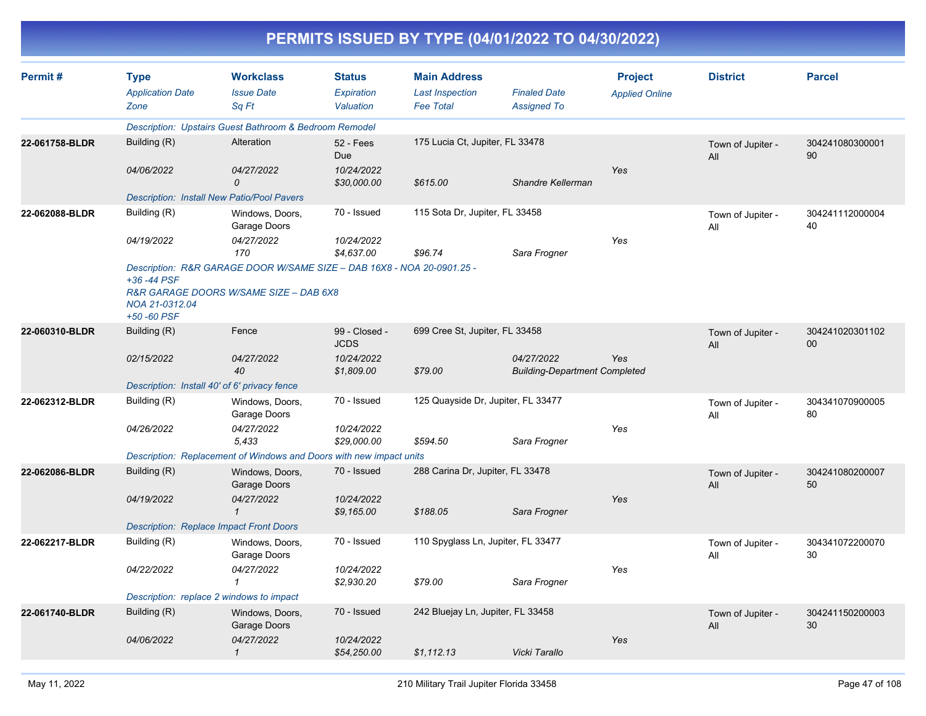| PERMITS ISSUED BY TYPE (04/01/2022 TO 04/30/2022) |  |
|---------------------------------------------------|--|
|                                                   |  |

| Permit#        | <b>Type</b><br><b>Application Date</b><br>Zone | <b>Workclass</b><br><b>Issue Date</b><br>Sq Ft                                                                   | <b>Status</b><br>Expiration<br>Valuation | <b>Main Address</b><br><b>Last Inspection</b><br><b>Fee Total</b> | <b>Finaled Date</b><br><b>Assigned To</b>          | <b>Project</b><br><b>Applied Online</b> | <b>District</b>          | <b>Parcel</b>         |
|----------------|------------------------------------------------|------------------------------------------------------------------------------------------------------------------|------------------------------------------|-------------------------------------------------------------------|----------------------------------------------------|-----------------------------------------|--------------------------|-----------------------|
|                |                                                | Description: Upstairs Guest Bathroom & Bedroom Remodel                                                           |                                          |                                                                   |                                                    |                                         |                          |                       |
| 22-061758-BLDR | Building (R)                                   | Alteration                                                                                                       | <b>52 - Fees</b><br><b>Due</b>           | 175 Lucia Ct, Jupiter, FL 33478                                   |                                                    |                                         | Town of Jupiter -<br>All | 304241080300001<br>90 |
|                | 04/06/2022                                     | 04/27/2022<br>0                                                                                                  | 10/24/2022<br>\$30,000.00                | \$615.00                                                          | Shandre Kellerman                                  | Yes                                     |                          |                       |
|                |                                                | <b>Description: Install New Patio/Pool Pavers</b>                                                                |                                          |                                                                   |                                                    |                                         |                          |                       |
| 22-062088-BLDR | Building (R)                                   | Windows, Doors,<br>Garage Doors                                                                                  | 70 - Issued                              | 115 Sota Dr, Jupiter, FL 33458                                    |                                                    |                                         | Town of Jupiter -<br>All | 304241112000004<br>40 |
|                | 04/19/2022                                     | 04/27/2022<br>170                                                                                                | 10/24/2022<br>\$4,637.00                 | \$96.74                                                           | Sara Frogner                                       | Yes                                     |                          |                       |
|                | +36 -44 PSF<br>NOA 21-0312.04<br>+50 -60 PSF   | Description: R&R GARAGE DOOR W/SAME SIZE - DAB 16X8 - NOA 20-0901.25 -<br>R&R GARAGE DOORS W/SAME SIZE - DAB 6X8 |                                          |                                                                   |                                                    |                                         |                          |                       |
| 22-060310-BLDR | Building (R)                                   | Fence                                                                                                            | 99 - Closed -<br><b>JCDS</b>             | 699 Cree St, Jupiter, FL 33458                                    |                                                    |                                         | Town of Jupiter -<br>All | 304241020301102<br>00 |
|                | 02/15/2022                                     | 04/27/2022<br>40                                                                                                 | 10/24/2022<br>\$1,809.00                 | \$79.00                                                           | 04/27/2022<br><b>Building-Department Completed</b> | <b>Yes</b>                              |                          |                       |
|                |                                                | Description: Install 40' of 6' privacy fence                                                                     |                                          |                                                                   |                                                    |                                         |                          |                       |
| 22-062312-BLDR | Building (R)                                   | Windows, Doors,<br>Garage Doors                                                                                  | 70 - Issued                              | 125 Quayside Dr, Jupiter, FL 33477                                |                                                    |                                         | Town of Jupiter -<br>All | 304341070900005<br>80 |
|                | 04/26/2022                                     | 04/27/2022<br>5.433                                                                                              | 10/24/2022<br>\$29,000.00                | \$594.50                                                          | Sara Frogner                                       | Yes                                     |                          |                       |
|                |                                                | Description: Replacement of Windows and Doors with new impact units                                              |                                          |                                                                   |                                                    |                                         |                          |                       |
| 22-062086-BLDR | Building (R)                                   | Windows, Doors,<br>Garage Doors                                                                                  | 70 - Issued                              | 288 Carina Dr, Jupiter, FL 33478                                  |                                                    |                                         | Town of Jupiter -<br>All | 304241080200007<br>50 |
|                | 04/19/2022                                     | 04/27/2022<br>$\mathcal{I}$                                                                                      | 10/24/2022<br>\$9,165.00                 | \$188.05                                                          | Sara Frogner                                       | Yes                                     |                          |                       |
|                |                                                | <b>Description: Replace Impact Front Doors</b>                                                                   |                                          |                                                                   |                                                    |                                         |                          |                       |
| 22-062217-BLDR | Building (R)                                   | Windows, Doors,<br>Garage Doors                                                                                  | 70 - Issued                              | 110 Spyglass Ln, Jupiter, FL 33477                                |                                                    |                                         | Town of Jupiter -<br>All | 304341072200070<br>30 |
|                | 04/22/2022                                     | 04/27/2022<br>$\mathbf{1}$                                                                                       | 10/24/2022<br>\$2,930.20                 | \$79.00                                                           | Sara Frogner                                       | Yes                                     |                          |                       |
|                |                                                | Description: replace 2 windows to impact                                                                         |                                          |                                                                   |                                                    |                                         |                          |                       |
| 22-061740-BLDR | Building (R)                                   | Windows, Doors,<br>Garage Doors                                                                                  | 70 - Issued                              | 242 Bluejay Ln, Jupiter, FL 33458                                 |                                                    |                                         | Town of Jupiter -<br>All | 304241150200003<br>30 |
|                | 04/06/2022                                     | 04/27/2022<br>$\mathcal I$                                                                                       | 10/24/2022<br>\$54,250.00                | \$1.112.13                                                        | Vicki Tarallo                                      | Yes                                     |                          |                       |
|                |                                                |                                                                                                                  |                                          |                                                                   |                                                    |                                         |                          |                       |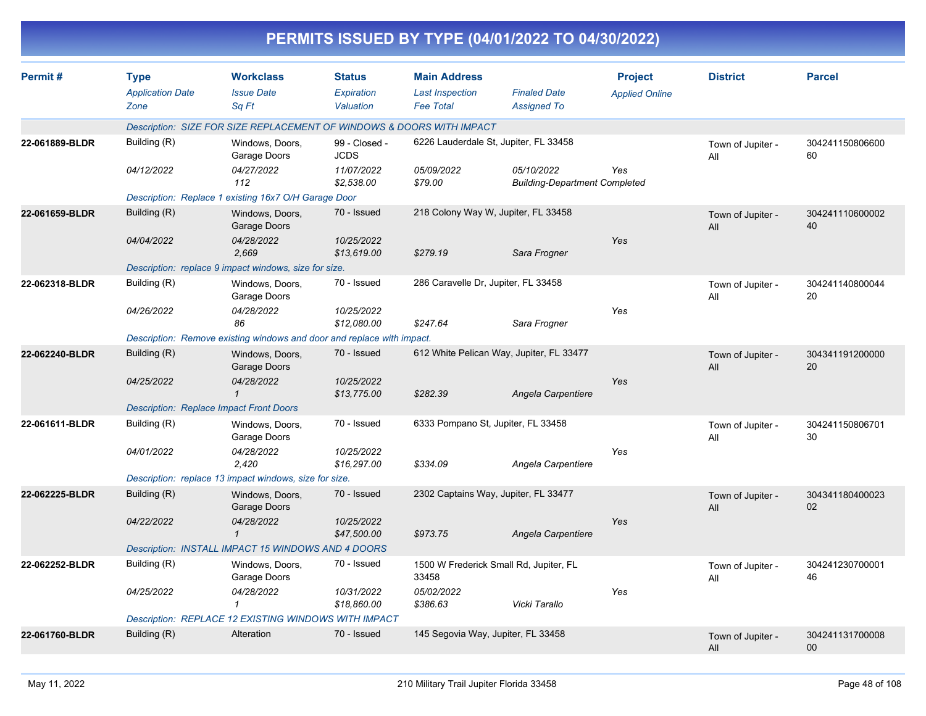|                |                                                |                                                                        |                                          |                                                                   | PERMITS ISSUED BY TYPE (04/01/2022 TO 04/30/2022)  |                                         |                          |                           |
|----------------|------------------------------------------------|------------------------------------------------------------------------|------------------------------------------|-------------------------------------------------------------------|----------------------------------------------------|-----------------------------------------|--------------------------|---------------------------|
| Permit#        | <b>Type</b><br><b>Application Date</b><br>Zone | <b>Workclass</b><br><b>Issue Date</b><br>Sq Ft                         | <b>Status</b><br>Expiration<br>Valuation | <b>Main Address</b><br><b>Last Inspection</b><br><b>Fee Total</b> | <b>Finaled Date</b><br><b>Assigned To</b>          | <b>Project</b><br><b>Applied Online</b> | <b>District</b>          | <b>Parcel</b>             |
|                |                                                | Description: SIZE FOR SIZE REPLACEMENT OF WINDOWS & DOORS WITH IMPACT  |                                          |                                                                   |                                                    |                                         |                          |                           |
| 22-061889-BLDR | Building (R)                                   | Windows, Doors,<br>Garage Doors                                        | 99 - Closed -<br><b>JCDS</b>             |                                                                   | 6226 Lauderdale St, Jupiter, FL 33458              |                                         | Town of Jupiter -<br>All | 304241150806600<br>60     |
|                | 04/12/2022                                     | 04/27/2022<br>112                                                      | 11/07/2022<br>\$2,538.00                 | 05/09/2022<br>\$79.00                                             | 05/10/2022<br><b>Building-Department Completed</b> | Yes                                     |                          |                           |
|                |                                                | Description: Replace 1 existing 16x7 O/H Garage Door                   |                                          |                                                                   |                                                    |                                         |                          |                           |
| 22-061659-BLDR | Building (R)                                   | Windows, Doors,<br>Garage Doors                                        | 70 - Issued                              |                                                                   | 218 Colony Way W, Jupiter, FL 33458                |                                         | Town of Jupiter -<br>All | 304241110600002<br>40     |
|                | 04/04/2022                                     | 04/28/2022<br>2,669                                                    | 10/25/2022<br>\$13,619.00                | \$279.19                                                          | Sara Frogner                                       | Yes                                     |                          |                           |
|                |                                                | Description: replace 9 impact windows, size for size.                  |                                          |                                                                   |                                                    |                                         |                          |                           |
| 22-062318-BLDR | Building (R)                                   | Windows, Doors,<br>Garage Doors                                        | 70 - Issued                              | 286 Caravelle Dr, Jupiter, FL 33458                               |                                                    |                                         | Town of Jupiter -<br>All | 304241140800044<br>20     |
|                | 04/26/2022                                     | 04/28/2022<br>86                                                       | 10/25/2022<br>\$12,080.00                | \$247.64                                                          | Sara Frogner                                       | Yes                                     |                          |                           |
|                |                                                | Description: Remove existing windows and door and replace with impact. |                                          |                                                                   |                                                    |                                         |                          |                           |
| 22-062240-BLDR | Building (R)                                   | Windows, Doors,<br>Garage Doors                                        | 70 - Issued                              |                                                                   | 612 White Pelican Way, Jupiter, FL 33477           |                                         | Town of Jupiter -<br>All | 304341191200000<br>20     |
|                | 04/25/2022                                     | 04/28/2022                                                             | 10/25/2022<br>\$13,775.00                | \$282.39                                                          | Angela Carpentiere                                 | Yes                                     |                          |                           |
|                |                                                | <b>Description: Replace Impact Front Doors</b>                         |                                          |                                                                   |                                                    |                                         |                          |                           |
| 22-061611-BLDR | Building (R)                                   | Windows, Doors,<br>Garage Doors                                        | 70 - Issued                              | 6333 Pompano St, Jupiter, FL 33458                                |                                                    |                                         | Town of Jupiter -<br>All | 304241150806701<br>30     |
|                | 04/01/2022                                     | 04/28/2022<br>2,420                                                    | 10/25/2022<br>\$16,297.00                | \$334.09                                                          | Angela Carpentiere                                 | Yes                                     |                          |                           |
|                |                                                | Description: replace 13 impact windows, size for size.                 |                                          |                                                                   |                                                    |                                         |                          |                           |
| 22-062225-BLDR | Building (R)                                   | Windows, Doors,<br>Garage Doors                                        | 70 - Issued                              |                                                                   | 2302 Captains Way, Jupiter, FL 33477               |                                         | Town of Jupiter -<br>All | 304341180400023<br>02     |
|                | 04/22/2022                                     | 04/28/2022<br>$\mathcal I$                                             | 10/25/2022<br>\$47,500.00                | \$973.75                                                          | Angela Carpentiere                                 | Yes                                     |                          |                           |
|                |                                                | Description: INSTALL IMPACT 15 WINDOWS AND 4 DOORS                     |                                          |                                                                   |                                                    |                                         |                          |                           |
| 22-062252-BLDR | Building (R)                                   | Windows, Doors,<br>Garage Doors                                        | 70 - Issued                              | 33458                                                             | 1500 W Frederick Small Rd, Jupiter, FL             |                                         | Town of Jupiter -<br>All | 304241230700001<br>46     |
|                | 04/25/2022                                     | 04/28/2022<br>$\mathbf{1}$                                             | 10/31/2022<br>\$18,860.00                | 05/02/2022<br>\$386.63                                            | Vicki Tarallo                                      | Yes                                     |                          |                           |
|                |                                                | Description: REPLACE 12 EXISTING WINDOWS WITH IMPACT                   |                                          |                                                                   |                                                    |                                         |                          |                           |
| 22-061760-BLDR | Building (R)                                   | Alteration                                                             | 70 - Issued                              | 145 Segovia Way, Jupiter, FL 33458                                |                                                    |                                         | Town of Jupiter -<br>All | 304241131700008<br>$00\,$ |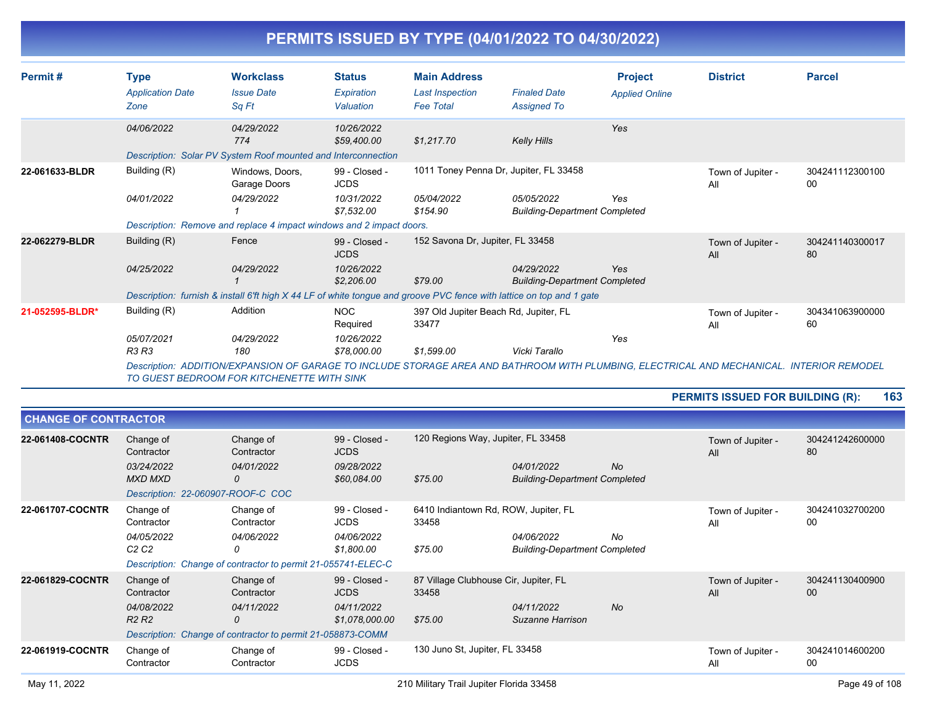| Permit#         | <b>Type</b><br><b>Application Date</b><br>Zone | <b>Workclass</b><br><b>Issue Date</b><br>Sq Ft                                                                                                                                          | <b>Status</b><br>Expiration<br>Valuation | <b>Main Address</b><br><b>Last Inspection</b><br><b>Fee Total</b> | <b>Finaled Date</b><br><b>Assigned To</b>          | <b>Project</b><br><b>Applied Online</b> | <b>District</b>          | <b>Parcel</b>         |
|-----------------|------------------------------------------------|-----------------------------------------------------------------------------------------------------------------------------------------------------------------------------------------|------------------------------------------|-------------------------------------------------------------------|----------------------------------------------------|-----------------------------------------|--------------------------|-----------------------|
|                 | 04/06/2022                                     | 04/29/2022<br>774                                                                                                                                                                       | 10/26/2022<br>\$59,400.00                | \$1,217.70                                                        | <b>Kelly Hills</b>                                 | Yes                                     |                          |                       |
| 22-061633-BLDR  | Building (R)                                   | Description: Solar PV System Roof mounted and Interconnection<br>Windows, Doors,<br>Garage Doors                                                                                        | 99 - Closed -<br><b>JCDS</b>             | 1011 Toney Penna Dr, Jupiter, FL 33458                            |                                                    |                                         | Town of Jupiter -<br>All | 304241112300100<br>00 |
|                 | 04/01/2022                                     | 04/29/2022                                                                                                                                                                              | 10/31/2022<br>\$7.532.00                 | 05/04/2022<br>\$154.90                                            | 05/05/2022<br><b>Building-Department Completed</b> | Yes                                     |                          |                       |
|                 |                                                | Description: Remove and replace 4 impact windows and 2 impact doors.                                                                                                                    |                                          |                                                                   |                                                    |                                         |                          |                       |
| 22-062279-BLDR  | Building (R)                                   | Fence                                                                                                                                                                                   | 99 - Closed -<br><b>JCDS</b>             | 152 Savona Dr, Jupiter, FL 33458                                  |                                                    |                                         | Town of Jupiter -<br>All | 304241140300017<br>80 |
|                 | 04/25/2022                                     | 04/29/2022                                                                                                                                                                              | 10/26/2022<br>\$2,206.00                 | \$79.00                                                           | 04/29/2022<br><b>Building-Department Completed</b> | Yes                                     |                          |                       |
|                 |                                                | Description: furnish & install 6'ft high X 44 LF of white tongue and groove PVC fence with lattice on top and 1 gate                                                                    |                                          |                                                                   |                                                    |                                         |                          |                       |
| 21-052595-BLDR* | Building (R)                                   | Addition                                                                                                                                                                                | <b>NOC</b><br>Required                   | 397 Old Jupiter Beach Rd, Jupiter, FL<br>33477                    |                                                    |                                         | Town of Jupiter -<br>All | 304341063900000<br>60 |
|                 | 05/07/2021<br><b>R3 R3</b>                     | 04/29/2022<br>180                                                                                                                                                                       | 10/26/2022<br>\$78,000.00                | \$1,599.00                                                        | Vicki Tarallo                                      | Yes                                     |                          |                       |
|                 |                                                | Description: ADDITION/EXPANSION OF GARAGE TO INCLUDE STORAGE AREA AND BATHROOM WITH PLUMBING, ELECTRICAL AND MECHANICAL. INTERIOR REMODEL<br>TO GUEST BEDROOM FOR KITCHENETTE WITH SINK |                                          |                                                                   |                                                    |                                         |                          |                       |

| 163<br><b>PERMITS ISSUED FOR BUILDING (R):</b> |
|------------------------------------------------|
|------------------------------------------------|

| <b>CHANGE OF CONTRACTOR</b> |                                                                                              |                                                                                                            |                                                              |                                                           |                                                    |           |                          |                       |
|-----------------------------|----------------------------------------------------------------------------------------------|------------------------------------------------------------------------------------------------------------|--------------------------------------------------------------|-----------------------------------------------------------|----------------------------------------------------|-----------|--------------------------|-----------------------|
| 22-061408-COCNTR            | Change of<br>Contractor<br>03/24/2022<br><b>MXD MXD</b><br>Description: 22-060907-ROOF-C COC | Change of<br>Contractor<br>04/01/2022<br>0                                                                 | 99 - Closed -<br><b>JCDS</b><br>09/28/2022<br>\$60,084.00    | 120 Regions Way, Jupiter, FL 33458<br>\$75.00             | 04/01/2022<br><b>Building-Department Completed</b> | <b>No</b> | Town of Jupiter -<br>All | 304241242600000<br>80 |
| 22-061707-COCNTR            | Change of<br>Contractor<br>04/05/2022<br>C <sub>2</sub> C <sub>2</sub>                       | Change of<br>Contractor<br>04/06/2022<br>0<br>Description: Change of contractor to permit 21-055741-ELEC-C | 99 - Closed -<br><b>JCDS</b><br>04/06/2022<br>\$1,800.00     | 6410 Indiantown Rd, ROW, Jupiter, FL<br>33458<br>\$75.00  | 04/06/2022<br><b>Building-Department Completed</b> | No        | Town of Jupiter -<br>All | 304241032700200<br>00 |
| 22-061829-COCNTR            | Change of<br>Contractor<br>04/08/2022<br>R <sub>2</sub> R <sub>2</sub>                       | Change of<br>Contractor<br>04/11/2022<br>0<br>Description: Change of contractor to permit 21-058873-COMM   | 99 - Closed -<br><b>JCDS</b><br>04/11/2022<br>\$1,078,000.00 | 87 Village Clubhouse Cir, Jupiter, FL<br>33458<br>\$75.00 | 04/11/2022<br>Suzanne Harrison                     | <b>No</b> | Town of Jupiter -<br>All | 304241130400900<br>00 |
| 22-061919-COCNTR            | Change of<br>Contractor                                                                      | Change of<br>Contractor                                                                                    | 99 - Closed -<br><b>JCDS</b>                                 | 130 Juno St, Jupiter, FL 33458                            |                                                    |           | Town of Jupiter -<br>All | 304241014600200<br>00 |
| May 11, 2022                |                                                                                              |                                                                                                            |                                                              | 210 Military Trail Jupiter Florida 33458                  |                                                    |           |                          | Page 49 of 108        |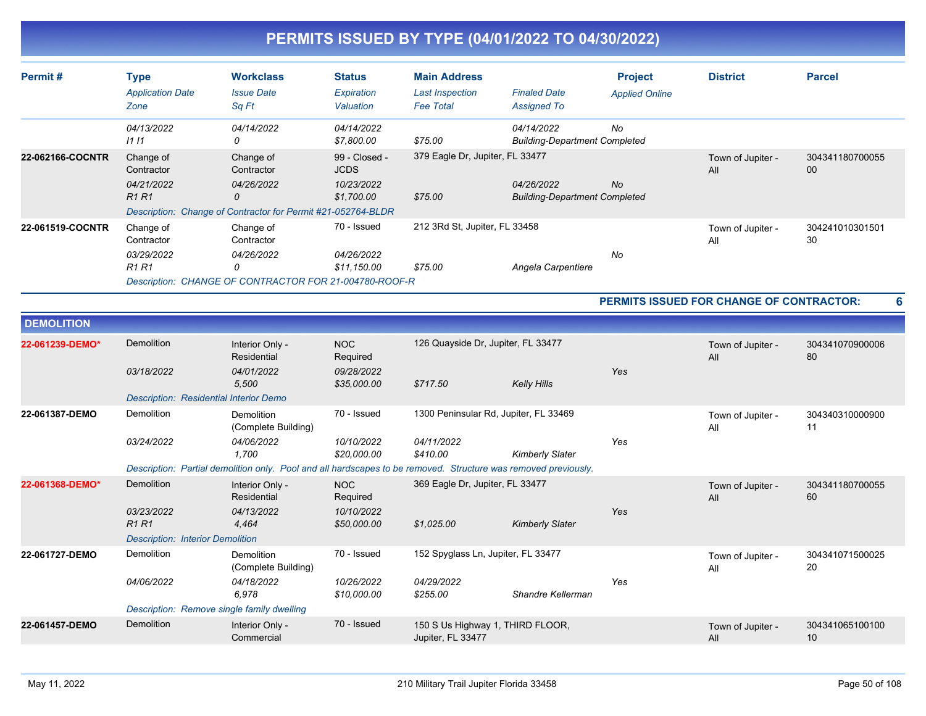| Permit#           | <b>Type</b><br><b>Application Date</b><br>Zone                         | <b>Workclass</b><br><b>Issue Date</b><br>Sq Ft                                                                 | <b>Status</b><br>Expiration<br>Valuation                 | <b>Main Address</b><br><b>Last Inspection</b><br><b>Fee Total</b> | <b>Finaled Date</b><br><b>Assigned To</b>          | <b>Project</b><br><b>Applied Online</b> | <b>District</b>                          | <b>Parcel</b>         |
|-------------------|------------------------------------------------------------------------|----------------------------------------------------------------------------------------------------------------|----------------------------------------------------------|-------------------------------------------------------------------|----------------------------------------------------|-----------------------------------------|------------------------------------------|-----------------------|
|                   | 04/13/2022<br>1111                                                     | 04/14/2022<br>0                                                                                                | 04/14/2022<br>\$7,800.00                                 | \$75.00                                                           | 04/14/2022<br><b>Building-Department Completed</b> | No                                      |                                          |                       |
| 22-062166-COCNTR  | Change of<br>Contractor<br>04/21/2022<br>R <sub>1</sub> R <sub>1</sub> | Change of<br>Contractor<br>04/26/2022<br>0                                                                     | 99 - Closed -<br><b>JCDS</b><br>10/23/2022<br>\$1,700.00 | 379 Eagle Dr, Jupiter, FL 33477<br>\$75.00                        | 04/26/2022<br><b>Building-Department Completed</b> | No                                      | Town of Jupiter -<br>All                 | 304341180700055<br>00 |
|                   |                                                                        | Description: Change of Contractor for Permit #21-052764-BLDR                                                   |                                                          |                                                                   |                                                    |                                         |                                          |                       |
| 22-061519-COCNTR  | Change of<br>Contractor                                                | Change of<br>Contractor                                                                                        | 70 - Issued                                              | 212 3Rd St, Jupiter, FL 33458                                     |                                                    |                                         | Town of Jupiter -<br>All                 | 304241010301501<br>30 |
|                   | 03/29/2022<br>R <sub>1</sub> R <sub>1</sub>                            | 04/26/2022<br>0<br>Description: CHANGE OF CONTRACTOR FOR 21-004780-ROOF-R                                      | 04/26/2022<br>\$11,150.00                                | \$75.00                                                           | Angela Carpentiere                                 | No                                      |                                          |                       |
|                   |                                                                        |                                                                                                                |                                                          |                                                                   |                                                    |                                         | PERMITS ISSUED FOR CHANGE OF CONTRACTOR: | 6                     |
| <b>DEMOLITION</b> |                                                                        |                                                                                                                |                                                          |                                                                   |                                                    |                                         |                                          |                       |
| 22-061239-DEMO*   | <b>Demolition</b>                                                      | Interior Only -<br>Residential                                                                                 | <b>NOC</b><br>Required                                   | 126 Quayside Dr, Jupiter, FL 33477                                |                                                    |                                         | Town of Jupiter -<br>All                 | 304341070900006<br>80 |
|                   | 03/18/2022                                                             | 04/01/2022<br>5,500                                                                                            | 09/28/2022<br>\$35,000.00                                | \$717.50                                                          | <b>Kelly Hills</b>                                 | Yes                                     |                                          |                       |
|                   | <b>Description: Residential Interior Demo</b>                          |                                                                                                                |                                                          |                                                                   |                                                    |                                         |                                          |                       |
| 22-061387-DEMO    | Demolition                                                             | Demolition<br>(Complete Building)                                                                              | 70 - Issued                                              | 1300 Peninsular Rd, Jupiter, FL 33469                             |                                                    |                                         | Town of Jupiter -<br>All                 | 304340310000900<br>11 |
|                   | 03/24/2022                                                             | 04/06/2022<br>1,700                                                                                            | 10/10/2022<br>\$20,000.00                                | 04/11/2022<br>\$410.00                                            | <b>Kimberly Slater</b>                             | Yes                                     |                                          |                       |
|                   |                                                                        | Description: Partial demolition only. Pool and all hardscapes to be removed. Structure was removed previously. |                                                          |                                                                   |                                                    |                                         |                                          |                       |
| 22-061368-DEMO*   | <b>Demolition</b>                                                      | Interior Only -<br>Residential                                                                                 | <b>NOC</b><br>Required                                   | 369 Eagle Dr, Jupiter, FL 33477                                   |                                                    |                                         | Town of Jupiter -<br>All                 | 304341180700055<br>60 |
|                   | 03/23/2022<br><b>R1R1</b>                                              | 04/13/2022<br>4,464                                                                                            | 10/10/2022<br>\$50,000.00                                | \$1,025.00                                                        | <b>Kimberly Slater</b>                             | Yes                                     |                                          |                       |
|                   | <b>Description: Interior Demolition</b>                                |                                                                                                                |                                                          |                                                                   |                                                    |                                         |                                          |                       |
| 22-061727-DEMO    | Demolition                                                             | <b>Demolition</b><br>(Complete Building)                                                                       | 70 - Issued                                              | 152 Spyglass Ln, Jupiter, FL 33477                                |                                                    |                                         | Town of Jupiter -<br>All                 | 304341071500025<br>20 |
|                   | 04/06/2022                                                             | 04/18/2022<br>6,978                                                                                            | 10/26/2022<br>\$10,000.00                                | 04/29/2022<br>\$255.00                                            | Shandre Kellerman                                  | Yes                                     |                                          |                       |
|                   | Description: Remove single family dwelling                             |                                                                                                                |                                                          |                                                                   |                                                    |                                         |                                          |                       |
| 22-061457-DEMO    | <b>Demolition</b>                                                      | Interior Only -<br>Commercial                                                                                  | 70 - Issued                                              | 150 S Us Highway 1, THIRD FLOOR,<br>Jupiter, FL 33477             |                                                    |                                         | Town of Jupiter -<br>All                 | 304341065100100<br>10 |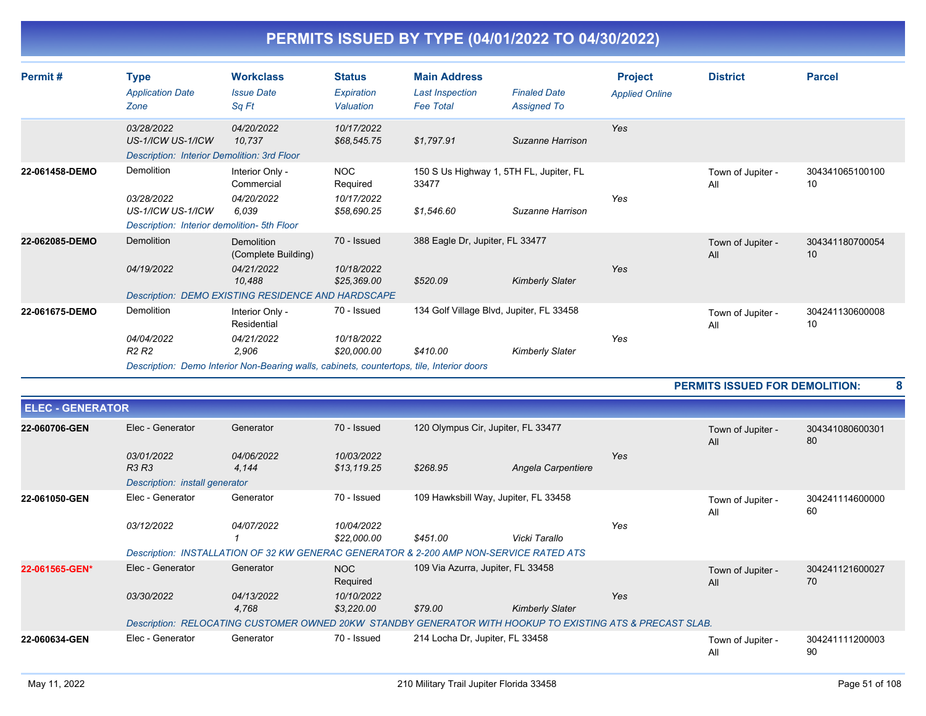| Permit#        | <b>Type</b><br><b>Application Date</b><br>Zone                                 | <b>Workclass</b><br><b>Issue Date</b><br>Sq Ft                                                                                                     | <b>Status</b><br>Expiration<br>Valuation            | <b>Main Address</b><br><b>Last Inspection</b><br><b>Fee Total</b> | <b>Finaled Date</b><br><b>Assigned To</b> | <b>Project</b><br><b>Applied Online</b> | <b>District</b>                       | <b>Parcel</b>         |   |
|----------------|--------------------------------------------------------------------------------|----------------------------------------------------------------------------------------------------------------------------------------------------|-----------------------------------------------------|-------------------------------------------------------------------|-------------------------------------------|-----------------------------------------|---------------------------------------|-----------------------|---|
|                | 03/28/2022<br>US-1/ICW US-1/ICW<br>Description: Interior Demolition: 3rd Floor | 04/20/2022<br>10.737                                                                                                                               | 10/17/2022<br>\$68,545.75                           | \$1,797.91                                                        | Suzanne Harrison                          | Yes                                     |                                       |                       |   |
| 22-061458-DEMO | Demolition<br>03/28/2022<br>US-1/ICW US-1/ICW                                  | Interior Only -<br>Commercial<br>04/20/2022<br>6.039                                                                                               | <b>NOC</b><br>Required<br>10/17/2022<br>\$58,690.25 | 150 S Us Highway 1, 5TH FL, Jupiter, FL<br>33477<br>\$1,546.60    | Suzanne Harrison                          | Yes                                     | Town of Jupiter -<br>All              | 304341065100100<br>10 |   |
| 22-062085-DEMO | Description: Interior demolition- 5th Floor<br>Demolition<br>04/19/2022        | Demolition<br>(Complete Building)<br>04/21/2022<br>10,488<br>Description: DEMO EXISTING RESIDENCE AND HARDSCAPE                                    | 70 - Issued<br>10/18/2022<br>\$25,369.00            | 388 Eagle Dr, Jupiter, FL 33477<br>\$520.09                       | <b>Kimberly Slater</b>                    | Yes                                     | Town of Jupiter -<br>All              | 304341180700054<br>10 |   |
| 22-061675-DEMO | Demolition<br>04/04/2022<br>R <sub>2</sub> R <sub>2</sub>                      | Interior Only -<br>Residential<br>04/21/2022<br>2,906<br>Description: Demo Interior Non-Bearing walls, cabinets, countertops, tile, Interior doors | 70 - Issued<br>10/18/2022<br>\$20,000.00            | 134 Golf Village Blvd, Jupiter, FL 33458<br>\$410.00              | <b>Kimberly Slater</b>                    | Yes                                     | Town of Jupiter -<br>All              | 304241130600008<br>10 |   |
|                |                                                                                |                                                                                                                                                    |                                                     |                                                                   |                                           |                                         | <b>PERMITS ISSUED FOR DEMOLITION:</b> |                       | 8 |

| <b>ELEC - GENERATOR</b> |                                |                                                                                                           |                 |                                      |                        |     |                          |                       |
|-------------------------|--------------------------------|-----------------------------------------------------------------------------------------------------------|-----------------|--------------------------------------|------------------------|-----|--------------------------|-----------------------|
| 22-060706-GEN           | Elec - Generator               | Generator                                                                                                 | 70 - Issued     | 120 Olympus Cir, Jupiter, FL 33477   |                        |     | Town of Jupiter -<br>All | 304341080600301<br>80 |
|                         | 03/01/2022                     | 04/06/2022                                                                                                | 10/03/2022      |                                      |                        | Yes |                          |                       |
|                         | <b>R3 R3</b>                   | 4.144                                                                                                     | \$13,119.25     | \$268.95                             | Angela Carpentiere     |     |                          |                       |
|                         | Description: install generator |                                                                                                           |                 |                                      |                        |     |                          |                       |
| 22-061050-GEN           | Elec - Generator               | Generator                                                                                                 | 70 - Issued     | 109 Hawksbill Way, Jupiter, FL 33458 |                        |     | Town of Jupiter -<br>All | 304241114600000<br>60 |
|                         | 03/12/2022                     | 04/07/2022                                                                                                | 10/04/2022      |                                      |                        | Yes |                          |                       |
|                         |                                |                                                                                                           | \$22,000.00     | \$451.00                             | Vicki Tarallo          |     |                          |                       |
|                         |                                | Description: INSTALLATION OF 32 KW GENERAC GENERATOR & 2-200 AMP NON-SERVICE RATED ATS                    |                 |                                      |                        |     |                          |                       |
| 22-061565-GEN*          | Elec - Generator               | Generator                                                                                                 | NOC<br>Required | 109 Via Azurra, Jupiter, FL 33458    |                        |     | Town of Jupiter -<br>All | 304241121600027<br>70 |
|                         | 03/30/2022                     | 04/13/2022                                                                                                | 10/10/2022      |                                      |                        | Yes |                          |                       |
|                         |                                | 4,768                                                                                                     | \$3,220.00      | \$79.00                              | <b>Kimberly Slater</b> |     |                          |                       |
|                         |                                | Description: RELOCATING CUSTOMER OWNED 20KW STANDBY GENERATOR WITH HOOKUP TO EXISTING ATS & PRECAST SLAB. |                 |                                      |                        |     |                          |                       |
| 22-060634-GEN           | Elec - Generator               | Generator                                                                                                 | 70 - Issued     | 214 Locha Dr, Jupiter, FL 33458      |                        |     | Town of Jupiter -<br>All | 304241111200003<br>90 |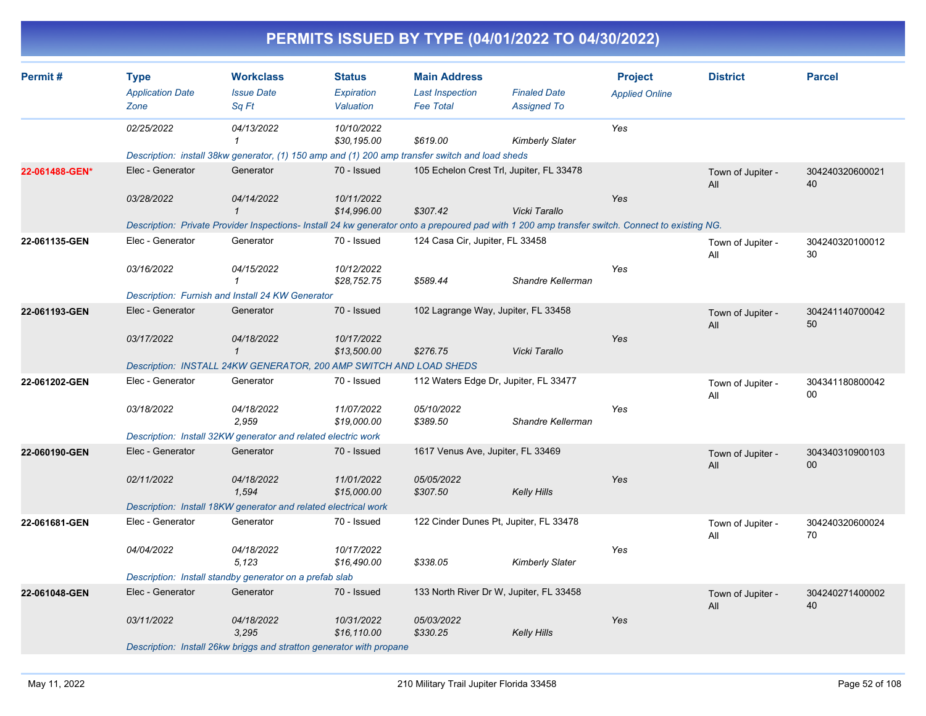|                |                                                |                                                                    |                                                 |                                                                                                 | PERMITS ISSUED BY TYPE (04/01/2022 TO 04/30/2022)                                                                                               |                                         |                          |                       |
|----------------|------------------------------------------------|--------------------------------------------------------------------|-------------------------------------------------|-------------------------------------------------------------------------------------------------|-------------------------------------------------------------------------------------------------------------------------------------------------|-----------------------------------------|--------------------------|-----------------------|
| Permit#        | <b>Type</b><br><b>Application Date</b><br>Zone | <b>Workclass</b><br><b>Issue Date</b><br>Sq Ft                     | <b>Status</b><br><b>Expiration</b><br>Valuation | <b>Main Address</b><br><b>Last Inspection</b><br><b>Fee Total</b>                               | <b>Finaled Date</b><br><b>Assigned To</b>                                                                                                       | <b>Project</b><br><b>Applied Online</b> | <b>District</b>          | <b>Parcel</b>         |
|                | 02/25/2022                                     | 04/13/2022                                                         | 10/10/2022<br>\$30,195.00                       | \$619.00                                                                                        | Kimberly Slater                                                                                                                                 | Yes                                     |                          |                       |
|                |                                                |                                                                    |                                                 | Description: install 38kw generator, (1) 150 amp and (1) 200 amp transfer switch and load sheds |                                                                                                                                                 |                                         |                          |                       |
| 22-061488-GEN* | Elec - Generator                               | Generator                                                          | 70 - Issued                                     |                                                                                                 | 105 Echelon Crest Trl, Jupiter, FL 33478                                                                                                        |                                         | Town of Jupiter -<br>All | 304240320600021<br>40 |
|                | 03/28/2022                                     | 04/14/2022                                                         | 10/11/2022                                      |                                                                                                 |                                                                                                                                                 | Yes                                     |                          |                       |
|                |                                                | $\mathbf{1}$                                                       | \$14,996.00                                     | \$307.42                                                                                        | Vicki Tarallo                                                                                                                                   |                                         |                          |                       |
|                |                                                |                                                                    |                                                 |                                                                                                 | Description: Private Provider Inspections- Install 24 kw generator onto a prepoured pad with 1 200 amp transfer switch. Connect to existing NG. |                                         |                          |                       |
| 22-061135-GEN  | Elec - Generator                               | Generator                                                          | 70 - Issued                                     | 124 Casa Cir, Jupiter, FL 33458                                                                 |                                                                                                                                                 |                                         | Town of Jupiter -<br>All | 304240320100012<br>30 |
|                | 03/16/2022                                     | 04/15/2022                                                         | 10/12/2022                                      |                                                                                                 |                                                                                                                                                 | Yes                                     |                          |                       |
|                |                                                | $\mathbf{1}$                                                       | \$28,752.75                                     | \$589.44                                                                                        | Shandre Kellerman                                                                                                                               |                                         |                          |                       |
|                |                                                | Description: Furnish and Install 24 KW Generator                   |                                                 |                                                                                                 |                                                                                                                                                 |                                         |                          |                       |
| 22-061193-GEN  | Elec - Generator                               | Generator                                                          | 70 - Issued                                     |                                                                                                 | 102 Lagrange Way, Jupiter, FL 33458                                                                                                             |                                         | Town of Jupiter -<br>All | 304241140700042<br>50 |
|                | 03/17/2022                                     | 04/18/2022                                                         | 10/17/2022                                      |                                                                                                 |                                                                                                                                                 | Yes                                     |                          |                       |
|                |                                                | $\overline{1}$                                                     | \$13,500.00                                     | \$276.75                                                                                        | Vicki Tarallo                                                                                                                                   |                                         |                          |                       |
|                |                                                | Description: INSTALL 24KW GENERATOR, 200 AMP SWITCH AND LOAD SHEDS |                                                 |                                                                                                 |                                                                                                                                                 |                                         |                          |                       |
| 22-061202-GEN  | Elec - Generator                               | Generator                                                          | 70 - Issued                                     |                                                                                                 | 112 Waters Edge Dr, Jupiter, FL 33477                                                                                                           |                                         | Town of Jupiter -<br>All | 304341180800042<br>00 |
|                | 03/18/2022                                     | 04/18/2022<br>2,959                                                | 11/07/2022<br>\$19,000.00                       | 05/10/2022<br>\$389.50                                                                          | Shandre Kellerman                                                                                                                               | Yes                                     |                          |                       |
|                |                                                | Description: Install 32KW generator and related electric work      |                                                 |                                                                                                 |                                                                                                                                                 |                                         |                          |                       |
| 22-060190-GEN  | Elec - Generator                               | Generator                                                          | 70 - Issued                                     | 1617 Venus Ave, Jupiter, FL 33469                                                               |                                                                                                                                                 |                                         | Town of Jupiter -<br>All | 304340310900103<br>00 |
|                | 02/11/2022                                     | 04/18/2022<br>1,594                                                | 11/01/2022<br>\$15,000.00                       | 05/05/2022<br>\$307.50                                                                          | Kelly Hills                                                                                                                                     | Yes                                     |                          |                       |
|                |                                                | Description: Install 18KW generator and related electrical work    |                                                 |                                                                                                 |                                                                                                                                                 |                                         |                          |                       |
| 22-061681-GEN  | Elec - Generator                               | Generator                                                          | 70 - Issued                                     |                                                                                                 | 122 Cinder Dunes Pt, Jupiter, FL 33478                                                                                                          |                                         | Town of Jupiter -<br>All | 304240320600024<br>70 |
|                | 04/04/2022                                     | 04/18/2022<br>5,123                                                | 10/17/2022<br>\$16,490.00                       | \$338.05                                                                                        | Kimberly Slater                                                                                                                                 | Yes                                     |                          |                       |
|                |                                                | Description: Install standby generator on a prefab slab            |                                                 |                                                                                                 |                                                                                                                                                 |                                         |                          |                       |
| 22-061048-GEN  | Elec - Generator                               | Generator                                                          | 70 - Issued                                     |                                                                                                 | 133 North River Dr W, Jupiter, FL 33458                                                                                                         |                                         | Town of Jupiter -<br>All | 304240271400002<br>40 |
|                | 03/11/2022                                     | 04/18/2022<br>3,295                                                | 10/31/2022<br>\$16,110.00                       | 05/03/2022<br>\$330.25                                                                          | Kelly Hills                                                                                                                                     | Yes                                     |                          |                       |

*Description: Install 26kw briggs and stratton generator with propane*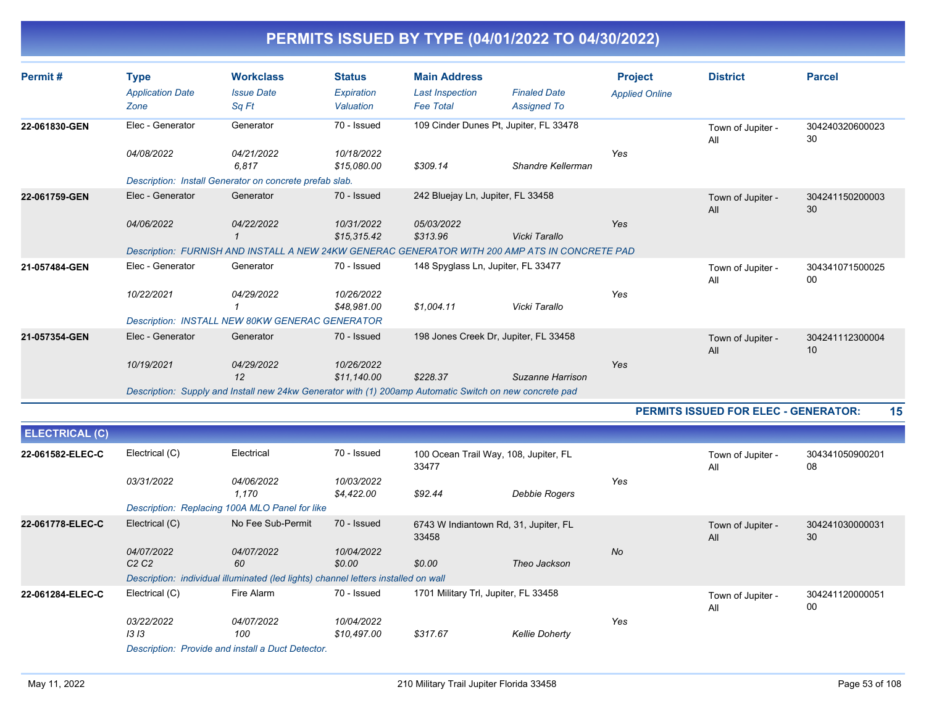| Permit#       | <b>Type</b>             | <b>Workclass</b>                                                                                        | <b>Status</b>             | <b>Main Address</b>                |                                                                                                | <b>Project</b>        | <b>District</b>                             | <b>Parcel</b>         |
|---------------|-------------------------|---------------------------------------------------------------------------------------------------------|---------------------------|------------------------------------|------------------------------------------------------------------------------------------------|-----------------------|---------------------------------------------|-----------------------|
|               | <b>Application Date</b> | <b>Issue Date</b>                                                                                       | Expiration                | <b>Last Inspection</b>             | <b>Finaled Date</b>                                                                            | <b>Applied Online</b> |                                             |                       |
|               | Zone                    | Sq Ft                                                                                                   | Valuation                 | <b>Fee Total</b>                   | <b>Assigned To</b>                                                                             |                       |                                             |                       |
| 22-061830-GEN | Elec - Generator        | Generator                                                                                               | 70 - Issued               |                                    | 109 Cinder Dunes Pt, Jupiter, FL 33478                                                         |                       | Town of Jupiter -<br>All                    | 304240320600023<br>30 |
|               | 04/08/2022              | 04/21/2022                                                                                              | 10/18/2022                |                                    |                                                                                                | Yes                   |                                             |                       |
|               |                         | 6.817                                                                                                   | \$15,080,00               | \$309.14                           | Shandre Kellerman                                                                              |                       |                                             |                       |
|               |                         | Description: Install Generator on concrete prefab slab.                                                 |                           |                                    |                                                                                                |                       |                                             |                       |
| 22-061759-GEN | Elec - Generator        | Generator                                                                                               | 70 - Issued               | 242 Bluejay Ln, Jupiter, FL 33458  |                                                                                                |                       | Town of Jupiter -<br>All                    | 304241150200003<br>30 |
|               | 04/06/2022              | 04/22/2022                                                                                              | 10/31/2022<br>\$15.315.42 | 05/03/2022<br>\$313.96             | Vicki Tarallo                                                                                  | Yes                   |                                             |                       |
|               |                         |                                                                                                         |                           |                                    | Description: FURNISH AND INSTALL A NEW 24KW GENERAC GENERATOR WITH 200 AMP ATS IN CONCRETE PAD |                       |                                             |                       |
| 21-057484-GEN | Elec - Generator        | Generator                                                                                               | 70 - Issued               | 148 Spyglass Ln, Jupiter, FL 33477 |                                                                                                |                       | Town of Jupiter -<br>All                    | 304341071500025<br>00 |
|               | 10/22/2021              | 04/29/2022                                                                                              | 10/26/2022<br>\$48.981.00 | \$1,004.11                         | Vicki Tarallo                                                                                  | Yes                   |                                             |                       |
|               |                         | Description: INSTALL NEW 80KW GENERAC GENERATOR                                                         |                           |                                    |                                                                                                |                       |                                             |                       |
| 21-057354-GEN | Elec - Generator        | Generator                                                                                               | 70 - Issued               |                                    | 198 Jones Creek Dr, Jupiter, FL 33458                                                          |                       | Town of Jupiter -<br>All                    | 304241112300004<br>10 |
|               | 10/19/2021              | 04/29/2022<br>12                                                                                        | 10/26/2022<br>\$11,140.00 | \$228.37                           | Suzanne Harrison                                                                               | Yes                   |                                             |                       |
|               |                         | Description: Supply and Install new 24kw Generator with (1) 200amp Automatic Switch on new concrete pad |                           |                                    |                                                                                                |                       |                                             |                       |
|               |                         |                                                                                                         |                           |                                    |                                                                                                |                       | <b>PERMITS ISSUED FOR ELEC - GENERATOR:</b> | 15                    |

| <b>ELECTRICAL (C)</b> |                            |                                                                                    |                           |                                      |                                       |           |                          |                       |
|-----------------------|----------------------------|------------------------------------------------------------------------------------|---------------------------|--------------------------------------|---------------------------------------|-----------|--------------------------|-----------------------|
| 22-061582-ELEC-C      | Electrical (C)             | Electrical                                                                         | 70 - Issued               | 33477                                | 100 Ocean Trail Way, 108, Jupiter, FL |           | Town of Jupiter -<br>All | 304341050900201<br>08 |
|                       | 03/31/2022                 | 04/06/2022<br>1.170                                                                | 10/03/2022<br>\$4,422.00  | \$92.44                              | Debbie Rogers                         | Yes       |                          |                       |
|                       |                            | Description: Replacing 100A MLO Panel for like                                     |                           |                                      |                                       |           |                          |                       |
| 22-061778-ELEC-C      | Electrical (C)             | No Fee Sub-Permit                                                                  | 70 - Issued               | 33458                                | 6743 W Indiantown Rd, 31, Jupiter, FL |           | Town of Jupiter -<br>All | 304241030000031<br>30 |
|                       | 04/07/2022<br>C2C2         | 04/07/2022<br>60                                                                   | 10/04/2022<br>\$0.00      | \$0.00                               | Theo Jackson                          | <b>No</b> |                          |                       |
|                       |                            | Description: individual illuminated (led lights) channel letters installed on wall |                           |                                      |                                       |           |                          |                       |
| 22-061284-ELEC-C      | Electrical (C)             | Fire Alarm                                                                         | 70 - Issued               | 1701 Military Trl, Jupiter, FL 33458 |                                       |           | Town of Jupiter -<br>All | 304241120000051<br>00 |
|                       | <i>03/22/2022</i><br>13 13 | 04/07/2022<br>100                                                                  | 10/04/2022<br>\$10,497.00 | \$317.67                             | <b>Kellie Doherty</b>                 | Yes       |                          |                       |
|                       |                            | Description: Provide and install a Duct Detector.                                  |                           |                                      |                                       |           |                          |                       |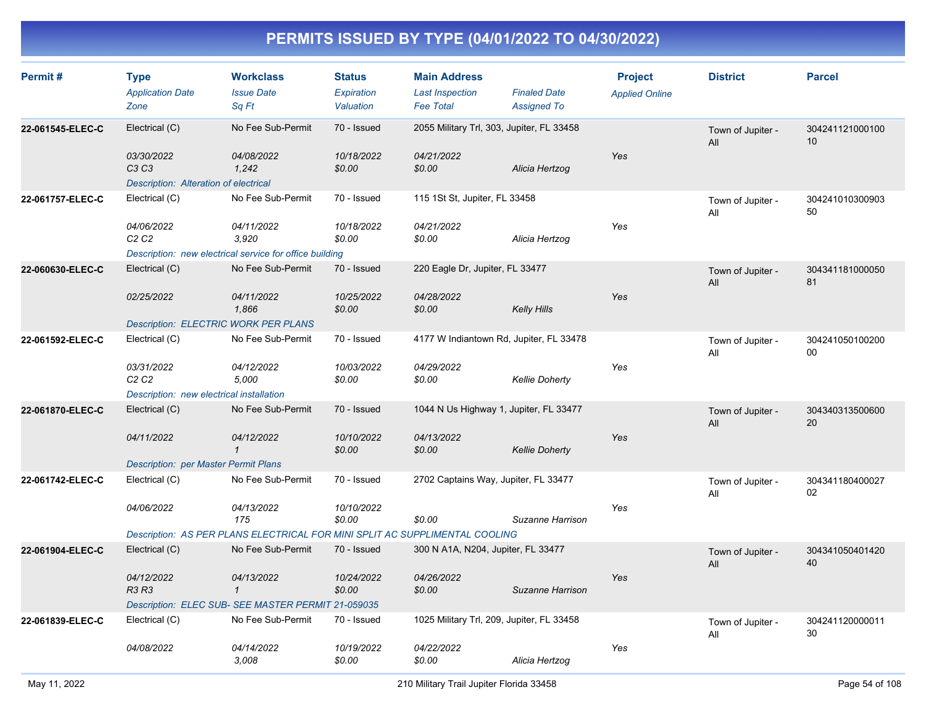| Permit#          | <b>Type</b><br><b>Application Date</b><br>Zone               | <b>Workclass</b><br><b>Issue Date</b><br>Sa Ft                                 | <b>Status</b><br>Expiration<br>Valuation | <b>Main Address</b><br><b>Last Inspection</b><br><b>Fee Total</b> | <b>Finaled Date</b><br><b>Assigned To</b> | <b>Project</b><br><b>Applied Online</b> | <b>District</b>          | <b>Parcel</b>         |
|------------------|--------------------------------------------------------------|--------------------------------------------------------------------------------|------------------------------------------|-------------------------------------------------------------------|-------------------------------------------|-----------------------------------------|--------------------------|-----------------------|
| 22-061545-ELEC-C | Electrical (C)                                               | No Fee Sub-Permit                                                              | 70 - Issued                              |                                                                   | 2055 Military Trl, 303, Jupiter, FL 33458 |                                         | Town of Jupiter -<br>All | 304241121000100<br>10 |
|                  | 03/30/2022<br>C3 C3<br>Description: Alteration of electrical | 04/08/2022<br>1,242                                                            | 10/18/2022<br>\$0.00                     | 04/21/2022<br>\$0.00                                              | Alicia Hertzog                            | Yes                                     |                          |                       |
| 22-061757-ELEC-C | Electrical (C)                                               | No Fee Sub-Permit                                                              | 70 - Issued                              | 115 1St St, Jupiter, FL 33458                                     |                                           |                                         | Town of Jupiter -<br>All | 304241010300903<br>50 |
|                  | 04/06/2022<br>C <sub>2</sub> C <sub>2</sub>                  | 04/11/2022<br>3,920<br>Description: new electrical service for office building | 10/18/2022<br>\$0.00                     | 04/21/2022<br>\$0.00                                              | Alicia Hertzog                            | Yes                                     |                          |                       |
| 22-060630-ELEC-C | Electrical (C)                                               | No Fee Sub-Permit                                                              | 70 - Issued                              | 220 Eagle Dr, Jupiter, FL 33477                                   |                                           |                                         | Town of Jupiter -        | 304341181000050       |
|                  |                                                              |                                                                                |                                          |                                                                   |                                           |                                         | All                      | 81                    |
|                  | 02/25/2022                                                   | 04/11/2022<br>1,866                                                            | 10/25/2022<br>\$0.00                     | 04/28/2022<br>\$0.00                                              | <b>Kelly Hills</b>                        | Yes                                     |                          |                       |
|                  |                                                              | <b>Description: ELECTRIC WORK PER PLANS</b>                                    |                                          |                                                                   |                                           |                                         |                          |                       |
| 22-061592-ELEC-C | Electrical (C)                                               | No Fee Sub-Permit                                                              | 70 - Issued                              |                                                                   | 4177 W Indiantown Rd, Jupiter, FL 33478   |                                         | Town of Jupiter -<br>All | 304241050100200<br>00 |
|                  | 03/31/2022<br>C <sub>2</sub> C <sub>2</sub>                  | 04/12/2022<br>5,000                                                            | 10/03/2022<br>\$0.00                     | 04/29/2022<br>\$0.00                                              | <b>Kellie Doherty</b>                     | Yes                                     |                          |                       |
|                  | Description: new electrical installation                     |                                                                                |                                          |                                                                   |                                           |                                         |                          |                       |
| 22-061870-ELEC-C | Electrical (C)                                               | No Fee Sub-Permit                                                              | 70 - Issued                              |                                                                   | 1044 N Us Highway 1, Jupiter, FL 33477    |                                         | Town of Jupiter -<br>All | 304340313500600<br>20 |
|                  | 04/11/2022                                                   | 04/12/2022<br>$\mathbf{1}$                                                     | 10/10/2022<br>\$0.00                     | 04/13/2022<br>\$0.00                                              | <b>Kellie Doherty</b>                     | Yes                                     |                          |                       |
|                  | <b>Description: per Master Permit Plans</b>                  |                                                                                |                                          |                                                                   |                                           |                                         |                          |                       |
| 22-061742-ELEC-C | Electrical (C)                                               | No Fee Sub-Permit                                                              | 70 - Issued                              |                                                                   | 2702 Captains Way, Jupiter, FL 33477      |                                         | Town of Jupiter -<br>All | 304341180400027<br>02 |
|                  | 04/06/2022                                                   | 04/13/2022<br>175                                                              | 10/10/2022<br>\$0.00                     | \$0.00                                                            | Suzanne Harrison                          | Yes                                     |                          |                       |
|                  |                                                              | Description: AS PER PLANS ELECTRICAL FOR MINI SPLIT AC SUPPLIMENTAL COOLING    |                                          |                                                                   |                                           |                                         |                          |                       |
| 22-061904-ELEC-C | Electrical (C)                                               | No Fee Sub-Permit                                                              | 70 - Issued                              | 300 N A1A, N204, Jupiter, FL 33477                                |                                           |                                         | Town of Jupiter -<br>All | 304341050401420<br>40 |
|                  | 04/12/2022<br>R3 R3                                          | 04/13/2022<br>$\mathbf{1}$                                                     | 10/24/2022<br>\$0.00                     | 04/26/2022<br>\$0.00                                              | Suzanne Harrison                          | Yes                                     |                          |                       |
|                  |                                                              | Description: ELEC SUB- SEE MASTER PERMIT 21-059035                             |                                          |                                                                   |                                           |                                         |                          |                       |
| 22-061839-ELEC-C | Electrical (C)                                               | No Fee Sub-Permit                                                              | 70 - Issued                              |                                                                   | 1025 Military Trl, 209, Jupiter, FL 33458 |                                         | Town of Jupiter -<br>All | 304241120000011<br>30 |
|                  | 04/08/2022                                                   | 04/14/2022<br>3,008                                                            | 10/19/2022<br>\$0.00                     | 04/22/2022<br>\$0.00                                              | Alicia Hertzog                            | Yes                                     |                          |                       |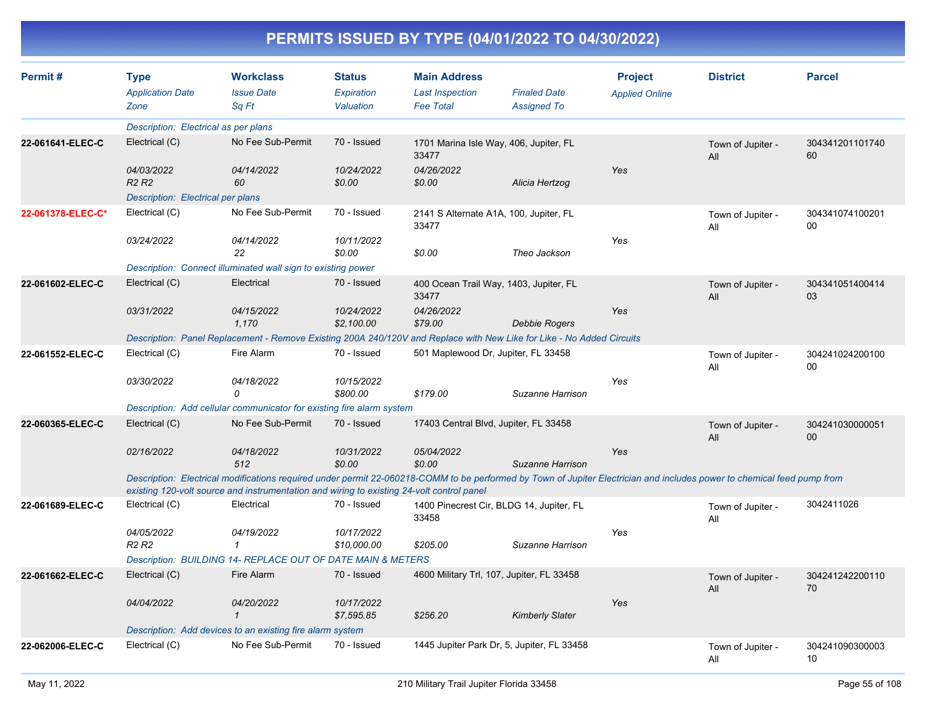| Permit#           | <b>Type</b><br><b>Application Date</b><br>Zone | <b>Workclass</b><br><b>Issue Date</b><br>Sq Ft                                                                                                                                                                                                                       | <b>Status</b><br>Expiration<br>Valuation | <b>Main Address</b><br><b>Last Inspection</b><br><b>Fee Total</b> | <b>Finaled Date</b><br><b>Assigned To</b> | <b>Project</b><br><b>Applied Online</b> | <b>District</b>          | <b>Parcel</b>         |
|-------------------|------------------------------------------------|----------------------------------------------------------------------------------------------------------------------------------------------------------------------------------------------------------------------------------------------------------------------|------------------------------------------|-------------------------------------------------------------------|-------------------------------------------|-----------------------------------------|--------------------------|-----------------------|
|                   | Description: Electrical as per plans           |                                                                                                                                                                                                                                                                      |                                          |                                                                   |                                           |                                         |                          |                       |
| 22-061641-ELEC-C  | Electrical (C)                                 | No Fee Sub-Permit                                                                                                                                                                                                                                                    | 70 - Issued                              | 1701 Marina Isle Way, 406, Jupiter, FL<br>33477                   |                                           |                                         | Town of Jupiter -<br>All | 304341201101740<br>60 |
|                   | 04/03/2022<br>R <sub>2</sub> R <sub>2</sub>    | 04/14/2022<br>60                                                                                                                                                                                                                                                     | 10/24/2022<br>\$0.00                     | 04/26/2022<br>\$0.00                                              | Alicia Hertzog                            | Yes                                     |                          |                       |
|                   | Description: Electrical per plans              |                                                                                                                                                                                                                                                                      |                                          |                                                                   |                                           |                                         |                          |                       |
| 22-061378-ELEC-C* | Electrical (C)                                 | No Fee Sub-Permit                                                                                                                                                                                                                                                    | 70 - Issued                              | 2141 S Alternate A1A, 100, Jupiter, FL<br>33477                   |                                           |                                         | Town of Jupiter -<br>All | 304341074100201<br>00 |
|                   | 03/24/2022                                     | 04/14/2022<br>22                                                                                                                                                                                                                                                     | 10/11/2022<br>\$0.00                     | \$0.00                                                            | Theo Jackson                              | Yes                                     |                          |                       |
|                   |                                                | Description: Connect illuminated wall sign to existing power                                                                                                                                                                                                         |                                          |                                                                   |                                           |                                         |                          |                       |
| 22-061602-ELEC-C  | Electrical (C)                                 | Electrical                                                                                                                                                                                                                                                           | 70 - Issued                              | 400 Ocean Trail Way, 1403, Jupiter, FL<br>33477                   |                                           |                                         | Town of Jupiter -<br>All | 304341051400414<br>03 |
|                   | 03/31/2022                                     | 04/15/2022<br>1.170                                                                                                                                                                                                                                                  | 10/24/2022<br>\$2,100.00                 | 04/26/2022<br>\$79.00                                             | Debbie Rogers                             | Yes                                     |                          |                       |
|                   |                                                | Description: Panel Replacement - Remove Existing 200A 240/120V and Replace with New Like for Like - No Added Circuits                                                                                                                                                |                                          |                                                                   |                                           |                                         |                          |                       |
| 22-061552-ELEC-C  | Electrical (C)                                 | Fire Alarm                                                                                                                                                                                                                                                           | 70 - Issued                              | 501 Maplewood Dr, Jupiter, FL 33458                               |                                           |                                         | Town of Jupiter -<br>All | 304241024200100<br>00 |
|                   | 03/30/2022                                     | 04/18/2022<br>$\Omega$                                                                                                                                                                                                                                               | 10/15/2022<br>\$800.00                   | \$179.00                                                          | Suzanne Harrison                          | Yes                                     |                          |                       |
|                   |                                                | Description: Add cellular communicator for existing fire alarm system                                                                                                                                                                                                |                                          |                                                                   |                                           |                                         |                          |                       |
| 22-060365-ELEC-C  | Electrical (C)                                 | No Fee Sub-Permit                                                                                                                                                                                                                                                    | 70 - Issued                              | 17403 Central Blvd, Jupiter, FL 33458                             |                                           |                                         | Town of Jupiter -<br>All | 304241030000051<br>00 |
|                   | 02/16/2022                                     | 04/18/2022<br>512                                                                                                                                                                                                                                                    | 10/31/2022<br>\$0.00                     | 05/04/2022<br>\$0.00                                              | Suzanne Harrison                          | Yes                                     |                          |                       |
|                   |                                                | Description: Electrical modifications required under permit 22-060218-COMM to be performed by Town of Jupiter Electrician and includes power to chemical feed pump from<br>existing 120-volt source and instrumentation and wiring to existing 24-volt control panel |                                          |                                                                   |                                           |                                         |                          |                       |
| 22-061689-ELEC-C  | Electrical (C)                                 | Electrical                                                                                                                                                                                                                                                           | 70 - Issued                              | 1400 Pinecrest Cir, BLDG 14, Jupiter, FL<br>33458                 |                                           |                                         | Town of Jupiter -<br>All | 3042411026            |
|                   | 04/05/2022<br>R <sub>2</sub> R <sub>2</sub>    | 04/19/2022<br>$\mathbf{1}$                                                                                                                                                                                                                                           | 10/17/2022<br>\$10,000.00                | \$205.00                                                          | Suzanne Harrison                          | Yes                                     |                          |                       |
|                   |                                                | Description: BUILDING 14- REPLACE OUT OF DATE MAIN & METERS                                                                                                                                                                                                          |                                          |                                                                   |                                           |                                         |                          |                       |
| 22-061662-ELEC-C  | Electrical (C)                                 | Fire Alarm                                                                                                                                                                                                                                                           | 70 - Issued                              | 4600 Military Trl, 107, Jupiter, FL 33458                         |                                           |                                         | Town of Jupiter -<br>All | 304241242200110<br>70 |
|                   | 04/04/2022                                     | 04/20/2022<br>$\mathbf 1$                                                                                                                                                                                                                                            | 10/17/2022<br>\$7,595.85                 | \$256.20                                                          | <b>Kimberly Slater</b>                    | Yes                                     |                          |                       |
|                   |                                                | Description: Add devices to an existing fire alarm system                                                                                                                                                                                                            |                                          |                                                                   |                                           |                                         |                          |                       |
| 22-062006-ELEC-C  | Electrical (C)                                 | No Fee Sub-Permit                                                                                                                                                                                                                                                    | 70 - Issued                              | 1445 Jupiter Park Dr, 5, Jupiter, FL 33458                        |                                           |                                         | Town of Jupiter -<br>All | 304241090300003<br>10 |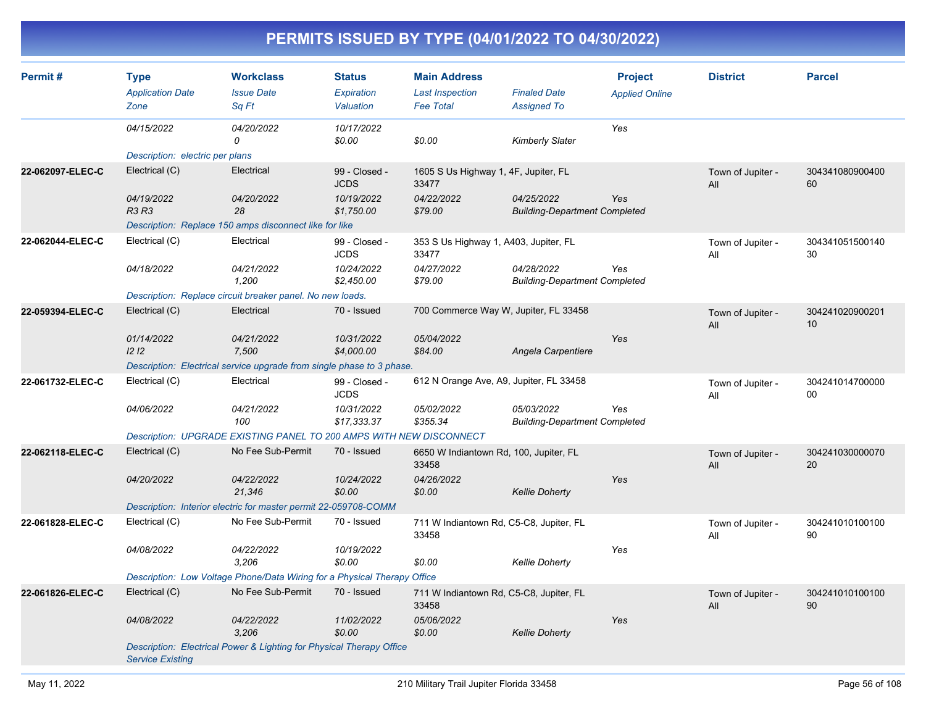| Permit#          | <b>Type</b><br><b>Application Date</b><br>Zone | <b>Workclass</b><br><b>Issue Date</b><br>Sq Ft                           | <b>Status</b><br><b>Expiration</b><br>Valuation | <b>Main Address</b><br><b>Last Inspection</b><br><b>Fee Total</b> | <b>Finaled Date</b><br><b>Assigned To</b>          | <b>Project</b><br><b>Applied Online</b> | <b>District</b>          | <b>Parcel</b>         |
|------------------|------------------------------------------------|--------------------------------------------------------------------------|-------------------------------------------------|-------------------------------------------------------------------|----------------------------------------------------|-----------------------------------------|--------------------------|-----------------------|
|                  | 04/15/2022                                     | 04/20/2022<br>$\Omega$                                                   | 10/17/2022<br>\$0.00                            | \$0.00                                                            | <b>Kimberly Slater</b>                             | Yes                                     |                          |                       |
|                  | Description: electric per plans                |                                                                          |                                                 |                                                                   |                                                    |                                         |                          |                       |
| 22-062097-ELEC-C | Electrical (C)                                 | Electrical                                                               | 99 - Closed -<br><b>JCDS</b>                    | 1605 S Us Highway 1, 4F, Jupiter, FL<br>33477                     |                                                    |                                         | Town of Jupiter -<br>All | 304341080900400<br>60 |
|                  | 04/19/2022<br><b>R3 R3</b>                     | 04/20/2022<br>28                                                         | 10/19/2022<br>\$1,750.00                        | 04/22/2022<br>\$79.00                                             | 04/25/2022<br><b>Building-Department Completed</b> | Yes                                     |                          |                       |
|                  |                                                | Description: Replace 150 amps disconnect like for like                   |                                                 |                                                                   |                                                    |                                         |                          |                       |
| 22-062044-ELEC-C | Electrical (C)                                 | Electrical                                                               | 99 - Closed -<br><b>JCDS</b>                    | 353 S Us Highway 1, A403, Jupiter, FL<br>33477                    |                                                    |                                         | Town of Jupiter -<br>All | 304341051500140<br>30 |
|                  | 04/18/2022                                     | 04/21/2022<br>1,200                                                      | 10/24/2022<br>\$2,450.00                        | 04/27/2022<br>\$79.00                                             | 04/28/2022<br><b>Building-Department Completed</b> | Yes                                     |                          |                       |
|                  |                                                | Description: Replace circuit breaker panel. No new loads.                |                                                 |                                                                   |                                                    |                                         |                          |                       |
| 22-059394-ELEC-C | Electrical (C)                                 | Electrical                                                               | 70 - Issued                                     | 700 Commerce Way W, Jupiter, FL 33458                             |                                                    |                                         | Town of Jupiter -<br>All | 304241020900201<br>10 |
|                  | 01/14/2022<br>12 <sub>12</sub>                 | 04/21/2022<br>7,500                                                      | 10/31/2022<br>\$4,000.00                        | 05/04/2022<br>\$84.00                                             | Angela Carpentiere                                 | Yes                                     |                          |                       |
|                  |                                                | Description: Electrical service upgrade from single phase to 3 phase.    |                                                 |                                                                   |                                                    |                                         |                          |                       |
| 22-061732-ELEC-C | Electrical (C)                                 | Electrical                                                               | 99 - Closed -<br><b>JCDS</b>                    | 612 N Orange Ave, A9, Jupiter, FL 33458                           |                                                    |                                         | Town of Jupiter -<br>All | 304241014700000<br>00 |
|                  | 04/06/2022                                     | 04/21/2022<br>100                                                        | 10/31/2022<br>\$17,333.37                       | 05/02/2022<br>\$355.34                                            | 05/03/2022<br><b>Building-Department Completed</b> | Yes                                     |                          |                       |
|                  |                                                | Description: UPGRADE EXISTING PANEL TO 200 AMPS WITH NEW DISCONNECT      |                                                 |                                                                   |                                                    |                                         |                          |                       |
| 22-062118-ELEC-C | Electrical (C)                                 | No Fee Sub-Permit                                                        | 70 - Issued                                     | 6650 W Indiantown Rd, 100, Jupiter, FL<br>33458                   |                                                    |                                         | Town of Jupiter -<br>All | 304241030000070<br>20 |
|                  | 04/20/2022                                     | 04/22/2022<br>21,346                                                     | 10/24/2022<br>\$0.00                            | 04/26/2022<br>\$0.00                                              | <b>Kellie Doherty</b>                              | Yes                                     |                          |                       |
|                  |                                                | Description: Interior electric for master permit 22-059708-COMM          |                                                 |                                                                   |                                                    |                                         |                          |                       |
| 22-061828-ELEC-C | Electrical (C)                                 | No Fee Sub-Permit                                                        | 70 - Issued                                     | 711 W Indiantown Rd, C5-C8, Jupiter, FL<br>33458                  |                                                    |                                         | Town of Jupiter -<br>All | 304241010100100<br>90 |
|                  | 04/08/2022                                     | 04/22/2022<br>3,206                                                      | 10/19/2022<br>\$0.00                            | \$0.00                                                            | <b>Kellie Doherty</b>                              | Yes                                     |                          |                       |
|                  |                                                | Description: Low Voltage Phone/Data Wiring for a Physical Therapy Office |                                                 |                                                                   |                                                    |                                         |                          |                       |
| 22-061826-ELEC-C | Electrical (C)                                 | No Fee Sub-Permit                                                        | 70 - Issued                                     | 711 W Indiantown Rd, C5-C8, Jupiter, FL<br>33458                  |                                                    |                                         | Town of Jupiter -<br>All | 304241010100100<br>90 |
|                  | 04/08/2022                                     | 04/22/2022<br>3,206                                                      | 11/02/2022<br>\$0.00                            | 05/06/2022<br>\$0.00                                              | <b>Kellie Doherty</b>                              | Yes                                     |                          |                       |
|                  | <b>Service Existing</b>                        | Description: Electrical Power & Lighting for Physical Therapy Office     |                                                 |                                                                   |                                                    |                                         |                          |                       |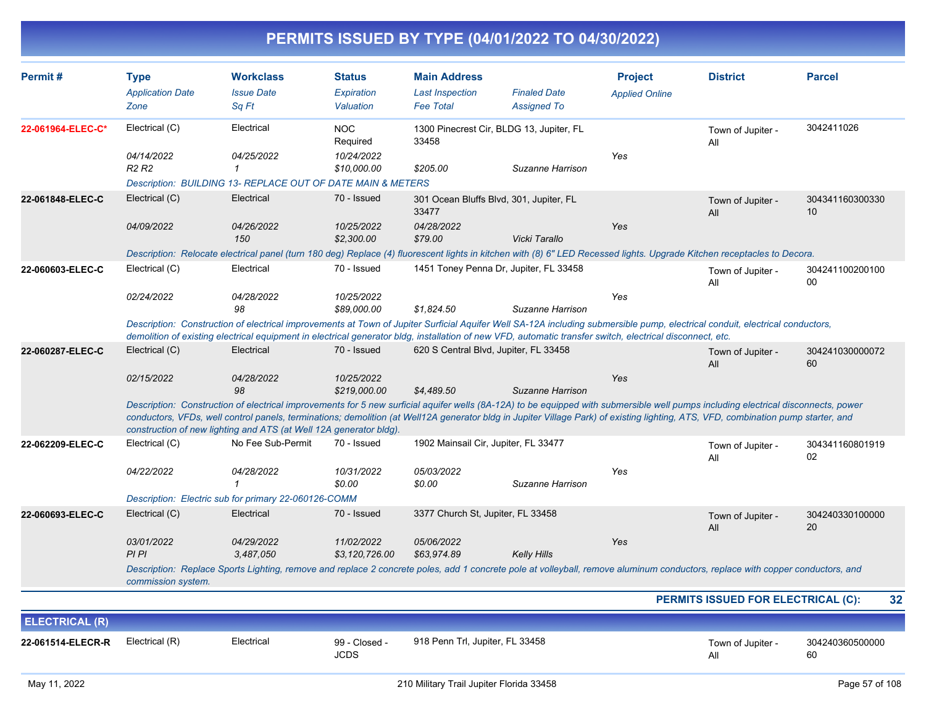| Permit#               | <b>Type</b>                                                                                                                                                                                                                                                                                                                                                                                                                                   | <b>Workclass</b>                                                                                                                                                                                                                                                                                                                          | Status                       | <b>Main Address</b>                   |                                          | <b>Project</b>        | <b>District</b>                    | <b>Parcel</b>         |  |
|-----------------------|-----------------------------------------------------------------------------------------------------------------------------------------------------------------------------------------------------------------------------------------------------------------------------------------------------------------------------------------------------------------------------------------------------------------------------------------------|-------------------------------------------------------------------------------------------------------------------------------------------------------------------------------------------------------------------------------------------------------------------------------------------------------------------------------------------|------------------------------|---------------------------------------|------------------------------------------|-----------------------|------------------------------------|-----------------------|--|
|                       | <b>Application Date</b>                                                                                                                                                                                                                                                                                                                                                                                                                       | <b>Issue Date</b>                                                                                                                                                                                                                                                                                                                         | <b>Expiration</b>            | <b>Last Inspection</b>                | <b>Finaled Date</b>                      | <b>Applied Online</b> |                                    |                       |  |
|                       | Zone                                                                                                                                                                                                                                                                                                                                                                                                                                          | Sq Ft                                                                                                                                                                                                                                                                                                                                     | Valuation                    | <b>Fee Total</b>                      | <b>Assigned To</b>                       |                       |                                    |                       |  |
| 22-061964-ELEC-C*     | Electrical (C)                                                                                                                                                                                                                                                                                                                                                                                                                                | Electrical                                                                                                                                                                                                                                                                                                                                | <b>NOC</b><br>Required       | 33458                                 | 1300 Pinecrest Cir, BLDG 13, Jupiter, FL |                       | Town of Jupiter -<br>All           | 3042411026            |  |
|                       | 04/14/2022                                                                                                                                                                                                                                                                                                                                                                                                                                    | 04/25/2022                                                                                                                                                                                                                                                                                                                                | 10/24/2022                   |                                       |                                          | Yes                   |                                    |                       |  |
|                       | R <sub>2</sub> R <sub>2</sub>                                                                                                                                                                                                                                                                                                                                                                                                                 | $\mathbf{1}$                                                                                                                                                                                                                                                                                                                              | \$10,000.00                  | \$205.00                              | Suzanne Harrison                         |                       |                                    |                       |  |
|                       |                                                                                                                                                                                                                                                                                                                                                                                                                                               | Description: BUILDING 13- REPLACE OUT OF DATE MAIN & METERS                                                                                                                                                                                                                                                                               |                              |                                       |                                          |                       |                                    |                       |  |
| 22-061848-ELEC-C      | Electrical (C)                                                                                                                                                                                                                                                                                                                                                                                                                                | Electrical                                                                                                                                                                                                                                                                                                                                | 70 - Issued                  | 33477                                 | 301 Ocean Bluffs Blvd, 301, Jupiter, FL  |                       | Town of Jupiter -<br>All           | 304341160300330<br>10 |  |
|                       | 04/09/2022                                                                                                                                                                                                                                                                                                                                                                                                                                    | 04/26/2022                                                                                                                                                                                                                                                                                                                                | 10/25/2022                   | 04/28/2022                            |                                          | Yes                   |                                    |                       |  |
|                       |                                                                                                                                                                                                                                                                                                                                                                                                                                               | 150                                                                                                                                                                                                                                                                                                                                       | \$2,300.00                   | \$79.00                               | Vicki Tarallo                            |                       |                                    |                       |  |
|                       |                                                                                                                                                                                                                                                                                                                                                                                                                                               | Description: Relocate electrical panel (turn 180 deg) Replace (4) fluorescent lights in kitchen with (8) 6" LED Recessed lights. Upgrade Kitchen receptacles to Decora.                                                                                                                                                                   |                              |                                       |                                          |                       |                                    |                       |  |
| 22-060603-ELEC-C      | Electrical (C)                                                                                                                                                                                                                                                                                                                                                                                                                                | Electrical                                                                                                                                                                                                                                                                                                                                | 70 - Issued                  |                                       | 1451 Toney Penna Dr, Jupiter, FL 33458   |                       | Town of Jupiter -<br>All           | 304241100200100<br>00 |  |
|                       | 02/24/2022                                                                                                                                                                                                                                                                                                                                                                                                                                    | 04/28/2022                                                                                                                                                                                                                                                                                                                                | 10/25/2022                   |                                       |                                          | Yes                   |                                    |                       |  |
|                       |                                                                                                                                                                                                                                                                                                                                                                                                                                               | 98                                                                                                                                                                                                                                                                                                                                        | \$89,000.00                  | \$1.824.50                            | Suzanne Harrison                         |                       |                                    |                       |  |
|                       |                                                                                                                                                                                                                                                                                                                                                                                                                                               | Description: Construction of electrical improvements at Town of Jupiter Surficial Aquifer Well SA-12A including submersible pump, electrical conduit, electrical conductors,<br>demolition of existing electrical equipment in electrical generator bldg, installation of new VFD, automatic transfer switch, electrical disconnect, etc. |                              |                                       |                                          |                       |                                    |                       |  |
| 22-060287-ELEC-C      | Electrical (C)                                                                                                                                                                                                                                                                                                                                                                                                                                | Electrical                                                                                                                                                                                                                                                                                                                                | 70 - Issued                  | 620 S Central Blvd, Jupiter, FL 33458 |                                          |                       | Town of Jupiter -<br>All           | 304241030000072<br>60 |  |
|                       | 02/15/2022                                                                                                                                                                                                                                                                                                                                                                                                                                    | 04/28/2022<br>98                                                                                                                                                                                                                                                                                                                          | 10/25/2022<br>\$219,000.00   | \$4,489.50                            | Suzanne Harrison                         | Yes                   |                                    |                       |  |
|                       | Description: Construction of electrical improvements for 5 new surficial aquifer wells (8A-12A) to be equipped with submersible well pumps including electrical disconnects, power<br>conductors, VFDs, well control panels, terminations; demolition (at Well12A generator bldg in Jupiter Village Park) of existing lighting, ATS, VFD, combination pump starter, and<br>construction of new lighting and ATS (at Well 12A generator bldg). |                                                                                                                                                                                                                                                                                                                                           |                              |                                       |                                          |                       |                                    |                       |  |
| 22-062209-ELEC-C      | Electrical (C)                                                                                                                                                                                                                                                                                                                                                                                                                                | No Fee Sub-Permit                                                                                                                                                                                                                                                                                                                         | 70 - Issued                  | 1902 Mainsail Cir, Jupiter, FL 33477  |                                          |                       | Town of Jupiter -<br>All           | 304341160801919<br>02 |  |
|                       | 04/22/2022                                                                                                                                                                                                                                                                                                                                                                                                                                    | 04/28/2022<br>$\mathcal I$                                                                                                                                                                                                                                                                                                                | 10/31/2022<br>\$0.00         | 05/03/2022<br>\$0.00                  | Suzanne Harrison                         | Yes                   |                                    |                       |  |
|                       |                                                                                                                                                                                                                                                                                                                                                                                                                                               | Description: Electric sub for primary 22-060126-COMM                                                                                                                                                                                                                                                                                      |                              |                                       |                                          |                       |                                    |                       |  |
| 22-060693-ELEC-C      | Electrical (C)                                                                                                                                                                                                                                                                                                                                                                                                                                | Electrical                                                                                                                                                                                                                                                                                                                                | 70 - Issued                  | 3377 Church St, Jupiter, FL 33458     |                                          |                       | Town of Jupiter -<br>All           | 304240330100000<br>20 |  |
|                       | 03/01/2022<br>PI PI                                                                                                                                                                                                                                                                                                                                                                                                                           | 04/29/2022<br>3,487,050                                                                                                                                                                                                                                                                                                                   | 11/02/2022<br>\$3,120,726.00 | 05/06/2022<br>\$63,974.89             | <b>Kelly Hills</b>                       | Yes                   |                                    |                       |  |
|                       | commission system.                                                                                                                                                                                                                                                                                                                                                                                                                            | Description: Replace Sports Lighting, remove and replace 2 concrete poles, add 1 concrete pole at volleyball, remove aluminum conductors, replace with copper conductors, and                                                                                                                                                             |                              |                                       |                                          |                       |                                    |                       |  |
|                       |                                                                                                                                                                                                                                                                                                                                                                                                                                               |                                                                                                                                                                                                                                                                                                                                           |                              |                                       |                                          |                       | PERMITS ISSUED FOR ELECTRICAL (C): | 32                    |  |
| <b>ELECTRICAL (R)</b> |                                                                                                                                                                                                                                                                                                                                                                                                                                               |                                                                                                                                                                                                                                                                                                                                           |                              |                                       |                                          |                       |                                    |                       |  |
| 22-061514-ELECR-R     | Electrical (R)                                                                                                                                                                                                                                                                                                                                                                                                                                | Electrical                                                                                                                                                                                                                                                                                                                                | 99 - Closed -                | 918 Penn Trl, Jupiter, FL 33458       |                                          |                       |                                    | 304240360500000       |  |
|                       |                                                                                                                                                                                                                                                                                                                                                                                                                                               |                                                                                                                                                                                                                                                                                                                                           | <b>JCDS</b>                  |                                       |                                          |                       | Town of Jupiter -<br>All           | 60                    |  |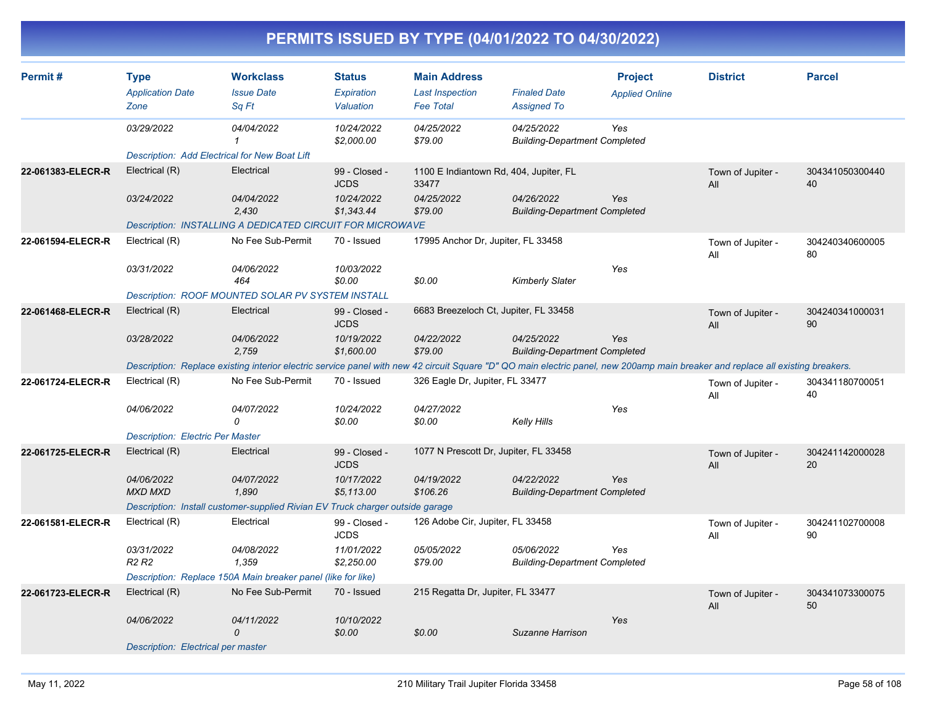| PERMITS ISSUED BY TYPE (04/01/2022 TO 04/30/2022) |  |
|---------------------------------------------------|--|
|---------------------------------------------------|--|

| Permit#           | <b>Type</b><br><b>Application Date</b><br>Zone       | <b>Workclass</b><br><b>Issue Date</b><br>Sa Ft                                                                                                                                  | <b>Status</b><br>Expiration<br>Valuation | <b>Main Address</b><br><b>Last Inspection</b><br><b>Fee Total</b> | <b>Finaled Date</b><br><b>Assigned To</b>          | <b>Project</b><br><b>Applied Online</b> | <b>District</b>          | <b>Parcel</b>         |  |  |  |
|-------------------|------------------------------------------------------|---------------------------------------------------------------------------------------------------------------------------------------------------------------------------------|------------------------------------------|-------------------------------------------------------------------|----------------------------------------------------|-----------------------------------------|--------------------------|-----------------------|--|--|--|
|                   | 03/29/2022                                           | 04/04/2022                                                                                                                                                                      | 10/24/2022<br>\$2,000.00                 | 04/25/2022<br>\$79.00                                             | 04/25/2022<br><b>Building-Department Completed</b> | Yes                                     |                          |                       |  |  |  |
|                   | <b>Description: Add Electrical for New Boat Lift</b> |                                                                                                                                                                                 |                                          |                                                                   |                                                    |                                         |                          |                       |  |  |  |
| 22-061383-ELECR-R | Electrical (R)                                       | Electrical                                                                                                                                                                      | 99 - Closed -<br><b>JCDS</b>             | 1100 E Indiantown Rd, 404, Jupiter, FL<br>33477                   |                                                    |                                         | Town of Jupiter -<br>All | 304341050300440<br>40 |  |  |  |
|                   | 03/24/2022                                           | 04/04/2022<br>2,430                                                                                                                                                             | 10/24/2022<br>\$1,343.44                 | 04/25/2022<br>\$79.00                                             | 04/26/2022<br><b>Building-Department Completed</b> | Yes                                     |                          |                       |  |  |  |
|                   |                                                      | <b>Description: INSTALLING A DEDICATED CIRCUIT FOR MICROWAVE</b>                                                                                                                |                                          |                                                                   |                                                    |                                         |                          |                       |  |  |  |
| 22-061594-ELECR-R | Electrical (R)                                       | No Fee Sub-Permit                                                                                                                                                               | 70 - Issued                              | 17995 Anchor Dr, Jupiter, FL 33458                                |                                                    |                                         | Town of Jupiter -<br>All | 304240340600005<br>80 |  |  |  |
|                   | 03/31/2022                                           | 04/06/2022<br>464                                                                                                                                                               | 10/03/2022<br>\$0.00                     | \$0.00                                                            | Kimberly Slater                                    | Yes                                     |                          |                       |  |  |  |
|                   |                                                      | <b>Description: ROOF MOUNTED SOLAR PV SYSTEM INSTALL</b>                                                                                                                        |                                          |                                                                   |                                                    |                                         |                          |                       |  |  |  |
| 22-061468-ELECR-R | Electrical (R)                                       | Electrical                                                                                                                                                                      | 99 - Closed -<br><b>JCDS</b>             | 6683 Breezeloch Ct, Jupiter, FL 33458                             |                                                    |                                         | Town of Jupiter -<br>All | 304240341000031<br>90 |  |  |  |
|                   | 03/28/2022                                           | 04/06/2022<br>2,759                                                                                                                                                             | 10/19/2022<br>\$1,600.00                 | 04/22/2022<br>\$79.00                                             | 04/25/2022<br><b>Building-Department Completed</b> | Yes                                     |                          |                       |  |  |  |
|                   |                                                      | Description: Replace existing interior electric service panel with new 42 circuit Square "D" QO main electric panel, new 200amp main breaker and replace all existing breakers. |                                          |                                                                   |                                                    |                                         |                          |                       |  |  |  |
| 22-061724-ELECR-R | Electrical (R)                                       | No Fee Sub-Permit<br>70 - Issued<br>326 Eagle Dr, Jupiter, FL 33477                                                                                                             |                                          |                                                                   |                                                    |                                         | Town of Jupiter -<br>All | 304341180700051<br>40 |  |  |  |
|                   | 04/06/2022                                           | 04/07/2022<br>0                                                                                                                                                                 | 10/24/2022<br>\$0.00                     | 04/27/2022<br>\$0.00                                              | Kelly Hills                                        | Yes                                     |                          |                       |  |  |  |
|                   | <b>Description: Electric Per Master</b>              |                                                                                                                                                                                 |                                          |                                                                   |                                                    |                                         |                          |                       |  |  |  |
| 22-061725-ELECR-R | Electrical (R)                                       | Electrical                                                                                                                                                                      | 99 - Closed -<br><b>JCDS</b>             | 1077 N Prescott Dr, Jupiter, FL 33458                             |                                                    |                                         | Town of Jupiter -<br>All | 304241142000028<br>20 |  |  |  |
|                   | 04/06/2022<br><b>MXD MXD</b>                         | 04/07/2022<br>1,890                                                                                                                                                             | 10/17/2022<br>\$5,113.00                 | 04/19/2022<br>\$106.26                                            | 04/22/2022<br><b>Building-Department Completed</b> | Yes                                     |                          |                       |  |  |  |
|                   |                                                      | Description: Install customer-supplied Rivian EV Truck charger outside garage                                                                                                   |                                          |                                                                   |                                                    |                                         |                          |                       |  |  |  |
| 22-061581-ELECR-R | Electrical (R)                                       | Electrical                                                                                                                                                                      | 99 - Closed -<br><b>JCDS</b>             | 126 Adobe Cir, Jupiter, FL 33458                                  |                                                    |                                         | Town of Jupiter -<br>All | 304241102700008<br>90 |  |  |  |
|                   | 03/31/2022<br>R <sub>2</sub> R <sub>2</sub>          | 04/08/2022<br>1,359                                                                                                                                                             | 11/01/2022<br>\$2,250.00                 | 05/05/2022<br>\$79.00                                             | 05/06/2022<br><b>Building-Department Completed</b> | Yes                                     |                          |                       |  |  |  |
|                   |                                                      | Description: Replace 150A Main breaker panel (like for like)                                                                                                                    |                                          |                                                                   |                                                    |                                         |                          |                       |  |  |  |
| 22-061723-ELECR-R | Electrical (R)                                       | No Fee Sub-Permit                                                                                                                                                               | 70 - Issued                              | 215 Regatta Dr, Jupiter, FL 33477                                 |                                                    |                                         | Town of Jupiter -<br>All | 304341073300075<br>50 |  |  |  |
|                   | 04/06/2022                                           | 04/11/2022<br>$\Omega$                                                                                                                                                          | 10/10/2022<br>\$0.00                     | \$0.00                                                            | Suzanne Harrison                                   | Yes                                     |                          |                       |  |  |  |
|                   | Description: Electrical per master                   |                                                                                                                                                                                 |                                          |                                                                   |                                                    |                                         |                          |                       |  |  |  |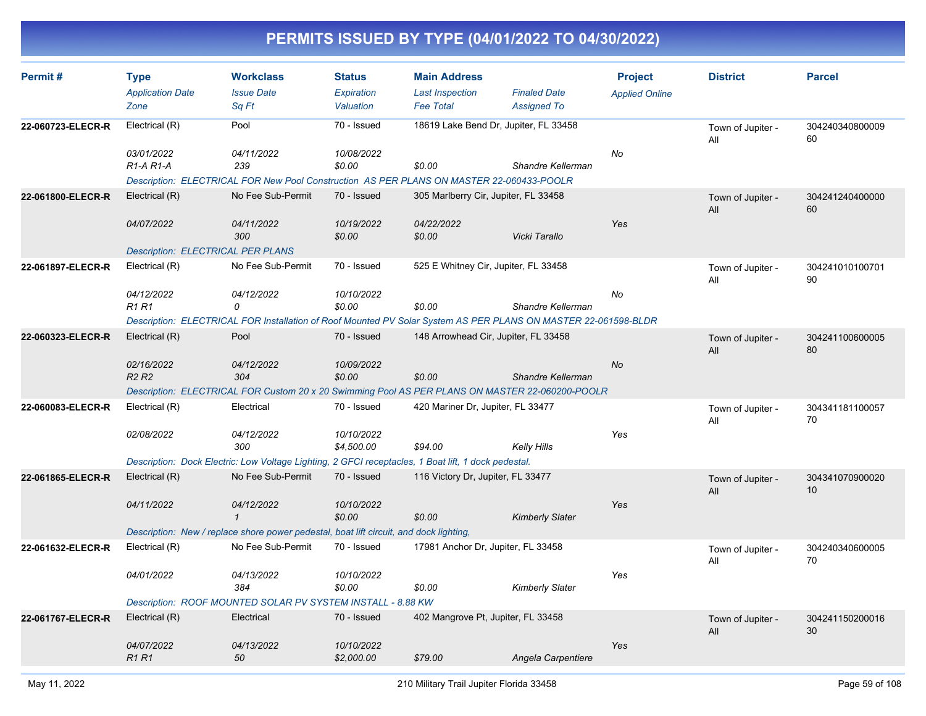| Permit#           | <b>Type</b><br><b>Application Date</b><br>Zone                           | <b>Workclass</b><br><b>Issue Date</b><br>Sq Ft                                                                                                         | <b>Status</b><br>Expiration<br>Valuation | <b>Main Address</b><br><b>Last Inspection</b><br><b>Fee Total</b> | <b>Finaled Date</b><br><b>Assigned To</b> | <b>Project</b><br><b>Applied Online</b> | <b>District</b>          | <b>Parcel</b>         |
|-------------------|--------------------------------------------------------------------------|--------------------------------------------------------------------------------------------------------------------------------------------------------|------------------------------------------|-------------------------------------------------------------------|-------------------------------------------|-----------------------------------------|--------------------------|-----------------------|
| 22-060723-ELECR-R | Electrical (R)<br>03/01/2022<br>R1-A R1-A                                | Pool<br>04/11/2022<br>239<br>Description: ELECTRICAL FOR New Pool Construction AS PER PLANS ON MASTER 22-060433-POOLR                                  | 70 - Issued<br>10/08/2022<br>\$0.00      | 18619 Lake Bend Dr, Jupiter, FL 33458<br>\$0.00                   | Shandre Kellerman                         | No                                      | Town of Jupiter -<br>All | 304240340800009<br>60 |
| 22-061800-ELECR-R | Electrical (R)<br>04/07/2022<br><b>Description: ELECTRICAL PER PLANS</b> | No Fee Sub-Permit<br>04/11/2022<br>300                                                                                                                 | 70 - Issued<br>10/19/2022<br>\$0.00      | 305 Marlberry Cir, Jupiter, FL 33458<br>04/22/2022<br>\$0.00      | Vicki Tarallo                             | Yes                                     | Town of Jupiter -<br>All | 304241240400000<br>60 |
| 22-061897-ELECR-R | Electrical (R)<br>04/12/2022<br><b>R1 R1</b>                             | No Fee Sub-Permit<br>04/12/2022<br>0<br>Description: ELECTRICAL FOR Installation of Roof Mounted PV Solar System AS PER PLANS ON MASTER 22-061598-BLDR | 70 - Issued<br>10/10/2022<br>\$0.00      | 525 E Whitney Cir, Jupiter, FL 33458<br>\$0.00                    | Shandre Kellerman                         | No                                      | Town of Jupiter -<br>All | 304241010100701<br>90 |
| 22-060323-ELECR-R | Electrical (R)<br>02/16/2022<br>R <sub>2</sub> R <sub>2</sub>            | Pool<br>04/12/2022<br>304<br>Description: ELECTRICAL FOR Custom 20 x 20 Swimming Pool AS PER PLANS ON MASTER 22-060200-POOLR                           | 70 - Issued<br>10/09/2022<br>\$0.00      | 148 Arrowhead Cir, Jupiter, FL 33458<br>\$0.00                    | Shandre Kellerman                         | <b>No</b>                               | Town of Jupiter -<br>All | 304241100600005<br>80 |
| 22-060083-ELECR-R | Electrical (R)<br>02/08/2022                                             | Electrical<br>04/12/2022<br>300<br>Description: Dock Electric: Low Voltage Lighting, 2 GFCI receptacles, 1 Boat lift, 1 dock pedestal.                 | 70 - Issued<br>10/10/2022<br>\$4,500.00  | 420 Mariner Dr, Jupiter, FL 33477<br>\$94.00                      | Kelly Hills                               | Yes                                     | Town of Jupiter -<br>All | 304341181100057<br>70 |
| 22-061865-ELECR-R | Electrical (R)<br>04/11/2022                                             | No Fee Sub-Permit<br>04/12/2022<br>$\mathbf{1}$<br>Description: New / replace shore power pedestal, boat lift circuit, and dock lighting,              | 70 - Issued<br>10/10/2022<br>\$0.00      | 116 Victory Dr, Jupiter, FL 33477<br>\$0.00                       | <b>Kimberly Slater</b>                    | Yes                                     | Town of Jupiter -<br>All | 304341070900020<br>10 |
| 22-061632-ELECR-R | Electrical (R)<br>04/01/2022                                             | No Fee Sub-Permit<br>04/13/2022<br>384<br>Description: ROOF MOUNTED SOLAR PV SYSTEM INSTALL - 8.88 KW                                                  | 70 - Issued<br>10/10/2022<br>\$0.00      | 17981 Anchor Dr, Jupiter, FL 33458<br>\$0.00                      | <b>Kimberly Slater</b>                    | Yes                                     | Town of Jupiter -<br>All | 304240340600005<br>70 |
| 22-061767-ELECR-R | Electrical (R)<br>04/07/2022<br>R <sub>1</sub> R <sub>1</sub>            | Electrical<br>04/13/2022<br>50                                                                                                                         | 70 - Issued<br>10/10/2022<br>\$2,000.00  | 402 Mangrove Pt, Jupiter, FL 33458<br>\$79.00                     | Angela Carpentiere                        | Yes                                     | Town of Jupiter -<br>All | 304241150200016<br>30 |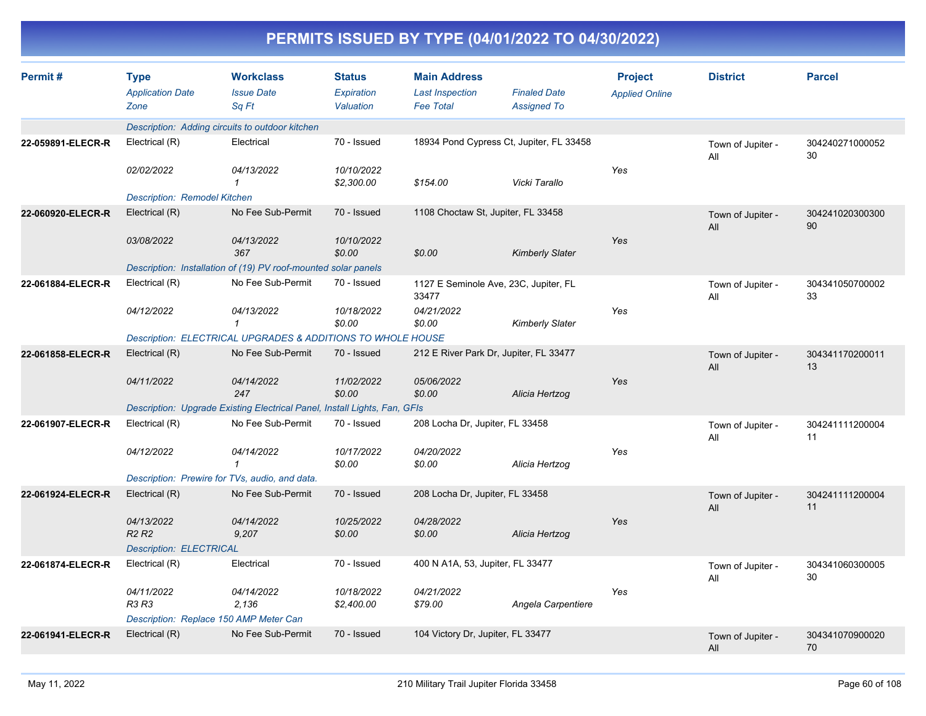| Permit#           | <b>Type</b><br><b>Application Date</b><br>Zone  | <b>Workclass</b><br><b>Issue Date</b><br>Sq Ft                            | <b>Status</b><br>Expiration<br>Valuation | <b>Main Address</b><br><b>Last Inspection</b><br><b>Fee Total</b> | <b>Finaled Date</b><br><b>Assigned To</b> | <b>Project</b><br><b>Applied Online</b> | <b>District</b>          | <b>Parcel</b>         |
|-------------------|-------------------------------------------------|---------------------------------------------------------------------------|------------------------------------------|-------------------------------------------------------------------|-------------------------------------------|-----------------------------------------|--------------------------|-----------------------|
|                   | Description: Adding circuits to outdoor kitchen |                                                                           |                                          |                                                                   |                                           |                                         |                          |                       |
| 22-059891-ELECR-R | Electrical (R)                                  | Electrical                                                                | 70 - Issued                              | 18934 Pond Cypress Ct, Jupiter, FL 33458                          |                                           |                                         | Town of Jupiter -<br>All | 304240271000052<br>30 |
|                   | 02/02/2022                                      | 04/13/2022<br>1                                                           | 10/10/2022<br>\$2,300.00                 | \$154.00                                                          | Vicki Tarallo                             | Yes                                     |                          |                       |
|                   | Description: Remodel Kitchen                    |                                                                           |                                          |                                                                   |                                           |                                         |                          |                       |
| 22-060920-ELECR-R | Electrical (R)                                  | No Fee Sub-Permit                                                         | 70 - Issued                              | 1108 Choctaw St, Jupiter, FL 33458                                |                                           |                                         | Town of Jupiter -<br>All | 304241020300300<br>90 |
|                   | 03/08/2022                                      | 04/13/2022<br>367                                                         | 10/10/2022<br>\$0.00                     | \$0.00                                                            | <b>Kimberly Slater</b>                    | Yes                                     |                          |                       |
|                   |                                                 | Description: Installation of (19) PV roof-mounted solar panels            |                                          |                                                                   |                                           |                                         |                          |                       |
| 22-061884-ELECR-R | Electrical (R)                                  | No Fee Sub-Permit                                                         | 70 - Issued                              | 1127 E Seminole Ave, 23C, Jupiter, FL<br>33477                    |                                           |                                         | Town of Jupiter -<br>All | 304341050700002<br>33 |
|                   | 04/12/2022                                      | 04/13/2022<br>$\mathbf{1}$                                                | 10/18/2022<br>\$0.00                     | 04/21/2022<br>\$0.00                                              | <b>Kimberly Slater</b>                    | Yes                                     |                          |                       |
|                   |                                                 | Description: ELECTRICAL UPGRADES & ADDITIONS TO WHOLE HOUSE               |                                          |                                                                   |                                           |                                         |                          |                       |
| 22-061858-ELECR-R | Electrical (R)                                  | No Fee Sub-Permit                                                         | 70 - Issued                              | 212 E River Park Dr, Jupiter, FL 33477                            |                                           |                                         | Town of Jupiter -<br>All | 304341170200011<br>13 |
|                   | 04/11/2022                                      | 04/14/2022<br>247                                                         | 11/02/2022<br>\$0.00                     | 05/06/2022<br>\$0.00                                              | Alicia Hertzog                            | Yes                                     |                          |                       |
|                   |                                                 | Description: Upgrade Existing Electrical Panel, Install Lights, Fan, GFIs |                                          |                                                                   |                                           |                                         |                          |                       |
| 22-061907-ELECR-R | Electrical (R)                                  | No Fee Sub-Permit                                                         | 70 - Issued                              | 208 Locha Dr, Jupiter, FL 33458                                   |                                           |                                         | Town of Jupiter -<br>All | 304241111200004<br>11 |
|                   | 04/12/2022                                      | 04/14/2022<br>$\mathbf{1}$                                                | 10/17/2022<br>\$0.00                     | 04/20/2022<br>\$0.00                                              | Alicia Hertzog                            | Yes                                     |                          |                       |
|                   | Description: Prewire for TVs, audio, and data.  |                                                                           |                                          |                                                                   |                                           |                                         |                          |                       |
| 22-061924-ELECR-R | Electrical (R)                                  | No Fee Sub-Permit                                                         | 70 - Issued                              | 208 Locha Dr, Jupiter, FL 33458                                   |                                           |                                         | Town of Jupiter -<br>All | 304241111200004<br>11 |
|                   | 04/13/2022<br><b>R2 R2</b>                      | 04/14/2022<br>9,207                                                       | 10/25/2022<br>\$0.00                     | 04/28/2022<br>\$0.00                                              | Alicia Hertzog                            | Yes                                     |                          |                       |
|                   | <b>Description: ELECTRICAL</b>                  |                                                                           |                                          |                                                                   |                                           |                                         |                          |                       |
| 22-061874-ELECR-R | Electrical (R)                                  | Electrical                                                                | 70 - Issued                              | 400 N A1A, 53, Jupiter, FL 33477                                  |                                           |                                         | Town of Jupiter -<br>All | 304341060300005<br>30 |
|                   | 04/11/2022<br>R3 R3                             | 04/14/2022<br>2,136                                                       | 10/18/2022<br>\$2,400.00                 | 04/21/2022<br>\$79.00                                             | Angela Carpentiere                        | Yes                                     |                          |                       |
|                   | Description: Replace 150 AMP Meter Can          |                                                                           |                                          |                                                                   |                                           |                                         |                          |                       |
| 22-061941-ELECR-R | Electrical (R)                                  | No Fee Sub-Permit                                                         | 70 - Issued                              | 104 Victory Dr, Jupiter, FL 33477                                 |                                           |                                         | Town of Jupiter -<br>All | 304341070900020<br>70 |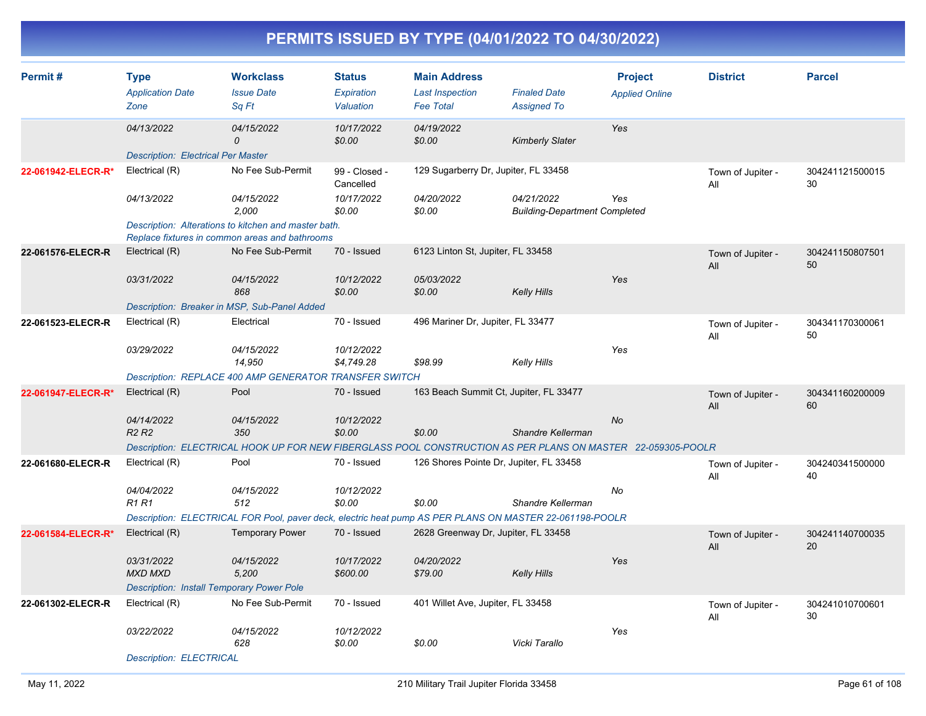| Permit#            | Type<br><b>Application Date</b><br>Zone          | <b>Workclass</b><br><b>Issue Date</b><br>Sq Ft                                                              | <b>Status</b><br>Expiration<br>Valuation | <b>Main Address</b><br><b>Last Inspection</b><br><b>Fee Total</b> | <b>Finaled Date</b><br><b>Assigned To</b>          | <b>Project</b><br><b>Applied Online</b> | <b>District</b>          | <b>Parcel</b>         |
|--------------------|--------------------------------------------------|-------------------------------------------------------------------------------------------------------------|------------------------------------------|-------------------------------------------------------------------|----------------------------------------------------|-----------------------------------------|--------------------------|-----------------------|
|                    | 04/13/2022                                       | 04/15/2022<br>$\Omega$                                                                                      | 10/17/2022<br>\$0.00                     | 04/19/2022<br>\$0.00                                              | <b>Kimberly Slater</b>                             | Yes                                     |                          |                       |
|                    | <b>Description: Electrical Per Master</b>        |                                                                                                             |                                          |                                                                   |                                                    |                                         |                          |                       |
| 22-061942-ELECR-R* | Electrical (R)                                   | No Fee Sub-Permit                                                                                           | 99 - Closed -<br>Cancelled               | 129 Sugarberry Dr, Jupiter, FL 33458                              |                                                    |                                         | Town of Jupiter -<br>All | 304241121500015<br>30 |
|                    | 04/13/2022                                       | 04/15/2022<br>2.000                                                                                         | 10/17/2022<br>\$0.00                     | 04/20/2022<br>\$0.00                                              | 04/21/2022<br><b>Building-Department Completed</b> | Yes                                     |                          |                       |
|                    |                                                  | Description: Alterations to kitchen and master bath.<br>Replace fixtures in common areas and bathrooms      |                                          |                                                                   |                                                    |                                         |                          |                       |
| 22-061576-ELECR-R  | Electrical (R)                                   | No Fee Sub-Permit                                                                                           | 70 - Issued                              | 6123 Linton St, Jupiter, FL 33458                                 |                                                    |                                         | Town of Jupiter -<br>All | 304241150807501<br>50 |
|                    | 03/31/2022                                       | 04/15/2022<br>868                                                                                           | 10/12/2022<br>\$0.00                     | 05/03/2022<br>\$0.00                                              | <b>Kelly Hills</b>                                 | Yes                                     |                          |                       |
|                    |                                                  | Description: Breaker in MSP, Sub-Panel Added                                                                |                                          |                                                                   |                                                    |                                         |                          |                       |
| 22-061523-ELECR-R  | Electrical (R)                                   | Electrical                                                                                                  | 70 - Issued                              | 496 Mariner Dr, Jupiter, FL 33477                                 |                                                    |                                         | Town of Jupiter -<br>All | 304341170300061<br>50 |
|                    | 03/29/2022                                       | 04/15/2022<br>14,950                                                                                        | 10/12/2022<br>\$4,749.28                 | \$98.99                                                           | <b>Kelly Hills</b>                                 | Yes                                     |                          |                       |
|                    |                                                  | Description: REPLACE 400 AMP GENERATOR TRANSFER SWITCH                                                      |                                          |                                                                   |                                                    |                                         |                          |                       |
| 22-061947-ELECR-R* | Electrical (R)                                   | Pool                                                                                                        | 70 - Issued                              | 163 Beach Summit Ct, Jupiter, FL 33477                            |                                                    |                                         | Town of Jupiter -<br>All | 304341160200009<br>60 |
|                    | 04/14/2022<br>R <sub>2</sub> R <sub>2</sub>      | 04/15/2022<br>350                                                                                           | 10/12/2022<br>\$0.00                     | \$0.00                                                            | Shandre Kellerman                                  | <b>No</b>                               |                          |                       |
|                    |                                                  | Description: ELECTRICAL HOOK UP FOR NEW FIBERGLASS POOL CONSTRUCTION AS PER PLANS ON MASTER 22-059305-POOLR |                                          |                                                                   |                                                    |                                         |                          |                       |
| 22-061680-ELECR-R  | Electrical (R)                                   | Pool                                                                                                        | 70 - Issued                              | 126 Shores Pointe Dr, Jupiter, FL 33458                           |                                                    |                                         | Town of Jupiter -<br>All | 304240341500000<br>40 |
|                    | 04/04/2022<br><b>R1 R1</b>                       | 04/15/2022<br>512                                                                                           | 10/12/2022<br>\$0.00                     | \$0.00                                                            | Shandre Kellerman                                  | No                                      |                          |                       |
|                    |                                                  | Description: ELECTRICAL FOR Pool, paver deck, electric heat pump AS PER PLANS ON MASTER 22-061198-POOLR     |                                          |                                                                   |                                                    |                                         |                          |                       |
| 22-061584-ELECR-R* | Electrical (R)                                   | <b>Temporary Power</b>                                                                                      | 70 - Issued                              | 2628 Greenway Dr, Jupiter, FL 33458                               |                                                    |                                         | Town of Jupiter -<br>All | 304241140700035<br>20 |
|                    | 03/31/2022<br><b>MXD MXD</b>                     | 04/15/2022<br>5,200                                                                                         | 10/17/2022<br>\$600.00                   | 04/20/2022<br>\$79.00                                             | <b>Kelly Hills</b>                                 | Yes                                     |                          |                       |
|                    | <b>Description: Install Temporary Power Pole</b> |                                                                                                             |                                          |                                                                   |                                                    |                                         |                          |                       |
| 22-061302-ELECR-R  | Electrical (R)                                   | No Fee Sub-Permit                                                                                           | 70 - Issued                              | 401 Willet Ave, Jupiter, FL 33458                                 |                                                    |                                         | Town of Jupiter -<br>All | 304241010700601<br>30 |
|                    | 03/22/2022                                       | 04/15/2022<br>628                                                                                           | 10/12/2022<br>\$0.00                     | \$0.00                                                            | Vicki Tarallo                                      | Yes                                     |                          |                       |
|                    | <b>Description: ELECTRICAL</b>                   |                                                                                                             |                                          |                                                                   |                                                    |                                         |                          |                       |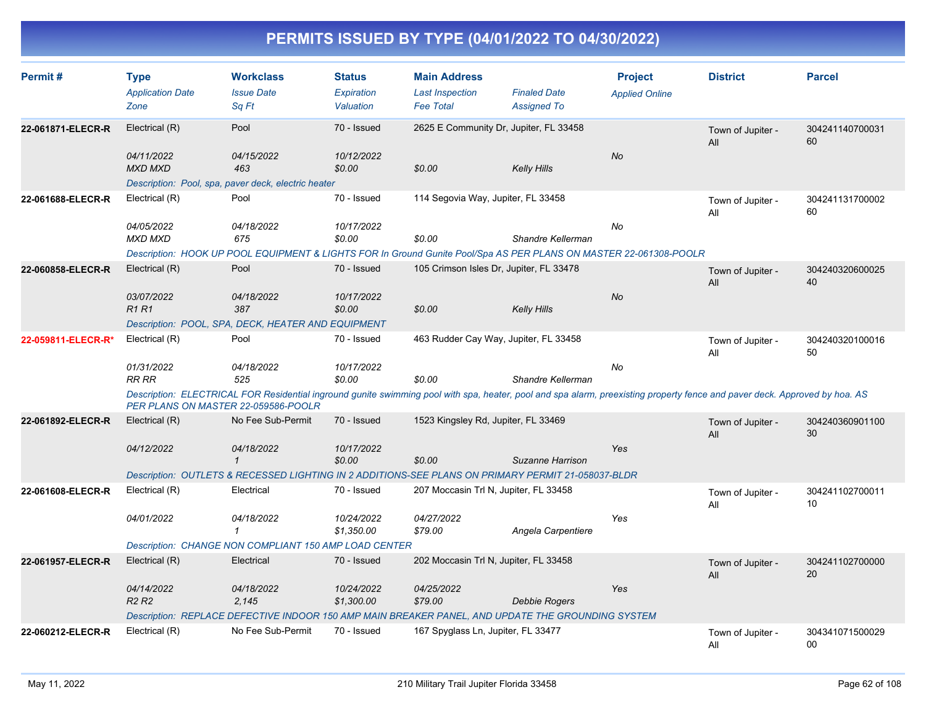| Permit#            | <b>Type</b><br><b>Application Date</b><br>Zone | <b>Workclass</b><br><b>Issue Date</b><br>Sq Ft                                                                                                                                                                    | <b>Status</b><br>Expiration<br>Valuation | <b>Main Address</b><br><b>Last Inspection</b><br><b>Fee Total</b> | <b>Finaled Date</b><br><b>Assigned To</b> | <b>Project</b><br><b>Applied Online</b> | <b>District</b>          | <b>Parcel</b>         |  |  |  |
|--------------------|------------------------------------------------|-------------------------------------------------------------------------------------------------------------------------------------------------------------------------------------------------------------------|------------------------------------------|-------------------------------------------------------------------|-------------------------------------------|-----------------------------------------|--------------------------|-----------------------|--|--|--|
| 22-061871-ELECR-R  | Electrical (R)                                 | Pool                                                                                                                                                                                                              | 70 - Issued                              | 2625 E Community Dr, Jupiter, FL 33458                            |                                           |                                         | Town of Jupiter -<br>All | 304241140700031<br>60 |  |  |  |
|                    | 04/11/2022<br>MXD MXD                          | 04/15/2022<br>463                                                                                                                                                                                                 | 10/12/2022<br>\$0.00                     | \$0.00                                                            | <b>Kelly Hills</b>                        | No                                      |                          |                       |  |  |  |
|                    |                                                | Description: Pool, spa, paver deck, electric heater                                                                                                                                                               |                                          |                                                                   |                                           |                                         |                          |                       |  |  |  |
| 22-061688-ELECR-R  | Electrical (R)                                 | Pool                                                                                                                                                                                                              | 70 - Issued                              | 114 Segovia Way, Jupiter, FL 33458                                |                                           |                                         | Town of Jupiter -<br>All | 304241131700002<br>60 |  |  |  |
|                    | 04/05/2022<br><b>MXD MXD</b>                   | 04/18/2022<br>675                                                                                                                                                                                                 | 10/17/2022<br>\$0.00                     | \$0.00                                                            | Shandre Kellerman                         | No                                      |                          |                       |  |  |  |
|                    |                                                | Description: HOOK UP POOL EQUIPMENT & LIGHTS FOR In Ground Gunite Pool/Spa AS PER PLANS ON MASTER 22-061308-POOLR                                                                                                 |                                          |                                                                   |                                           |                                         |                          |                       |  |  |  |
| 22-060858-ELECR-R  | Electrical (R)                                 | Pool                                                                                                                                                                                                              | 70 - Issued                              | 105 Crimson Isles Dr, Jupiter, FL 33478                           |                                           |                                         | Town of Jupiter -<br>All | 304240320600025<br>40 |  |  |  |
|                    | 03/07/2022<br><b>R1R1</b>                      | 04/18/2022<br>387                                                                                                                                                                                                 | 10/17/2022<br>\$0.00                     | \$0.00                                                            | <b>Kelly Hills</b>                        | <b>No</b>                               |                          |                       |  |  |  |
|                    |                                                | Description: POOL, SPA, DECK, HEATER AND EQUIPMENT                                                                                                                                                                |                                          |                                                                   |                                           |                                         |                          |                       |  |  |  |
| 22-059811-ELECR-R* | Electrical (R)                                 | Pool                                                                                                                                                                                                              | 70 - Issued                              | 463 Rudder Cay Way, Jupiter, FL 33458                             |                                           |                                         | Town of Jupiter -<br>All | 304240320100016<br>50 |  |  |  |
|                    | 01/31/2022<br><b>RR RR</b>                     | 04/18/2022<br>525                                                                                                                                                                                                 | 10/17/2022<br>\$0.00                     | \$0.00                                                            | Shandre Kellerman                         | <b>No</b>                               |                          |                       |  |  |  |
|                    |                                                | Description: ELECTRICAL FOR Residential inground gunite swimming pool with spa, heater, pool and spa alarm, preexisting property fence and paver deck. Approved by hoa. AS<br>PER PLANS ON MASTER 22-059586-POOLR |                                          |                                                                   |                                           |                                         |                          |                       |  |  |  |
| 22-061892-ELECR-R  | Electrical (R)                                 | No Fee Sub-Permit                                                                                                                                                                                                 | 70 - Issued                              | 1523 Kingsley Rd, Jupiter, FL 33469                               |                                           |                                         | Town of Jupiter -<br>All | 304240360901100<br>30 |  |  |  |
|                    | 04/12/2022                                     | 04/18/2022<br>$\mathbf{1}$                                                                                                                                                                                        | 10/17/2022<br>\$0.00                     | \$0.00                                                            | Suzanne Harrison                          | Yes                                     |                          |                       |  |  |  |
|                    |                                                | Description: OUTLETS & RECESSED LIGHTING IN 2 ADDITIONS-SEE PLANS ON PRIMARY PERMIT 21-058037-BLDR                                                                                                                |                                          |                                                                   |                                           |                                         |                          |                       |  |  |  |
| 22-061608-ELECR-R  | Electrical (R)                                 | Electrical                                                                                                                                                                                                        | 70 - Issued                              | 207 Moccasin Trl N, Jupiter, FL 33458                             |                                           |                                         | Town of Jupiter -<br>All | 304241102700011<br>10 |  |  |  |
|                    | 04/01/2022                                     | 04/18/2022<br>$\mathbf{1}$                                                                                                                                                                                        | 10/24/2022<br>\$1,350.00                 | 04/27/2022<br>\$79.00                                             | Angela Carpentiere                        | Yes                                     |                          |                       |  |  |  |
|                    |                                                | Description: CHANGE NON COMPLIANT 150 AMP LOAD CENTER                                                                                                                                                             |                                          |                                                                   |                                           |                                         |                          |                       |  |  |  |
| 22-061957-ELECR-R  | Electrical (R)                                 | Electrical                                                                                                                                                                                                        | 70 - Issued                              | 202 Moccasin Trl N, Jupiter, FL 33458                             |                                           |                                         | Town of Jupiter -<br>All | 304241102700000<br>20 |  |  |  |
|                    | 04/14/2022                                     | 04/18/2022                                                                                                                                                                                                        | 10/24/2022                               | 04/25/2022                                                        |                                           | Yes                                     |                          |                       |  |  |  |
|                    | R <sub>2</sub> R <sub>2</sub>                  | 2.145                                                                                                                                                                                                             | \$1,300.00                               | \$79.00                                                           | <b>Debbie Rogers</b>                      |                                         |                          |                       |  |  |  |
|                    |                                                | Description: REPLACE DEFECTIVE INDOOR 150 AMP MAIN BREAKER PANEL, AND UPDATE THE GROUNDING SYSTEM                                                                                                                 |                                          |                                                                   |                                           |                                         |                          |                       |  |  |  |
| 22-060212-ELECR-R  | Electrical (R)                                 | No Fee Sub-Permit                                                                                                                                                                                                 | 70 - Issued                              | 167 Spyglass Ln, Jupiter, FL 33477                                |                                           |                                         | Town of Jupiter -<br>All | 304341071500029<br>00 |  |  |  |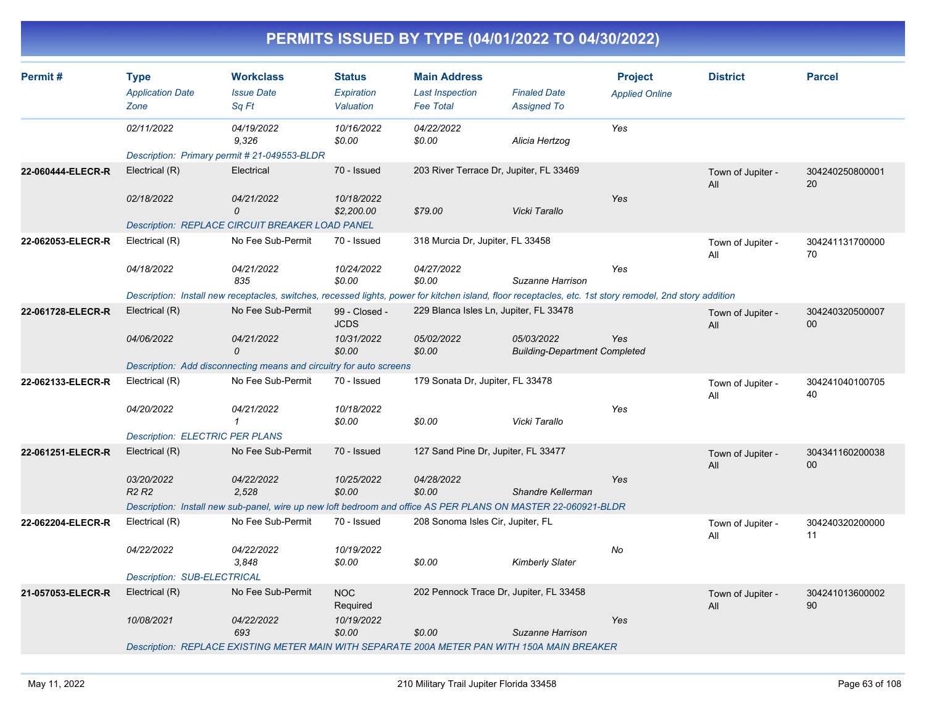| Permit#           | <b>Type</b><br><b>Application Date</b><br>Zone | <b>Workclass</b><br><b>Issue Date</b><br>Sq Ft                                                                                                           | <b>Status</b><br><b>Expiration</b><br>Valuation | <b>Main Address</b><br><b>Last Inspection</b><br><b>Fee Total</b> | <b>Finaled Date</b><br><b>Assigned To</b>          | <b>Project</b><br><b>Applied Online</b> | <b>District</b>          | <b>Parcel</b>         |
|-------------------|------------------------------------------------|----------------------------------------------------------------------------------------------------------------------------------------------------------|-------------------------------------------------|-------------------------------------------------------------------|----------------------------------------------------|-----------------------------------------|--------------------------|-----------------------|
|                   | 02/11/2022                                     | 04/19/2022<br>9,326                                                                                                                                      | 10/16/2022<br>\$0.00                            | 04/22/2022<br>\$0.00                                              | Alicia Hertzog                                     | Yes                                     |                          |                       |
|                   |                                                | Description: Primary permit # 21-049553-BLDR                                                                                                             |                                                 |                                                                   |                                                    |                                         |                          |                       |
| 22-060444-ELECR-R | Electrical (R)                                 | Electrical                                                                                                                                               | 70 - Issued                                     | 203 River Terrace Dr, Jupiter, FL 33469                           |                                                    |                                         | Town of Jupiter -<br>All | 304240250800001<br>20 |
|                   | 02/18/2022                                     | 04/21/2022<br>0                                                                                                                                          | 10/18/2022<br>\$2,200.00                        | \$79.00                                                           | Vicki Tarallo                                      | Yes                                     |                          |                       |
|                   |                                                | <b>Description: REPLACE CIRCUIT BREAKER LOAD PANEL</b>                                                                                                   |                                                 |                                                                   |                                                    |                                         |                          |                       |
| 22-062053-ELECR-R | Electrical (R)                                 | No Fee Sub-Permit                                                                                                                                        | 70 - Issued                                     | 318 Murcia Dr, Jupiter, FL 33458                                  |                                                    |                                         | Town of Jupiter -<br>All | 304241131700000<br>70 |
|                   | 04/18/2022                                     | 04/21/2022<br>835                                                                                                                                        | 10/24/2022<br>\$0.00                            | 04/27/2022<br>\$0.00                                              | Suzanne Harrison                                   | Yes                                     |                          |                       |
|                   |                                                | Description: Install new receptacles, switches, recessed lights, power for kitchen island, floor receptacles, etc. 1st story remodel, 2nd story addition |                                                 |                                                                   |                                                    |                                         |                          |                       |
| 22-061728-ELECR-R | Electrical (R)                                 | No Fee Sub-Permit                                                                                                                                        | 99 - Closed -<br><b>JCDS</b>                    | 229 Blanca Isles Ln, Jupiter, FL 33478                            |                                                    |                                         | Town of Jupiter -<br>All | 304240320500007<br>00 |
|                   | 04/06/2022                                     | 04/21/2022<br>0                                                                                                                                          | 10/31/2022<br>\$0.00                            | 05/02/2022<br>\$0.00                                              | 05/03/2022<br><b>Building-Department Completed</b> | Yes                                     |                          |                       |
|                   |                                                | Description: Add disconnecting means and circuitry for auto screens                                                                                      |                                                 |                                                                   |                                                    |                                         |                          |                       |
| 22-062133-ELECR-R | Electrical (R)                                 | No Fee Sub-Permit                                                                                                                                        | 70 - Issued                                     | 179 Sonata Dr, Jupiter, FL 33478                                  |                                                    |                                         | Town of Jupiter -<br>All | 304241040100705<br>40 |
|                   | 04/20/2022                                     | 04/21/2022<br>$\mathbf{1}$                                                                                                                               | 10/18/2022<br>\$0.00                            | \$0.00                                                            | Vicki Tarallo                                      | Yes                                     |                          |                       |
|                   | <b>Description: ELECTRIC PER PLANS</b>         |                                                                                                                                                          |                                                 |                                                                   |                                                    |                                         |                          |                       |
| 22-061251-ELECR-R | Electrical (R)                                 | No Fee Sub-Permit                                                                                                                                        | 70 - Issued                                     | 127 Sand Pine Dr, Jupiter, FL 33477                               |                                                    |                                         | Town of Jupiter -<br>All | 304341160200038<br>00 |
|                   | 03/20/2022<br>R <sub>2</sub> R <sub>2</sub>    | 04/22/2022<br>2,528                                                                                                                                      | 10/25/2022<br>\$0.00                            | 04/28/2022<br>\$0.00                                              | Shandre Kellerman                                  | Yes                                     |                          |                       |
|                   |                                                | Description: Install new sub-panel, wire up new loft bedroom and office AS PER PLANS ON MASTER 22-060921-BLDR                                            |                                                 |                                                                   |                                                    |                                         |                          |                       |
| 22-062204-ELECR-R | Electrical (R)                                 | No Fee Sub-Permit                                                                                                                                        | 70 - Issued                                     | 208 Sonoma Isles Cir, Jupiter, FL                                 |                                                    |                                         | Town of Jupiter -<br>All | 304240320200000<br>11 |
|                   | 04/22/2022                                     | 04/22/2022<br>3,848                                                                                                                                      | 10/19/2022<br>\$0.00                            | \$0.00                                                            | Kimberly Slater                                    | No                                      |                          |                       |
|                   | Description: SUB-ELECTRICAL                    |                                                                                                                                                          |                                                 |                                                                   |                                                    |                                         |                          |                       |
| 21-057053-ELECR-R | Electrical (R)                                 | No Fee Sub-Permit                                                                                                                                        | <b>NOC</b><br>Required                          | 202 Pennock Trace Dr, Jupiter, FL 33458                           |                                                    |                                         | Town of Jupiter -<br>All | 304241013600002<br>90 |
|                   | 10/08/2021                                     | 04/22/2022<br>693                                                                                                                                        | 10/19/2022<br>\$0.00                            | \$0.00                                                            | Suzanne Harrison                                   | Yes                                     |                          |                       |
|                   |                                                | Description: REPLACE EXISTING METER MAIN WITH SEPARATE 200A METER PAN WITH 150A MAIN BREAKER                                                             |                                                 |                                                                   |                                                    |                                         |                          |                       |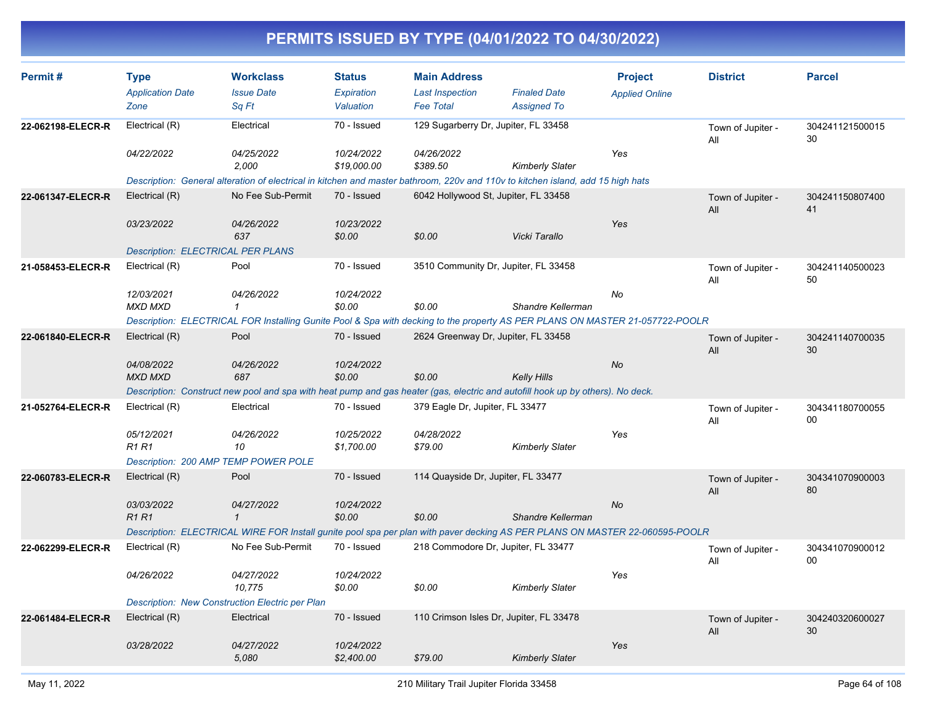| Permit#           | <b>Type</b>                              | <b>Workclass</b>                                                                                                                | <b>Status</b>        | <b>Main Address</b>                  |                                         | <b>Project</b>        | <b>District</b>          | <b>Parcel</b>         |
|-------------------|------------------------------------------|---------------------------------------------------------------------------------------------------------------------------------|----------------------|--------------------------------------|-----------------------------------------|-----------------------|--------------------------|-----------------------|
|                   | <b>Application Date</b>                  | <b>Issue Date</b>                                                                                                               | Expiration           | <b>Last Inspection</b>               | <b>Finaled Date</b>                     | <b>Applied Online</b> |                          |                       |
|                   | Zone                                     | Sq Ft                                                                                                                           | Valuation            | <b>Fee Total</b>                     | <b>Assigned To</b>                      |                       |                          |                       |
| 22-062198-ELECR-R | Electrical (R)                           | Electrical                                                                                                                      | 70 - Issued          | 129 Sugarberry Dr, Jupiter, FL 33458 |                                         |                       | Town of Jupiter -<br>All | 304241121500015<br>30 |
|                   | 04/22/2022                               | 04/25/2022                                                                                                                      | 10/24/2022           | 04/26/2022                           |                                         | Yes                   |                          |                       |
|                   |                                          | 2.000                                                                                                                           | \$19,000.00          | \$389.50                             | <b>Kimberly Slater</b>                  |                       |                          |                       |
|                   |                                          | Description: General alteration of electrical in kitchen and master bathroom, 220v and 110v to kitchen island, add 15 high hats |                      |                                      |                                         |                       |                          |                       |
| 22-061347-ELECR-R | Electrical (R)                           | No Fee Sub-Permit                                                                                                               | 70 - Issued          | 6042 Hollywood St, Jupiter, FL 33458 |                                         |                       | Town of Jupiter -<br>All | 304241150807400<br>41 |
|                   | 03/23/2022                               | 04/26/2022                                                                                                                      | 10/23/2022           |                                      |                                         | Yes                   |                          |                       |
|                   |                                          | 637                                                                                                                             | \$0.00               | \$0.00                               | Vicki Tarallo                           |                       |                          |                       |
|                   | <b>Description: ELECTRICAL PER PLANS</b> |                                                                                                                                 |                      |                                      |                                         |                       |                          |                       |
| 21-058453-ELECR-R | Electrical (R)                           | Pool                                                                                                                            | 70 - Issued          |                                      | 3510 Community Dr, Jupiter, FL 33458    |                       | Town of Jupiter -<br>All | 304241140500023<br>50 |
|                   | 12/03/2021                               | 04/26/2022                                                                                                                      | 10/24/2022           |                                      |                                         | No                    |                          |                       |
|                   | <b>MXD MXD</b>                           | $\mathbf{1}$                                                                                                                    | \$0.00               | \$0.00                               | Shandre Kellerman                       |                       |                          |                       |
|                   |                                          | Description: ELECTRICAL FOR Installing Gunite Pool & Spa with decking to the property AS PER PLANS ON MASTER 21-057722-POOLR    |                      |                                      |                                         |                       |                          |                       |
| 22-061840-ELECR-R | Electrical (R)                           | Pool                                                                                                                            | 70 - Issued          | 2624 Greenway Dr, Jupiter, FL 33458  |                                         |                       | Town of Jupiter -<br>All | 304241140700035<br>30 |
|                   | 04/08/2022                               | 04/26/2022                                                                                                                      | 10/24/2022           |                                      |                                         | <b>No</b>             |                          |                       |
|                   | <b>MXD MXD</b>                           | 687                                                                                                                             | \$0.00               | \$0.00                               | <b>Kelly Hills</b>                      |                       |                          |                       |
|                   |                                          | Description: Construct new pool and spa with heat pump and gas heater (gas, electric and autofill hook up by others). No deck.  |                      |                                      |                                         |                       |                          |                       |
| 21-052764-ELECR-R | Electrical (R)                           | Electrical                                                                                                                      | 70 - Issued          | 379 Eagle Dr, Jupiter, FL 33477      |                                         |                       | Town of Jupiter -<br>All | 304341180700055<br>00 |
|                   | 05/12/2021                               | 04/26/2022                                                                                                                      | 10/25/2022           | 04/28/2022                           |                                         | Yes                   |                          |                       |
|                   | <b>R1 R1</b>                             | 10                                                                                                                              | \$1,700.00           | \$79.00                              | <b>Kimberly Slater</b>                  |                       |                          |                       |
|                   |                                          | Description: 200 AMP TEMP POWER POLE                                                                                            |                      |                                      |                                         |                       |                          |                       |
| 22-060783-ELECR-R | Electrical (R)                           | Pool                                                                                                                            | 70 - Issued          | 114 Quayside Dr, Jupiter, FL 33477   |                                         |                       | Town of Jupiter -<br>All | 304341070900003<br>80 |
|                   | 03/03/2022                               | 04/27/2022                                                                                                                      | 10/24/2022           |                                      |                                         | No                    |                          |                       |
|                   | <b>R1R1</b>                              | $\mathbf{1}$                                                                                                                    | \$0.00               | \$0.00                               | Shandre Kellerman                       |                       |                          |                       |
|                   |                                          | Description: ELECTRICAL WIRE FOR Install gunite pool spa per plan with paver decking AS PER PLANS ON MASTER 22-060595-POOLR     |                      |                                      |                                         |                       |                          |                       |
| 22-062299-ELECR-R | Electrical (R)                           | No Fee Sub-Permit                                                                                                               | 70 - Issued          |                                      | 218 Commodore Dr, Jupiter, FL 33477     |                       | Town of Jupiter -<br>All | 304341070900012<br>00 |
|                   | 04/26/2022                               | 04/27/2022<br>10,775                                                                                                            | 10/24/2022<br>\$0.00 | \$0.00                               | <b>Kimberly Slater</b>                  | Yes                   |                          |                       |
|                   |                                          | Description: New Construction Electric per Plan                                                                                 |                      |                                      |                                         |                       |                          |                       |
| 22-061484-ELECR-R | Electrical (R)                           | Electrical                                                                                                                      | 70 - Issued          |                                      | 110 Crimson Isles Dr, Jupiter, FL 33478 |                       | Town of Jupiter -<br>All | 304240320600027<br>30 |
|                   | 03/28/2022                               | 04/27/2022                                                                                                                      | 10/24/2022           |                                      |                                         | Yes                   |                          |                       |
|                   |                                          | 5,080                                                                                                                           | \$2,400.00           | \$79.00                              | <b>Kimberly Slater</b>                  |                       |                          |                       |
|                   |                                          |                                                                                                                                 |                      |                                      |                                         |                       |                          |                       |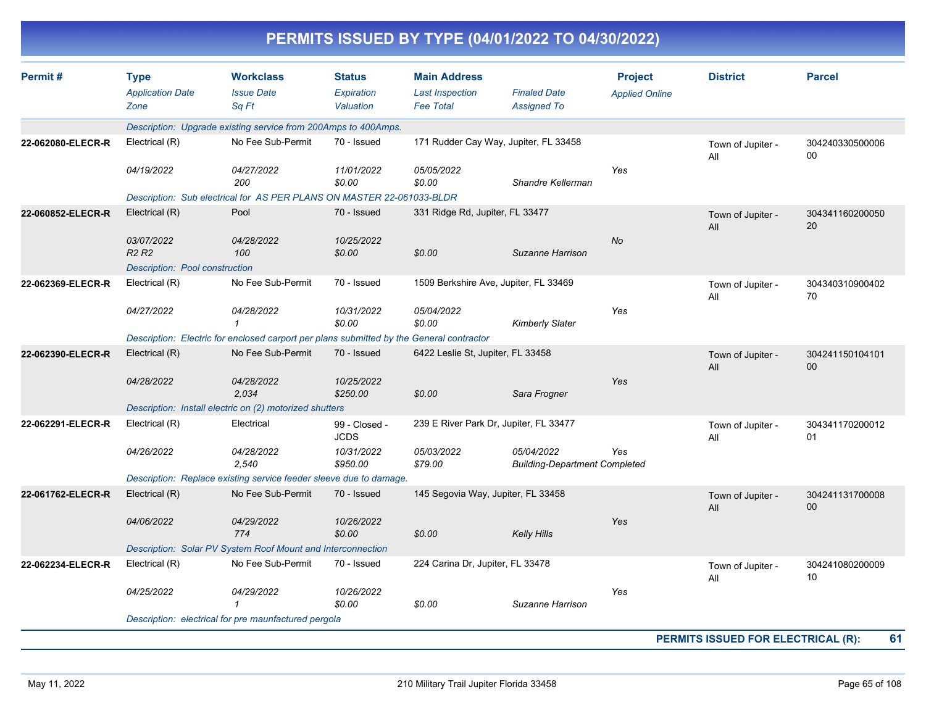| Permit#           | <b>Type</b>                    | <b>Workclass</b>                                                                         | <b>Status</b>                | <b>Main Address</b>                    |                                                    | <b>Project</b>        | <b>District</b>          | <b>Parcel</b>             |
|-------------------|--------------------------------|------------------------------------------------------------------------------------------|------------------------------|----------------------------------------|----------------------------------------------------|-----------------------|--------------------------|---------------------------|
|                   | <b>Application Date</b>        | <b>Issue Date</b>                                                                        | Expiration                   | <b>Last Inspection</b>                 | <b>Finaled Date</b>                                | <b>Applied Online</b> |                          |                           |
|                   | Zone                           | Sq Ft                                                                                    | Valuation                    | <b>Fee Total</b>                       | <b>Assigned To</b>                                 |                       |                          |                           |
|                   |                                | Description: Upgrade existing service from 200Amps to 400Amps.                           |                              |                                        |                                                    |                       |                          |                           |
| 22-062080-ELECR-R | Electrical (R)                 | No Fee Sub-Permit                                                                        | 70 - Issued                  | 171 Rudder Cay Way, Jupiter, FL 33458  |                                                    |                       | Town of Jupiter -<br>All | 304240330500006<br>00     |
|                   | 04/19/2022                     | 04/27/2022<br>200                                                                        | 11/01/2022<br>\$0.00         | 05/05/2022<br>\$0.00                   | Shandre Kellerman                                  | Yes                   |                          |                           |
|                   |                                | Description: Sub electrical for AS PER PLANS ON MASTER 22-061033-BLDR                    |                              |                                        |                                                    |                       |                          |                           |
| 22-060852-ELECR-R | Electrical (R)                 | Pool                                                                                     | 70 - Issued                  | 331 Ridge Rd, Jupiter, FL 33477        |                                                    |                       | Town of Jupiter -<br>All | 304341160200050<br>20     |
|                   | 03/07/2022<br><b>R2 R2</b>     | 04/28/2022<br>100                                                                        | 10/25/2022<br>\$0.00         | \$0.00                                 | Suzanne Harrison                                   | <b>No</b>             |                          |                           |
|                   | Description: Pool construction |                                                                                          |                              |                                        |                                                    |                       |                          |                           |
| 22-062369-ELECR-R | Electrical (R)                 | No Fee Sub-Permit                                                                        | 70 - Issued                  | 1509 Berkshire Ave, Jupiter, FL 33469  |                                                    |                       | Town of Jupiter -<br>All | 304340310900402<br>70     |
|                   | 04/27/2022                     | 04/28/2022<br>1                                                                          | 10/31/2022<br>\$0.00         | 05/04/2022<br>\$0.00                   | <b>Kimberly Slater</b>                             | Yes                   |                          |                           |
|                   |                                | Description: Electric for enclosed carport per plans submitted by the General contractor |                              |                                        |                                                    |                       |                          |                           |
| 22-062390-ELECR-R | Electrical (R)                 | No Fee Sub-Permit                                                                        | 70 - Issued                  | 6422 Leslie St, Jupiter, FL 33458      |                                                    |                       | Town of Jupiter -<br>All | 304241150104101<br>$00\,$ |
|                   | 04/28/2022                     | 04/28/2022<br>2,034                                                                      | 10/25/2022<br>\$250.00       | \$0.00                                 | Sara Frogner                                       | Yes                   |                          |                           |
|                   |                                | Description: Install electric on (2) motorized shutters                                  |                              |                                        |                                                    |                       |                          |                           |
| 22-062291-ELECR-R | Electrical (R)                 | Electrical                                                                               | 99 - Closed -<br><b>JCDS</b> | 239 E River Park Dr, Jupiter, FL 33477 |                                                    |                       | Town of Jupiter -<br>All | 304341170200012<br>01     |
|                   | 04/26/2022                     | 04/28/2022<br>2,540                                                                      | 10/31/2022<br>\$950.00       | 05/03/2022<br>\$79.00                  | 05/04/2022<br><b>Building-Department Completed</b> | Yes                   |                          |                           |
|                   |                                | Description: Replace existing service feeder sleeve due to damage.                       |                              |                                        |                                                    |                       |                          |                           |
| 22-061762-ELECR-R | Electrical (R)                 | No Fee Sub-Permit                                                                        | 70 - Issued                  | 145 Segovia Way, Jupiter, FL 33458     |                                                    |                       | Town of Jupiter -<br>All | 304241131700008<br>00     |
|                   | 04/06/2022                     | 04/29/2022<br>774                                                                        | 10/26/2022<br>\$0.00         | \$0.00                                 | <b>Kelly Hills</b>                                 | Yes                   |                          |                           |
|                   |                                | Description: Solar PV System Roof Mount and Interconnection                              |                              |                                        |                                                    |                       |                          |                           |
| 22-062234-ELECR-R | Electrical (R)                 | No Fee Sub-Permit                                                                        | 70 - Issued                  | 224 Carina Dr, Jupiter, FL 33478       |                                                    |                       | Town of Jupiter -<br>All | 304241080200009<br>10     |
|                   | 04/25/2022                     | 04/29/2022<br>$\mathcal I$                                                               | 10/26/2022<br>\$0.00         | \$0.00                                 | Suzanne Harrison                                   | Yes                   |                          |                           |
|                   |                                | Description: electrical for pre maunfactured pergola                                     |                              |                                        |                                                    |                       |                          |                           |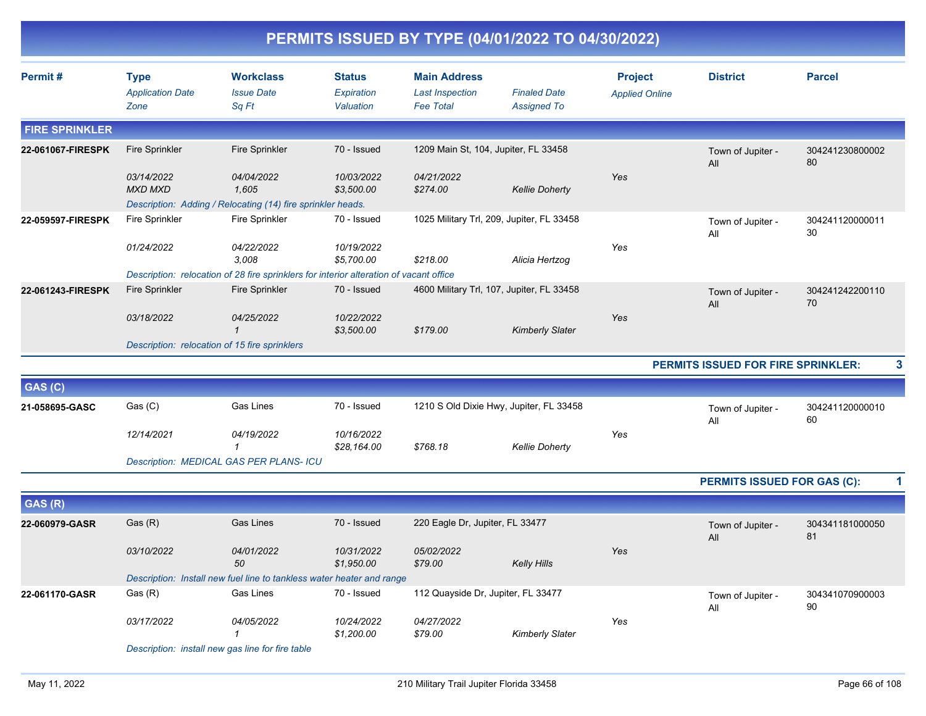|                       |                                                |                                                                                                          |                                          |                                                                   | PERMITS ISSUED BY TYPE (04/01/2022 TO 04/30/2022) |                                         |                             |                       |
|-----------------------|------------------------------------------------|----------------------------------------------------------------------------------------------------------|------------------------------------------|-------------------------------------------------------------------|---------------------------------------------------|-----------------------------------------|-----------------------------|-----------------------|
| Permit#               | <b>Type</b><br><b>Application Date</b><br>Zone | <b>Workclass</b><br><b>Issue Date</b><br>Sq Ft                                                           | <b>Status</b><br>Expiration<br>Valuation | <b>Main Address</b><br><b>Last Inspection</b><br><b>Fee Total</b> | <b>Finaled Date</b><br><b>Assigned To</b>         | <b>Project</b><br><b>Applied Online</b> | <b>District</b>             | <b>Parcel</b>         |
| <b>FIRE SPRINKLER</b> |                                                |                                                                                                          |                                          |                                                                   |                                                   |                                         |                             |                       |
| 22-061067-FIRESPK     | <b>Fire Sprinkler</b>                          | <b>Fire Sprinkler</b>                                                                                    | 70 - Issued                              | 1209 Main St, 104, Jupiter, FL 33458                              |                                                   |                                         | Town of Jupiter -<br>All    | 304241230800002<br>80 |
|                       | 03/14/2022<br><b>MXD MXD</b>                   | <i>04/04/2022</i><br>1,605<br>Description: Adding / Relocating (14) fire sprinkler heads.                | 10/03/2022<br>\$3,500.00                 | 04/21/2022<br>\$274.00                                            | <b>Kellie Doherty</b>                             | Yes                                     |                             |                       |
| 22-059597-FIRESPK     | <b>Fire Sprinkler</b>                          | <b>Fire Sprinkler</b>                                                                                    | 70 - Issued                              |                                                                   | 1025 Military Trl, 209, Jupiter, FL 33458         |                                         | Town of Jupiter -<br>All    | 304241120000011<br>30 |
|                       | 01/24/2022                                     | 04/22/2022<br>3.008                                                                                      | 10/19/2022<br>\$5,700.00                 | \$218.00                                                          | Alicia Hertzog                                    | Yes                                     |                             |                       |
| 22-061243-FIRESPK     | <b>Fire Sprinkler</b>                          | Description: relocation of 28 fire sprinklers for interior alteration of vacant office<br>Fire Sprinkler | 70 - Issued                              |                                                                   | 4600 Military Trl, 107, Jupiter, FL 33458         |                                         | Town of Jupiter -<br>All    | 304241242200110<br>70 |
|                       | 03/18/2022                                     | 04/25/2022<br>$\mathbf{1}$                                                                               | 10/22/2022<br>\$3,500.00                 | \$179.00                                                          | <b>Kimberly Slater</b>                            | Yes                                     |                             |                       |
|                       | Description: relocation of 15 fire sprinklers  |                                                                                                          |                                          | PERMITS ISSUED FOR FIRE SPRINKLER:                                | 3                                                 |                                         |                             |                       |
| GAS (C)               |                                                |                                                                                                          |                                          |                                                                   |                                                   |                                         |                             |                       |
| 21-058695-GASC        | Gas (C)                                        | <b>Gas Lines</b>                                                                                         | 70 - Issued                              |                                                                   | 1210 S Old Dixie Hwy, Jupiter, FL 33458           |                                         | Town of Jupiter -<br>All    | 304241120000010<br>60 |
|                       | 12/14/2021                                     | 04/19/2022<br>$\mathcal I$                                                                               | 10/16/2022<br>\$28,164.00                | \$768.18                                                          | <b>Kellie Doherty</b>                             | Yes                                     |                             |                       |
|                       |                                                | Description: MEDICAL GAS PER PLANS- ICU                                                                  |                                          |                                                                   |                                                   |                                         |                             |                       |
|                       |                                                |                                                                                                          |                                          |                                                                   |                                                   |                                         | PERMITS ISSUED FOR GAS (C): | 1                     |
| GAS (R)               |                                                |                                                                                                          |                                          |                                                                   |                                                   |                                         |                             |                       |
| 22-060979-GASR        | Gas (R)                                        | <b>Gas Lines</b>                                                                                         | 70 - Issued                              | 220 Eagle Dr, Jupiter, FL 33477                                   |                                                   |                                         | Town of Jupiter -<br>All    | 304341181000050<br>81 |
|                       | 03/10/2022                                     | 04/01/2022<br>50                                                                                         | 10/31/2022<br>\$1,950.00                 | 05/02/2022<br>\$79.00                                             | <b>Kelly Hills</b>                                | Yes                                     |                             |                       |
|                       |                                                | Description: Install new fuel line to tankless water heater and range                                    |                                          |                                                                   |                                                   |                                         |                             |                       |
| 22-061170-GASR        | Gas (R)                                        | Gas Lines                                                                                                | 70 - Issued                              | 112 Quayside Dr, Jupiter, FL 33477                                |                                                   |                                         | Town of Jupiter -<br>All    | 304341070900003<br>90 |
|                       | 03/17/2022                                     | 04/05/2022<br>$\mathbf{1}$<br>Description: install new gas line for fire table                           | 10/24/2022<br>\$1,200.00                 | 04/27/2022<br>\$79.00                                             | <b>Kimberly Slater</b>                            | Yes                                     |                             |                       |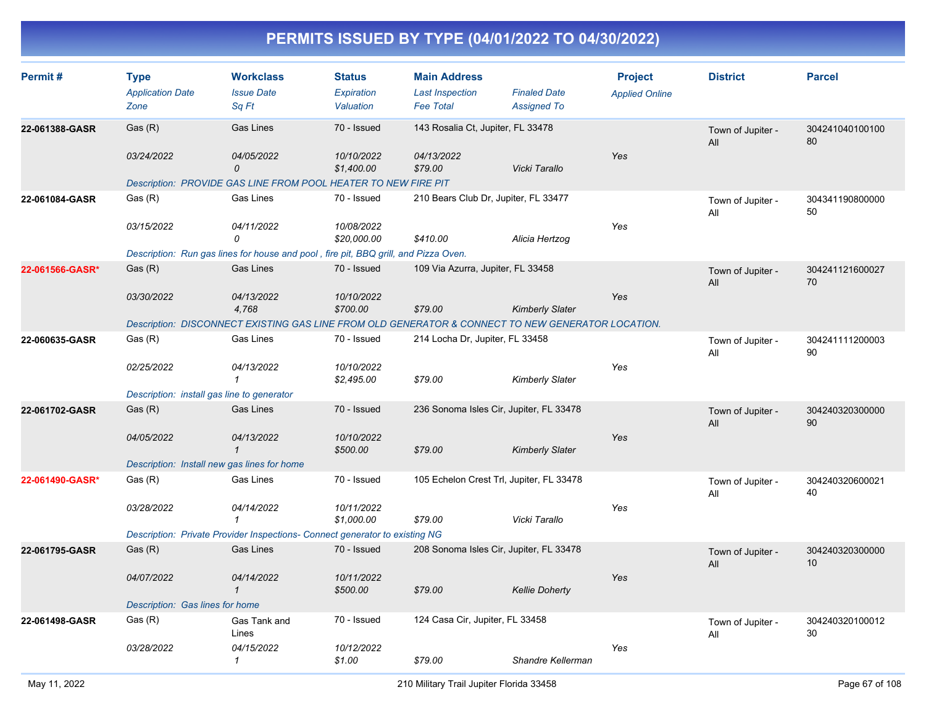| Permit#         | <b>Type</b>                                | <b>Workclass</b>                                                                                  | <b>Status</b>          | <b>Main Address</b>                      |                        | <b>Project</b>        | <b>District</b>          | <b>Parcel</b>         |
|-----------------|--------------------------------------------|---------------------------------------------------------------------------------------------------|------------------------|------------------------------------------|------------------------|-----------------------|--------------------------|-----------------------|
|                 | <b>Application Date</b>                    | <b>Issue Date</b>                                                                                 | Expiration             | <b>Last Inspection</b>                   | <b>Finaled Date</b>    | <b>Applied Online</b> |                          |                       |
|                 | Zone                                       | Sq Ft                                                                                             | Valuation              | <b>Fee Total</b>                         | <b>Assigned To</b>     |                       |                          |                       |
| 22-061388-GASR  | Gas(R)                                     | <b>Gas Lines</b>                                                                                  | 70 - Issued            | 143 Rosalia Ct, Jupiter, FL 33478        |                        |                       | Town of Jupiter -<br>All | 304241040100100<br>80 |
|                 | 03/24/2022                                 | 04/05/2022                                                                                        | 10/10/2022             | 04/13/2022                               |                        | Yes                   |                          |                       |
|                 |                                            | $\mathcal{O}$                                                                                     | \$1,400.00             | \$79.00                                  | Vicki Tarallo          |                       |                          |                       |
|                 |                                            | Description: PROVIDE GAS LINE FROM POOL HEATER TO NEW FIRE PIT                                    |                        |                                          |                        |                       |                          |                       |
| 22-061084-GASR  | Gas (R)                                    | Gas Lines                                                                                         | 70 - Issued            | 210 Bears Club Dr, Jupiter, FL 33477     |                        |                       | Town of Jupiter -<br>All | 304341190800000<br>50 |
|                 | 03/15/2022                                 | 04/11/2022                                                                                        | 10/08/2022             |                                          |                        | Yes                   |                          |                       |
|                 |                                            | 0                                                                                                 | \$20,000.00            | \$410.00                                 | Alicia Hertzog         |                       |                          |                       |
|                 |                                            | Description: Run gas lines for house and pool, fire pit, BBQ grill, and Pizza Oven.               |                        |                                          |                        |                       |                          |                       |
| 22-061566-GASR* | Gas(R)                                     | <b>Gas Lines</b>                                                                                  | 70 - Issued            | 109 Via Azurra, Jupiter, FL 33458        |                        |                       | Town of Jupiter -<br>All | 304241121600027<br>70 |
|                 | 03/30/2022                                 | 04/13/2022                                                                                        | 10/10/2022             |                                          |                        | Yes                   |                          |                       |
|                 |                                            | 4,768                                                                                             | \$700.00               | \$79.00                                  | <b>Kimberly Slater</b> |                       |                          |                       |
|                 |                                            | Description: DISCONNECT EXISTING GAS LINE FROM OLD GENERATOR & CONNECT TO NEW GENERATOR LOCATION. |                        |                                          |                        |                       |                          |                       |
| 22-060635-GASR  | Gas (R)                                    | <b>Gas Lines</b>                                                                                  | 70 - Issued            | 214 Locha Dr, Jupiter, FL 33458          |                        |                       | Town of Jupiter -<br>All | 304241111200003<br>90 |
|                 | 02/25/2022                                 | 04/13/2022                                                                                        | 10/10/2022             |                                          |                        | Yes                   |                          |                       |
|                 |                                            |                                                                                                   | \$2,495.00             | \$79.00                                  | Kimberly Slater        |                       |                          |                       |
|                 | Description: install gas line to generator |                                                                                                   |                        |                                          |                        |                       |                          |                       |
| 22-061702-GASR  | Gas(R)                                     | <b>Gas Lines</b>                                                                                  | 70 - Issued            | 236 Sonoma Isles Cir, Jupiter, FL 33478  |                        |                       | Town of Jupiter -<br>All | 304240320300000<br>90 |
|                 | 04/05/2022                                 | 04/13/2022                                                                                        | 10/10/2022             |                                          |                        | Yes                   |                          |                       |
|                 |                                            | $\mathbf{1}$                                                                                      | \$500.00               | \$79.00                                  | <b>Kimberly Slater</b> |                       |                          |                       |
|                 |                                            | Description: Install new gas lines for home                                                       |                        |                                          |                        |                       |                          |                       |
| 22-061490-GASR* | Gas (R)                                    | Gas Lines                                                                                         | 70 - Issued            | 105 Echelon Crest Trl, Jupiter, FL 33478 |                        |                       | Town of Jupiter -<br>All | 304240320600021<br>40 |
|                 | 03/28/2022                                 | 04/14/2022                                                                                        | 10/11/2022             |                                          |                        | Yes                   |                          |                       |
|                 |                                            | $\mathbf{1}$                                                                                      | \$1,000.00             | \$79.00                                  | Vicki Tarallo          |                       |                          |                       |
|                 |                                            | Description: Private Provider Inspections- Connect generator to existing NG                       |                        |                                          |                        |                       |                          |                       |
| 22-061795-GASR  | Gas(R)                                     | Gas Lines                                                                                         | 70 - Issued            | 208 Sonoma Isles Cir, Jupiter, FL 33478  |                        |                       | Town of Jupiter -<br>All | 304240320300000<br>10 |
|                 | 04/07/2022                                 | 04/14/2022<br>$\mathbf{1}$                                                                        | 10/11/2022<br>\$500.00 | \$79.00                                  | <b>Kellie Doherty</b>  | Yes                   |                          |                       |
|                 | Description: Gas lines for home            |                                                                                                   |                        |                                          |                        |                       |                          |                       |
| 22-061498-GASR  | Gas (R)                                    | Gas Tank and                                                                                      | 70 - Issued            | 124 Casa Cir, Jupiter, FL 33458          |                        |                       | Town of Jupiter -        | 304240320100012       |
|                 |                                            | Lines                                                                                             |                        |                                          |                        |                       | All                      | 30                    |
|                 | 03/28/2022                                 | 04/15/2022                                                                                        | 10/12/2022             |                                          |                        | Yes                   |                          |                       |
|                 |                                            | 1                                                                                                 | \$1.00                 | \$79.00                                  | Shandre Kellerman      |                       |                          |                       |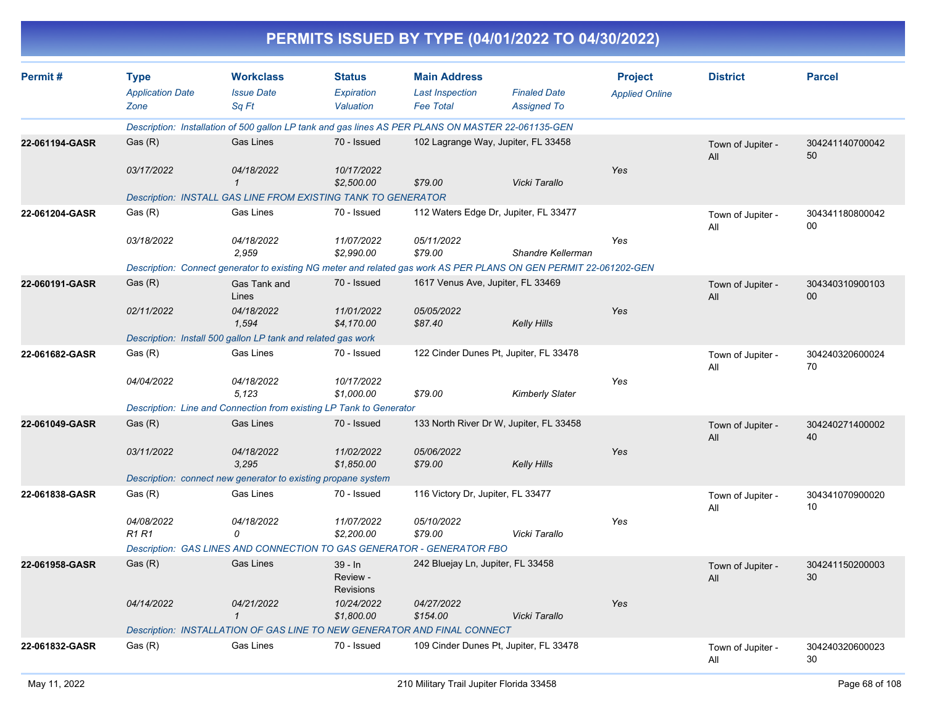|                |                                                |                                                                                                    |                                          |                                                                   | PERMITS ISSUED BY TYPE (04/01/2022 TO 04/30/2022)                                                                 |                                         |                          |                       |
|----------------|------------------------------------------------|----------------------------------------------------------------------------------------------------|------------------------------------------|-------------------------------------------------------------------|-------------------------------------------------------------------------------------------------------------------|-----------------------------------------|--------------------------|-----------------------|
| Permit#        | <b>Type</b><br><b>Application Date</b><br>Zone | <b>Workclass</b><br><b>Issue Date</b><br>Sq Ft                                                     | <b>Status</b><br>Expiration<br>Valuation | <b>Main Address</b><br><b>Last Inspection</b><br><b>Fee Total</b> | <b>Finaled Date</b><br><b>Assigned To</b>                                                                         | <b>Project</b><br><b>Applied Online</b> | <b>District</b>          | <b>Parcel</b>         |
|                |                                                | Description: Installation of 500 gallon LP tank and gas lines AS PER PLANS ON MASTER 22-061135-GEN |                                          |                                                                   |                                                                                                                   |                                         |                          |                       |
| 22-061194-GASR | Gas (R)                                        | Gas Lines                                                                                          | 70 - Issued                              |                                                                   | 102 Lagrange Way, Jupiter, FL 33458                                                                               |                                         | Town of Jupiter -<br>All | 304241140700042<br>50 |
|                | 03/17/2022                                     | 04/18/2022<br>$\mathbf 1$                                                                          | 10/17/2022<br>\$2,500.00                 | \$79.00                                                           | Vicki Tarallo                                                                                                     | Yes                                     |                          |                       |
|                |                                                | Description: INSTALL GAS LINE FROM EXISTING TANK TO GENERATOR                                      |                                          |                                                                   |                                                                                                                   |                                         |                          |                       |
| 22-061204-GASR | Gas (R)                                        | Gas Lines                                                                                          | 70 - Issued                              |                                                                   | 112 Waters Edge Dr, Jupiter, FL 33477                                                                             |                                         | Town of Jupiter -<br>All | 304341180800042<br>00 |
|                | 03/18/2022                                     | 04/18/2022<br>2,959                                                                                | 11/07/2022<br>\$2,990.00                 | 05/11/2022<br>\$79.00                                             | Shandre Kellerman                                                                                                 | Yes                                     |                          |                       |
|                |                                                |                                                                                                    |                                          |                                                                   | Description: Connect generator to existing NG meter and related gas work AS PER PLANS ON GEN PERMIT 22-061202-GEN |                                         |                          |                       |
| 22-060191-GASR | Gas (R)                                        | Gas Tank and<br>Lines                                                                              | 70 - Issued                              | 1617 Venus Ave, Jupiter, FL 33469                                 |                                                                                                                   |                                         | Town of Jupiter -<br>All | 304340310900103<br>00 |
|                | 02/11/2022                                     | 04/18/2022<br>1,594                                                                                | 11/01/2022<br>\$4,170.00                 | 05/05/2022<br>\$87.40                                             | <b>Kelly Hills</b>                                                                                                | Yes                                     |                          |                       |
|                |                                                | Description: Install 500 gallon LP tank and related gas work                                       |                                          |                                                                   |                                                                                                                   |                                         |                          |                       |
| 22-061682-GASR | Gas (R)                                        | Gas Lines                                                                                          | 70 - Issued                              |                                                                   | 122 Cinder Dunes Pt, Jupiter, FL 33478                                                                            |                                         | Town of Jupiter -<br>All | 304240320600024<br>70 |
|                | 04/04/2022                                     | 04/18/2022<br>5,123                                                                                | 10/17/2022<br>\$1,000.00                 | \$79.00                                                           | <b>Kimberly Slater</b>                                                                                            | Yes                                     |                          |                       |
|                |                                                | Description: Line and Connection from existing LP Tank to Generator                                |                                          |                                                                   |                                                                                                                   |                                         |                          |                       |
| 22-061049-GASR | Gas (R)                                        | Gas Lines                                                                                          | 70 - Issued                              |                                                                   | 133 North River Dr W, Jupiter, FL 33458                                                                           |                                         | Town of Jupiter -<br>All | 304240271400002<br>40 |
|                | 03/11/2022                                     | 04/18/2022<br>3,295                                                                                | 11/02/2022<br>\$1,850.00                 | 05/06/2022<br>\$79.00                                             | <b>Kelly Hills</b>                                                                                                | Yes                                     |                          |                       |
|                |                                                | Description: connect new generator to existing propane system                                      |                                          |                                                                   |                                                                                                                   |                                         |                          |                       |
| 22-061838-GASR | Gas (R)                                        | Gas Lines                                                                                          | 70 - Issued                              | 116 Victory Dr, Jupiter, FL 33477                                 |                                                                                                                   |                                         | Town of Jupiter -<br>All | 304341070900020<br>10 |
|                | 04/08/2022<br><b>R1 R1</b>                     | 04/18/2022<br>0                                                                                    | 11/07/2022<br>\$2,200.00                 | 05/10/2022<br>\$79.00                                             | Vicki Tarallo                                                                                                     | Yes                                     |                          |                       |
|                |                                                | Description: GAS LINES AND CONNECTION TO GAS GENERATOR - GENERATOR FBO                             |                                          |                                                                   |                                                                                                                   |                                         |                          |                       |
| 22-061958-GASR | Gas(R)                                         | Gas Lines                                                                                          | 39 - In<br>Review -<br>Revisions         | 242 Bluejay Ln, Jupiter, FL 33458                                 |                                                                                                                   |                                         | Town of Jupiter -<br>All | 304241150200003<br>30 |
|                | 04/14/2022                                     | 04/21/2022<br>$\mathcal I$                                                                         | 10/24/2022<br>\$1,800.00                 | 04/27/2022<br>\$154.00                                            | Vicki Tarallo                                                                                                     | Yes                                     |                          |                       |
|                |                                                | Description: INSTALLATION OF GAS LINE TO NEW GENERATOR AND FINAL CONNECT                           |                                          |                                                                   |                                                                                                                   |                                         |                          |                       |
| 22-061832-GASR | Gas (R)                                        | Gas Lines                                                                                          | 70 - Issued                              |                                                                   | 109 Cinder Dunes Pt, Jupiter, FL 33478                                                                            |                                         | Town of Jupiter -<br>All | 304240320600023<br>30 |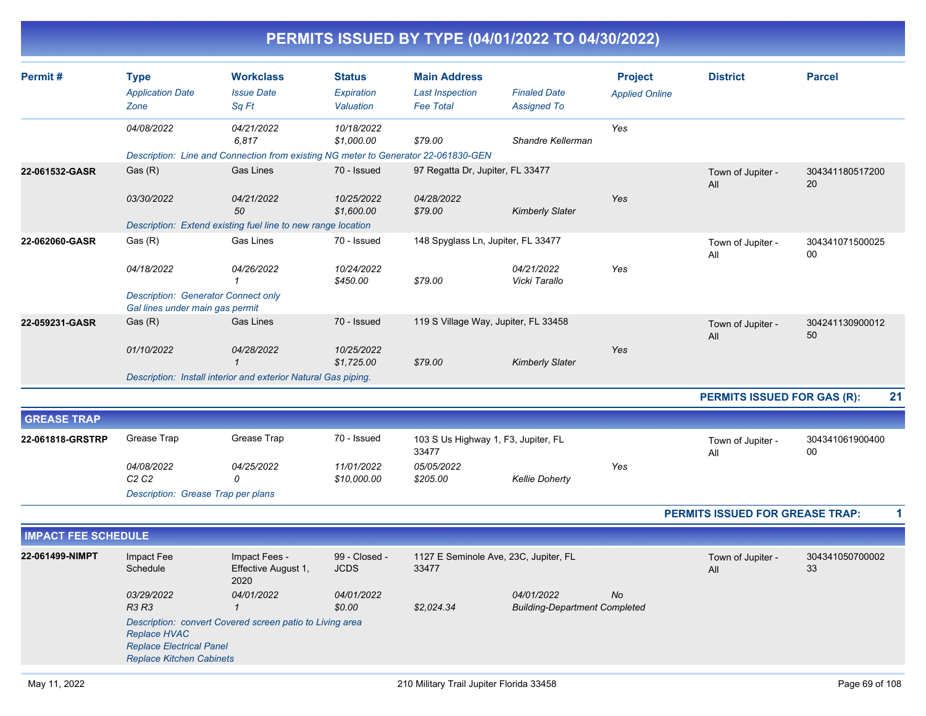|                            |                                                                               |                                                                                    |                                          |                                                                   | PERMITS ISSUED BY TYPE (04/01/2022 TO 04/30/2022)  |                                         |                                    |                       |
|----------------------------|-------------------------------------------------------------------------------|------------------------------------------------------------------------------------|------------------------------------------|-------------------------------------------------------------------|----------------------------------------------------|-----------------------------------------|------------------------------------|-----------------------|
| Permit#                    | <b>Type</b><br><b>Application Date</b><br>Zone                                | <b>Workclass</b><br><b>Issue Date</b><br>Sq Ft                                     | <b>Status</b><br>Expiration<br>Valuation | <b>Main Address</b><br><b>Last Inspection</b><br><b>Fee Total</b> | <b>Finaled Date</b><br><b>Assigned To</b>          | <b>Project</b><br><b>Applied Online</b> | <b>District</b>                    | <b>Parcel</b>         |
|                            | 04/08/2022                                                                    | 04/21/2022<br>6,817                                                                | 10/18/2022<br>\$1,000.00                 | \$79.00                                                           | Shandre Kellerman                                  | Yes                                     |                                    |                       |
|                            |                                                                               | Description: Line and Connection from existing NG meter to Generator 22-061830-GEN |                                          |                                                                   |                                                    |                                         |                                    |                       |
| 22-061532-GASR             | Gas(R)                                                                        | <b>Gas Lines</b>                                                                   | 70 - Issued                              | 97 Regatta Dr, Jupiter, FL 33477                                  |                                                    |                                         | Town of Jupiter -<br>All           | 304341180517200<br>20 |
|                            | 03/30/2022                                                                    | 04/21/2022<br>50                                                                   | 10/25/2022<br>\$1,600.00                 | 04/28/2022<br>\$79.00                                             | <b>Kimberly Slater</b>                             | Yes                                     |                                    |                       |
|                            |                                                                               | Description: Extend existing fuel line to new range location                       |                                          |                                                                   |                                                    |                                         |                                    |                       |
| 22-062060-GASR             | Gas(R)                                                                        | <b>Gas Lines</b>                                                                   | 70 - Issued                              | 148 Spyglass Ln, Jupiter, FL 33477                                |                                                    |                                         | Town of Jupiter -<br>All           | 304341071500025<br>00 |
|                            | 04/18/2022                                                                    | 04/26/2022<br>$\mathbf{1}$                                                         | 10/24/2022<br>\$450.00                   | \$79.00                                                           | 04/21/2022<br>Vicki Tarallo                        | Yes                                     |                                    |                       |
|                            | <b>Description: Generator Connect only</b><br>Gal lines under main gas permit |                                                                                    |                                          |                                                                   |                                                    |                                         |                                    |                       |
| 22-059231-GASR             | Gas (R)                                                                       | <b>Gas Lines</b>                                                                   | 70 - Issued                              | 119 S Village Way, Jupiter, FL 33458                              |                                                    |                                         | Town of Jupiter -<br>All           | 304241130900012<br>50 |
|                            | 01/10/2022                                                                    | 04/28/2022<br>$\mathbf{1}$                                                         | 10/25/2022<br>\$1.725.00                 | \$79.00                                                           | <b>Kimberly Slater</b>                             | Yes                                     |                                    |                       |
|                            |                                                                               | Description: Install interior and exterior Natural Gas piping.                     |                                          |                                                                   |                                                    |                                         |                                    |                       |
|                            |                                                                               |                                                                                    |                                          |                                                                   |                                                    |                                         | <b>PERMITS ISSUED FOR GAS (R):</b> | 21                    |
| <b>GREASE TRAP</b>         |                                                                               |                                                                                    |                                          |                                                                   |                                                    |                                         |                                    |                       |
| 22-061818-GRSTRP           | Grease Trap                                                                   | Grease Trap                                                                        | 70 - Issued                              | 103 S Us Highway 1, F3, Jupiter, FL<br>33477                      |                                                    |                                         | Town of Jupiter -<br>All           | 304341061900400<br>00 |
|                            | 04/08/2022<br>C2C2                                                            | 04/25/2022<br>$\Omega$                                                             | 11/01/2022<br>\$10,000.00                | 05/05/2022<br>\$205.00                                            | <b>Kellie Doherty</b>                              | Yes                                     |                                    |                       |
|                            | Description: Grease Trap per plans                                            |                                                                                    |                                          |                                                                   |                                                    |                                         |                                    |                       |
|                            |                                                                               |                                                                                    |                                          | PERMITS ISSUED FOR GREASE TRAP:                                   | 1                                                  |                                         |                                    |                       |
| <b>IMPACT FEE SCHEDULE</b> |                                                                               |                                                                                    |                                          |                                                                   |                                                    |                                         |                                    |                       |
| 22-061499-NIMPT            | Impact Fee<br>Schedule                                                        | Impact Fees -<br>Effective August 1,<br>2020                                       | 99 - Closed -<br><b>JCDS</b>             | 1127 E Seminole Ave, 23C, Jupiter, FL<br>33477                    |                                                    |                                         | Town of Jupiter -<br>All           | 304341050700002<br>33 |
|                            | 03/29/2022<br><b>R3 R3</b>                                                    | 04/01/2022<br>$\mathbf{1}$                                                         | 04/01/2022<br>\$0.00                     | \$2,024.34                                                        | 04/01/2022<br><b>Building-Department Completed</b> | <b>No</b>                               |                                    |                       |

*Description: convert Covered screen patio to Living area Replace HVAC Replace Electrical Panel*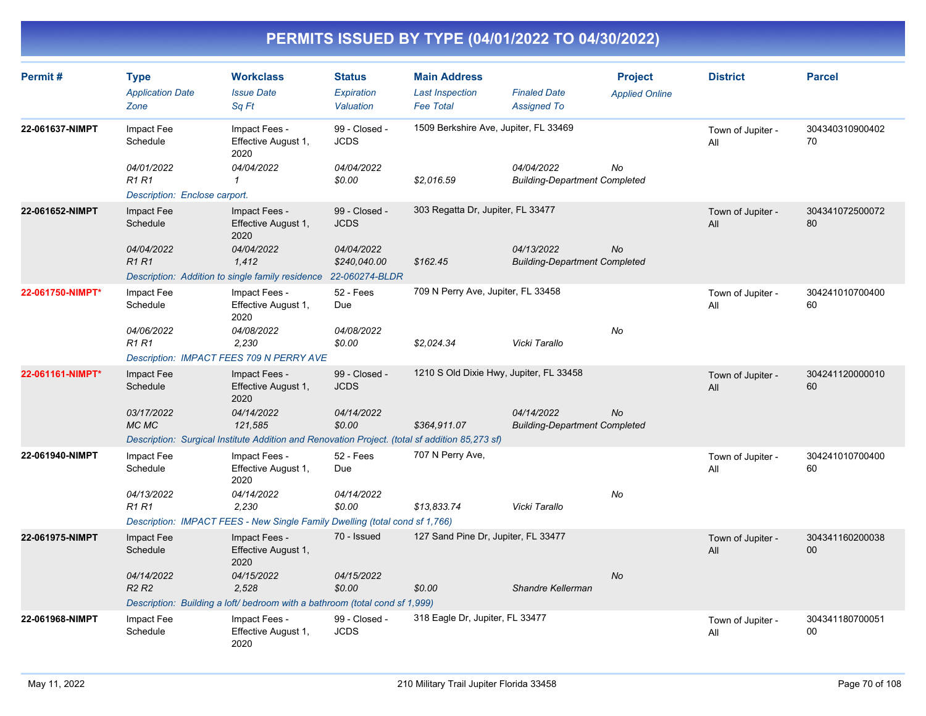| Permit#          | <b>Type</b><br><b>Application Date</b><br>Zone | <b>Workclass</b><br><b>Issue Date</b><br>Sa Ft                                                 | <b>Status</b><br>Expiration<br>Valuation | <b>Main Address</b><br><b>Last Inspection</b><br><b>Fee Total</b> | <b>Finaled Date</b><br><b>Assigned To</b>          | <b>Project</b><br><b>Applied Online</b> | <b>District</b>          | <b>Parcel</b>         |
|------------------|------------------------------------------------|------------------------------------------------------------------------------------------------|------------------------------------------|-------------------------------------------------------------------|----------------------------------------------------|-----------------------------------------|--------------------------|-----------------------|
| 22-061637-NIMPT  | Impact Fee<br>Schedule                         | Impact Fees -<br>Effective August 1,<br>2020                                                   | 99 - Closed -<br><b>JCDS</b>             | 1509 Berkshire Ave, Jupiter, FL 33469                             |                                                    |                                         | Town of Jupiter -<br>All | 304340310900402<br>70 |
|                  | 04/01/2022<br><b>R1 R1</b>                     | 04/04/2022<br>$\mathbf{1}$                                                                     | 04/04/2022<br>\$0.00                     | \$2,016.59                                                        | 04/04/2022<br><b>Building-Department Completed</b> | No                                      |                          |                       |
|                  | Description: Enclose carport.                  |                                                                                                |                                          |                                                                   |                                                    |                                         |                          |                       |
| 22-061652-NIMPT  | Impact Fee<br>Schedule                         | Impact Fees -<br>Effective August 1,<br>2020                                                   | 99 - Closed -<br><b>JCDS</b>             | 303 Regatta Dr, Jupiter, FL 33477                                 |                                                    |                                         | Town of Jupiter -<br>All | 304341072500072<br>80 |
|                  | 04/04/2022<br><b>R1R1</b>                      | 04/04/2022<br>1,412                                                                            | 04/04/2022<br>\$240,040.00               | \$162.45                                                          | 04/13/2022<br><b>Building-Department Completed</b> | No                                      |                          |                       |
|                  |                                                | Description: Addition to single family residence                                               | 22-060274-BLDR                           |                                                                   |                                                    |                                         |                          |                       |
| 22-061750-NIMPT* | Impact Fee<br>Schedule                         | Impact Fees -<br>Effective August 1,<br>2020                                                   | 52 - Fees<br>Due                         | 709 N Perry Ave, Jupiter, FL 33458                                |                                                    |                                         | Town of Jupiter -<br>All | 304241010700400<br>60 |
|                  | 04/06/2022<br><b>R1 R1</b>                     | 04/08/2022<br>2,230                                                                            | 04/08/2022<br>\$0.00                     | \$2,024.34                                                        | Vicki Tarallo                                      | No                                      |                          |                       |
|                  |                                                | Description: IMPACT FEES 709 N PERRY AVE                                                       |                                          |                                                                   |                                                    |                                         |                          |                       |
| 22-061161-NIMPT* | Impact Fee<br>Schedule                         | Impact Fees -<br>Effective August 1,<br>2020                                                   | 99 - Closed -<br><b>JCDS</b>             | 1210 S Old Dixie Hwy, Jupiter, FL 33458                           |                                                    |                                         | Town of Jupiter -<br>All | 304241120000010<br>60 |
|                  | 03/17/2022<br>MC MC                            | 04/14/2022<br>121,585                                                                          | 04/14/2022<br>\$0.00                     | \$364,911.07                                                      | 04/14/2022<br><b>Building-Department Completed</b> | <b>No</b>                               |                          |                       |
|                  |                                                | Description: Surgical Institute Addition and Renovation Project. (total sf addition 85,273 sf) |                                          |                                                                   |                                                    |                                         |                          |                       |
| 22-061940-NIMPT  | Impact Fee<br>Schedule                         | Impact Fees -<br>Effective August 1,<br>2020                                                   | 52 - Fees<br>Due                         | 707 N Perry Ave,                                                  |                                                    |                                         | Town of Jupiter -<br>All | 304241010700400<br>60 |
|                  | 04/13/2022<br><b>R1 R1</b>                     | 04/14/2022<br>2.230                                                                            | 04/14/2022<br>\$0.00                     | \$13,833.74                                                       | Vicki Tarallo                                      | No                                      |                          |                       |
|                  |                                                | Description: IMPACT FEES - New Single Family Dwelling (total cond sf 1,766)                    |                                          |                                                                   |                                                    |                                         |                          |                       |
| 22-061975-NIMPT  | Impact Fee<br>Schedule                         | Impact Fees -<br>Effective August 1,<br>2020                                                   | 70 - Issued                              | 127 Sand Pine Dr, Jupiter, FL 33477                               |                                                    |                                         | Town of Jupiter -<br>All | 304341160200038<br>00 |
|                  | 04/14/2022<br>R <sub>2</sub> R <sub>2</sub>    | 04/15/2022<br>2.528                                                                            | 04/15/2022<br>\$0.00                     | \$0.00                                                            | Shandre Kellerman                                  | No                                      |                          |                       |
|                  |                                                | Description: Building a loft/ bedroom with a bathroom (total cond sf 1,999)                    |                                          |                                                                   |                                                    |                                         |                          |                       |
| 22-061968-NIMPT  | Impact Fee<br>Schedule                         | Impact Fees -<br>Effective August 1,<br>2020                                                   | 99 - Closed -<br><b>JCDS</b>             | 318 Eagle Dr, Jupiter, FL 33477                                   |                                                    |                                         | Town of Jupiter -<br>All | 304341180700051<br>00 |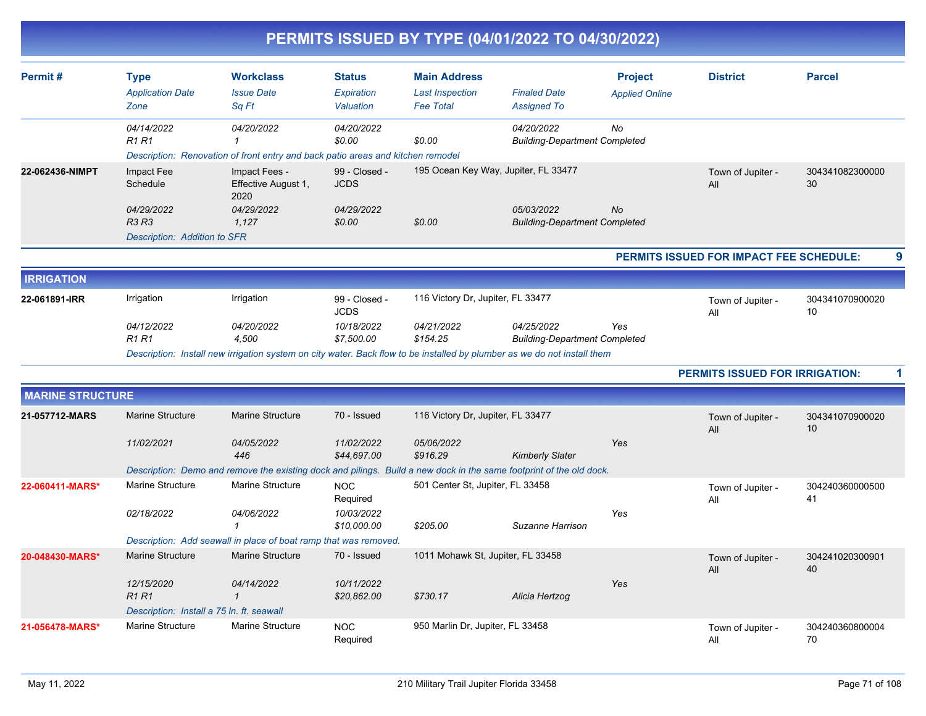|                         |                                                            |                                                                                                                          |                                          |                                                                   | PERMITS ISSUED BY TYPE (04/01/2022 TO 04/30/2022)  |                                         |                                         |                       |
|-------------------------|------------------------------------------------------------|--------------------------------------------------------------------------------------------------------------------------|------------------------------------------|-------------------------------------------------------------------|----------------------------------------------------|-----------------------------------------|-----------------------------------------|-----------------------|
| Permit#                 | <b>Type</b><br><b>Application Date</b><br>Zone             | <b>Workclass</b><br><b>Issue Date</b><br>Sq Ft                                                                           | <b>Status</b><br>Expiration<br>Valuation | <b>Main Address</b><br><b>Last Inspection</b><br><b>Fee Total</b> | <b>Finaled Date</b><br><b>Assigned To</b>          | <b>Project</b><br><b>Applied Online</b> | <b>District</b>                         | <b>Parcel</b>         |
|                         | 04/14/2022<br><b>R1 R1</b>                                 | 04/20/2022<br>Description: Renovation of front entry and back patio areas and kitchen remodel                            | 04/20/2022<br>\$0.00                     | \$0.00                                                            | 04/20/2022<br><b>Building-Department Completed</b> | No                                      |                                         |                       |
| 22-062436-NIMPT         | Impact Fee<br>Schedule                                     | Impact Fees -<br>Effective August 1,<br>2020                                                                             | 99 - Closed -<br><b>JCDS</b>             |                                                                   | 195 Ocean Key Way, Jupiter, FL 33477               |                                         | Town of Jupiter -<br>All                | 304341082300000<br>30 |
|                         | 04/29/2022<br><b>R3 R3</b><br>Description: Addition to SFR | 04/29/2022<br>1,127                                                                                                      | 04/29/2022<br>\$0.00                     | \$0.00                                                            | 05/03/2022<br><b>Building-Department Completed</b> | No                                      |                                         |                       |
|                         |                                                            |                                                                                                                          |                                          |                                                                   |                                                    |                                         | PERMITS ISSUED FOR IMPACT FEE SCHEDULE: | 9                     |
| <b>IRRIGATION</b>       |                                                            |                                                                                                                          |                                          |                                                                   |                                                    |                                         |                                         |                       |
| 22-061891-IRR           | Irrigation                                                 | Irrigation                                                                                                               | 99 - Closed -<br><b>JCDS</b>             | 116 Victory Dr, Jupiter, FL 33477                                 |                                                    |                                         | Town of Jupiter -<br>All                | 304341070900020<br>10 |
|                         | 04/12/2022<br><b>R1 R1</b>                                 | 04/20/2022<br>4,500                                                                                                      | 10/18/2022<br>\$7,500.00                 | 04/21/2022<br>\$154.25                                            | 04/25/2022<br><b>Building-Department Completed</b> | Yes                                     |                                         |                       |
|                         |                                                            | Description: Install new irrigation system on city water. Back flow to be installed by plumber as we do not install them |                                          |                                                                   |                                                    |                                         |                                         |                       |
|                         |                                                            |                                                                                                                          |                                          |                                                                   |                                                    |                                         | PERMITS ISSUED FOR IRRIGATION:          | 1                     |
| <b>MARINE STRUCTURE</b> |                                                            |                                                                                                                          |                                          |                                                                   |                                                    |                                         |                                         |                       |
| 21-057712-MARS          | <b>Marine Structure</b>                                    | Marine Structure                                                                                                         | 70 - Issued                              | 116 Victory Dr, Jupiter, FL 33477                                 |                                                    |                                         | Town of Jupiter -<br>All                | 304341070900020<br>10 |
|                         | 11/02/2021                                                 | 04/05/2022<br>446                                                                                                        | 11/02/2022<br>\$44,697.00                | 05/06/2022<br>\$916.29                                            | <b>Kimberly Slater</b>                             | Yes                                     |                                         |                       |
|                         |                                                            | Description: Demo and remove the existing dock and pilings. Build a new dock in the same footprint of the old dock.      |                                          |                                                                   |                                                    |                                         |                                         |                       |
| 22-060411-MARS*         | Marine Structure                                           | Marine Structure                                                                                                         | <b>NOC</b><br>Required                   | 501 Center St, Jupiter, FL 33458                                  |                                                    |                                         | Town of Jupiter -<br>Αll                | 304240360000500<br>41 |
|                         | 02/18/2022                                                 | 04/06/2022<br>1                                                                                                          | 10/03/2022<br>\$10,000.00                | \$205.00                                                          | Suzanne Harrison                                   | Yes                                     |                                         |                       |
|                         |                                                            | Description: Add seawall in place of boat ramp that was removed.                                                         |                                          |                                                                   |                                                    |                                         |                                         |                       |
| 20-048430-MARS*         | Marine Structure                                           | Marine Structure                                                                                                         | 70 - Issued                              | 1011 Mohawk St, Jupiter, FL 33458                                 |                                                    |                                         | Town of Jupiter -<br>All                | 304241020300901<br>40 |
|                         | 12/15/2020<br><b>R1R1</b>                                  | 04/14/2022<br>$\mathcal I$                                                                                               | 10/11/2022<br>\$20,862.00                | \$730.17                                                          | Alicia Hertzog                                     | Yes                                     |                                         |                       |
|                         | Description: Install a 75 ln. ft. seawall                  |                                                                                                                          |                                          |                                                                   |                                                    |                                         |                                         |                       |
| 21-056478-MARS*         | <b>Marine Structure</b>                                    | Marine Structure                                                                                                         | <b>NOC</b><br>Required                   | 950 Marlin Dr, Jupiter, FL 33458                                  |                                                    |                                         | Town of Jupiter -<br>All                | 304240360800004<br>70 |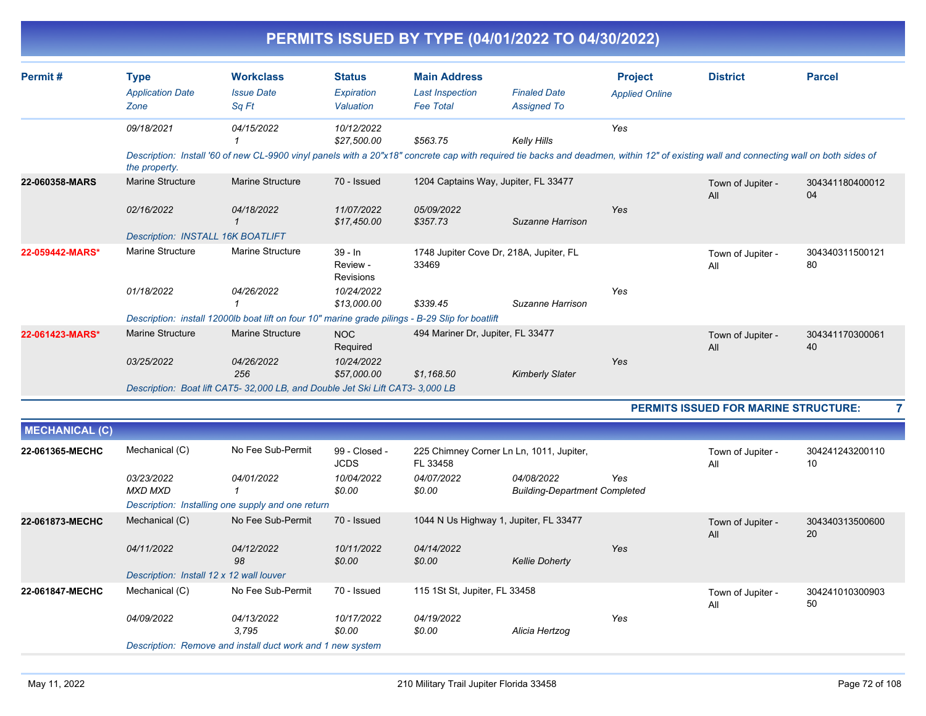|                       |                                   |                                                                                                                                                                                        |                                    |                                   | PERMITS ISSUED BY TYPE (04/01/2022 TO 04/30/2022) |                       |                                             |                       |
|-----------------------|-----------------------------------|----------------------------------------------------------------------------------------------------------------------------------------------------------------------------------------|------------------------------------|-----------------------------------|---------------------------------------------------|-----------------------|---------------------------------------------|-----------------------|
| Permit#               | <b>Type</b>                       | <b>Workclass</b>                                                                                                                                                                       | <b>Status</b>                      | <b>Main Address</b>               |                                                   | <b>Project</b>        | <b>District</b>                             | <b>Parcel</b>         |
|                       | <b>Application Date</b>           | <b>Issue Date</b>                                                                                                                                                                      | Expiration                         | <b>Last Inspection</b>            | <b>Finaled Date</b>                               | <b>Applied Online</b> |                                             |                       |
|                       | Zone                              | Sq Ft                                                                                                                                                                                  | Valuation                          | <b>Fee Total</b>                  | <b>Assigned To</b>                                |                       |                                             |                       |
|                       | 09/18/2021                        | 04/15/2022                                                                                                                                                                             | 10/12/2022                         |                                   |                                                   | Yes                   |                                             |                       |
|                       |                                   |                                                                                                                                                                                        | \$27,500.00                        | \$563.75                          | <b>Kelly Hills</b>                                |                       |                                             |                       |
|                       | the property.                     | Description: Install '60 of new CL-9900 vinyl panels with a 20"x18" concrete cap with required tie backs and deadmen, within 12" of existing wall and connecting wall on both sides of |                                    |                                   |                                                   |                       |                                             |                       |
| 22-060358-MARS        | <b>Marine Structure</b>           | <b>Marine Structure</b>                                                                                                                                                                | 70 - Issued                        |                                   | 1204 Captains Way, Jupiter, FL 33477              |                       | Town of Jupiter -<br>All                    | 304341180400012<br>04 |
|                       | 02/16/2022                        | 04/18/2022                                                                                                                                                                             | 11/07/2022<br>\$17,450.00          | 05/09/2022<br>\$357.73            | Suzanne Harrison                                  | Yes                   |                                             |                       |
|                       | Description: INSTALL 16K BOATLIFT |                                                                                                                                                                                        |                                    |                                   |                                                   |                       |                                             |                       |
| 22-059442-MARS*       | <b>Marine Structure</b>           | <b>Marine Structure</b>                                                                                                                                                                | $39 - In$<br>Review -<br>Revisions | 33469                             | 1748 Jupiter Cove Dr, 218A, Jupiter, FL           |                       | Town of Jupiter -<br>All                    | 304340311500121<br>80 |
|                       | 01/18/2022                        | 04/26/2022                                                                                                                                                                             | 10/24/2022<br>\$13,000.00          | \$339.45                          | Suzanne Harrison                                  | Yes                   |                                             |                       |
|                       |                                   | Description: install 12000lb boat lift on four 10" marine grade pilings - B-29 Slip for boatlift                                                                                       |                                    |                                   |                                                   |                       |                                             |                       |
| 22-061423-MARS*       | <b>Marine Structure</b>           | <b>Marine Structure</b>                                                                                                                                                                | <b>NOC</b><br>Required             | 494 Mariner Dr, Jupiter, FL 33477 |                                                   |                       | Town of Jupiter -<br>All                    | 304341170300061<br>40 |
|                       | 03/25/2022                        | 04/26/2022                                                                                                                                                                             | 10/24/2022                         |                                   |                                                   | Yes                   |                                             |                       |
|                       |                                   | 256                                                                                                                                                                                    | \$57,000.00                        | \$1.168.50                        | <b>Kimberly Slater</b>                            |                       |                                             |                       |
|                       |                                   | Description: Boat lift CAT5- 32,000 LB, and Double Jet Ski Lift CAT3- 3,000 LB                                                                                                         |                                    |                                   |                                                   |                       |                                             |                       |
|                       |                                   |                                                                                                                                                                                        |                                    |                                   |                                                   |                       | <b>PERMITS ISSUED FOR MARINE STRUCTURE:</b> |                       |
| <b>MECHANICAL (C)</b> |                                   |                                                                                                                                                                                        |                                    |                                   |                                                   |                       |                                             |                       |

| <b>MECHANICAL (C)</b> |                                          |                                                                                                           |                      |                                        |                                                    |     |                          |                       |
|-----------------------|------------------------------------------|-----------------------------------------------------------------------------------------------------------|----------------------|----------------------------------------|----------------------------------------------------|-----|--------------------------|-----------------------|
| 22-061365-MECHC       | Mechanical (C)                           | No Fee Sub-Permit<br>99 - Closed -<br>225 Chimney Corner Ln Ln, 1011, Jupiter,<br><b>JCDS</b><br>FL 33458 |                      |                                        |                                                    |     | Town of Jupiter -<br>All | 304241243200110<br>10 |
|                       | 03/23/2022<br>MXD MXD                    | 04/01/2022                                                                                                | 10/04/2022<br>\$0.00 | 04/07/2022<br>\$0.00                   | 04/08/2022<br><b>Building-Department Completed</b> | Yes |                          |                       |
|                       |                                          | Description: Installing one supply and one return                                                         |                      |                                        |                                                    |     |                          |                       |
| 22-061873-MECHC       | Mechanical (C)                           | No Fee Sub-Permit                                                                                         | 70 - Issued          | 1044 N Us Highway 1, Jupiter, FL 33477 |                                                    |     | Town of Jupiter -<br>All | 304340313500600<br>20 |
|                       | 04/11/2022                               | 04/12/2022<br>98                                                                                          | 10/11/2022<br>\$0.00 | 04/14/2022<br>\$0.00                   | <b>Kellie Doherty</b>                              | Yes |                          |                       |
|                       | Description: Install 12 x 12 wall louver |                                                                                                           |                      |                                        |                                                    |     |                          |                       |
| 22-061847-MECHC       | Mechanical (C)                           | No Fee Sub-Permit                                                                                         | 70 - Issued          | 115 1St St, Jupiter, FL 33458          |                                                    |     | Town of Jupiter -<br>All | 304241010300903<br>50 |
|                       | 04/09/2022                               | 04/13/2022<br>3,795                                                                                       | 10/17/2022<br>\$0.00 | 04/19/2022<br>\$0.00                   | Alicia Hertzog                                     | Yes |                          |                       |
|                       |                                          | Description: Remove and install duct work and 1 new system                                                |                      |                                        |                                                    |     |                          |                       |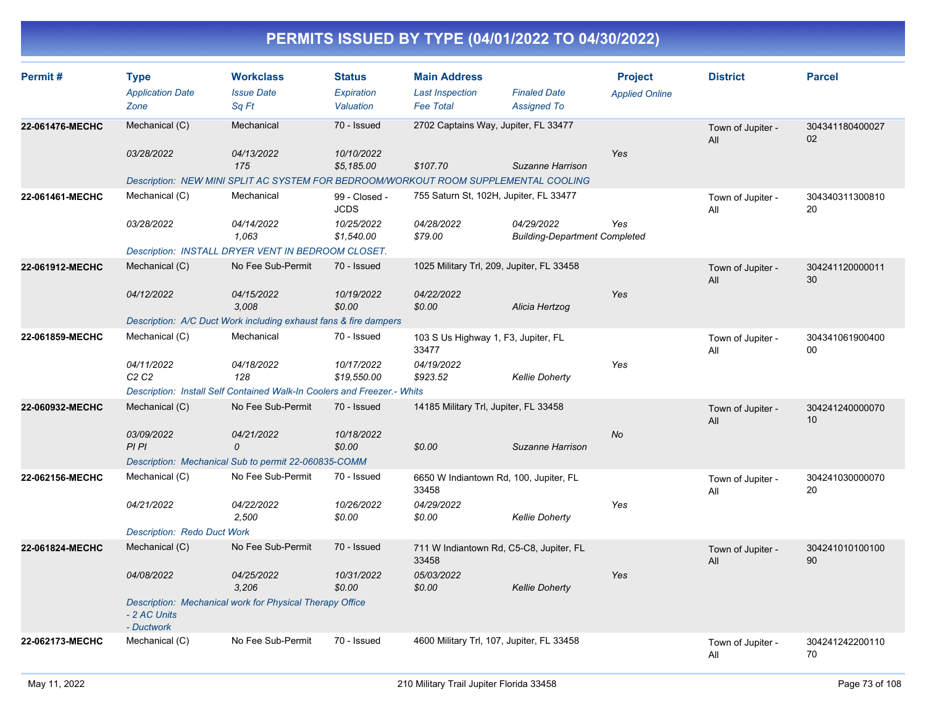| Permit#         | <b>Type</b><br><b>Application Date</b><br>Zone | <b>Workclass</b><br><b>Issue Date</b><br>Sq Ft                                      | <b>Status</b><br>Expiration<br>Valuation | <b>Main Address</b><br><b>Last Inspection</b><br><b>Fee Total</b> | <b>Finaled Date</b><br><b>Assigned To</b>          | <b>Project</b><br><b>Applied Online</b> | <b>District</b>          | <b>Parcel</b>         |
|-----------------|------------------------------------------------|-------------------------------------------------------------------------------------|------------------------------------------|-------------------------------------------------------------------|----------------------------------------------------|-----------------------------------------|--------------------------|-----------------------|
| 22-061476-MECHC | Mechanical (C)                                 | Mechanical                                                                          | 70 - Issued                              | 2702 Captains Way, Jupiter, FL 33477                              |                                                    |                                         | Town of Jupiter -<br>All | 304341180400027<br>02 |
|                 | 03/28/2022                                     | 04/13/2022<br>175                                                                   | 10/10/2022<br>\$5,185.00                 | \$107.70                                                          | Suzanne Harrison                                   | Yes                                     |                          |                       |
|                 |                                                | Description: NEW MINI SPLIT AC SYSTEM FOR BEDROOM/WORKOUT ROOM SUPPLEMENTAL COOLING |                                          |                                                                   |                                                    |                                         |                          |                       |
| 22-061461-MECHC | Mechanical (C)                                 | Mechanical                                                                          | 99 - Closed -<br><b>JCDS</b>             | 755 Saturn St, 102H, Jupiter, FL 33477                            |                                                    |                                         | Town of Jupiter -<br>All | 304340311300810<br>20 |
|                 | 03/28/2022                                     | 04/14/2022<br>1,063                                                                 | 10/25/2022<br>\$1,540.00                 | 04/28/2022<br>\$79.00                                             | 04/29/2022<br><b>Building-Department Completed</b> | Yes                                     |                          |                       |
|                 |                                                | Description: INSTALL DRYER VENT IN BEDROOM CLOSET.                                  |                                          |                                                                   |                                                    |                                         |                          |                       |
| 22-061912-MECHC | Mechanical (C)                                 | No Fee Sub-Permit                                                                   | 70 - Issued                              | 1025 Military Trl, 209, Jupiter, FL 33458                         |                                                    |                                         | Town of Jupiter -<br>All | 304241120000011<br>30 |
|                 | 04/12/2022                                     | 04/15/2022<br>3,008                                                                 | 10/19/2022<br>\$0.00                     | 04/22/2022<br>\$0.00                                              | Alicia Hertzog                                     | Yes                                     |                          |                       |
|                 |                                                | Description: A/C Duct Work including exhaust fans & fire dampers                    |                                          |                                                                   |                                                    |                                         |                          |                       |
| 22-061859-MECHC | Mechanical (C)                                 | Mechanical                                                                          | 70 - Issued                              | 103 S Us Highway 1, F3, Jupiter, FL<br>33477                      |                                                    |                                         | Town of Jupiter -<br>All | 304341061900400<br>00 |
|                 | 04/11/2022<br>C2C2                             | 04/18/2022<br>128                                                                   | 10/17/2022<br>\$19,550.00                | 04/19/2022<br>\$923.52                                            | <b>Kellie Doherty</b>                              | Yes                                     |                          |                       |
|                 |                                                | Description: Install Self Contained Walk-In Coolers and Freezer.- Whits             |                                          |                                                                   |                                                    |                                         |                          |                       |
| 22-060932-MECHC | Mechanical (C)                                 | No Fee Sub-Permit                                                                   | 70 - Issued                              | 14185 Military Trl, Jupiter, FL 33458                             |                                                    |                                         | Town of Jupiter -<br>All | 304241240000070<br>10 |
|                 | 03/09/2022<br>PIPI                             | 04/21/2022<br>0                                                                     | 10/18/2022<br>\$0.00                     | \$0.00                                                            | Suzanne Harrison                                   | <b>No</b>                               |                          |                       |
|                 |                                                | Description: Mechanical Sub to permit 22-060835-COMM                                |                                          |                                                                   |                                                    |                                         |                          |                       |
| 22-062156-MECHC | Mechanical (C)                                 | No Fee Sub-Permit                                                                   | 70 - Issued                              | 6650 W Indiantown Rd, 100, Jupiter, FL<br>33458                   |                                                    |                                         | Town of Jupiter -<br>All | 304241030000070<br>20 |
|                 | 04/21/2022                                     | <i>04/22/2022</i><br>2,500                                                          | 10/26/2022<br>\$0.00                     | 04/29/2022<br>\$0.00                                              | <b>Kellie Doherty</b>                              | Yes                                     |                          |                       |
|                 | <b>Description: Redo Duct Work</b>             |                                                                                     |                                          |                                                                   |                                                    |                                         |                          |                       |
| 22-061824-MECHC | Mechanical (C)                                 | No Fee Sub-Permit                                                                   | 70 - Issued                              | 711 W Indiantown Rd, C5-C8, Jupiter, FL<br>33458                  |                                                    |                                         | Town of Jupiter -<br>All | 304241010100100<br>90 |
|                 | 04/08/2022                                     | 04/25/2022<br>3,206                                                                 | 10/31/2022<br>\$0.00                     | 05/03/2022<br>\$0.00                                              | <b>Kellie Doherty</b>                              | Yes                                     |                          |                       |
|                 | - 2 AC Units<br>- Ductwork                     | Description: Mechanical work for Physical Therapy Office                            |                                          |                                                                   |                                                    |                                         |                          |                       |
| 22-062173-MECHC | Mechanical (C)                                 | No Fee Sub-Permit                                                                   | 70 - Issued                              | 4600 Military Trl, 107, Jupiter, FL 33458                         |                                                    |                                         | Town of Jupiter -<br>All | 304241242200110<br>70 |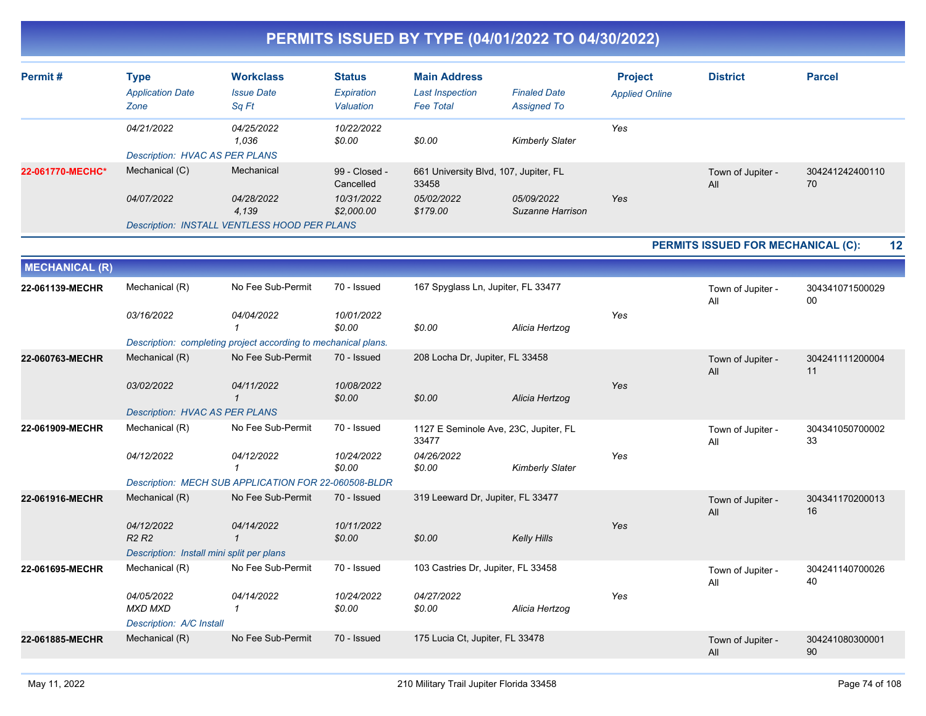| PERMITS ISSUED BY TYPE (04/01/2022 TO 04/30/2022) |  |
|---------------------------------------------------|--|
|---------------------------------------------------|--|

| Permit#               | <b>Type</b><br><b>Application Date</b><br>Zone | <b>Workclass</b><br><b>Issue Date</b><br>Sq Ft                 | <b>Status</b><br>Expiration<br>Valuation | <b>Main Address</b><br><b>Last Inspection</b><br><b>Fee Total</b> | <b>Finaled Date</b><br><b>Assigned To</b> | <b>Project</b><br><b>Applied Online</b> | <b>District</b>                    | <b>Parcel</b>         |
|-----------------------|------------------------------------------------|----------------------------------------------------------------|------------------------------------------|-------------------------------------------------------------------|-------------------------------------------|-----------------------------------------|------------------------------------|-----------------------|
|                       | 04/21/2022                                     | 04/25/2022<br>1,036                                            | 10/22/2022<br>\$0.00                     | \$0.00                                                            | <b>Kimberly Slater</b>                    | Yes                                     |                                    |                       |
|                       | <b>Description: HVAC AS PER PLANS</b>          |                                                                |                                          |                                                                   |                                           |                                         |                                    |                       |
| 22-061770-MECHC*      | Mechanical (C)                                 | Mechanical                                                     | 99 - Closed -<br>Cancelled               | 661 University Blvd, 107, Jupiter, FL<br>33458                    |                                           |                                         | Town of Jupiter -<br>All           | 304241242400110<br>70 |
|                       | 04/07/2022                                     | 04/28/2022<br>4,139                                            | 10/31/2022<br>\$2,000.00                 | 05/02/2022<br>\$179.00                                            | 05/09/2022<br>Suzanne Harrison            | Yes                                     |                                    |                       |
|                       |                                                | <b>Description: INSTALL VENTLESS HOOD PER PLANS</b>            |                                          |                                                                   |                                           |                                         |                                    |                       |
|                       |                                                |                                                                |                                          |                                                                   |                                           |                                         | PERMITS ISSUED FOR MECHANICAL (C): | 12                    |
|                       |                                                |                                                                |                                          |                                                                   |                                           |                                         |                                    |                       |
| <b>MECHANICAL (R)</b> |                                                |                                                                |                                          |                                                                   |                                           |                                         |                                    |                       |
| 22-061139-MECHR       | Mechanical (R)                                 | No Fee Sub-Permit                                              | 70 - Issued                              | 167 Spyglass Ln, Jupiter, FL 33477                                |                                           |                                         | Town of Jupiter -<br>All           | 304341071500029<br>00 |
|                       | 03/16/2022                                     | 04/04/2022<br>-1                                               | 10/01/2022<br>\$0.00                     | \$0.00                                                            | Alicia Hertzog                            | Yes                                     |                                    |                       |
|                       |                                                | Description: completing project according to mechanical plans. |                                          |                                                                   |                                           |                                         |                                    |                       |
| 22-060763-MECHR       | Mechanical (R)                                 | No Fee Sub-Permit                                              | 70 - Issued                              | 208 Locha Dr, Jupiter, FL 33458                                   |                                           |                                         | Town of Jupiter -<br>All           | 304241111200004<br>11 |
|                       | 03/02/2022                                     | 04/11/2022<br>$\mathbf{1}$                                     | 10/08/2022<br>\$0.00                     | \$0.00                                                            | Alicia Hertzog                            | Yes                                     |                                    |                       |
|                       | <b>Description: HVAC AS PER PLANS</b>          |                                                                |                                          |                                                                   |                                           |                                         |                                    |                       |
| 22-061909-MECHR       | Mechanical (R)                                 | No Fee Sub-Permit                                              | 70 - Issued                              | 1127 E Seminole Ave, 23C, Jupiter, FL<br>33477                    |                                           |                                         | Town of Jupiter -<br>All           | 304341050700002<br>33 |
|                       | 04/12/2022                                     | 04/12/2022<br>$\mathcal I$                                     | 10/24/2022<br>\$0.00                     | 04/26/2022<br>\$0.00                                              | <b>Kimberly Slater</b>                    | Yes                                     |                                    |                       |
|                       |                                                | Description: MECH SUB APPLICATION FOR 22-060508-BLDR           |                                          |                                                                   |                                           |                                         |                                    |                       |
| 22-061916-MECHR       | Mechanical (R)                                 | No Fee Sub-Permit                                              | 70 - Issued                              | 319 Leeward Dr, Jupiter, FL 33477                                 |                                           |                                         | Town of Jupiter -<br>All           | 304341170200013<br>16 |
|                       | 04/12/2022<br>R <sub>2</sub> R <sub>2</sub>    | 04/14/2022<br>$\mathbf{1}$                                     | 10/11/2022<br>\$0.00                     | \$0.00                                                            | <b>Kelly Hills</b>                        | Yes                                     |                                    |                       |
|                       | Description: Install mini split per plans      |                                                                |                                          |                                                                   |                                           |                                         |                                    |                       |
| 22-061695-MECHR       | Mechanical (R)                                 | No Fee Sub-Permit                                              | 70 - Issued                              | 103 Castries Dr, Jupiter, FL 33458                                |                                           |                                         | Town of Jupiter -<br>All           | 304241140700026<br>40 |
|                       | 04/05/2022<br><b>MXD MXD</b>                   | 04/14/2022<br>$\mathbf{1}$                                     | 10/24/2022<br>\$0.00                     | 04/27/2022<br>\$0.00                                              | Alicia Hertzog                            | Yes                                     |                                    |                       |
|                       | Description: A/C Install                       |                                                                |                                          |                                                                   |                                           |                                         |                                    |                       |
| 22-061885-MECHR       | Mechanical (R)                                 | No Fee Sub-Permit                                              | 70 - Issued                              | 175 Lucia Ct, Jupiter, FL 33478                                   |                                           |                                         | Town of Jupiter -<br>All           | 304241080300001<br>90 |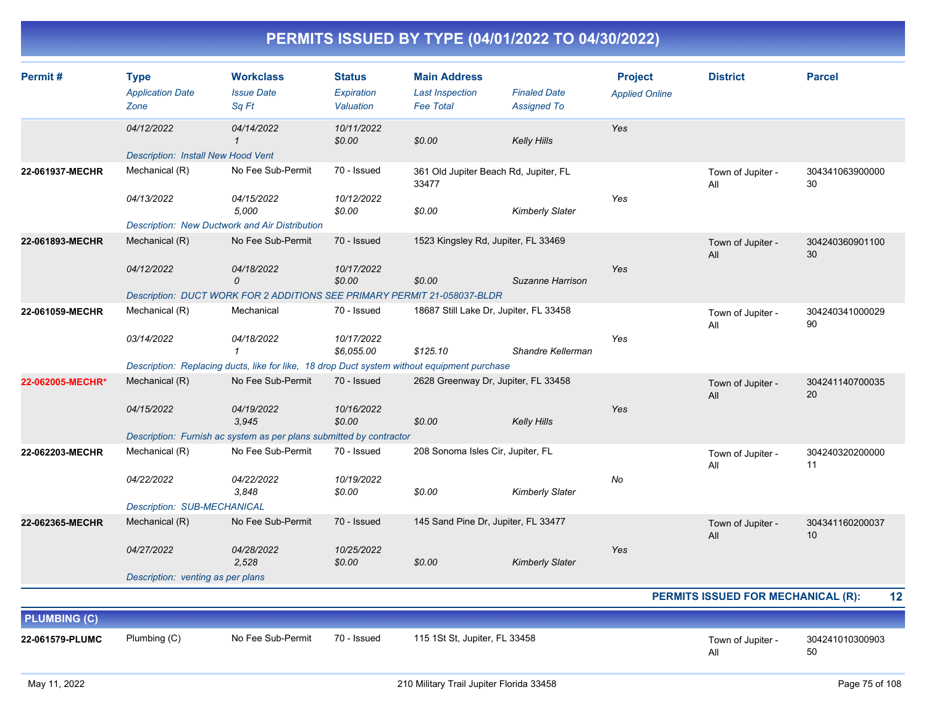| Permit#             | <b>Type</b><br><b>Application Date</b><br>Zone | <b>Workclass</b><br><b>Issue Date</b><br>Sq Ft                                              | <b>Status</b><br>Expiration<br>Valuation | <b>Main Address</b><br><b>Last Inspection</b><br><b>Fee Total</b> | <b>Finaled Date</b><br><b>Assigned To</b> | <b>Project</b><br><b>Applied Online</b> | <b>District</b>                           | <b>Parcel</b>         |
|---------------------|------------------------------------------------|---------------------------------------------------------------------------------------------|------------------------------------------|-------------------------------------------------------------------|-------------------------------------------|-----------------------------------------|-------------------------------------------|-----------------------|
|                     | 04/12/2022                                     | 04/14/2022<br>$\mathcal I$                                                                  | 10/11/2022<br>\$0.00                     | \$0.00                                                            | <b>Kelly Hills</b>                        | Yes                                     |                                           |                       |
|                     | <b>Description: Install New Hood Vent</b>      |                                                                                             |                                          |                                                                   |                                           |                                         |                                           |                       |
| 22-061937-MECHR     | Mechanical (R)                                 | No Fee Sub-Permit                                                                           | 70 - Issued                              | 361 Old Jupiter Beach Rd, Jupiter, FL<br>33477                    |                                           |                                         | Town of Jupiter -<br>All                  | 304341063900000<br>30 |
|                     | 04/13/2022                                     | 04/15/2022<br>5,000                                                                         | 10/12/2022<br>\$0.00                     | \$0.00                                                            | <b>Kimberly Slater</b>                    | Yes                                     |                                           |                       |
|                     |                                                | <b>Description: New Ductwork and Air Distribution</b>                                       |                                          |                                                                   |                                           |                                         |                                           |                       |
| 22-061893-MECHR     | Mechanical (R)                                 | No Fee Sub-Permit                                                                           | 70 - Issued                              | 1523 Kingsley Rd, Jupiter, FL 33469                               |                                           |                                         | Town of Jupiter -<br>All                  | 304240360901100<br>30 |
|                     | 04/12/2022                                     | 04/18/2022<br>$\mathcal{O}$                                                                 | 10/17/2022<br>\$0.00                     | \$0.00                                                            | Suzanne Harrison                          | Yes                                     |                                           |                       |
|                     |                                                | Description: DUCT WORK FOR 2 ADDITIONS SEE PRIMARY PERMIT 21-058037-BLDR                    |                                          |                                                                   |                                           |                                         |                                           |                       |
| 22-061059-MECHR     | Mechanical (R)                                 | Mechanical                                                                                  | 70 - Issued                              | 18687 Still Lake Dr, Jupiter, FL 33458                            |                                           |                                         | Town of Jupiter -<br>All                  | 304240341000029<br>90 |
|                     | 03/14/2022                                     | 04/18/2022<br>$\mathbf{1}$                                                                  | 10/17/2022<br>\$6.055.00                 | \$125.10                                                          | Shandre Kellerman                         | Yes                                     |                                           |                       |
|                     |                                                | Description: Replacing ducts, like for like, 18 drop Duct system without equipment purchase |                                          |                                                                   |                                           |                                         |                                           |                       |
| 22-062005-MECHR*    | Mechanical (R)                                 | No Fee Sub-Permit                                                                           | 70 - Issued                              | 2628 Greenway Dr, Jupiter, FL 33458                               |                                           |                                         | Town of Jupiter -<br>All                  | 304241140700035<br>20 |
|                     | 04/15/2022                                     | 04/19/2022<br>3,945                                                                         | 10/16/2022<br>\$0.00                     | \$0.00                                                            | <b>Kelly Hills</b>                        | Yes                                     |                                           |                       |
|                     |                                                | Description: Furnish ac system as per plans submitted by contractor                         |                                          |                                                                   |                                           |                                         |                                           |                       |
| 22-062203-MECHR     | Mechanical (R)                                 | No Fee Sub-Permit                                                                           | 70 - Issued                              | 208 Sonoma Isles Cir, Jupiter, FL                                 |                                           |                                         | Town of Jupiter -<br>All                  | 304240320200000<br>11 |
|                     | 04/22/2022                                     | 04/22/2022<br>3,848                                                                         | 10/19/2022<br>\$0.00                     | \$0.00                                                            | <b>Kimberly Slater</b>                    | No                                      |                                           |                       |
|                     | <b>Description: SUB-MECHANICAL</b>             |                                                                                             |                                          |                                                                   |                                           |                                         |                                           |                       |
| 22-062365-MECHR     | Mechanical (R)                                 | No Fee Sub-Permit                                                                           | 70 - Issued                              | 145 Sand Pine Dr, Jupiter, FL 33477                               |                                           |                                         | Town of Jupiter -<br>All                  | 304341160200037<br>10 |
|                     | 04/27/2022                                     | 04/28/2022<br>2,528                                                                         | 10/25/2022<br>\$0.00                     | \$0.00                                                            | <b>Kimberly Slater</b>                    | Yes                                     |                                           |                       |
|                     | Description: venting as per plans              |                                                                                             |                                          |                                                                   |                                           |                                         |                                           |                       |
|                     |                                                |                                                                                             |                                          |                                                                   |                                           |                                         | <b>PERMITS ISSUED FOR MECHANICAL (R):</b> | 12                    |
| <b>PLUMBING (C)</b> |                                                |                                                                                             |                                          |                                                                   |                                           |                                         |                                           |                       |
| 22-061579-PLUMC     | Plumbing (C)                                   | No Fee Sub-Permit                                                                           | 70 - Issued                              | 115 1St St, Jupiter, FL 33458                                     |                                           |                                         | Town of Jupiter -<br>All                  | 304241010300903<br>50 |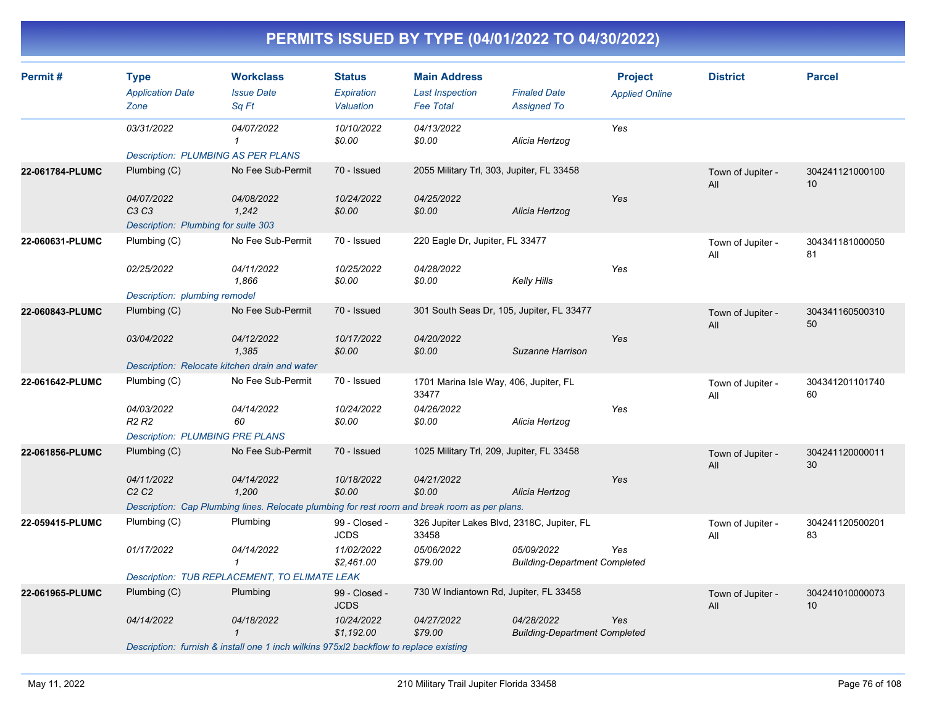| Permit#         | <b>Type</b><br><b>Application Date</b><br>Zone | <b>Workclass</b><br><b>Issue Date</b><br>Sq Ft                                                | <b>Status</b><br><b>Expiration</b><br>Valuation | <b>Main Address</b><br><b>Last Inspection</b><br><b>Fee Total</b> | <b>Finaled Date</b><br><b>Assigned To</b>          | <b>Project</b><br><b>Applied Online</b> | <b>District</b>          | <b>Parcel</b>         |
|-----------------|------------------------------------------------|-----------------------------------------------------------------------------------------------|-------------------------------------------------|-------------------------------------------------------------------|----------------------------------------------------|-----------------------------------------|--------------------------|-----------------------|
|                 | 03/31/2022                                     | 04/07/2022<br>$\mathcal I$                                                                    | 10/10/2022<br>\$0.00                            | 04/13/2022<br>\$0.00                                              | Alicia Hertzog                                     | Yes                                     |                          |                       |
|                 | <b>Description: PLUMBING AS PER PLANS</b>      |                                                                                               |                                                 |                                                                   |                                                    |                                         |                          |                       |
| 22-061784-PLUMC | Plumbing (C)                                   | No Fee Sub-Permit                                                                             | 70 - Issued                                     | 2055 Military Trl, 303, Jupiter, FL 33458                         |                                                    |                                         | Town of Jupiter -<br>All | 304241121000100<br>10 |
|                 | 04/07/2022<br>C3C3                             | 04/08/2022<br>1,242                                                                           | 10/24/2022<br>\$0.00                            | 04/25/2022<br>\$0.00                                              | Alicia Hertzog                                     | Yes                                     |                          |                       |
|                 | Description: Plumbing for suite 303            |                                                                                               |                                                 |                                                                   |                                                    |                                         |                          |                       |
| 22-060631-PLUMC | Plumbing (C)                                   | No Fee Sub-Permit                                                                             | 70 - Issued                                     | 220 Eagle Dr, Jupiter, FL 33477                                   |                                                    |                                         | Town of Jupiter -<br>All | 304341181000050<br>81 |
|                 | 02/25/2022                                     | 04/11/2022<br>1,866                                                                           | 10/25/2022<br>\$0.00                            | 04/28/2022<br>\$0.00                                              | Kelly Hills                                        | Yes                                     |                          |                       |
|                 | Description: plumbing remodel                  |                                                                                               |                                                 |                                                                   |                                                    |                                         |                          |                       |
| 22-060843-PLUMC | Plumbing (C)                                   | No Fee Sub-Permit                                                                             | 70 - Issued                                     | 301 South Seas Dr, 105, Jupiter, FL 33477                         |                                                    |                                         | Town of Jupiter -<br>All | 304341160500310<br>50 |
|                 | 03/04/2022                                     | 04/12/2022<br>1,385                                                                           | 10/17/2022<br>\$0.00                            | 04/20/2022<br>\$0.00                                              | Suzanne Harrison                                   | Yes                                     |                          |                       |
|                 | Description: Relocate kitchen drain and water  |                                                                                               |                                                 |                                                                   |                                                    |                                         |                          |                       |
| 22-061642-PLUMC | Plumbing (C)                                   | No Fee Sub-Permit                                                                             | 70 - Issued                                     | 1701 Marina Isle Way, 406, Jupiter, FL<br>33477                   |                                                    |                                         | Town of Jupiter -<br>All | 304341201101740<br>60 |
|                 | 04/03/2022<br>R <sub>2</sub> R <sub>2</sub>    | 04/14/2022<br>60                                                                              | 10/24/2022<br>\$0.00                            | 04/26/2022<br>\$0.00                                              | Alicia Hertzog                                     | Yes                                     |                          |                       |
|                 | <b>Description: PLUMBING PRE PLANS</b>         |                                                                                               |                                                 |                                                                   |                                                    |                                         |                          |                       |
| 22-061856-PLUMC | Plumbing (C)                                   | No Fee Sub-Permit                                                                             | 70 - Issued                                     | 1025 Military Trl, 209, Jupiter, FL 33458                         |                                                    |                                         | Town of Jupiter -<br>All | 304241120000011<br>30 |
|                 | 04/11/2022<br>C2C2                             | 04/14/2022<br>1,200                                                                           | 10/18/2022<br>\$0.00                            | 04/21/2022<br>\$0.00                                              | Alicia Hertzog                                     | Yes                                     |                          |                       |
|                 |                                                | Description: Cap Plumbing lines. Relocate plumbing for rest room and break room as per plans. |                                                 |                                                                   |                                                    |                                         |                          |                       |
| 22-059415-PLUMC | Plumbing (C)                                   | Plumbing                                                                                      | 99 - Closed -<br><b>JCDS</b>                    | 326 Jupiter Lakes Blvd, 2318C, Jupiter, FL<br>33458               |                                                    |                                         | Town of Jupiter -<br>All | 304241120500201<br>83 |
|                 | 01/17/2022                                     | 04/14/2022<br>$\mathbf{1}$                                                                    | 11/02/2022<br>\$2,461.00                        | 05/06/2022<br>\$79.00                                             | 05/09/2022<br><b>Building-Department Completed</b> | Yes                                     |                          |                       |
|                 |                                                | Description: TUB REPLACEMENT, TO ELIMATE LEAK                                                 |                                                 |                                                                   |                                                    |                                         |                          |                       |
| 22-061965-PLUMC | Plumbing (C)                                   | Plumbing                                                                                      | 99 - Closed -<br><b>JCDS</b>                    | 730 W Indiantown Rd, Jupiter, FL 33458                            |                                                    |                                         | Town of Jupiter -<br>All | 304241010000073<br>10 |
|                 | 04/14/2022                                     | 04/18/2022<br>$\mathbf{\overline{1}}$                                                         | 10/24/2022<br>\$1,192.00                        | 04/27/2022<br>\$79.00                                             | 04/28/2022<br><b>Building-Department Completed</b> | Yes                                     |                          |                       |
|                 |                                                | Description: furnish & install one 1 inch wilkins 975xl2 backflow to replace existing         |                                                 |                                                                   |                                                    |                                         |                          |                       |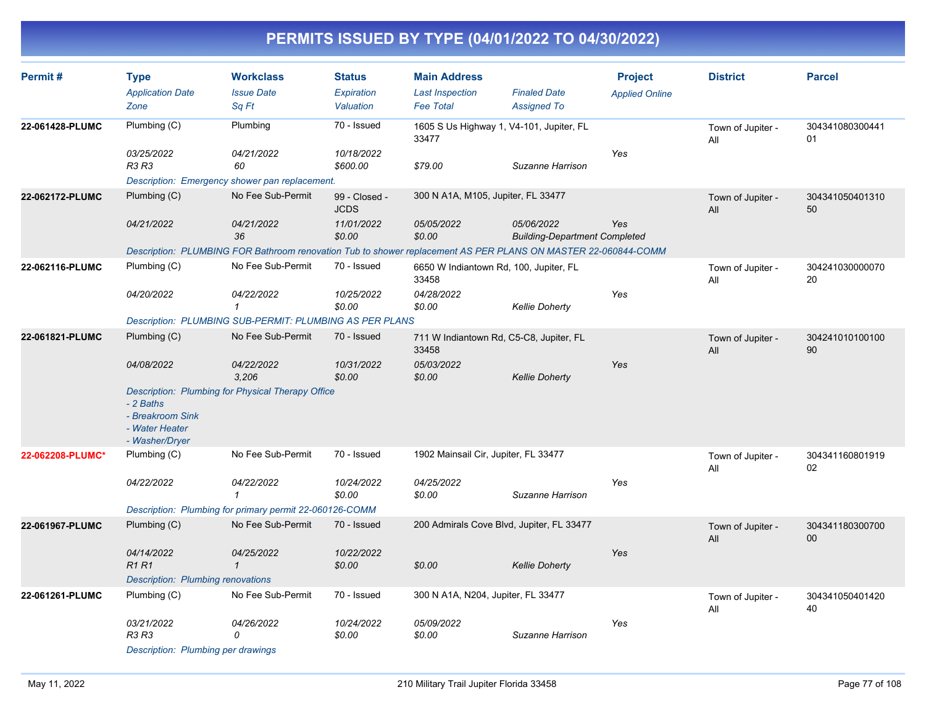| Permit#          | <b>Type</b><br><b>Application Date</b>                            | <b>Workclass</b><br><b>Issue Date</b>                                                                         | <b>Status</b><br>Expiration  | <b>Main Address</b><br><b>Last Inspection</b>     | <b>Finaled Date</b>                                | <b>Project</b><br><b>Applied Online</b> | <b>District</b>          | <b>Parcel</b>                      |
|------------------|-------------------------------------------------------------------|---------------------------------------------------------------------------------------------------------------|------------------------------|---------------------------------------------------|----------------------------------------------------|-----------------------------------------|--------------------------|------------------------------------|
|                  | Zone                                                              | Sa Ft                                                                                                         | Valuation                    | <b>Fee Total</b>                                  | <b>Assigned To</b>                                 |                                         |                          |                                    |
| 22-061428-PLUMC  | Plumbing (C)                                                      | Plumbing                                                                                                      | 70 - Issued                  | 1605 S Us Highway 1, V4-101, Jupiter, FL<br>33477 |                                                    |                                         | Town of Jupiter -<br>All | 304341080300441<br>01              |
|                  | 03/25/2022<br>R3 R3                                               | 04/21/2022<br>60                                                                                              | 10/18/2022<br>\$600.00       | \$79.00                                           | Suzanne Harrison                                   | Yes                                     |                          |                                    |
|                  |                                                                   | Description: Emergency shower pan replacement.                                                                |                              |                                                   |                                                    |                                         |                          |                                    |
| 22-062172-PLUMC  | Plumbing (C)                                                      | No Fee Sub-Permit                                                                                             | 99 - Closed -<br><b>JCDS</b> | 300 N A1A, M105, Jupiter, FL 33477                |                                                    |                                         | Town of Jupiter -<br>All | 304341050401310<br>50              |
|                  | 04/21/2022                                                        | 04/21/2022<br>36                                                                                              | 11/01/2022<br>\$0.00         | 05/05/2022<br>\$0.00                              | 05/06/2022<br><b>Building-Department Completed</b> | Yes                                     |                          |                                    |
|                  |                                                                   | Description: PLUMBING FOR Bathroom renovation Tub to shower replacement AS PER PLANS ON MASTER 22-060844-COMM |                              |                                                   |                                                    |                                         |                          |                                    |
| 22-062116-PLUMC  | Plumbing (C)                                                      | No Fee Sub-Permit                                                                                             | 70 - Issued                  | 6650 W Indiantown Rd, 100, Jupiter, FL<br>33458   |                                                    |                                         | Town of Jupiter -<br>All | 304241030000070<br>20              |
|                  | 04/20/2022                                                        | 04/22/2022<br>$\mathbf{1}$                                                                                    | 10/25/2022<br>\$0.00         | 04/28/2022<br>\$0.00                              | <b>Kellie Doherty</b>                              | Yes                                     |                          |                                    |
|                  |                                                                   | Description: PLUMBING SUB-PERMIT: PLUMBING AS PER PLANS                                                       |                              |                                                   |                                                    |                                         |                          |                                    |
| 22-061821-PLUMC  | Plumbing (C)                                                      | No Fee Sub-Permit                                                                                             | 70 - Issued                  | 711 W Indiantown Rd, C5-C8, Jupiter, FL<br>33458  |                                                    |                                         | Town of Jupiter -<br>All | 304241010100100<br>90              |
|                  | 04/08/2022                                                        | 04/22/2022<br>3,206                                                                                           | 10/31/2022<br>\$0.00         | 05/03/2022<br>\$0.00                              | <b>Kellie Doherty</b>                              | Yes                                     |                          |                                    |
|                  | - 2 Baths<br>- Breakroom Sink<br>- Water Heater<br>- Washer/Dryer | Description: Plumbing for Physical Therapy Office                                                             |                              |                                                   |                                                    |                                         |                          |                                    |
| 22-062208-PLUMC* | Plumbing (C)                                                      | No Fee Sub-Permit                                                                                             | 70 - Issued                  | 1902 Mainsail Cir, Jupiter, FL 33477              |                                                    |                                         | Town of Jupiter -<br>All | 304341160801919<br>02 <sub>2</sub> |
|                  | 04/22/2022                                                        | 04/22/2022<br>$\mathbf 1$                                                                                     | 10/24/2022<br>\$0.00         | 04/25/2022<br>\$0.00                              | Suzanne Harrison                                   | Yes                                     |                          |                                    |
|                  |                                                                   | Description: Plumbing for primary permit 22-060126-COMM                                                       |                              |                                                   |                                                    |                                         |                          |                                    |
| 22-061967-PLUMC  | Plumbing (C)                                                      | No Fee Sub-Permit                                                                                             | 70 - Issued                  | 200 Admirals Cove Blvd, Jupiter, FL 33477         |                                                    |                                         | Town of Jupiter -<br>All | 304341180300700<br>00              |
|                  | 04/14/2022<br><b>R1R1</b>                                         | 04/25/2022<br>$\mathbf{1}$                                                                                    | 10/22/2022<br>\$0.00         | \$0.00                                            | <b>Kellie Doherty</b>                              | Yes                                     |                          |                                    |
|                  | <b>Description: Plumbing renovations</b>                          |                                                                                                               |                              |                                                   |                                                    |                                         |                          |                                    |
| 22-061261-PLUMC  | Plumbing (C)                                                      | No Fee Sub-Permit                                                                                             | 70 - Issued                  | 300 N A1A, N204, Jupiter, FL 33477                |                                                    |                                         | Town of Jupiter -<br>All | 304341050401420<br>40              |
|                  | 03/21/2022<br><b>R3 R3</b><br>Description: Plumbing per drawings  | 04/26/2022<br>0                                                                                               | 10/24/2022<br>\$0.00         | 05/09/2022<br>\$0.00                              | Suzanne Harrison                                   | Yes                                     |                          |                                    |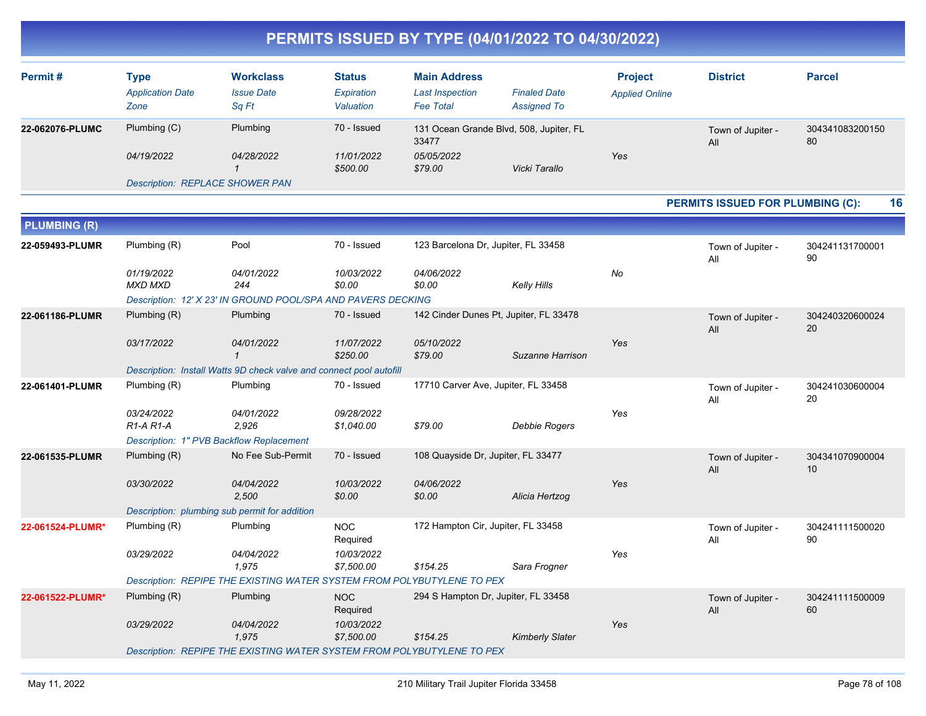| Permit#                | Type<br><b>Application Date</b><br>Zone | <b>Workclass</b><br><b>Issue Date</b><br>Sa Ft | <b>Status</b><br>Expiration<br>Valuation | <b>Main Address</b><br><b>Last Inspection</b><br><b>Fee Total</b> | <b>Finaled Date</b><br><b>Assigned To</b> | <b>Project</b><br><b>Applied Online</b> | <b>District</b>          | <b>Parcel</b>         |
|------------------------|-----------------------------------------|------------------------------------------------|------------------------------------------|-------------------------------------------------------------------|-------------------------------------------|-----------------------------------------|--------------------------|-----------------------|
| <b>22-062076-PLUMC</b> | Plumbing (C)                            | Plumbing                                       | 70 - Issued                              | 131 Ocean Grande Blvd, 508, Jupiter, FL<br>33477                  |                                           |                                         | Town of Jupiter -<br>All | 304341083200150<br>80 |
|                        | 04/19/2022                              | 04/28/2022                                     | 11/01/2022<br>\$500.00                   | 05/05/2022<br>\$79.00                                             | Vicki Tarallo                             | Yes                                     |                          |                       |
|                        | <b>Description: REPLACE SHOWER PAN</b>  |                                                |                                          |                                                                   |                                           |                                         |                          |                       |

#### **PERMITS ISSUED FOR PLUMBING (C): 16**

| <b>PLUMBING (R)</b> |                                                                        |                     |                          |                                        |                        |     |                          |                       |
|---------------------|------------------------------------------------------------------------|---------------------|--------------------------|----------------------------------------|------------------------|-----|--------------------------|-----------------------|
| 22-059493-PLUMR     | Plumbing (R)                                                           | Pool                | 70 - Issued              | 123 Barcelona Dr, Jupiter, FL 33458    |                        |     | Town of Jupiter -<br>All | 304241131700001<br>90 |
|                     | 01/19/2022<br><b>MXD MXD</b>                                           | 04/01/2022<br>244   | 10/03/2022<br>\$0.00     | 04/06/2022<br>\$0.00                   | <b>Kelly Hills</b>     | No  |                          |                       |
|                     | Description: 12' X 23' IN GROUND POOL/SPA AND PAVERS DECKING           |                     |                          |                                        |                        |     |                          |                       |
| 22-061186-PLUMR     | Plumbing (R)                                                           | Plumbing            | 70 - Issued              | 142 Cinder Dunes Pt, Jupiter, FL 33478 |                        |     | Town of Jupiter -<br>All | 304240320600024<br>20 |
|                     | 03/17/2022                                                             | 04/01/2022          | 11/07/2022<br>\$250.00   | 05/10/2022<br>\$79.00                  | Suzanne Harrison       | Yes |                          |                       |
|                     | Description: Install Watts 9D check valve and connect pool autofill    |                     |                          |                                        |                        |     |                          |                       |
| 22-061401-PLUMR     | Plumbing (R)                                                           | Plumbing            | 70 - Issued              | 17710 Carver Ave, Jupiter, FL 33458    |                        |     | Town of Jupiter -<br>All | 304241030600004<br>20 |
|                     | 03/24/2022<br>$R1-A R1-A$                                              | 04/01/2022<br>2,926 | 09/28/2022<br>\$1,040.00 | \$79.00                                | <b>Debbie Rogers</b>   | Yes |                          |                       |
|                     | Description: 1" PVB Backflow Replacement                               |                     |                          |                                        |                        |     |                          |                       |
| 22-061535-PLUMR     | Plumbing (R)                                                           | No Fee Sub-Permit   | 70 - Issued              | 108 Quayside Dr, Jupiter, FL 33477     |                        |     | Town of Jupiter -<br>All | 304341070900004<br>10 |
|                     | 03/30/2022                                                             | 04/04/2022<br>2.500 | 10/03/2022<br>\$0.00     | 04/06/2022<br>\$0.00                   | Alicia Hertzog         | Yes |                          |                       |
|                     | Description: plumbing sub permit for addition                          |                     |                          |                                        |                        |     |                          |                       |
| 22-061524-PLUMR*    | Plumbing (R)                                                           | Plumbing            | <b>NOC</b><br>Required   | 172 Hampton Cir, Jupiter, FL 33458     |                        |     | Town of Jupiter -<br>All | 304241111500020<br>90 |
|                     | 03/29/2022                                                             | 04/04/2022<br>1.975 | 10/03/2022<br>\$7,500.00 | \$154.25                               | Sara Frogner           | Yes |                          |                       |
|                     | Description: REPIPE THE EXISTING WATER SYSTEM FROM POLYBUTYLENE TO PEX |                     |                          |                                        |                        |     |                          |                       |
| 22-061522-PLUMR*    | Plumbing (R)                                                           | Plumbing            | <b>NOC</b><br>Required   | 294 S Hampton Dr, Jupiter, FL 33458    |                        |     | Town of Jupiter -<br>All | 304241111500009<br>60 |
|                     | 03/29/2022                                                             | 04/04/2022<br>1.975 | 10/03/2022<br>\$7,500.00 | \$154.25                               | <b>Kimberly Slater</b> | Yes |                          |                       |
|                     | Description: REPIPE THE EXISTING WATER SYSTEM FROM POLYBUTYLENE TO PEX |                     |                          |                                        |                        |     |                          |                       |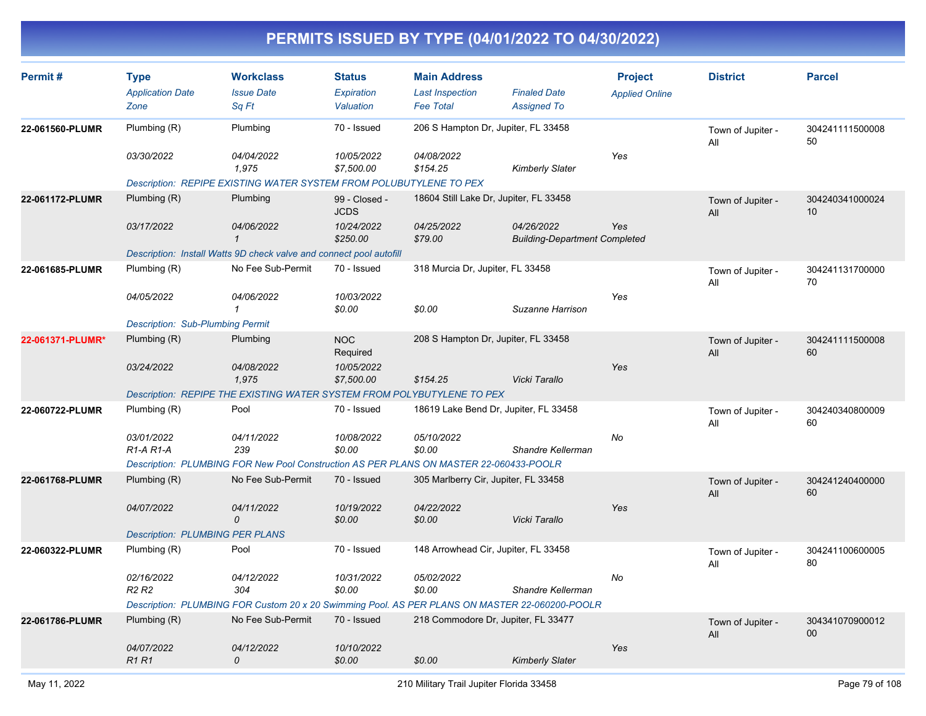| Permit#          | <b>Type</b>                                      | <b>Workclass</b>                                                                               | <b>Status</b>                | <b>Main Address</b>                        |                                                    | <b>Project</b>        | <b>District</b>          | <b>Parcel</b>             |
|------------------|--------------------------------------------------|------------------------------------------------------------------------------------------------|------------------------------|--------------------------------------------|----------------------------------------------------|-----------------------|--------------------------|---------------------------|
|                  | <b>Application Date</b><br>Zone                  | <b>Issue Date</b><br>Sq Ft                                                                     | Expiration<br>Valuation      | <b>Last Inspection</b><br><b>Fee Total</b> | <b>Finaled Date</b><br><b>Assigned To</b>          | <b>Applied Online</b> |                          |                           |
| 22-061560-PLUMR  | Plumbing (R)                                     | Plumbing                                                                                       | 70 - Issued                  | 206 S Hampton Dr, Jupiter, FL 33458        |                                                    |                       | Town of Jupiter -<br>All | 304241111500008<br>50     |
|                  | 03/30/2022                                       | 04/04/2022<br>1,975                                                                            | 10/05/2022<br>\$7,500.00     | 04/08/2022<br>\$154.25                     | <b>Kimberly Slater</b>                             | Yes                   |                          |                           |
|                  |                                                  | Description: REPIPE EXISTING WATER SYSTEM FROM POLUBUTYLENE TO PEX                             |                              |                                            |                                                    |                       |                          |                           |
| 22-061172-PLUMR  | Plumbing (R)                                     | Plumbing                                                                                       | 99 - Closed -<br><b>JCDS</b> | 18604 Still Lake Dr, Jupiter, FL 33458     |                                                    |                       | Town of Jupiter -<br>All | 304240341000024<br>10     |
|                  | 03/17/2022                                       | 04/06/2022<br>$\mathcal I$                                                                     | 10/24/2022<br>\$250.00       | 04/25/2022<br>\$79.00                      | 04/26/2022<br><b>Building-Department Completed</b> | Yes                   |                          |                           |
|                  |                                                  | Description: Install Watts 9D check valve and connect pool autofill                            |                              |                                            |                                                    |                       |                          |                           |
| 22-061685-PLUMR  | Plumbing (R)                                     | No Fee Sub-Permit                                                                              | 70 - Issued                  | 318 Murcia Dr, Jupiter, FL 33458           |                                                    |                       | Town of Jupiter -<br>All | 304241131700000<br>70     |
|                  | 04/05/2022                                       | 04/06/2022<br>1                                                                                | 10/03/2022<br>\$0.00         | \$0.00                                     | Suzanne Harrison                                   | Yes                   |                          |                           |
|                  | <b>Description: Sub-Plumbing Permit</b>          |                                                                                                |                              |                                            |                                                    |                       |                          |                           |
| 22-061371-PLUMR* | Plumbing (R)                                     | Plumbing                                                                                       | <b>NOC</b><br>Required       | 208 S Hampton Dr, Jupiter, FL 33458        |                                                    |                       | Town of Jupiter -<br>All | 304241111500008<br>60     |
|                  | 03/24/2022                                       | 04/08/2022<br>1,975                                                                            | 10/05/2022<br>\$7,500.00     | \$154.25                                   | Vicki Tarallo                                      | Yes                   |                          |                           |
|                  |                                                  | Description: REPIPE THE EXISTING WATER SYSTEM FROM POLYBUTYLENE TO PEX                         |                              |                                            |                                                    |                       |                          |                           |
| 22-060722-PLUMR  | Plumbing $(R)$                                   | Pool                                                                                           | 70 - Issued                  | 18619 Lake Bend Dr, Jupiter, FL 33458      |                                                    |                       | Town of Jupiter -<br>All | 304240340800009<br>60     |
|                  | 03/01/2022<br>R <sub>1</sub> -A <sub>R1</sub> -A | 04/11/2022<br>239                                                                              | 10/08/2022<br>\$0.00         | 05/10/2022<br>\$0.00                       | Shandre Kellerman                                  | No                    |                          |                           |
|                  |                                                  | Description: PLUMBING FOR New Pool Construction AS PER PLANS ON MASTER 22-060433-POOLR         |                              |                                            |                                                    |                       |                          |                           |
| 22-061768-PLUMR  | Plumbing (R)                                     | No Fee Sub-Permit                                                                              | 70 - Issued                  | 305 Marlberry Cir, Jupiter, FL 33458       |                                                    |                       | Town of Jupiter -<br>All | 304241240400000<br>60     |
|                  | 04/07/2022                                       | 04/11/2022<br>0                                                                                | 10/19/2022<br>\$0.00         | 04/22/2022<br>\$0.00                       | Vicki Tarallo                                      | Yes                   |                          |                           |
|                  | <b>Description: PLUMBING PER PLANS</b>           |                                                                                                |                              |                                            |                                                    |                       |                          |                           |
| 22-060322-PLUMR  | Plumbing (R)                                     | Pool                                                                                           | 70 - Issued                  | 148 Arrowhead Cir, Jupiter, FL 33458       |                                                    |                       | Town of Jupiter -<br>All | 304241100600005<br>80     |
|                  | 02/16/2022<br>R <sub>2</sub> R <sub>2</sub>      | 04/12/2022<br>304                                                                              | 10/31/2022<br>\$0.00         | 05/02/2022<br>\$0.00                       | Shandre Kellerman                                  | No                    |                          |                           |
|                  |                                                  | Description: PLUMBING FOR Custom 20 x 20 Swimming Pool. AS PER PLANS ON MASTER 22-060200-POOLR |                              |                                            |                                                    |                       |                          |                           |
| 22-061786-PLUMR  | Plumbing (R)                                     | No Fee Sub-Permit                                                                              | 70 - Issued                  | 218 Commodore Dr, Jupiter, FL 33477        |                                                    |                       | Town of Jupiter -<br>All | 304341070900012<br>$00\,$ |
|                  | 04/07/2022<br>R <sub>1</sub> R <sub>1</sub>      | 04/12/2022<br>0                                                                                | 10/10/2022<br>\$0.00         | \$0.00                                     | <b>Kimberly Slater</b>                             | Yes                   |                          |                           |
|                  |                                                  |                                                                                                |                              |                                            |                                                    |                       |                          |                           |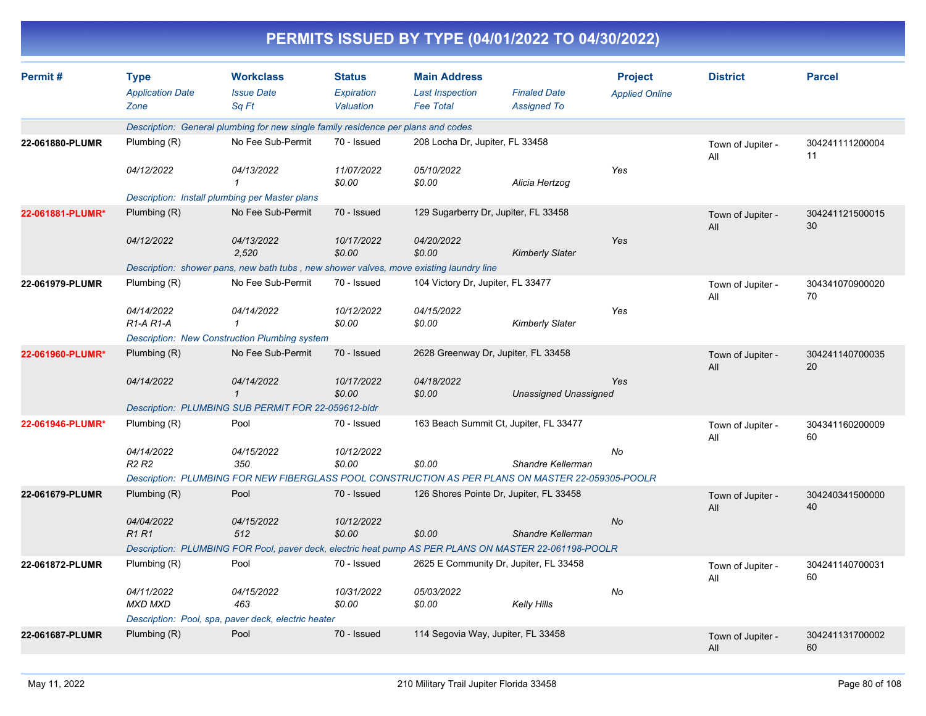|                  |                                                |                                                                                                       |                                          |                                                                   | PERMITS ISSUED BY TYPE (04/01/2022 TO 04/30/2022) |                                         |                          |                       |
|------------------|------------------------------------------------|-------------------------------------------------------------------------------------------------------|------------------------------------------|-------------------------------------------------------------------|---------------------------------------------------|-----------------------------------------|--------------------------|-----------------------|
| Permit#          | <b>Type</b><br><b>Application Date</b><br>Zone | <b>Workclass</b><br><b>Issue Date</b><br>Sq Ft                                                        | <b>Status</b><br>Expiration<br>Valuation | <b>Main Address</b><br><b>Last Inspection</b><br><b>Fee Total</b> | <b>Finaled Date</b><br><b>Assigned To</b>         | <b>Project</b><br><b>Applied Online</b> | <b>District</b>          | <b>Parcel</b>         |
|                  |                                                | Description: General plumbing for new single family residence per plans and codes                     |                                          |                                                                   |                                                   |                                         |                          |                       |
| 22-061880-PLUMR  | Plumbing (R)                                   | No Fee Sub-Permit                                                                                     | 70 - Issued                              | 208 Locha Dr, Jupiter, FL 33458                                   |                                                   |                                         | Town of Jupiter -<br>All | 304241111200004<br>11 |
|                  | 04/12/2022                                     | 04/13/2022                                                                                            | 11/07/2022<br>\$0.00                     | 05/10/2022<br>\$0.00                                              | Alicia Hertzog                                    | Yes                                     |                          |                       |
|                  |                                                | Description: Install plumbing per Master plans                                                        |                                          |                                                                   |                                                   |                                         |                          |                       |
| 22-061881-PLUMR* | Plumbing (R)                                   | No Fee Sub-Permit                                                                                     | 70 - Issued                              | 129 Sugarberry Dr, Jupiter, FL 33458                              |                                                   |                                         | Town of Jupiter -<br>All | 304241121500015<br>30 |
|                  | 04/12/2022                                     | 04/13/2022<br>2,520                                                                                   | 10/17/2022<br>\$0.00                     | 04/20/2022<br>\$0.00                                              | <b>Kimberly Slater</b>                            | Yes                                     |                          |                       |
|                  |                                                | Description: shower pans, new bath tubs, new shower valves, move existing laundry line                |                                          |                                                                   |                                                   |                                         |                          |                       |
| 22-061979-PLUMR  | Plumbing (R)                                   | No Fee Sub-Permit                                                                                     | 70 - Issued                              | 104 Victory Dr, Jupiter, FL 33477                                 |                                                   |                                         | Town of Jupiter -<br>All | 304341070900020<br>70 |
|                  | 04/14/2022<br>$R1-A R1-A$                      | 04/14/2022<br>1                                                                                       | 10/12/2022<br>\$0.00                     | 04/15/2022<br>\$0.00                                              | <b>Kimberly Slater</b>                            | Yes                                     |                          |                       |
|                  |                                                | <b>Description: New Construction Plumbing system</b>                                                  |                                          |                                                                   |                                                   |                                         |                          |                       |
| 22-061960-PLUMR* | Plumbing (R)                                   | No Fee Sub-Permit                                                                                     | 70 - Issued                              | 2628 Greenway Dr, Jupiter, FL 33458                               |                                                   |                                         | Town of Jupiter -<br>All | 304241140700035<br>20 |
|                  | 04/14/2022                                     | 04/14/2022<br>$\mathbf{\overline{1}}$                                                                 | 10/17/2022<br>\$0.00                     | 04/18/2022<br>\$0.00                                              | <b>Unassigned Unassigned</b>                      | Yes                                     |                          |                       |
|                  |                                                | Description: PLUMBING SUB PERMIT FOR 22-059612-bldr                                                   |                                          |                                                                   |                                                   |                                         |                          |                       |
| 22-061946-PLUMR* | Plumbing (R)                                   | Pool                                                                                                  | 70 - Issued                              |                                                                   | 163 Beach Summit Ct, Jupiter, FL 33477            |                                         | Town of Jupiter -<br>All | 304341160200009<br>60 |
|                  | 04/14/2022<br><b>R2 R2</b>                     | 04/15/2022<br>350                                                                                     | 10/12/2022<br>\$0.00                     | \$0.00                                                            | Shandre Kellerman                                 | No                                      |                          |                       |
|                  |                                                | Description: PLUMBING FOR NEW FIBERGLASS POOL CONSTRUCTION AS PER PLANS ON MASTER 22-059305-POOLR     |                                          |                                                                   |                                                   |                                         |                          |                       |
| 22-061679-PLUMR  | Plumbing (R)                                   | Pool                                                                                                  | 70 - Issued                              |                                                                   | 126 Shores Pointe Dr, Jupiter, FL 33458           |                                         | Town of Jupiter -<br>All | 304240341500000<br>40 |
|                  | 04/04/2022<br><b>R1 R1</b>                     | 04/15/2022<br>512                                                                                     | 10/12/2022<br>\$0.00                     | \$0.00                                                            | Shandre Kellerman                                 | No                                      |                          |                       |
|                  |                                                | Description: PLUMBING FOR Pool, paver deck, electric heat pump AS PER PLANS ON MASTER 22-061198-POOLR |                                          |                                                                   |                                                   |                                         |                          |                       |
| 22-061872-PLUMR  | Plumbing (R)                                   | Pool                                                                                                  | 70 - Issued                              |                                                                   | 2625 E Community Dr, Jupiter, FL 33458            |                                         | Town of Jupiter -<br>All | 304241140700031<br>60 |
|                  | 04/11/2022<br><b>MXD MXD</b>                   | 04/15/2022<br>463                                                                                     | 10/31/2022<br>\$0.00                     | 05/03/2022<br>\$0.00                                              | Kelly Hills                                       | No                                      |                          |                       |
|                  |                                                | Description: Pool, spa, paver deck, electric heater                                                   |                                          |                                                                   |                                                   |                                         |                          |                       |
| 22-061687-PLUMR  | Plumbing (R)                                   | Pool                                                                                                  | 70 - Issued                              | 114 Segovia Way, Jupiter, FL 33458                                |                                                   |                                         | Town of Jupiter -<br>All | 304241131700002<br>60 |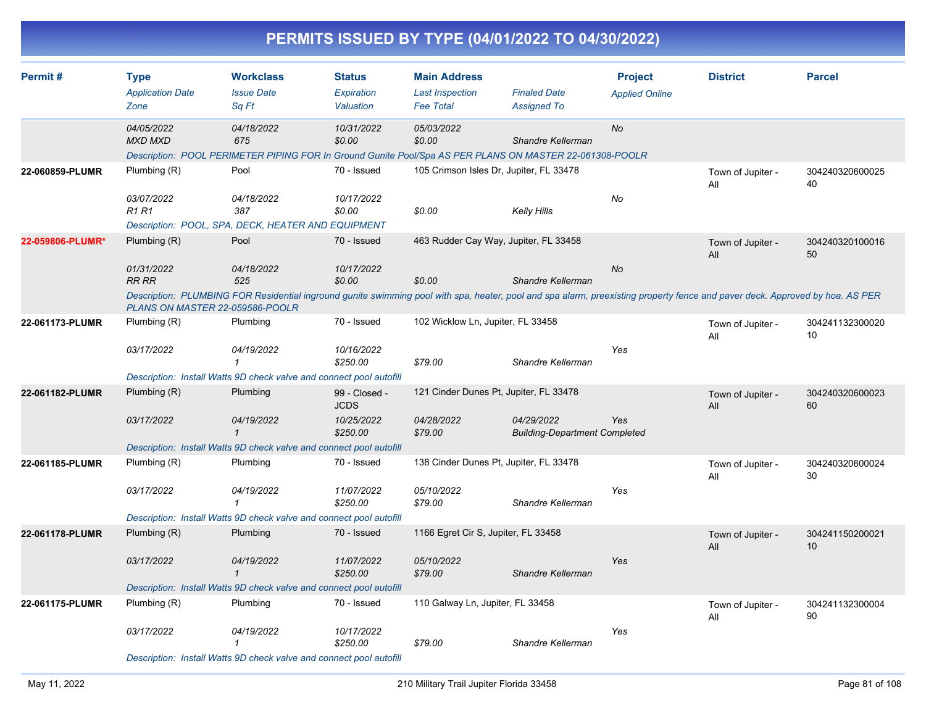|                  |                                                 |                                                                                   |                                   | PERMITS ISSUED BY TYPE (04/01/2022 TO 04/30/2022)                                                                                                                                      |                                                    |                                         |                          |                       |
|------------------|-------------------------------------------------|-----------------------------------------------------------------------------------|-----------------------------------|----------------------------------------------------------------------------------------------------------------------------------------------------------------------------------------|----------------------------------------------------|-----------------------------------------|--------------------------|-----------------------|
| Permit#          | <b>Type</b><br><b>Application Date</b><br>Zone  | <b>Workclass</b><br><b>Issue Date</b><br>Sq Ft                                    | Status<br>Expiration<br>Valuation | <b>Main Address</b><br><b>Last Inspection</b><br><b>Fee Total</b>                                                                                                                      | <b>Finaled Date</b><br><b>Assigned To</b>          | <b>Project</b><br><b>Applied Online</b> | <b>District</b>          | <b>Parcel</b>         |
|                  | 04/05/2022<br><b>MXD MXD</b>                    | 04/18/2022<br>675                                                                 | 10/31/2022<br>\$0.00              | 05/03/2022<br>\$0.00<br>Description: POOL PERIMETER PIPING FOR In Ground Gunite Pool/Spa AS PER PLANS ON MASTER 22-061308-POOLR                                                        | Shandre Kellerman                                  | No                                      |                          |                       |
| 22-060859-PLUMR  | Plumbing (R)<br>03/07/2022                      | Pool<br>04/18/2022                                                                | 70 - Issued<br>10/17/2022         | 105 Crimson Isles Dr, Jupiter, FL 33478                                                                                                                                                |                                                    | No                                      | Town of Jupiter -<br>All | 304240320600025<br>40 |
|                  | <b>R1 R1</b>                                    | 387<br>Description: POOL, SPA, DECK, HEATER AND EQUIPMENT                         | \$0.00                            | \$0.00                                                                                                                                                                                 | <b>Kelly Hills</b>                                 |                                         |                          |                       |
| 22-059806-PLUMR* | Plumbing (R)<br>01/31/2022                      | Pool<br>04/18/2022                                                                | 70 - Issued<br>10/17/2022         | 463 Rudder Cay Way, Jupiter, FL 33458                                                                                                                                                  |                                                    | No                                      | Town of Jupiter -<br>All | 304240320100016<br>50 |
|                  | <b>RR RR</b>                                    | 525                                                                               | \$0.00                            | \$0.00<br>Description: PLUMBING FOR Residential inground gunite swimming pool with spa, heater, pool and spa alarm, preexisting property fence and paver deck. Approved by hoa. AS PER | Shandre Kellerman                                  |                                         |                          |                       |
| 22-061173-PLUMR  | PLANS ON MASTER 22-059586-POOLR<br>Plumbing (R) | Plumbing                                                                          | 70 - Issued                       | 102 Wicklow Ln, Jupiter, FL 33458                                                                                                                                                      |                                                    |                                         | Town of Jupiter -<br>All | 304241132300020<br>10 |
|                  | 03/17/2022                                      | 04/19/2022<br>Description: Install Watts 9D check valve and connect pool autofill | 10/16/2022<br>\$250.00            | \$79.00                                                                                                                                                                                | Shandre Kellerman                                  | Yes                                     |                          |                       |
| 22-061182-PLUMR  | Plumbing (R)                                    | Plumbing                                                                          | 99 - Closed -<br><b>JCDS</b>      | 121 Cinder Dunes Pt, Jupiter, FL 33478                                                                                                                                                 |                                                    |                                         | Town of Jupiter -<br>All | 304240320600023<br>60 |
|                  | 03/17/2022                                      | 04/19/2022<br>1                                                                   | 10/25/2022<br>\$250.00            | 04/28/2022<br>\$79.00                                                                                                                                                                  | 04/29/2022<br><b>Building-Department Completed</b> | Yes                                     |                          |                       |
| 22-061185-PLUMR  | Plumbing (R)                                    | Description: Install Watts 9D check valve and connect pool autofill<br>Plumbing   | 70 - Issued                       | 138 Cinder Dunes Pt, Jupiter, FL 33478                                                                                                                                                 |                                                    |                                         | Town of Jupiter -<br>All | 304240320600024<br>30 |
|                  | 03/17/2022                                      | 04/19/2022                                                                        | 11/07/2022<br>\$250.00            | 05/10/2022<br>\$79.00                                                                                                                                                                  | Shandre Kellerman                                  | Yes                                     |                          |                       |
|                  |                                                 | Description: Install Watts 9D check valve and connect pool autofill               |                                   |                                                                                                                                                                                        |                                                    |                                         |                          |                       |
| 22-061178-PLUMR  | Plumbing (R)                                    | Plumbing                                                                          | 70 - Issued                       | 1166 Egret Cir S, Jupiter, FL 33458                                                                                                                                                    |                                                    |                                         | Town of Jupiter -<br>All | 304241150200021<br>10 |
|                  | 03/17/2022                                      | 04/19/2022<br>1                                                                   | 11/07/2022<br>\$250.00            | 05/10/2022<br>\$79.00                                                                                                                                                                  | Shandre Kellerman                                  | Yes                                     |                          |                       |
|                  |                                                 | Description: Install Watts 9D check valve and connect pool autofill               |                                   |                                                                                                                                                                                        |                                                    |                                         |                          |                       |
| 22-061175-PLUMR  | Plumbing (R)<br>03/17/2022                      | Plumbing<br>04/19/2022                                                            | 70 - Issued<br>10/17/2022         | 110 Galway Ln, Jupiter, FL 33458                                                                                                                                                       |                                                    | Yes                                     | Town of Jupiter -<br>All | 304241132300004<br>90 |
|                  |                                                 | 1                                                                                 | \$250.00                          | \$79.00                                                                                                                                                                                | Shandre Kellerman                                  |                                         |                          |                       |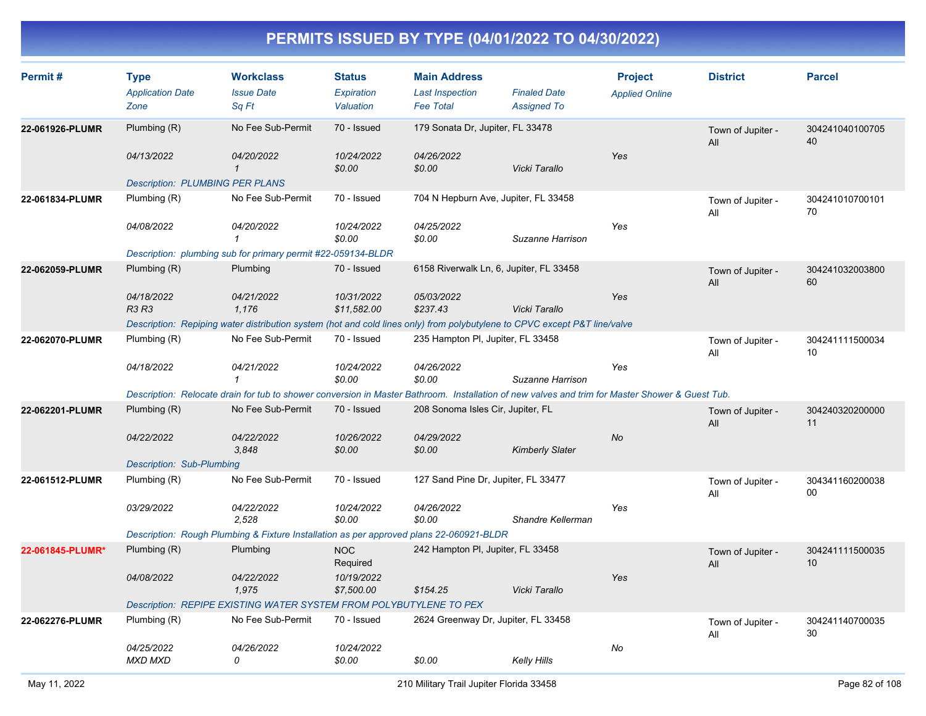| Permit#          | <b>Type</b><br><b>Application Date</b><br>Zone | <b>Workclass</b><br><b>Issue Date</b><br>Sq Ft                                                                                                  | <b>Status</b><br>Expiration<br>Valuation | <b>Main Address</b><br><b>Last Inspection</b><br><b>Fee Total</b> | <b>Finaled Date</b><br><b>Assigned To</b> | <b>Project</b><br><b>Applied Online</b> | <b>District</b>          | <b>Parcel</b>         |
|------------------|------------------------------------------------|-------------------------------------------------------------------------------------------------------------------------------------------------|------------------------------------------|-------------------------------------------------------------------|-------------------------------------------|-----------------------------------------|--------------------------|-----------------------|
| 22-061926-PLUMR  | Plumbing (R)                                   | No Fee Sub-Permit                                                                                                                               | 70 - Issued                              | 179 Sonata Dr, Jupiter, FL 33478                                  |                                           |                                         | Town of Jupiter -<br>All | 304241040100705<br>40 |
|                  | 04/13/2022                                     | 04/20/2022<br>$\mathcal I$                                                                                                                      | 10/24/2022<br>\$0.00                     | 04/26/2022<br>\$0.00                                              | Vicki Tarallo                             | Yes                                     |                          |                       |
|                  | <b>Description: PLUMBING PER PLANS</b>         |                                                                                                                                                 |                                          |                                                                   |                                           |                                         |                          |                       |
| 22-061834-PLUMR  | Plumbing (R)                                   | No Fee Sub-Permit                                                                                                                               | 70 - Issued                              |                                                                   | 704 N Hepburn Ave, Jupiter, FL 33458      |                                         | Town of Jupiter -<br>All | 304241010700101<br>70 |
|                  | 04/08/2022                                     | 04/20/2022<br>$\mathbf{1}$                                                                                                                      | 10/24/2022<br>\$0.00                     | 04/25/2022<br>\$0.00                                              | Suzanne Harrison                          | Yes                                     |                          |                       |
|                  |                                                | Description: plumbing sub for primary permit #22-059134-BLDR                                                                                    |                                          |                                                                   |                                           |                                         |                          |                       |
| 22-062059-PLUMR  | Plumbing $(R)$                                 | Plumbing                                                                                                                                        | 70 - Issued                              |                                                                   | 6158 Riverwalk Ln, 6, Jupiter, FL 33458   |                                         | Town of Jupiter -<br>All | 304241032003800<br>60 |
|                  | 04/18/2022<br><b>R3 R3</b>                     | 04/21/2022<br>1.176                                                                                                                             | 10/31/2022<br>\$11,582.00                | 05/03/2022<br>\$237.43                                            | Vicki Tarallo                             | Yes                                     |                          |                       |
|                  |                                                | Description: Repiping water distribution system (hot and cold lines only) from polybutylene to CPVC except P&T line/valve                       |                                          |                                                                   |                                           |                                         |                          |                       |
| 22-062070-PLUMR  | Plumbing (R)                                   | No Fee Sub-Permit                                                                                                                               | 70 - Issued                              | 235 Hampton PI, Jupiter, FL 33458                                 |                                           |                                         | Town of Jupiter -<br>All | 304241111500034<br>10 |
|                  | 04/18/2022                                     | 04/21/2022<br>$\mathbf{1}$                                                                                                                      | 10/24/2022<br>\$0.00                     | 04/26/2022<br>\$0.00                                              | Suzanne Harrison                          | Yes                                     |                          |                       |
|                  |                                                | Description: Relocate drain for tub to shower conversion in Master Bathroom. Installation of new valves and trim for Master Shower & Guest Tub. |                                          |                                                                   |                                           |                                         |                          |                       |
| 22-062201-PLUMR  | Plumbing $(R)$                                 | No Fee Sub-Permit                                                                                                                               | 70 - Issued                              | 208 Sonoma Isles Cir, Jupiter, FL                                 |                                           |                                         | Town of Jupiter -<br>All | 304240320200000<br>11 |
|                  | 04/22/2022                                     | 04/22/2022<br>3,848                                                                                                                             | 10/26/2022<br>\$0.00                     | 04/29/2022<br>\$0.00                                              | <b>Kimberly Slater</b>                    | No                                      |                          |                       |
|                  | Description: Sub-Plumbing                      |                                                                                                                                                 |                                          |                                                                   |                                           |                                         |                          |                       |
| 22-061512-PLUMR  | Plumbing (R)                                   | No Fee Sub-Permit                                                                                                                               | 70 - Issued                              | 127 Sand Pine Dr, Jupiter, FL 33477                               |                                           |                                         | Town of Jupiter -<br>All | 304341160200038<br>00 |
|                  | 03/29/2022                                     | 04/22/2022<br>2,528                                                                                                                             | 10/24/2022<br>\$0.00                     | 04/26/2022<br>\$0.00                                              | Shandre Kellerman                         | Yes                                     |                          |                       |
|                  |                                                | Description: Rough Plumbing & Fixture Installation as per approved plans 22-060921-BLDR                                                         |                                          |                                                                   |                                           |                                         |                          |                       |
| 22-061845-PLUMR* | Plumbing $(R)$                                 | Plumbing                                                                                                                                        | <b>NOC</b><br>Required                   | 242 Hampton PI, Jupiter, FL 33458                                 |                                           |                                         | Town of Jupiter -<br>All | 304241111500035<br>10 |
|                  | 04/08/2022                                     | 04/22/2022<br>1,975                                                                                                                             | 10/19/2022<br>\$7,500.00                 | \$154.25                                                          | Vicki Tarallo                             | Yes                                     |                          |                       |
|                  |                                                | Description: REPIPE EXISTING WATER SYSTEM FROM POLYBUTYLENE TO PEX                                                                              |                                          |                                                                   |                                           |                                         |                          |                       |
| 22-062276-PLUMR  | Plumbing (R)                                   | No Fee Sub-Permit                                                                                                                               | 70 - Issued                              |                                                                   | 2624 Greenway Dr, Jupiter, FL 33458       |                                         | Town of Jupiter -<br>All | 304241140700035<br>30 |
|                  | 04/25/2022<br>MXD MXD                          | 04/26/2022<br>0                                                                                                                                 | 10/24/2022<br>\$0.00                     | \$0.00                                                            | <b>Kelly Hills</b>                        | No                                      |                          |                       |
|                  |                                                |                                                                                                                                                 |                                          |                                                                   |                                           |                                         |                          |                       |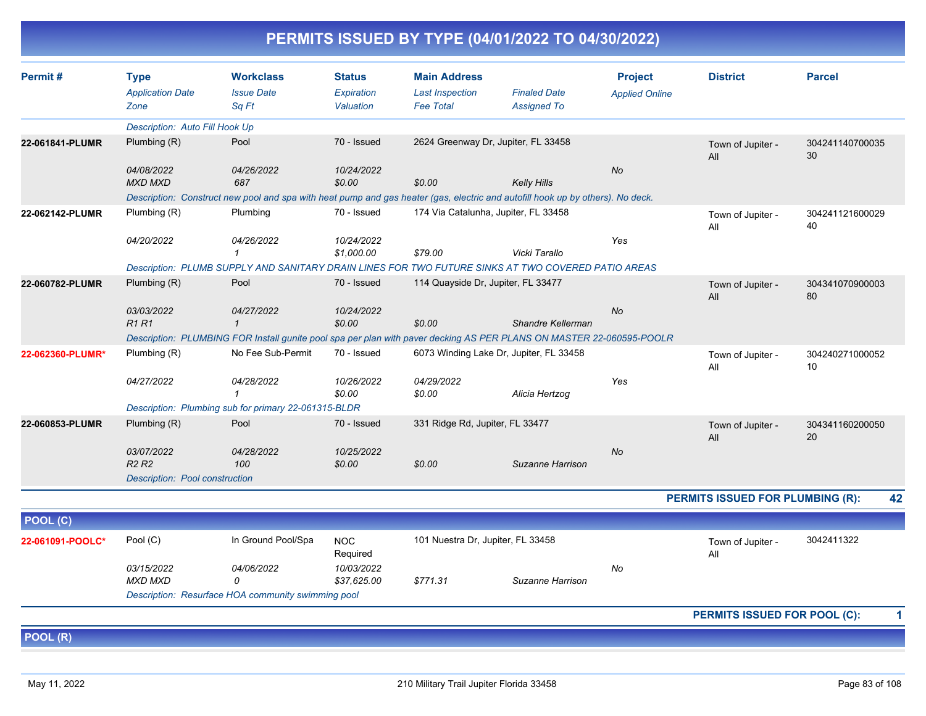| <b>PERMITS ISSUED BY TYPE (04/01/2022 TO 04/30/2022)</b> |  |
|----------------------------------------------------------|--|
|----------------------------------------------------------|--|

| Permit#<br><b>Workclass</b><br><b>Status</b><br><b>Main Address</b><br><b>Project</b><br><b>District</b><br><b>Parcel</b><br><b>Type</b><br><b>Application Date</b><br><b>Issue Date</b><br>Expiration<br><b>Finaled Date</b><br><b>Last Inspection</b><br><b>Applied Online</b><br>Sq Ft<br>Valuation<br><b>Fee Total</b><br><b>Assigned To</b><br>Zone<br><b>Description: Auto Fill Hook Up</b><br>2624 Greenway Dr, Jupiter, FL 33458<br>Pool<br>70 - Issued<br>Plumbing $(R)$<br>22-061841-PLUMR<br>304241140700035<br>Town of Jupiter -<br>30<br>All<br>04/08/2022<br>04/26/2022<br>10/24/2022<br><b>No</b><br><b>MXD MXD</b><br>\$0.00<br>\$0.00<br>687<br><b>Kelly Hills</b><br>Description: Construct new pool and spa with heat pump and gas heater (gas, electric and autofill hook up by others). No deck.<br>70 - Issued<br>174 Via Catalunha, Jupiter, FL 33458<br>Plumbing (R)<br>Plumbing<br>22-062142-PLUMR<br>304241121600029<br>Town of Jupiter -<br>40<br>All<br>04/20/2022<br>04/26/2022<br>10/24/2022<br>Yes<br>\$1,000.00<br>\$79.00<br>Vicki Tarallo<br>$\mathbf{1}$<br>Description: PLUMB SUPPLY AND SANITARY DRAIN LINES FOR TWO FUTURE SINKS AT TWO COVERED PATIO AREAS<br>Plumbing $(R)$<br>Pool<br>70 - Issued<br>22-060782-PLUMR<br>114 Quayside Dr. Jupiter, FL 33477<br>304341070900003<br>Town of Jupiter -<br>80<br>All<br>03/03/2022<br>04/27/2022<br>10/24/2022<br><b>No</b><br><b>R1R1</b><br>\$0.00<br>\$0.00<br>$\mathbf{1}$<br>Shandre Kellerman<br>Description: PLUMBING FOR Install gunite pool spa per plan with paver decking AS PER PLANS ON MASTER 22-060595-POOLR<br>22-062360-PLUMR*<br>Plumbing (R)<br>No Fee Sub-Permit<br>70 - Issued<br>6073 Winding Lake Dr, Jupiter, FL 33458<br>304240271000052<br>Town of Jupiter -<br>10<br>All<br>04/27/2022<br>04/28/2022<br>10/26/2022<br>04/29/2022<br>Yes<br>\$0.00<br>\$0.00<br>Alicia Hertzog<br>Description: Plumbing sub for primary 22-061315-BLDR<br>Pool<br>70 - Issued<br>331 Ridge Rd, Jupiter, FL 33477<br>Plumbing (R)<br>22-060853-PLUMR<br>304341160200050<br>Town of Jupiter -<br>20<br>All<br>03/07/2022<br>04/28/2022<br>10/25/2022<br><b>No</b><br>R <sub>2</sub> R <sub>2</sub><br>100<br>\$0.00<br>\$0.00<br>Suzanne Harrison<br><b>Description: Pool construction</b><br>42<br>PERMITS ISSUED FOR PLUMBING (R):<br>POOL (C)<br>3042411322<br>Pool (C)<br>In Ground Pool/Spa<br>101 Nuestra Dr, Jupiter, FL 33458<br><b>NOC</b><br>22-061091-POOLC*<br>Town of Jupiter -<br>Required<br>All<br>03/15/2022<br>04/06/2022<br>10/03/2022<br>No<br><b>MXD MXD</b><br>\$37,625.00<br>\$771.31<br>$\Omega$<br>Suzanne Harrison<br>Description: Resurface HOA community swimming pool<br>PERMITS ISSUED FOR POOL (C):<br>1<br>POOL (R) |  |  |  |  |  |
|-------------------------------------------------------------------------------------------------------------------------------------------------------------------------------------------------------------------------------------------------------------------------------------------------------------------------------------------------------------------------------------------------------------------------------------------------------------------------------------------------------------------------------------------------------------------------------------------------------------------------------------------------------------------------------------------------------------------------------------------------------------------------------------------------------------------------------------------------------------------------------------------------------------------------------------------------------------------------------------------------------------------------------------------------------------------------------------------------------------------------------------------------------------------------------------------------------------------------------------------------------------------------------------------------------------------------------------------------------------------------------------------------------------------------------------------------------------------------------------------------------------------------------------------------------------------------------------------------------------------------------------------------------------------------------------------------------------------------------------------------------------------------------------------------------------------------------------------------------------------------------------------------------------------------------------------------------------------------------------------------------------------------------------------------------------------------------------------------------------------------------------------------------------------------------------------------------------------------------------------------------------------------------------------------------------------------------------------------------------------------------------------------------------------------------------------------------------------------------------------------------------------------------------------------------------------------------------------------------------------------------------------------------------------------------------------------------------------------------------------------|--|--|--|--|--|
|                                                                                                                                                                                                                                                                                                                                                                                                                                                                                                                                                                                                                                                                                                                                                                                                                                                                                                                                                                                                                                                                                                                                                                                                                                                                                                                                                                                                                                                                                                                                                                                                                                                                                                                                                                                                                                                                                                                                                                                                                                                                                                                                                                                                                                                                                                                                                                                                                                                                                                                                                                                                                                                                                                                                                 |  |  |  |  |  |
|                                                                                                                                                                                                                                                                                                                                                                                                                                                                                                                                                                                                                                                                                                                                                                                                                                                                                                                                                                                                                                                                                                                                                                                                                                                                                                                                                                                                                                                                                                                                                                                                                                                                                                                                                                                                                                                                                                                                                                                                                                                                                                                                                                                                                                                                                                                                                                                                                                                                                                                                                                                                                                                                                                                                                 |  |  |  |  |  |
|                                                                                                                                                                                                                                                                                                                                                                                                                                                                                                                                                                                                                                                                                                                                                                                                                                                                                                                                                                                                                                                                                                                                                                                                                                                                                                                                                                                                                                                                                                                                                                                                                                                                                                                                                                                                                                                                                                                                                                                                                                                                                                                                                                                                                                                                                                                                                                                                                                                                                                                                                                                                                                                                                                                                                 |  |  |  |  |  |
|                                                                                                                                                                                                                                                                                                                                                                                                                                                                                                                                                                                                                                                                                                                                                                                                                                                                                                                                                                                                                                                                                                                                                                                                                                                                                                                                                                                                                                                                                                                                                                                                                                                                                                                                                                                                                                                                                                                                                                                                                                                                                                                                                                                                                                                                                                                                                                                                                                                                                                                                                                                                                                                                                                                                                 |  |  |  |  |  |
|                                                                                                                                                                                                                                                                                                                                                                                                                                                                                                                                                                                                                                                                                                                                                                                                                                                                                                                                                                                                                                                                                                                                                                                                                                                                                                                                                                                                                                                                                                                                                                                                                                                                                                                                                                                                                                                                                                                                                                                                                                                                                                                                                                                                                                                                                                                                                                                                                                                                                                                                                                                                                                                                                                                                                 |  |  |  |  |  |
|                                                                                                                                                                                                                                                                                                                                                                                                                                                                                                                                                                                                                                                                                                                                                                                                                                                                                                                                                                                                                                                                                                                                                                                                                                                                                                                                                                                                                                                                                                                                                                                                                                                                                                                                                                                                                                                                                                                                                                                                                                                                                                                                                                                                                                                                                                                                                                                                                                                                                                                                                                                                                                                                                                                                                 |  |  |  |  |  |
|                                                                                                                                                                                                                                                                                                                                                                                                                                                                                                                                                                                                                                                                                                                                                                                                                                                                                                                                                                                                                                                                                                                                                                                                                                                                                                                                                                                                                                                                                                                                                                                                                                                                                                                                                                                                                                                                                                                                                                                                                                                                                                                                                                                                                                                                                                                                                                                                                                                                                                                                                                                                                                                                                                                                                 |  |  |  |  |  |
|                                                                                                                                                                                                                                                                                                                                                                                                                                                                                                                                                                                                                                                                                                                                                                                                                                                                                                                                                                                                                                                                                                                                                                                                                                                                                                                                                                                                                                                                                                                                                                                                                                                                                                                                                                                                                                                                                                                                                                                                                                                                                                                                                                                                                                                                                                                                                                                                                                                                                                                                                                                                                                                                                                                                                 |  |  |  |  |  |
|                                                                                                                                                                                                                                                                                                                                                                                                                                                                                                                                                                                                                                                                                                                                                                                                                                                                                                                                                                                                                                                                                                                                                                                                                                                                                                                                                                                                                                                                                                                                                                                                                                                                                                                                                                                                                                                                                                                                                                                                                                                                                                                                                                                                                                                                                                                                                                                                                                                                                                                                                                                                                                                                                                                                                 |  |  |  |  |  |
|                                                                                                                                                                                                                                                                                                                                                                                                                                                                                                                                                                                                                                                                                                                                                                                                                                                                                                                                                                                                                                                                                                                                                                                                                                                                                                                                                                                                                                                                                                                                                                                                                                                                                                                                                                                                                                                                                                                                                                                                                                                                                                                                                                                                                                                                                                                                                                                                                                                                                                                                                                                                                                                                                                                                                 |  |  |  |  |  |
|                                                                                                                                                                                                                                                                                                                                                                                                                                                                                                                                                                                                                                                                                                                                                                                                                                                                                                                                                                                                                                                                                                                                                                                                                                                                                                                                                                                                                                                                                                                                                                                                                                                                                                                                                                                                                                                                                                                                                                                                                                                                                                                                                                                                                                                                                                                                                                                                                                                                                                                                                                                                                                                                                                                                                 |  |  |  |  |  |
|                                                                                                                                                                                                                                                                                                                                                                                                                                                                                                                                                                                                                                                                                                                                                                                                                                                                                                                                                                                                                                                                                                                                                                                                                                                                                                                                                                                                                                                                                                                                                                                                                                                                                                                                                                                                                                                                                                                                                                                                                                                                                                                                                                                                                                                                                                                                                                                                                                                                                                                                                                                                                                                                                                                                                 |  |  |  |  |  |
|                                                                                                                                                                                                                                                                                                                                                                                                                                                                                                                                                                                                                                                                                                                                                                                                                                                                                                                                                                                                                                                                                                                                                                                                                                                                                                                                                                                                                                                                                                                                                                                                                                                                                                                                                                                                                                                                                                                                                                                                                                                                                                                                                                                                                                                                                                                                                                                                                                                                                                                                                                                                                                                                                                                                                 |  |  |  |  |  |
|                                                                                                                                                                                                                                                                                                                                                                                                                                                                                                                                                                                                                                                                                                                                                                                                                                                                                                                                                                                                                                                                                                                                                                                                                                                                                                                                                                                                                                                                                                                                                                                                                                                                                                                                                                                                                                                                                                                                                                                                                                                                                                                                                                                                                                                                                                                                                                                                                                                                                                                                                                                                                                                                                                                                                 |  |  |  |  |  |
|                                                                                                                                                                                                                                                                                                                                                                                                                                                                                                                                                                                                                                                                                                                                                                                                                                                                                                                                                                                                                                                                                                                                                                                                                                                                                                                                                                                                                                                                                                                                                                                                                                                                                                                                                                                                                                                                                                                                                                                                                                                                                                                                                                                                                                                                                                                                                                                                                                                                                                                                                                                                                                                                                                                                                 |  |  |  |  |  |
|                                                                                                                                                                                                                                                                                                                                                                                                                                                                                                                                                                                                                                                                                                                                                                                                                                                                                                                                                                                                                                                                                                                                                                                                                                                                                                                                                                                                                                                                                                                                                                                                                                                                                                                                                                                                                                                                                                                                                                                                                                                                                                                                                                                                                                                                                                                                                                                                                                                                                                                                                                                                                                                                                                                                                 |  |  |  |  |  |
|                                                                                                                                                                                                                                                                                                                                                                                                                                                                                                                                                                                                                                                                                                                                                                                                                                                                                                                                                                                                                                                                                                                                                                                                                                                                                                                                                                                                                                                                                                                                                                                                                                                                                                                                                                                                                                                                                                                                                                                                                                                                                                                                                                                                                                                                                                                                                                                                                                                                                                                                                                                                                                                                                                                                                 |  |  |  |  |  |
|                                                                                                                                                                                                                                                                                                                                                                                                                                                                                                                                                                                                                                                                                                                                                                                                                                                                                                                                                                                                                                                                                                                                                                                                                                                                                                                                                                                                                                                                                                                                                                                                                                                                                                                                                                                                                                                                                                                                                                                                                                                                                                                                                                                                                                                                                                                                                                                                                                                                                                                                                                                                                                                                                                                                                 |  |  |  |  |  |
|                                                                                                                                                                                                                                                                                                                                                                                                                                                                                                                                                                                                                                                                                                                                                                                                                                                                                                                                                                                                                                                                                                                                                                                                                                                                                                                                                                                                                                                                                                                                                                                                                                                                                                                                                                                                                                                                                                                                                                                                                                                                                                                                                                                                                                                                                                                                                                                                                                                                                                                                                                                                                                                                                                                                                 |  |  |  |  |  |
|                                                                                                                                                                                                                                                                                                                                                                                                                                                                                                                                                                                                                                                                                                                                                                                                                                                                                                                                                                                                                                                                                                                                                                                                                                                                                                                                                                                                                                                                                                                                                                                                                                                                                                                                                                                                                                                                                                                                                                                                                                                                                                                                                                                                                                                                                                                                                                                                                                                                                                                                                                                                                                                                                                                                                 |  |  |  |  |  |
|                                                                                                                                                                                                                                                                                                                                                                                                                                                                                                                                                                                                                                                                                                                                                                                                                                                                                                                                                                                                                                                                                                                                                                                                                                                                                                                                                                                                                                                                                                                                                                                                                                                                                                                                                                                                                                                                                                                                                                                                                                                                                                                                                                                                                                                                                                                                                                                                                                                                                                                                                                                                                                                                                                                                                 |  |  |  |  |  |
|                                                                                                                                                                                                                                                                                                                                                                                                                                                                                                                                                                                                                                                                                                                                                                                                                                                                                                                                                                                                                                                                                                                                                                                                                                                                                                                                                                                                                                                                                                                                                                                                                                                                                                                                                                                                                                                                                                                                                                                                                                                                                                                                                                                                                                                                                                                                                                                                                                                                                                                                                                                                                                                                                                                                                 |  |  |  |  |  |
|                                                                                                                                                                                                                                                                                                                                                                                                                                                                                                                                                                                                                                                                                                                                                                                                                                                                                                                                                                                                                                                                                                                                                                                                                                                                                                                                                                                                                                                                                                                                                                                                                                                                                                                                                                                                                                                                                                                                                                                                                                                                                                                                                                                                                                                                                                                                                                                                                                                                                                                                                                                                                                                                                                                                                 |  |  |  |  |  |
|                                                                                                                                                                                                                                                                                                                                                                                                                                                                                                                                                                                                                                                                                                                                                                                                                                                                                                                                                                                                                                                                                                                                                                                                                                                                                                                                                                                                                                                                                                                                                                                                                                                                                                                                                                                                                                                                                                                                                                                                                                                                                                                                                                                                                                                                                                                                                                                                                                                                                                                                                                                                                                                                                                                                                 |  |  |  |  |  |
|                                                                                                                                                                                                                                                                                                                                                                                                                                                                                                                                                                                                                                                                                                                                                                                                                                                                                                                                                                                                                                                                                                                                                                                                                                                                                                                                                                                                                                                                                                                                                                                                                                                                                                                                                                                                                                                                                                                                                                                                                                                                                                                                                                                                                                                                                                                                                                                                                                                                                                                                                                                                                                                                                                                                                 |  |  |  |  |  |
|                                                                                                                                                                                                                                                                                                                                                                                                                                                                                                                                                                                                                                                                                                                                                                                                                                                                                                                                                                                                                                                                                                                                                                                                                                                                                                                                                                                                                                                                                                                                                                                                                                                                                                                                                                                                                                                                                                                                                                                                                                                                                                                                                                                                                                                                                                                                                                                                                                                                                                                                                                                                                                                                                                                                                 |  |  |  |  |  |
|                                                                                                                                                                                                                                                                                                                                                                                                                                                                                                                                                                                                                                                                                                                                                                                                                                                                                                                                                                                                                                                                                                                                                                                                                                                                                                                                                                                                                                                                                                                                                                                                                                                                                                                                                                                                                                                                                                                                                                                                                                                                                                                                                                                                                                                                                                                                                                                                                                                                                                                                                                                                                                                                                                                                                 |  |  |  |  |  |
|                                                                                                                                                                                                                                                                                                                                                                                                                                                                                                                                                                                                                                                                                                                                                                                                                                                                                                                                                                                                                                                                                                                                                                                                                                                                                                                                                                                                                                                                                                                                                                                                                                                                                                                                                                                                                                                                                                                                                                                                                                                                                                                                                                                                                                                                                                                                                                                                                                                                                                                                                                                                                                                                                                                                                 |  |  |  |  |  |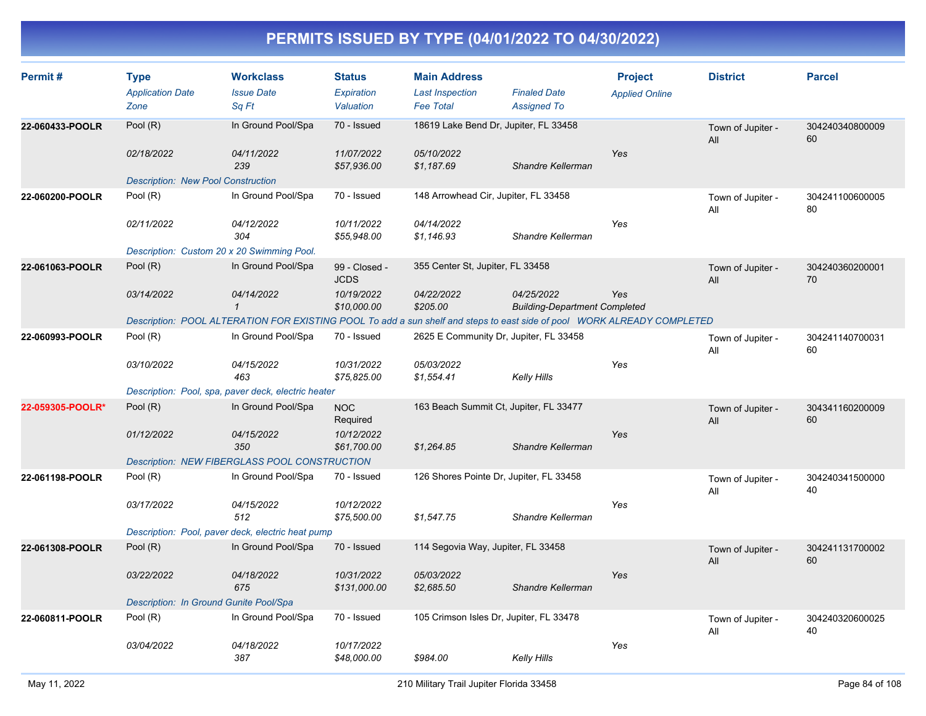| Permit#          | <b>Type</b><br><b>Application Date</b><br>Zone          | <b>Workclass</b><br><b>Issue Date</b><br>Sq Ft                                                                          | <b>Status</b><br>Expiration<br>Valuation | <b>Main Address</b><br><b>Last Inspection</b><br><b>Fee Total</b> | <b>Finaled Date</b><br><b>Assigned To</b>          | <b>Project</b><br><b>Applied Online</b> | <b>District</b>          | <b>Parcel</b>         |
|------------------|---------------------------------------------------------|-------------------------------------------------------------------------------------------------------------------------|------------------------------------------|-------------------------------------------------------------------|----------------------------------------------------|-----------------------------------------|--------------------------|-----------------------|
| 22-060433-POOLR  | Pool (R)                                                | In Ground Pool/Spa                                                                                                      | 70 - Issued                              | 18619 Lake Bend Dr, Jupiter, FL 33458                             |                                                    |                                         | Town of Jupiter -<br>All | 304240340800009<br>60 |
|                  | 02/18/2022<br><b>Description: New Pool Construction</b> | 04/11/2022<br>239                                                                                                       | 11/07/2022<br>\$57,936.00                | 05/10/2022<br>\$1,187.69                                          | Shandre Kellerman                                  | Yes                                     |                          |                       |
| 22-060200-POOLR  | Pool (R)                                                | In Ground Pool/Spa                                                                                                      | 70 - Issued                              | 148 Arrowhead Cir, Jupiter, FL 33458                              |                                                    |                                         | Town of Jupiter -<br>All | 304241100600005<br>80 |
|                  | 02/11/2022                                              | 04/12/2022<br>304                                                                                                       | 10/11/2022<br>\$55,948.00                | 04/14/2022<br>\$1,146.93                                          | Shandre Kellerman                                  | Yes                                     |                          |                       |
|                  | Description: Custom 20 x 20 Swimming Pool.              |                                                                                                                         |                                          |                                                                   |                                                    |                                         |                          |                       |
| 22-061063-POOLR  | Pool (R)                                                | In Ground Pool/Spa                                                                                                      | 99 - Closed -<br><b>JCDS</b>             | 355 Center St, Jupiter, FL 33458                                  |                                                    |                                         | Town of Jupiter -<br>All | 304240360200001<br>70 |
|                  | 03/14/2022                                              | 04/14/2022<br>$\mathbf{1}$                                                                                              | 10/19/2022<br>\$10,000.00                | 04/22/2022<br>\$205.00                                            | 04/25/2022<br><b>Building-Department Completed</b> | Yes                                     |                          |                       |
|                  |                                                         | Description: POOL ALTERATION FOR EXISTING POOL To add a sun shelf and steps to east side of pool WORK ALREADY COMPLETED |                                          |                                                                   |                                                    |                                         |                          |                       |
| 22-060993-POOLR  | Pool (R)                                                | In Ground Pool/Spa                                                                                                      | 70 - Issued                              | 2625 E Community Dr, Jupiter, FL 33458                            |                                                    |                                         | Town of Jupiter -<br>All | 304241140700031<br>60 |
|                  | 03/10/2022                                              | 04/15/2022<br>463                                                                                                       | 10/31/2022<br>\$75,825.00                | 05/03/2022<br>\$1,554.41                                          | Kelly Hills                                        | Yes                                     |                          |                       |
|                  |                                                         | Description: Pool, spa, paver deck, electric heater                                                                     |                                          |                                                                   |                                                    |                                         |                          |                       |
| 22-059305-POOLR* | Pool (R)                                                | In Ground Pool/Spa                                                                                                      | <b>NOC</b><br>Required                   | 163 Beach Summit Ct, Jupiter, FL 33477                            |                                                    |                                         | Town of Jupiter -<br>All | 304341160200009<br>60 |
|                  | 01/12/2022                                              | 04/15/2022<br>350                                                                                                       | 10/12/2022<br>\$61,700.00                | \$1,264.85                                                        | Shandre Kellerman                                  | Yes                                     |                          |                       |
|                  |                                                         | Description: NEW FIBERGLASS POOL CONSTRUCTION                                                                           |                                          |                                                                   |                                                    |                                         |                          |                       |
| 22-061198-POOLR  | Pool (R)                                                | In Ground Pool/Spa                                                                                                      | 70 - Issued                              | 126 Shores Pointe Dr, Jupiter, FL 33458                           |                                                    |                                         | Town of Jupiter -<br>All | 304240341500000<br>40 |
|                  | 03/17/2022                                              | 04/15/2022<br>512                                                                                                       | 10/12/2022<br>\$75,500.00                | \$1,547.75                                                        | Shandre Kellerman                                  | Yes                                     |                          |                       |
|                  |                                                         | Description: Pool, paver deck, electric heat pump                                                                       |                                          |                                                                   |                                                    |                                         |                          |                       |
| 22-061308-POOLR  | Pool (R)                                                | In Ground Pool/Spa                                                                                                      | 70 - Issued                              | 114 Segovia Way, Jupiter, FL 33458                                |                                                    |                                         | Town of Jupiter -<br>All | 304241131700002<br>60 |
|                  | 03/22/2022                                              | 04/18/2022<br>675                                                                                                       | 10/31/2022<br>\$131,000.00               | 05/03/2022<br>\$2,685.50                                          | Shandre Kellerman                                  | Yes                                     |                          |                       |
|                  | Description: In Ground Gunite Pool/Spa                  |                                                                                                                         |                                          |                                                                   |                                                    |                                         |                          |                       |
| 22-060811-POOLR  | Pool (R)                                                | In Ground Pool/Spa                                                                                                      | 70 - Issued                              | 105 Crimson Isles Dr, Jupiter, FL 33478                           |                                                    |                                         | Town of Jupiter -<br>All | 304240320600025<br>40 |
|                  | 03/04/2022                                              | 04/18/2022<br>387                                                                                                       | 10/17/2022<br>\$48,000.00                | \$984.00                                                          | Kelly Hills                                        | Yes                                     |                          |                       |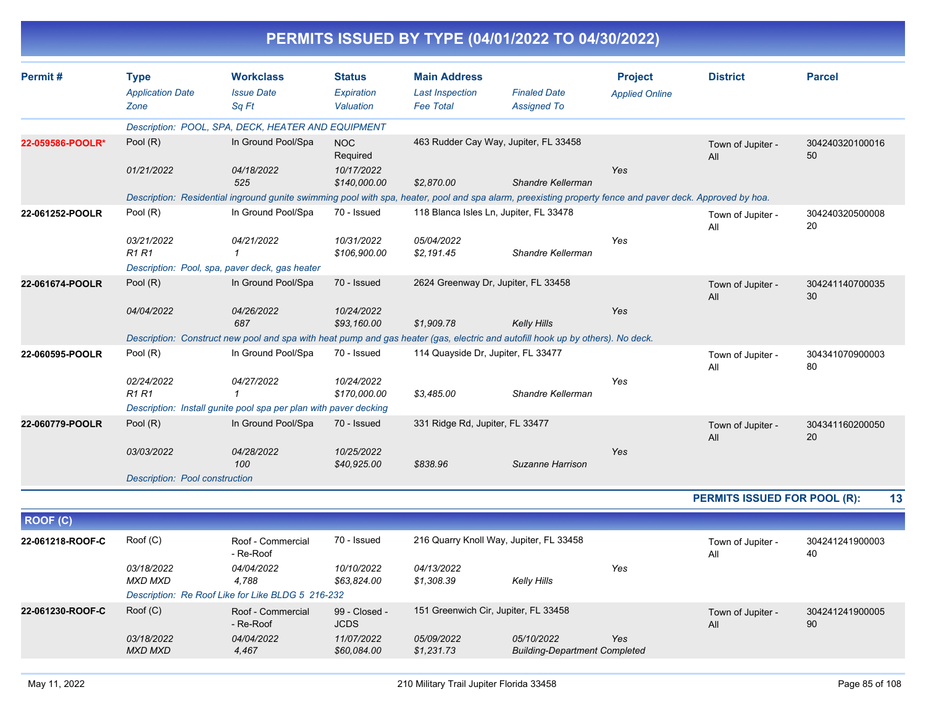|                  |                                |                                                                                                                                                          |                              |                                        | PERMITS ISSUED BY TYPE (04/01/2022 TO 04/30/2022)  |                       |                                     |                       |
|------------------|--------------------------------|----------------------------------------------------------------------------------------------------------------------------------------------------------|------------------------------|----------------------------------------|----------------------------------------------------|-----------------------|-------------------------------------|-----------------------|
| Permit#          | <b>Type</b>                    | <b>Workclass</b>                                                                                                                                         | <b>Status</b>                | <b>Main Address</b>                    |                                                    | <b>Project</b>        | <b>District</b>                     | <b>Parcel</b>         |
|                  | <b>Application Date</b>        | <b>Issue Date</b>                                                                                                                                        | Expiration                   | <b>Last Inspection</b>                 | <b>Finaled Date</b>                                | <b>Applied Online</b> |                                     |                       |
|                  | Zone                           | Sq Ft                                                                                                                                                    | Valuation                    | <b>Fee Total</b>                       | <b>Assigned To</b>                                 |                       |                                     |                       |
|                  |                                | Description: POOL, SPA, DECK, HEATER AND EQUIPMENT                                                                                                       |                              |                                        |                                                    |                       |                                     |                       |
| 22-059586-POOLR* | Pool $(R)$                     | In Ground Pool/Spa                                                                                                                                       | <b>NOC</b><br>Required       |                                        | 463 Rudder Cay Way, Jupiter, FL 33458              |                       | Town of Jupiter -<br>All            | 304240320100016<br>50 |
|                  | 01/21/2022                     | 04/18/2022<br>525                                                                                                                                        | 10/17/2022<br>\$140,000.00   | \$2.870.00                             | Shandre Kellerman                                  | Yes                   |                                     |                       |
|                  |                                | Description: Residential inground gunite swimming pool with spa, heater, pool and spa alarm, preexisting property fence and paver deck. Approved by hoa. |                              |                                        |                                                    |                       |                                     |                       |
| 22-061252-POOLR  | Pool (R)                       | In Ground Pool/Spa                                                                                                                                       | 70 - Issued                  | 118 Blanca Isles Ln, Jupiter, FL 33478 |                                                    |                       | Town of Jupiter -<br>All            | 304240320500008<br>20 |
|                  | 03/21/2022<br><b>R1 R1</b>     | 04/21/2022                                                                                                                                               | 10/31/2022<br>\$106,900.00   | 05/04/2022<br>\$2,191.45               | Shandre Kellerman                                  | Yes                   |                                     |                       |
|                  |                                | Description: Pool, spa, paver deck, gas heater                                                                                                           |                              |                                        |                                                    |                       |                                     |                       |
| 22-061674-POOLR  | Pool $(R)$                     | In Ground Pool/Spa                                                                                                                                       | 70 - Issued                  | 2624 Greenway Dr, Jupiter, FL 33458    |                                                    |                       | Town of Jupiter -<br>All            | 304241140700035<br>30 |
|                  | 04/04/2022                     | 04/26/2022<br>687                                                                                                                                        | 10/24/2022<br>\$93,160.00    | \$1,909.78                             | <b>Kelly Hills</b>                                 | Yes                   |                                     |                       |
|                  |                                | Description: Construct new pool and spa with heat pump and gas heater (gas, electric and autofill hook up by others). No deck.                           |                              |                                        |                                                    |                       |                                     |                       |
| 22-060595-POOLR  | Pool $(R)$                     | In Ground Pool/Spa                                                                                                                                       | 70 - Issued                  | 114 Quayside Dr, Jupiter, FL 33477     |                                                    |                       | Town of Jupiter -<br>All            | 304341070900003<br>80 |
|                  | 02/24/2022<br><b>R1 R1</b>     | 04/27/2022                                                                                                                                               | 10/24/2022<br>\$170,000.00   | \$3,485.00                             | Shandre Kellerman                                  | Yes                   |                                     |                       |
|                  |                                | Description: Install gunite pool spa per plan with paver decking                                                                                         |                              |                                        |                                                    |                       |                                     |                       |
| 22-060779-POOLR  | Pool $(R)$                     | In Ground Pool/Spa                                                                                                                                       | 70 - Issued                  | 331 Ridge Rd, Jupiter, FL 33477        |                                                    |                       | Town of Jupiter -<br>All            | 304341160200050<br>20 |
|                  | 03/03/2022                     | 04/28/2022<br>100                                                                                                                                        | 10/25/2022<br>\$40,925.00    | \$838.96                               | Suzanne Harrison                                   | Yes                   |                                     |                       |
|                  | Description: Pool construction |                                                                                                                                                          |                              |                                        |                                                    |                       |                                     |                       |
|                  |                                |                                                                                                                                                          |                              |                                        |                                                    |                       | <b>PERMITS ISSUED FOR POOL (R):</b> | 13                    |
| ROOF (C)         |                                |                                                                                                                                                          |                              |                                        |                                                    |                       |                                     |                       |
| 22-061218-ROOF-C | Roof (C)                       | Roof - Commercial<br>- Re-Roof                                                                                                                           | 70 - Issued                  |                                        | 216 Quarry Knoll Way, Jupiter, FL 33458            |                       | Town of Jupiter -<br>All            | 304241241900003<br>40 |
|                  | 03/18/2022<br><b>MXD MXD</b>   | 04/04/2022<br>4,788                                                                                                                                      | 10/10/2022<br>\$63,824.00    | 04/13/2022<br>\$1,308.39               | <b>Kelly Hills</b>                                 | Yes                   |                                     |                       |
|                  |                                | Description: Re Roof Like for Like BLDG 5 216-232                                                                                                        |                              |                                        |                                                    |                       |                                     |                       |
| 22-061230-ROOF-C | Root(C)                        | Roof - Commercial<br>- Re-Roof                                                                                                                           | 99 - Closed -<br><b>JCDS</b> | 151 Greenwich Cir, Jupiter, FL 33458   |                                                    |                       | Town of Jupiter -<br>All            | 304241241900005<br>90 |
|                  | 03/18/2022<br><b>MXD MXD</b>   | 04/04/2022<br>4,467                                                                                                                                      | 11/07/2022<br>\$60,084.00    | 05/09/2022<br>\$1,231.73               | 05/10/2022<br><b>Building-Department Completed</b> | Yes                   |                                     |                       |
|                  |                                |                                                                                                                                                          |                              |                                        |                                                    |                       |                                     |                       |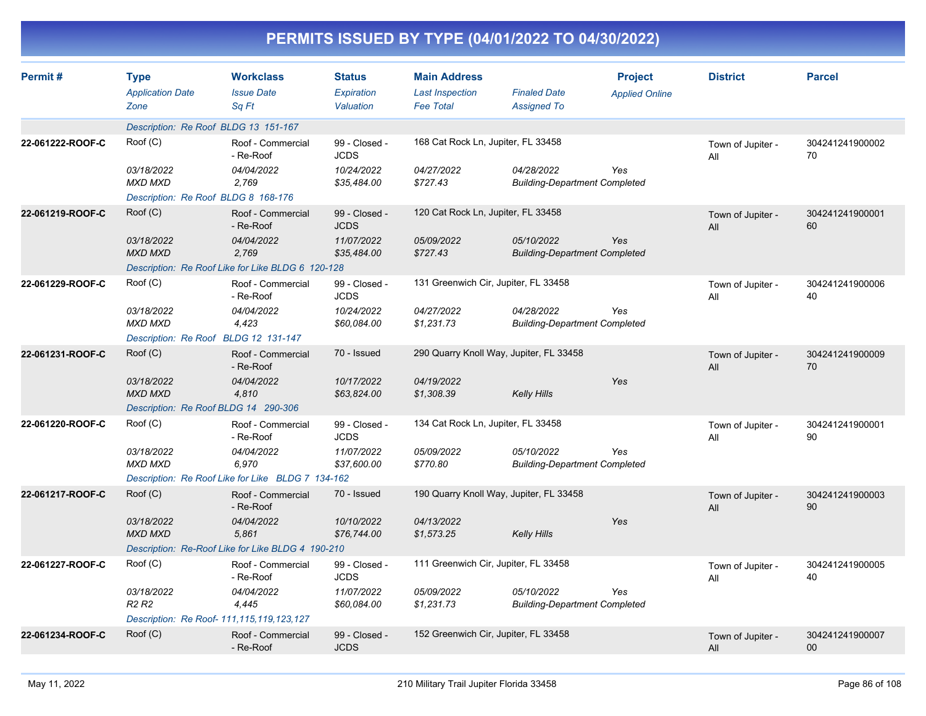| PERMITS ISSUED BY TYPE (04/01/2022 TO 04/30/2022) |                                                |                                                   |                                          |                                                                   |                                                    |                                         |                          |                           |
|---------------------------------------------------|------------------------------------------------|---------------------------------------------------|------------------------------------------|-------------------------------------------------------------------|----------------------------------------------------|-----------------------------------------|--------------------------|---------------------------|
| Permit#                                           | <b>Type</b><br><b>Application Date</b><br>Zone | <b>Workclass</b><br><b>Issue Date</b><br>Sq Ft    | <b>Status</b><br>Expiration<br>Valuation | <b>Main Address</b><br><b>Last Inspection</b><br><b>Fee Total</b> | <b>Finaled Date</b><br><b>Assigned To</b>          | <b>Project</b><br><b>Applied Online</b> | <b>District</b>          | <b>Parcel</b>             |
|                                                   | Description: Re Roof BLDG 13 151-167           |                                                   |                                          |                                                                   |                                                    |                                         |                          |                           |
| 22-061222-ROOF-C                                  | Root(C)                                        | Roof - Commercial<br>- Re-Roof                    | 99 - Closed -<br><b>JCDS</b>             | 168 Cat Rock Ln, Jupiter, FL 33458                                |                                                    |                                         | Town of Jupiter -<br>All | 304241241900002<br>70     |
|                                                   | 03/18/2022<br><b>MXD MXD</b>                   | 04/04/2022<br>2,769                               | 10/24/2022<br>\$35,484.00                | 04/27/2022<br>\$727.43                                            | 04/28/2022<br><b>Building-Department Completed</b> | Yes                                     |                          |                           |
|                                                   | Description: Re Roof BLDG 8 168-176            |                                                   |                                          |                                                                   |                                                    |                                         |                          |                           |
| 22-061219-ROOF-C                                  | Root(C)                                        | Roof - Commercial<br>- Re-Roof                    | 99 - Closed -<br><b>JCDS</b>             | 120 Cat Rock Ln, Jupiter, FL 33458                                |                                                    |                                         | Town of Jupiter -<br>All | 304241241900001<br>60     |
|                                                   | 03/18/2022<br><b>MXD MXD</b>                   | 04/04/2022<br>2,769                               | 11/07/2022<br>\$35,484.00                | 05/09/2022<br>\$727.43                                            | 05/10/2022<br><b>Building-Department Completed</b> | Yes                                     |                          |                           |
|                                                   |                                                | Description: Re Roof Like for Like BLDG 6 120-128 |                                          |                                                                   |                                                    |                                         |                          |                           |
| 22-061229-ROOF-C                                  | Root(C)                                        | Roof - Commercial<br>- Re-Roof                    | 99 - Closed -<br><b>JCDS</b>             | 131 Greenwich Cir, Jupiter, FL 33458                              |                                                    |                                         | Town of Jupiter -<br>All | 304241241900006<br>40     |
|                                                   | 03/18/2022<br><b>MXD MXD</b>                   | 04/04/2022<br>4,423                               | 10/24/2022<br>\$60,084.00                | 04/27/2022<br>\$1,231.73                                          | 04/28/2022<br><b>Building-Department Completed</b> | Yes                                     |                          |                           |
|                                                   |                                                | Description: Re Roof BLDG 12 131-147              |                                          |                                                                   |                                                    |                                         |                          |                           |
| 22-061231-ROOF-C                                  | Root(C)                                        | Roof - Commercial<br>- Re-Roof                    | 70 - Issued                              |                                                                   | 290 Quarry Knoll Way, Jupiter, FL 33458            |                                         | Town of Jupiter -<br>All | 304241241900009<br>70     |
|                                                   | 03/18/2022<br><b>MXD MXD</b>                   | 04/04/2022<br>4,810                               | 10/17/2022<br>\$63,824.00                | 04/19/2022<br>\$1,308.39                                          | <b>Kelly Hills</b>                                 | Yes                                     |                          |                           |
|                                                   | Description: Re Roof BLDG 14 290-306           |                                                   |                                          |                                                                   |                                                    |                                         |                          |                           |
| 22-061220-ROOF-C                                  | Root(C)                                        | Roof - Commercial<br>- Re-Roof                    | 99 - Closed -<br><b>JCDS</b>             | 134 Cat Rock Ln, Jupiter, FL 33458                                |                                                    |                                         | Town of Jupiter -<br>All | 304241241900001<br>90     |
|                                                   | 03/18/2022<br><b>MXD MXD</b>                   | 04/04/2022<br>6,970                               | 11/07/2022<br>\$37,600.00                | 05/09/2022<br>\$770.80                                            | 05/10/2022<br><b>Building-Department Completed</b> | Yes                                     |                          |                           |
|                                                   |                                                | Description: Re Roof Like for Like BLDG 7 134-162 |                                          |                                                                   |                                                    |                                         |                          |                           |
| 22-061217-ROOF-C                                  | Root(C)                                        | Roof - Commercial<br>- Re-Roof                    | 70 - Issued                              |                                                                   | 190 Quarry Knoll Way, Jupiter, FL 33458            |                                         | Town of Jupiter -<br>All | 304241241900003<br>90     |
|                                                   | 03/18/2022<br><b>MXD MXD</b>                   | 04/04/2022<br>5,861                               | 10/10/2022<br>\$76,744.00                | 04/13/2022<br>\$1,573.25                                          | <b>Kelly Hills</b>                                 | Yes                                     |                          |                           |
|                                                   |                                                | Description: Re-Roof Like for Like BLDG 4 190-210 |                                          |                                                                   |                                                    |                                         |                          |                           |
| 22-061227-ROOF-C                                  | Roof (C)                                       | Roof - Commercial<br>- Re-Roof                    | 99 - Closed -<br><b>JCDS</b>             | 111 Greenwich Cir, Jupiter, FL 33458                              |                                                    |                                         | Town of Jupiter -<br>ail | 304241241900005<br>40     |
|                                                   | 03/18/2022<br>R <sub>2</sub> R <sub>2</sub>    | 04/04/2022<br>4,445                               | 11/07/2022<br>\$60,084.00                | 05/09/2022<br>\$1,231.73                                          | 05/10/2022<br><b>Building-Department Completed</b> | Yes                                     |                          |                           |
|                                                   |                                                | Description: Re Roof- 111, 115, 119, 123, 127     |                                          |                                                                   |                                                    |                                         |                          |                           |
| 22-061234-ROOF-C                                  | Root(C)                                        | Roof - Commercial<br>- Re-Roof                    | 99 - Closed -<br>JCDS                    | 152 Greenwich Cir, Jupiter, FL 33458                              |                                                    |                                         | Town of Jupiter -<br>All | 304241241900007<br>$00\,$ |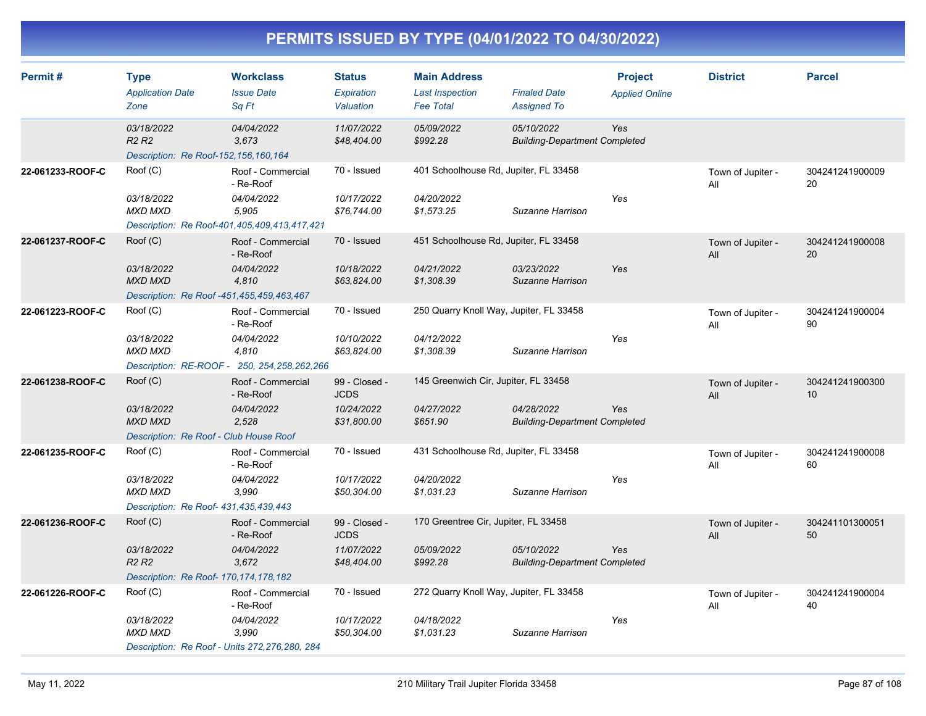| Permit#          | <b>Type</b><br><b>Application Date</b><br>Zone                                          | <b>Workclass</b><br><b>Issue Date</b><br>Sq Ft                        | <b>Status</b><br><b>Expiration</b><br>Valuation | <b>Main Address</b><br><b>Last Inspection</b><br><b>Fee Total</b> | <b>Finaled Date</b><br><b>Assigned To</b>          | <b>Project</b><br><b>Applied Online</b> | <b>District</b>          | <b>Parcel</b>         |
|------------------|-----------------------------------------------------------------------------------------|-----------------------------------------------------------------------|-------------------------------------------------|-------------------------------------------------------------------|----------------------------------------------------|-----------------------------------------|--------------------------|-----------------------|
|                  | 03/18/2022<br>R <sub>2</sub> R <sub>2</sub><br>Description: Re Roof-152, 156, 160, 164  | 04/04/2022<br>3,673                                                   | 11/07/2022<br>\$48,404.00                       | 05/09/2022<br>\$992.28                                            | 05/10/2022<br><b>Building-Department Completed</b> | Yes                                     |                          |                       |
| 22-061233-ROOF-C | Root(C)<br>03/18/2022<br><b>MXD MXD</b>                                                 | Roof - Commercial<br>- Re-Roof<br>04/04/2022<br>5,905                 | 70 - Issued<br>10/17/2022<br>\$76,744.00        | 401 Schoolhouse Rd, Jupiter, FL 33458<br>04/20/2022<br>\$1,573.25 | Suzanne Harrison                                   | Yes                                     | Town of Jupiter -<br>All | 304241241900009<br>20 |
|                  | Description: Re Roof-401,405,409,413,417,421                                            |                                                                       |                                                 |                                                                   |                                                    |                                         |                          |                       |
| 22-061237-ROOF-C | Root(C)                                                                                 | Roof - Commercial<br>- Re-Roof                                        | 70 - Issued                                     | 451 Schoolhouse Rd, Jupiter, FL 33458                             |                                                    |                                         | Town of Jupiter -<br>All | 304241241900008<br>20 |
|                  | 03/18/2022<br><b>MXD MXD</b>                                                            | 04/04/2022<br>4,810                                                   | 10/18/2022<br>\$63,824.00                       | 04/21/2022<br>\$1,308.39                                          | 03/23/2022<br>Suzanne Harrison                     | Yes                                     |                          |                       |
|                  | Description: Re Roof -451,455,459,463,467                                               |                                                                       |                                                 |                                                                   |                                                    |                                         |                          |                       |
| 22-061223-ROOF-C | Root(C)                                                                                 | Roof - Commercial<br>- Re-Roof                                        | 70 - Issued                                     | 250 Quarry Knoll Way, Jupiter, FL 33458                           |                                                    |                                         | Town of Jupiter -<br>All | 304241241900004<br>90 |
|                  | 03/18/2022<br>MXD MXD                                                                   | 04/04/2022<br>4,810<br>Description: RE-ROOF - 250, 254, 258, 262, 266 | 10/10/2022<br>\$63,824.00                       | 04/12/2022<br>\$1,308.39                                          | Suzanne Harrison                                   | Yes                                     |                          |                       |
| 22-061238-ROOF-C | Root(C)                                                                                 | Roof - Commercial<br>- Re-Roof                                        | 99 - Closed -<br><b>JCDS</b>                    | 145 Greenwich Cir, Jupiter, FL 33458                              |                                                    |                                         | Town of Jupiter -<br>All | 304241241900300<br>10 |
|                  | 03/18/2022<br><b>MXD MXD</b>                                                            | 04/04/2022<br>2,528                                                   | 10/24/2022<br>\$31,800.00                       | 04/27/2022<br>\$651.90                                            | 04/28/2022<br><b>Building-Department Completed</b> | Yes                                     |                          |                       |
|                  | Description: Re Roof - Club House Roof                                                  |                                                                       |                                                 |                                                                   |                                                    |                                         |                          |                       |
| 22-061235-ROOF-C | Root(C)                                                                                 | Roof - Commercial<br>- Re-Roof                                        | 70 - Issued                                     | 431 Schoolhouse Rd, Jupiter, FL 33458                             |                                                    |                                         | Town of Jupiter -<br>All | 304241241900008<br>60 |
|                  | 03/18/2022<br>MXD MXD<br>Description: Re Roof- 431, 435, 439, 443                       | 04/04/2022<br>3,990                                                   | 10/17/2022<br>\$50,304.00                       | 04/20/2022<br>\$1,031.23                                          | Suzanne Harrison                                   | Yes                                     |                          |                       |
| 22-061236-ROOF-C | Root(C)                                                                                 | Roof - Commercial<br>- Re-Roof                                        | 99 - Closed -<br><b>JCDS</b>                    | 170 Greentree Cir, Jupiter, FL 33458                              |                                                    |                                         | Town of Jupiter -<br>All | 304241101300051<br>50 |
|                  | 03/18/2022<br>R <sub>2</sub> R <sub>2</sub><br>Description: Re Roof- 170, 174, 178, 182 | 04/04/2022<br>3,672                                                   | 11/07/2022<br>\$48,404.00                       | 05/09/2022<br>\$992.28                                            | 05/10/2022<br><b>Building-Department Completed</b> | Yes                                     |                          |                       |
| 22-061226-ROOF-C | Roof (C)                                                                                | Roof - Commercial<br>- Re-Roof                                        | 70 - Issued                                     | 272 Quarry Knoll Way, Jupiter, FL 33458                           |                                                    |                                         | Town of Jupiter -<br>All | 304241241900004<br>40 |
|                  | 03/18/2022<br><b>MXD MXD</b>                                                            | 04/04/2022<br>3.990                                                   | 10/17/2022<br>\$50,304.00                       | 04/18/2022<br>\$1.031.23                                          | Suzanne Harrison                                   | Yes                                     |                          |                       |
|                  | Description: Re Roof - Units 272, 276, 280, 284                                         |                                                                       |                                                 |                                                                   |                                                    |                                         |                          |                       |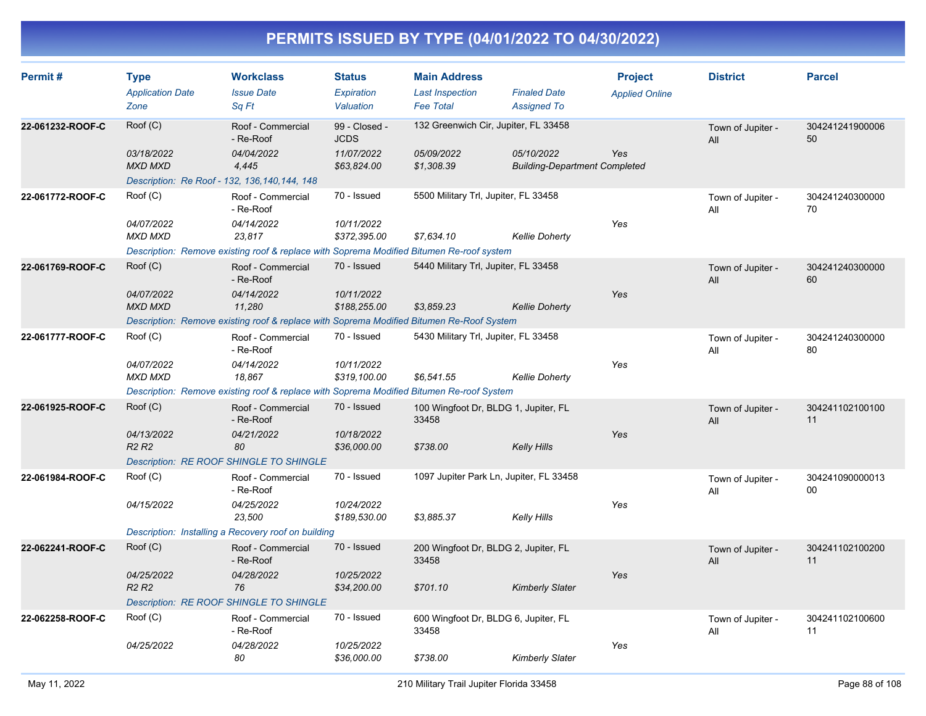| Permit#          | <b>Type</b><br><b>Application Date</b><br>Zone                                 | <b>Workclass</b><br><b>Issue Date</b><br>Sq Ft                                           | <b>Status</b><br>Expiration<br>Valuation | <b>Main Address</b><br><b>Last Inspection</b><br><b>Fee Total</b> | <b>Finaled Date</b><br><b>Assigned To</b>          | <b>Project</b><br><b>Applied Online</b> | <b>District</b>          | <b>Parcel</b>             |
|------------------|--------------------------------------------------------------------------------|------------------------------------------------------------------------------------------|------------------------------------------|-------------------------------------------------------------------|----------------------------------------------------|-----------------------------------------|--------------------------|---------------------------|
| 22-061232-ROOF-C | Root(C)                                                                        | Roof - Commercial<br>- Re-Roof                                                           | 99 - Closed -<br><b>JCDS</b>             | 132 Greenwich Cir, Jupiter, FL 33458                              |                                                    |                                         | Town of Jupiter -<br>All | 304241241900006<br>50     |
|                  | 03/18/2022<br><b>MXD MXD</b><br>Description: Re Roof - 132, 136, 140, 144, 148 | 04/04/2022<br>4,445                                                                      | 11/07/2022<br>\$63,824.00                | 05/09/2022<br>\$1,308.39                                          | 05/10/2022<br><b>Building-Department Completed</b> | Yes                                     |                          |                           |
| 22-061772-ROOF-C | Root(C)                                                                        | Roof - Commercial<br>- Re-Roof                                                           | 70 - Issued                              | 5500 Military Trl, Jupiter, FL 33458                              |                                                    |                                         | Town of Jupiter -<br>All | 304241240300000<br>70     |
|                  | 04/07/2022<br><b>MXD MXD</b>                                                   | 04/14/2022<br>23.817                                                                     | 10/11/2022<br>\$372,395.00               | \$7,634.10                                                        | <b>Kellie Doherty</b>                              | Yes                                     |                          |                           |
|                  |                                                                                | Description: Remove existing roof & replace with Soprema Modified Bitumen Re-roof system |                                          |                                                                   |                                                    |                                         |                          |                           |
| 22-061769-ROOF-C | Root(C)                                                                        | Roof - Commercial<br>- Re-Roof                                                           | 70 - Issued                              | 5440 Military Trl, Jupiter, FL 33458                              |                                                    |                                         | Town of Jupiter -<br>All | 304241240300000<br>60     |
|                  | 04/07/2022<br><b>MXD MXD</b>                                                   | 04/14/2022<br>11,280                                                                     | 10/11/2022<br>\$188,255.00               | \$3,859.23                                                        | <b>Kellie Doherty</b>                              | Yes                                     |                          |                           |
|                  |                                                                                | Description: Remove existing roof & replace with Soprema Modified Bitumen Re-Roof System |                                          |                                                                   |                                                    |                                         |                          |                           |
| 22-061777-ROOF-C | Root(C)                                                                        | Roof - Commercial<br>- Re-Roof                                                           | 70 - Issued                              | 5430 Military Trl, Jupiter, FL 33458                              |                                                    |                                         | Town of Jupiter -<br>All | 304241240300000<br>80     |
|                  | 04/07/2022<br><b>MXD MXD</b>                                                   | 04/14/2022<br>18,867                                                                     | 10/11/2022<br>\$319,100.00               | \$6,541.55                                                        | <b>Kellie Doherty</b>                              | Yes                                     |                          |                           |
|                  |                                                                                | Description: Remove existing roof & replace with Soprema Modified Bitumen Re-roof System |                                          |                                                                   |                                                    |                                         |                          |                           |
| 22-061925-ROOF-C | Root(C)                                                                        | Roof - Commercial<br>- Re-Roof                                                           | 70 - Issued                              | 100 Wingfoot Dr, BLDG 1, Jupiter, FL<br>33458                     |                                                    |                                         | Town of Jupiter -<br>All | 304241102100100<br>11     |
|                  | 04/13/2022<br>R <sub>2</sub> R <sub>2</sub>                                    | 04/21/2022<br>80                                                                         | 10/18/2022<br>\$36,000.00                | \$738.00                                                          | Kelly Hills                                        | Yes                                     |                          |                           |
|                  |                                                                                | <b>Description: RE ROOF SHINGLE TO SHINGLE</b>                                           |                                          |                                                                   |                                                    |                                         |                          |                           |
| 22-061984-ROOF-C | Roof (C)                                                                       | Roof - Commercial<br>- Re-Roof                                                           | 70 - Issued                              | 1097 Jupiter Park Ln, Jupiter, FL 33458                           |                                                    |                                         | Town of Jupiter -<br>All | 304241090000013<br>$00\,$ |
|                  | 04/15/2022                                                                     | 04/25/2022<br>23,500                                                                     | 10/24/2022<br>\$189,530.00               | \$3,885.37                                                        | Kelly Hills                                        | Yes                                     |                          |                           |
|                  |                                                                                | Description: Installing a Recovery roof on building                                      |                                          |                                                                   |                                                    |                                         |                          |                           |
| 22-062241-ROOF-C | Root(C)                                                                        | Roof - Commercial<br>- Re-Roof                                                           | 70 - Issued                              | 200 Wingfoot Dr, BLDG 2, Jupiter, FL<br>33458                     |                                                    |                                         | Town of Jupiter -<br>All | 304241102100200<br>11     |
|                  | 04/25/2022<br>R <sub>2</sub> R <sub>2</sub>                                    | 04/28/2022<br>76                                                                         | 10/25/2022<br>\$34,200.00                | \$701.10                                                          | <b>Kimberly Slater</b>                             | Yes                                     |                          |                           |
|                  |                                                                                | <b>Description: RE ROOF SHINGLE TO SHINGLE</b>                                           |                                          |                                                                   |                                                    |                                         |                          |                           |
| 22-062258-ROOF-C | Root(C)                                                                        | Roof - Commercial<br>- Re-Roof                                                           | 70 - Issued                              | 600 Wingfoot Dr, BLDG 6, Jupiter, FL<br>33458                     |                                                    |                                         | Town of Jupiter -<br>All | 304241102100600<br>11     |
|                  | 04/25/2022                                                                     | 04/28/2022<br>80                                                                         | 10/25/2022<br>\$36,000.00                | \$738.00                                                          | Kimberly Slater                                    | Yes                                     |                          |                           |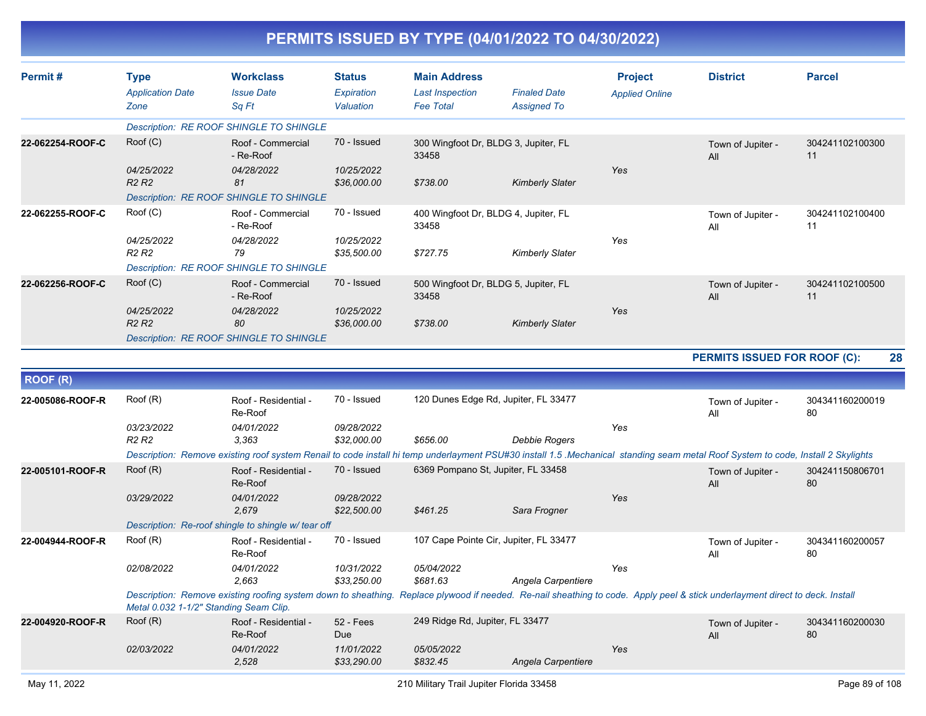| PERMITS ISSUED BY TYPE (04/01/2022 TO 04/30/2022) |  |
|---------------------------------------------------|--|
|---------------------------------------------------|--|

| Permit#          | <b>Type</b><br><b>Application Date</b><br>Zone | <b>Workclass</b><br><b>Issue Date</b><br>Sq Ft                                                                                                                                   | <b>Status</b><br>Expiration<br>Valuation | <b>Main Address</b><br><b>Last Inspection</b><br><b>Fee Total</b> | <b>Finaled Date</b><br><b>Assigned To</b> | <b>Project</b><br><b>Applied Online</b> | <b>District</b>              | <b>Parcel</b>         |
|------------------|------------------------------------------------|----------------------------------------------------------------------------------------------------------------------------------------------------------------------------------|------------------------------------------|-------------------------------------------------------------------|-------------------------------------------|-----------------------------------------|------------------------------|-----------------------|
|                  |                                                | Description: RE ROOF SHINGLE TO SHINGLE                                                                                                                                          |                                          |                                                                   |                                           |                                         |                              |                       |
| 22-062254-ROOF-C | Root(C)                                        | Roof - Commercial<br>- Re-Roof                                                                                                                                                   | 70 - Issued                              | 300 Wingfoot Dr, BLDG 3, Jupiter, FL<br>33458                     |                                           |                                         | Town of Jupiter -<br>All     | 304241102100300<br>11 |
|                  | 04/25/2022<br><b>R2 R2</b>                     | 04/28/2022<br>81<br>Description: RE ROOF SHINGLE TO SHINGLE                                                                                                                      | 10/25/2022<br>\$36,000.00                | \$738.00                                                          | <b>Kimberly Slater</b>                    | Yes                                     |                              |                       |
| 22-062255-ROOF-C | Root(C)                                        | Roof - Commercial<br>- Re-Roof                                                                                                                                                   | 70 - Issued                              | 400 Wingfoot Dr, BLDG 4, Jupiter, FL<br>33458                     |                                           |                                         | Town of Jupiter -<br>All     | 304241102100400<br>11 |
|                  | 04/25/2022<br><b>R2 R2</b>                     | 04/28/2022<br>79                                                                                                                                                                 | 10/25/2022<br>\$35,500.00                | \$727.75                                                          | <b>Kimberly Slater</b>                    | Yes                                     |                              |                       |
|                  |                                                | Description: RE ROOF SHINGLE TO SHINGLE                                                                                                                                          |                                          |                                                                   |                                           |                                         |                              |                       |
| 22-062256-ROOF-C | Root(C)                                        | Roof - Commercial<br>- Re-Roof                                                                                                                                                   | 70 - Issued                              | 500 Wingfoot Dr, BLDG 5, Jupiter, FL<br>33458                     |                                           |                                         | Town of Jupiter -<br>All     | 304241102100500<br>11 |
|                  | 04/25/2022<br><b>R2 R2</b>                     | 04/28/2022<br>80                                                                                                                                                                 | 10/25/2022<br>\$36,000.00                | \$738.00                                                          | <b>Kimberly Slater</b>                    | Yes                                     |                              |                       |
|                  |                                                | <b>Description: RE ROOF SHINGLE TO SHINGLE</b>                                                                                                                                   |                                          |                                                                   |                                           |                                         |                              |                       |
|                  |                                                |                                                                                                                                                                                  |                                          |                                                                   |                                           |                                         | PERMITS ISSUED FOR ROOF (C): | 28                    |
| <b>ROOF (R)</b>  |                                                |                                                                                                                                                                                  |                                          |                                                                   |                                           |                                         |                              |                       |
|                  |                                                |                                                                                                                                                                                  |                                          |                                                                   |                                           |                                         |                              |                       |
| 22-005086-ROOF-R | Roof (R)                                       | Roof - Residential -<br>Re-Roof                                                                                                                                                  | 70 - Issued                              | 120 Dunes Edge Rd, Jupiter, FL 33477                              |                                           |                                         | Town of Jupiter -<br>All     | 304341160200019<br>80 |
|                  | 03/23/2022<br><b>R2 R2</b>                     | 04/01/2022<br>3.363                                                                                                                                                              | 09/28/2022<br>\$32,000.00                | \$656.00                                                          | Debbie Rogers                             | Yes                                     |                              |                       |
|                  |                                                | Description: Remove existing roof system Renail to code install hi temp underlayment PSU#30 install 1.5 .Mechanical standing seam metal Roof System to code, Install 2 Skylights |                                          |                                                                   |                                           |                                         |                              |                       |
| 22-005101-ROOF-R | Root(R)                                        | Roof - Residential -<br>Re-Roof                                                                                                                                                  | 70 - Issued                              | 6369 Pompano St, Jupiter, FL 33458                                |                                           |                                         | Town of Jupiter -<br>All     | 304241150806701<br>80 |
|                  | <i>03/29/2022</i>                              | 04/01/2022<br>2,679                                                                                                                                                              | 09/28/2022<br>\$22,500.00                | \$461.25                                                          | Sara Frogner                              | Yes                                     |                              |                       |
|                  |                                                | Description: Re-roof shingle to shingle w/ tear off                                                                                                                              |                                          |                                                                   |                                           |                                         |                              |                       |
| 22-004944-ROOF-R | Root(R)                                        | Roof - Residential -<br>Re-Roof                                                                                                                                                  | 70 - Issued                              | 107 Cape Pointe Cir, Jupiter, FL 33477                            |                                           |                                         | Town of Jupiter -<br>All     | 304341160200057<br>80 |
|                  | <i>02/08/2022</i>                              | 04/01/2022<br>2,663                                                                                                                                                              | 10/31/2022<br>\$33,250.00                | 05/04/2022<br>\$681.63                                            | Angela Carpentiere                        | Yes                                     |                              |                       |
|                  | Metal 0.032 1-1/2" Standing Seam Clip.         | Description: Remove existing roofing system down to sheathing. Replace plywood if needed. Re-nail sheathing to code. Apply peel & stick underlayment direct to deck. Install     |                                          |                                                                   |                                           |                                         |                              |                       |
| 22-004920-ROOF-R | Root(R)                                        | Roof - Residential -<br>Re-Roof                                                                                                                                                  | $52 - Fees$<br>Due                       | 249 Ridge Rd, Jupiter, FL 33477                                   |                                           |                                         | Town of Jupiter -<br>All     | 304341160200030<br>80 |
|                  | 02/03/2022                                     | 04/01/2022<br>2,528                                                                                                                                                              | 11/01/2022<br>\$33,290.00                | 05/05/2022<br>\$832.45                                            | Angela Carpentiere                        | Yes                                     |                              |                       |
| May 11, 2022     |                                                |                                                                                                                                                                                  |                                          | 210 Military Trail Jupiter Florida 33458                          |                                           |                                         |                              | Page 89 of 108        |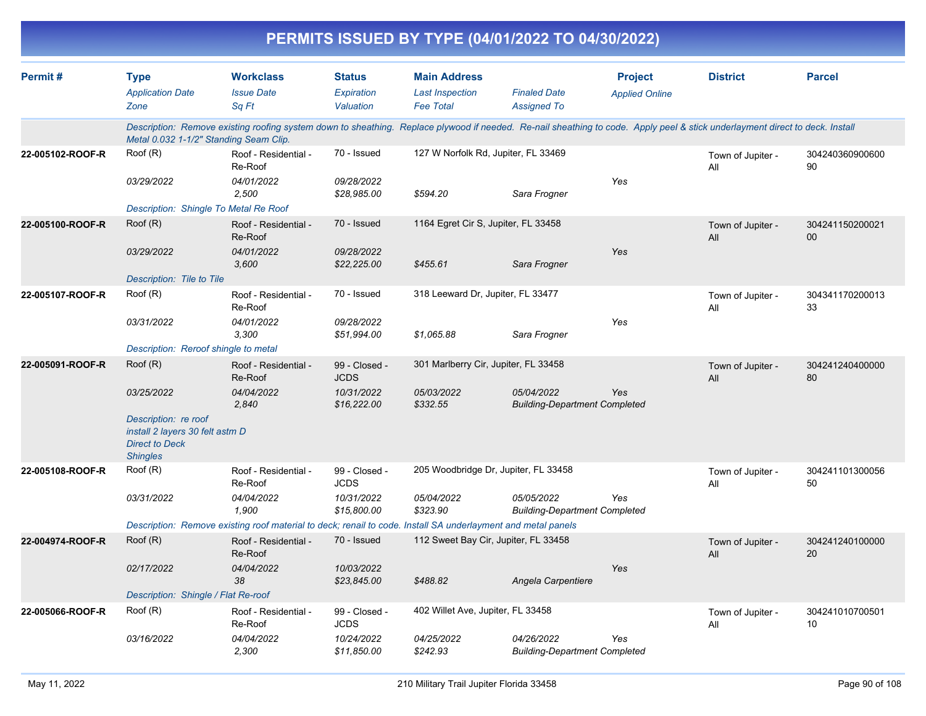|                  |                                                                                                     |                                                                                                                                                                              |                                          |                                                                   | PERMITS ISSUED BY TYPE (04/01/2022 TO 04/30/2022)  |                                         |                          |                           |
|------------------|-----------------------------------------------------------------------------------------------------|------------------------------------------------------------------------------------------------------------------------------------------------------------------------------|------------------------------------------|-------------------------------------------------------------------|----------------------------------------------------|-----------------------------------------|--------------------------|---------------------------|
| Permit#          | <b>Type</b><br><b>Application Date</b><br>Zone                                                      | <b>Workclass</b><br><b>Issue Date</b><br>Sq Ft                                                                                                                               | <b>Status</b><br>Expiration<br>Valuation | <b>Main Address</b><br><b>Last Inspection</b><br><b>Fee Total</b> | <b>Finaled Date</b><br><b>Assigned To</b>          | <b>Project</b><br><b>Applied Online</b> | <b>District</b>          | <b>Parcel</b>             |
|                  | Metal 0.032 1-1/2" Standing Seam Clip.                                                              | Description: Remove existing roofing system down to sheathing. Replace plywood if needed. Re-nail sheathing to code. Apply peel & stick underlayment direct to deck. Install |                                          |                                                                   |                                                    |                                         |                          |                           |
| 22-005102-ROOF-R | Root(R)                                                                                             | Roof - Residential -<br>Re-Roof                                                                                                                                              | 70 - Issued                              | 127 W Norfolk Rd, Jupiter, FL 33469                               |                                                    |                                         | Town of Jupiter -<br>All | 304240360900600<br>90     |
|                  | 03/29/2022                                                                                          | 04/01/2022<br>2,500                                                                                                                                                          | 09/28/2022<br>\$28,985.00                | \$594.20                                                          | Sara Frogner                                       | Yes                                     |                          |                           |
|                  | Description: Shingle To Metal Re Roof                                                               |                                                                                                                                                                              |                                          |                                                                   |                                                    |                                         |                          |                           |
| 22-005100-ROOF-R | Root(R)                                                                                             | Roof - Residential -<br>Re-Roof                                                                                                                                              | 70 - Issued                              | 1164 Egret Cir S, Jupiter, FL 33458                               |                                                    |                                         | Town of Jupiter -<br>All | 304241150200021<br>$00\,$ |
|                  | 03/29/2022                                                                                          | 04/01/2022<br>3,600                                                                                                                                                          | 09/28/2022<br>\$22,225.00                | \$455.61                                                          | Sara Frogner                                       | Yes                                     |                          |                           |
|                  | Description: Tile to Tile                                                                           |                                                                                                                                                                              |                                          |                                                                   |                                                    |                                         |                          |                           |
| 22-005107-ROOF-R | Root(R)                                                                                             | Roof - Residential -<br>Re-Roof                                                                                                                                              | 70 - Issued                              | 318 Leeward Dr, Jupiter, FL 33477                                 |                                                    |                                         | Town of Jupiter -<br>All | 304341170200013<br>33     |
|                  | 03/31/2022                                                                                          | 04/01/2022<br>3,300                                                                                                                                                          | 09/28/2022<br>\$51,994.00                | \$1,065.88                                                        | Sara Frogner                                       | Yes                                     |                          |                           |
|                  | Description: Reroof shingle to metal                                                                |                                                                                                                                                                              |                                          |                                                                   |                                                    |                                         |                          |                           |
| 22-005091-ROOF-R | Root(R)                                                                                             | Roof - Residential -<br>Re-Roof                                                                                                                                              | 99 - Closed -<br><b>JCDS</b>             | 301 Marlberry Cir, Jupiter, FL 33458                              |                                                    |                                         | Town of Jupiter -<br>All | 304241240400000<br>80     |
|                  | 03/25/2022                                                                                          | 04/04/2022<br>2,840                                                                                                                                                          | 10/31/2022<br>\$16,222.00                | 05/03/2022<br>\$332.55                                            | 05/04/2022<br><b>Building-Department Completed</b> | <b>Yes</b>                              |                          |                           |
|                  | Description: re roof<br>install 2 layers 30 felt astm D<br><b>Direct to Deck</b><br><b>Shingles</b> |                                                                                                                                                                              |                                          |                                                                   |                                                    |                                         |                          |                           |
| 22-005108-ROOF-R | Root(R)                                                                                             | Roof - Residential -<br>Re-Roof                                                                                                                                              | 99 - Closed -<br><b>JCDS</b>             | 205 Woodbridge Dr, Jupiter, FL 33458                              |                                                    |                                         | Town of Jupiter -<br>All | 304241101300056<br>50     |
|                  | 03/31/2022                                                                                          | 04/04/2022<br>1,900                                                                                                                                                          | 10/31/2022<br>\$15,800.00                | 05/04/2022<br>\$323.90                                            | 05/05/2022<br><b>Building-Department Completed</b> | Yes                                     |                          |                           |
|                  |                                                                                                     | Description: Remove existing roof material to deck; renail to code. Install SA underlayment and metal panels                                                                 |                                          |                                                                   |                                                    |                                         |                          |                           |
| 22-004974-ROOF-R | Root(R)                                                                                             | Roof - Residential -<br>Re-Roof                                                                                                                                              | 70 - Issued                              | 112 Sweet Bay Cir, Jupiter, FL 33458                              |                                                    |                                         | Town of Jupiter -<br>All | 304241240100000<br>20     |
|                  | 02/17/2022                                                                                          | 04/04/2022<br>38                                                                                                                                                             | 10/03/2022<br>\$23,845.00                | \$488.82                                                          | Angela Carpentiere                                 | Yes                                     |                          |                           |
|                  | Description: Shingle / Flat Re-roof                                                                 |                                                                                                                                                                              |                                          |                                                                   |                                                    |                                         |                          |                           |
| 22-005066-ROOF-R | Root(R)                                                                                             | Roof - Residential -<br>Re-Roof                                                                                                                                              | 99 - Closed -<br><b>JCDS</b>             | 402 Willet Ave, Jupiter, FL 33458                                 |                                                    |                                         | Town of Jupiter -<br>All | 304241010700501<br>10     |
|                  | 03/16/2022                                                                                          | 04/04/2022<br>2,300                                                                                                                                                          | 10/24/2022<br>\$11,850.00                | 04/25/2022<br>\$242.93                                            | 04/26/2022<br><b>Building-Department Completed</b> | Yes                                     |                          |                           |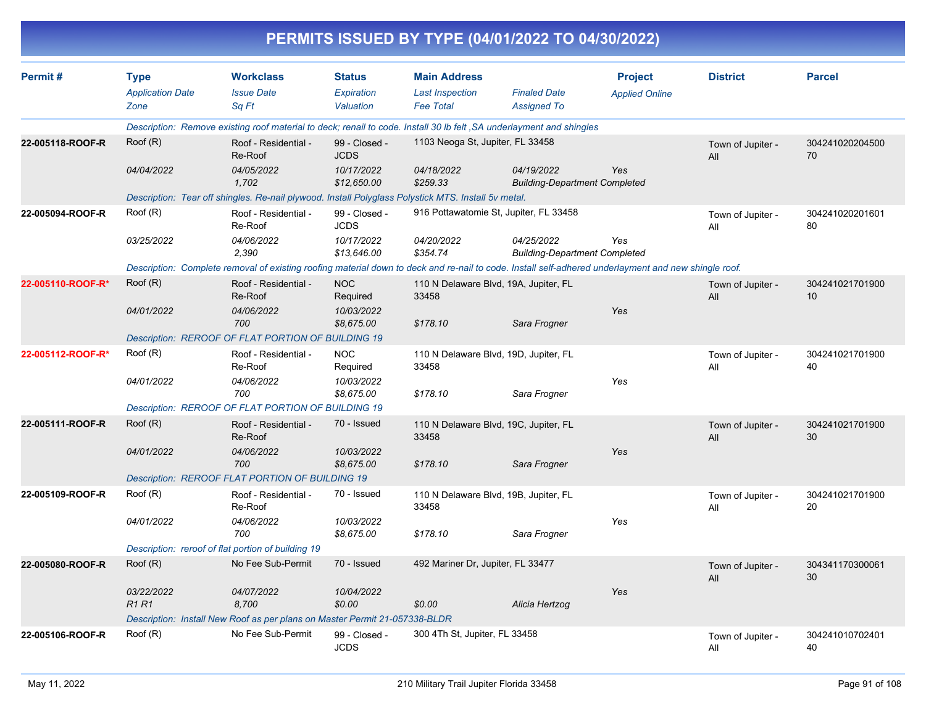|                   |                            |                                                                                                                                                      |                              | PERMITS ISSUED BY TYPE (04/01/2022 TO 04/30/2022) |                                                    |                       |                          |                       |
|-------------------|----------------------------|------------------------------------------------------------------------------------------------------------------------------------------------------|------------------------------|---------------------------------------------------|----------------------------------------------------|-----------------------|--------------------------|-----------------------|
| Permit#           | <b>Type</b>                | <b>Workclass</b>                                                                                                                                     | <b>Status</b>                | <b>Main Address</b>                               |                                                    | <b>Project</b>        | <b>District</b>          | <b>Parcel</b>         |
|                   | <b>Application Date</b>    | <b>Issue Date</b>                                                                                                                                    | Expiration                   | <b>Last Inspection</b>                            | <b>Finaled Date</b>                                | <b>Applied Online</b> |                          |                       |
|                   | Zone                       | Sq Ft                                                                                                                                                | Valuation                    | <b>Fee Total</b>                                  | <b>Assigned To</b>                                 |                       |                          |                       |
|                   |                            | Description: Remove existing roof material to deck; renail to code. Install 30 lb felt, SA underlayment and shingles                                 |                              |                                                   |                                                    |                       |                          |                       |
| 22-005118-ROOF-R  | Root(R)                    | Roof - Residential -<br>Re-Roof                                                                                                                      | 99 - Closed -<br><b>JCDS</b> | 1103 Neoga St, Jupiter, FL 33458                  |                                                    |                       | Town of Jupiter -<br>All | 304241020204500<br>70 |
|                   | 04/04/2022                 | 04/05/2022<br>1,702                                                                                                                                  | 10/17/2022<br>\$12,650.00    | 04/18/2022<br>\$259.33                            | 04/19/2022<br><b>Building-Department Completed</b> | Yes                   |                          |                       |
|                   |                            | Description: Tear off shingles. Re-nail plywood. Install Polyglass Polystick MTS. Install 5v metal.                                                  |                              |                                                   |                                                    |                       |                          |                       |
| 22-005094-ROOF-R  | Roof (R)                   | Roof - Residential -<br>Re-Roof                                                                                                                      | 99 - Closed -<br><b>JCDS</b> | 916 Pottawatomie St, Jupiter, FL 33458            |                                                    |                       | Town of Jupiter -<br>All | 304241020201601<br>80 |
|                   | 03/25/2022                 | 04/06/2022<br>2,390                                                                                                                                  | 10/17/2022<br>\$13,646.00    | 04/20/2022<br>\$354.74                            | 04/25/2022<br><b>Building-Department Completed</b> | Yes                   |                          |                       |
|                   |                            | Description: Complete removal of existing roofing material down to deck and re-nail to code. Install self-adhered underlayment and new shingle roof. |                              |                                                   |                                                    |                       |                          |                       |
| 22-005110-ROOF-R* | Root(R)                    | Roof - Residential -<br>Re-Roof                                                                                                                      | <b>NOC</b><br>Required       | 110 N Delaware Blvd, 19A, Jupiter, FL<br>33458    |                                                    |                       | Town of Jupiter -<br>All | 304241021701900<br>10 |
|                   | 04/01/2022                 | 04/06/2022<br>700                                                                                                                                    | 10/03/2022<br>\$8,675.00     | \$178.10                                          | Sara Frogner                                       | Yes                   |                          |                       |
|                   |                            | Description: REROOF OF FLAT PORTION OF BUILDING 19                                                                                                   |                              |                                                   |                                                    |                       |                          |                       |
| 22-005112-ROOF-R* | Roof (R)                   | Roof - Residential -<br>Re-Roof                                                                                                                      | <b>NOC</b><br>Required       | 110 N Delaware Blvd, 19D, Jupiter, FL<br>33458    |                                                    |                       | Town of Jupiter -<br>All | 304241021701900<br>40 |
|                   | 04/01/2022                 | 04/06/2022<br>700                                                                                                                                    | 10/03/2022<br>\$8,675.00     | \$178.10                                          | Sara Frogner                                       | Yes                   |                          |                       |
|                   |                            | Description: REROOF OF FLAT PORTION OF BUILDING 19                                                                                                   |                              |                                                   |                                                    |                       |                          |                       |
| 22-005111-ROOF-R  | Root(R)                    | Roof - Residential -<br>Re-Roof                                                                                                                      | 70 - Issued                  | 110 N Delaware Blvd, 19C, Jupiter, FL<br>33458    |                                                    |                       | Town of Jupiter -<br>All | 304241021701900<br>30 |
|                   | 04/01/2022                 | 04/06/2022<br>700                                                                                                                                    | 10/03/2022<br>\$8,675.00     | \$178.10                                          | Sara Frogner                                       | Yes                   |                          |                       |
|                   |                            | Description: REROOF FLAT PORTION OF BUILDING 19                                                                                                      |                              |                                                   |                                                    |                       |                          |                       |
| 22-005109-ROOF-R  | Roof (R)                   | Roof - Residential -<br>Re-Roof                                                                                                                      | 70 - Issued                  | 110 N Delaware Blvd, 19B, Jupiter, FL<br>33458    |                                                    |                       | Town of Jupiter -<br>All | 304241021701900<br>20 |
|                   | 04/01/2022                 | 04/06/2022<br>700                                                                                                                                    | 10/03/2022<br>\$8,675.00     | \$178.10                                          | Sara Frogner                                       | Yes                   |                          |                       |
|                   |                            | Description: reroof of flat portion of building 19                                                                                                   |                              |                                                   |                                                    |                       |                          |                       |
| 22-005080-ROOF-R  | Root(R)                    | No Fee Sub-Permit                                                                                                                                    | 70 - Issued                  | 492 Mariner Dr, Jupiter, FL 33477                 |                                                    |                       | Town of Jupiter -<br>All | 304341170300061<br>30 |
|                   | 03/22/2022<br><b>R1 R1</b> | 04/07/2022<br>8,700                                                                                                                                  | 10/04/2022<br>\$0.00         | \$0.00                                            | Alicia Hertzog                                     | Yes                   |                          |                       |
|                   |                            | Description: Install New Roof as per plans on Master Permit 21-057338-BLDR                                                                           |                              |                                                   |                                                    |                       |                          |                       |
| 22-005106-ROOF-R  | Roof (R)                   | No Fee Sub-Permit                                                                                                                                    | 99 - Closed -<br><b>JCDS</b> | 300 4Th St, Jupiter, FL 33458                     |                                                    |                       | Town of Jupiter -<br>All | 304241010702401<br>40 |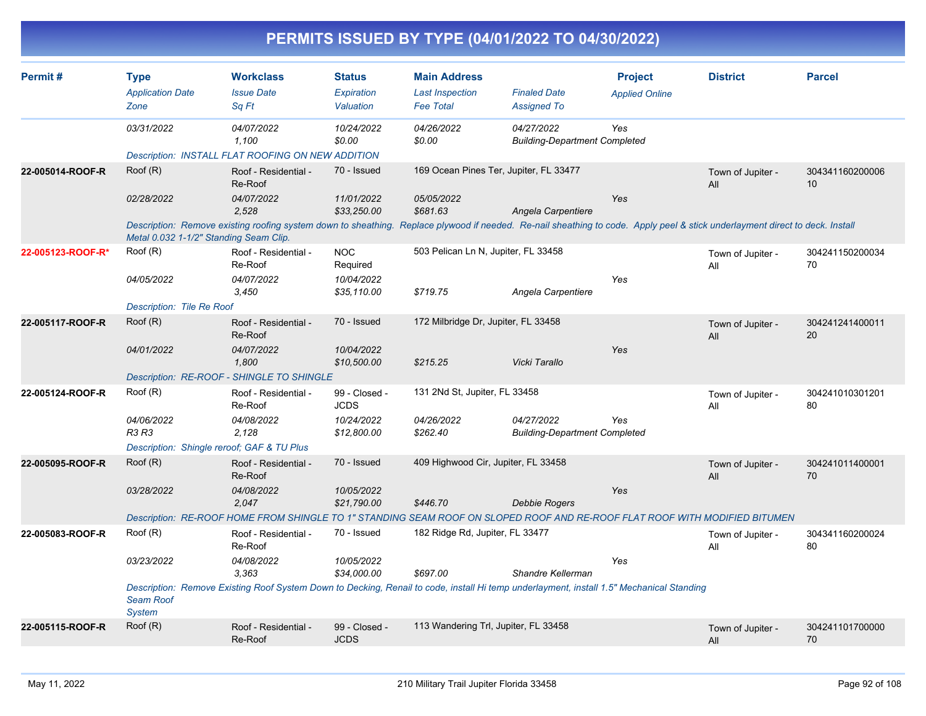| PERMITS ISSUED BY TYPE (04/01/2022 TO 04/30/2022) |  |
|---------------------------------------------------|--|
|                                                   |  |

| Permit#           | <b>Type</b><br><b>Application Date</b><br>Zone | <b>Workclass</b><br><b>Issue Date</b><br>Sq Ft                                                                                                                               | <b>Status</b><br><b>Expiration</b><br>Valuation | <b>Main Address</b><br><b>Last Inspection</b><br><b>Fee Total</b> | <b>Finaled Date</b><br><b>Assigned To</b>          | <b>Project</b><br><b>Applied Online</b> | <b>District</b>          | <b>Parcel</b>         |
|-------------------|------------------------------------------------|------------------------------------------------------------------------------------------------------------------------------------------------------------------------------|-------------------------------------------------|-------------------------------------------------------------------|----------------------------------------------------|-----------------------------------------|--------------------------|-----------------------|
|                   | 03/31/2022                                     | 04/07/2022<br>1,100<br>Description: INSTALL FLAT ROOFING ON NEW ADDITION                                                                                                     | 10/24/2022<br>\$0.00                            | 04/26/2022<br>\$0.00                                              | 04/27/2022<br><b>Building-Department Completed</b> | Yes                                     |                          |                       |
| 22-005014-ROOF-R  | Root(R)                                        | Roof - Residential -<br>Re-Roof                                                                                                                                              | 70 - Issued                                     | 169 Ocean Pines Ter, Jupiter, FL 33477                            |                                                    |                                         | Town of Jupiter -<br>All | 304341160200006<br>10 |
|                   | 02/28/2022                                     | 04/07/2022<br>2.528                                                                                                                                                          | 11/01/2022<br>\$33,250.00                       | 05/05/2022<br>\$681.63                                            | Angela Carpentiere                                 | Yes                                     |                          |                       |
|                   | Metal 0.032 1-1/2" Standing Seam Clip.         | Description: Remove existing roofing system down to sheathing. Replace plywood if needed. Re-nail sheathing to code. Apply peel & stick underlayment direct to deck. Install |                                                 |                                                                   |                                                    |                                         |                          |                       |
| 22-005123-ROOF-R* | Root(R)                                        | Roof - Residential -<br>Re-Roof                                                                                                                                              | <b>NOC</b><br>Required                          | 503 Pelican Ln N, Jupiter, FL 33458                               |                                                    |                                         | Town of Jupiter -<br>All | 304241150200034<br>70 |
|                   | 04/05/2022                                     | 04/07/2022<br>3,450                                                                                                                                                          | 10/04/2022<br>\$35,110.00                       | \$719.75                                                          | Angela Carpentiere                                 | Yes                                     |                          |                       |
|                   | Description: Tile Re Roof                      |                                                                                                                                                                              |                                                 |                                                                   |                                                    |                                         |                          |                       |
| 22-005117-ROOF-R  | Root(R)                                        | Roof - Residential -<br>Re-Roof                                                                                                                                              | 70 - Issued                                     | 172 Milbridge Dr, Jupiter, FL 33458                               |                                                    |                                         | Town of Jupiter -<br>All | 304241241400011<br>20 |
|                   | 04/01/2022                                     | 04/07/2022<br>1,800                                                                                                                                                          | 10/04/2022<br>\$10,500.00                       | \$215.25                                                          | Vicki Tarallo                                      | Yes                                     |                          |                       |
|                   |                                                | Description: RE-ROOF - SHINGLE TO SHINGLE                                                                                                                                    |                                                 |                                                                   |                                                    |                                         |                          |                       |
| 22-005124-ROOF-R  | Roof (R)                                       | Roof - Residential -<br>Re-Roof                                                                                                                                              | 99 - Closed -<br><b>JCDS</b>                    | 131 2Nd St, Jupiter, FL 33458                                     |                                                    |                                         | Town of Jupiter -<br>All | 304241010301201<br>80 |
|                   | 04/06/2022<br><b>R3 R3</b>                     | 04/08/2022<br>2,128                                                                                                                                                          | 10/24/2022<br>\$12,800.00                       | 04/26/2022<br>\$262.40                                            | 04/27/2022<br><b>Building-Department Completed</b> | Yes                                     |                          |                       |
|                   | Description: Shingle reroof; GAF & TU Plus     |                                                                                                                                                                              |                                                 |                                                                   |                                                    |                                         |                          |                       |
| 22-005095-ROOF-R  | Root(R)                                        | Roof - Residential -<br>Re-Roof                                                                                                                                              | 70 - Issued                                     | 409 Highwood Cir, Jupiter, FL 33458                               |                                                    |                                         | Town of Jupiter -<br>All | 304241011400001<br>70 |
|                   | 03/28/2022                                     | 04/08/2022<br>2,047                                                                                                                                                          | 10/05/2022<br>\$21,790.00                       | \$446.70                                                          | Debbie Rogers                                      | Yes                                     |                          |                       |
|                   |                                                | Description: RE-ROOF HOME FROM SHINGLE TO 1" STANDING SEAM ROOF ON SLOPED ROOF AND RE-ROOF FLAT ROOF WITH MODIFIED BITUMEN                                                   |                                                 |                                                                   |                                                    |                                         |                          |                       |
| 22-005083-ROOF-R  | Root(R)                                        | Roof - Residential -<br>Re-Roof                                                                                                                                              | 70 - Issued                                     | 182 Ridge Rd, Jupiter, FL 33477                                   |                                                    |                                         | Town of Jupiter -<br>All | 304341160200024<br>80 |
|                   | 03/23/2022                                     | 04/08/2022<br>3,363                                                                                                                                                          | 10/05/2022<br>\$34,000.00                       | \$697.00                                                          | Shandre Kellerman                                  | Yes                                     |                          |                       |
|                   | <b>Seam Roof</b><br><b>System</b>              | Description: Remove Existing Roof System Down to Decking, Renail to code, install Hi temp underlayment, install 1.5" Mechanical Standing                                     |                                                 |                                                                   |                                                    |                                         |                          |                       |
| 22-005115-ROOF-R  | Roof (R)                                       | Roof - Residential -<br>Re-Roof                                                                                                                                              | 99 - Closed -<br><b>JCDS</b>                    | 113 Wandering Trl, Jupiter, FL 33458                              |                                                    |                                         | Town of Jupiter -<br>All | 304241101700000<br>70 |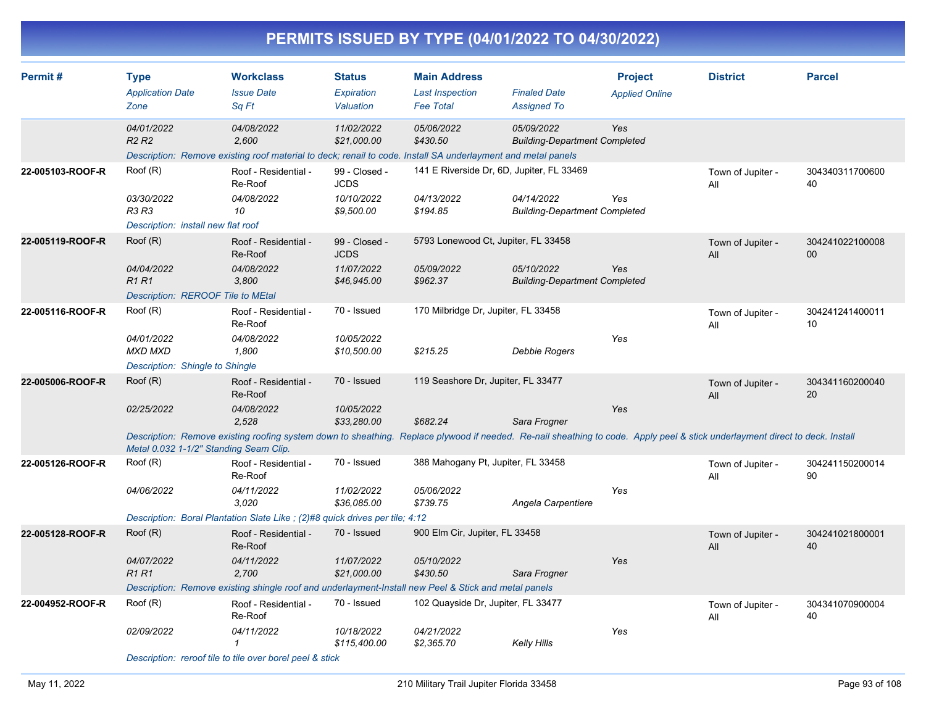| PERMITS ISSUED BY TYPE (04/01/2022 TO 04/30/2022) |  |  |
|---------------------------------------------------|--|--|
|                                                   |  |  |

| Permit#          | <b>Type</b><br><b>Application Date</b><br>Zone                              | <b>Workclass</b><br><b>Issue Date</b><br>Sq Ft                                                                                                                                                                                         | <b>Status</b><br>Expiration<br>Valuation                  | <b>Main Address</b><br><b>Last Inspection</b><br><b>Fee Total</b>   | <b>Finaled Date</b><br><b>Assigned To</b>          | <b>Project</b><br><b>Applied Online</b> | <b>District</b>          | <b>Parcel</b>         |
|------------------|-----------------------------------------------------------------------------|----------------------------------------------------------------------------------------------------------------------------------------------------------------------------------------------------------------------------------------|-----------------------------------------------------------|---------------------------------------------------------------------|----------------------------------------------------|-----------------------------------------|--------------------------|-----------------------|
|                  | 04/01/2022<br>R <sub>2</sub> R <sub>2</sub>                                 | 04/08/2022<br>2.600<br>Description: Remove existing roof material to deck; renail to code. Install SA underlayment and metal panels                                                                                                    | 11/02/2022<br>\$21,000.00                                 | 05/06/2022<br>\$430.50                                              | 05/09/2022<br><b>Building-Department Completed</b> | Yes                                     |                          |                       |
| 22-005103-ROOF-R | Roof (R)<br>03/30/2022<br>R3 R3<br>Description: install new flat roof       | Roof - Residential -<br>Re-Roof<br>04/08/2022<br>10                                                                                                                                                                                    | 99 - Closed -<br><b>JCDS</b><br>10/10/2022<br>\$9,500.00  | 141 E Riverside Dr, 6D, Jupiter, FL 33469<br>04/13/2022<br>\$194.85 | 04/14/2022<br><b>Building-Department Completed</b> | Yes                                     | Town of Jupiter -<br>All | 304340311700600<br>40 |
| 22-005119-ROOF-R | Roof (R)<br>04/04/2022<br><b>R1 R1</b><br>Description: REROOF Tile to MEtal | Roof - Residential -<br>Re-Roof<br>04/08/2022<br>3,800                                                                                                                                                                                 | 99 - Closed -<br><b>JCDS</b><br>11/07/2022<br>\$46,945.00 | 5793 Lonewood Ct, Jupiter, FL 33458<br>05/09/2022<br>\$962.37       | 05/10/2022<br><b>Building-Department Completed</b> | Yes                                     | Town of Jupiter -<br>All | 304241022100008<br>00 |
| 22-005116-ROOF-R | Root(R)<br>04/01/2022<br>MXD MXD<br>Description: Shingle to Shingle         | Roof - Residential -<br>Re-Roof<br>04/08/2022<br>1,800                                                                                                                                                                                 | 70 - Issued<br>10/05/2022<br>\$10,500.00                  | 170 Milbridge Dr, Jupiter, FL 33458<br>\$215.25                     | Debbie Rogers                                      | Yes                                     | Town of Jupiter -<br>All | 304241241400011<br>10 |
| 22-005006-ROOF-R | Root(R)<br>02/25/2022<br>Metal 0.032 1-1/2" Standing Seam Clip.             | Roof - Residential -<br>Re-Roof<br>04/08/2022<br>2.528<br>Description: Remove existing roofing system down to sheathing. Replace plywood if needed. Re-nail sheathing to code. Apply peel & stick underlayment direct to deck. Install | 70 - Issued<br>10/05/2022<br>\$33,280.00                  | 119 Seashore Dr, Jupiter, FL 33477<br>\$682.24                      | Sara Frogner                                       | Yes                                     | Town of Jupiter -<br>All | 304341160200040<br>20 |
| 22-005126-ROOF-R | Roof (R)<br>04/06/2022                                                      | Roof - Residential -<br>Re-Roof<br>04/11/2022<br>3,020<br>Description: Boral Plantation Slate Like; (2)#8 quick drives per tile; 4:12                                                                                                  | 70 - Issued<br>11/02/2022<br>\$36,085.00                  | 388 Mahogany Pt, Jupiter, FL 33458<br>05/06/2022<br>\$739.75        | Angela Carpentiere                                 | Yes                                     | Town of Jupiter -<br>All | 304241150200014<br>90 |
| 22-005128-ROOF-R | Root(R)<br>04/07/2022<br>R1 R1                                              | Roof - Residential -<br>Re-Roof<br>04/11/2022<br>2,700<br>Description: Remove existing shingle roof and underlayment-Install new Peel & Stick and metal panels                                                                         | 70 - Issued<br>11/07/2022<br>\$21,000.00                  | 900 Elm Cir, Jupiter, FL 33458<br>05/10/2022<br>\$430.50            | Sara Frogner                                       | Yes                                     | Town of Jupiter -<br>All | 304241021800001<br>40 |
| 22-004952-ROOF-R | Root(R)<br>02/09/2022                                                       | Roof - Residential -<br>Re-Roof<br>04/11/2022<br>Description: reroof tile to tile over borel peel & stick                                                                                                                              | 70 - Issued<br>10/18/2022<br>\$115,400.00                 | 102 Quayside Dr, Jupiter, FL 33477<br>04/21/2022<br>\$2,365.70      | Kelly Hills                                        | Yes                                     | Town of Jupiter -<br>All | 304341070900004<br>40 |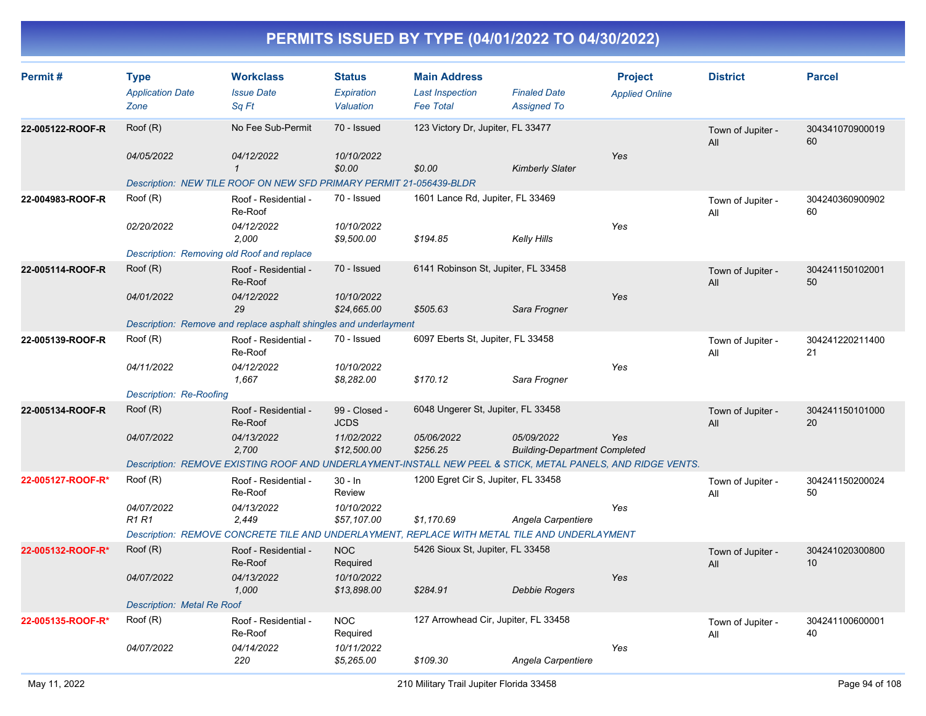| Permit#           | <b>Type</b><br><b>Application Date</b> | <b>Workclass</b><br><b>Issue Date</b>                               | <b>Status</b><br>Expiration  | <b>Main Address</b><br><b>Last Inspection</b> | <b>Finaled Date</b>                                                                                         | <b>Project</b>        | <b>District</b>          | <b>Parcel</b>         |
|-------------------|----------------------------------------|---------------------------------------------------------------------|------------------------------|-----------------------------------------------|-------------------------------------------------------------------------------------------------------------|-----------------------|--------------------------|-----------------------|
|                   | Zone                                   | Sa Ft                                                               | Valuation                    | <b>Fee Total</b>                              | <b>Assigned To</b>                                                                                          | <b>Applied Online</b> |                          |                       |
| 22-005122-ROOF-R  | Roof (R)                               | No Fee Sub-Permit                                                   | 70 - Issued                  | 123 Victory Dr, Jupiter, FL 33477             |                                                                                                             |                       | Town of Jupiter -<br>All | 304341070900019<br>60 |
|                   | 04/05/2022                             | 04/12/2022<br>$\mathbf{1}$                                          | 10/10/2022<br>\$0.00         | \$0.00                                        | <b>Kimberly Slater</b>                                                                                      | Yes                   |                          |                       |
|                   |                                        | Description: NEW TILE ROOF ON NEW SFD PRIMARY PERMIT 21-056439-BLDR |                              |                                               |                                                                                                             |                       |                          |                       |
| 22-004983-ROOF-R  | Roof (R)                               | Roof - Residential -<br>Re-Roof                                     | 70 - Issued                  | 1601 Lance Rd, Jupiter, FL 33469              |                                                                                                             |                       | Town of Jupiter -<br>All | 304240360900902<br>60 |
|                   | 02/20/2022                             | 04/12/2022<br>2,000                                                 | 10/10/2022<br>\$9,500.00     | \$194.85                                      | Kelly Hills                                                                                                 | Yes                   |                          |                       |
|                   |                                        | Description: Removing old Roof and replace                          |                              |                                               |                                                                                                             |                       |                          |                       |
| 22-005114-ROOF-R  | Root(R)                                | Roof - Residential -<br>Re-Roof                                     | 70 - Issued                  | 6141 Robinson St, Jupiter, FL 33458           |                                                                                                             |                       | Town of Jupiter -<br>All | 304241150102001<br>50 |
|                   | 04/01/2022                             | 04/12/2022<br>29                                                    | 10/10/2022<br>\$24,665.00    | \$505.63                                      | Sara Frogner                                                                                                | Yes                   |                          |                       |
|                   |                                        | Description: Remove and replace asphalt shingles and underlayment   |                              |                                               |                                                                                                             |                       |                          |                       |
| 22-005139-ROOF-R  | Roof (R)                               | Roof - Residential -<br>Re-Roof                                     | 70 - Issued                  | 6097 Eberts St, Jupiter, FL 33458             |                                                                                                             |                       | Town of Jupiter -<br>All | 304241220211400<br>21 |
|                   | 04/11/2022                             | 04/12/2022<br>1,667                                                 | 10/10/2022<br>\$8,282.00     | \$170.12                                      | Sara Frogner                                                                                                | Yes                   |                          |                       |
|                   | Description: Re-Roofing                |                                                                     |                              |                                               |                                                                                                             |                       |                          |                       |
| 22-005134-ROOF-R  | Root(R)                                | Roof - Residential -<br>Re-Roof                                     | 99 - Closed -<br><b>JCDS</b> | 6048 Ungerer St, Jupiter, FL 33458            |                                                                                                             |                       | Town of Jupiter -<br>All | 304241150101000<br>20 |
|                   | 04/07/2022                             | 04/13/2022<br>2,700                                                 | 11/02/2022<br>\$12,500.00    | 05/06/2022<br>\$256.25                        | 05/09/2022<br><b>Building-Department Completed</b>                                                          | Yes                   |                          |                       |
|                   |                                        |                                                                     |                              |                                               | Description: REMOVE EXISTING ROOF AND UNDERLAYMENT-INSTALL NEW PEEL & STICK, METAL PANELS, AND RIDGE VENTS. |                       |                          |                       |
| 22-005127-ROOF-R* | Roof (R)                               | Roof - Residential -<br>Re-Roof                                     | $30 - ln$<br><b>Review</b>   | 1200 Egret Cir S, Jupiter, FL 33458           |                                                                                                             |                       | Town of Jupiter -<br>All | 304241150200024<br>50 |
|                   | 04/07/2022<br><b>R1 R1</b>             | 04/13/2022<br>2,449                                                 | 10/10/2022<br>\$57,107.00    | \$1,170.69                                    | Angela Carpentiere                                                                                          | Yes                   |                          |                       |
|                   |                                        |                                                                     |                              |                                               | Description: REMOVE CONCRETE TILE AND UNDERLAYMENT, REPLACE WITH METAL TILE AND UNDERLAYMENT                |                       |                          |                       |
| 22-005132-ROOF-R* | Root(R)                                | Roof - Residential -<br>Re-Roof                                     | <b>NOC</b><br>Required       | 5426 Sioux St, Jupiter, FL 33458              |                                                                                                             |                       | Town of Jupiter -<br>All | 304241020300800<br>10 |
|                   | 04/07/2022                             | 04/13/2022<br>1,000                                                 | 10/10/2022<br>\$13,898.00    | \$284.91                                      | <b>Debbie Rogers</b>                                                                                        | Yes                   |                          |                       |
|                   | Description: Metal Re Roof             |                                                                     |                              |                                               |                                                                                                             |                       |                          |                       |
| 22-005135-ROOF-R* | Root(R)                                | Roof - Residential -<br>Re-Roof                                     | <b>NOC</b><br>Required       |                                               | 127 Arrowhead Cir, Jupiter, FL 33458                                                                        |                       | Town of Jupiter -<br>All | 304241100600001<br>40 |
|                   | 04/07/2022                             | 04/14/2022<br>220                                                   | 10/11/2022<br>\$5,265.00     | \$109.30                                      | Angela Carpentiere                                                                                          | Yes                   |                          |                       |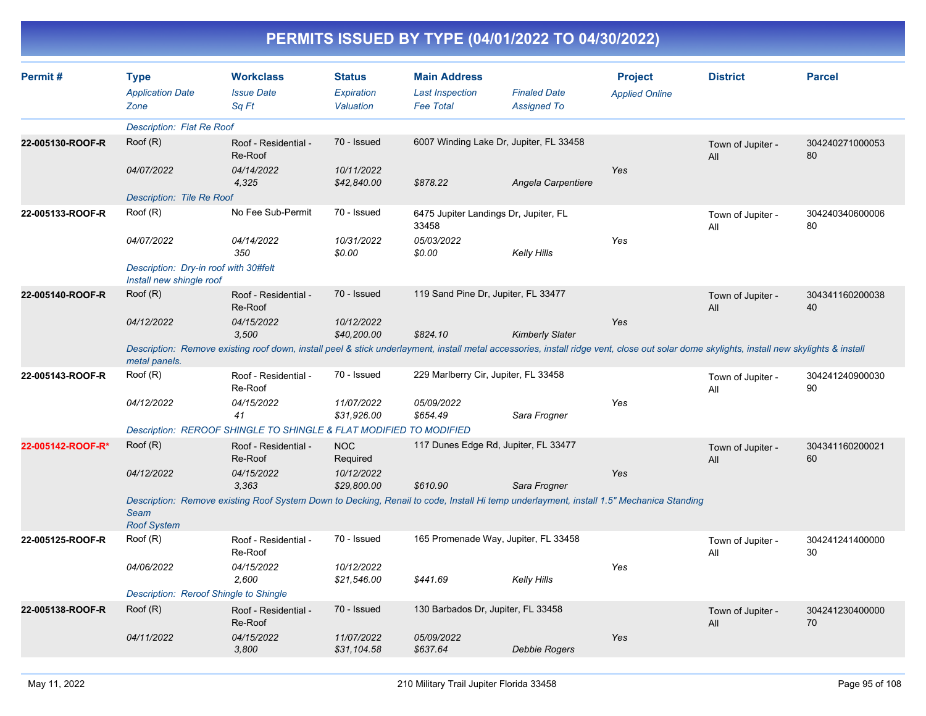| Permit#           | <b>Type</b><br><b>Application Date</b><br>Zone                    | <b>Workclass</b><br><b>Issue Date</b><br>Sq Ft                                                                                                                                            | <b>Status</b><br><b>Expiration</b><br>Valuation | <b>Main Address</b><br><b>Last Inspection</b><br><b>Fee Total</b> | <b>Finaled Date</b><br><b>Assigned To</b> | <b>Project</b><br><b>Applied Online</b> | <b>District</b>          | <b>Parcel</b>         |
|-------------------|-------------------------------------------------------------------|-------------------------------------------------------------------------------------------------------------------------------------------------------------------------------------------|-------------------------------------------------|-------------------------------------------------------------------|-------------------------------------------|-----------------------------------------|--------------------------|-----------------------|
|                   | Description: Flat Re Roof                                         |                                                                                                                                                                                           |                                                 |                                                                   |                                           |                                         |                          |                       |
| 22-005130-ROOF-R  | Root(R)                                                           | Roof - Residential -<br>Re-Roof                                                                                                                                                           | 70 - Issued                                     |                                                                   | 6007 Winding Lake Dr, Jupiter, FL 33458   |                                         | Town of Jupiter -<br>All | 304240271000053<br>80 |
|                   | 04/07/2022                                                        | 04/14/2022<br>4,325                                                                                                                                                                       | 10/11/2022<br>\$42,840.00                       | \$878.22                                                          | Angela Carpentiere                        | Yes                                     |                          |                       |
|                   | <b>Description: Tile Re Roof</b>                                  |                                                                                                                                                                                           |                                                 |                                                                   |                                           |                                         |                          |                       |
| 22-005133-ROOF-R  | Root(R)                                                           | No Fee Sub-Permit                                                                                                                                                                         | 70 - Issued                                     | 6475 Jupiter Landings Dr, Jupiter, FL<br>33458                    |                                           |                                         | Town of Jupiter -<br>All | 304240340600006<br>80 |
|                   | 04/07/2022                                                        | 04/14/2022<br>350                                                                                                                                                                         | 10/31/2022<br>\$0.00                            | 05/03/2022<br>\$0.00                                              | Kelly Hills                               | Yes                                     |                          |                       |
|                   | Description: Dry-in roof with 30#felt<br>Install new shingle roof |                                                                                                                                                                                           |                                                 |                                                                   |                                           |                                         |                          |                       |
| 22-005140-ROOF-R  | Roof (R)                                                          | Roof - Residential -<br>Re-Roof                                                                                                                                                           | 70 - Issued                                     | 119 Sand Pine Dr, Jupiter, FL 33477                               |                                           |                                         | Town of Jupiter -<br>All | 304341160200038<br>40 |
|                   | 04/12/2022                                                        | 04/15/2022<br>3,500                                                                                                                                                                       | 10/12/2022<br>\$40,200.00                       | \$824.10                                                          | <b>Kimberly Slater</b>                    | Yes                                     |                          |                       |
|                   | metal panels.                                                     | Description: Remove existing roof down, install peel & stick underlayment, install metal accessories, install ridge vent, close out solar dome skylights, install new skylights & install |                                                 |                                                                   |                                           |                                         |                          |                       |
| 22-005143-ROOF-R  | Root(R)                                                           | Roof - Residential -<br>Re-Roof                                                                                                                                                           | 70 - Issued                                     | 229 Marlberry Cir, Jupiter, FL 33458                              |                                           |                                         | Town of Jupiter -<br>All | 304241240900030<br>90 |
|                   | 04/12/2022                                                        | 04/15/2022<br>41                                                                                                                                                                          | 11/07/2022<br>\$31,926.00                       | 05/09/2022<br>\$654.49                                            | Sara Frogner                              | Yes                                     |                          |                       |
|                   |                                                                   | Description: REROOF SHINGLE TO SHINGLE & FLAT MODIFIED TO MODIFIED                                                                                                                        |                                                 |                                                                   |                                           |                                         |                          |                       |
| 22-005142-ROOF-R* | Root(R)                                                           | Roof - Residential -<br>Re-Roof                                                                                                                                                           | <b>NOC</b><br>Required                          | 117 Dunes Edge Rd, Jupiter, FL 33477                              |                                           |                                         | Town of Jupiter -<br>All | 304341160200021<br>60 |
|                   | 04/12/2022                                                        | 04/15/2022<br>3.363                                                                                                                                                                       | 10/12/2022<br>\$29,800.00                       | \$610.90                                                          | Sara Frogner                              | Yes                                     |                          |                       |
|                   | <b>Seam</b><br><b>Roof System</b>                                 | Description: Remove existing Roof System Down to Decking, Renail to code, Install Hi temp underlayment, install 1.5" Mechanica Standing                                                   |                                                 |                                                                   |                                           |                                         |                          |                       |
| 22-005125-ROOF-R  | Root(R)                                                           | Roof - Residential -<br>Re-Roof                                                                                                                                                           | 70 - Issued                                     | 165 Promenade Way, Jupiter, FL 33458                              |                                           |                                         | Town of Jupiter -<br>All | 304241241400000<br>30 |
|                   | 04/06/2022                                                        | 04/15/2022<br>2,600                                                                                                                                                                       | 10/12/2022<br>\$21,546.00                       | \$441.69                                                          | <b>Kelly Hills</b>                        | Yes                                     |                          |                       |
|                   | Description: Reroof Shingle to Shingle                            |                                                                                                                                                                                           |                                                 |                                                                   |                                           |                                         |                          |                       |
| 22-005138-ROOF-R  | Roof (R)                                                          | Roof - Residential -<br>Re-Roof                                                                                                                                                           | 70 - Issued                                     | 130 Barbados Dr, Jupiter, FL 33458                                |                                           |                                         | Town of Jupiter -<br>All | 304241230400000<br>70 |
|                   | 04/11/2022                                                        | 04/15/2022<br>3,800                                                                                                                                                                       | 11/07/2022<br>\$31,104.58                       | 05/09/2022<br>\$637.64                                            | Debbie Rogers                             | Yes                                     |                          |                       |
|                   |                                                                   |                                                                                                                                                                                           |                                                 |                                                                   |                                           |                                         |                          |                       |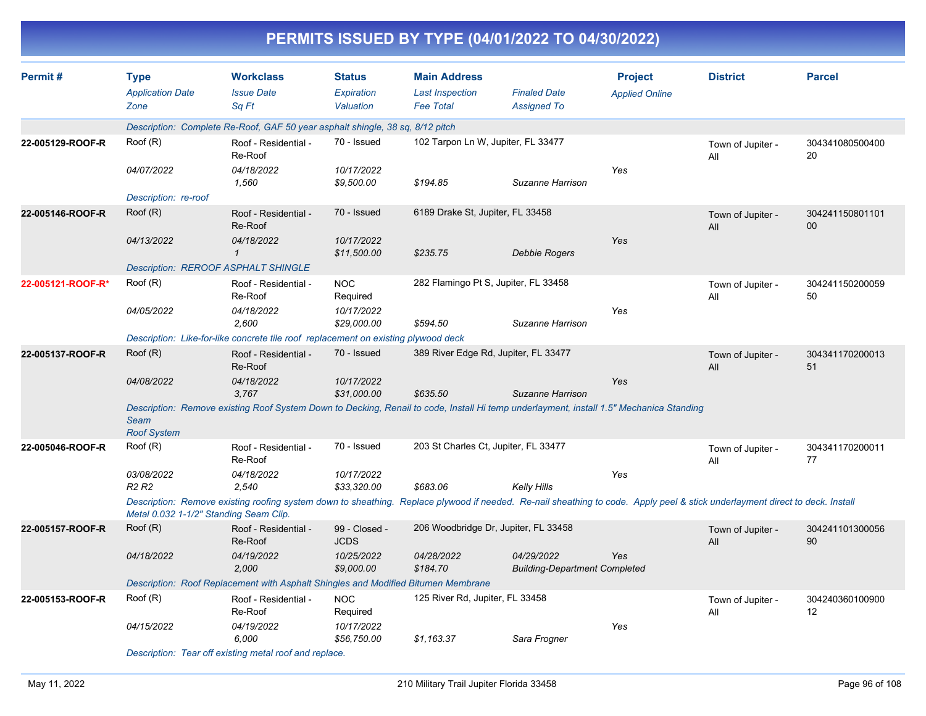|                   |                                                |                                                                                                                                                                              |                                          |                                                                   | PERMITS ISSUED BY TYPE (04/01/2022 TO 04/30/2022)  |                                         |                          |                           |
|-------------------|------------------------------------------------|------------------------------------------------------------------------------------------------------------------------------------------------------------------------------|------------------------------------------|-------------------------------------------------------------------|----------------------------------------------------|-----------------------------------------|--------------------------|---------------------------|
| Permit#           | <b>Type</b><br><b>Application Date</b><br>Zone | <b>Workclass</b><br><b>Issue Date</b><br>Sq Ft                                                                                                                               | <b>Status</b><br>Expiration<br>Valuation | <b>Main Address</b><br><b>Last Inspection</b><br><b>Fee Total</b> | <b>Finaled Date</b><br><b>Assigned To</b>          | <b>Project</b><br><b>Applied Online</b> | <b>District</b>          | <b>Parcel</b>             |
|                   |                                                | Description: Complete Re-Roof, GAF 50 year asphalt shingle, 38 sq, 8/12 pitch                                                                                                |                                          |                                                                   |                                                    |                                         |                          |                           |
| 22-005129-ROOF-R  | Root(R)                                        | Roof - Residential -<br>Re-Roof                                                                                                                                              | 70 - Issued                              | 102 Tarpon Ln W, Jupiter, FL 33477                                |                                                    |                                         | Town of Jupiter -<br>All | 304341080500400<br>20     |
|                   | 04/07/2022                                     | 04/18/2022<br>1,560                                                                                                                                                          | 10/17/2022<br>\$9,500.00                 | \$194.85                                                          | Suzanne Harrison                                   | Yes                                     |                          |                           |
|                   | Description: re-roof                           |                                                                                                                                                                              |                                          |                                                                   |                                                    |                                         |                          |                           |
| 22-005146-ROOF-R  | Root(R)                                        | Roof - Residential -<br>Re-Roof                                                                                                                                              | 70 - Issued                              | 6189 Drake St, Jupiter, FL 33458                                  |                                                    |                                         | Town of Jupiter -<br>All | 304241150801101<br>$00\,$ |
|                   | 04/13/2022                                     | 04/18/2022<br>$\mathcal I$                                                                                                                                                   | 10/17/2022<br>\$11,500.00                | \$235.75                                                          | Debbie Rogers                                      | Yes                                     |                          |                           |
|                   |                                                | <b>Description: REROOF ASPHALT SHINGLE</b>                                                                                                                                   |                                          |                                                                   |                                                    |                                         |                          |                           |
| 22-005121-ROOF-R* | Root(R)                                        | Roof - Residential -<br>Re-Roof                                                                                                                                              | <b>NOC</b><br>Required                   | 282 Flamingo Pt S, Jupiter, FL 33458                              |                                                    |                                         | Town of Jupiter -<br>All | 304241150200059<br>50     |
|                   | <i>04/05/2022</i>                              | 04/18/2022<br>2,600                                                                                                                                                          | 10/17/2022<br>\$29,000.00                | \$594.50                                                          | Suzanne Harrison                                   | Yes                                     |                          |                           |
|                   |                                                | Description: Like-for-like concrete tile roof replacement on existing plywood deck                                                                                           |                                          |                                                                   |                                                    |                                         |                          |                           |
| 22-005137-ROOF-R  | Root(R)                                        | Roof - Residential -<br>Re-Roof                                                                                                                                              | 70 - Issued                              | 389 River Edge Rd, Jupiter, FL 33477                              |                                                    |                                         | Town of Jupiter -<br>All | 304341170200013<br>51     |
|                   | 04/08/2022                                     | 04/18/2022<br>3,767                                                                                                                                                          | 10/17/2022<br>\$31,000.00                | \$635.50                                                          | Suzanne Harrison                                   | Yes                                     |                          |                           |
|                   | Seam<br><b>Roof System</b>                     | Description: Remove existing Roof System Down to Decking, Renail to code, Install Hi temp underlayment, install 1.5" Mechanica Standing                                      |                                          |                                                                   |                                                    |                                         |                          |                           |
| 22-005046-ROOF-R  | Root(R)                                        | Roof - Residential -<br>Re-Roof                                                                                                                                              | 70 - Issued                              | 203 St Charles Ct, Jupiter, FL 33477                              |                                                    |                                         | Town of Jupiter -<br>All | 304341170200011<br>77     |
|                   | 03/08/2022<br>R <sub>2</sub> R <sub>2</sub>    | 04/18/2022<br>2,540                                                                                                                                                          | 10/17/2022<br>\$33,320.00                | \$683.06                                                          | <b>Kelly Hills</b>                                 | Yes                                     |                          |                           |
|                   | Metal 0.032 1-1/2" Standing Seam Clip.         | Description: Remove existing roofing system down to sheathing. Replace plywood if needed. Re-nail sheathing to code. Apply peel & stick underlayment direct to deck. Install |                                          |                                                                   |                                                    |                                         |                          |                           |
| 22-005157-ROOF-R  | Root(R)                                        | Roof - Residential -<br>Re-Roof                                                                                                                                              | 99 - Closed -<br>JCDS                    |                                                                   | 206 Woodbridge Dr, Jupiter, FL 33458               |                                         | Town of Jupiter -<br>All | 304241101300056<br>90     |
|                   | 04/18/2022                                     | 04/19/2022<br>2,000                                                                                                                                                          | 10/25/2022<br>\$9,000.00                 | 04/28/2022<br>\$184.70                                            | 04/29/2022<br><b>Building-Department Completed</b> | Yes                                     |                          |                           |
|                   |                                                | Description: Roof Replacement with Asphalt Shingles and Modified Bitumen Membrane                                                                                            |                                          |                                                                   |                                                    |                                         |                          |                           |
| 22-005153-ROOF-R  | Root(R)                                        | Roof - Residential -<br>Re-Roof                                                                                                                                              | <b>NOC</b><br>Required                   | 125 River Rd, Jupiter, FL 33458                                   |                                                    |                                         | Town of Jupiter -<br>All | 304240360100900<br>12     |
|                   | 04/15/2022                                     | 04/19/2022<br>6,000                                                                                                                                                          | 10/17/2022<br>\$56,750.00                | \$1,163.37                                                        | Sara Frogner                                       | Yes                                     |                          |                           |
|                   |                                                |                                                                                                                                                                              |                                          |                                                                   |                                                    |                                         |                          |                           |

*Description: Tear off existing metal roof and replace.*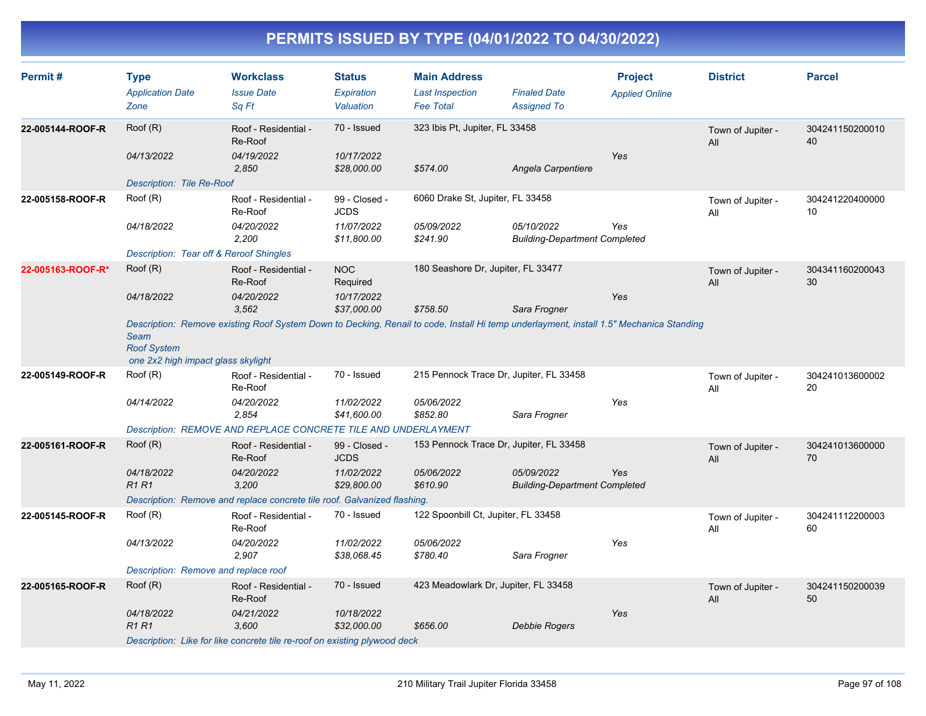| Permit#           | <b>Type</b><br><b>Application Date</b><br>Zone                          | <b>Workclass</b><br><b>Issue Date</b><br>Sq Ft                                                                                          | <b>Status</b><br>Expiration<br>Valuation | <b>Main Address</b><br><b>Last Inspection</b><br><b>Fee Total</b> | <b>Finaled Date</b><br><b>Assigned To</b>          | <b>Project</b><br><b>Applied Online</b> | <b>District</b>          | <b>Parcel</b>         |
|-------------------|-------------------------------------------------------------------------|-----------------------------------------------------------------------------------------------------------------------------------------|------------------------------------------|-------------------------------------------------------------------|----------------------------------------------------|-----------------------------------------|--------------------------|-----------------------|
| 22-005144-ROOF-R  | Roof (R)                                                                | Roof - Residential -<br>Re-Roof                                                                                                         | 70 - Issued                              | 323 Ibis Pt, Jupiter, FL 33458                                    |                                                    |                                         | Town of Jupiter -<br>All | 304241150200010<br>40 |
|                   | 04/13/2022                                                              | 04/19/2022<br>2,850                                                                                                                     | 10/17/2022<br>\$28,000.00                | \$574.00                                                          | Angela Carpentiere                                 | Yes                                     |                          |                       |
|                   | Description: Tile Re-Roof                                               |                                                                                                                                         |                                          |                                                                   |                                                    |                                         |                          |                       |
| 22-005158-ROOF-R  | Root(R)                                                                 | Roof - Residential -<br>Re-Roof                                                                                                         | 99 - Closed -<br><b>JCDS</b>             | 6060 Drake St, Jupiter, FL 33458                                  |                                                    |                                         | Town of Jupiter -<br>All | 304241220400000<br>10 |
|                   | 04/18/2022                                                              | 04/20/2022<br>2,200                                                                                                                     | 11/07/2022<br>\$11,800.00                | 05/09/2022<br>\$241.90                                            | 05/10/2022<br><b>Building-Department Completed</b> | Yes                                     |                          |                       |
|                   | Description: Tear off & Reroof Shingles                                 |                                                                                                                                         |                                          |                                                                   |                                                    |                                         |                          |                       |
| 22-005163-ROOF-R* | Root(R)                                                                 | Roof - Residential -<br>Re-Roof                                                                                                         | <b>NOC</b><br>Required                   | 180 Seashore Dr, Jupiter, FL 33477                                |                                                    |                                         | Town of Jupiter -<br>All | 304341160200043<br>30 |
|                   | 04/18/2022                                                              | 04/20/2022<br>3.562                                                                                                                     | 10/17/2022<br>\$37,000.00                | \$758.50                                                          | Sara Frogner                                       | Yes                                     |                          |                       |
|                   | <b>Seam</b><br><b>Roof System</b><br>one 2x2 high impact glass skylight | Description: Remove existing Roof System Down to Decking, Renail to code, Install Hi temp underlayment, install 1.5" Mechanica Standing |                                          |                                                                   |                                                    |                                         |                          |                       |
| 22-005149-ROOF-R  | Root(R)                                                                 | Roof - Residential -<br>Re-Roof                                                                                                         | 70 - Issued                              | 215 Pennock Trace Dr, Jupiter, FL 33458                           |                                                    |                                         | Town of Jupiter -<br>All | 304241013600002<br>20 |
|                   | 04/14/2022                                                              | 04/20/2022<br>2.854                                                                                                                     | 11/02/2022<br>\$41,600.00                | 05/06/2022<br>\$852.80                                            | Sara Frogner                                       | Yes                                     |                          |                       |
|                   |                                                                         | Description: REMOVE AND REPLACE CONCRETE TILE AND UNDERLAYMENT                                                                          |                                          |                                                                   |                                                    |                                         |                          |                       |
| 22-005161-ROOF-R  | Root(R)                                                                 | Roof - Residential -<br>Re-Roof                                                                                                         | 99 - Closed -<br><b>JCDS</b>             | 153 Pennock Trace Dr, Jupiter, FL 33458                           |                                                    |                                         | Town of Jupiter -<br>All | 304241013600000<br>70 |
|                   | 04/18/2022<br><b>R1R1</b>                                               | 04/20/2022<br>3,200                                                                                                                     | 11/02/2022<br>\$29,800.00                | 05/06/2022<br>\$610.90                                            | 05/09/2022<br><b>Building-Department Completed</b> | Yes                                     |                          |                       |
|                   |                                                                         | Description: Remove and replace concrete tile roof. Galvanized flashing.                                                                |                                          |                                                                   |                                                    |                                         |                          |                       |
| 22-005145-ROOF-R  | Root(R)                                                                 | Roof - Residential -<br>Re-Roof                                                                                                         | 70 - Issued                              | 122 Spoonbill Ct, Jupiter, FL 33458                               |                                                    |                                         | Town of Jupiter -<br>All | 304241112200003<br>60 |
|                   | 04/13/2022                                                              | 04/20/2022<br>2,907                                                                                                                     | 11/02/2022<br>\$38,068.45                | 05/06/2022<br>\$780.40                                            | Sara Frogner                                       | Yes                                     |                          |                       |
|                   | Description: Remove and replace roof                                    |                                                                                                                                         |                                          |                                                                   |                                                    |                                         |                          |                       |
| 22-005165-ROOF-R  | Root(R)                                                                 | Roof - Residential -<br>Re-Roof                                                                                                         | 70 - Issued                              | 423 Meadowlark Dr, Jupiter, FL 33458                              |                                                    |                                         | Town of Jupiter -<br>All | 304241150200039<br>50 |
|                   | 04/18/2022<br><b>R1R1</b>                                               | 04/21/2022<br>3,600                                                                                                                     | 10/18/2022<br>\$32,000.00                | \$656.00                                                          | Debbie Rogers                                      | Yes                                     |                          |                       |
|                   |                                                                         | Description: Like for like concrete tile re-roof on existing plywood deck                                                               |                                          |                                                                   |                                                    |                                         |                          |                       |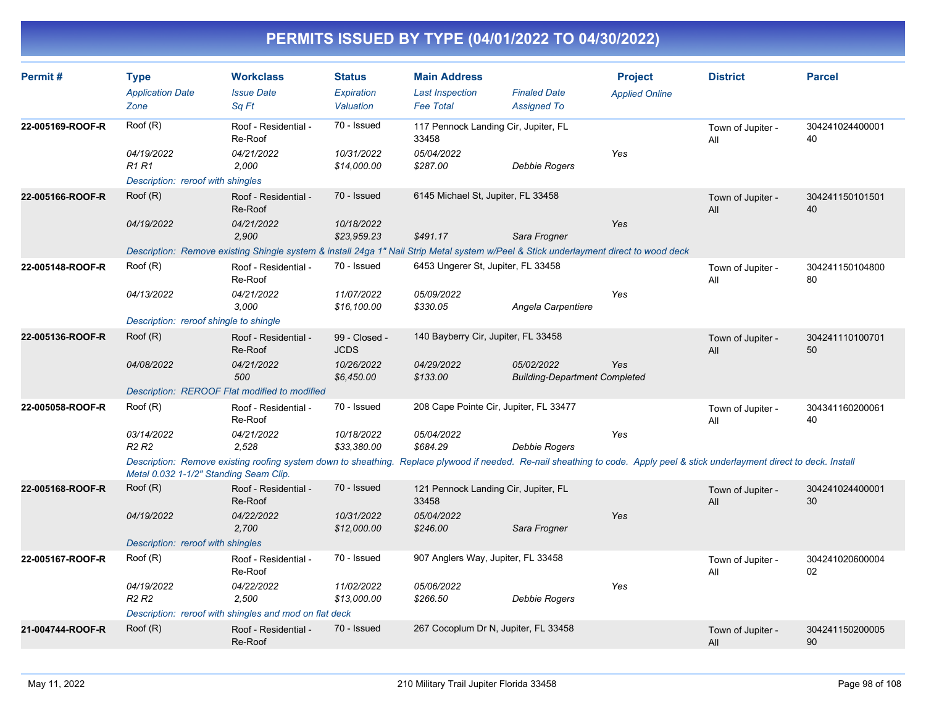| Permit#          | <b>Type</b>                                 | <b>Workclass</b>                                                                                                                                                             | <b>Status</b>                | <b>Main Address</b>                           |                                                    | <b>Project</b>        | <b>District</b>          | <b>Parcel</b>         |
|------------------|---------------------------------------------|------------------------------------------------------------------------------------------------------------------------------------------------------------------------------|------------------------------|-----------------------------------------------|----------------------------------------------------|-----------------------|--------------------------|-----------------------|
|                  | <b>Application Date</b>                     | <b>Issue Date</b>                                                                                                                                                            | <b>Expiration</b>            | <b>Last Inspection</b>                        | <b>Finaled Date</b>                                | <b>Applied Online</b> |                          |                       |
|                  | Zone                                        | Sq Ft                                                                                                                                                                        | Valuation                    | <b>Fee Total</b>                              | <b>Assigned To</b>                                 |                       |                          |                       |
| 22-005169-ROOF-R | Roof (R)                                    | Roof - Residential -<br>Re-Roof                                                                                                                                              | 70 - Issued                  | 117 Pennock Landing Cir, Jupiter, FL<br>33458 |                                                    |                       | Town of Jupiter -<br>All | 304241024400001<br>40 |
|                  | 04/19/2022<br>R1 R1                         | 04/21/2022<br>2,000                                                                                                                                                          | 10/31/2022<br>\$14,000.00    | 05/04/2022<br>\$287.00                        | Debbie Rogers                                      | Yes                   |                          |                       |
|                  | Description: reroof with shingles           |                                                                                                                                                                              |                              |                                               |                                                    |                       |                          |                       |
| 22-005166-ROOF-R | Root(R)                                     | Roof - Residential -<br>Re-Roof                                                                                                                                              | 70 - Issued                  | 6145 Michael St, Jupiter, FL 33458            |                                                    |                       | Town of Jupiter -<br>All | 304241150101501<br>40 |
|                  | 04/19/2022                                  | 04/21/2022<br>2,900                                                                                                                                                          | 10/18/2022<br>\$23,959.23    | \$491.17                                      | Sara Frogner                                       | Yes                   |                          |                       |
|                  |                                             | Description: Remove existing Shingle system & install 24ga 1" Nail Strip Metal system w/Peel & Stick underlayment direct to wood deck                                        |                              |                                               |                                                    |                       |                          |                       |
| 22-005148-ROOF-R | Root(R)                                     | Roof - Residential -<br>Re-Roof                                                                                                                                              | 70 - Issued                  | 6453 Ungerer St, Jupiter, FL 33458            |                                                    |                       | Town of Jupiter -<br>All | 304241150104800<br>80 |
|                  | 04/13/2022                                  | 04/21/2022<br>3,000                                                                                                                                                          | 11/07/2022<br>\$16,100.00    | 05/09/2022<br>\$330.05                        | Angela Carpentiere                                 | Yes                   |                          |                       |
|                  | Description: reroof shingle to shingle      |                                                                                                                                                                              |                              |                                               |                                                    |                       |                          |                       |
| 22-005136-ROOF-R | Root(R)                                     | Roof - Residential -<br>Re-Roof                                                                                                                                              | 99 - Closed -<br><b>JCDS</b> | 140 Bayberry Cir, Jupiter, FL 33458           |                                                    |                       | Town of Jupiter -<br>All | 304241110100701<br>50 |
|                  | 04/08/2022                                  | 04/21/2022<br>500                                                                                                                                                            | 10/26/2022<br>\$6,450.00     | 04/29/2022<br>\$133.00                        | 05/02/2022<br><b>Building-Department Completed</b> | Yes                   |                          |                       |
|                  |                                             | Description: REROOF Flat modified to modified                                                                                                                                |                              |                                               |                                                    |                       |                          |                       |
| 22-005058-ROOF-R | Root(R)                                     | Roof - Residential -<br>Re-Roof                                                                                                                                              | 70 - Issued                  | 208 Cape Pointe Cir, Jupiter, FL 33477        |                                                    |                       | Town of Jupiter -<br>All | 304341160200061<br>40 |
|                  | 03/14/2022<br>R <sub>2</sub> R <sub>2</sub> | 04/21/2022<br>2.528                                                                                                                                                          | 10/18/2022<br>\$33.380.00    | 05/04/2022<br>\$684.29                        | Debbie Rogers                                      | Yes                   |                          |                       |
|                  | Metal 0.032 1-1/2" Standing Seam Clip.      | Description: Remove existing roofing system down to sheathing. Replace plywood if needed. Re-nail sheathing to code. Apply peel & stick underlayment direct to deck. Install |                              |                                               |                                                    |                       |                          |                       |
| 22-005168-ROOF-R | Roof (R)                                    | Roof - Residential -<br>Re-Roof                                                                                                                                              | 70 - Issued                  | 121 Pennock Landing Cir, Jupiter, FL<br>33458 |                                                    |                       | Town of Jupiter -<br>All | 304241024400001<br>30 |
|                  | 04/19/2022                                  | 04/22/2022<br>2,700                                                                                                                                                          | 10/31/2022<br>\$12,000.00    | 05/04/2022<br>\$246.00                        | Sara Frogner                                       | Yes                   |                          |                       |
|                  | Description: reroof with shingles           |                                                                                                                                                                              |                              |                                               |                                                    |                       |                          |                       |
| 22-005167-ROOF-R | Root(R)                                     | Roof - Residential -<br>Re-Roof                                                                                                                                              | 70 - Issued                  | 907 Anglers Way, Jupiter, FL 33458            |                                                    |                       | Town of Jupiter -<br>All | 304241020600004<br>02 |
|                  | 04/19/2022<br><b>R2 R2</b>                  | 04/22/2022<br>2,500                                                                                                                                                          | 11/02/2022<br>\$13,000.00    | 05/06/2022<br>\$266.50                        | Debbie Rogers                                      | Yes                   |                          |                       |
|                  |                                             | Description: reroof with shingles and mod on flat deck                                                                                                                       |                              |                                               |                                                    |                       |                          |                       |
| 21-004744-ROOF-R | Root(R)                                     | Roof - Residential -<br>Re-Roof                                                                                                                                              | 70 - Issued                  | 267 Cocoplum Dr N, Jupiter, FL 33458          |                                                    |                       | Town of Jupiter -<br>All | 304241150200005<br>90 |
|                  |                                             |                                                                                                                                                                              |                              |                                               |                                                    |                       |                          |                       |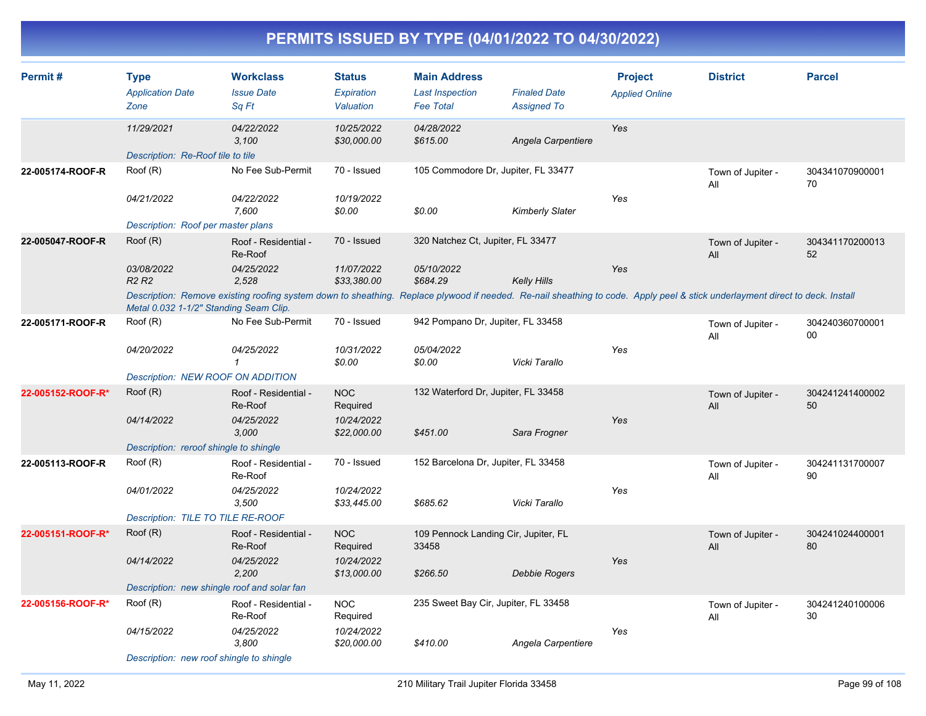| Permit#           | <b>Type</b><br><b>Application Date</b><br>Zone | <b>Workclass</b><br><b>Issue Date</b><br>Sq Ft                                                                                                                               | <b>Status</b><br>Expiration<br>Valuation | <b>Main Address</b><br><b>Last Inspection</b><br><b>Fee Total</b> | <b>Finaled Date</b><br><b>Assigned To</b> | <b>Project</b><br><b>Applied Online</b> | <b>District</b>          | <b>Parcel</b>         |
|-------------------|------------------------------------------------|------------------------------------------------------------------------------------------------------------------------------------------------------------------------------|------------------------------------------|-------------------------------------------------------------------|-------------------------------------------|-----------------------------------------|--------------------------|-----------------------|
|                   | 11/29/2021                                     | 04/22/2022<br>3,100                                                                                                                                                          | 10/25/2022<br>\$30,000.00                | 04/28/2022<br>\$615.00                                            | Angela Carpentiere                        | Yes                                     |                          |                       |
|                   | Description: Re-Roof tile to tile              |                                                                                                                                                                              |                                          |                                                                   |                                           |                                         |                          |                       |
| 22-005174-ROOF-R  | Root(R)                                        | No Fee Sub-Permit                                                                                                                                                            | 70 - Issued                              | 105 Commodore Dr, Jupiter, FL 33477                               |                                           |                                         | Town of Jupiter -<br>All | 304341070900001<br>70 |
|                   | 04/21/2022                                     | 04/22/2022<br>7,600                                                                                                                                                          | 10/19/2022<br>\$0.00                     | \$0.00                                                            | Kimberly Slater                           | Yes                                     |                          |                       |
|                   | Description: Roof per master plans             |                                                                                                                                                                              |                                          |                                                                   |                                           |                                         |                          |                       |
| 22-005047-ROOF-R  | Root(R)                                        | Roof - Residential -<br>Re-Roof                                                                                                                                              | 70 - Issued                              | 320 Natchez Ct, Jupiter, FL 33477                                 |                                           |                                         | Town of Jupiter -<br>All | 304341170200013<br>52 |
|                   | 03/08/2022<br>R <sub>2</sub> R <sub>2</sub>    | 04/25/2022<br>2,528                                                                                                                                                          | 11/07/2022<br>\$33,380.00                | 05/10/2022<br>\$684.29                                            | <b>Kelly Hills</b>                        | Yes                                     |                          |                       |
|                   | Metal 0.032 1-1/2" Standing Seam Clip.         | Description: Remove existing roofing system down to sheathing. Replace plywood if needed. Re-nail sheathing to code. Apply peel & stick underlayment direct to deck. Install |                                          |                                                                   |                                           |                                         |                          |                       |
| 22-005171-ROOF-R  | Root(R)                                        | No Fee Sub-Permit                                                                                                                                                            | 70 - Issued                              | 942 Pompano Dr, Jupiter, FL 33458                                 |                                           |                                         | Town of Jupiter -<br>All | 304240360700001<br>00 |
|                   | 04/20/2022                                     | 04/25/2022<br>$\mathbf{1}$                                                                                                                                                   | 10/31/2022<br>\$0.00                     | 05/04/2022<br>\$0.00                                              | Vicki Tarallo                             | Yes                                     |                          |                       |
|                   | <b>Description: NEW ROOF ON ADDITION</b>       |                                                                                                                                                                              |                                          |                                                                   |                                           |                                         |                          |                       |
| 22-005152-ROOF-R* | Root(R)                                        | Roof - Residential -<br>Re-Roof                                                                                                                                              | <b>NOC</b><br>Required                   | 132 Waterford Dr, Jupiter, FL 33458                               |                                           |                                         | Town of Jupiter -<br>All | 304241241400002<br>50 |
|                   | 04/14/2022                                     | 04/25/2022<br>3,000                                                                                                                                                          | 10/24/2022<br>\$22,000.00                | \$451.00                                                          | Sara Frogner                              | Yes                                     |                          |                       |
|                   | Description: reroof shingle to shingle         |                                                                                                                                                                              |                                          |                                                                   |                                           |                                         |                          |                       |
| 22-005113-ROOF-R  | Root(R)                                        | Roof - Residential -<br>Re-Roof                                                                                                                                              | 70 - Issued                              | 152 Barcelona Dr, Jupiter, FL 33458                               |                                           |                                         | Town of Jupiter -<br>All | 304241131700007<br>90 |
|                   | 04/01/2022                                     | 04/25/2022<br>3,500                                                                                                                                                          | 10/24/2022<br>\$33,445.00                | \$685.62                                                          | Vicki Tarallo                             | Yes                                     |                          |                       |
|                   | Description: TILE TO TILE RE-ROOF              |                                                                                                                                                                              |                                          |                                                                   |                                           |                                         |                          |                       |
| 22-005151-ROOF-R* | Root(R)                                        | Roof - Residential -<br>Re-Roof                                                                                                                                              | <b>NOC</b><br>Required                   | 109 Pennock Landing Cir, Jupiter, FL<br>33458                     |                                           |                                         | Town of Jupiter -<br>All | 304241024400001<br>80 |
|                   | 04/14/2022                                     | 04/25/2022<br>2,200                                                                                                                                                          | 10/24/2022<br>\$13,000.00                | \$266.50                                                          | Debbie Rogers                             | Yes                                     |                          |                       |
|                   | Description: new shingle roof and solar fan    |                                                                                                                                                                              |                                          |                                                                   |                                           |                                         |                          |                       |
| 22-005156-ROOF-R* | Root(R)                                        | Roof - Residential -<br>Re-Roof                                                                                                                                              | <b>NOC</b><br>Required                   | 235 Sweet Bay Cir, Jupiter, FL 33458                              |                                           |                                         | Town of Jupiter -<br>All | 304241240100006<br>30 |
|                   | 04/15/2022                                     | 04/25/2022<br>3,800                                                                                                                                                          | 10/24/2022<br>\$20,000.00                | \$410.00                                                          | Angela Carpentiere                        | Yes                                     |                          |                       |
|                   | Description: new roof shingle to shingle       |                                                                                                                                                                              |                                          |                                                                   |                                           |                                         |                          |                       |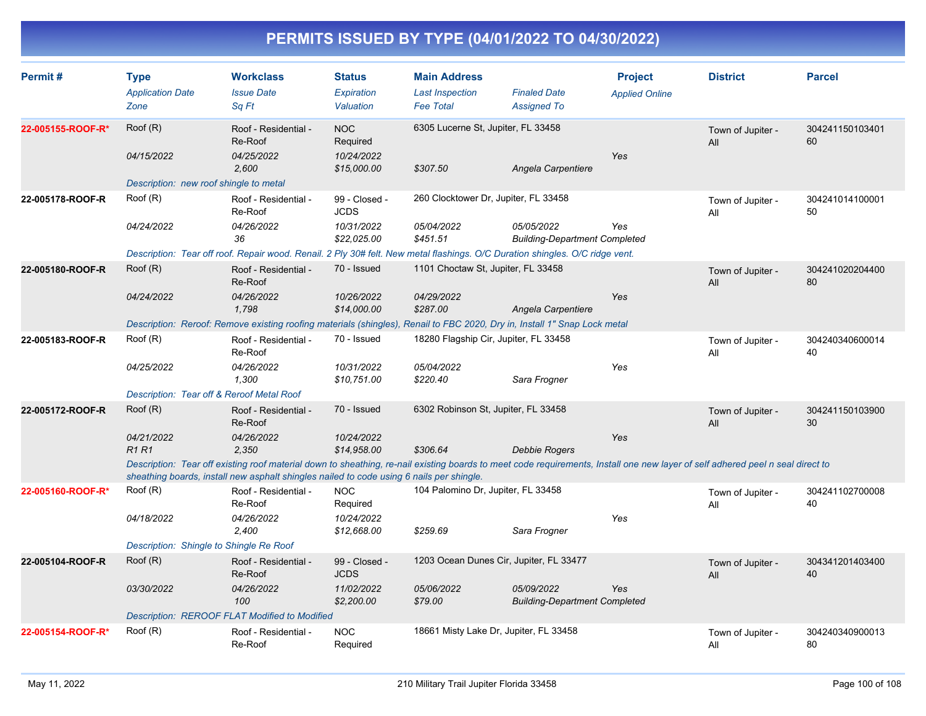| Permit#           | <b>Type</b><br><b>Application Date</b><br>Zone | <b>Workclass</b><br><b>Issue Date</b><br>Sq Ft                                                                                                                                                                                                                             | <b>Status</b><br>Expiration<br>Valuation            | <b>Main Address</b><br><b>Last Inspection</b><br><b>Fee Total</b> | <b>Finaled Date</b><br><b>Assigned To</b>          | <b>Project</b><br><b>Applied Online</b> | <b>District</b>          | <b>Parcel</b>         |
|-------------------|------------------------------------------------|----------------------------------------------------------------------------------------------------------------------------------------------------------------------------------------------------------------------------------------------------------------------------|-----------------------------------------------------|-------------------------------------------------------------------|----------------------------------------------------|-----------------------------------------|--------------------------|-----------------------|
| 22-005155-ROOF-R* | Root(R)<br>04/15/2022                          | Roof - Residential -<br>Re-Roof<br>04/25/2022<br>2.600                                                                                                                                                                                                                     | <b>NOC</b><br>Required<br>10/24/2022<br>\$15,000.00 | 6305 Lucerne St, Jupiter, FL 33458<br>\$307.50                    | Angela Carpentiere                                 | Yes                                     | Town of Jupiter -<br>All | 304241150103401<br>60 |
|                   | Description: new roof shingle to metal         |                                                                                                                                                                                                                                                                            |                                                     |                                                                   |                                                    |                                         |                          |                       |
| 22-005178-ROOF-R  | Root(R)                                        | Roof - Residential -<br>Re-Roof                                                                                                                                                                                                                                            | 99 - Closed -<br><b>JCDS</b>                        | 260 Clocktower Dr, Jupiter, FL 33458                              |                                                    |                                         | Town of Jupiter -<br>All | 304241014100001<br>50 |
|                   | 04/24/2022                                     | 04/26/2022<br>36                                                                                                                                                                                                                                                           | 10/31/2022<br>\$22,025.00                           | 05/04/2022<br>\$451.51                                            | 05/05/2022<br><b>Building-Department Completed</b> | Yes                                     |                          |                       |
|                   |                                                | Description: Tear off roof. Repair wood. Renail. 2 Ply 30# felt. New metal flashings. O/C Duration shingles. O/C ridge vent.                                                                                                                                               |                                                     |                                                                   |                                                    |                                         |                          |                       |
| 22-005180-ROOF-R  | Root(R)                                        | Roof - Residential -<br>Re-Roof                                                                                                                                                                                                                                            | 70 - Issued                                         | 1101 Choctaw St, Jupiter, FL 33458                                |                                                    |                                         | Town of Jupiter -<br>All | 304241020204400<br>80 |
|                   | 04/24/2022                                     | 04/26/2022<br>1.798                                                                                                                                                                                                                                                        | 10/26/2022<br>\$14,000.00                           | 04/29/2022<br>\$287.00                                            | Angela Carpentiere                                 | Yes                                     |                          |                       |
|                   |                                                | Description: Reroof: Remove existing roofing materials (shingles), Renail to FBC 2020, Dry in, Install 1" Snap Lock metal                                                                                                                                                  |                                                     |                                                                   |                                                    |                                         |                          |                       |
| 22-005183-ROOF-R  | Root(R)                                        | Roof - Residential -<br>Re-Roof                                                                                                                                                                                                                                            | 70 - Issued                                         | 18280 Flagship Cir, Jupiter, FL 33458                             |                                                    |                                         | Town of Jupiter -<br>All | 304240340600014<br>40 |
|                   | 04/25/2022                                     | 04/26/2022<br>1,300                                                                                                                                                                                                                                                        | 10/31/2022<br>\$10,751.00                           | 05/04/2022<br>\$220.40                                            | Sara Frogner                                       | Yes                                     |                          |                       |
|                   | Description: Tear off & Reroof Metal Roof      |                                                                                                                                                                                                                                                                            |                                                     |                                                                   |                                                    |                                         |                          |                       |
| 22-005172-ROOF-R  | Root(R)                                        | Roof - Residential -<br>Re-Roof                                                                                                                                                                                                                                            | 70 - Issued                                         | 6302 Robinson St, Jupiter, FL 33458                               |                                                    |                                         | Town of Jupiter -<br>All | 304241150103900<br>30 |
|                   | 04/21/2022<br>R1R1                             | 04/26/2022<br>2.350                                                                                                                                                                                                                                                        | 10/24/2022<br>\$14,958.00                           | \$306.64                                                          | <b>Debbie Rogers</b>                               | Yes                                     |                          |                       |
|                   |                                                | Description: Tear off existing roof material down to sheathing, re-nail existing boards to meet code requirements, Install one new layer of self adhered peel n seal direct to<br>sheathing boards, install new asphalt shingles nailed to code using 6 nails per shingle. |                                                     |                                                                   |                                                    |                                         |                          |                       |
| 22-005160-ROOF-R* | Root(R)                                        | Roof - Residential -<br>Re-Roof                                                                                                                                                                                                                                            | <b>NOC</b><br>Required                              | 104 Palomino Dr, Jupiter, FL 33458                                |                                                    |                                         | Town of Jupiter -<br>All | 304241102700008<br>40 |
|                   | 04/18/2022                                     | 04/26/2022<br>2,400                                                                                                                                                                                                                                                        | 10/24/2022<br>\$12,668.00                           | \$259.69                                                          | Sara Frogner                                       | Yes                                     |                          |                       |
|                   | Description: Shingle to Shingle Re Roof        |                                                                                                                                                                                                                                                                            |                                                     |                                                                   |                                                    |                                         |                          |                       |
| 22-005104-ROOF-R  | Root(R)                                        | Roof - Residential -<br>Re-Roof                                                                                                                                                                                                                                            | 99 - Closed -<br><b>JCDS</b>                        |                                                                   | 1203 Ocean Dunes Cir, Jupiter, FL 33477            |                                         | Town of Jupiter -<br>All | 304341201403400<br>40 |
|                   | 03/30/2022                                     | 04/26/2022<br>100                                                                                                                                                                                                                                                          | 11/02/2022<br>\$2,200.00                            | 05/06/2022<br>\$79.00                                             | 05/09/2022<br><b>Building-Department Completed</b> | Yes                                     |                          |                       |
|                   |                                                | <b>Description: REROOF FLAT Modified to Modified</b>                                                                                                                                                                                                                       |                                                     |                                                                   |                                                    |                                         |                          |                       |
| 22-005154-ROOF-R* | Root(R)                                        | Roof - Residential -<br>Re-Roof                                                                                                                                                                                                                                            | <b>NOC</b><br>Required                              | 18661 Misty Lake Dr, Jupiter, FL 33458                            |                                                    |                                         | Town of Jupiter -<br>All | 304240340900013<br>80 |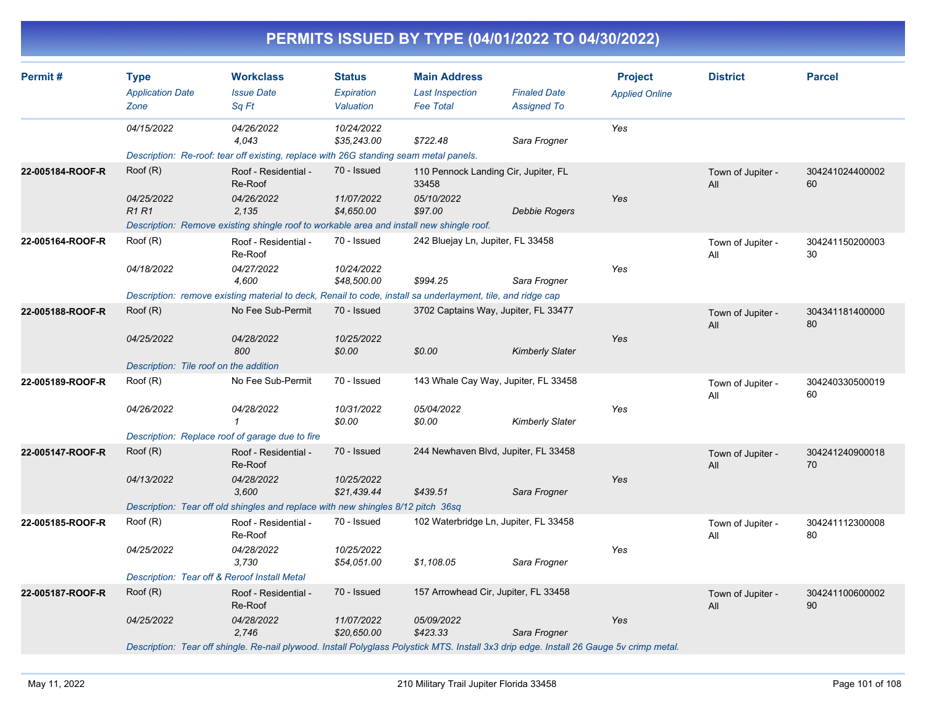|                  |                                                |                                                                                                                                          |                                          |                                                                   | PERMITS ISSUED BY TYPE (04/01/2022 TO 04/30/2022) |                                         |                          |                       |
|------------------|------------------------------------------------|------------------------------------------------------------------------------------------------------------------------------------------|------------------------------------------|-------------------------------------------------------------------|---------------------------------------------------|-----------------------------------------|--------------------------|-----------------------|
| Permit#          | <b>Type</b><br><b>Application Date</b><br>Zone | <b>Workclass</b><br><b>Issue Date</b><br>Sq Ft                                                                                           | <b>Status</b><br>Expiration<br>Valuation | <b>Main Address</b><br><b>Last Inspection</b><br><b>Fee Total</b> | <b>Finaled Date</b><br><b>Assigned To</b>         | <b>Project</b><br><b>Applied Online</b> | <b>District</b>          | <b>Parcel</b>         |
|                  | 04/15/2022                                     | 04/26/2022<br>4,043                                                                                                                      | 10/24/2022<br>\$35,243.00                | \$722.48                                                          | Sara Frogner                                      | Yes                                     |                          |                       |
|                  |                                                | Description: Re-roof: tear off existing, replace with 26G standing seam metal panels.                                                    |                                          |                                                                   |                                                   |                                         |                          |                       |
| 22-005184-ROOF-R | Root(R)                                        | Roof - Residential -<br>Re-Roof                                                                                                          | 70 - Issued                              | 110 Pennock Landing Cir, Jupiter, FL<br>33458                     |                                                   |                                         | Town of Jupiter -<br>All | 304241024400002<br>60 |
|                  | 04/25/2022<br>R <sub>1</sub> R <sub>1</sub>    | 04/26/2022<br>2,135                                                                                                                      | 11/07/2022<br>\$4,650.00                 | 05/10/2022<br>\$97.00                                             | <b>Debbie Rogers</b>                              | Yes                                     |                          |                       |
|                  |                                                | Description: Remove existing shingle roof to workable area and install new shingle roof.                                                 |                                          |                                                                   |                                                   |                                         |                          |                       |
| 22-005164-ROOF-R | Roof (R)                                       | Roof - Residential -<br>Re-Roof                                                                                                          | 70 - Issued                              | 242 Bluejay Ln, Jupiter, FL 33458                                 |                                                   |                                         | Town of Jupiter -<br>All | 304241150200003<br>30 |
|                  | 04/18/2022                                     | 04/27/2022<br>4,600                                                                                                                      | 10/24/2022<br>\$48,500.00                | \$994.25                                                          | Sara Frogner                                      | Yes                                     |                          |                       |
|                  |                                                | Description: remove existing material to deck, Renail to code, install sa underlayment, tile, and ridge cap                              |                                          |                                                                   |                                                   |                                         |                          |                       |
| 22-005188-ROOF-R | Root(R)                                        | No Fee Sub-Permit                                                                                                                        | 70 - Issued                              | 3702 Captains Way, Jupiter, FL 33477                              |                                                   |                                         | Town of Jupiter -<br>All | 304341181400000<br>80 |
|                  | 04/25/2022                                     | 04/28/2022<br>800                                                                                                                        | 10/25/2022<br>\$0.00                     | \$0.00                                                            | <b>Kimberly Slater</b>                            | Yes                                     |                          |                       |
|                  | Description: Tile roof on the addition         |                                                                                                                                          |                                          |                                                                   |                                                   |                                         |                          |                       |
| 22-005189-ROOF-R | Root(R)                                        | No Fee Sub-Permit                                                                                                                        | 70 - Issued                              |                                                                   | 143 Whale Cay Way, Jupiter, FL 33458              |                                         | Town of Jupiter -<br>All | 304240330500019<br>60 |
|                  | 04/26/2022                                     | 04/28/2022<br>$\mathbf 1$                                                                                                                | 10/31/2022<br>\$0.00                     | 05/04/2022<br>\$0.00                                              | <b>Kimberly Slater</b>                            | Yes                                     |                          |                       |
|                  |                                                | Description: Replace roof of garage due to fire                                                                                          |                                          |                                                                   |                                                   |                                         |                          |                       |
| 22-005147-ROOF-R | Root(R)                                        | Roof - Residential -<br>Re-Roof                                                                                                          | 70 - Issued                              | 244 Newhaven Blvd, Jupiter, FL 33458                              |                                                   |                                         | Town of Jupiter -<br>All | 304241240900018<br>70 |
|                  | 04/13/2022                                     | 04/28/2022<br>3,600                                                                                                                      | 10/25/2022<br>\$21,439.44                | \$439.51                                                          | Sara Frogner                                      | Yes                                     |                          |                       |
|                  |                                                | Description: Tear off old shingles and replace with new shingles 8/12 pitch 36sq                                                         |                                          |                                                                   |                                                   |                                         |                          |                       |
| 22-005185-ROOF-R | Root(R)                                        | Roof - Residential -<br>Re-Roof                                                                                                          | 70 - Issued                              | 102 Waterbridge Ln, Jupiter, FL 33458                             |                                                   |                                         | Town of Jupiter -<br>All | 304241112300008<br>80 |
|                  | 04/25/2022                                     | 04/28/2022<br>3,730                                                                                                                      | 10/25/2022<br>\$54,051.00                | \$1,108.05                                                        | Sara Frogner                                      | Yes                                     |                          |                       |
|                  |                                                | Description: Tear off & Reroof Install Metal                                                                                             |                                          |                                                                   |                                                   |                                         |                          |                       |
| 22-005187-ROOF-R | Root(R)                                        | Roof - Residential -<br>Re-Roof                                                                                                          | 70 - Issued                              | 157 Arrowhead Cir, Jupiter, FL 33458                              |                                                   |                                         | Town of Jupiter -<br>aii | 304241100600002<br>90 |
|                  | 04/25/2022                                     | 04/28/2022<br>2,746                                                                                                                      | 11/07/2022<br>\$20,650.00                | 05/09/2022<br>\$423.33                                            | Sara Frogner                                      | Yes                                     |                          |                       |
|                  |                                                | Description: Tear off shingle. Re-nail plywood. Install Polyglass Polystick MTS. Install 3x3 drip edge. Install 26 Gauge 5v crimp metal. |                                          |                                                                   |                                                   |                                         |                          |                       |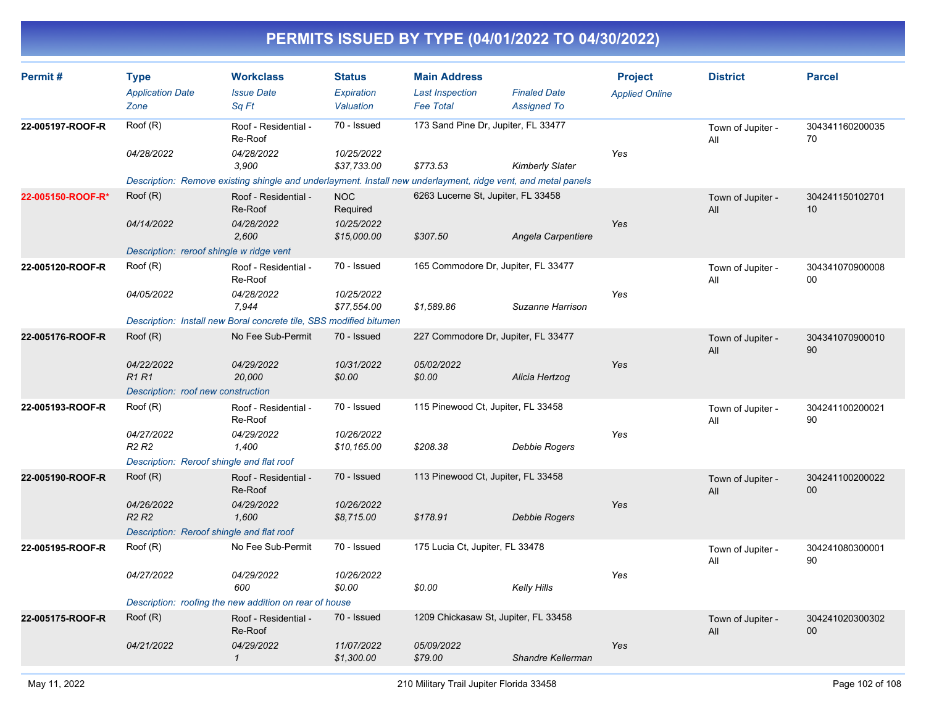| Permit#           | <b>Type</b><br><b>Application Date</b>      | <b>Workclass</b><br><b>Issue Date</b>                                                                         | <b>Status</b><br>Expiration | <b>Main Address</b><br><b>Last Inspection</b> | <b>Finaled Date</b>    | <b>Project</b><br><b>Applied Online</b> | <b>District</b>          | <b>Parcel</b>         |
|-------------------|---------------------------------------------|---------------------------------------------------------------------------------------------------------------|-----------------------------|-----------------------------------------------|------------------------|-----------------------------------------|--------------------------|-----------------------|
|                   | Zone                                        | Sq Ft                                                                                                         | Valuation                   | <b>Fee Total</b>                              | <b>Assigned To</b>     |                                         |                          |                       |
| 22-005197-ROOF-R  | Roof (R)                                    | Roof - Residential -<br>Re-Roof                                                                               | 70 - Issued                 | 173 Sand Pine Dr, Jupiter, FL 33477           |                        |                                         | Town of Jupiter -<br>All | 304341160200035<br>70 |
|                   | 04/28/2022                                  | 04/28/2022<br>3.900                                                                                           | 10/25/2022<br>\$37,733.00   | \$773.53                                      | <b>Kimberly Slater</b> | Yes                                     |                          |                       |
|                   |                                             | Description: Remove existing shingle and underlayment. Install new underlayment, ridge vent, and metal panels |                             |                                               |                        |                                         |                          |                       |
| 22-005150-ROOF-R* | Root(R)                                     | Roof - Residential -<br>Re-Roof                                                                               | <b>NOC</b><br>Required      | 6263 Lucerne St, Jupiter, FL 33458            |                        |                                         | Town of Jupiter -<br>All | 304241150102701<br>10 |
|                   | 04/14/2022                                  | 04/28/2022<br>2.600                                                                                           | 10/25/2022<br>\$15,000.00   | \$307.50                                      | Angela Carpentiere     | Yes                                     |                          |                       |
|                   | Description: reroof shingle w ridge vent    |                                                                                                               |                             |                                               |                        |                                         |                          |                       |
| 22-005120-ROOF-R  | Root(R)                                     | Roof - Residential -<br>Re-Roof                                                                               | 70 - Issued                 | 165 Commodore Dr, Jupiter, FL 33477           |                        |                                         | Town of Jupiter -<br>All | 304341070900008<br>00 |
|                   | 04/05/2022                                  | 04/28/2022<br>7,944                                                                                           | 10/25/2022<br>\$77,554.00   | \$1,589.86                                    | Suzanne Harrison       | Yes                                     |                          |                       |
|                   |                                             | Description: Install new Boral concrete tile, SBS modified bitumen                                            |                             |                                               |                        |                                         |                          |                       |
| 22-005176-ROOF-R  | Root(R)                                     | No Fee Sub-Permit                                                                                             | 70 - Issued                 | 227 Commodore Dr, Jupiter, FL 33477           |                        |                                         | Town of Jupiter -<br>All | 304341070900010<br>90 |
|                   | 04/22/2022<br><b>R1R1</b>                   | 04/29/2022<br>20,000                                                                                          | 10/31/2022<br>\$0.00        | 05/02/2022<br>\$0.00                          | Alicia Hertzog         | Yes                                     |                          |                       |
|                   | Description: roof new construction          |                                                                                                               |                             |                                               |                        |                                         |                          |                       |
| 22-005193-ROOF-R  | Root(R)                                     | Roof - Residential -<br>Re-Roof                                                                               | 70 - Issued                 | 115 Pinewood Ct, Jupiter, FL 33458            |                        |                                         | Town of Jupiter -<br>All | 304241100200021<br>90 |
|                   | 04/27/2022<br><b>R2 R2</b>                  | 04/29/2022<br>1,400                                                                                           | 10/26/2022<br>\$10,165.00   | \$208.38                                      | <b>Debbie Rogers</b>   | Yes                                     |                          |                       |
|                   | Description: Reroof shingle and flat roof   |                                                                                                               |                             |                                               |                        |                                         |                          |                       |
| 22-005190-ROOF-R  | Root(R)                                     | Roof - Residential -<br>Re-Roof                                                                               | 70 - Issued                 | 113 Pinewood Ct, Jupiter, FL 33458            |                        |                                         | Town of Jupiter -<br>All | 304241100200022<br>00 |
|                   | 04/26/2022<br>R <sub>2</sub> R <sub>2</sub> | 04/29/2022<br>1,600                                                                                           | 10/26/2022<br>\$8,715.00    | \$178.91                                      | Debbie Rogers          | Yes                                     |                          |                       |
|                   | Description: Reroof shingle and flat roof   |                                                                                                               |                             |                                               |                        |                                         |                          |                       |
| 22-005195-ROOF-R  | Roof (R)                                    | No Fee Sub-Permit                                                                                             | 70 - Issued                 | 175 Lucia Ct, Jupiter, FL 33478               |                        |                                         | Town of Jupiter -<br>All | 304241080300001<br>90 |
|                   | 04/27/2022                                  | 04/29/2022<br>600                                                                                             | 10/26/2022<br>\$0.00        | \$0.00                                        | Kelly Hills            | Yes                                     |                          |                       |
|                   |                                             | Description: roofing the new addition on rear of house                                                        |                             |                                               |                        |                                         |                          |                       |
| 22-005175-ROOF-R  | Root(R)                                     | Roof - Residential -<br>Re-Roof                                                                               | 70 - Issued                 | 1209 Chickasaw St, Jupiter, FL 33458          |                        |                                         | Town of Jupiter -<br>All | 304241020300302<br>00 |
|                   | 04/21/2022                                  | 04/29/2022<br>$\mathbf{1}$                                                                                    | 11/07/2022<br>\$1,300.00    | 05/09/2022<br>\$79.00                         | Shandre Kellerman      | Yes                                     |                          |                       |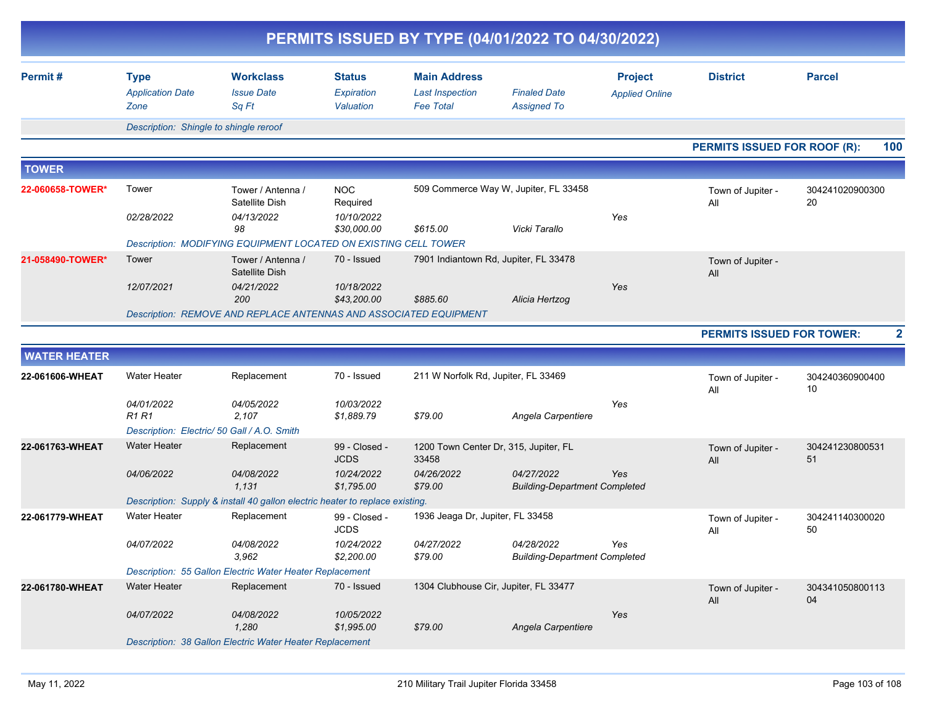|                     |                                                |                                                                              |                                          | PERMITS ISSUED BY TYPE (04/01/2022 TO 04/30/2022)                 |                                                    |                                         |                                     |                         |
|---------------------|------------------------------------------------|------------------------------------------------------------------------------|------------------------------------------|-------------------------------------------------------------------|----------------------------------------------------|-----------------------------------------|-------------------------------------|-------------------------|
| Permit#             | <b>Type</b><br><b>Application Date</b><br>Zone | <b>Workclass</b><br><b>Issue Date</b><br>Sq Ft                               | <b>Status</b><br>Expiration<br>Valuation | <b>Main Address</b><br><b>Last Inspection</b><br><b>Fee Total</b> | <b>Finaled Date</b><br><b>Assigned To</b>          | <b>Project</b><br><b>Applied Online</b> | <b>District</b>                     | <b>Parcel</b>           |
|                     | Description: Shingle to shingle reroof         |                                                                              |                                          |                                                                   |                                                    |                                         |                                     |                         |
|                     |                                                |                                                                              |                                          |                                                                   |                                                    |                                         | <b>PERMITS ISSUED FOR ROOF (R):</b> | 100                     |
| <b>TOWER</b>        |                                                |                                                                              |                                          |                                                                   |                                                    |                                         |                                     |                         |
| 22-060658-TOWER*    | Tower                                          | Tower / Antenna /<br>Satellite Dish                                          | <b>NOC</b><br>Required                   |                                                                   | 509 Commerce Way W, Jupiter, FL 33458              |                                         | Town of Jupiter -<br>All            | 304241020900300<br>20   |
|                     | 02/28/2022                                     | 04/13/2022<br>98                                                             | 10/10/2022<br>\$30,000.00                | \$615.00                                                          | Vicki Tarallo                                      | Yes                                     |                                     |                         |
|                     |                                                | Description: MODIFYING EQUIPMENT LOCATED ON EXISTING CELL TOWER              |                                          |                                                                   |                                                    |                                         |                                     |                         |
| 21-058490-TOWER*    | Tower                                          | Tower / Antenna /<br>Satellite Dish                                          | 70 - Issued                              | 7901 Indiantown Rd, Jupiter, FL 33478                             |                                                    |                                         | Town of Jupiter -<br>All            |                         |
|                     | 12/07/2021                                     | 04/21/2022<br>200                                                            | 10/18/2022<br>\$43,200.00                | \$885.60                                                          | Alicia Hertzog                                     | Yes                                     |                                     |                         |
|                     |                                                | Description: REMOVE AND REPLACE ANTENNAS AND ASSOCIATED EQUIPMENT            |                                          |                                                                   |                                                    |                                         |                                     |                         |
|                     |                                                |                                                                              |                                          |                                                                   |                                                    |                                         | <b>PERMITS ISSUED FOR TOWER:</b>    | $\overline{\mathbf{2}}$ |
| <b>WATER HEATER</b> |                                                |                                                                              |                                          |                                                                   |                                                    |                                         |                                     |                         |
| 22-061606-WHEAT     | Water Heater                                   | Replacement                                                                  | 70 - Issued                              | 211 W Norfolk Rd, Jupiter, FL 33469                               |                                                    |                                         | Town of Jupiter -<br>All            | 304240360900400<br>10   |
|                     | 04/01/2022<br>R1 R1                            | 04/05/2022<br>2,107                                                          | 10/03/2022<br>\$1,889.79                 | \$79.00                                                           | Angela Carpentiere                                 | Yes                                     |                                     |                         |
|                     |                                                | Description: Electric/ 50 Gall / A.O. Smith                                  |                                          |                                                                   |                                                    |                                         |                                     |                         |
| 22-061763-WHEAT     | <b>Water Heater</b>                            | Replacement                                                                  | 99 - Closed -<br><b>JCDS</b>             | 1200 Town Center Dr, 315, Jupiter, FL<br>33458                    |                                                    |                                         | Town of Jupiter -<br>All            | 304241230800531<br>51   |
|                     | 04/06/2022                                     | 04/08/2022<br>1,131                                                          | 10/24/2022<br>\$1,795.00                 | 04/26/2022<br>\$79.00                                             | 04/27/2022<br><b>Building-Department Completed</b> | Yes                                     |                                     |                         |
|                     |                                                | Description: Supply & install 40 gallon electric heater to replace existing. |                                          |                                                                   |                                                    |                                         |                                     |                         |
| 22-061779-WHEAT     | Water Heater                                   | Replacement                                                                  | 99 - Closed -<br><b>JCDS</b>             | 1936 Jeaga Dr, Jupiter, FL 33458                                  |                                                    |                                         | Town of Jupiter -<br>All            | 304241140300020<br>50   |
|                     | 04/07/2022                                     | 04/08/2022<br>3,962                                                          | 10/24/2022<br>\$2,200.00                 | 04/27/2022<br>\$79.00                                             | 04/28/2022<br><b>Building-Department Completed</b> | Yes                                     |                                     |                         |
|                     |                                                | Description: 55 Gallon Electric Water Heater Replacement                     |                                          |                                                                   |                                                    |                                         |                                     |                         |
| 22-061780-WHEAT     | <b>Water Heater</b>                            | Replacement                                                                  | 70 - Issued                              | 1304 Clubhouse Cir, Jupiter, FL 33477                             |                                                    |                                         | Town of Jupiter -<br>All            | 304341050800113<br>04   |
|                     | 04/07/2022                                     | 04/08/2022<br>1,280                                                          | 10/05/2022<br>\$1,995.00                 | \$79.00                                                           | Angela Carpentiere                                 | Yes                                     |                                     |                         |
|                     |                                                | Description: 38 Gallon Electric Water Heater Replacement                     |                                          |                                                                   |                                                    |                                         |                                     |                         |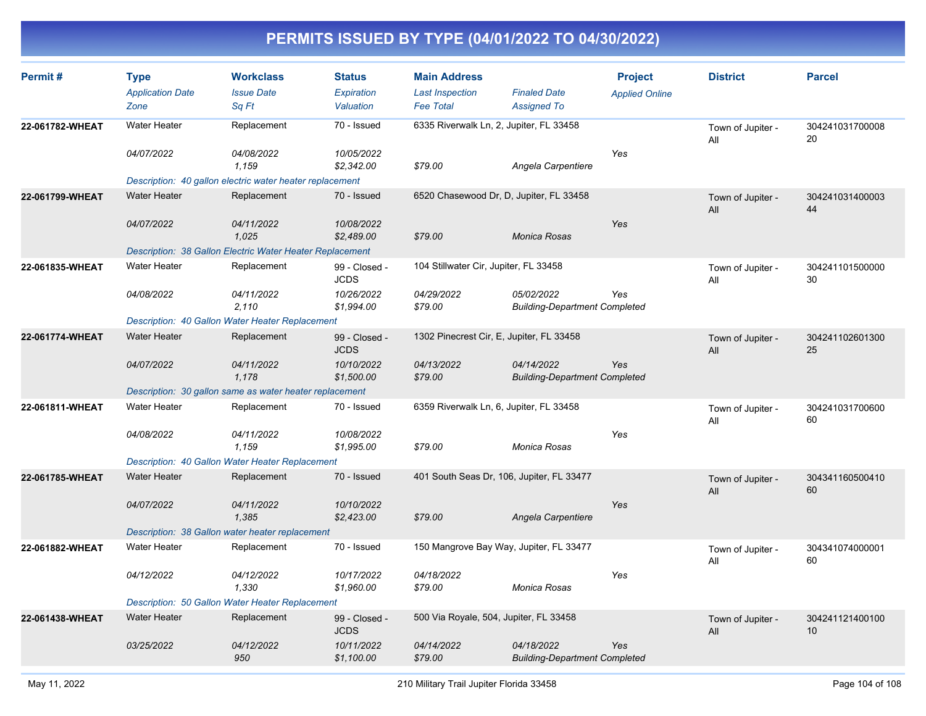| Permit#         | <b>Type</b><br><b>Application Date</b> | <b>Workclass</b><br><b>Issue Date</b>                    | <b>Status</b><br>Expiration  | <b>Main Address</b><br><b>Last Inspection</b> | <b>Finaled Date</b>                                | <b>Project</b><br><b>Applied Online</b> | <b>District</b>          | <b>Parcel</b>         |
|-----------------|----------------------------------------|----------------------------------------------------------|------------------------------|-----------------------------------------------|----------------------------------------------------|-----------------------------------------|--------------------------|-----------------------|
|                 | Zone                                   | Sq Ft                                                    | Valuation                    | <b>Fee Total</b>                              | <b>Assigned To</b>                                 |                                         |                          |                       |
| 22-061782-WHEAT | <b>Water Heater</b>                    | Replacement                                              | 70 - Issued                  | 6335 Riverwalk Ln, 2, Jupiter, FL 33458       |                                                    |                                         | Town of Jupiter -<br>All | 304241031700008<br>20 |
|                 | 04/07/2022                             | <i>04/08/2022</i><br>1,159                               | 10/05/2022<br>\$2,342.00     | \$79.00                                       | Angela Carpentiere                                 | Yes                                     |                          |                       |
|                 |                                        | Description: 40 gallon electric water heater replacement |                              |                                               |                                                    |                                         |                          |                       |
| 22-061799-WHEAT | <b>Water Heater</b>                    | Replacement                                              | 70 - Issued                  | 6520 Chasewood Dr, D, Jupiter, FL 33458       |                                                    |                                         | Town of Jupiter -<br>All | 304241031400003<br>44 |
|                 | 04/07/2022                             | 04/11/2022<br>1,025                                      | 10/08/2022<br>\$2,489.00     | \$79.00                                       | <b>Monica Rosas</b>                                | Yes                                     |                          |                       |
|                 |                                        | Description: 38 Gallon Electric Water Heater Replacement |                              |                                               |                                                    |                                         |                          |                       |
| 22-061835-WHEAT | <b>Water Heater</b>                    | Replacement                                              | 99 - Closed -<br><b>JCDS</b> | 104 Stillwater Cir, Jupiter, FL 33458         |                                                    |                                         | Town of Jupiter -<br>All | 304241101500000<br>30 |
|                 | 04/08/2022                             | 04/11/2022<br>2,110                                      | 10/26/2022<br>\$1,994.00     | 04/29/2022<br>\$79.00                         | 05/02/2022<br><b>Building-Department Completed</b> | Yes                                     |                          |                       |
|                 |                                        | Description: 40 Gallon Water Heater Replacement          |                              |                                               |                                                    |                                         |                          |                       |
| 22-061774-WHEAT | <b>Water Heater</b>                    | Replacement                                              | 99 - Closed -<br><b>JCDS</b> | 1302 Pinecrest Cir, E, Jupiter, FL 33458      |                                                    |                                         | Town of Jupiter -<br>All | 304241102601300<br>25 |
|                 | 04/07/2022                             | 04/11/2022<br>1.178                                      | 10/10/2022<br>\$1,500.00     | 04/13/2022<br>\$79.00                         | 04/14/2022<br><b>Building-Department Completed</b> | Yes                                     |                          |                       |
|                 |                                        | Description: 30 gallon same as water heater replacement  |                              |                                               |                                                    |                                         |                          |                       |
| 22-061811-WHEAT | <b>Water Heater</b>                    | Replacement                                              | 70 - Issued                  | 6359 Riverwalk Ln, 6, Jupiter, FL 33458       |                                                    |                                         | Town of Jupiter -<br>All | 304241031700600<br>60 |
|                 | 04/08/2022                             | 04/11/2022<br>1.159                                      | 10/08/2022<br>\$1,995.00     | \$79.00                                       | Monica Rosas                                       | Yes                                     |                          |                       |
|                 |                                        | Description: 40 Gallon Water Heater Replacement          |                              |                                               |                                                    |                                         |                          |                       |
| 22-061785-WHEAT | <b>Water Heater</b>                    | Replacement                                              | 70 - Issued                  | 401 South Seas Dr, 106, Jupiter, FL 33477     |                                                    |                                         | Town of Jupiter -<br>All | 304341160500410<br>60 |
|                 | 04/07/2022                             | 04/11/2022<br>1,385                                      | 10/10/2022<br>\$2,423.00     | \$79.00                                       | Angela Carpentiere                                 | Yes                                     |                          |                       |
|                 |                                        | Description: 38 Gallon water heater replacement          |                              |                                               |                                                    |                                         |                          |                       |
| 22-061882-WHEAT | <b>Water Heater</b>                    | Replacement                                              | 70 - Issued                  | 150 Mangrove Bay Way, Jupiter, FL 33477       |                                                    |                                         | Town of Jupiter -<br>All | 304341074000001<br>60 |
|                 | 04/12/2022                             | 04/12/2022<br>1,330                                      | 10/17/2022<br>\$1,960.00     | 04/18/2022<br>\$79.00                         | Monica Rosas                                       | Yes                                     |                          |                       |
|                 |                                        | Description: 50 Gallon Water Heater Replacement          |                              |                                               |                                                    |                                         |                          |                       |
| 22-061438-WHEAT | <b>Water Heater</b>                    | Replacement                                              | 99 - Closed -<br><b>JCDS</b> | 500 Via Royale, 504, Jupiter, FL 33458        |                                                    |                                         | Town of Jupiter -<br>All | 304241121400100<br>10 |
|                 | 03/25/2022                             | 04/12/2022<br>950                                        | 10/11/2022<br>\$1,100.00     | 04/14/2022<br>\$79.00                         | 04/18/2022<br><b>Building-Department Completed</b> | Yes                                     |                          |                       |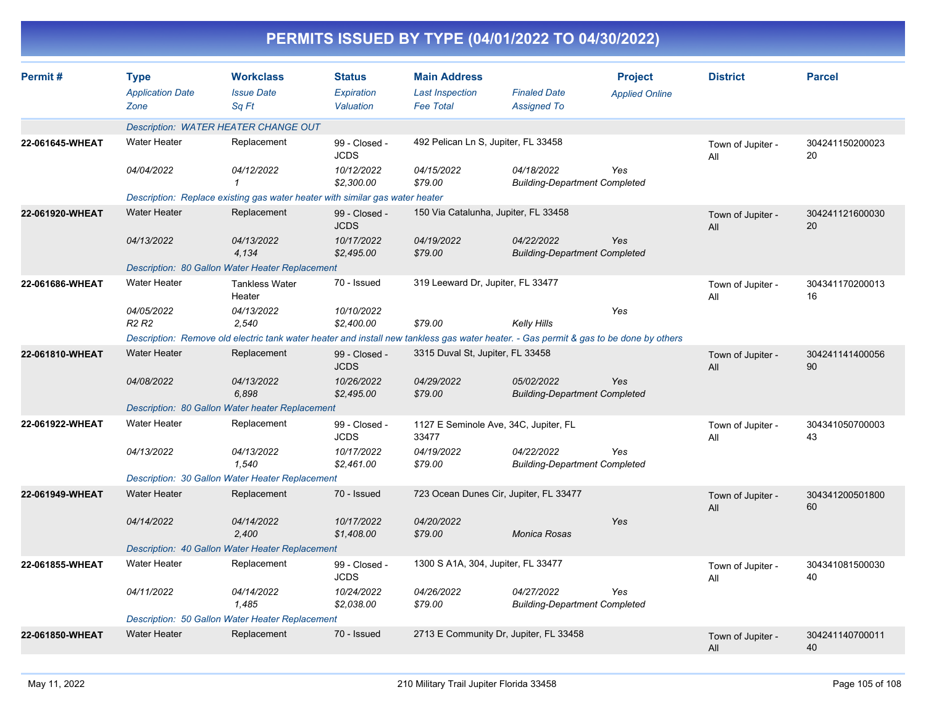|                 |                                                |                                                                              |                                          | PERMITS ISSUED BY TYPE (04/01/2022 TO 04/30/2022)                                                                                     |                                                    |                                         |                          |                       |
|-----------------|------------------------------------------------|------------------------------------------------------------------------------|------------------------------------------|---------------------------------------------------------------------------------------------------------------------------------------|----------------------------------------------------|-----------------------------------------|--------------------------|-----------------------|
| Permit#         | <b>Type</b><br><b>Application Date</b><br>Zone | <b>Workclass</b><br><b>Issue Date</b><br>Sq Ft                               | <b>Status</b><br>Expiration<br>Valuation | <b>Main Address</b><br><b>Last Inspection</b><br><b>Fee Total</b>                                                                     | <b>Finaled Date</b><br><b>Assigned To</b>          | <b>Project</b><br><b>Applied Online</b> | <b>District</b>          | <b>Parcel</b>         |
|                 |                                                | Description: WATER HEATER CHANGE OUT                                         |                                          |                                                                                                                                       |                                                    |                                         |                          |                       |
| 22-061645-WHEAT | <b>Water Heater</b>                            | Replacement                                                                  | 99 - Closed -<br><b>JCDS</b>             | 492 Pelican Ln S, Jupiter, FL 33458                                                                                                   |                                                    |                                         | Town of Jupiter -<br>All | 304241150200023<br>20 |
|                 | 04/04/2022                                     | 04/12/2022                                                                   | 10/12/2022<br>\$2,300.00                 | 04/15/2022<br>\$79.00                                                                                                                 | 04/18/2022<br><b>Building-Department Completed</b> | Yes                                     |                          |                       |
|                 |                                                | Description: Replace existing gas water heater with similar gas water heater |                                          |                                                                                                                                       |                                                    |                                         |                          |                       |
| 22-061920-WHEAT | <b>Water Heater</b>                            | Replacement                                                                  | 99 - Closed -<br><b>JCDS</b>             | 150 Via Catalunha, Jupiter, FL 33458                                                                                                  |                                                    |                                         | Town of Jupiter -<br>All | 304241121600030<br>20 |
|                 | 04/13/2022                                     | 04/13/2022<br>4,134                                                          | 10/17/2022<br>\$2,495.00                 | 04/19/2022<br>\$79.00                                                                                                                 | 04/22/2022<br><b>Building-Department Completed</b> | Yes                                     |                          |                       |
|                 |                                                | Description: 80 Gallon Water Heater Replacement                              |                                          |                                                                                                                                       |                                                    |                                         |                          |                       |
| 22-061686-WHEAT | <b>Water Heater</b>                            | <b>Tankless Water</b><br>Heater                                              | 70 - Issued                              | 319 Leeward Dr, Jupiter, FL 33477                                                                                                     |                                                    |                                         | Town of Jupiter -<br>All | 304341170200013<br>16 |
|                 | 04/05/2022<br><b>R2 R2</b>                     | 04/13/2022<br>2,540                                                          | 10/10/2022<br>\$2,400.00                 | \$79.00                                                                                                                               | <b>Kelly Hills</b>                                 | Yes                                     |                          |                       |
|                 |                                                |                                                                              |                                          | Description: Remove old electric tank water heater and install new tankless gas water heater. - Gas permit & gas to be done by others |                                                    |                                         |                          |                       |
| 22-061810-WHEAT | <b>Water Heater</b>                            | Replacement                                                                  | 99 - Closed -<br><b>JCDS</b>             | 3315 Duval St, Jupiter, FL 33458                                                                                                      |                                                    |                                         | Town of Jupiter -<br>All | 304241141400056<br>90 |
|                 | 04/08/2022                                     | 04/13/2022<br>6,898                                                          | 10/26/2022<br>\$2,495.00                 | 04/29/2022<br>\$79.00                                                                                                                 | 05/02/2022<br><b>Building-Department Completed</b> | Yes                                     |                          |                       |
|                 |                                                | Description: 80 Gallon Water heater Replacement                              |                                          |                                                                                                                                       |                                                    |                                         |                          |                       |
| 22-061922-WHEAT | <b>Water Heater</b>                            | Replacement                                                                  | 99 - Closed -<br><b>JCDS</b>             | 1127 E Seminole Ave, 34C, Jupiter, FL<br>33477                                                                                        |                                                    |                                         | Town of Jupiter -<br>All | 304341050700003<br>43 |
|                 | 04/13/2022                                     | 04/13/2022<br>1,540                                                          | 10/17/2022<br>\$2,461.00                 | 04/19/2022<br>\$79.00                                                                                                                 | 04/22/2022<br><b>Building-Department Completed</b> | Yes                                     |                          |                       |
|                 |                                                | Description: 30 Gallon Water Heater Replacement                              |                                          |                                                                                                                                       |                                                    |                                         |                          |                       |
| 22-061949-WHEAT | <b>Water Heater</b>                            | Replacement                                                                  | 70 - Issued                              | 723 Ocean Dunes Cir, Jupiter, FL 33477                                                                                                |                                                    |                                         | Town of Jupiter -<br>All | 304341200501800<br>60 |
|                 | 04/14/2022                                     | 04/14/2022<br>2,400                                                          | 10/17/2022<br>\$1,408.00                 | 04/20/2022<br>\$79.00                                                                                                                 | <b>Monica Rosas</b>                                | Yes                                     |                          |                       |
|                 |                                                | Description: 40 Gallon Water Heater Replacement                              |                                          |                                                                                                                                       |                                                    |                                         |                          |                       |
| 22-061855-WHEAT | <b>Water Heater</b>                            | Replacement                                                                  | 99 - Closed -<br><b>JCDS</b>             | 1300 S A1A, 304, Jupiter, FL 33477                                                                                                    |                                                    |                                         | Town of Jupiter -<br>All | 304341081500030<br>40 |
|                 | 04/11/2022                                     | 04/14/2022<br>1,485                                                          | 10/24/2022<br>\$2,038.00                 | 04/26/2022<br>\$79.00                                                                                                                 | 04/27/2022<br><b>Building-Department Completed</b> | Yes                                     |                          |                       |
|                 |                                                | Description: 50 Gallon Water Heater Replacement                              |                                          |                                                                                                                                       |                                                    |                                         |                          |                       |
| 22-061850-WHEAT | <b>Water Heater</b>                            | Replacement                                                                  | 70 - Issued                              | 2713 E Community Dr, Jupiter, FL 33458                                                                                                |                                                    |                                         | Town of Jupiter -<br>aii | 304241140700011<br>40 |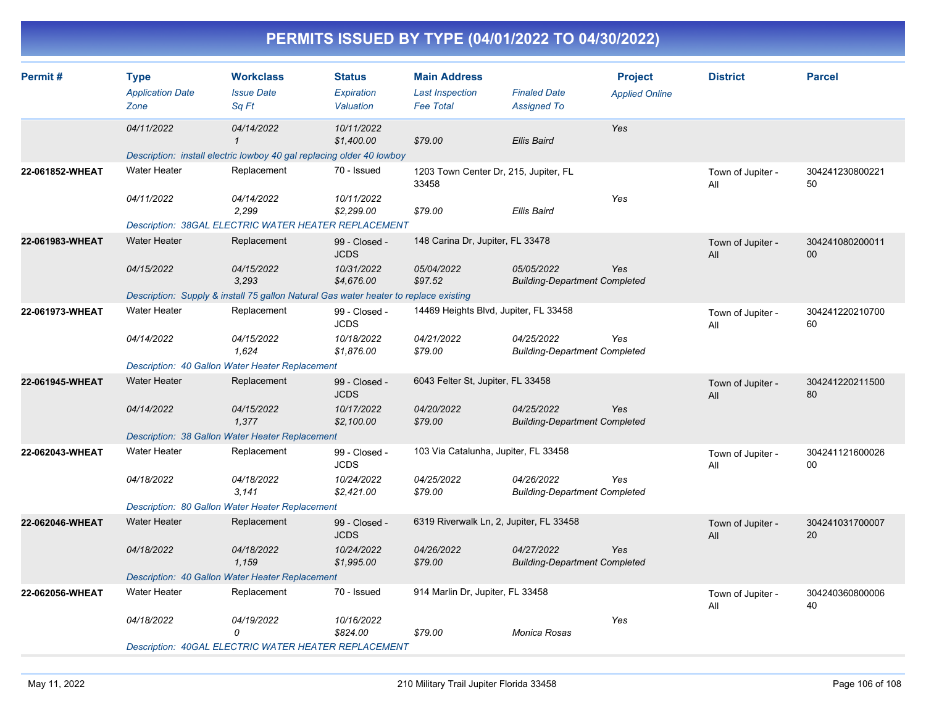| PERMITS ISSUED BY TYPE (04/01/2022 TO 04/30/2022) |  |
|---------------------------------------------------|--|
|                                                   |  |

| Permit#         | <b>Type</b><br><b>Application Date</b> | <b>Workclass</b><br><b>Issue Date</b>                                                | <b>Status</b><br>Expiration  | <b>Main Address</b><br><b>Last Inspection</b>  | <b>Finaled Date</b>                                | <b>Project</b><br><b>Applied Online</b> | <b>District</b>          | <b>Parcel</b>         |
|-----------------|----------------------------------------|--------------------------------------------------------------------------------------|------------------------------|------------------------------------------------|----------------------------------------------------|-----------------------------------------|--------------------------|-----------------------|
|                 | Zone                                   | Sa Ft                                                                                | Valuation                    | <b>Fee Total</b>                               | <b>Assigned To</b>                                 |                                         |                          |                       |
|                 | 04/11/2022                             | 04/14/2022<br>$\mathbf{1}$                                                           | 10/11/2022<br>\$1,400.00     | \$79.00                                        | <b>Ellis Baird</b>                                 | Yes                                     |                          |                       |
|                 |                                        | Description: install electric lowboy 40 gal replacing older 40 lowboy                |                              |                                                |                                                    |                                         |                          |                       |
| 22-061852-WHEAT | <b>Water Heater</b>                    | Replacement                                                                          | 70 - Issued                  | 1203 Town Center Dr, 215, Jupiter, FL<br>33458 |                                                    |                                         | Town of Jupiter -<br>All | 304241230800221<br>50 |
|                 | 04/11/2022                             | 04/14/2022<br>2,299                                                                  | 10/11/2022<br>\$2,299.00     | \$79.00                                        | Ellis Baird                                        | Yes                                     |                          |                       |
|                 |                                        | Description: 38GAL ELECTRIC WATER HEATER REPLACEMENT                                 |                              |                                                |                                                    |                                         |                          |                       |
| 22-061983-WHEAT | <b>Water Heater</b>                    | Replacement                                                                          | 99 - Closed -<br><b>JCDS</b> | 148 Carina Dr, Jupiter, FL 33478               |                                                    |                                         | Town of Jupiter -<br>All | 304241080200011<br>00 |
|                 | 04/15/2022                             | 04/15/2022<br>3.293                                                                  | 10/31/2022<br>\$4,676.00     | 05/04/2022<br>\$97.52                          | 05/05/2022<br><b>Building-Department Completed</b> | Yes                                     |                          |                       |
|                 |                                        | Description: Supply & install 75 gallon Natural Gas water heater to replace existing |                              |                                                |                                                    |                                         |                          |                       |
| 22-061973-WHEAT | <b>Water Heater</b>                    | Replacement                                                                          | 99 - Closed -<br><b>JCDS</b> | 14469 Heights Blvd, Jupiter, FL 33458          |                                                    |                                         | Town of Jupiter -<br>All | 304241220210700<br>60 |
|                 | 04/14/2022                             | 04/15/2022<br>1,624                                                                  | 10/18/2022<br>\$1,876.00     | 04/21/2022<br>\$79.00                          | 04/25/2022<br><b>Building-Department Completed</b> | Yes                                     |                          |                       |
|                 |                                        | Description: 40 Gallon Water Heater Replacement                                      |                              |                                                |                                                    |                                         |                          |                       |
| 22-061945-WHEAT | <b>Water Heater</b>                    | Replacement                                                                          | 99 - Closed -<br><b>JCDS</b> | 6043 Felter St, Jupiter, FL 33458              |                                                    |                                         | Town of Jupiter -<br>All | 304241220211500<br>80 |
|                 | 04/14/2022                             | 04/15/2022<br>1,377                                                                  | 10/17/2022<br>\$2,100.00     | 04/20/2022<br>\$79.00                          | 04/25/2022<br><b>Building-Department Completed</b> | Yes                                     |                          |                       |
|                 |                                        | Description: 38 Gallon Water Heater Replacement                                      |                              |                                                |                                                    |                                         |                          |                       |
| 22-062043-WHEAT | <b>Water Heater</b>                    | Replacement                                                                          | 99 - Closed -<br><b>JCDS</b> | 103 Via Catalunha, Jupiter, FL 33458           |                                                    |                                         | Town of Jupiter -<br>All | 304241121600026<br>00 |
|                 | 04/18/2022                             | 04/18/2022<br>3,141                                                                  | 10/24/2022<br>\$2,421.00     | 04/25/2022<br>\$79.00                          | 04/26/2022<br><b>Building-Department Completed</b> | Yes                                     |                          |                       |
|                 |                                        | Description: 80 Gallon Water Heater Replacement                                      |                              |                                                |                                                    |                                         |                          |                       |
| 22-062046-WHEAT | <b>Water Heater</b>                    | Replacement                                                                          | 99 - Closed -<br><b>JCDS</b> | 6319 Riverwalk Ln, 2, Jupiter, FL 33458        |                                                    |                                         | Town of Jupiter -<br>All | 304241031700007<br>20 |
|                 | 04/18/2022                             | 04/18/2022<br>1,159                                                                  | 10/24/2022<br>\$1,995.00     | 04/26/2022<br>\$79.00                          | 04/27/2022<br><b>Building-Department Completed</b> | Yes                                     |                          |                       |
|                 |                                        | Description: 40 Gallon Water Heater Replacement                                      |                              |                                                |                                                    |                                         |                          |                       |
| 22-062056-WHEAT | <b>Water Heater</b>                    | Replacement                                                                          | 70 - Issued                  | 914 Marlin Dr, Jupiter, FL 33458               |                                                    |                                         | Town of Jupiter -<br>All | 304240360800006<br>40 |
|                 | 04/18/2022                             | 04/19/2022<br>0                                                                      | 10/16/2022<br>\$824.00       | \$79.00                                        | Monica Rosas                                       | Yes                                     |                          |                       |
|                 |                                        | <b>Description: 40GAL ELECTRIC WATER HEATER REPLACEMENT</b>                          |                              |                                                |                                                    |                                         |                          |                       |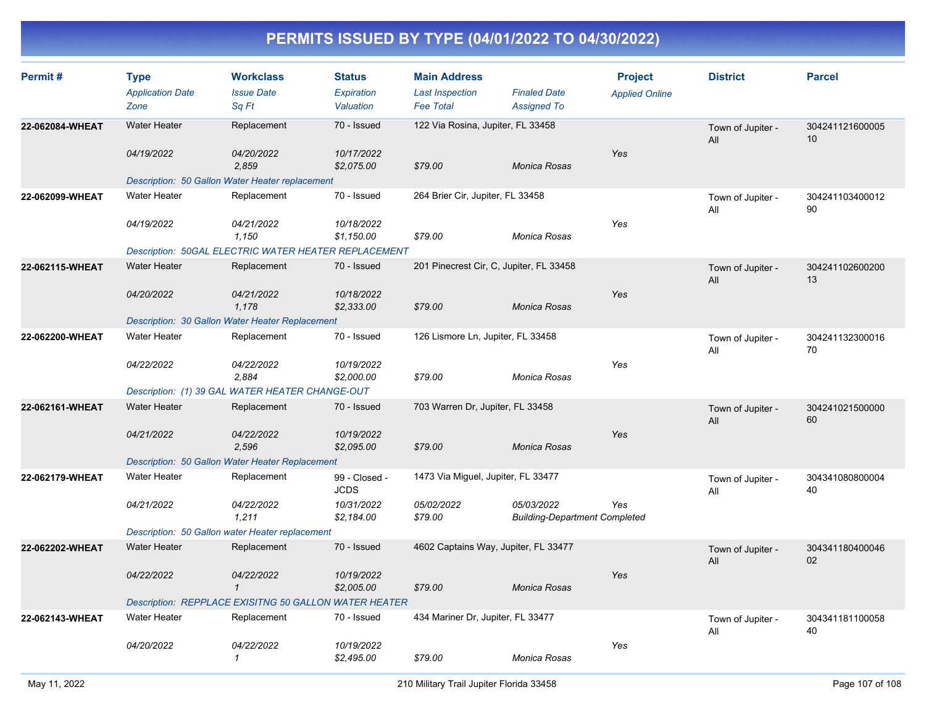| Permit#         | <b>Type</b><br><b>Application Date</b> | <b>Workclass</b><br><b>Issue Date</b>                        | <b>Status</b><br>Expiration  | <b>Main Address</b><br><b>Last Inspection</b> | <b>Finaled Date</b>                                | <b>Project</b><br><b>Applied Online</b> | <b>District</b>          | <b>Parcel</b>         |
|-----------------|----------------------------------------|--------------------------------------------------------------|------------------------------|-----------------------------------------------|----------------------------------------------------|-----------------------------------------|--------------------------|-----------------------|
|                 | Zone                                   | Sq Ft                                                        | Valuation                    | <b>Fee Total</b>                              | <b>Assigned To</b>                                 |                                         |                          |                       |
| 22-062084-WHEAT | <b>Water Heater</b>                    | Replacement                                                  | 70 - Issued                  | 122 Via Rosina, Jupiter, FL 33458             |                                                    |                                         | Town of Jupiter -<br>All | 304241121600005<br>10 |
|                 | 04/19/2022                             | 04/20/2022<br>2,859                                          | 10/17/2022<br>\$2,075.00     | \$79.00                                       | Monica Rosas                                       | Yes                                     |                          |                       |
|                 |                                        | Description: 50 Gallon Water Heater replacement              |                              |                                               |                                                    |                                         |                          |                       |
| 22-062099-WHEAT | <b>Water Heater</b>                    | Replacement                                                  | 70 - Issued                  | 264 Brier Cir, Jupiter, FL 33458              |                                                    |                                         | Town of Jupiter -<br>All | 304241103400012<br>90 |
|                 | 04/19/2022                             | 04/21/2022<br>1.150                                          | 10/18/2022<br>\$1,150.00     | \$79.00                                       | Monica Rosas                                       | Yes                                     |                          |                       |
|                 |                                        | Description: 50GAL ELECTRIC WATER HEATER REPLACEMENT         |                              |                                               |                                                    |                                         |                          |                       |
| 22-062115-WHEAT | <b>Water Heater</b>                    | Replacement                                                  | 70 - Issued                  | 201 Pinecrest Cir, C, Jupiter, FL 33458       |                                                    |                                         | Town of Jupiter -<br>All | 304241102600200<br>13 |
|                 | 04/20/2022                             | 04/21/2022<br>1.178                                          | 10/18/2022<br>\$2,333.00     | \$79.00                                       | Monica Rosas                                       | Yes                                     |                          |                       |
|                 |                                        | Description: 30 Gallon Water Heater Replacement              |                              |                                               |                                                    |                                         |                          |                       |
| 22-062200-WHEAT | <b>Water Heater</b>                    | Replacement                                                  | 70 - Issued                  | 126 Lismore Ln, Jupiter, FL 33458             |                                                    |                                         | Town of Jupiter -<br>All | 304241132300016<br>70 |
|                 | 04/22/2022                             | 04/22/2022<br>2,884                                          | 10/19/2022<br>\$2,000.00     | \$79.00                                       | Monica Rosas                                       | Yes                                     |                          |                       |
|                 |                                        | Description: (1) 39 GAL WATER HEATER CHANGE-OUT              |                              |                                               |                                                    |                                         |                          |                       |
| 22-062161-WHEAT | <b>Water Heater</b>                    | Replacement                                                  | 70 - Issued                  | 703 Warren Dr, Jupiter, FL 33458              |                                                    |                                         | Town of Jupiter -<br>All | 304241021500000<br>60 |
|                 | 04/21/2022                             | <i>04/22/2022</i><br>2,596                                   | 10/19/2022<br>\$2,095.00     | \$79.00                                       | Monica Rosas                                       | Yes                                     |                          |                       |
|                 |                                        | Description: 50 Gallon Water Heater Replacement              |                              |                                               |                                                    |                                         |                          |                       |
| 22-062179-WHEAT | <b>Water Heater</b>                    | Replacement                                                  | 99 - Closed -<br><b>JCDS</b> | 1473 Via Miguel, Jupiter, FL 33477            |                                                    |                                         | Town of Jupiter -<br>All | 304341080800004<br>40 |
|                 | 04/21/2022                             | 04/22/2022<br>1,211                                          | 10/31/2022<br>\$2,184.00     | 05/02/2022<br>\$79.00                         | 05/03/2022<br><b>Building-Department Completed</b> | Yes                                     |                          |                       |
|                 |                                        | Description: 50 Gallon water Heater replacement              |                              |                                               |                                                    |                                         |                          |                       |
| 22-062202-WHEAT | <b>Water Heater</b>                    | Replacement                                                  | 70 - Issued                  | 4602 Captains Way, Jupiter, FL 33477          |                                                    |                                         | Town of Jupiter -<br>All | 304341180400046<br>02 |
|                 | 04/22/2022                             | 04/22/2022<br>$\mathcal I$                                   | 10/19/2022<br>\$2,005.00     | \$79.00                                       | Monica Rosas                                       | Yes                                     |                          |                       |
|                 |                                        | <b>Description: REPPLACE EXISITNG 50 GALLON WATER HEATER</b> |                              |                                               |                                                    |                                         |                          |                       |
| 22-062143-WHEAT | <b>Water Heater</b>                    | Replacement                                                  | 70 - Issued                  | 434 Mariner Dr, Jupiter, FL 33477             |                                                    |                                         | Town of Jupiter -<br>All | 304341181100058<br>40 |
|                 | 04/20/2022                             | 04/22/2022<br>$\mathcal I$                                   | 10/19/2022<br>\$2,495.00     | \$79.00                                       | Monica Rosas                                       | Yes                                     |                          |                       |